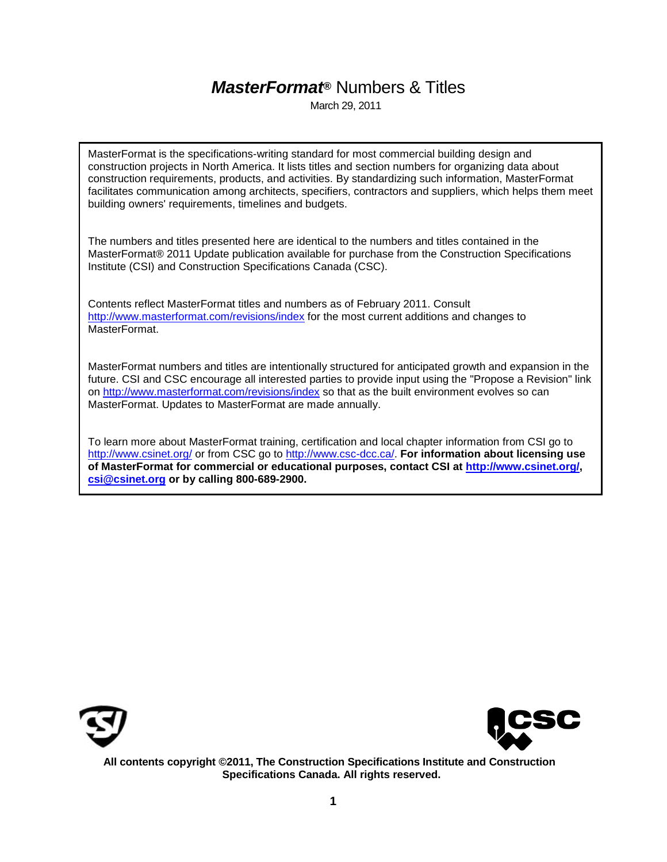### *MasterFormat***®** Numbers & Titles

March 29, 2011

MasterFormat is the specifications-writing standard for most commercial building design and construction projects in North America. It lists titles and section numbers for organizing data about construction requirements, products, and activities. By standardizing such information, MasterFormat facilitates communication among architects, specifiers, contractors and suppliers, which helps them meet building owners' requirements, timelines and budgets.

The numbers and titles presented here are identical to the numbers and titles contained in the MasterFormat® 2011 Update publication available for purchase from the Construction Specifications Institute (CSI) and Construction Specifications Canada (CSC).

Contents reflect MasterFormat titles and numbers as of February 2011. Consult <http://www.masterformat.com/revisions/index> for the most current additions and changes to MasterFormat.

MasterFormat numbers and titles are intentionally structured for anticipated growth and expansion in the future. CSI and CSC encourage all interested parties to provide input using the "Propose a Revision" link on<http://www.masterformat.com/revisions/index> so that as the built environment evolves so can MasterFormat. Updates to MasterFormat are made annually.

To learn more about MasterFormat training, certification and local chapter information from CSI go to <http://www.csinet.org/> or from CSC go to [http://www.csc-dcc.ca/.](http://www.csc-dcc.ca/) **For information about licensing use of MasterFormat for commercial or educational purposes, contact CSI at [http://www.csinet.org/,](http://www.csinet.org/) csi@csinet.org or by calling 800-689-2900.**





**All contents copyright ©2011, The Construction Specifications Institute and Construction Specifications Canada. All rights reserved.**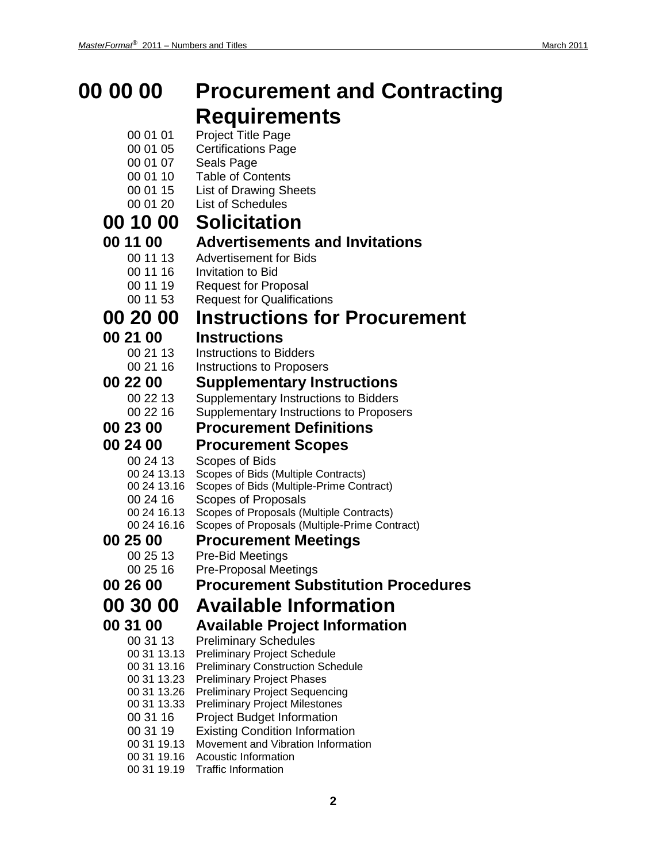### **00 00 00 Procurement and Contracting Requirements**

- 00 01 01 Project Title Page
- 00 01 05 Certifications Page
- 00 01 07 Seals Page
- 00 01 10 Table of Contents
- 00 01 15 List of Drawing Sheets
- 00 01 20 List of Schedules

## **00 10 00 Solicitation**

## **11 00 ••• Advertisements and Invitations**<br>00 11 13 •• Advertisement for Bids

- Advertisement for Bids
- 00 11 16 Invitation to Bid
- 00 11 19 Request for Proposal
- 00 11 53 Request for Qualifications

### **00 20 00 Instructions for Procurement**

## **00 21 00 Instructions**

- - Instructions to Bidders
	- 00 21 16 Instructions to Proposers

### **00 22 00 Supplementary Instructions**

- Supplementary Instructions to Bidders
- 00 22 16 Supplementary Instructions to Proposers

#### **00 23 00 Procurement Definitions**

#### **00 24 00 Procurement Scopes**

- 00 24 13 Scopes of Bids
- 00 24 13.13 Scopes of Bids (Multiple Contracts)
- 00 24 13.16 Scopes of Bids (Multiple-Prime Contract)
- 00 24 16 Scopes of Proposals
- 00 24 16.13 Scopes of Proposals (Multiple Contracts)
- 00 24 16.16 Scopes of Proposals (Multiple-Prime Contract)

### **00 25 00 Procurement Meetings**

- Pre-Bid Meetings
- 00 25 16 Pre-Proposal Meetings
- **00 26 00 Procurement Substitution Procedures**

### **00 30 00 Available Information**

### **00 31 00 Available Project Information**

- 00 31 13 Preliminary Schedules
- 00 31 13.13 Preliminary Project Schedule
- 00 31 13.16 Preliminary Construction Schedule
- 00 31 13.23 Preliminary Project Phases
- 00 31 13.26 Preliminary Project Sequencing
- 00 31 13.33 Preliminary Project Milestones
- 00 31 16 Project Budget Information
- 00 31 19 Existing Condition Information
- 00 31 19.13 Movement and Vibration Information
- 00 31 19.16 Acoustic Information
- 00 31 19.19 Traffic Information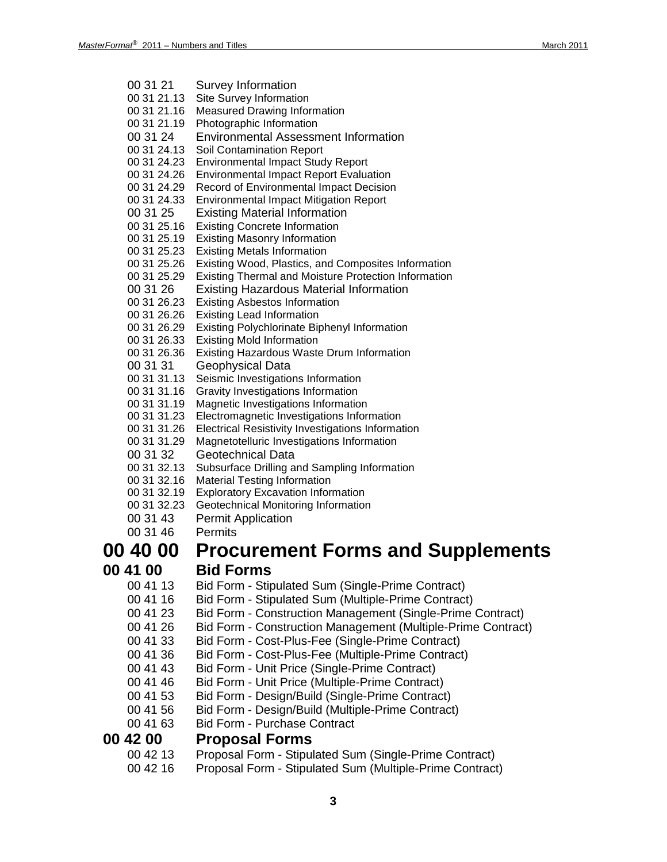| 00 31 21    | <b>Survey Information</b>                                    |
|-------------|--------------------------------------------------------------|
| 00 31 21.13 | Site Survey Information                                      |
| 00 31 21.16 | <b>Measured Drawing Information</b>                          |
| 00 31 21.19 | Photographic Information                                     |
| 00 31 24    | <b>Environmental Assessment Information</b>                  |
| 00 31 24.13 | <b>Soil Contamination Report</b>                             |
| 00 31 24.23 | <b>Environmental Impact Study Report</b>                     |
| 00 31 24.26 | <b>Environmental Impact Report Evaluation</b>                |
| 00 31 24.29 | Record of Environmental Impact Decision                      |
| 00 31 24.33 | <b>Environmental Impact Mitigation Report</b>                |
| 00 31 25    | <b>Existing Material Information</b>                         |
| 00 31 25.16 | <b>Existing Concrete Information</b>                         |
| 00 31 25.19 | <b>Existing Masonry Information</b>                          |
| 00 31 25.23 | <b>Existing Metals Information</b>                           |
| 00 31 25.26 | Existing Wood, Plastics, and Composites Information          |
| 00 31 25.29 | <b>Existing Thermal and Moisture Protection Information</b>  |
| 00 31 26    | <b>Existing Hazardous Material Information</b>               |
| 00 31 26.23 | <b>Existing Asbestos Information</b>                         |
| 00 31 26.26 | <b>Existing Lead Information</b>                             |
| 00 31 26.29 | <b>Existing Polychlorinate Biphenyl Information</b>          |
| 00 31 26.33 | <b>Existing Mold Information</b>                             |
| 00 31 26.36 | <b>Existing Hazardous Waste Drum Information</b>             |
| 00 31 31    | Geophysical Data                                             |
| 00 31 31.13 | Seismic Investigations Information                           |
| 00 31 31.16 | Gravity Investigations Information                           |
| 00 31 31.19 | Magnetic Investigations Information                          |
| 00 31 31.23 | Electromagnetic Investigations Information                   |
| 00 31 31.26 | <b>Electrical Resistivity Investigations Information</b>     |
| 00 31 31.29 | Magnetotelluric Investigations Information                   |
| 00 31 32    | <b>Geotechnical Data</b>                                     |
| 00 31 32.13 | Subsurface Drilling and Sampling Information                 |
| 00 31 32.16 | <b>Material Testing Information</b>                          |
| 00 31 32.19 | <b>Exploratory Excavation Information</b>                    |
| 00 31 32.23 | Geotechnical Monitoring Information                          |
| 00 31 43    | <b>Permit Application</b>                                    |
| 00 31 46    | <b>Permits</b>                                               |
|             |                                                              |
| 00 40 00    | <b>Procurement Forms and Supplements</b>                     |
| 00 41 00    | <b>Bid Forms</b>                                             |
| 00 41 13    | Bid Form - Stipulated Sum (Single-Prime Contract)            |
| 00 41 16    | Bid Form - Stipulated Sum (Multiple-Prime Contract)          |
| 00 41 23    | Bid Form - Construction Management (Single-Prime Contract)   |
| 00 41 26    | Bid Form - Construction Management (Multiple-Prime Contract) |
|             |                                                              |
| 00 41 33    | Bid Form - Cost-Plus-Fee (Single-Prime Contract)             |
| 00 41 36    | Bid Form - Cost-Plus-Fee (Multiple-Prime Contract)           |
| 00 41 43    | Bid Form - Unit Price (Single-Prime Contract)                |
| 00 41 46    | Bid Form - Unit Price (Multiple-Prime Contract)              |
| 00 41 53    | Bid Form - Design/Build (Single-Prime Contract)              |
| 00 41 56    | Bid Form - Design/Build (Multiple-Prime Contract)            |
| 00 41 63    | <b>Bid Form - Purchase Contract</b>                          |
| 00 42 00    | <b>Proposal Forms</b>                                        |
| 00 42 13    |                                                              |
|             | Proposal Form - Stipulated Sum (Single-Prime Contract)       |
| 00 42 16    | Proposal Form - Stipulated Sum (Multiple-Prime Contract)     |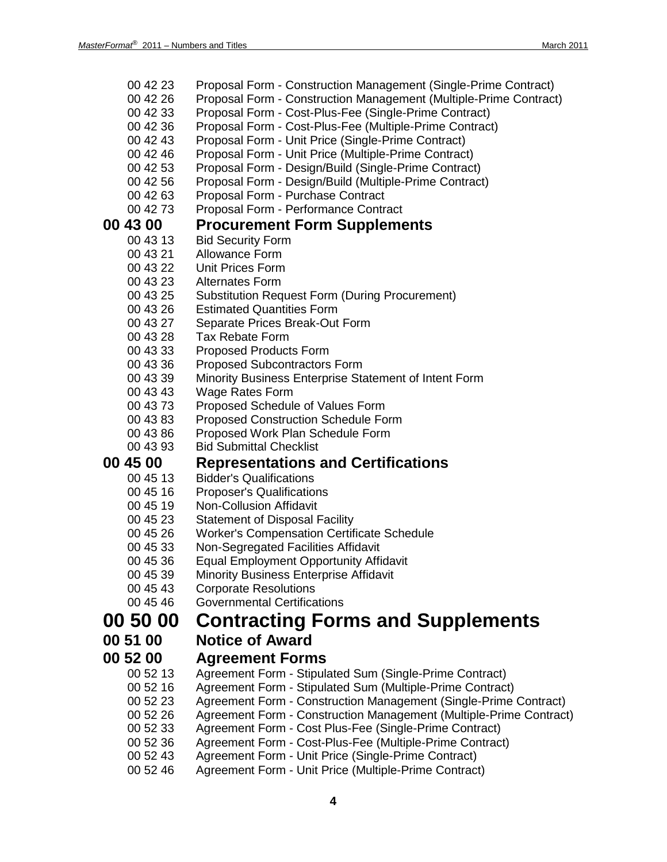| 00 42 23             | Proposal Form - Construction Management (Single-Prime Contract)               |
|----------------------|-------------------------------------------------------------------------------|
| 00 42 26             | Proposal Form - Construction Management (Multiple-Prime Contract)             |
| 00 42 33             | Proposal Form - Cost-Plus-Fee (Single-Prime Contract)                         |
| 00 42 36             | Proposal Form - Cost-Plus-Fee (Multiple-Prime Contract)                       |
| 00 42 43             | Proposal Form - Unit Price (Single-Prime Contract)                            |
| 00 42 46             | Proposal Form - Unit Price (Multiple-Prime Contract)                          |
| 00 42 53             | Proposal Form - Design/Build (Single-Prime Contract)                          |
| 00 42 56             | Proposal Form - Design/Build (Multiple-Prime Contract)                        |
| 00 42 63             | Proposal Form - Purchase Contract                                             |
| 00 42 73             | Proposal Form - Performance Contract                                          |
| 00 43 00             | <b>Procurement Form Supplements</b>                                           |
| 00 43 13             | <b>Bid Security Form</b>                                                      |
| 00 43 21             | Allowance Form                                                                |
| 00 43 22             | <b>Unit Prices Form</b>                                                       |
| 00 43 23             | Alternates Form                                                               |
| 00 43 25             | <b>Substitution Request Form (During Procurement)</b>                         |
| 00 43 26             | <b>Estimated Quantities Form</b>                                              |
| 00 43 27             | Separate Prices Break-Out Form                                                |
| 00 43 28             | <b>Tax Rebate Form</b>                                                        |
| 00 43 33             | <b>Proposed Products Form</b>                                                 |
| 00 43 36             | <b>Proposed Subcontractors Form</b>                                           |
| 00 43 39             | Minority Business Enterprise Statement of Intent Form                         |
| 00 43 43             | <b>Wage Rates Form</b>                                                        |
| 00 43 73             | Proposed Schedule of Values Form                                              |
| 00 43 83             | <b>Proposed Construction Schedule Form</b>                                    |
| 00 43 86             | Proposed Work Plan Schedule Form                                              |
| 00 43 93             | <b>Bid Submittal Checklist</b>                                                |
| <b>00 45 00</b>      | <b>Representations and Certifications</b>                                     |
| 00 45 13             | <b>Bidder's Qualifications</b>                                                |
| 00 45 16             | <b>Proposer's Qualifications</b>                                              |
| 00 45 19             | <b>Non-Collusion Affidavit</b>                                                |
| 00 45 23             | <b>Statement of Disposal Facility</b>                                         |
| 00 45 26             | <b>Worker's Compensation Certificate Schedule</b>                             |
| 00 45 33             | Non-Segregated Facilities Affidavit                                           |
| 00 45 36             | <b>Equal Employment Opportunity Affidavit</b>                                 |
| 00 45 39<br>00 45 43 | <b>Minority Business Enterprise Affidavit</b><br><b>Corporate Resolutions</b> |
| 00 45 46             | <b>Governmental Certifications</b>                                            |
|                      |                                                                               |
| <b>00 50 00</b>      | <b>Contracting Forms and Supplements</b>                                      |
| 00 51 00             | <b>Notice of Award</b>                                                        |
| 00 52 00             | <b>Agreement Forms</b>                                                        |
| 00 52 13             | Agreement Form - Stipulated Sum (Single-Prime Contract)                       |
| 00 52 16             | Agreement Form - Stipulated Sum (Multiple-Prime Contract)                     |
| 00 52 23             | Agreement Form - Construction Management (Single-Prime Contract)              |
| 00 52 26             | Agreement Form - Construction Management (Multiple-Prime Contract)            |
| 00 52 33             | Agreement Form - Cost Plus-Fee (Single-Prime Contract)                        |
| 00 52 36             | Agreement Form - Cost-Plus-Fee (Multiple-Prime Contract)                      |
| 00 52 43             | Agreement Form - Unit Price (Single-Prime Contract)                           |

00 52 46 Agreement Form - Unit Price (Multiple-Prime Contract)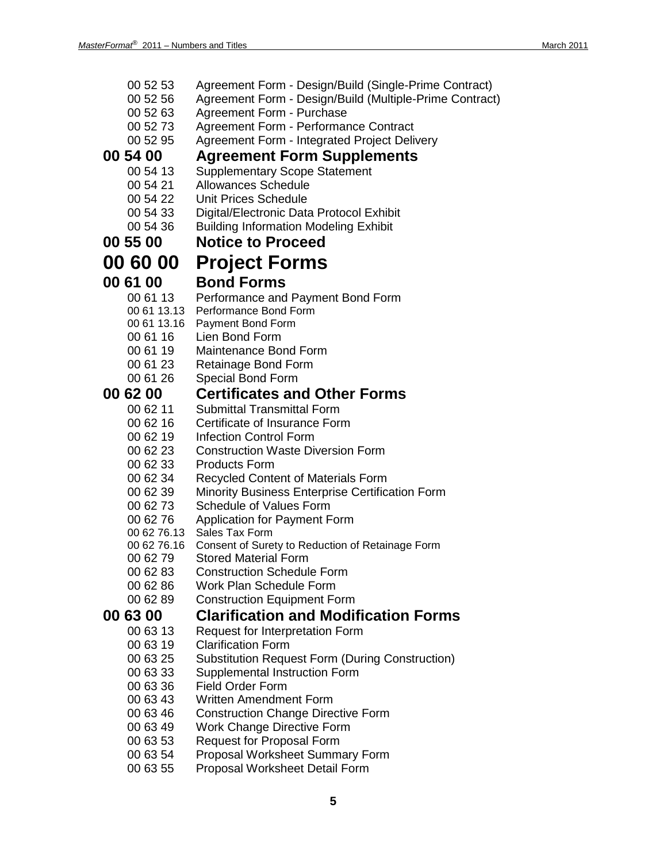| 00 52 53        | Agreement Form - Design/Build (Single-Prime Contract)                          |
|-----------------|--------------------------------------------------------------------------------|
| 00 52 56        | Agreement Form - Design/Build (Multiple-Prime Contract)                        |
| 00 52 63        | Agreement Form - Purchase                                                      |
| 00 52 73        | Agreement Form - Performance Contract                                          |
| 00 52 95        | Agreement Form - Integrated Project Delivery                                   |
| <b>00 54 00</b> | <b>Agreement Form Supplements</b>                                              |
| 00 54 13        | <b>Supplementary Scope Statement</b>                                           |
| 00 54 21        | <b>Allowances Schedule</b>                                                     |
| 00 54 22        | <b>Unit Prices Schedule</b>                                                    |
| 00 54 33        | Digital/Electronic Data Protocol Exhibit                                       |
| 00 54 36        | <b>Building Information Modeling Exhibit</b>                                   |
| 00 55 00        | <b>Notice to Proceed</b>                                                       |
| <b>00 60 00</b> | <b>Project Forms</b>                                                           |
| <b>00 61 00</b> | <b>Bond Forms</b>                                                              |
| 00 61 13        | Performance and Payment Bond Form                                              |
|                 | 00 61 13.13 Performance Bond Form                                              |
| 00 61 13.16     | Payment Bond Form                                                              |
| 00 61 16        | Lien Bond Form                                                                 |
| 00 61 19        | Maintenance Bond Form                                                          |
| 00 61 23        | Retainage Bond Form                                                            |
| 00 61 26        | Special Bond Form                                                              |
| <b>00 62 00</b> | <b>Certificates and Other Forms</b>                                            |
| 00 62 11        | <b>Submittal Transmittal Form</b>                                              |
| 00 62 16        | Certificate of Insurance Form                                                  |
| 00 62 19        | Infection Control Form                                                         |
| 00 62 23        | <b>Construction Waste Diversion Form</b>                                       |
| 00 62 33        | <b>Products Form</b>                                                           |
| 00 62 34        | Recycled Content of Materials Form                                             |
| 00 62 39        | <b>Minority Business Enterprise Certification Form</b>                         |
| 00 62 73        | <b>Schedule of Values Form</b>                                                 |
| 00 62 76        | Application for Payment Form                                                   |
| 00 62 76.16     | 00 62 76.13 Sales Tax Form<br>Consent of Surety to Reduction of Retainage Form |
| 00 62 79        | <b>Stored Material Form</b>                                                    |
| 00 62 83        | <b>Construction Schedule Form</b>                                              |
| 00 62 86        | <b>Work Plan Schedule Form</b>                                                 |
| 00 62 89        | <b>Construction Equipment Form</b>                                             |
| <b>00 63 00</b> | <b>Clarification and Modification Forms</b>                                    |
| 00 63 13        | Request for Interpretation Form                                                |
| 00 63 19        | <b>Clarification Form</b>                                                      |
| 00 63 25        | <b>Substitution Request Form (During Construction)</b>                         |
| 00 63 33        | Supplemental Instruction Form                                                  |
| 00 63 36        | <b>Field Order Form</b>                                                        |
| 00 63 43        | <b>Written Amendment Form</b>                                                  |
| 00 63 46        | <b>Construction Change Directive Form</b>                                      |
| 00 63 49        | <b>Work Change Directive Form</b>                                              |
| 00 63 53        | <b>Request for Proposal Form</b>                                               |
| 00 63 54        | Proposal Worksheet Summary Form                                                |
| 00 63 55        | Proposal Worksheet Detail Form                                                 |
|                 |                                                                                |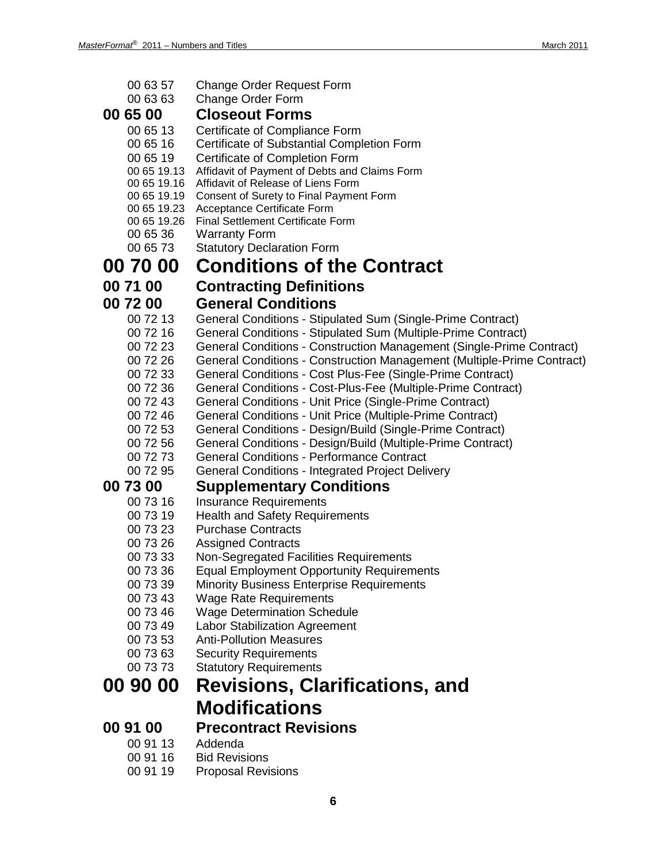| 00 63 57                   | <b>Change Order Request Form</b>                                                                                             |
|----------------------------|------------------------------------------------------------------------------------------------------------------------------|
| 00 63 63                   | Change Order Form                                                                                                            |
| 00 65 00                   | <b>Closeout Forms</b>                                                                                                        |
| 00 65 13                   | Certificate of Compliance Form                                                                                               |
| 00 65 16                   | Certificate of Substantial Completion Form                                                                                   |
| 00 65 19                   | Certificate of Completion Form                                                                                               |
| 00 65 19.13                | Affidavit of Payment of Debts and Claims Form                                                                                |
| 00 65 19.16                | Affidavit of Release of Liens Form                                                                                           |
| 00 65 19.19<br>00 65 19.23 | Consent of Surety to Final Payment Form                                                                                      |
| 00 65 19.26                | Acceptance Certificate Form<br><b>Final Settlement Certificate Form</b>                                                      |
| 00 65 36                   | <b>Warranty Form</b>                                                                                                         |
| 00 65 73                   | <b>Statutory Declaration Form</b>                                                                                            |
| 00 70 00                   | <b>Conditions of the Contract</b>                                                                                            |
| 00 71 00                   | <b>Contracting Definitions</b>                                                                                               |
| 00 72 00                   | <b>General Conditions</b>                                                                                                    |
|                            |                                                                                                                              |
| 00 72 13<br>00 72 16       | General Conditions - Stipulated Sum (Single-Prime Contract)<br>General Conditions - Stipulated Sum (Multiple-Prime Contract) |
| 00 72 23                   | General Conditions - Construction Management (Single-Prime Contract)                                                         |
| 00 72 26                   | General Conditions - Construction Management (Multiple-Prime Contract)                                                       |
| 00 72 33                   | General Conditions - Cost Plus-Fee (Single-Prime Contract)                                                                   |
| 00 72 36                   | General Conditions - Cost-Plus-Fee (Multiple-Prime Contract)                                                                 |
| 00 72 43                   | General Conditions - Unit Price (Single-Prime Contract)                                                                      |
| 00 72 46                   | General Conditions - Unit Price (Multiple-Prime Contract)                                                                    |
| 00 72 53                   | General Conditions - Design/Build (Single-Prime Contract)                                                                    |
| 00 72 56                   | General Conditions - Design/Build (Multiple-Prime Contract)                                                                  |
| 00 72 73                   | <b>General Conditions - Performance Contract</b>                                                                             |
| 00 72 95                   | <b>General Conditions - Integrated Project Delivery</b>                                                                      |
| 00 73 00                   | <b>Supplementary Conditions</b>                                                                                              |
| 00 73 16                   | <b>Insurance Requirements</b>                                                                                                |
| 00 73 19                   | <b>Health and Safety Requirements</b>                                                                                        |
| 00 73 23                   | <b>Purchase Contracts</b>                                                                                                    |
| 00 73 26                   | <b>Assigned Contracts</b>                                                                                                    |
| 00 73 33                   | Non-Segregated Facilities Requirements                                                                                       |
| 00 73 36                   | <b>Equal Employment Opportunity Requirements</b>                                                                             |
| 00 73 39                   | <b>Minority Business Enterprise Requirements</b>                                                                             |
| 00 73 43                   | <b>Wage Rate Requirements</b>                                                                                                |
| 00 73 46<br>00 73 49       | <b>Wage Determination Schedule</b><br><b>Labor Stabilization Agreement</b>                                                   |
| 00 73 53                   | <b>Anti-Pollution Measures</b>                                                                                               |
| 00 73 63                   | <b>Security Requirements</b>                                                                                                 |
| 00 73 73                   | <b>Statutory Requirements</b>                                                                                                |
| 00 90 00                   | <b>Revisions, Clarifications, and</b>                                                                                        |
|                            |                                                                                                                              |
|                            | <b>Modifications</b>                                                                                                         |
| 00 91 00                   | <b>Precontract Revisions</b>                                                                                                 |
| 00 91 13                   | Addenda                                                                                                                      |
| 00 91 16                   | <b>Bid Revisions</b>                                                                                                         |
| 00 91 19                   | <b>Proposal Revisions</b>                                                                                                    |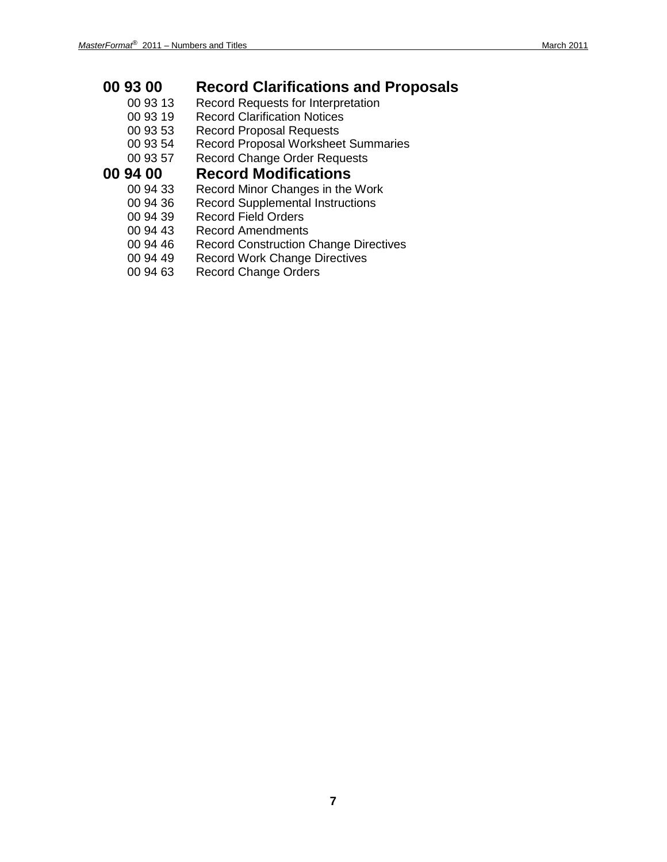### **00 93 00 Record Clarifications and Proposals**

- Record Requests for Interpretation
- 00 93 19 Record Clarification Notices
- 00 93 53 Record Proposal Requests
- 00 93 54 Record Proposal Worksheet Summaries
- 00 93 57 Record Change Order Requests

### **00 94 00 Record Modifications**

- Record Minor Changes in the Work
- 00 94 36 Record Supplemental Instructions<br>00 94 39 Record Field Orders
- Record Field Orders
- 00 94 43 Record Amendments
- 00 94 46 Record Construction Change Directives<br>00 94 49 Record Work Change Directives
- Record Work Change Directives
- 00 94 63 Record Change Orders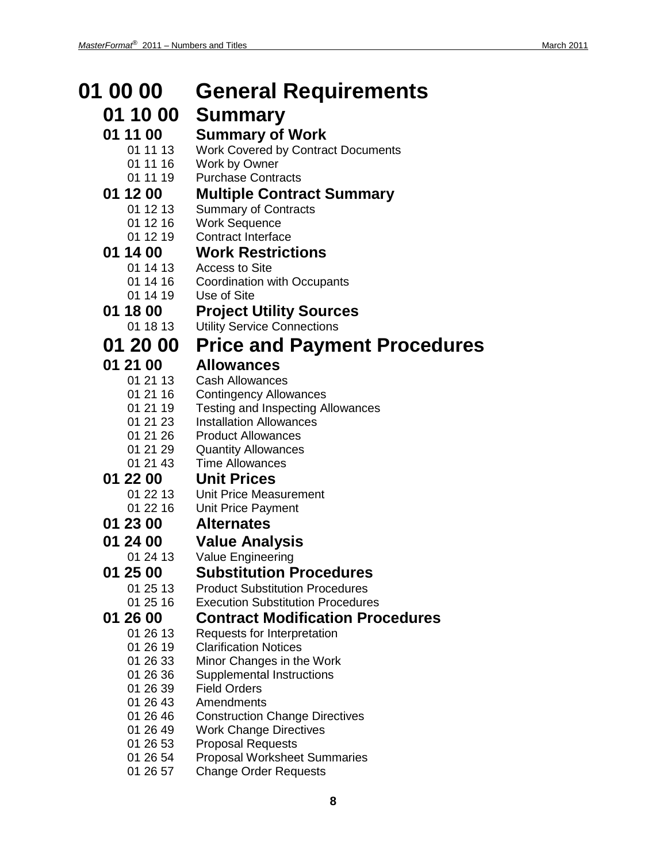#### **01 00 00 General Requirements 01 10 00 Summary 01 11 00 Summary of Work**<br>
01 11 13 Work Covered by Contra Work Covered by Contract Documents 01 11 16 Work by Owner 01 11 19 Purchase Contracts **01 12 00 Multiple Contract Summary** 01 12 13 Summary of Contracts<br>01 12 16 Work Sequence Work Sequence 01 12 19 Contract Interface **01 14 00 Work Restrictions** 01 14 13 Access to Site<br>01 14 16 Coordination w 01 14 16 Coordination with Occupants<br>01 14 19 Use of Site Use of Site **01 18 00 Project Utility Sources Utility Service Connections 01 20 00 Price and Payment Procedures 01 21 00 Allowances Cash Allowances** 01 21 16 Contingency Allowances 01 21 19 Testing and Inspecting Allowances 01 21 23 Installation Allowances 01 21 26 Product Allowances 01 21 29 Quantity Allowances 01 21 43 Time Allowances **01 22 00 Unit Prices** Unit Price Measurement 01 22 16 Unit Price Payment **01 23 00 Alternates 01 24 00 Value Analysis** 01 24 13 Value Engineering **01 25 00 Substitution Procedures Product Substitution Procedures** 01 25 16 Execution Substitution Procedures **01 26 00 Contract Modification Procedures** Requests for Interpretation 01 26 19 Clarification Notices 01 26 33 Minor Changes in the Work 01 26 36 Supplemental Instructions 01 26 39 Field Orders Amendments 01 26 46 Construction Change Directives 01 26 49 Work Change Directives 01 26 53 Proposal Requests 01 26 54 Proposal Worksheet Summaries 01 26 57 Change Order Requests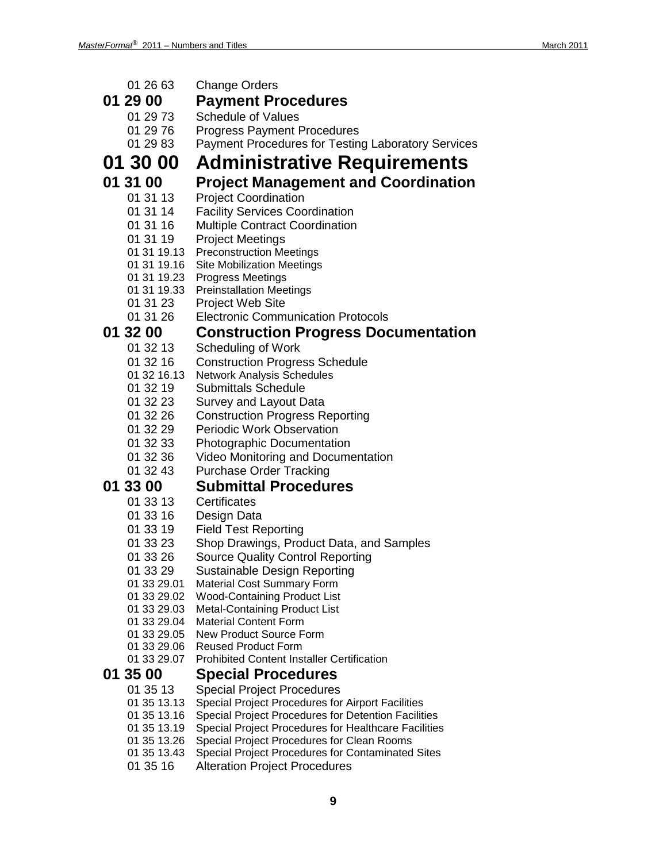| 01 26 63                   | <b>Change Orders</b>                                                                               |
|----------------------------|----------------------------------------------------------------------------------------------------|
| 01 29 00                   | <b>Payment Procedures</b>                                                                          |
| 01 29 73                   | <b>Schedule of Values</b>                                                                          |
| 01 29 76                   | <b>Progress Payment Procedures</b>                                                                 |
| 01 29 83                   | Payment Procedures for Testing Laboratory Services                                                 |
| 01 30 00                   | <b>Administrative Requirements</b>                                                                 |
| 01 31 00                   | <b>Project Management and Coordination</b>                                                         |
| 01 31 13                   | <b>Project Coordination</b>                                                                        |
| 01 31 14                   | <b>Facility Services Coordination</b>                                                              |
| 01 31 16                   | Multiple Contract Coordination                                                                     |
| 01 31 19                   | <b>Project Meetings</b>                                                                            |
| 01 31 19.13                | <b>Preconstruction Meetings</b>                                                                    |
| 01 31 19.16                | <b>Site Mobilization Meetings</b>                                                                  |
| 01 31 19.23                | <b>Progress Meetings</b>                                                                           |
| 01 31 19.33                | <b>Preinstallation Meetings</b>                                                                    |
| 01 31 23<br>01 31 26       | <b>Project Web Site</b><br><b>Electronic Communication Protocols</b>                               |
|                            |                                                                                                    |
| 01 32 00                   | <b>Construction Progress Documentation</b>                                                         |
| 01 32 13<br>01 32 16       | Scheduling of Work<br><b>Construction Progress Schedule</b>                                        |
| 01 32 16.13                | <b>Network Analysis Schedules</b>                                                                  |
| 01 32 19                   | <b>Submittals Schedule</b>                                                                         |
| 01 32 23                   | Survey and Layout Data                                                                             |
| 01 32 26                   | <b>Construction Progress Reporting</b>                                                             |
| 01 32 29                   | <b>Periodic Work Observation</b>                                                                   |
| 01 32 33                   | <b>Photographic Documentation</b>                                                                  |
| 01 32 36                   | Video Monitoring and Documentation                                                                 |
| 01 32 43                   | <b>Purchase Order Tracking</b>                                                                     |
| 01 33 00                   | <b>Submittal Procedures</b>                                                                        |
| 01 33 13                   | Certificates                                                                                       |
| 01 33 16                   | Design Data                                                                                        |
| 01 33 19<br>01 33 23       | <b>Field Test Reporting</b><br>Shop Drawings, Product Data, and Samples                            |
| 01 33 26                   | <b>Source Quality Control Reporting</b>                                                            |
| 01 33 29                   | Sustainable Design Reporting                                                                       |
| 01 33 29.01                | <b>Material Cost Summary Form</b>                                                                  |
| 01 33 29.02                | <b>Wood-Containing Product List</b>                                                                |
| 01 33 29.03                | <b>Metal-Containing Product List</b>                                                               |
| 01 33 29.04<br>01 33 29.05 | <b>Material Content Form</b><br><b>New Product Source Form</b>                                     |
| 01 33 29.06                | <b>Reused Product Form</b>                                                                         |
| 01 33 29.07                | <b>Prohibited Content Installer Certification</b>                                                  |
| 01 35 00                   | <b>Special Procedures</b>                                                                          |
| 01 35 13                   | <b>Special Project Procedures</b>                                                                  |
| 01 35 13.13                | Special Project Procedures for Airport Facilities                                                  |
| 01 35 13.16                | Special Project Procedures for Detention Facilities                                                |
| 01 35 13.19<br>01 35 13.26 | Special Project Procedures for Healthcare Facilities<br>Special Project Procedures for Clean Rooms |
| 01 35 13.43                | <b>Special Project Procedures for Contaminated Sites</b>                                           |
| 01 35 16                   | <b>Alteration Project Procedures</b>                                                               |
|                            |                                                                                                    |
|                            | 9                                                                                                  |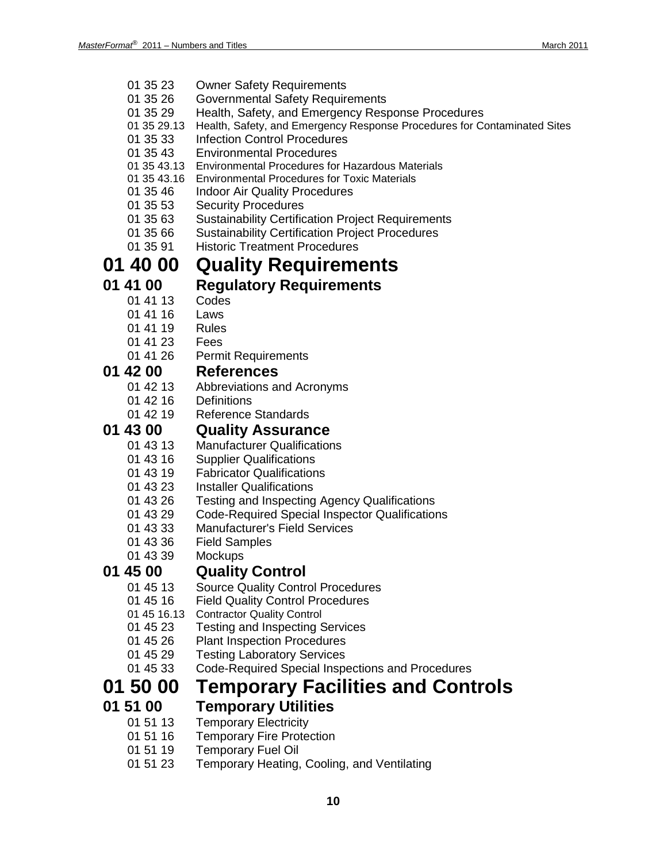- 01 35 23 Owner Safety Requirements
- 01 35 26 Governmental Safety Requirements
- 01 35 29 Health, Safety, and Emergency Response Procedures
- 01 35 29.13 Health, Safety, and Emergency Response Procedures for Contaminated Sites
- 01 35 33 Infection Control Procedures
- 01 35 43 Environmental Procedures
- 01 35 43.13 Environmental Procedures for Hazardous Materials
- 01 35 43.16 Environmental Procedures for Toxic Materials
- 01 35 46 Indoor Air Quality Procedures
- 01 35 53 Security Procedures
- 01 35 63 Sustainability Certification Project Requirements
- 01 35 66 Sustainability Certification Project Procedures<br>01 35 91 Historic Treatment Procedures
- **Historic Treatment Procedures**

### **01 40 00 Quality Requirements**

### **01 41 00 Regulatory Requirements**

- $014113$ 
	- 01 41 16 Laws
	- 01 41 19 Rules
	-
	- 01 41 23 Fees
	- 01 41 26 Permit Requirements

### **01 42 00 References**

- Abbreviations and Acronyms
- 01 42 16 Definitions
- 01 42 19 Reference Standards

#### **01 43 00 Quality Assurance**

- 01 43 13 Manufacturer Qualifications
- 01 43 16 Supplier Qualifications
- 01 43 19 Fabricator Qualifications
- 01 43 23 Installer Qualifications
- 01 43 26 Testing and Inspecting Agency Qualifications
- 01 43 29 Code-Required Special Inspector Qualifications<br>01 43 33 Manufacturer's Field Services
- Manufacturer's Field Services
- 01 43 36 Field Samples
- 01 43 39 Mockups

### **01 45 00 Quality Control**

- Source Quality Control Procedures
- 01 45 16 Field Quality Control Procedures
- 01 45 16.13 Contractor Quality Control
- 01 45 23 Testing and Inspecting Services
- 01 45 26 Plant Inspection Procedures
- 01 45 29 Testing Laboratory Services
- 01 45 33 Code-Required Special Inspections and Procedures

### **01 50 00 Temporary Facilities and Controls**

#### **01 51 00 Temporary Utilities**

- 01 51 13 Temporary Electricity
- 01 51 16 Temporary Fire Protection
- 01 51 19 Temporary Fuel Oil
- 01 51 23 Temporary Heating, Cooling, and Ventilating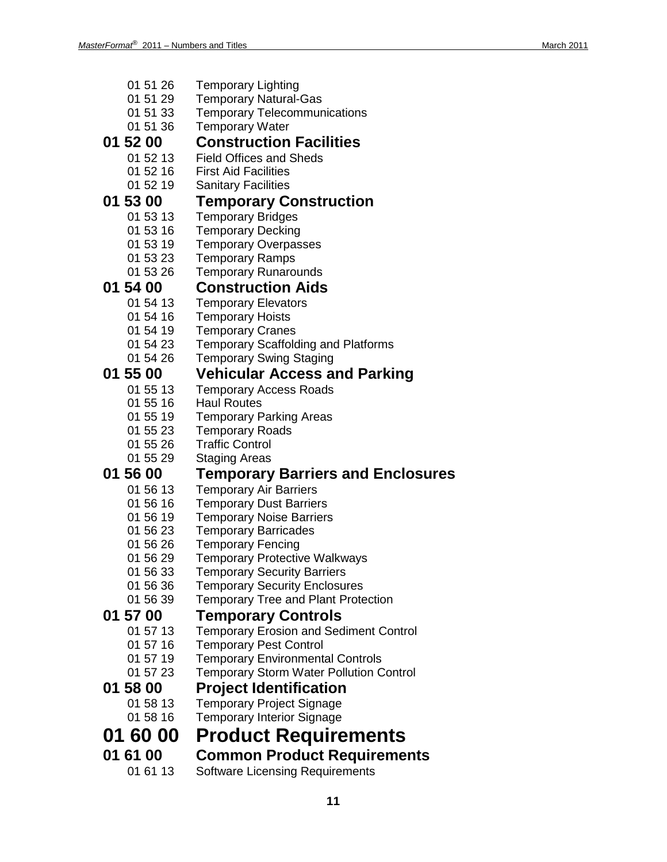| 01 51 26        | <b>Temporary Lighting</b>                      |
|-----------------|------------------------------------------------|
| 01 51 29        | <b>Temporary Natural-Gas</b>                   |
| 01 51 33        | <b>Temporary Telecommunications</b>            |
| 01 51 36        | <b>Temporary Water</b>                         |
| 01 52 00        | <b>Construction Facilities</b>                 |
| 01 52 13        | <b>Field Offices and Sheds</b>                 |
| 01 52 16        | <b>First Aid Facilities</b>                    |
| 01 52 19        | <b>Sanitary Facilities</b>                     |
| 01 53 00        |                                                |
|                 | <b>Temporary Construction</b>                  |
| 01 53 13        | <b>Temporary Bridges</b>                       |
| 01 53 16        | <b>Temporary Decking</b>                       |
| 01 53 19        | <b>Temporary Overpasses</b>                    |
| 01 53 23        | <b>Temporary Ramps</b>                         |
| 01 53 26        | <b>Temporary Runarounds</b>                    |
| 01 54 00        | <b>Construction Aids</b>                       |
| 01 54 13        | <b>Temporary Elevators</b>                     |
| 01 54 16        | <b>Temporary Hoists</b>                        |
| 01 54 19        | <b>Temporary Cranes</b>                        |
| 01 54 23        | <b>Temporary Scaffolding and Platforms</b>     |
| 01 54 26        | <b>Temporary Swing Staging</b>                 |
| 01 55 00        | <b>Vehicular Access and Parking</b>            |
| 01 55 13        | <b>Temporary Access Roads</b>                  |
| 01 55 16        | <b>Haul Routes</b>                             |
| 01 55 19        | <b>Temporary Parking Areas</b>                 |
| 01 55 23        | <b>Temporary Roads</b>                         |
| 01 55 26        | <b>Traffic Control</b>                         |
| 01 55 29        | <b>Staging Areas</b>                           |
| <b>01 56 00</b> | <b>Temporary Barriers and Enclosures</b>       |
| 01 56 13        | <b>Temporary Air Barriers</b>                  |
| 01 56 16        | <b>Temporary Dust Barriers</b>                 |
| 01 56 19        | <b>Temporary Noise Barriers</b>                |
| 01 56 23        | <b>Temporary Barricades</b>                    |
| 01 56 26        | <b>Temporary Fencing</b>                       |
| 01 56 29        | <b>Temporary Protective Walkways</b>           |
| 01 56 33        | <b>Temporary Security Barriers</b>             |
| 01 56 36        | <b>Temporary Security Enclosures</b>           |
| 01 56 39        | <b>Temporary Tree and Plant Protection</b>     |
| 01 57 00        | <b>Temporary Controls</b>                      |
| 01 57 13        | <b>Temporary Erosion and Sediment Control</b>  |
| 01 57 16        | <b>Temporary Pest Control</b>                  |
| 01 57 19        | <b>Temporary Environmental Controls</b>        |
| 01 57 23        | <b>Temporary Storm Water Pollution Control</b> |
| <b>01 58 00</b> | <b>Project Identification</b>                  |
| 01 58 13        | <b>Temporary Project Signage</b>               |
| 01 58 16        | <b>Temporary Interior Signage</b>              |
| <b>01 60 00</b> | <b>Product Requirements</b>                    |
|                 |                                                |
| 01 61 00        | <b>Common Product Requirements</b>             |
| 01 61 13        | <b>Software Licensing Requirements</b>         |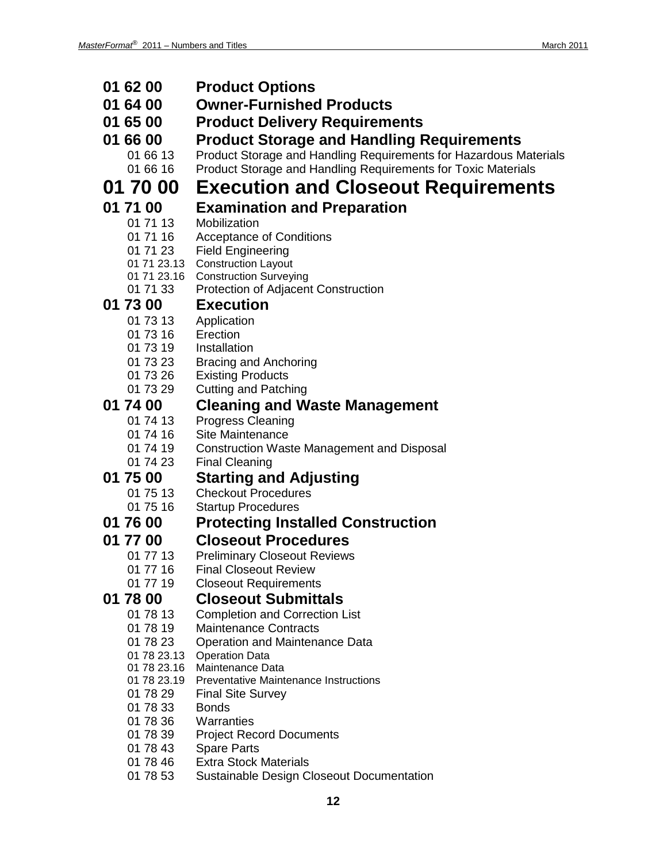| 01 62 00                   | <b>Product Options</b>                                                     |
|----------------------------|----------------------------------------------------------------------------|
| 01 64 00                   | <b>Owner-Furnished Products</b>                                            |
| 01 65 00                   | <b>Product Delivery Requirements</b>                                       |
| 01 66 00                   | <b>Product Storage and Handling Requirements</b>                           |
| 01 66 13                   | Product Storage and Handling Requirements for Hazardous Materials          |
| 01 66 16                   | Product Storage and Handling Requirements for Toxic Materials              |
| 01 70 00                   | <b>Execution and Closeout Requirements</b>                                 |
| 01 71 00                   | <b>Examination and Preparation</b>                                         |
| 01 71 13                   | Mobilization                                                               |
| 01 71 16                   | <b>Acceptance of Conditions</b>                                            |
| 01 71 23                   | <b>Field Engineering</b><br>01 71 23.13 Construction Layout                |
| 01 71 23.16                | <b>Construction Surveying</b>                                              |
| 01 71 33                   | Protection of Adjacent Construction                                        |
| 01 73 00                   | <b>Execution</b>                                                           |
| 01 73 13                   | Application                                                                |
| 01 73 16<br>01 73 19       | Erection<br>Installation                                                   |
| 01 73 23                   | <b>Bracing and Anchoring</b>                                               |
| 01 73 26                   | <b>Existing Products</b>                                                   |
| 01 73 29                   | <b>Cutting and Patching</b>                                                |
| 01 74 00                   | <b>Cleaning and Waste Management</b>                                       |
| 01 74 13                   | <b>Progress Cleaning</b>                                                   |
| 01 74 16                   | Site Maintenance                                                           |
| 01 74 19<br>01 74 23       | <b>Construction Waste Management and Disposal</b><br><b>Final Cleaning</b> |
| 01 75 00                   | <b>Starting and Adjusting</b>                                              |
| 01 75 13                   | <b>Checkout Procedures</b>                                                 |
| 01 75 16                   | <b>Startup Procedures</b>                                                  |
| 01 76 00                   | <b>Protecting Installed Construction</b>                                   |
| 01 77 00                   | <b>Closeout Procedures</b>                                                 |
| 01 77 13                   | <b>Preliminary Closeout Reviews</b>                                        |
| 01 77 16                   | <b>Final Closeout Review</b>                                               |
| 01 77 19                   | <b>Closeout Requirements</b>                                               |
| 01 78 00<br>01 78 13       | <b>Closeout Submittals</b>                                                 |
| 01 78 19                   | <b>Completion and Correction List</b><br><b>Maintenance Contracts</b>      |
| 01 78 23                   | Operation and Maintenance Data                                             |
| 01 78 23.13                | <b>Operation Data</b>                                                      |
| 01 78 23.16<br>01 78 23.19 | Maintenance Data<br><b>Preventative Maintenance Instructions</b>           |
| 01 78 29                   | <b>Final Site Survey</b>                                                   |
| 01 78 33                   | <b>Bonds</b>                                                               |
| 01 78 36                   | Warranties                                                                 |
| 01 78 39                   | <b>Project Record Documents</b>                                            |
| 01 78 43                   | <b>Spare Parts</b><br><b>Extra Stock Materials</b>                         |
| 01 78 46<br>01 78 53       | <b>Sustainable Design Closeout Documentation</b>                           |
|                            |                                                                            |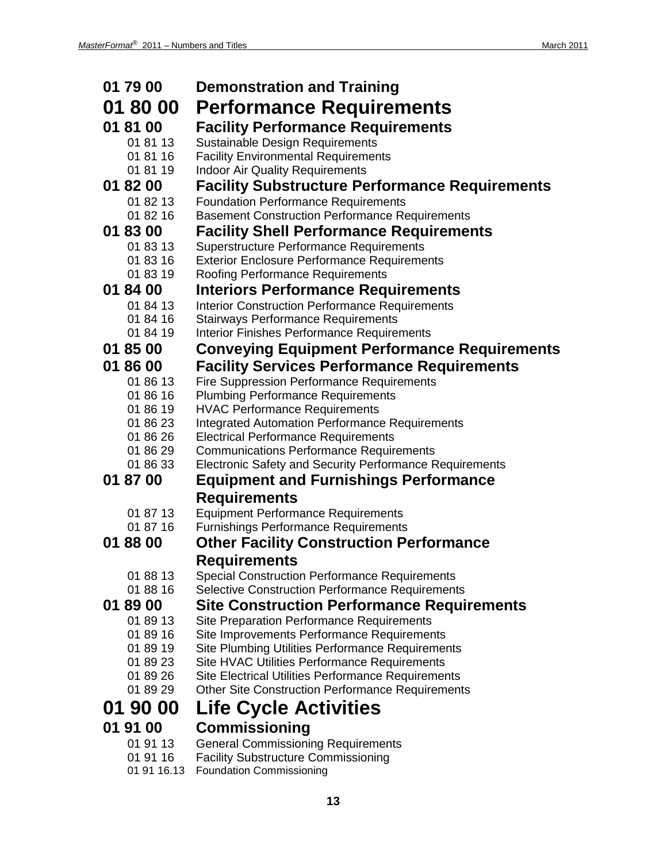| 01 79 00             | <b>Demonstration and Training</b>                                                |
|----------------------|----------------------------------------------------------------------------------|
| 01 80 00             | <b>Performance Requirements</b>                                                  |
| 01 81 00             | <b>Facility Performance Requirements</b>                                         |
| 01 81 13             | Sustainable Design Requirements                                                  |
| 01 81 16             | <b>Facility Environmental Requirements</b>                                       |
| 01 81 19             | <b>Indoor Air Quality Requirements</b>                                           |
| 01 82 00             | <b>Facility Substructure Performance Requirements</b>                            |
| 01 82 13             | <b>Foundation Performance Requirements</b>                                       |
| 01 82 16             | <b>Basement Construction Performance Requirements</b>                            |
| 01 83 00             | <b>Facility Shell Performance Requirements</b>                                   |
| 01 83 13             | <b>Superstructure Performance Requirements</b>                                   |
| 01 83 16             | <b>Exterior Enclosure Performance Requirements</b>                               |
| 01 83 19             | <b>Roofing Performance Requirements</b>                                          |
| 01 84 00             | <b>Interiors Performance Requirements</b>                                        |
| 01 84 13             | <b>Interior Construction Performance Requirements</b>                            |
| 01 84 16<br>01 84 19 | <b>Stairways Performance Requirements</b>                                        |
| 01 85 00             | <b>Interior Finishes Performance Requirements</b>                                |
|                      | <b>Conveying Equipment Performance Requirements</b>                              |
| 01 86 00             | <b>Facility Services Performance Requirements</b>                                |
| 01 86 13             | <b>Fire Suppression Performance Requirements</b>                                 |
| 01 86 16<br>01 86 19 | <b>Plumbing Performance Requirements</b><br><b>HVAC Performance Requirements</b> |
| 01 86 23             | <b>Integrated Automation Performance Requirements</b>                            |
| 01 86 26             | <b>Electrical Performance Requirements</b>                                       |
| 01 86 29             | <b>Communications Performance Requirements</b>                                   |
| 01 86 33             | <b>Electronic Safety and Security Performance Requirements</b>                   |
| 01 87 00             | <b>Equipment and Furnishings Performance</b>                                     |
|                      | <b>Requirements</b>                                                              |
| 01 87 13             | <b>Equipment Performance Requirements</b>                                        |
| 01 87 16             | <b>Furnishings Performance Requirements</b>                                      |
| 01 88 00             | <b>Other Facility Construction Performance</b>                                   |
|                      | <b>Requirements</b>                                                              |
| 01 88 13             | <b>Special Construction Performance Requirements</b>                             |
| 01 88 16             | <b>Selective Construction Performance Requirements</b>                           |
| 01 89 00             | <b>Site Construction Performance Requirements</b>                                |
| 01 89 13             | <b>Site Preparation Performance Requirements</b>                                 |
| 01 89 16             | Site Improvements Performance Requirements                                       |
| 01 89 19             | <b>Site Plumbing Utilities Performance Requirements</b>                          |
| 01 89 23             | Site HVAC Utilities Performance Requirements                                     |
| 01 89 26<br>01 89 29 | Site Electrical Utilities Performance Requirements                               |
|                      | <b>Other Site Construction Performance Requirements</b>                          |
| 01 90 00             | <b>Life Cycle Activities</b>                                                     |
| 01 91 00             | <b>Commissioning</b>                                                             |
| 01 91 13             | <b>General Commissioning Requirements</b>                                        |
| 01 91 16             | <b>Facility Substructure Commissioning</b>                                       |

01 91 16.13 Foundation Commissioning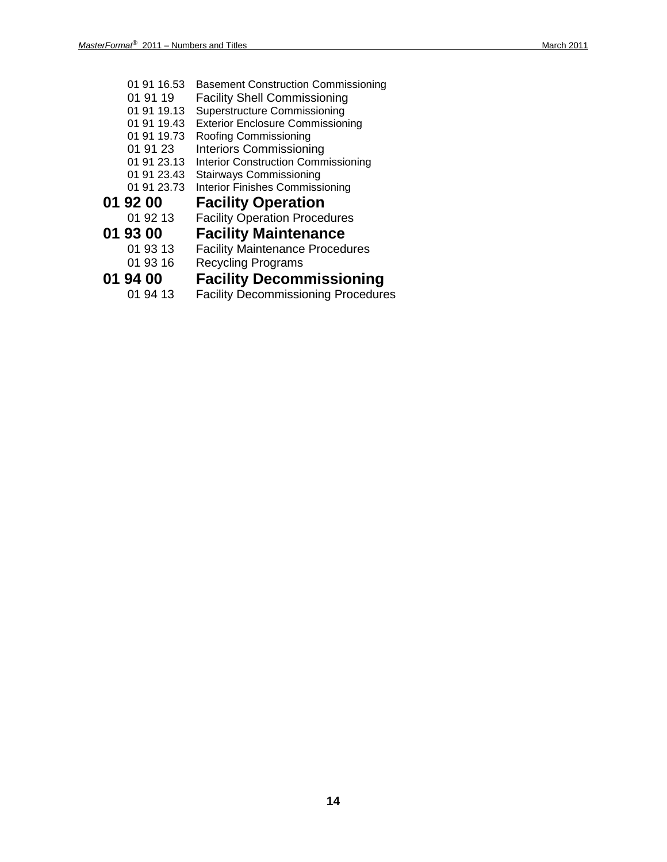- 01 91 16.53 Basement Construction Commissioning 01 91 19 Facility Shell Commissioning 01 91 19.13 Superstructure Commissioning 01 91 19.43 Exterior Enclosure Commissioning 01 91 19.73 Roofing Commissioning 01 91 23 Interiors Commissioning 01 91 23.13 Interior Construction Commissioning 01 91 23.43 Stairways Commissioning 01 91 23.73 Interior Finishes Commissioning **01 92 00 Facility Operation**<br>
01 92 13 Facility Operation Proced Facility Operation Procedures **01 93 00 Facility Maintenance Facility Maintenance Procedures** 01 93 16 Recycling Programs **01 94 00 Facility Decommissioning**<br>01 94 13 Facility Decommissioning Procedure
	- Facility Decommissioning Procedures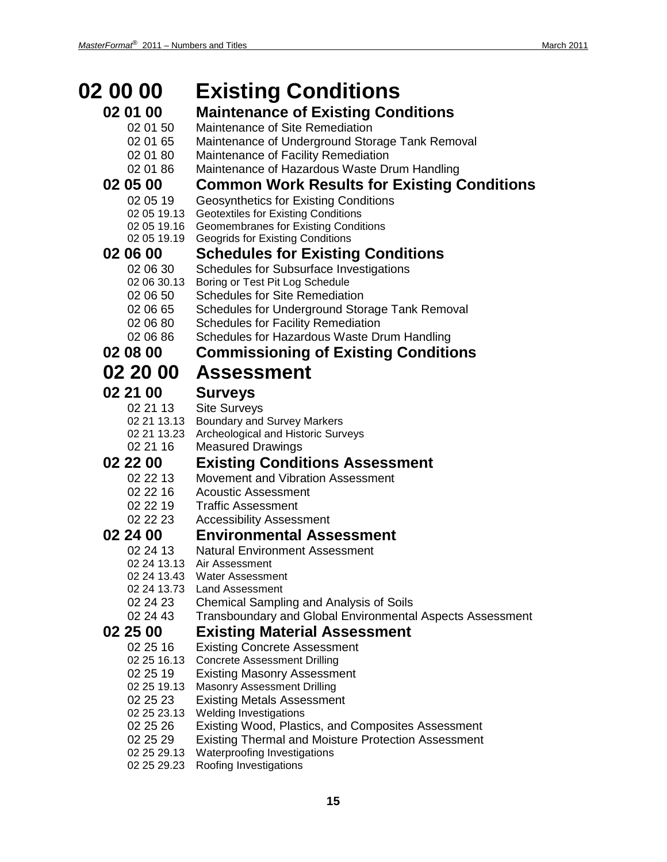| 02 00 00                   | <b>Existing Conditions</b>                                                             |
|----------------------------|----------------------------------------------------------------------------------------|
| 02 01 00                   | <b>Maintenance of Existing Conditions</b>                                              |
| 02 01 50                   | Maintenance of Site Remediation                                                        |
| 02 01 65                   | Maintenance of Underground Storage Tank Removal                                        |
| 02 01 80                   | Maintenance of Facility Remediation                                                    |
| 02 01 86                   | Maintenance of Hazardous Waste Drum Handling                                           |
| 02 05 00                   | <b>Common Work Results for Existing Conditions</b>                                     |
| 02 05 19                   | <b>Geosynthetics for Existing Conditions</b>                                           |
| 02 05 19.13                | <b>Geotextiles for Existing Conditions</b>                                             |
| 02 05 19.16<br>02 05 19.19 | <b>Geomembranes for Existing Conditions</b><br><b>Geogrids for Existing Conditions</b> |
| 02 06 00                   | <b>Schedules for Existing Conditions</b>                                               |
| 02 06 30                   | <b>Schedules for Subsurface Investigations</b>                                         |
| 02 06 30.13                | Boring or Test Pit Log Schedule                                                        |
| 02 06 50                   | <b>Schedules for Site Remediation</b>                                                  |
| 02 06 65                   | Schedules for Underground Storage Tank Removal                                         |
| 02 06 80                   | <b>Schedules for Facility Remediation</b>                                              |
| 02 06 86                   | Schedules for Hazardous Waste Drum Handling                                            |
| 02 08 00                   | <b>Commissioning of Existing Conditions</b>                                            |
| 02 20 00                   | <b>Assessment</b>                                                                      |
| 02 21 00                   | <b>Surveys</b>                                                                         |
| 02 21 13                   | <b>Site Surveys</b>                                                                    |
| 02 21 13.13<br>02 21 13.23 | <b>Boundary and Survey Markers</b>                                                     |
| 02 21 16                   | Archeological and Historic Surveys<br><b>Measured Drawings</b>                         |
| 02 22 00                   | <b>Existing Conditions Assessment</b>                                                  |
| 02 22 13                   | Movement and Vibration Assessment                                                      |
| 02 22 16                   | <b>Acoustic Assessment</b>                                                             |
| 02 22 19                   | <b>Traffic Assessment</b>                                                              |
| 02 22 23                   | <b>Accessibility Assessment</b>                                                        |
| 02 24 00                   | <b>Environmental Assessment</b>                                                        |
| 02 24 13                   | <b>Natural Environment Assessment</b>                                                  |
| 02 24 13.13                | Air Assessment                                                                         |
| 02 24 13.43<br>02 24 13.73 | <b>Water Assessment</b><br><b>Land Assessment</b>                                      |
| 02 24 23                   | Chemical Sampling and Analysis of Soils                                                |
| 02 24 43                   | Transboundary and Global Environmental Aspects Assessment                              |
| 02 25 00                   | <b>Existing Material Assessment</b>                                                    |
| 02 25 16                   | <b>Existing Concrete Assessment</b>                                                    |
| 02 25 16.13                | <b>Concrete Assessment Drilling</b>                                                    |
| 02 25 19                   | <b>Existing Masonry Assessment</b>                                                     |
| 02 25 19.13                | <b>Masonry Assessment Drilling</b>                                                     |
| 02 25 23                   | <b>Existing Metals Assessment</b>                                                      |
| 02 25 23.13<br>02 25 26    | <b>Welding Investigations</b><br>Existing Wood, Plastics, and Composites Assessment    |
| 02 25 29                   | <b>Existing Thermal and Moisture Protection Assessment</b>                             |
| 02 25 29.13                | Waterproofing Investigations                                                           |
| 02 25 29.23                | Roofing Investigations                                                                 |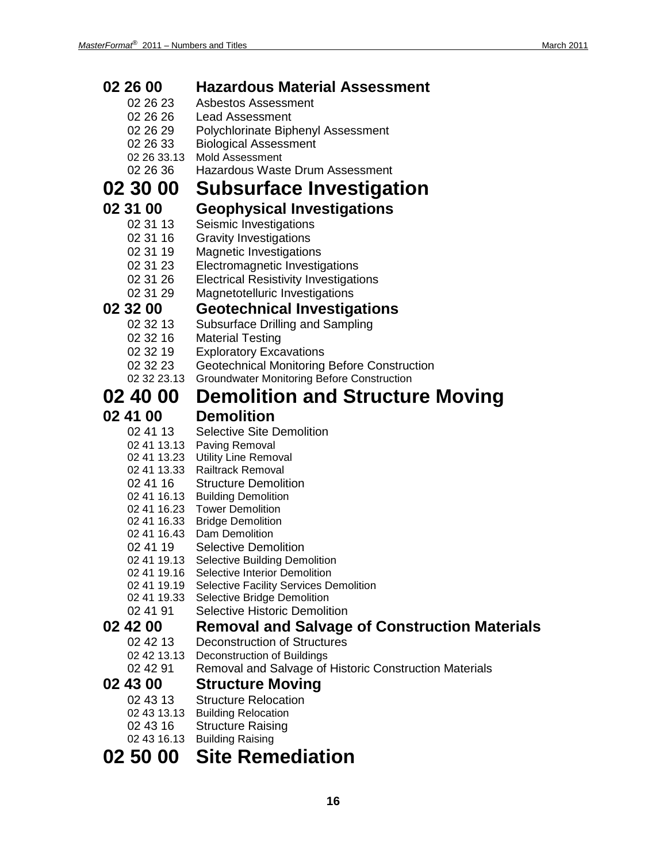| 02 26 00                | <b>Hazardous Material Assessment</b>                                |
|-------------------------|---------------------------------------------------------------------|
| 02 26 23                | <b>Asbestos Assessment</b>                                          |
| 02 26 26                | <b>Lead Assessment</b>                                              |
| 02 26 29                | Polychlorinate Biphenyl Assessment                                  |
| 02 26 33                | <b>Biological Assessment</b>                                        |
| 02 26 33.13             | <b>Mold Assessment</b>                                              |
| 02 26 36                | Hazardous Waste Drum Assessment                                     |
| 02 30 00                | <b>Subsurface Investigation</b>                                     |
| 02 31 00                | <b>Geophysical Investigations</b>                                   |
| 02 31 13                | Seismic Investigations                                              |
| 02 31 16                | <b>Gravity Investigations</b>                                       |
| 02 31 19                | <b>Magnetic Investigations</b>                                      |
| 02 31 23                | Electromagnetic Investigations                                      |
| 02 31 26                | <b>Electrical Resistivity Investigations</b>                        |
| 02 31 29                | Magnetotelluric Investigations                                      |
| 02 32 00                | <b>Geotechnical Investigations</b>                                  |
| 02 32 13                | Subsurface Drilling and Sampling                                    |
| 02 32 16                | <b>Material Testing</b>                                             |
| 02 32 19                | <b>Exploratory Excavations</b>                                      |
| 02 32 23                | <b>Geotechnical Monitoring Before Construction</b>                  |
| 02 32 23.13             | <b>Groundwater Monitoring Before Construction</b>                   |
| 02 40 00                | <b>Demolition and Structure Moving</b>                              |
| 02 41 00                | <b>Demolition</b>                                                   |
| 02 41 13                | <b>Selective Site Demolition</b>                                    |
|                         | 02 41 13.13 Paving Removal                                          |
|                         | 02 41 13.23 Utility Line Removal                                    |
| 02 41 13.33             | <b>Railtrack Removal</b>                                            |
| 02 41 16                | <b>Structure Demolition</b><br>02 41 16.13 Building Demolition      |
|                         | 02 41 16.23 Tower Demolition                                        |
| 02 41 16.33             | <b>Bridge Demolition</b>                                            |
| 02 41 16.43             | Dam Demolition                                                      |
| 02 41 19                | <b>Selective Demolition</b>                                         |
| 02 41 19.13             | <b>Selective Building Demolition</b>                                |
| 02 41 19.16             | Selective Interior Demolition                                       |
| 02 41 19.19             | <b>Selective Facility Services Demolition</b>                       |
| 02 41 19.33<br>02 41 91 | Selective Bridge Demolition<br><b>Selective Historic Demolition</b> |
| 02 42 00                |                                                                     |
|                         | <b>Removal and Salvage of Construction Materials</b>                |
| 02 42 13<br>02 42 13.13 | Deconstruction of Structures<br><b>Deconstruction of Buildings</b>  |
| 02 42 91                | Removal and Salvage of Historic Construction Materials              |
| 02 43 00                |                                                                     |
| 02 43 13                | <b>Structure Moving</b><br><b>Structure Relocation</b>              |
| 02 43 13.13             |                                                                     |
| 02 43 16                | <b>Building Relocation</b><br><b>Structure Raising</b>              |
| 02 43 16.13             | <b>Building Raising</b>                                             |
| 02 50 00                | <b>Site Remediation</b>                                             |
|                         |                                                                     |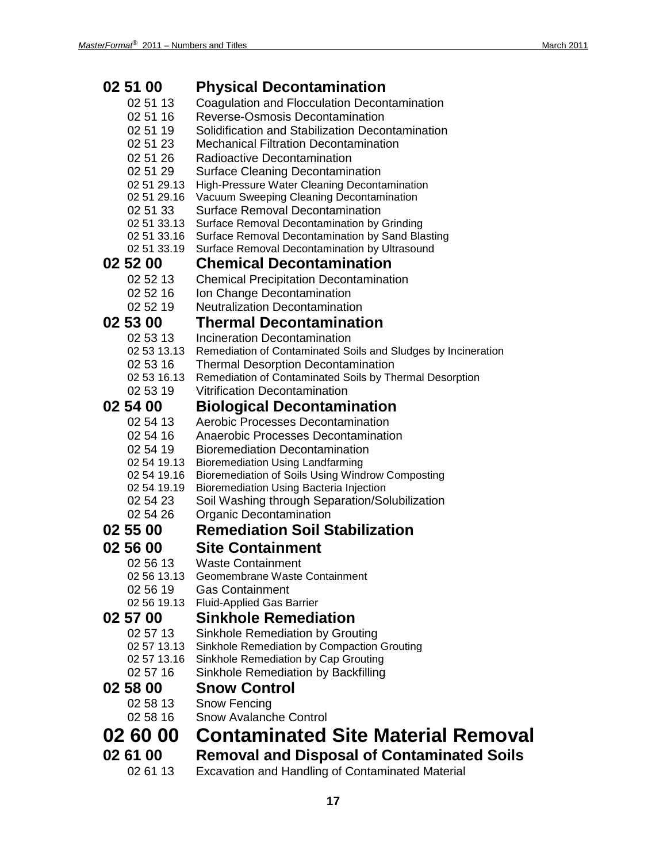| 02 51 00                   | <b>Physical Decontamination</b>                                                                      |
|----------------------------|------------------------------------------------------------------------------------------------------|
| 02 51 13                   | Coagulation and Flocculation Decontamination                                                         |
| 02 51 16                   | Reverse-Osmosis Decontamination                                                                      |
| 02 51 19                   | Solidification and Stabilization Decontamination                                                     |
| 02 51 23                   | <b>Mechanical Filtration Decontamination</b>                                                         |
| 02 51 26                   | Radioactive Decontamination                                                                          |
| 02 51 29                   | <b>Surface Cleaning Decontamination</b>                                                              |
| 02 51 29.13                | High-Pressure Water Cleaning Decontamination                                                         |
| 02 51 29.16                | Vacuum Sweeping Cleaning Decontamination                                                             |
| 02 51 33                   | Surface Removal Decontamination                                                                      |
| 02 51 33.13<br>02 51 33.16 | Surface Removal Decontamination by Grinding                                                          |
| 02 51 33.19                | Surface Removal Decontamination by Sand Blasting<br>Surface Removal Decontamination by Ultrasound    |
| 02 52 00                   | <b>Chemical Decontamination</b>                                                                      |
| 02 52 13                   |                                                                                                      |
| 02 52 16                   | <b>Chemical Precipitation Decontamination</b><br>Ion Change Decontamination                          |
| 02 52 19                   | <b>Neutralization Decontamination</b>                                                                |
|                            | <b>Thermal Decontamination</b>                                                                       |
| 02 53 00                   |                                                                                                      |
| 02 53 13<br>02 53 13.13    | Incineration Decontamination                                                                         |
| 02 53 16                   | Remediation of Contaminated Soils and Sludges by Incineration                                        |
| 02 53 16.13                | <b>Thermal Desorption Decontamination</b><br>Remediation of Contaminated Soils by Thermal Desorption |
| 02 53 19                   | <b>Vitrification Decontamination</b>                                                                 |
| 02 54 00                   | <b>Biological Decontamination</b>                                                                    |
| 02 54 13                   | Aerobic Processes Decontamination                                                                    |
| 02 54 16                   | <b>Anaerobic Processes Decontamination</b>                                                           |
| 02 54 19                   | <b>Bioremediation Decontamination</b>                                                                |
| 02 54 19.13                | <b>Bioremediation Using Landfarming</b>                                                              |
| 02 54 19.16                | Bioremediation of Soils Using Windrow Composting                                                     |
| 02 54 19.19                | Bioremediation Using Bacteria Injection                                                              |
| 02 54 23                   | Soil Washing through Separation/Solubilization                                                       |
| 02 54 26                   | Organic Decontamination                                                                              |
| 02 55 00                   | <b>Remediation Soil Stabilization</b>                                                                |
| 02 56 00                   | <b>Site Containment</b>                                                                              |
| 02 56 13                   | <b>Waste Containment</b>                                                                             |
| 02 56 13.13                | Geomembrane Waste Containment                                                                        |
| 02 56 19                   | <b>Gas Containment</b>                                                                               |
| 02 56 19.13                | <b>Fluid-Applied Gas Barrier</b>                                                                     |
| 02 57 00                   | <b>Sinkhole Remediation</b>                                                                          |
| 02 57 13                   | Sinkhole Remediation by Grouting                                                                     |
| 02 57 13.13                | Sinkhole Remediation by Compaction Grouting                                                          |
| 02 57 13.16                | Sinkhole Remediation by Cap Grouting                                                                 |
| 02 57 16                   | Sinkhole Remediation by Backfilling                                                                  |
| 02 58 00                   | <b>Snow Control</b>                                                                                  |
| 02 58 13                   | Snow Fencing                                                                                         |
| 02 58 16                   | <b>Snow Avalanche Control</b>                                                                        |
| 02 60 00                   | <b>Contaminated Site Material Removal</b>                                                            |
|                            |                                                                                                      |
| 02 61 00                   | <b>Removal and Disposal of Contaminated Soils</b>                                                    |
| 02 61 13                   | <b>Excavation and Handling of Contaminated Material</b>                                              |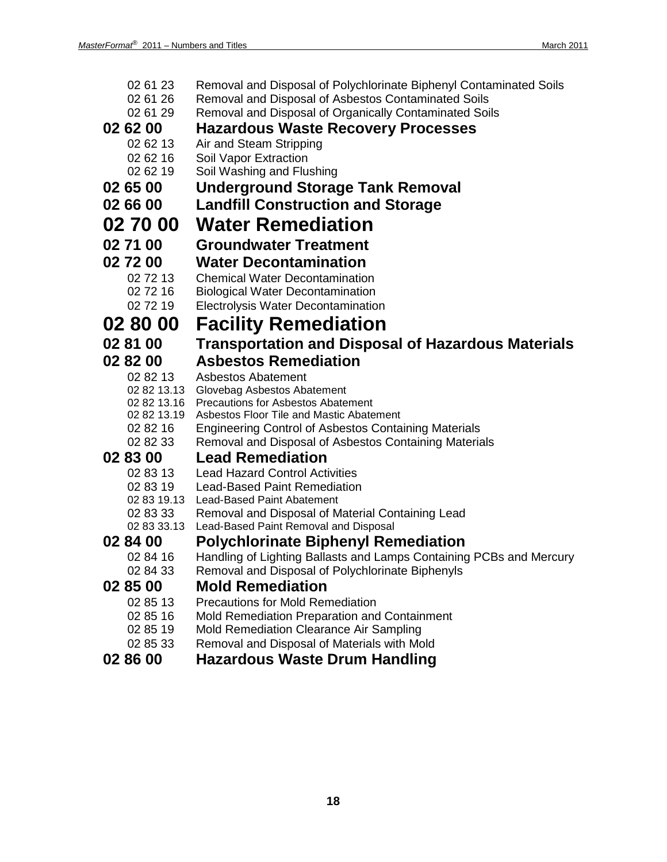| 02 61 23             | Removal and Disposal of Polychlorinate Biphenyl Contaminated Soils               |
|----------------------|----------------------------------------------------------------------------------|
| 02 61 26             | Removal and Disposal of Asbestos Contaminated Soils                              |
| 02 61 29             | Removal and Disposal of Organically Contaminated Soils                           |
| 02 62 00             | <b>Hazardous Waste Recovery Processes</b>                                        |
| 02 62 13             | Air and Steam Stripping                                                          |
| 02 62 16             | Soil Vapor Extraction                                                            |
| 02 62 19             | Soil Washing and Flushing                                                        |
| 02 65 00             | <b>Underground Storage Tank Removal</b>                                          |
| 02 66 00             | <b>Landfill Construction and Storage</b>                                         |
| 02 70 00             | <b>Water Remediation</b>                                                         |
| 02 71 00             | <b>Groundwater Treatment</b>                                                     |
| 02 72 00             | <b>Water Decontamination</b>                                                     |
| 02 72 13             | <b>Chemical Water Decontamination</b>                                            |
| 02 72 16             | <b>Biological Water Decontamination</b>                                          |
| 02 72 19             | Electrolysis Water Decontamination                                               |
| 02 80 00             | <b>Facility Remediation</b>                                                      |
| 02 81 00             | <b>Transportation and Disposal of Hazardous Materials</b>                        |
| 02 82 00             | <b>Asbestos Remediation</b>                                                      |
| 02 82 13             | <b>Asbestos Abatement</b>                                                        |
|                      | 02 82 13.13 Glovebag Asbestos Abatement                                          |
| 02 82 13.16          | <b>Precautions for Asbestos Abatement</b>                                        |
| 02 82 13.19          | Asbestos Floor Tile and Mastic Abatement                                         |
| 02 82 16             | <b>Engineering Control of Asbestos Containing Materials</b>                      |
| 02 82 33<br>02 83 00 | Removal and Disposal of Asbestos Containing Materials<br><b>Lead Remediation</b> |
| 02 83 13             | <b>Lead Hazard Control Activities</b>                                            |
| 02 83 19             | <b>Lead-Based Paint Remediation</b>                                              |
| 02 83 19.13          | <b>Lead-Based Paint Abatement</b>                                                |
| 02 83 33             | Removal and Disposal of Material Containing Lead                                 |
| 02 83 33.13          | Lead-Based Paint Removal and Disposal                                            |
| 02 84 00             | <b>Polychlorinate Biphenyl Remediation</b>                                       |
| 02 84 16             | Handling of Lighting Ballasts and Lamps Containing PCBs and Mercury              |
| 02 84 33             | Removal and Disposal of Polychlorinate Biphenyls                                 |
| 02 85 00             | <b>Mold Remediation</b>                                                          |
| 02 85 13             | <b>Precautions for Mold Remediation</b>                                          |
| 02 85 16             | Mold Remediation Preparation and Containment                                     |
| 02 85 19             | Mold Remediation Clearance Air Sampling                                          |
| 02 85 33             | Removal and Disposal of Materials with Mold                                      |
| 02 86 00             | <b>Hazardous Waste Drum Handling</b>                                             |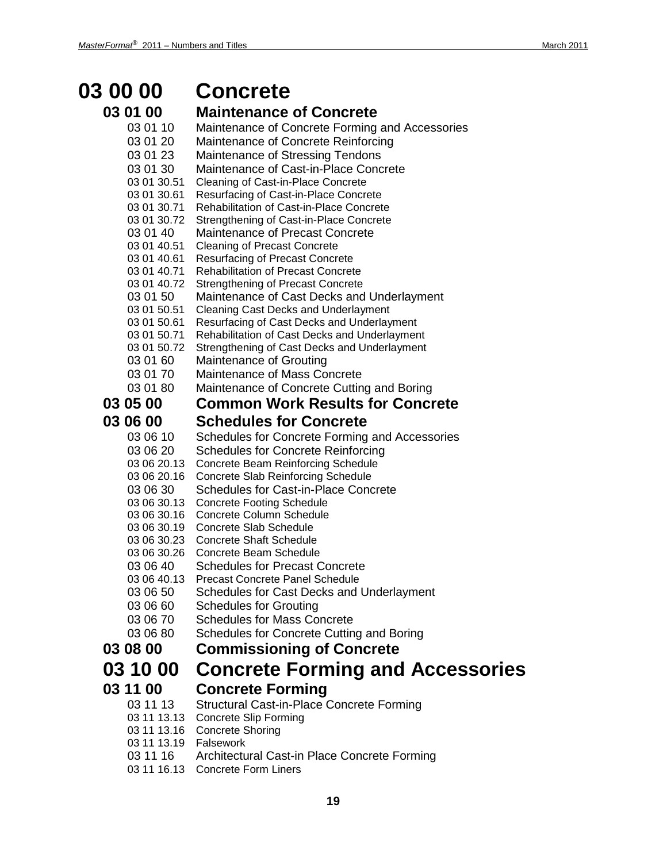# **03 00 00 Concrete**

### **03 01 00 Maintenance of Concrete**

| 03 01 10                   | Maintenance of Concrete Forming and Accessories                             |
|----------------------------|-----------------------------------------------------------------------------|
| 03 01 20                   | Maintenance of Concrete Reinforcing                                         |
| 03 01 23                   | Maintenance of Stressing Tendons                                            |
| 03 01 30                   | Maintenance of Cast-in-Place Concrete                                       |
| 03 01 30.51                | Cleaning of Cast-in-Place Concrete                                          |
| 03 01 30.61                | Resurfacing of Cast-in-Place Concrete                                       |
| 03 01 30.71                | Rehabilitation of Cast-in-Place Concrete                                    |
| 03 01 30.72                | Strengthening of Cast-in-Place Concrete                                     |
| 03 01 40                   | Maintenance of Precast Concrete<br><b>Cleaning of Precast Concrete</b>      |
| 03 01 40.51<br>03 01 40.61 | <b>Resurfacing of Precast Concrete</b>                                      |
| 03 01 40.71                | <b>Rehabilitation of Precast Concrete</b>                                   |
| 03 01 40.72                | <b>Strengthening of Precast Concrete</b>                                    |
| 03 01 50                   | Maintenance of Cast Decks and Underlayment                                  |
| 03 01 50.51                | <b>Cleaning Cast Decks and Underlayment</b>                                 |
| 03 01 50.61                | Resurfacing of Cast Decks and Underlayment                                  |
| 03 01 50.71                | Rehabilitation of Cast Decks and Underlayment                               |
| 03 01 50.72                | Strengthening of Cast Decks and Underlayment                                |
| 03 01 60                   | Maintenance of Grouting                                                     |
| 03 01 70                   | Maintenance of Mass Concrete                                                |
| 03 01 80                   | Maintenance of Concrete Cutting and Boring                                  |
| <b>03 05 00</b>            | <b>Common Work Results for Concrete</b>                                     |
| <b>03 06 00</b>            | <b>Schedules for Concrete</b>                                               |
| 03 06 10                   | Schedules for Concrete Forming and Accessories                              |
| 03 06 20                   | <b>Schedules for Concrete Reinforcing</b>                                   |
| 03 06 20.13                | <b>Concrete Beam Reinforcing Schedule</b>                                   |
| 03 06 20.16                | <b>Concrete Slab Reinforcing Schedule</b>                                   |
| 03 06 30                   | <b>Schedules for Cast-in-Place Concrete</b>                                 |
| 03 06 30.13                | <b>Concrete Footing Schedule</b>                                            |
| 03 06 30.16                | <b>Concrete Column Schedule</b>                                             |
| 03 06 30.19<br>03 06 30.23 | <b>Concrete Slab Schedule</b><br><b>Concrete Shaft Schedule</b>             |
| 03 06 30.26                | Concrete Beam Schedule                                                      |
| 03 06 40                   | <b>Schedules for Precast Concrete</b>                                       |
| 03 06 40.13                | <b>Precast Concrete Panel Schedule</b>                                      |
| 03 06 50                   | Schedules for Cast Decks and Underlayment                                   |
| 03 06 60                   | <b>Schedules for Grouting</b>                                               |
| 03 06 70                   | <b>Schedules for Mass Concrete</b>                                          |
| 03 06 80                   | Schedules for Concrete Cutting and Boring                                   |
| <b>03 08 00</b>            | <b>Commissioning of Concrete</b>                                            |
| 03 10 00                   |                                                                             |
|                            | <b>Concrete Forming and Accessories</b>                                     |
| 03 11 00                   | <b>Concrete Forming</b>                                                     |
| 03 11 13                   | Structural Cast-in-Place Concrete Forming                                   |
| 03 11 13.13                | <b>Concrete Slip Forming</b>                                                |
| 03 11 13.16                | <b>Concrete Shoring</b>                                                     |
| 03 11 13.19                | Falsework                                                                   |
| 03 11 16                   | Architectural Cast-in Place Concrete Forming<br><b>Concrete Form Liners</b> |
| 03 11 16.13                |                                                                             |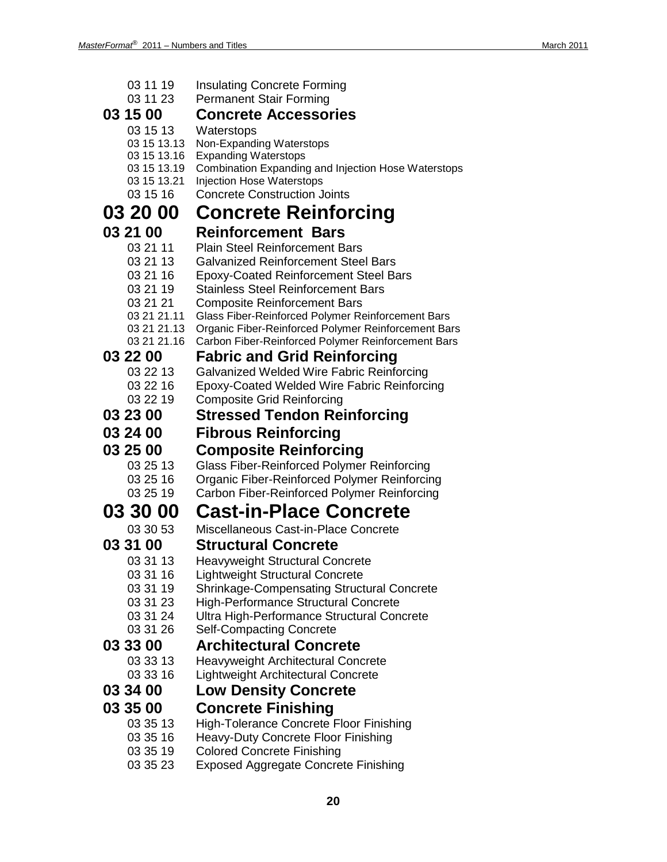| 03 11 19<br>03 11 23       | <b>Insulating Concrete Forming</b><br><b>Permanent Stair Forming</b>                           |
|----------------------------|------------------------------------------------------------------------------------------------|
| 03 15 00                   | <b>Concrete Accessories</b>                                                                    |
| 03 15 13                   | Waterstops                                                                                     |
| 03 15 13.13                | Non-Expanding Waterstops                                                                       |
| 03 15 13.16                | <b>Expanding Waterstops</b>                                                                    |
| 03 15 13.19<br>03 15 13.21 | <b>Combination Expanding and Injection Hose Waterstops</b><br><b>Injection Hose Waterstops</b> |
| 03 15 16                   | <b>Concrete Construction Joints</b>                                                            |
| 03 20 00                   | <b>Concrete Reinforcing</b>                                                                    |
| 03 21 00                   | <b>Reinforcement Bars</b>                                                                      |
| 03 21 11                   | <b>Plain Steel Reinforcement Bars</b>                                                          |
| 03 21 13                   | <b>Galvanized Reinforcement Steel Bars</b>                                                     |
| 03 21 16                   | <b>Epoxy-Coated Reinforcement Steel Bars</b>                                                   |
| 03 21 19<br>03 21 21       | <b>Stainless Steel Reinforcement Bars</b>                                                      |
| 03 21 21.11                | <b>Composite Reinforcement Bars</b><br>Glass Fiber-Reinforced Polymer Reinforcement Bars       |
| 03 21 21.13                | Organic Fiber-Reinforced Polymer Reinforcement Bars                                            |
| 03 21 21.16                | Carbon Fiber-Reinforced Polymer Reinforcement Bars                                             |
| 03 22 00                   | <b>Fabric and Grid Reinforcing</b>                                                             |
| 03 22 13                   | Galvanized Welded Wire Fabric Reinforcing                                                      |
| 03 22 16<br>03 22 19       | <b>Epoxy-Coated Welded Wire Fabric Reinforcing</b><br><b>Composite Grid Reinforcing</b>        |
| 03 23 00                   | <b>Stressed Tendon Reinforcing</b>                                                             |
|                            |                                                                                                |
|                            |                                                                                                |
| 03 24 00                   | <b>Fibrous Reinforcing</b>                                                                     |
| 03 25 00                   | <b>Composite Reinforcing</b>                                                                   |
| 03 25 13                   | <b>Glass Fiber-Reinforced Polymer Reinforcing</b>                                              |
| 03 25 16<br>03 25 19       | <b>Organic Fiber-Reinforced Polymer Reinforcing</b>                                            |
| 03 30 00                   | Carbon Fiber-Reinforced Polymer Reinforcing<br><b>Cast-in-Place Concrete</b>                   |
| 03 30 53                   | Miscellaneous Cast-in-Place Concrete                                                           |
| 03 31 00                   | <b>Structural Concrete</b>                                                                     |
| 03 31 13                   | <b>Heavyweight Structural Concrete</b>                                                         |
| 03 31 16                   | <b>Lightweight Structural Concrete</b>                                                         |
| 03 31 19                   | <b>Shrinkage-Compensating Structural Concrete</b>                                              |
| 03 31 23                   | <b>High-Performance Structural Concrete</b>                                                    |
| 03 31 24<br>03 31 26       | Ultra High-Performance Structural Concrete                                                     |
| 03 33 00                   | <b>Self-Compacting Concrete</b><br><b>Architectural Concrete</b>                               |
| 03 33 13                   | Heavyweight Architectural Concrete                                                             |
| 03 33 16                   | Lightweight Architectural Concrete                                                             |
| 03 34 00                   | <b>Low Density Concrete</b>                                                                    |
| 03 35 00                   | <b>Concrete Finishing</b>                                                                      |
| 03 35 13                   | <b>High-Tolerance Concrete Floor Finishing</b>                                                 |
| 03 35 16                   | <b>Heavy-Duty Concrete Floor Finishing</b>                                                     |
| 03 35 19<br>03 35 23       | <b>Colored Concrete Finishing</b><br><b>Exposed Aggregate Concrete Finishing</b>               |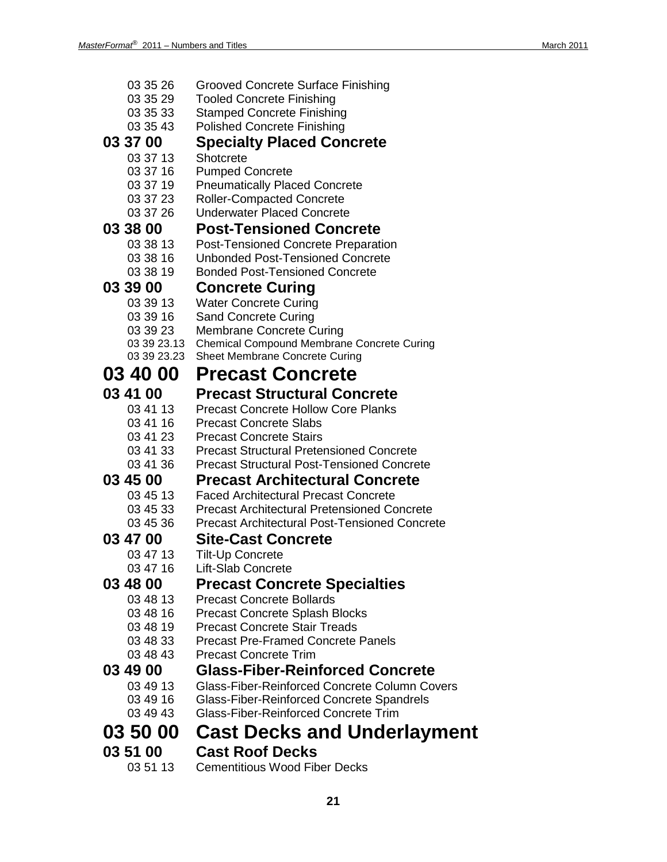| 03 35 26 | <b>Grooved Concrete Surface Finishing</b> |
|----------|-------------------------------------------|
|          |                                           |

- 03 35 29 Tooled Concrete Finishing
- 03 35 33 Stamped Concrete Finishing
- 03 35 43 Polished Concrete Finishing
- **03 37 00 Specialty Placed Concrete**
	- 03 37 13 Shotcrete<br>03 37 16 Pumped 0
		- Pumped Concrete
		- 03 37 19 Pneumatically Placed Concrete
		- 03 37 23 Roller-Compacted Concrete
	- 03 37 26 Underwater Placed Concrete

### **03 38 00 Post-Tensioned Concrete**<br>03 38 13 Post-Tensioned Concrete Preparat

- Post-Tensioned Concrete Preparation
- 03 38 16 Unbonded Post-Tensioned Concrete
- 03 38 19 Bonded Post-Tensioned Concrete

#### **03 39 00 Concrete Curing**

- 03 39 13 Water Concrete Curing
- 03 39 16 Sand Concrete Curing
- 
- 03 39 23 Membrane Concrete Curing<br>03 39 23.13 Chemical Compound Membrar
- 03 39 23.13 Chemical Compound Membrane Concrete Curing<br>03 39 23.23 Sheet Membrane Concrete Curing Sheet Membrane Concrete Curing

### **03 40 00 Precast Concrete**

### **03 41 00 Precast Structural Concrete**

- Precast Concrete Hollow Core Planks
- 03 41 16 Precast Concrete Slabs<br>03 41 23 Precast Concrete Stairs
- 03 41 23 Precast Concrete Stairs<br>03 41 33 Precast Structural Prete
- 03 41 33 Precast Structural Pretensioned Concrete
- 03 41 36 Precast Structural Post-Tensioned Concrete

#### **03 45 00 Precast Architectural Concrete**

- 
- 03 45 13 Faced Architectural Precast Concrete<br>03 45 33 Precast Architectural Pretensioned Co 03 45 33 Precast Architectural Pretensioned Concrete
- 03 45 36 Precast Architectural Post-Tensioned Concrete

### **03 47 00 Site-Cast Concrete**

- 03 47 13 Tilt-Up Concrete<br>03 47 16 Lift-Slab Concret
	- Lift-Slab Concrete

### **03 48 00 Precast Concrete Specialties**

- 03 48 13 Precast Concrete Bollards
- 03 48 16 Precast Concrete Splash Blocks
- 03 48 19 Precast Concrete Stair Treads
- 03 48 33 Precast Pre-Framed Concrete Panels
- 03 48 43 Precast Concrete Trim

#### **03 49 00 Glass-Fiber-Reinforced Concrete**

- 03 49 13 Glass-Fiber-Reinforced Concrete Column Covers<br>03 49 16 Glass-Fiber-Reinforced Concrete Spandrels
- Glass-Fiber-Reinforced Concrete Spandrels
- 03 49 43 Glass-Fiber-Reinforced Concrete Trim

## **03 50 00 Cast Decks and Underlayment**

**03 51 00 Cast Roof Decks Cementitious Wood Fiber Decks**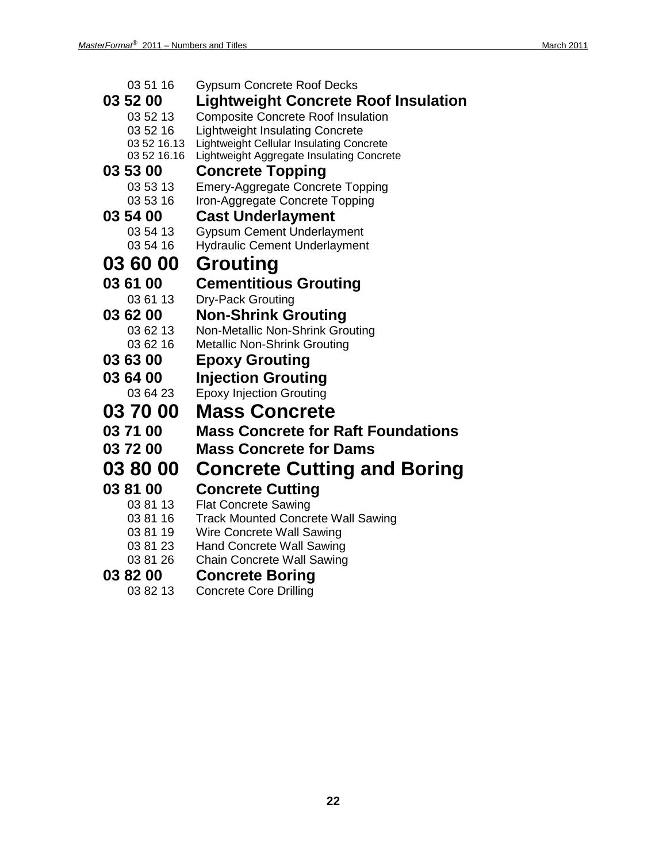| 03 51 16    | <b>Gypsum Concrete Roof Decks</b>               |
|-------------|-------------------------------------------------|
| 03 52 00    | Lightweight Concrete Roof Insulation            |
| 03 52 13    | <b>Composite Concrete Roof Insulation</b>       |
| 03 52 16    | <b>Lightweight Insulating Concrete</b>          |
| 03 52 16.13 | <b>Lightweight Cellular Insulating Concrete</b> |
| 03 52 16.16 | Lightweight Aggregate Insulating Concrete       |
| 03 53 00    | <b>Concrete Topping</b>                         |
| 03 53 13    | <b>Emery-Aggregate Concrete Topping</b>         |
| 03 53 16    | Iron-Aggregate Concrete Topping                 |
| 03 54 00    | <b>Cast Underlayment</b>                        |
| 03 54 13    | <b>Gypsum Cement Underlayment</b>               |
| 03 54 16    | <b>Hydraulic Cement Underlayment</b>            |
| 03 60 00    | <b>Grouting</b>                                 |
| 03 61 00    | <b>Cementitious Grouting</b>                    |
| 03 61 13    | Dry-Pack Grouting                               |
| 03 62 00    | <b>Non-Shrink Grouting</b>                      |
| 03 62 13    | Non-Metallic Non-Shrink Grouting                |
| 03 62 16    | <b>Metallic Non-Shrink Grouting</b>             |
| 03 63 00    | <b>Epoxy Grouting</b>                           |
| 03 64 00    | <b>Injection Grouting</b>                       |
| 03 64 23    | <b>Epoxy Injection Grouting</b>                 |
| 03 70 00    | <b>Mass Concrete</b>                            |
| 03 71 00    | <b>Mass Concrete for Raft Foundations</b>       |
| 03 72 00    | <b>Mass Concrete for Dams</b>                   |
| 03 80 00    | <b>Concrete Cutting and Boring</b>              |
| 03 81 00    | <b>Concrete Cutting</b>                         |
| 03 81 13    | <b>Flat Concrete Sawing</b>                     |
| 03 81 16    | <b>Track Mounted Concrete Wall Sawing</b>       |
| 03 81 19    | Wire Concrete Wall Sawing                       |
| 03 81 23    | <b>Hand Concrete Wall Sawing</b>                |
| 03 81 26    | <b>Chain Concrete Wall Sawing</b>               |
| 03 82 00    | <b>Concrete Boring</b>                          |
|             |                                                 |

03 82 13 Concrete Core Drilling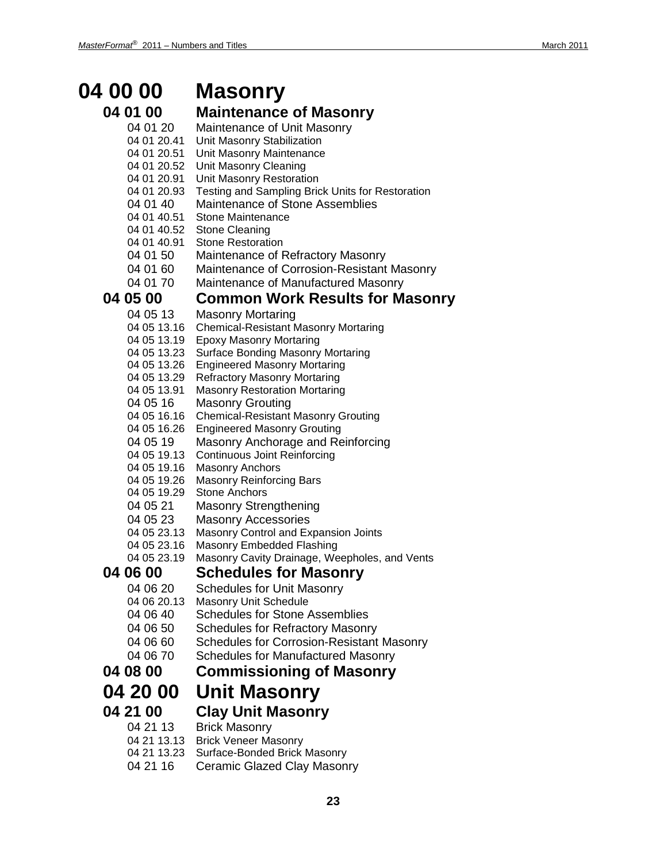### **04 00 00 Masonry**

#### **04 01 00 Maintenance of Masonry**

04 01 20 Maintenance of Unit Masonry 04 01 20.41 Unit Masonry Stabilization 04 01 20.51 Unit Masonry Maintenance 04 01 20.52 Unit Masonry Cleaning<br>04 01 20.91 Unit Masonry Restorati **Unit Masonry Restoration** 04 01 20.93 Testing and Sampling Brick Units for Restoration 04 01 40 Maintenance of Stone Assemblies 04 01 40.51 Stone Maintenance 04 01 40.52 Stone Cleaning 04 01 40.91 Stone Restoration 04 01 50 Maintenance of Refractory Masonry 04 01 60 Maintenance of Corrosion-Resistant Masonry 04 01 70 Maintenance of Manufactured Masonry **04 05 00 Common Work Results for Masonry** 04 05 13 Masonry Mortaring 04 05 13.16 Chemical-Resistant Masonry Mortaring 04 05 13.19 Epoxy Masonry Mortaring 04 05 13.23 Surface Bonding Masonry Mortaring 04 05 13.26 Engineered Masonry Mortaring 04 05 13.29 Refractory Masonry Mortaring 04 05 13.91 Masonry Restoration Mortaring 04 05 16 Masonry Grouting 04 05 16.16 Chemical-Resistant Masonry Grouting 04 05 16.26 Engineered Masonry Grouting 04 05 19 Masonry Anchorage and Reinforcing 04 05 19.13 Continuous Joint Reinforcing 04 05 19.16 Masonry Anchors 04 05 19.26 Masonry Reinforcing Bars 04 05 19.29 Stone Anchors 04 05 21 Masonry Strengthening 04 05 23 Masonry Accessories 04 05 23.13 Masonry Control and Expansion Joints<br>04 05 23.16 Masonry Embedded Flashing Masonry Embedded Flashing 04 05 23.19 Masonry Cavity Drainage, Weepholes, and Vents **04 06 00 Schedules for Masonry** Schedules for Unit Masonry 04 06 20.13 Masonry Unit Schedule 04 06 40 Schedules for Stone Assemblies 04 06 50 Schedules for Refractory Masonry 04 06 60 Schedules for Corrosion-Resistant Masonry 04 06 70 Schedules for Manufactured Masonry **04 08 00 Commissioning of Masonry 04 20 00 Unit Masonry**

### **04 21 00 Clay Unit Masonry**

04 21 13 Brick Masonry 04 21 13.13 Brick Veneer Masonry 04 21 13.23 Surface-Bonded Brick Masonry 04 21 16 Ceramic Glazed Clay Masonry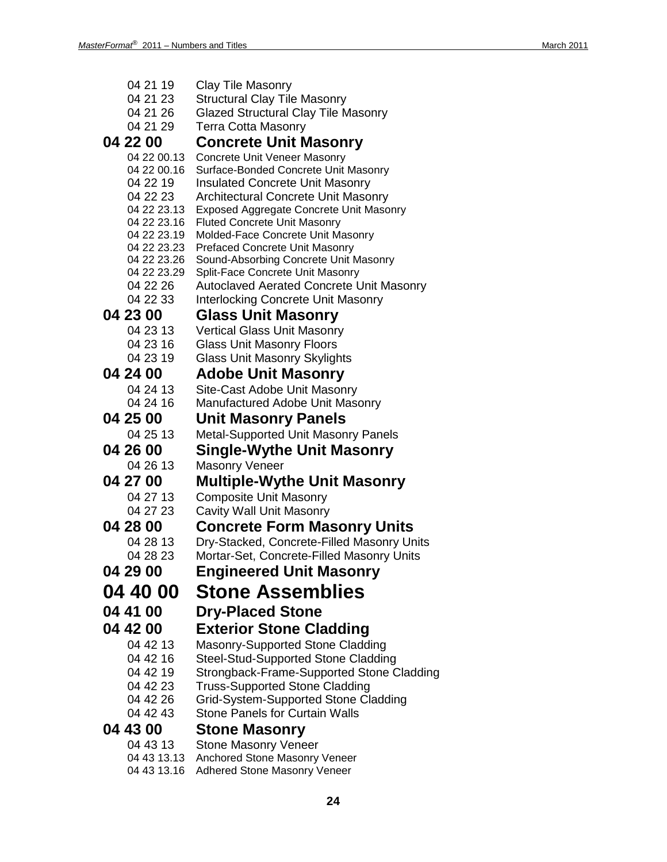| 04 21 19                   | <b>Clay Tile Masonry</b>                                                  |
|----------------------------|---------------------------------------------------------------------------|
| 04 21 23                   | <b>Structural Clay Tile Masonry</b>                                       |
| 04 21 26                   | Glazed Structural Clay Tile Masonry                                       |
| 04 21 29                   | <b>Terra Cotta Masonry</b>                                                |
| 04 22 00                   | <b>Concrete Unit Masonry</b>                                              |
| 04 22 00.13                | <b>Concrete Unit Veneer Masonry</b>                                       |
| 04 22 00.16                | Surface-Bonded Concrete Unit Masonry                                      |
| 04 22 19                   | <b>Insulated Concrete Unit Masonry</b>                                    |
| 04 22 23                   | <b>Architectural Concrete Unit Masonry</b>                                |
| 04 22 23.13                | <b>Exposed Aggregate Concrete Unit Masonry</b>                            |
| 04 22 23.16                | <b>Fluted Concrete Unit Masonry</b>                                       |
| 04 22 23.19                | Molded-Face Concrete Unit Masonry                                         |
| 04 22 23.23                | <b>Prefaced Concrete Unit Masonry</b>                                     |
| 04 22 23.26<br>04 22 23.29 | Sound-Absorbing Concrete Unit Masonry<br>Split-Face Concrete Unit Masonry |
| 04 22 26                   | <b>Autoclaved Aerated Concrete Unit Masonry</b>                           |
| 04 22 33                   | <b>Interlocking Concrete Unit Masonry</b>                                 |
| 04 23 00                   | <b>Glass Unit Masonry</b>                                                 |
|                            |                                                                           |
| 04 23 13                   | <b>Vertical Glass Unit Masonry</b>                                        |
| 04 23 16<br>04 23 19       | <b>Glass Unit Masonry Floors</b>                                          |
|                            | Glass Unit Masonry Skylights                                              |
| 04 24 00                   | <b>Adobe Unit Masonry</b>                                                 |
| 04 24 13                   | Site-Cast Adobe Unit Masonry                                              |
| 04 24 16                   | Manufactured Adobe Unit Masonry                                           |
| 04 25 00                   | <b>Unit Masonry Panels</b>                                                |
| 04 25 13                   | <b>Metal-Supported Unit Masonry Panels</b>                                |
| 04 26 00                   | <b>Single-Wythe Unit Masonry</b>                                          |
| 04 26 13                   | <b>Masonry Veneer</b>                                                     |
| 04 27 00                   | Multiple-Wythe Unit Masonry                                               |
| 04 27 13                   | <b>Composite Unit Masonry</b>                                             |
| 04 27 23                   | Cavity Wall Unit Masonry                                                  |
| 04 28 00                   | <b>Concrete Form Masonry Units</b>                                        |
| 04 28 13                   | Dry-Stacked, Concrete-Filled Masonry Units                                |
| 04 28 23                   | Mortar-Set, Concrete-Filled Masonry Units                                 |
| 04 29 00                   | <b>Engineered Unit Masonry</b>                                            |
|                            |                                                                           |
| <b>04 40 00</b>            | <b>Stone Assemblies</b>                                                   |
| 04 41 00                   | <b>Dry-Placed Stone</b>                                                   |
| 04 42 00                   | <b>Exterior Stone Cladding</b>                                            |
| 04 42 13                   | <b>Masonry-Supported Stone Cladding</b>                                   |
| 04 42 16                   | <b>Steel-Stud-Supported Stone Cladding</b>                                |
| 04 42 19                   | Strongback-Frame-Supported Stone Cladding                                 |
| 04 42 23                   | <b>Truss-Supported Stone Cladding</b>                                     |
| 04 42 26                   | Grid-System-Supported Stone Cladding                                      |
| 04 42 43                   | <b>Stone Panels for Curtain Walls</b>                                     |
| 04 43 00                   | <b>Stone Masonry</b>                                                      |
| 04 43 13                   | <b>Stone Masonry Veneer</b>                                               |
| 0.1, 10, 10, 10            | arad Ctana Mooonmullange                                                  |

- 04 43 13.13 Anchored Stone Masonry Veneer
- 04 43 13.16 Adhered Stone Masonry Veneer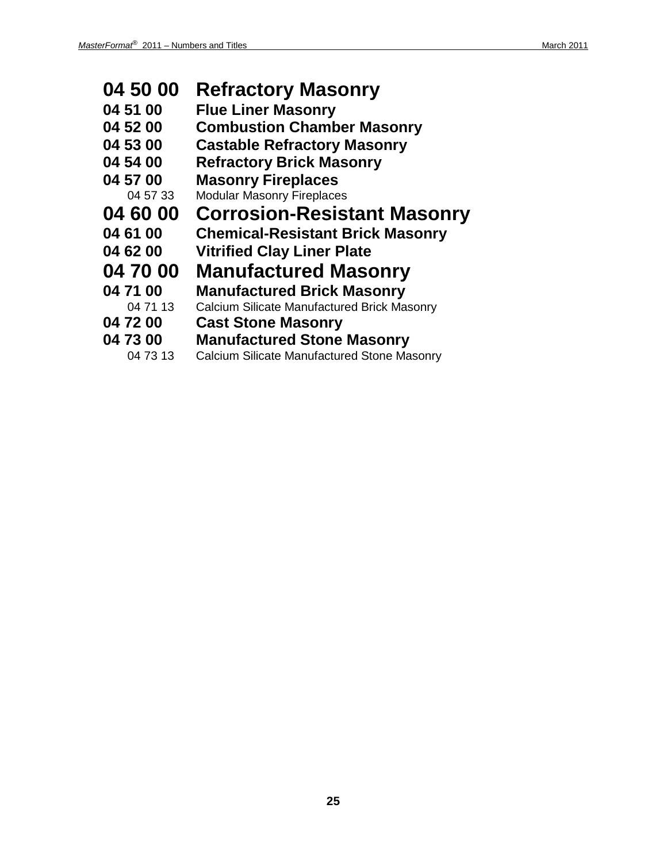| 04 50 00 | <b>Refractory Masonry</b>                          |
|----------|----------------------------------------------------|
| 04 51 00 | <b>Flue Liner Masonry</b>                          |
| 04 52 00 | <b>Combustion Chamber Masonry</b>                  |
| 04 53 00 | <b>Castable Refractory Masonry</b>                 |
| 04 54 00 | <b>Refractory Brick Masonry</b>                    |
| 04 57 00 | <b>Masonry Fireplaces</b>                          |
| 04 57 33 | <b>Modular Masonry Fireplaces</b>                  |
| 04 60 00 | <b>Corrosion-Resistant Masonry</b>                 |
|          |                                                    |
| 04 61 00 | <b>Chemical-Resistant Brick Masonry</b>            |
| 04 62 00 | <b>Vitrified Clay Liner Plate</b>                  |
| 04 70 00 | <b>Manufactured Masonry</b>                        |
| 04 71 00 | <b>Manufactured Brick Masonry</b>                  |
| 04 71 13 | <b>Calcium Silicate Manufactured Brick Masonry</b> |
| 04 72 00 | <b>Cast Stone Masonry</b>                          |
| 04 73 00 | <b>Manufactured Stone Masonry</b>                  |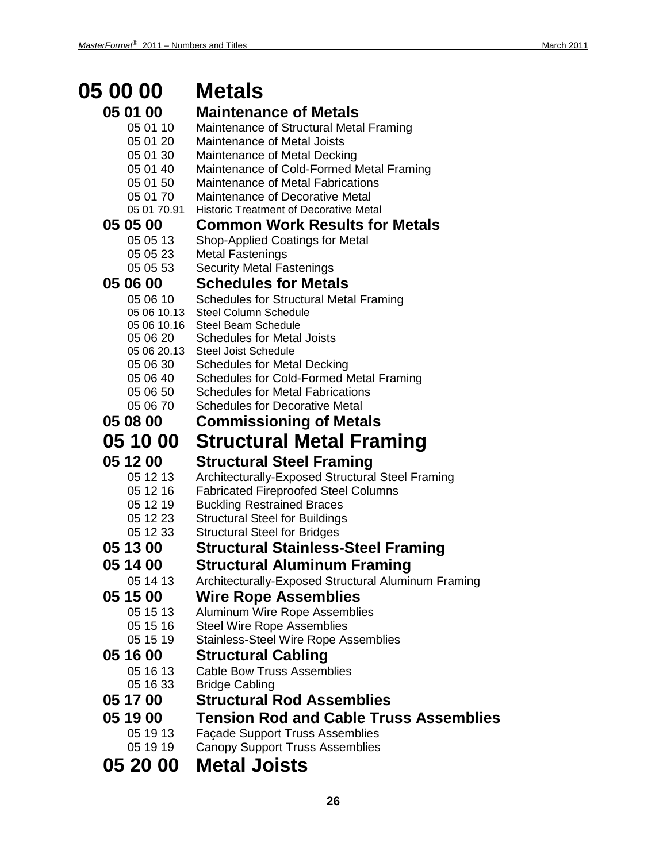#### **05 00 00 Metals 05 01 00 Maintenance of Metals**<br>05 01 10 Maintenance of Structural Meta Maintenance of Structural Metal Framing 05 01 20 Maintenance of Metal Joists 05 01 30 Maintenance of Metal Decking 05 01 40 Maintenance of Cold-Formed Metal Framing 05 01 50 Maintenance of Metal Fabrications 05 01 70 Maintenance of Decorative Metal 05 01 70.91 Historic Treatment of Decorative Metal **05 05 00 Common Work Results for Metals** 05 05 13 Shop-Applied Coatings for Metal 05 05 23 Metal Fastenings 05 05 53 Security Metal Fastenings **05 06 00 Schedules for Metals** 05 06 10 Schedules for Structural Metal Framing 05 06 10.13 Steel Column Schedule 05 06 10.16 Steel Beam Schedule 05 06 20 Schedules for Metal Joists 05 06 20.13 Steel Joist Schedule 05 06 30 Schedules for Metal Decking<br>05 06 40 Schedules for Cold-Formed N Schedules for Cold-Formed Metal Framing 05 06 50 Schedules for Metal Fabrications 05 06 70 Schedules for Decorative Metal **05 08 00 Commissioning of Metals 05 10 00 Structural Metal Framing 05 12 00 Structural Steel Framing** 05 12 13 Architecturally-Exposed Structural Steel Framing<br>05 12 16 Fabricated Fireproofed Steel Columns **Fabricated Fireproofed Steel Columns** 05 12 19 Buckling Restrained Braces 05 12 23 Structural Steel for Buildings 05 12 33 Structural Steel for Bridges **05 13 00 Structural Stainless-Steel Framing 05 14 00 Structural Aluminum Framing** Architecturally-Exposed Structural Aluminum Framing **05 15 00 Wire Rope Assemblies** Aluminum Wire Rope Assemblies 05 15 16 Steel Wire Rope Assemblies 05 15 19 Stainless-Steel Wire Rope Assemblies **05 16 00 Structural Cabling**<br>
05 16 13 Cable Bow Truss Assemb Cable Bow Truss Assemblies 05 16 33 Bridge Cabling **05 17 00 Structural Rod Assemblies 05 19 00 Tension Rod and Cable Truss Assemblies** 05 19 13 Façade Support Truss Assemblies 05 19 19 Canopy Support Truss Assemblies

**05 20 00 Metal Joists**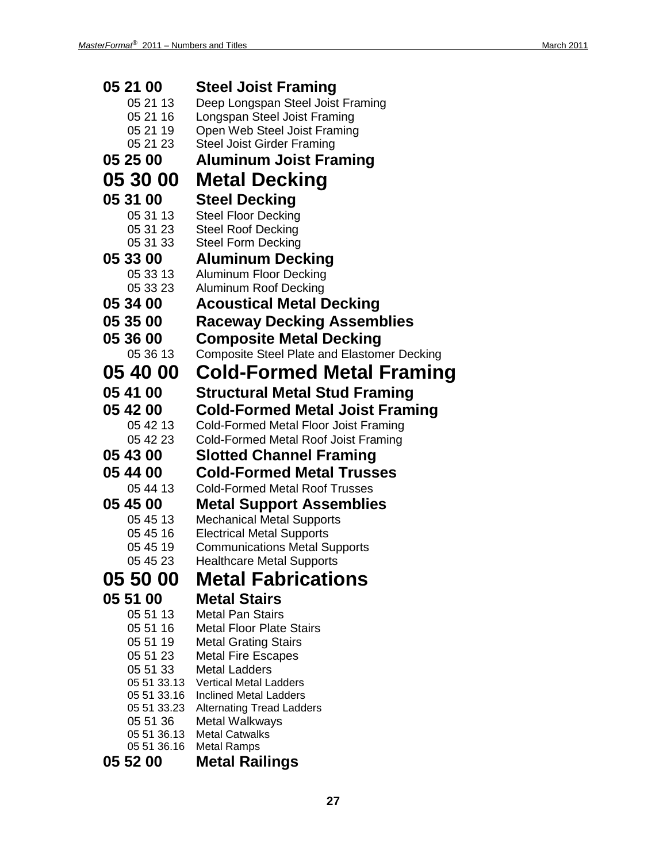| 05 21 00                | <b>Steel Joist Framing</b>                         |
|-------------------------|----------------------------------------------------|
| 05 21 13                | Deep Longspan Steel Joist Framing                  |
| 05 21 16                | Longspan Steel Joist Framing                       |
| 05 21 19                | Open Web Steel Joist Framing                       |
| 05 21 23                | <b>Steel Joist Girder Framing</b>                  |
| 05 25 00                | <b>Aluminum Joist Framing</b>                      |
| 05 30 00                | <b>Metal Decking</b>                               |
| 05 31 00                | <b>Steel Decking</b>                               |
| 05 31 13                | <b>Steel Floor Decking</b>                         |
| 05 31 23                | <b>Steel Roof Decking</b>                          |
| 05 31 33                | <b>Steel Form Decking</b>                          |
| 05 33 00                | <b>Aluminum Decking</b>                            |
| 05 33 13                | <b>Aluminum Floor Decking</b>                      |
| 05 33 23                | Aluminum Roof Decking                              |
| 05 34 00                | <b>Acoustical Metal Decking</b>                    |
| 05 35 00                | <b>Raceway Decking Assemblies</b>                  |
| 05 36 00                | <b>Composite Metal Decking</b>                     |
| 05 36 13                | <b>Composite Steel Plate and Elastomer Decking</b> |
| 05 40 00                | <b>Cold-Formed Metal Framing</b>                   |
| 05 41 00                | <b>Structural Metal Stud Framing</b>               |
| 05 42 00                | <b>Cold-Formed Metal Joist Framing</b>             |
| 05 42 13                | Cold-Formed Metal Floor Joist Framing              |
| 05 42 23                | Cold-Formed Metal Roof Joist Framing               |
| 05 43 00                | <b>Slotted Channel Framing</b>                     |
| 05 44 00                | <b>Cold-Formed Metal Trusses</b>                   |
| 05 44 13                | <b>Cold-Formed Metal Roof Trusses</b>              |
| 05 45 00                | <b>Metal Support Assemblies</b>                    |
| 05 45 13                | <b>Mechanical Metal Supports</b>                   |
| 05 45 16                | <b>Electrical Metal Supports</b>                   |
| 05 45 19                | <b>Communications Metal Supports</b>               |
| 05 45 23                | <b>Healthcare Metal Supports</b>                   |
| 05 50 00                | <b>Metal Fabrications</b>                          |
| 05 51 00                | <b>Metal Stairs</b>                                |
| 05 51 13                | <b>Metal Pan Stairs</b>                            |
| 05 51 16                | <b>Metal Floor Plate Stairs</b>                    |
| 05 51 19                | <b>Metal Grating Stairs</b>                        |
| 05 51 23                | <b>Metal Fire Escapes</b>                          |
| 05 51 33                | <b>Metal Ladders</b>                               |
| 05 51 33.13             | <b>Vertical Metal Ladders</b>                      |
| 05 51 33.16             | <b>Inclined Metal Ladders</b>                      |
| 05 51 33.23<br>05 51 36 | <b>Alternating Tread Ladders</b><br>Metal Walkways |
| 05 51 36.13             | <b>Metal Catwalks</b>                              |
| 05 51 36.16             | <b>Metal Ramps</b>                                 |

### **05 52 00 Metal Railings**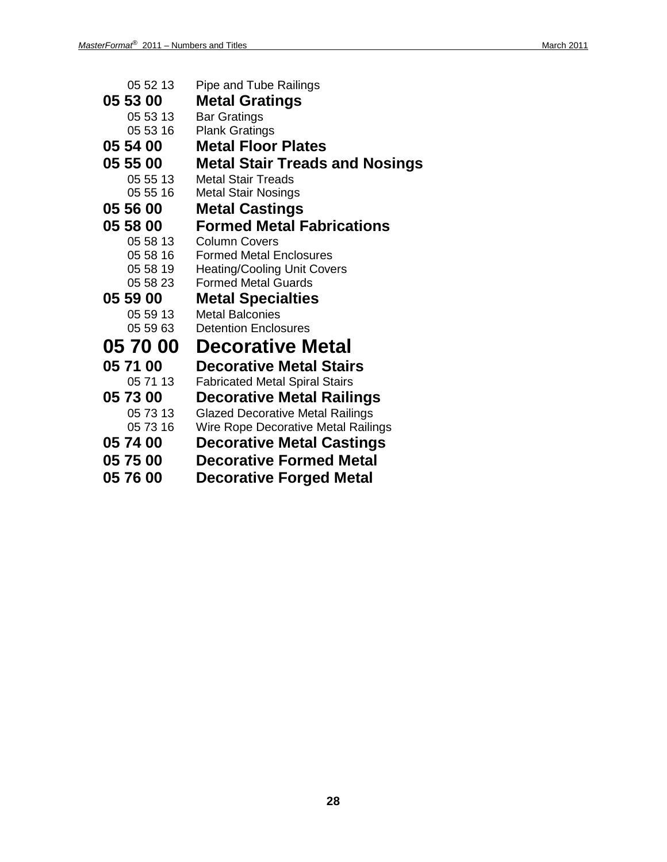| 05 52 13        | <b>Pipe and Tube Railings</b>           |
|-----------------|-----------------------------------------|
| 05 53 00        | <b>Metal Gratings</b>                   |
| 05 53 13        | <b>Bar Gratings</b>                     |
| 05 53 16        | <b>Plank Gratings</b>                   |
| 05 54 00        | <b>Metal Floor Plates</b>               |
| 05 55 00        | <b>Metal Stair Treads and Nosings</b>   |
| 05 55 13        | <b>Metal Stair Treads</b>               |
| 05 55 16        | <b>Metal Stair Nosings</b>              |
| 05 56 00        | <b>Metal Castings</b>                   |
| 05 58 00        | <b>Formed Metal Fabrications</b>        |
| 05 58 13        | <b>Column Covers</b>                    |
| 05 58 16        | <b>Formed Metal Enclosures</b>          |
| 05 58 19        | <b>Heating/Cooling Unit Covers</b>      |
| 05 58 23        | <b>Formed Metal Guards</b>              |
| 05 59 00        | <b>Metal Specialties</b>                |
| 05 59 13        | <b>Metal Balconies</b>                  |
| 05 59 63        | <b>Detention Enclosures</b>             |
| <b>05 70 00</b> | <b>Decorative Metal</b>                 |
| 05 71 00        | <b>Decorative Metal Stairs</b>          |
| 05 71 13        | <b>Fabricated Metal Spiral Stairs</b>   |
| 05 73 00        | <b>Decorative Metal Railings</b>        |
| 05 73 13        | <b>Glazed Decorative Metal Railings</b> |
| 05 73 16        | Wire Rope Decorative Metal Railings     |
| 05 74 00        | <b>Decorative Metal Castings</b>        |
| 05 75 00        | <b>Decorative Formed Metal</b>          |
| <b>05 76 00</b> | <b>Decorative Forged Metal</b>          |
|                 |                                         |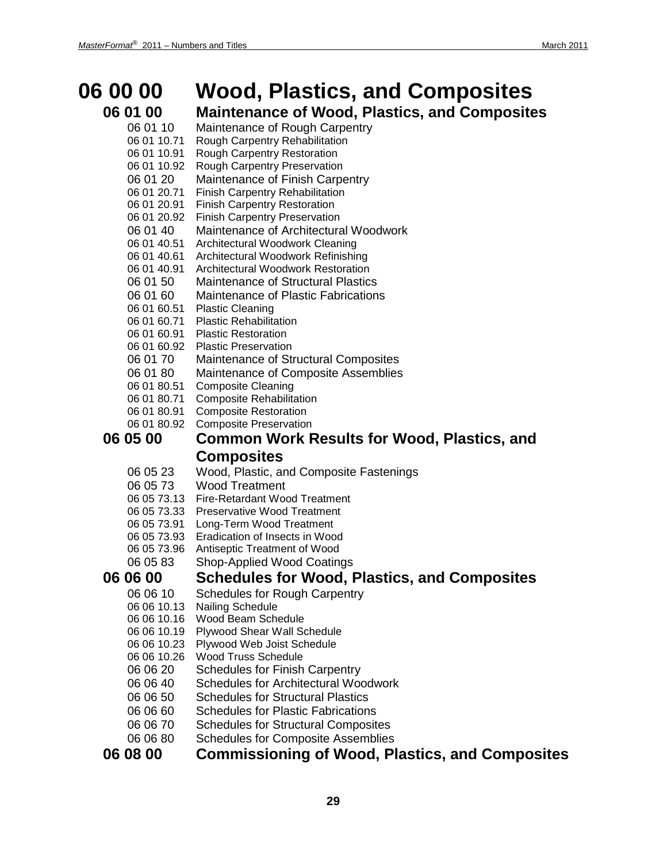### **06 00 00 Wood, Plastics, and Composites**

## **06 01 00 Maintenance of Wood, Plastics, and Composites**

- Maintenance of Rough Carpentry
- 06 01 10.71 Rough Carpentry Rehabilitation
- 06 01 10.91 Rough Carpentry Restoration
- 06 01 10.92 Rough Carpentry Preservation
- 06 01 20 Maintenance of Finish Carpentry
- 06 01 20.71 Finish Carpentry Rehabilitation
- 06 01 20.91 Finish Carpentry Restoration 06 01 20.92 Finish Carpentry Preservation
- 06 01 40 Maintenance of Architectural Woodwork
- 06 01 40.51 Architectural Woodwork Cleaning
- 06 01 40.61 Architectural Woodwork Refinishing
- 06 01 40.91 Architectural Woodwork Restoration
- 06 01 50 Maintenance of Structural Plastics
- 06 01 60 Maintenance of Plastic Fabrications
- 06 01 60.51 Plastic Cleaning
- 06 01 60.71 Plastic Rehabilitation
- 06 01 60.91 Plastic Restoration
- 06 01 60.92 Plastic Preservation
- 06 01 70 Maintenance of Structural Composites
- 06 01 80 Maintenance of Composite Assemblies
- 06 01 80.51 Composite Cleaning
- 06 01 80.71 Composite Rehabilitation
- 06 01 80.91 Composite Restoration
- 06 01 80.92 Composite Preservation

#### **06 05 00 Common Work Results for Wood, Plastics, and Composites**

- 06 05 23 Wood, Plastic, and Composite Fastenings
- 06 05 73 Wood Treatment
- 06 05 73.13 Fire-Retardant Wood Treatment
- 06 05 73.33 Preservative Wood Treatment
- 06 05 73.91 Long-Term Wood Treatment
- 06 05 73.93 Eradication of Insects in Wood
- 06 05 73.96 Antiseptic Treatment of Wood
- 06 05 83 Shop-Applied Wood Coatings

## **06 06 00 Schedules for Wood, Plastics, and Composites**

- Schedules for Rough Carpentry
- 06 06 10.13 Nailing Schedule
- 06 06 10.16 Wood Beam Schedule
- 06 06 10.19 Plywood Shear Wall Schedule
- 06 06 10.23 Plywood Web Joist Schedule
- 06 06 10.26 Wood Truss Schedule
- 06 06 20 Schedules for Finish Carpentry
- 06 06 40 Schedules for Architectural Woodwork
- 06 06 50 Schedules for Structural Plastics
- 06 06 60 Schedules for Plastic Fabrications
- 06 06 70 Schedules for Structural Composites
- 06 06 80 Schedules for Composite Assemblies

### **06 08 00 Commissioning of Wood, Plastics, and Composites**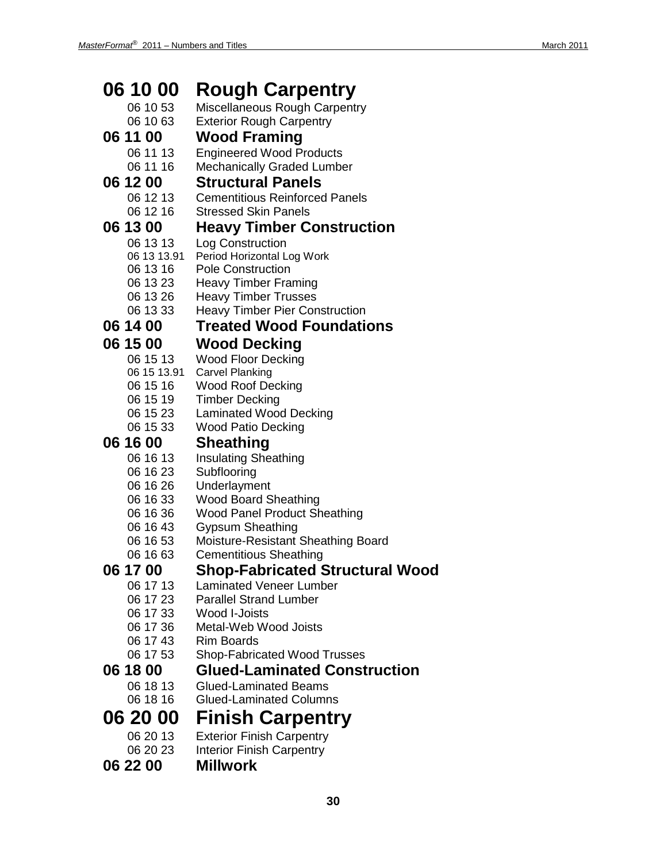| 06 10 00             | <b>Rough Carpentry</b>                                               |
|----------------------|----------------------------------------------------------------------|
| 06 10 53             | Miscellaneous Rough Carpentry                                        |
| 06 10 63             | <b>Exterior Rough Carpentry</b>                                      |
| 06 11 00             | <b>Wood Framing</b>                                                  |
| 06 11 13             | <b>Engineered Wood Products</b>                                      |
| 06 11 16             | <b>Mechanically Graded Lumber</b>                                    |
| 06 12 00             | <b>Structural Panels</b>                                             |
|                      |                                                                      |
| 06 12 13             | <b>Cementitious Reinforced Panels</b><br><b>Stressed Skin Panels</b> |
| 06 12 16             |                                                                      |
| 06 13 00             | <b>Heavy Timber Construction</b>                                     |
| 06 13 13             | Log Construction                                                     |
| 06 13 13.91          | Period Horizontal Log Work                                           |
| 06 13 16             | <b>Pole Construction</b>                                             |
| 06 13 23<br>06 13 26 | <b>Heavy Timber Framing</b><br><b>Heavy Timber Trusses</b>           |
| 06 13 33             | <b>Heavy Timber Pier Construction</b>                                |
|                      |                                                                      |
| 06 14 00             | <b>Treated Wood Foundations</b>                                      |
| 06 15 00             | <b>Wood Decking</b>                                                  |
| 06 15 13             | <b>Wood Floor Decking</b>                                            |
| 06 15 13.91          | <b>Carvel Planking</b>                                               |
| 06 15 16             | <b>Wood Roof Decking</b>                                             |
| 06 15 19             | <b>Timber Decking</b>                                                |
| 06 15 23             | <b>Laminated Wood Decking</b>                                        |
| 06 15 33             | Wood Patio Decking                                                   |
| 06 16 00             | <b>Sheathing</b>                                                     |
| 06 16 13             | <b>Insulating Sheathing</b>                                          |
| 06 16 23             | Subflooring                                                          |
| 06 16 26             | Underlayment                                                         |
| 06 16 33             | <b>Wood Board Sheathing</b>                                          |
| 06 16 36             | <b>Wood Panel Product Sheathing</b>                                  |
| 06 16 43             | <b>Gypsum Sheathing</b>                                              |
| 06 16 53             | <b>Moisture-Resistant Sheathing Board</b>                            |
| 06 16 63             | <b>Cementitious Sheathing</b>                                        |
| 06 17 00             | <b>Shop-Fabricated Structural Wood</b>                               |
| 06 17 13             | <b>Laminated Veneer Lumber</b>                                       |
| 06 17 23             | <b>Parallel Strand Lumber</b>                                        |
| 06 17 33<br>06 17 36 | Wood I-Joists<br>Metal-Web Wood Joists                               |
| 06 17 43             | Rim Boards                                                           |
| 06 17 53             | <b>Shop-Fabricated Wood Trusses</b>                                  |
|                      |                                                                      |
| 06 18 00             | <b>Glued-Laminated Construction</b>                                  |
| 06 18 13             | <b>Glued-Laminated Beams</b>                                         |
| 06 18 16             | <b>Glued-Laminated Columns</b>                                       |
| 06 20 00             | <b>Finish Carpentry</b>                                              |
| 06 20 13             | <b>Exterior Finish Carpentry</b>                                     |
| 06 20 23             | <b>Interior Finish Carpentry</b>                                     |

**06 22 00 Millwork**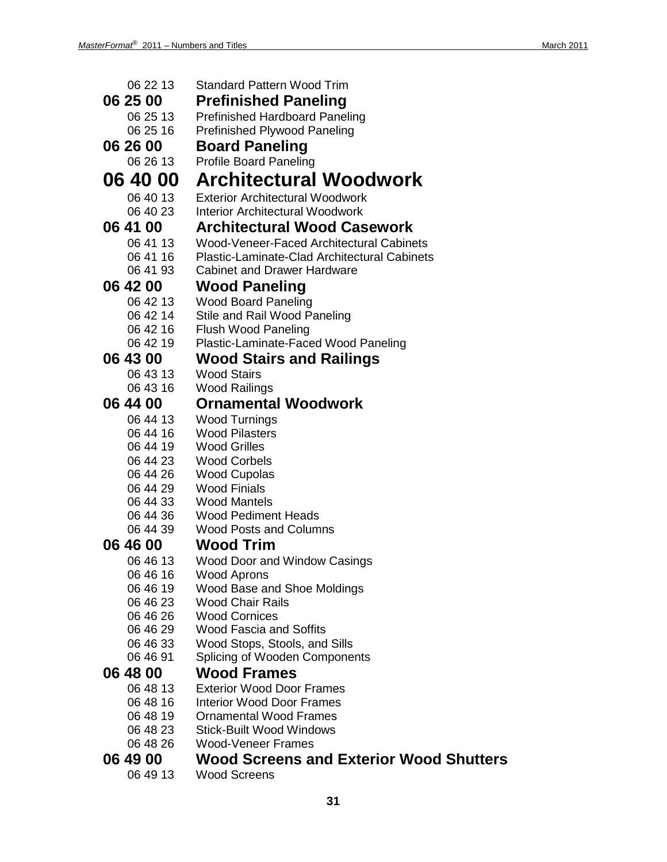| 06 22 13             | <b>Standard Pattern Wood Trim</b>                      |
|----------------------|--------------------------------------------------------|
| 06 25 00             | <b>Prefinished Paneling</b>                            |
| 06 25 13             | <b>Prefinished Hardboard Paneling</b>                  |
| 06 25 16             | <b>Prefinished Plywood Paneling</b>                    |
| 06 26 00             | <b>Board Paneling</b>                                  |
| 06 26 13             | <b>Profile Board Paneling</b>                          |
| 06 40 00             | <b>Architectural Woodwork</b>                          |
| 06 40 13             | <b>Exterior Architectural Woodwork</b>                 |
| 06 40 23             | <b>Interior Architectural Woodwork</b>                 |
| 06 41 00             | <b>Architectural Wood Casework</b>                     |
| 06 41 13             | Wood-Veneer-Faced Architectural Cabinets               |
| 06 41 16             | <b>Plastic-Laminate-Clad Architectural Cabinets</b>    |
| 06 41 93             | <b>Cabinet and Drawer Hardware</b>                     |
| 06 42 00             | <b>Wood Paneling</b>                                   |
| 06 42 13             | <b>Wood Board Paneling</b>                             |
| 06 42 14             | Stile and Rail Wood Paneling                           |
| 06 42 16             | <b>Flush Wood Paneling</b>                             |
| 06 42 19             | Plastic-Laminate-Faced Wood Paneling                   |
| 06 43 00             | <b>Wood Stairs and Railings</b>                        |
| 06 43 13             | <b>Wood Stairs</b>                                     |
| 06 43 16             | <b>Wood Railings</b>                                   |
| 06 44 00             | <b>Ornamental Woodwork</b>                             |
| 06 44 13             | <b>Wood Turnings</b>                                   |
| 06 44 16             | <b>Wood Pilasters</b>                                  |
| 06 44 19             | <b>Wood Grilles</b>                                    |
| 06 44 23             | <b>Wood Corbels</b>                                    |
| 06 44 26<br>06 44 29 | <b>Wood Cupolas</b><br><b>Wood Finials</b>             |
| 06 44 33             | <b>Wood Mantels</b>                                    |
| 06 44 36             | <b>Wood Pediment Heads</b>                             |
| 06 44 39             | <b>Wood Posts and Columns</b>                          |
| 06 46 00             | <b>Wood Trim</b>                                       |
| 06 46 13             | Wood Door and Window Casings                           |
| 06 46 16             | Wood Aprons                                            |
| 06 46 19             | Wood Base and Shoe Moldings                            |
| 06 46 23             | <b>Wood Chair Rails</b>                                |
| 06 46 26             | <b>Wood Cornices</b>                                   |
| 06 46 29             | <b>Wood Fascia and Soffits</b>                         |
| 06 46 33<br>06 46 91 | Wood Stops, Stools, and Sills                          |
|                      | Splicing of Wooden Components                          |
| 06 48 00<br>06 48 13 | <b>Wood Frames</b><br><b>Exterior Wood Door Frames</b> |
| 06 48 16             | <b>Interior Wood Door Frames</b>                       |
| 06 48 19             | <b>Ornamental Wood Frames</b>                          |
| 06 48 23             | <b>Stick-Built Wood Windows</b>                        |
| 06 48 26             | <b>Wood-Veneer Frames</b>                              |
| 06 49 00             | <b>Wood Screens and Exterior Wood Shutters</b>         |
| 06 49 13             | <b>Wood Screens</b>                                    |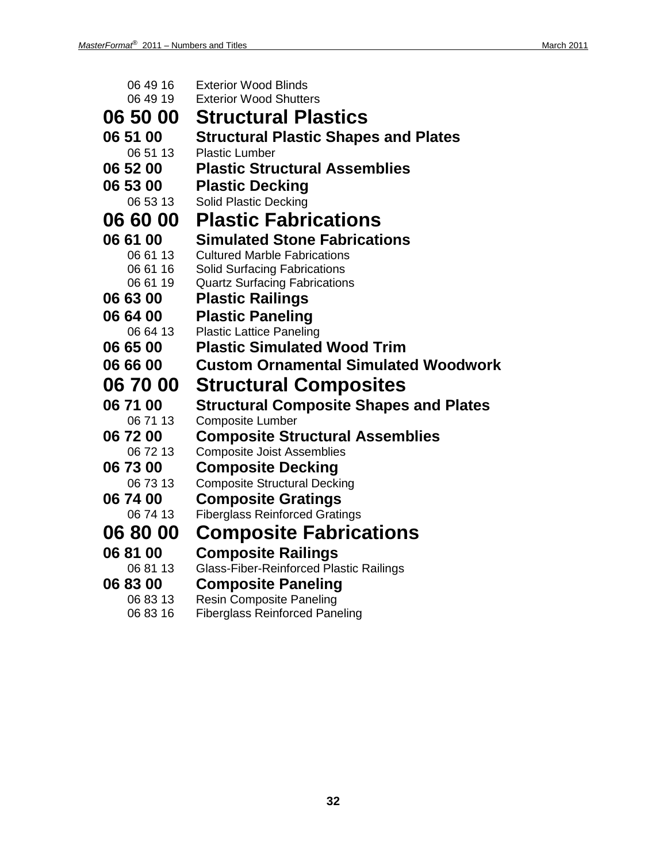| 06 49 16        | <b>Exterior Wood Blinds</b>                    |
|-----------------|------------------------------------------------|
| 06 49 19        | <b>Exterior Wood Shutters</b>                  |
| 06 50 00        | <b>Structural Plastics</b>                     |
| 06 51 00        | <b>Structural Plastic Shapes and Plates</b>    |
| 06 51 13        | <b>Plastic Lumber</b>                          |
| 06 52 00        | <b>Plastic Structural Assemblies</b>           |
| 06 53 00        | <b>Plastic Decking</b>                         |
| 06 53 13        | <b>Solid Plastic Decking</b>                   |
| <b>06 60 00</b> | <b>Plastic Fabrications</b>                    |
| 06 61 00        | <b>Simulated Stone Fabrications</b>            |
| 06 61 13        | <b>Cultured Marble Fabrications</b>            |
| 06 61 16        | <b>Solid Surfacing Fabrications</b>            |
| 06 61 19        | <b>Quartz Surfacing Fabrications</b>           |
| 06 63 00        | <b>Plastic Railings</b>                        |
| 06 64 00        | <b>Plastic Paneling</b>                        |
| 06 64 13        | <b>Plastic Lattice Paneling</b>                |
| 06 65 00        | <b>Plastic Simulated Wood Trim</b>             |
| 06 66 00        | <b>Custom Ornamental Simulated Woodwork</b>    |
| <b>06 70 00</b> | <b>Structural Composites</b>                   |
| 06 71 00        | <b>Structural Composite Shapes and Plates</b>  |
| 06 71 13        | <b>Composite Lumber</b>                        |
| 06 72 00        | <b>Composite Structural Assemblies</b>         |
| 06 72 13        | <b>Composite Joist Assemblies</b>              |
| 06 73 00        | <b>Composite Decking</b>                       |
| 06 73 13        | <b>Composite Structural Decking</b>            |
| 06 74 00        | <b>Composite Gratings</b>                      |
| 06 74 13        | <b>Fiberglass Reinforced Gratings</b>          |
| <b>06 80 00</b> | <b>Composite Fabrications</b>                  |
| 06 81 00        | <b>Composite Railings</b>                      |
| 06 81 13        | <b>Glass-Fiber-Reinforced Plastic Railings</b> |
| 06 83 00        | <b>Composite Paneling</b>                      |
| 06 83 13        | <b>Resin Composite Paneling</b>                |
| 06 83 16        | <b>Fiberglass Reinforced Paneling</b>          |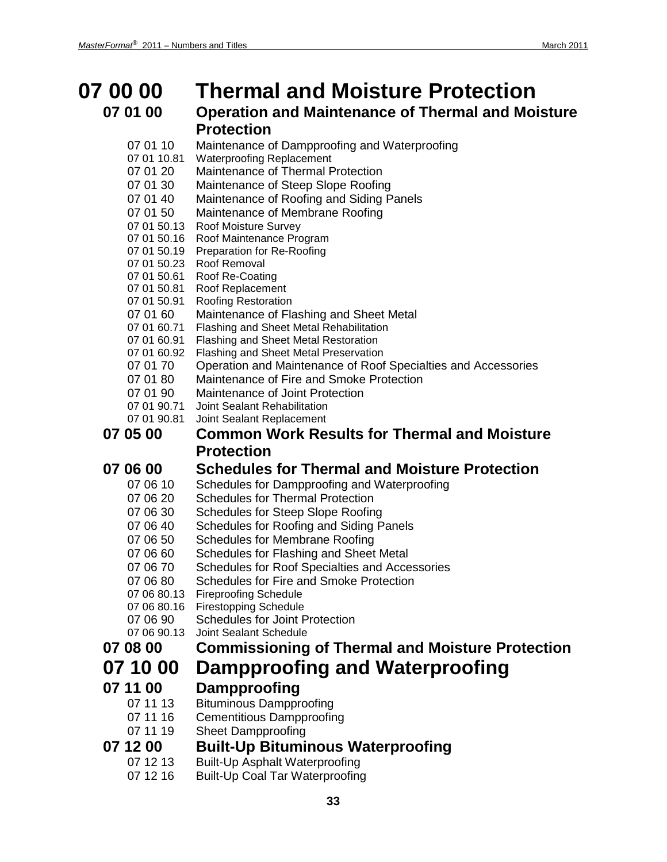### **07 00 00 Thermal and Moisture Protection 07 01 00 Operation and Maintenance of Thermal and Moisture**

#### **Protection**

- 07 01 10 Maintenance of Dampproofing and Waterproofing
- 07 01 10.81 Waterproofing Replacement
- 07 01 20 Maintenance of Thermal Protection
- 07 01 30 Maintenance of Steep Slope Roofing
- 07 01 40 Maintenance of Roofing and Siding Panels
- 07 01 50 Maintenance of Membrane Roofing
- 07 01 50.13 Roof Moisture Survey
- 07 01 50.16 Roof Maintenance Program
- 07 01 50.19 Preparation for Re-Roofing
- 07 01 50.23 Roof Removal
- 07 01 50.61 Roof Re-Coating
- 07 01 50.81 Roof Replacement
- 07 01 50.91 Roofing Restoration
- 07 01 60 Maintenance of Flashing and Sheet Metal
- 07 01 60.71 Flashing and Sheet Metal Rehabilitation
- 07 01 60.91 Flashing and Sheet Metal Restoration
- 07 01 60.92 Flashing and Sheet Metal Preservation
- 07 01 70 Operation and Maintenance of Roof Specialties and Accessories
- 07 01 80 Maintenance of Fire and Smoke Protection
- 07 01 90 Maintenance of Joint Protection<br>07 01 90 71 Joint Sealant Rehabilitation
- **Joint Sealant Rehabilitation**
- 07 01 90.81 Joint Sealant Replacement

#### **07 05 00 Common Work Results for Thermal and Moisture Protection**

### **07 06 00 Schedules for Thermal and Moisture Protection**<br>07 06 10 Schedules for Dampproofing and Waterproofing

- Schedules for Dampproofing and Waterproofing
- 07 06 20 Schedules for Thermal Protection
- 07 06 30 Schedules for Steep Slope Roofing
- 07 06 40 Schedules for Roofing and Siding Panels
- 07 06 50 Schedules for Membrane Roofing
- 07 06 60 Schedules for Flashing and Sheet Metal
- 07 06 70 Schedules for Roof Specialties and Accessories
- 07 06 80 Schedules for Fire and Smoke Protection
- 07 06 80.13 Fireproofing Schedule
- 07 06 80.16 Firestopping Schedule
- 07 06 90 Schedules for Joint Protection
- 07 06 90.13 Joint Sealant Schedule

### **07 08 00 Commissioning of Thermal and Moisture Protection**

### **07 10 00 Dampproofing and Waterproofing**

**07 11 00 Dampproofing**

### 07 11 13 Bituminous Dampproofing

- 07 11 16 Cementitious Dampproofing
- 07 11 19 Sheet Dampproofing

### **07 12 00 Built-Up Bituminous Waterproofing**<br>07 12 13 Built-Up Asphalt Waterproofing

- Built-Up Asphalt Waterproofing
- 07 12 16 Built-Up Coal Tar Waterproofing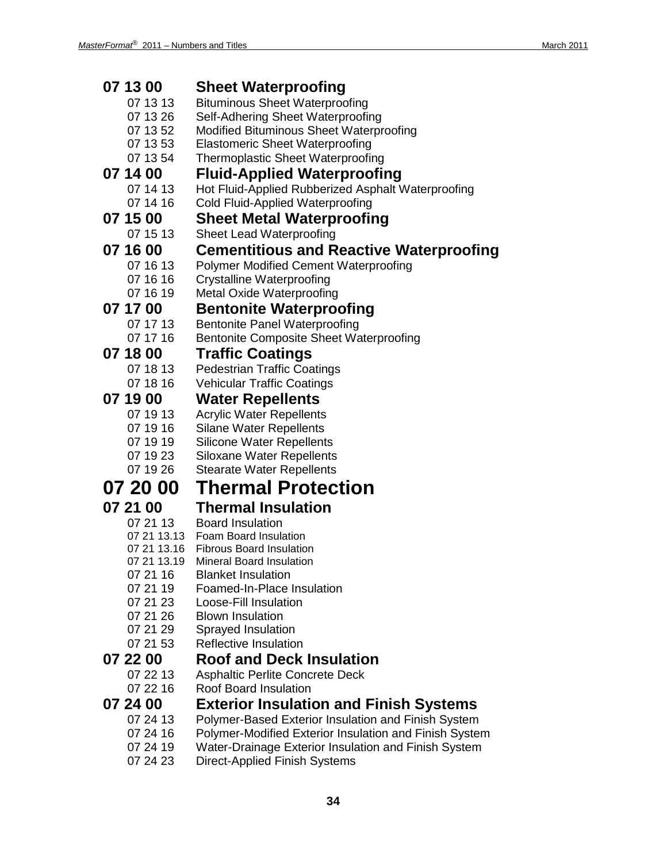| 07 13 00    | <b>Sheet Waterproofing</b>                             |
|-------------|--------------------------------------------------------|
| 07 13 13    | <b>Bituminous Sheet Waterproofing</b>                  |
| 07 13 26    | Self-Adhering Sheet Waterproofing                      |
| 07 13 52    | Modified Bituminous Sheet Waterproofing                |
| 07 13 53    | <b>Elastomeric Sheet Waterproofing</b>                 |
| 07 13 54    | Thermoplastic Sheet Waterproofing                      |
| 07 14 00    | <b>Fluid-Applied Waterproofing</b>                     |
| 07 14 13    | Hot Fluid-Applied Rubberized Asphalt Waterproofing     |
| 07 14 16    | <b>Cold Fluid-Applied Waterproofing</b>                |
| 07 15 00    | <b>Sheet Metal Waterproofing</b>                       |
| 07 15 13    | <b>Sheet Lead Waterproofing</b>                        |
| 07 16 00    | <b>Cementitious and Reactive Waterproofing</b>         |
| 07 16 13    | <b>Polymer Modified Cement Waterproofing</b>           |
| 07 16 16    | <b>Crystalline Waterproofing</b>                       |
| 07 16 19    | <b>Metal Oxide Waterproofing</b>                       |
| 07 17 00    | <b>Bentonite Waterproofing</b>                         |
| 07 17 13    | <b>Bentonite Panel Waterproofing</b>                   |
| 07 17 16    | Bentonite Composite Sheet Waterproofing                |
| 07 18 00    | <b>Traffic Coatings</b>                                |
| 07 18 13    | <b>Pedestrian Traffic Coatings</b>                     |
| 07 18 16    | <b>Vehicular Traffic Coatings</b>                      |
| 07 19 00    | <b>Water Repellents</b>                                |
| 07 19 13    | <b>Acrylic Water Repellents</b>                        |
| 07 19 16    | <b>Silane Water Repellents</b>                         |
| 07 19 19    | <b>Silicone Water Repellents</b>                       |
| 07 19 23    | <b>Siloxane Water Repellents</b>                       |
| 07 19 26    | <b>Stearate Water Repellents</b>                       |
| 07 20 00    | <b>Thermal Protection</b>                              |
| 07 21 00    | <b>Thermal Insulation</b>                              |
| 07 21 13    | <b>Board Insulation</b>                                |
| 07 21 13.13 | Foam Board Insulation                                  |
| 07 21 13.16 | <b>Fibrous Board Insulation</b>                        |
| 07 21 13.19 | Mineral Board Insulation                               |
| 07 21 16    | <b>Blanket Insulation</b>                              |
| 07 21 19    | Foamed-In-Place Insulation                             |
| 07 21 23    | Loose-Fill Insulation                                  |
| 07 21 26    | <b>Blown Insulation</b>                                |
| 07 21 29    | Sprayed Insulation<br><b>Reflective Insulation</b>     |
| 07 21 53    |                                                        |
| 07 22 00    | <b>Roof and Deck Insulation</b>                        |
| 07 22 13    | Asphaltic Perlite Concrete Deck                        |
| 07 22 16    | <b>Roof Board Insulation</b>                           |
| 07 24 00    | <b>Exterior Insulation and Finish Systems</b>          |
| 07 24 13    | Polymer-Based Exterior Insulation and Finish System    |
| 07 24 16    | Polymer-Modified Exterior Insulation and Finish System |
| 07 24 19    | Water-Drainage Exterior Insulation and Finish System   |
| 07 24 23    | <b>Direct-Applied Finish Systems</b>                   |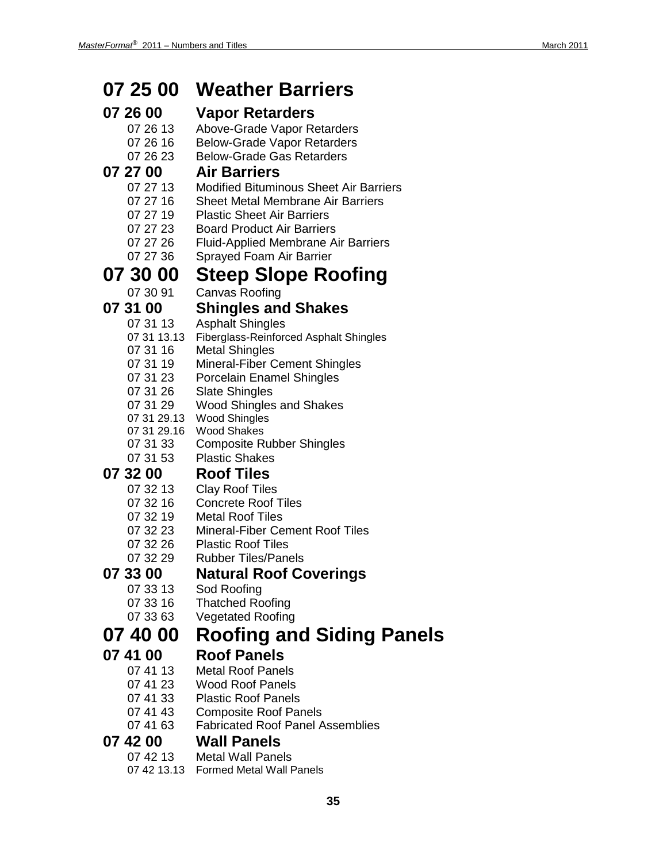#### **07 25 00 Weather Barriers 07 26 00 Vapor Retarders** 07 26 13 Above-Grade Vapor Retarders 07 26 16 Below-Grade Vapor Retarders<br>07 26 23 Below-Grade Gas Retarders Below-Grade Gas Retarders **07 27 00 Air Barriers** 07 27 13 Modified Bituminous Sheet Air Barriers 07 27 16 Sheet Metal Membrane Air Barriers 07 27 19 Plastic Sheet Air Barriers<br>07 27 23 Board Product Air Barrier **Board Product Air Barriers** 07 27 26 Fluid-Applied Membrane Air Barriers 07 27 36 Sprayed Foam Air Barrier **07 30 00 Steep Slope Roofing** 07 30 91 Canvas Roofing **07 31 00 Shingles and Shakes Asphalt Shingles** 07 31 13.13 Fiberglass-Reinforced Asphalt Shingles 07 31 16 Metal Shingles 07 31 19 Mineral-Fiber Cement Shingles 07 31 23 Porcelain Enamel Shingles 07 31 26 Slate Shingles 07 31 29 Wood Shingles and Shakes 07 31 29.13 Wood Shingles 07 31 29.16 Wood Shakes<br>07 31 33 Composite R **Composite Rubber Shingles** 07 31 53 Plastic Shakes **07 32 00 Roof Tiles** 07 32 13 Clay Roof Tiles 07 32 16 Concrete Roof Tiles 07 32 19 Metal Roof Tiles 07 32 23 Mineral-Fiber Cement Roof Tiles 07 32 26 Plastic Roof Tiles 07 32 29 Rubber Tiles/Panels **07 33 00 Natural Roof Coverings** Sod Roofing 07 33 16 Thatched Roofing 07 33 63 Vegetated Roofing **07 40 00 Roofing and Siding Panels 07 41 00 Roof Panels Metal Roof Panels** 07 41 23 Wood Roof Panels 07 41 33 Plastic Roof Panels<br>07 41 43 Composite Roof Pa **Composite Roof Panels** 07 41 63 Fabricated Roof Panel Assemblies **07 42 00 Wall Panels Metal Wall Panels** 07 42 13.13 Formed Metal Wall Panels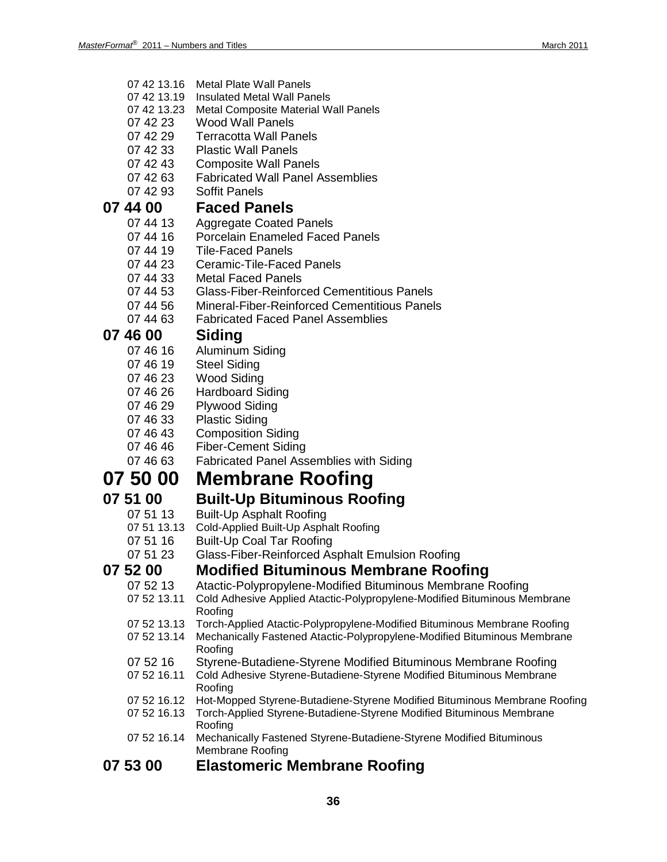- 07 42 13.16 Metal Plate Wall Panels
- 07 42 13.19 Insulated Metal Wall Panels
- 07 42 13.23 Metal Composite Material Wall Panels
- 07 42 23 Wood Wall Panels
- 07 42 29 Terracotta Wall Panels<br>07 42 33 Plastic Wall Panels
- **Plastic Wall Panels**
- 07 42 43 Composite Wall Panels
- 07 42 63 Fabricated Wall Panel Assemblies<br>07 42 93 Soffit Panels
- Soffit Panels

### **07 44 00 Faced Panels**

- Aggregate Coated Panels
- 07 44 16 Porcelain Enameled Faced Panels
- 07 44 19 Tile-Faced Panels
- 07 44 23 Ceramic-Tile-Faced Panels
- 07 44 33 Metal Faced Panels
- 07 44 53 Glass-Fiber-Reinforced Cementitious Panels<br>07 44 56 Mineral-Fiber-Reinforced Cementitious Panel
- Mineral-Fiber-Reinforced Cementitious Panels
- 07 44 63 Fabricated Faced Panel Assemblies

#### **07 46 00 Siding**

- 07 46 16 Aluminum Siding
- 07 46 19 Steel Siding<br>07 46 23 Wood Siding
- Wood Siding
- 07 46 26 Hardboard Siding
- 07 46 29 Plywood Siding
- 07 46 33 Plastic Siding
- 07 46 43 Composition Siding
- 07 46 46 Fiber-Cement Siding
- 07 46 63 Fabricated Panel Assemblies with Siding

### **07 50 00 Membrane Roofing**

#### **07 51 00 Built-Up Bituminous Roofing**

- 07 51 13 Built-Up Asphalt Roofing<br>07 51 13.13 Cold-Applied Built-Up Asph
- Cold-Applied Built-Up Asphalt Roofing
- 07 51 16 Built-Up Coal Tar Roofing
- 07 51 23 Glass-Fiber-Reinforced Asphalt Emulsion Roofing

### **07 52 00 Modified Bituminous Membrane Roofing**

- 07 52 13 Atactic-Polypropylene-Modified Bituminous Membrane Roofing<br>07 52 13.11 Cold Adhesive Applied Atactic-Polypropylene-Modified Bituminous Me
- Cold Adhesive Applied Atactic-Polypropylene-Modified Bituminous Membrane Roofing
- 07 52 13.13 Torch-Applied Atactic-Polypropylene-Modified Bituminous Membrane Roofing
- 07 52 13.14 Mechanically Fastened Atactic-Polypropylene-Modified Bituminous Membrane Roofing
- 07 52 16 Styrene-Butadiene-Styrene Modified Bituminous Membrane Roofing<br>07 52 16.11 Cold Adhesive Styrene-Butadiene-Styrene Modified Bituminous Membrane
- Cold Adhesive Styrene-Butadiene-Styrene Modified Bituminous Membrane Roofing
- 07 52 16.12 Hot-Mopped Styrene-Butadiene-Styrene Modified Bituminous Membrane Roofing
- 07 52 16.13 Torch-Applied Styrene-Butadiene-Styrene Modified Bituminous Membrane Roofing
- 07 52 16.14 Mechanically Fastened Styrene-Butadiene-Styrene Modified Bituminous Membrane Roofing

#### **07 53 00 Elastomeric Membrane Roofing**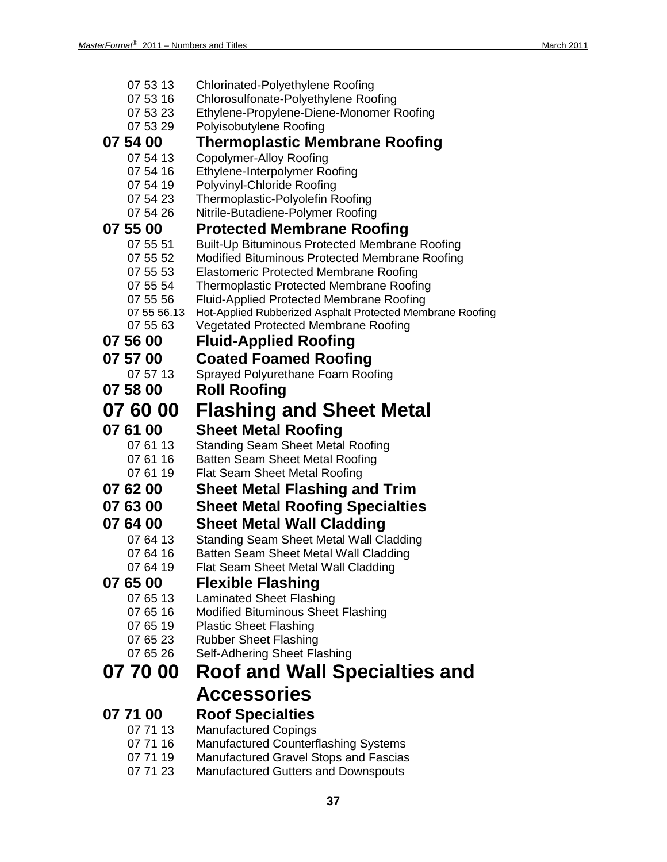| 07 53 13             | Chlorinated-Polyethylene Roofing                                                    |
|----------------------|-------------------------------------------------------------------------------------|
| 07 53 16             | Chlorosulfonate-Polyethylene Roofing                                                |
| 07 53 23             | Ethylene-Propylene-Diene-Monomer Roofing                                            |
| 07 53 29             | Polyisobutylene Roofing                                                             |
| 07 54 00             | <b>Thermoplastic Membrane Roofing</b>                                               |
| 07 54 13             | <b>Copolymer-Alloy Roofing</b>                                                      |
| 07 54 16             | Ethylene-Interpolymer Roofing                                                       |
| 07 54 19             | Polyvinyl-Chloride Roofing                                                          |
| 07 54 23             | Thermoplastic-Polyolefin Roofing                                                    |
| 07 54 26             | Nitrile-Butadiene-Polymer Roofing                                                   |
| 07 55 00             | <b>Protected Membrane Roofing</b>                                                   |
| 07 55 51             | Built-Up Bituminous Protected Membrane Roofing                                      |
| 07 55 52             | Modified Bituminous Protected Membrane Roofing                                      |
| 07 55 53             | <b>Elastomeric Protected Membrane Roofing</b>                                       |
| 07 55 54             | <b>Thermoplastic Protected Membrane Roofing</b>                                     |
| 07 55 56             | <b>Fluid-Applied Protected Membrane Roofing</b>                                     |
| 07 55 56.13          | Hot-Applied Rubberized Asphalt Protected Membrane Roofing                           |
| 07 55 63             | <b>Vegetated Protected Membrane Roofing</b>                                         |
| 07 56 00             | <b>Fluid-Applied Roofing</b>                                                        |
| 07 57 00             | <b>Coated Foamed Roofing</b>                                                        |
| 07 57 13             | Sprayed Polyurethane Foam Roofing                                                   |
| 07 58 00             | <b>Roll Roofing</b>                                                                 |
| 07 60 00             | Flashing and Sheet Metal                                                            |
|                      |                                                                                     |
| 07 61 00             |                                                                                     |
| 07 61 13             | <b>Sheet Metal Roofing</b>                                                          |
| 07 61 16             | <b>Standing Seam Sheet Metal Roofing</b>                                            |
| 07 61 19             | Batten Seam Sheet Metal Roofing<br><b>Flat Seam Sheet Metal Roofing</b>             |
| 07 62 00             |                                                                                     |
|                      | <b>Sheet Metal Flashing and Trim</b>                                                |
| 07 63 00             | <b>Sheet Metal Roofing Specialties</b>                                              |
| 07 64 00             | <b>Sheet Metal Wall Cladding</b>                                                    |
| 07 64 13             | <b>Standing Seam Sheet Metal Wall Cladding</b>                                      |
| 07 64 16             | Batten Seam Sheet Metal Wall Cladding                                               |
| 07 64 19             | Flat Seam Sheet Metal Wall Cladding                                                 |
| 07 65 00             | <b>Flexible Flashing</b>                                                            |
| 07 65 13             | <b>Laminated Sheet Flashing</b>                                                     |
| 07 65 16             | Modified Bituminous Sheet Flashing                                                  |
| 07 65 19             | <b>Plastic Sheet Flashing</b>                                                       |
| 07 65 23<br>07 65 26 | <b>Rubber Sheet Flashing</b>                                                        |
|                      | Self-Adhering Sheet Flashing                                                        |
| 07 70 00             | <b>Roof and Wall Specialties and</b>                                                |
|                      | <b>Accessories</b>                                                                  |
| 07 71 00             | <b>Roof Specialties</b>                                                             |
| 07 71 13             | <b>Manufactured Copings</b>                                                         |
| 07 71 16             | <b>Manufactured Counterflashing Systems</b>                                         |
| 07 71 19<br>07 71 23 | Manufactured Gravel Stops and Fascias<br><b>Manufactured Gutters and Downspouts</b> |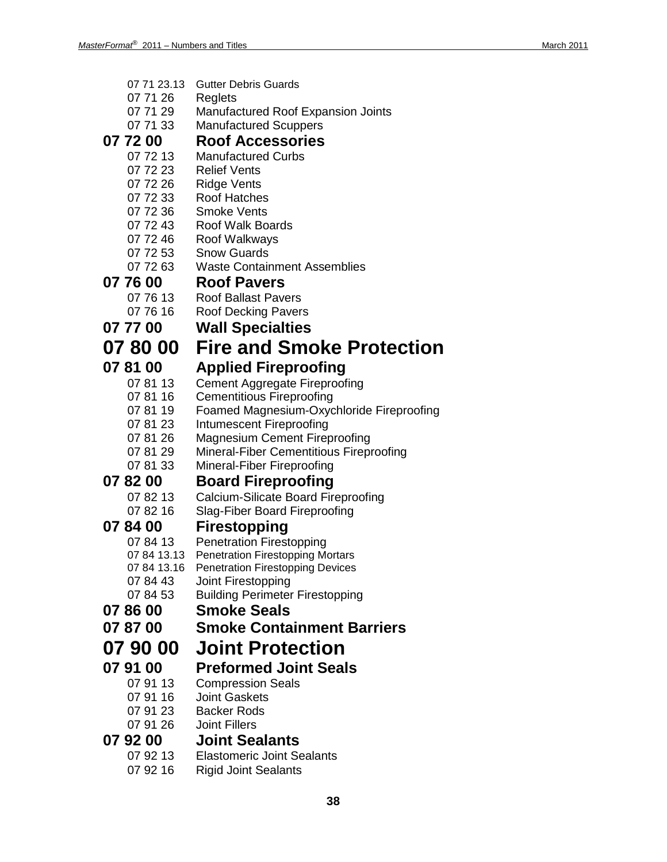| 07 71 23.13 | <b>Gutter Debris Guards</b>                |
|-------------|--------------------------------------------|
| 07 71 26    | Reglets                                    |
| 07 71 29    | Manufactured Roof Expansion Joints         |
| 07 71 33    | <b>Manufactured Scuppers</b>               |
| 07 72 00    | <b>Roof Accessories</b>                    |
| 07 72 13    | <b>Manufactured Curbs</b>                  |
| 07 72 23    | <b>Relief Vents</b>                        |
| 07 72 26    |                                            |
|             | Ridge Vents                                |
| 07 72 33    | <b>Roof Hatches</b>                        |
| 07 72 36    | <b>Smoke Vents</b>                         |
| 07 72 43    | <b>Roof Walk Boards</b>                    |
| 07 72 46    | Roof Walkways                              |
| 07 72 53    | <b>Snow Guards</b>                         |
| 07 72 63    | <b>Waste Containment Assemblies</b>        |
| 07 76 00    | <b>Roof Pavers</b>                         |
| 07 76 13    | <b>Roof Ballast Pavers</b>                 |
| 07 76 16    | <b>Roof Decking Pavers</b>                 |
| 07 77 00    | <b>Wall Specialties</b>                    |
|             |                                            |
| 078000      | <b>Fire and Smoke Protection</b>           |
| 07 81 00    | <b>Applied Fireproofing</b>                |
| 07 81 13    | <b>Cement Aggregate Fireproofing</b>       |
| 07 81 16    | <b>Cementitious Fireproofing</b>           |
| 07 81 19    | Foamed Magnesium-Oxychloride Fireproofing  |
| 07 81 23    | Intumescent Fireproofing                   |
| 07 81 26    | <b>Magnesium Cement Fireproofing</b>       |
| 07 81 29    | Mineral-Fiber Cementitious Fireproofing    |
| 07 81 33    | Mineral-Fiber Fireproofing                 |
| 07 82 00    | <b>Board Fireproofing</b>                  |
| 07 82 13    | <b>Calcium-Silicate Board Fireproofing</b> |
| 07 82 16    |                                            |
|             | <b>Slag-Fiber Board Fireproofing</b>       |
| 078400      | <b>Firestopping</b>                        |
| 07 84 13    | <b>Penetration Firestopping</b>            |
| 07 84 13.13 | Penetration Firestopping Mortars           |
| 07 84 13.16 | <b>Penetration Firestopping Devices</b>    |
| 07 84 43    | Joint Firestopping                         |
| 07 84 53    | <b>Building Perimeter Firestopping</b>     |
| 07 86 00    | <b>Smoke Seals</b>                         |
| 07 87 00    | <b>Smoke Containment Barriers</b>          |
| 07 90 00    | <b>Joint Protection</b>                    |
|             |                                            |
|             | <b>Preformed Joint Seals</b>               |
| 07 91 00    |                                            |
| 07 91 13    | <b>Compression Seals</b>                   |
| 07 91 16    | <b>Joint Gaskets</b>                       |
| 07 91 23    | <b>Backer Rods</b>                         |
| 07 91 26    | <b>Joint Fillers</b>                       |
| 07 92 00    | <b>Joint Sealants</b>                      |

- 07 92 13 Elastomeric Joint Sealants<br>07 92 16 Rigid Joint Sealants
	- **Rigid Joint Sealants**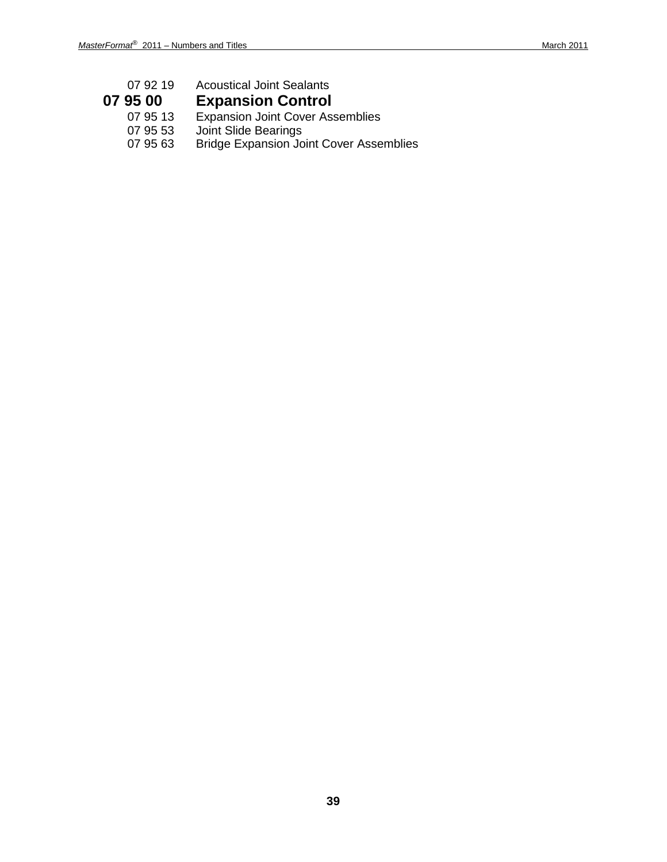| 07 92 19 | <b>Acoustical Joint Sealants</b>               |
|----------|------------------------------------------------|
| 07 95 00 | <b>Expansion Control</b>                       |
| 07 95 13 | <b>Expansion Joint Cover Assemblies</b>        |
| 07 95 53 | <b>Joint Slide Bearings</b>                    |
| 07 95 63 | <b>Bridge Expansion Joint Cover Assemblies</b> |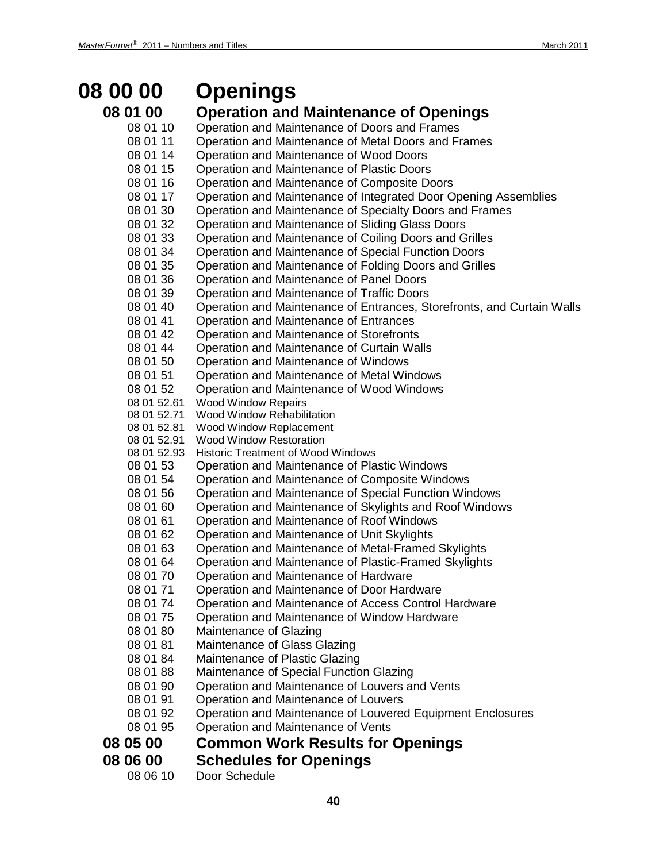## **08 00 00 Openings**

## **08 01 00 Operation and Maintenance of Openings**

- 08 01 10 Operation and Maintenance of Doors and Frames 08 01 11 Operation and Maintenance of Metal Doors and Frames 08 01 14 Operation and Maintenance of Wood Doors 08 01 15 Operation and Maintenance of Plastic Doors 08 01 16 Operation and Maintenance of Composite Doors 08 01 17 Operation and Maintenance of Integrated Door Opening Assemblies 08 01 30 Operation and Maintenance of Specialty Doors and Frames 08 01 32 Operation and Maintenance of Sliding Glass Doors 08 01 33 Operation and Maintenance of Coiling Doors and Grilles<br>08 01 34 Operation and Maintenance of Special Function Doors Operation and Maintenance of Special Function Doors 08 01 35 Operation and Maintenance of Folding Doors and Grilles 08 01 36 Operation and Maintenance of Panel Doors 08 01 39 Operation and Maintenance of Traffic Doors 08 01 40 Operation and Maintenance of Entrances, Storefronts, and Curtain Walls 08 01 41 Operation and Maintenance of Entrances 08 01 42 Operation and Maintenance of Storefronts 08 01 44 Operation and Maintenance of Curtain Walls<br>08 01 50 Operation and Maintenance of Windows Operation and Maintenance of Windows 08 01 51 Operation and Maintenance of Metal Windows 08 01 52 Operation and Maintenance of Wood Windows 08 01 52.61 Wood Window Repairs<br>08 01 52.71 Wood Window Rehabili Wood Window Rehabilitation 08 01 52.81 Wood Window Replacement 08 01 52.91 Wood Window Restoration 08 01 52.93 Historic Treatment of Wood Windows 08 01 53 Operation and Maintenance of Plastic Windows<br>08 01 54 Operation and Maintenance of Composite Windo 08 01 54 Operation and Maintenance of Composite Windows<br>08 01 56 Operation and Maintenance of Special Function Win Operation and Maintenance of Special Function Windows 08 01 60 Operation and Maintenance of Skylights and Roof Windows 08 01 61 Operation and Maintenance of Roof Windows 08 01 62 Operation and Maintenance of Unit Skylights 08 01 63 Operation and Maintenance of Metal-Framed Skylights 08 01 64 Operation and Maintenance of Plastic-Framed Skylights 08 01 70 Operation and Maintenance of Hardware 08 01 71 Operation and Maintenance of Door Hardware 08 01 74 Operation and Maintenance of Access Control Hardware 08 01 75 Operation and Maintenance of Window Hardware 08 01 80 Maintenance of Glazing 08 01 81 Maintenance of Glass Glazing 08 01 84 Maintenance of Plastic Glazing 08 01 88 Maintenance of Special Function Glazing 08 01 90 Operation and Maintenance of Louvers and Vents<br>08 01 91 Operation and Maintenance of Louvers Operation and Maintenance of Louvers 08 01 92 Operation and Maintenance of Louvered Equipment Enclosures 08 01 95 Operation and Maintenance of Vents **08 05 00 Common Work Results for Openings 08 06 00 Schedules for Openings**
	- 08 06 10 Door Schedule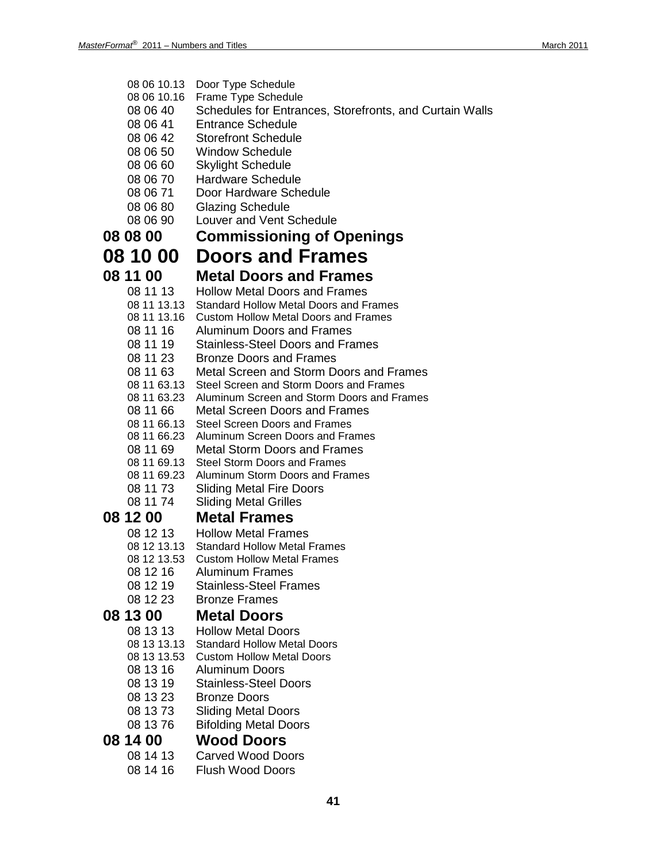08 06 10.13 Door Type Schedule 08 06 10.16 Frame Type Schedule 08 06 40 Schedules for Entrances, Storefronts, and Curtain Walls 08 06 41 Entrance Schedule 08 06 42 Storefront Schedule 08 06 50 Window Schedule 08 06 60 Skylight Schedule 08 06 70 Hardware Schedule 08 06 71 Door Hardware Schedule 08 06 80 Glazing Schedule 08 06 90 Louver and Vent Schedule **08 08 00 Commissioning of Openings 08 10 00 Doors and Frames 08 11 00 Metal Doors and Frames** 08 11 13 Hollow Metal Doors and Frames<br>08 11 13.13 Standard Hollow Metal Doors and F 08 11 13.13 Standard Hollow Metal Doors and Frames<br>08 11 13.16 Custom Hollow Metal Doors and Frames Custom Hollow Metal Doors and Frames 08 11 16 Aluminum Doors and Frames 08 11 19 Stainless-Steel Doors and Frames 08 11 23 Bronze Doors and Frames 08 11 63 Metal Screen and Storm Doors and Frames<br>08 11 63.13 Steel Screen and Storm Doors and Frames Steel Screen and Storm Doors and Frames 08 11 63.23 Aluminum Screen and Storm Doors and Frames 08 11 66 Metal Screen Doors and Frames 08 11 66.13 Steel Screen Doors and Frames<br>08 11 66.23 Aluminum Screen Doors and Fra Aluminum Screen Doors and Frames 08 11 69 Metal Storm Doors and Frames<br>08 11 69.13 Steel Storm Doors and Frames Steel Storm Doors and Frames 08 11 69.23 Aluminum Storm Doors and Frames 08 11 73 Sliding Metal Fire Doors 08 11 74 Sliding Metal Grilles **08 12 00 Metal Frames** 08 12 13 Hollow Metal Frames<br>08 12 13.13 Standard Hollow Metal 08 12 13.13 Standard Hollow Metal Frames<br>08 12 13.53 Custom Hollow Metal Frames **Custom Hollow Metal Frames** 08 12 16 Aluminum Frames 08 12 19 Stainless-Steel Frames 08 12 23 Bronze Frames **08 13 00 Metal Doors** 08 13 13 Hollow Metal Doors 08 13 13.13 Standard Hollow Metal Doors 08 13 13.53 Custom Hollow Metal Doors 08 13 16 Aluminum Doors<br>08 13 19 Stainless-Steel D Stainless-Steel Doors 08 13 23 Bronze Doors 08 13 73 Sliding Metal Doors 08 13 76 Bifolding Metal Doors **08 14 00 Wood Doors** Carved Wood Doors 08 14 16 Flush Wood Doors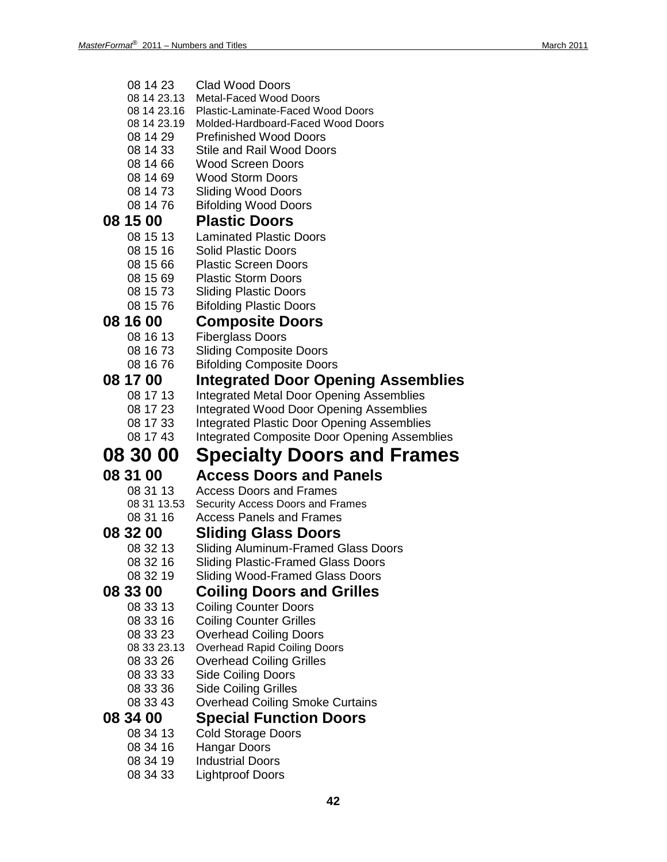| 08 14 23                   | <b>Clad Wood Doors</b>                                             |
|----------------------------|--------------------------------------------------------------------|
| 08 14 23.13<br>08 14 23.16 | <b>Metal-Faced Wood Doors</b><br>Plastic-Laminate-Faced Wood Doors |
| 08 14 23.19                | Molded-Hardboard-Faced Wood Doors                                  |
| 08 14 29                   | <b>Prefinished Wood Doors</b>                                      |
| 08 14 33                   | <b>Stile and Rail Wood Doors</b>                                   |
| 08 14 66                   | <b>Wood Screen Doors</b>                                           |
| 08 14 69                   | <b>Wood Storm Doors</b>                                            |
| 08 14 73                   | <b>Sliding Wood Doors</b>                                          |
| 08 14 76                   | <b>Bifolding Wood Doors</b>                                        |
| 08 15 00                   | <b>Plastic Doors</b>                                               |
| 08 15 13                   | <b>Laminated Plastic Doors</b>                                     |
| 08 15 16                   | <b>Solid Plastic Doors</b>                                         |
| 08 15 66                   | <b>Plastic Screen Doors</b>                                        |
| 08 15 69                   | <b>Plastic Storm Doors</b>                                         |
| 08 15 73                   | <b>Sliding Plastic Doors</b>                                       |
| 08 15 76                   | <b>Bifolding Plastic Doors</b>                                     |
| 08 16 00                   | <b>Composite Doors</b>                                             |
| 08 16 13                   | <b>Fiberglass Doors</b>                                            |
| 08 16 73                   | <b>Sliding Composite Doors</b>                                     |
| 08 16 76                   | <b>Bifolding Composite Doors</b>                                   |
| 08 17 00                   | Integrated Door Opening Assemblies                                 |
| 08 17 13                   | <b>Integrated Metal Door Opening Assemblies</b>                    |
| 08 17 23                   | <b>Integrated Wood Door Opening Assemblies</b>                     |
| 08 17 33                   | <b>Integrated Plastic Door Opening Assemblies</b>                  |
| 08 17 43                   | <b>Integrated Composite Door Opening Assemblies</b>                |
|                            |                                                                    |
|                            |                                                                    |
| 08 30 00                   | <b>Specialty Doors and Frames</b>                                  |
| 08 31 00                   | <b>Access Doors and Panels</b>                                     |
| 08 31 13                   | Access Doors and Frames                                            |
| 08 31 13.53                | Security Access Doors and Frames                                   |
| 08 31 16                   | <b>Access Panels and Frames</b>                                    |
| 08 32 00                   | <b>Sliding Glass Doors</b>                                         |
| 08 32 13                   | Sliding Aluminum-Framed Glass Doors                                |
| 08 32 16                   | <b>Sliding Plastic-Framed Glass Doors</b>                          |
| 08 32 19                   | <b>Sliding Wood-Framed Glass Doors</b>                             |
| 08 33 00                   | <b>Coiling Doors and Grilles</b>                                   |
| 08 33 13                   | <b>Coiling Counter Doors</b>                                       |
| 08 33 16                   | <b>Coiling Counter Grilles</b>                                     |
| 08 33 23                   | <b>Overhead Coiling Doors</b>                                      |
| 08 33 23.13                | <b>Overhead Rapid Coiling Doors</b>                                |
| 08 33 26                   | <b>Overhead Coiling Grilles</b>                                    |
| 08 33 33<br>08 33 36       | <b>Side Coiling Doors</b>                                          |
| 08 33 43                   | <b>Side Coiling Grilles</b>                                        |
|                            | Overhead Coiling Smoke Curtains                                    |
| 08 34 00                   | <b>Special Function Doors</b>                                      |
| 08 34 13                   | <b>Cold Storage Doors</b>                                          |
| 08 34 16<br>08 34 19       | <b>Hangar Doors</b>                                                |
|                            |                                                                    |
|                            |                                                                    |
|                            |                                                                    |
| 08 34 33                   | <b>Industrial Doors</b><br><b>Lightproof Doors</b>                 |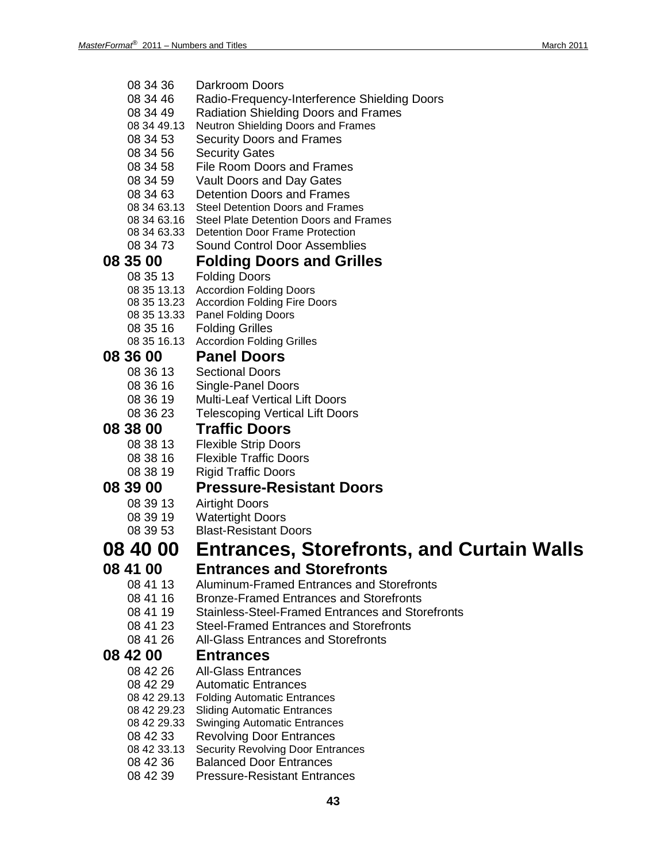| 08 34 36    | Darkroom Doors                                          |
|-------------|---------------------------------------------------------|
| 08 34 46    | Radio-Frequency-Interference Shielding Doors            |
| 08 34 49    | <b>Radiation Shielding Doors and Frames</b>             |
| 08 34 49.13 | Neutron Shielding Doors and Frames                      |
| 08 34 53    | <b>Security Doors and Frames</b>                        |
| 08 34 56    | <b>Security Gates</b>                                   |
| 08 34 58    | <b>File Room Doors and Frames</b>                       |
| 08 34 59    | Vault Doors and Day Gates                               |
| 08 34 63    | <b>Detention Doors and Frames</b>                       |
|             | 08 34 63.13 Steel Detention Doors and Frames            |
|             | 08 34 63.16 Steel Plate Detention Doors and Frames      |
| 08 34 63.33 | Detention Door Frame Protection                         |
| 08 34 73    | <b>Sound Control Door Assemblies</b>                    |
|             |                                                         |
| 08 35 00    | <b>Folding Doors and Grilles</b>                        |
| 08 35 13    | <b>Folding Doors</b>                                    |
|             | 08 35 13.13 Accordion Folding Doors                     |
|             | 08 35 13.23 Accordion Folding Fire Doors                |
|             | 08 35 13.33 Panel Folding Doors                         |
| 08 35 16    | <b>Folding Grilles</b>                                  |
| 08 35 16.13 | <b>Accordion Folding Grilles</b>                        |
| 08 36 00    | <b>Panel Doors</b>                                      |
| 08 36 13    | <b>Sectional Doors</b>                                  |
| 08 36 16    | Single-Panel Doors                                      |
| 08 36 19    | <b>Multi-Leaf Vertical Lift Doors</b>                   |
| 08 36 23    | <b>Telescoping Vertical Lift Doors</b>                  |
| 08 38 00    | <b>Traffic Doors</b>                                    |
| 08 38 13    | <b>Flexible Strip Doors</b>                             |
| 08 38 16    | <b>Flexible Traffic Doors</b>                           |
|             |                                                         |
| 08 38 19    | <b>Rigid Traffic Doors</b>                              |
| 08 39 00    | <b>Pressure-Resistant Doors</b>                         |
| 08 39 13    | <b>Airtight Doors</b>                                   |
| 08 39 19    | <b>Watertight Doors</b>                                 |
| 08 39 53    | <b>Blast-Resistant Doors</b>                            |
| 08 40 00    | <b>Entrances, Storefronts, and Curtain Walls</b>        |
|             |                                                         |
| 08 41 00    | <b>Entrances and Storefronts</b>                        |
| 08 41 13    | Aluminum-Framed Entrances and Storefronts               |
| 08 41 16    | <b>Bronze-Framed Entrances and Storefronts</b>          |
| 08 41 19    | <b>Stainless-Steel-Framed Entrances and Storefronts</b> |
| 08 41 23    | <b>Steel-Framed Entrances and Storefronts</b>           |
| 08 41 26    | <b>All-Glass Entrances and Storefronts</b>              |
| 08 42 00    | <b>Entrances</b>                                        |
| 08 42 26    | <b>All-Glass Entrances</b>                              |
| 08 42 29    | <b>Automatic Entrances</b>                              |
| 08 42 29.13 | <b>Folding Automatic Entrances</b>                      |
| 08 42 29.23 | <b>Sliding Automatic Entrances</b>                      |
| 08 42 29.33 | <b>Swinging Automatic Entrances</b>                     |
| 08 42 33    | <b>Revolving Door Entrances</b>                         |
| 08 42 33.13 | <b>Security Revolving Door Entrances</b>                |
| 08 42 36    | <b>Balanced Door Entrances</b>                          |
| 08 42 39    | <b>Pressure-Resistant Entrances</b>                     |
|             |                                                         |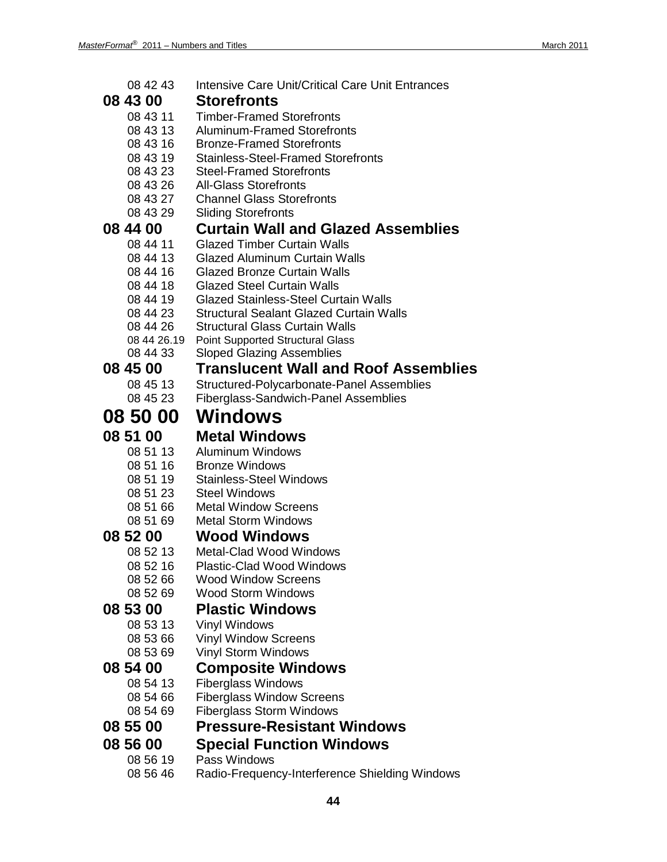| 08 42 43             | Intensive Care Unit/Critical Care Unit Entrances               |
|----------------------|----------------------------------------------------------------|
| 08 43 00             | <b>Storefronts</b>                                             |
| 08 43 11             | <b>Timber-Framed Storefronts</b>                               |
| 08 43 13             | <b>Aluminum-Framed Storefronts</b>                             |
| 08 43 16             | <b>Bronze-Framed Storefronts</b>                               |
| 08 43 19             | <b>Stainless-Steel-Framed Storefronts</b>                      |
| 08 43 23             | <b>Steel-Framed Storefronts</b>                                |
| 08 43 26             | <b>All-Glass Storefronts</b>                                   |
| 08 43 27             | <b>Channel Glass Storefronts</b>                               |
| 08 43 29             | <b>Sliding Storefronts</b>                                     |
| 08 44 00             | <b>Curtain Wall and Glazed Assemblies</b>                      |
| 08 44 11             | <b>Glazed Timber Curtain Walls</b>                             |
| 08 44 13             | <b>Glazed Aluminum Curtain Walls</b>                           |
| 08 44 16             | <b>Glazed Bronze Curtain Walls</b>                             |
| 08 44 18             | <b>Glazed Steel Curtain Walls</b>                              |
| 08 44 19             | <b>Glazed Stainless-Steel Curtain Walls</b>                    |
| 08 44 23             | <b>Structural Sealant Glazed Curtain Walls</b>                 |
| 08 44 26             | <b>Structural Glass Curtain Walls</b>                          |
| 08 44 26.19          | <b>Point Supported Structural Glass</b>                        |
| 08 44 33             | <b>Sloped Glazing Assemblies</b>                               |
| 08 45 00             | <b>Translucent Wall and Roof Assemblies</b>                    |
| 08 45 13             | Structured-Polycarbonate-Panel Assemblies                      |
| 08 45 23             | <b>Fiberglass-Sandwich-Panel Assemblies</b>                    |
| 08 50 00             | Windows                                                        |
|                      |                                                                |
|                      |                                                                |
| 08 51 00             | <b>Metal Windows</b>                                           |
| 08 51 13             | Aluminum Windows                                               |
| 08 51 16             | <b>Bronze Windows</b>                                          |
| 08 51 19             | <b>Stainless-Steel Windows</b><br><b>Steel Windows</b>         |
| 08 51 23<br>08 51 66 | <b>Metal Window Screens</b>                                    |
| 08 51 69             | <b>Metal Storm Windows</b>                                     |
|                      |                                                                |
| 08 52 00             | <b>Wood Windows</b><br>Metal-Clad Wood Windows                 |
| 08 52 13             |                                                                |
| 08 52 16             | <b>Plastic-Clad Wood Windows</b><br><b>Wood Window Screens</b> |
| 08 52 66             | <b>Wood Storm Windows</b>                                      |
| 08 52 69             |                                                                |
| 08 53 00             | <b>Plastic Windows</b>                                         |
| 08 53 13             | <b>Vinyl Windows</b>                                           |
| 08 53 66             | <b>Vinyl Window Screens</b>                                    |
| 08 53 69             | <b>Vinyl Storm Windows</b>                                     |
| 08 54 00             | <b>Composite Windows</b>                                       |
| 08 54 13             | <b>Fiberglass Windows</b>                                      |
| 08 54 66             | <b>Fiberglass Window Screens</b>                               |
| 08 54 69             | <b>Fiberglass Storm Windows</b>                                |
| 08 55 00             | <b>Pressure-Resistant Windows</b>                              |
| 08 56 00<br>08 56 19 | <b>Special Function Windows</b><br>Pass Windows                |

08 56 46 Radio-Frequency-Interference Shielding Windows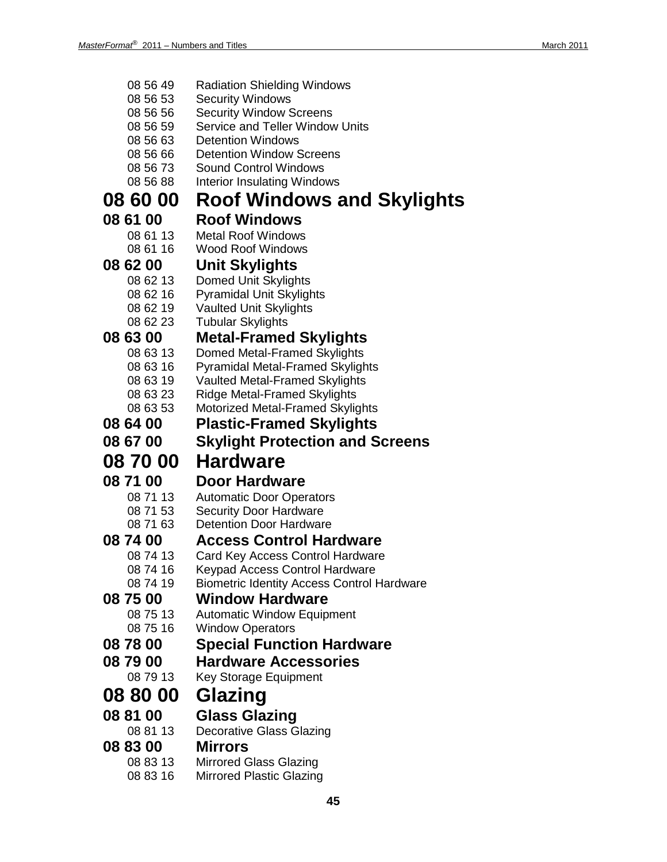| 08 56 49 | <b>Radiation Shielding Windows</b>                |
|----------|---------------------------------------------------|
| 08 56 53 | <b>Security Windows</b>                           |
| 08 56 56 | <b>Security Window Screens</b>                    |
| 08 56 59 | Service and Teller Window Units                   |
| 08 56 63 | <b>Detention Windows</b>                          |
| 08 56 66 | <b>Detention Window Screens</b>                   |
| 08 56 73 | <b>Sound Control Windows</b>                      |
| 08 56 88 | <b>Interior Insulating Windows</b>                |
| 08 60 00 | Roof Windows and Skylights                        |
| 08 61 00 | <b>Roof Windows</b>                               |
| 08 61 13 | <b>Metal Roof Windows</b>                         |
| 08 61 16 | <b>Wood Roof Windows</b>                          |
| 08 62 00 | <b>Unit Skylights</b>                             |
| 08 62 13 | Domed Unit Skylights                              |
| 08 62 16 | <b>Pyramidal Unit Skylights</b>                   |
| 08 62 19 | <b>Vaulted Unit Skylights</b>                     |
| 08 62 23 | <b>Tubular Skylights</b>                          |
| 08 63 00 | <b>Metal-Framed Skylights</b>                     |
| 08 63 13 | Domed Metal-Framed Skylights                      |
| 08 63 16 | <b>Pyramidal Metal-Framed Skylights</b>           |
| 08 63 19 | <b>Vaulted Metal-Framed Skylights</b>             |
| 08 63 23 | <b>Ridge Metal-Framed Skylights</b>               |
| 08 63 53 | Motorized Metal-Framed Skylights                  |
| 08 64 00 | <b>Plastic-Framed Skylights</b>                   |
| 08 67 00 | <b>Skylight Protection and Screens</b>            |
|          |                                                   |
|          |                                                   |
| 08 70 00 | <b>Hardware</b>                                   |
| 08 71 00 | <b>Door Hardware</b>                              |
| 08 71 13 | <b>Automatic Door Operators</b>                   |
| 08 71 53 | <b>Security Door Hardware</b>                     |
| 08 71 63 | <b>Detention Door Hardware</b>                    |
| 08 74 00 | <b>Access Control Hardware</b>                    |
| 08 74 13 | Card Key Access Control Hardware                  |
| 08 74 16 | Keypad Access Control Hardware                    |
| 08 74 19 | <b>Biometric Identity Access Control Hardware</b> |
| 08 75 00 | <b>Window Hardware</b>                            |
| 08 75 13 | <b>Automatic Window Equipment</b>                 |
| 08 75 16 | <b>Window Operators</b>                           |
| 08 78 00 | <b>Special Function Hardware</b>                  |
| 08 79 00 | <b>Hardware Accessories</b>                       |
| 08 79 13 | <b>Key Storage Equipment</b>                      |
| 08 80 00 | Glazing                                           |
| 08 81 00 | <b>Glass Glazing</b>                              |
| 08 81 13 | <b>Decorative Glass Glazing</b>                   |
| 08 83 00 | <b>Mirrors</b>                                    |
| 08 83 13 | <b>Mirrored Glass Glazing</b>                     |
| 08 83 16 | <b>Mirrored Plastic Glazing</b>                   |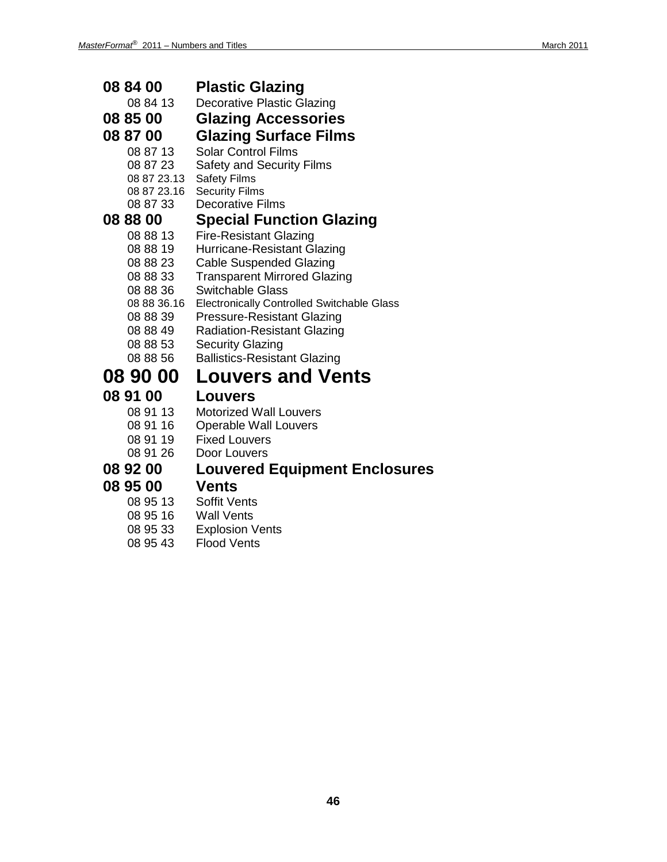| 08 84 00             | <b>Plastic Glazing</b>                                 |
|----------------------|--------------------------------------------------------|
| 08 84 13             | <b>Decorative Plastic Glazing</b>                      |
| 08 85 00             | <b>Glazing Accessories</b>                             |
| 08 87 00             | <b>Glazing Surface Films</b>                           |
| 08 87 13             | <b>Solar Control Films</b>                             |
| 08 87 23             | <b>Safety and Security Films</b>                       |
| 08 87 23.13          | <b>Safety Films</b>                                    |
| 08 87 23.16          | <b>Security Films</b>                                  |
| 08 87 33             | <b>Decorative Films</b>                                |
| 08 88 00             | <b>Special Function Glazing</b>                        |
| 08 88 13             | <b>Fire-Resistant Glazing</b>                          |
| 08 88 19             | Hurricane-Resistant Glazing                            |
| 08 88 23             | <b>Cable Suspended Glazing</b>                         |
| 08 88 33             | <b>Transparent Mirrored Glazing</b>                    |
| 08 88 36             | <b>Switchable Glass</b>                                |
|                      | 08 88 36.16 Electronically Controlled Switchable Glass |
| 08 88 39             | <b>Pressure-Resistant Glazing</b>                      |
| 08 88 49             | <b>Radiation-Resistant Glazing</b>                     |
| 08 88 53<br>08 88 56 | <b>Security Glazing</b>                                |
|                      | <b>Ballistics-Resistant Glazing</b>                    |
| 08 90 00             | <b>Louvers and Vents</b>                               |
| 08 91 00             | <b>Louvers</b>                                         |
| 08 91 13             | <b>Motorized Wall Louvers</b>                          |
| 08 91 16             | <b>Operable Wall Louvers</b>                           |
| 08 91 19             | <b>Fixed Louvers</b>                                   |
| 08 91 26             | Door Louvers                                           |
| 08 92 00             | <b>Louvered Equipment Enclosures</b>                   |
| 08 95 00             | Vents                                                  |
| 08 95 13             | Soffit Vents                                           |
| 08 95 16             | Wall Vents                                             |

- 08 95 33 Explosion Vents
- 08 95 43 Flood Vents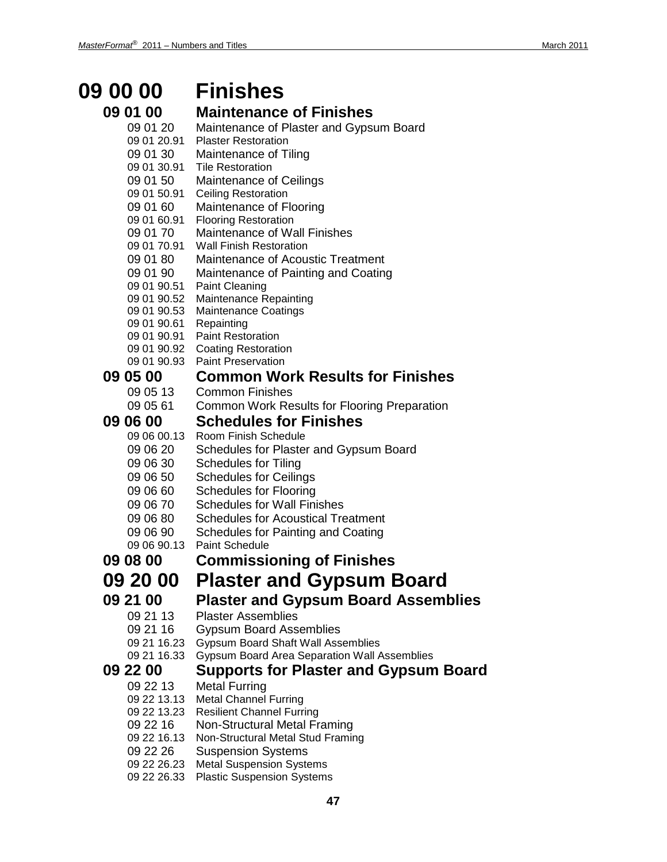# **09 00 00 Finishes**

| <b>09 01 00</b>            | <b>Maintenance of Finishes</b>                      |
|----------------------------|-----------------------------------------------------|
| 09 01 20                   | Maintenance of Plaster and Gypsum Board             |
| 09 01 20.91                | <b>Plaster Restoration</b>                          |
| 09 01 30                   | Maintenance of Tiling                               |
| 09 01 30.91                | <b>Tile Restoration</b>                             |
| 09 01 50                   | Maintenance of Ceilings                             |
| 09 01 50.91                | <b>Ceiling Restoration</b>                          |
| 09 01 60                   | Maintenance of Flooring                             |
| 09 01 60.91                | <b>Flooring Restoration</b>                         |
| 09 01 70                   | Maintenance of Wall Finishes                        |
| 09 01 70.91                | <b>Wall Finish Restoration</b>                      |
| 09 01 80                   | Maintenance of Acoustic Treatment                   |
| 09 01 90                   | Maintenance of Painting and Coating                 |
| 09 01 90.51                | <b>Paint Cleaning</b>                               |
| 09 01 90.52                | <b>Maintenance Repainting</b>                       |
| 09 01 90.53<br>09 01 90.61 | <b>Maintenance Coatings</b><br>Repainting           |
| 09 01 90.91                | <b>Paint Restoration</b>                            |
| 09 01 90.92                | <b>Coating Restoration</b>                          |
| 09 01 90.93                | <b>Paint Preservation</b>                           |
| <b>09 05 00</b>            | <b>Common Work Results for Finishes</b>             |
| 09 05 13                   | <b>Common Finishes</b>                              |
| 09 05 61                   | Common Work Results for Flooring Preparation        |
|                            |                                                     |
| <b>09 06 00</b>            | <b>Schedules for Finishes</b>                       |
| 09 06 00.13                | Room Finish Schedule                                |
| 09 06 20                   | Schedules for Plaster and Gypsum Board              |
| 09 06 30                   | <b>Schedules for Tiling</b>                         |
| 09 06 50                   | <b>Schedules for Ceilings</b>                       |
| 09 06 60                   | <b>Schedules for Flooring</b>                       |
| 09 06 70                   | <b>Schedules for Wall Finishes</b>                  |
| 09 06 80                   | <b>Schedules for Acoustical Treatment</b>           |
| 09 06 90                   | Schedules for Painting and Coating                  |
| 09 06 90.13                | <b>Paint Schedule</b>                               |
| 09 08 00                   | <b>Commissioning of Finishes</b>                    |
| <b>09 20 00</b>            | <b>Plaster and Gypsum Board</b>                     |
| <b>09 21 00</b>            | <b>Plaster and Gypsum Board Assemblies</b>          |
| 09 21 13                   | <b>Plaster Assemblies</b>                           |
| 09 21 16                   | <b>Gypsum Board Assemblies</b>                      |
| 09 21 16.23                | <b>Gypsum Board Shaft Wall Assemblies</b>           |
| 09 21 16.33                | <b>Gypsum Board Area Separation Wall Assemblies</b> |
| <b>09 22 00</b>            | <b>Supports for Plaster and Gypsum Board</b>        |
| 09 22 13                   | <b>Metal Furring</b>                                |
| 09 22 13.13                | <b>Metal Channel Furring</b>                        |
| 09 22 13.23                | <b>Resilient Channel Furring</b>                    |
| 09 22 16                   | Non-Structural Metal Framing                        |
| 09 22 16.13                | Non-Structural Metal Stud Framing                   |
| 09 22 26                   | <b>Suspension Systems</b>                           |
| 09 22 26.23                | <b>Metal Suspension Systems</b>                     |
| 09 22 26.33                | <b>Plastic Suspension Systems</b>                   |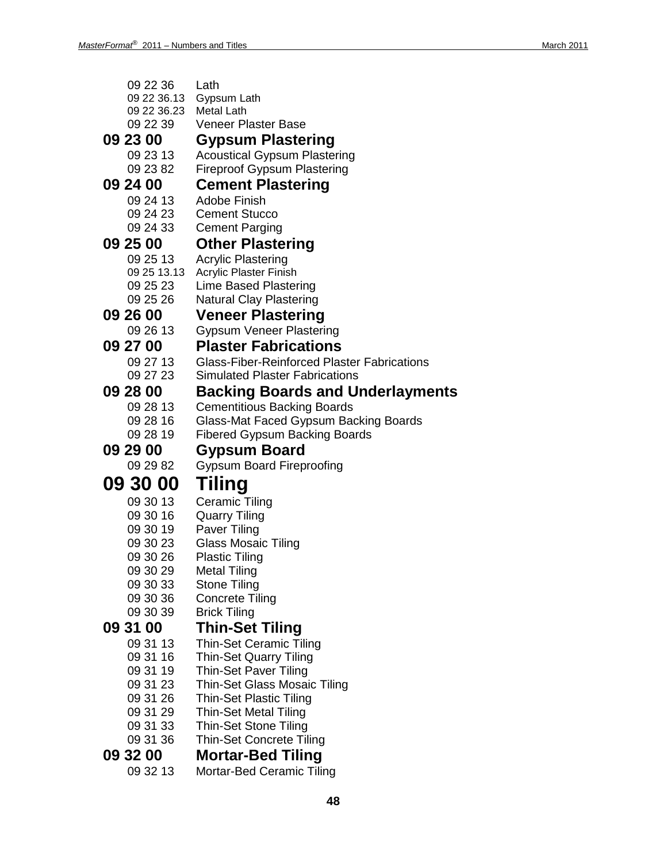| 09 22 36        | Lath                                               |
|-----------------|----------------------------------------------------|
| 09 22 36.13     | Gypsum Lath                                        |
| 09 22 36.23     | <b>Metal Lath</b><br><b>Veneer Plaster Base</b>    |
| 09 22 39        |                                                    |
| 09 23 00        | <b>Gypsum Plastering</b>                           |
| 09 23 13        | <b>Acoustical Gypsum Plastering</b>                |
| 09 23 82        | <b>Fireproof Gypsum Plastering</b>                 |
| 09 24 00        | <b>Cement Plastering</b>                           |
| 09 24 13        | Adobe Finish                                       |
| 09 24 23        | <b>Cement Stucco</b>                               |
| 09 24 33        | <b>Cement Parging</b>                              |
| <b>09 25 00</b> | <b>Other Plastering</b>                            |
| 09 25 13        | <b>Acrylic Plastering</b>                          |
| 09 25 13.13     | Acrylic Plaster Finish                             |
| 09 25 23        | Lime Based Plastering                              |
| 09 25 26        | <b>Natural Clay Plastering</b>                     |
| 09 26 00        | <b>Veneer Plastering</b>                           |
| 09 26 13        | <b>Gypsum Veneer Plastering</b>                    |
| <b>09 27 00</b> | <b>Plaster Fabrications</b>                        |
| 09 27 13        | <b>Glass-Fiber-Reinforced Plaster Fabrications</b> |
| 09 27 23        | <b>Simulated Plaster Fabrications</b>              |
| <b>09 28 00</b> | <b>Backing Boards and Underlayments</b>            |
| 09 28 13        | <b>Cementitious Backing Boards</b>                 |
| 09 28 16        | Glass-Mat Faced Gypsum Backing Boards              |
| 09 28 19        | <b>Fibered Gypsum Backing Boards</b>               |
| <b>09 29 00</b> | Gypsum Board                                       |
| 09 29 82        | <b>Gypsum Board Fireproofing</b>                   |
| 09 30 00        | Tiling                                             |
| 09 30 13        | <b>Ceramic Tiling</b>                              |
| 09 30 16        | <b>Quarry Tiling</b>                               |
| 09 30 19        | Paver Tiling                                       |
| 09 30 23        | Glass Mosaic Tiling                                |
| 09 30 26        | <b>Plastic Tiling</b>                              |
| 09 30 29        | <b>Metal Tiling</b>                                |
| 09 30 33        | <b>Stone Tiling</b>                                |
| 09 30 36        | <b>Concrete Tiling</b>                             |
| 09 30 39        | <b>Brick Tiling</b>                                |
| 09 31 00        | <b>Thin-Set Tiling</b>                             |
| 09 31 13        | <b>Thin-Set Ceramic Tiling</b>                     |
| 09 31 16        | <b>Thin-Set Quarry Tiling</b>                      |
| 09 31 19        | <b>Thin-Set Paver Tiling</b>                       |
| 09 31 23        | Thin-Set Glass Mosaic Tiling                       |
| 09 31 26        | <b>Thin-Set Plastic Tiling</b>                     |
| 09 31 29        | <b>Thin-Set Metal Tiling</b>                       |
| 09 31 33        | <b>Thin-Set Stone Tiling</b>                       |
| 09 31 36        | <b>Thin-Set Concrete Tiling</b>                    |
| 09 32 00        | <b>Mortar-Bed Tiling</b>                           |
| 09 32 13        | Mortar-Bed Ceramic Tiling                          |
|                 |                                                    |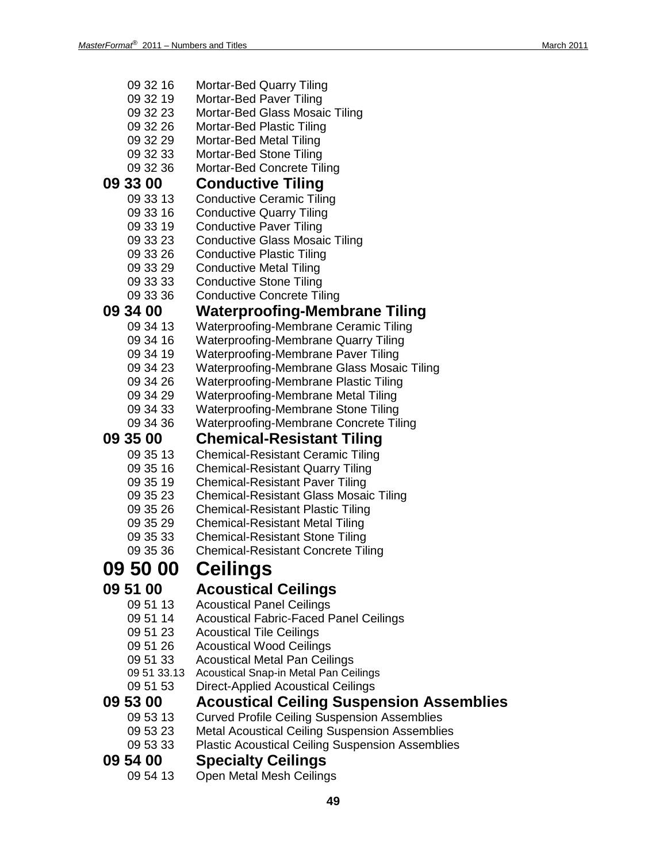| 09 32 16        | <b>Mortar-Bed Quarry Tiling</b>                         |
|-----------------|---------------------------------------------------------|
| 09 32 19        | Mortar-Bed Paver Tiling                                 |
| 09 32 23        | Mortar-Bed Glass Mosaic Tiling                          |
| 09 32 26        | Mortar-Bed Plastic Tiling                               |
| 09 32 29        | Mortar-Bed Metal Tiling                                 |
| 09 32 33        | Mortar-Bed Stone Tiling                                 |
| 09 32 36        | Mortar-Bed Concrete Tiling                              |
| 09 33 00        | <b>Conductive Tiling</b>                                |
| 09 33 13        | <b>Conductive Ceramic Tiling</b>                        |
| 09 33 16        | <b>Conductive Quarry Tiling</b>                         |
| 09 33 19        | <b>Conductive Paver Tiling</b>                          |
| 09 33 23        | <b>Conductive Glass Mosaic Tiling</b>                   |
| 09 33 26        | <b>Conductive Plastic Tiling</b>                        |
| 09 33 29        | <b>Conductive Metal Tiling</b>                          |
| 09 33 33        | <b>Conductive Stone Tiling</b>                          |
| 09 33 36        | <b>Conductive Concrete Tiling</b>                       |
| <b>09 34 00</b> | <b>Waterproofing-Membrane Tiling</b>                    |
| 09 34 13        | Waterproofing-Membrane Ceramic Tiling                   |
| 09 34 16        | Waterproofing-Membrane Quarry Tiling                    |
| 09 34 19        | Waterproofing-Membrane Paver Tiling                     |
| 09 34 23        | Waterproofing-Membrane Glass Mosaic Tiling              |
| 09 34 26        | Waterproofing-Membrane Plastic Tiling                   |
| 09 34 29        | Waterproofing-Membrane Metal Tiling                     |
| 09 34 33        | Waterproofing-Membrane Stone Tiling                     |
| 09 34 36        | <b>Waterproofing-Membrane Concrete Tiling</b>           |
|                 |                                                         |
|                 |                                                         |
| 09 35 00        | <b>Chemical-Resistant Tiling</b>                        |
| 09 35 13        | <b>Chemical-Resistant Ceramic Tiling</b>                |
| 09 35 16        | <b>Chemical-Resistant Quarry Tiling</b>                 |
| 09 35 19        | <b>Chemical-Resistant Paver Tiling</b>                  |
| 09 35 23        | <b>Chemical-Resistant Glass Mosaic Tiling</b>           |
| 09 35 26        | <b>Chemical-Resistant Plastic Tiling</b>                |
| 09 35 29        | <b>Chemical-Resistant Metal Tiling</b>                  |
| 09 35 33        | <b>Chemical-Resistant Stone Tiling</b>                  |
| 09 35 36        | <b>Chemical-Resistant Concrete Tiling</b>               |
| 09 50 00        | <b>Ceilings</b>                                         |
| 09 51 00        | <b>Acoustical Ceilings</b>                              |
| 09 51 13        | <b>Acoustical Panel Ceilings</b>                        |
| 09 51 14        | <b>Acoustical Fabric-Faced Panel Ceilings</b>           |
| 09 51 23        | <b>Acoustical Tile Ceilings</b>                         |
| 09 51 26        | <b>Acoustical Wood Ceilings</b>                         |
| 09 51 33        | <b>Acoustical Metal Pan Ceilings</b>                    |
| 09 51 33.13     | Acoustical Snap-in Metal Pan Ceilings                   |
| 09 51 53        | <b>Direct-Applied Acoustical Ceilings</b>               |
| 09 53 00        | <b>Acoustical Ceiling Suspension Assemblies</b>         |
| 09 53 13        | <b>Curved Profile Ceiling Suspension Assemblies</b>     |
| 09 53 23        | <b>Metal Acoustical Ceiling Suspension Assemblies</b>   |
| 09 53 33        | <b>Plastic Acoustical Ceiling Suspension Assemblies</b> |
| 09 54 00        |                                                         |
| 09 54 13        | <b>Specialty Ceilings</b><br>Open Metal Mesh Ceilings   |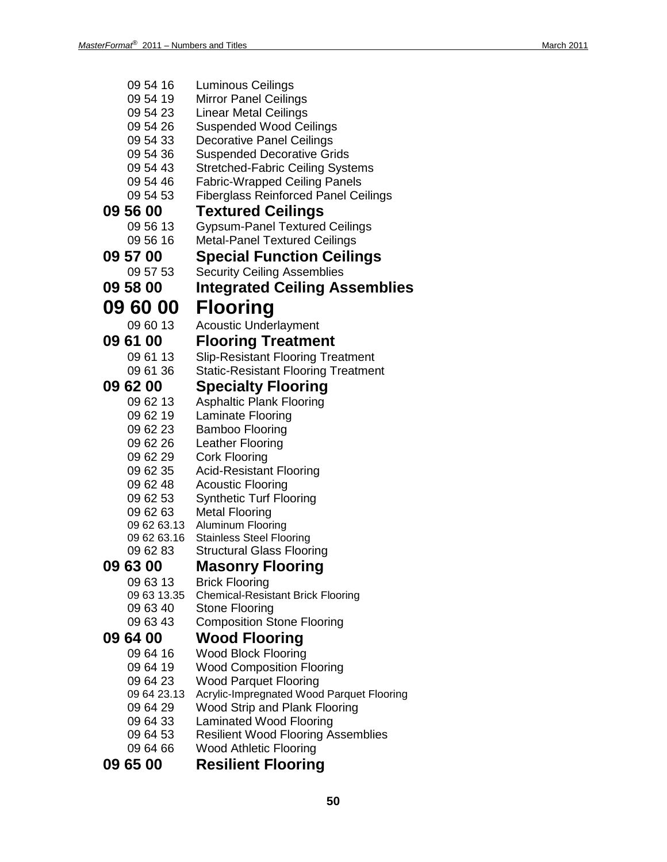| 09 54 16             | Luminous Ceilings                                                          |
|----------------------|----------------------------------------------------------------------------|
| 09 54 19             | <b>Mirror Panel Ceilings</b>                                               |
| 09 54 23             | Linear Metal Ceilings                                                      |
| 09 54 26             | <b>Suspended Wood Ceilings</b>                                             |
| 09 54 33             | Decorative Panel Ceilings                                                  |
| 09 54 36             | <b>Suspended Decorative Grids</b>                                          |
| 09 54 43             | Stretched-Fabric Ceiling Systems                                           |
| 09 54 46             | <b>Fabric-Wrapped Ceiling Panels</b>                                       |
| 09 54 53             | <b>Fiberglass Reinforced Panel Ceilings</b>                                |
| 09 56 00             | <b>Textured Ceilings</b>                                                   |
| 09 56 13             | <b>Gypsum-Panel Textured Ceilings</b>                                      |
| 09 56 16             | <b>Metal-Panel Textured Ceilings</b>                                       |
| 09 57 00             | <b>Special Function Ceilings</b>                                           |
| 09 57 53             | <b>Security Ceiling Assemblies</b>                                         |
| 09 58 00             | Integrated Ceiling Assemblies                                              |
|                      |                                                                            |
| <b>09 60 00</b>      | <b>Flooring</b>                                                            |
| 09 60 13             | <b>Acoustic Underlayment</b>                                               |
| <b>09 61 00</b>      | <b>Flooring Treatment</b>                                                  |
| 09 61 13             | <b>Slip-Resistant Flooring Treatment</b>                                   |
| 09 61 36             | <b>Static-Resistant Flooring Treatment</b>                                 |
| 09 62 00             | <b>Specialty Flooring</b>                                                  |
| 09 62 13             | <b>Asphaltic Plank Flooring</b>                                            |
| 09 62 19             | Laminate Flooring                                                          |
| 09 62 23             | Bamboo Flooring                                                            |
| 09 62 26             | Leather Flooring                                                           |
| 09 62 29             | Cork Flooring                                                              |
| 09 62 35             | <b>Acid-Resistant Flooring</b>                                             |
| 09 62 48             | <b>Acoustic Flooring</b>                                                   |
| 09 62 53             | <b>Synthetic Turf Flooring</b>                                             |
| 09 62 63             | <b>Metal Flooring</b>                                                      |
| 09 62 63.13          | <b>Aluminum Flooring</b>                                                   |
| 09 62 63.16          | <b>Stainless Steel Flooring</b>                                            |
| 09 62 83             | <b>Structural Glass Flooring</b>                                           |
| 09 63 00             | <b>Masonry Flooring</b>                                                    |
| 09 63 13             | <b>Brick Flooring</b>                                                      |
| 09 63 13.35          | <b>Chemical-Resistant Brick Flooring</b>                                   |
| 09 63 40             | <b>Stone Flooring</b>                                                      |
| 09 63 43             | <b>Composition Stone Flooring</b>                                          |
| 09 64 00             | <b>Wood Flooring</b>                                                       |
| 09 64 16             | <b>Wood Block Flooring</b>                                                 |
| 09 64 19             | <b>Wood Composition Flooring</b>                                           |
| 09 64 23             | <b>Wood Parquet Flooring</b>                                               |
| 09 64 23.13          | Acrylic-Impregnated Wood Parquet Flooring                                  |
| 09 64 29             | Wood Strip and Plank Flooring                                              |
| 09 64 33<br>09 64 53 | Laminated Wood Flooring                                                    |
| 09 64 66             | <b>Resilient Wood Flooring Assemblies</b><br><b>Wood Athletic Flooring</b> |
|                      |                                                                            |
| 09 65 00             | <b>Resilient Flooring</b>                                                  |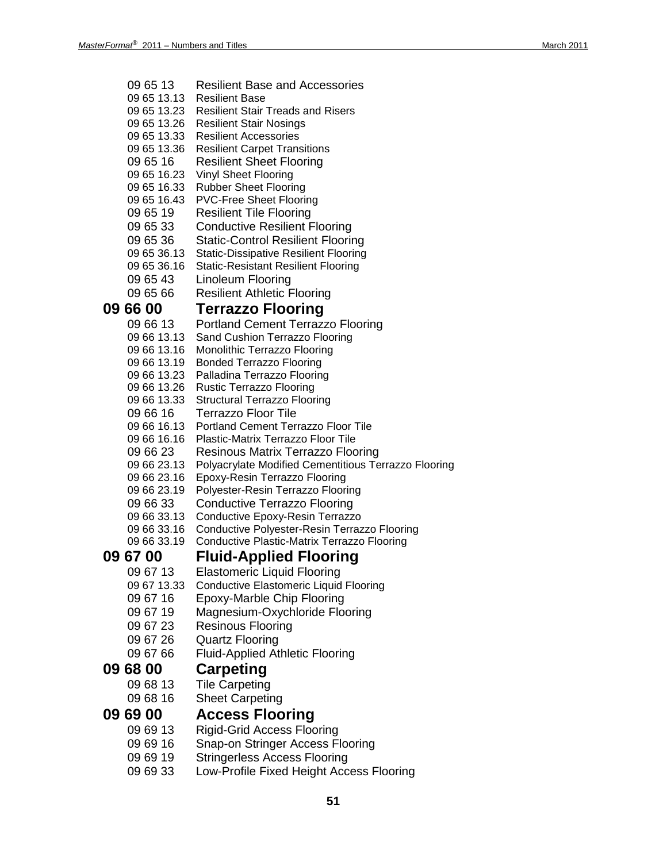| 09 65 13                   | <b>Resilient Base and Accessories</b>                |
|----------------------------|------------------------------------------------------|
| 09 65 13.13                | <b>Resilient Base</b>                                |
| 09 65 13.23                | <b>Resilient Stair Treads and Risers</b>             |
| 09 65 13.26                | <b>Resilient Stair Nosings</b>                       |
| 09 65 13.33                | <b>Resilient Accessories</b>                         |
| 09 65 13.36                | <b>Resilient Carpet Transitions</b>                  |
| 09 65 16                   | <b>Resilient Sheet Flooring</b>                      |
| 09 65 16.23                | <b>Vinyl Sheet Flooring</b>                          |
| 09 65 16.33                | <b>Rubber Sheet Flooring</b>                         |
| 09 65 16.43                | <b>PVC-Free Sheet Flooring</b>                       |
| 09 65 19                   | <b>Resilient Tile Flooring</b>                       |
| 09 65 33                   | <b>Conductive Resilient Flooring</b>                 |
| 09 65 36                   | <b>Static-Control Resilient Flooring</b>             |
| 09 65 36.13                | <b>Static-Dissipative Resilient Flooring</b>         |
| 09 65 36.16                | <b>Static-Resistant Resilient Flooring</b>           |
| 09 65 43                   | Linoleum Flooring                                    |
| 09 65 66                   | <b>Resilient Athletic Flooring</b>                   |
| <b>09 66 00</b>            | <b>Terrazzo Flooring</b>                             |
| 09 66 13                   | <b>Portland Cement Terrazzo Flooring</b>             |
| 09 66 13.13                | Sand Cushion Terrazzo Flooring                       |
| 09 66 13.16                | <b>Monolithic Terrazzo Flooring</b>                  |
| 09 66 13.19                | <b>Bonded Terrazzo Flooring</b>                      |
| 09 66 13.23                | Palladina Terrazzo Flooring                          |
| 09 66 13.26                | <b>Rustic Terrazzo Flooring</b>                      |
| 09 66 13.33                | <b>Structural Terrazzo Flooring</b>                  |
| 09 66 16                   | Terrazzo Floor Tile                                  |
| 09 66 16.13                | <b>Portland Cement Terrazzo Floor Tile</b>           |
| 09 66 16.16                | Plastic-Matrix Terrazzo Floor Tile                   |
| 09 66 23                   | Resinous Matrix Terrazzo Flooring                    |
| 09 66 23.13                | Polyacrylate Modified Cementitious Terrazzo Flooring |
| 09 66 23.16                | Epoxy-Resin Terrazzo Flooring                        |
| 09 66 23.19                | Polyester-Resin Terrazzo Flooring                    |
| 09 66 33                   | <b>Conductive Terrazzo Flooring</b>                  |
| 09 66 33.13                | Conductive Epoxy-Resin Terrazzo                      |
| 09 66 33.16<br>09 66 33.19 | Conductive Polyester-Resin Terrazzo Flooring         |
|                            | Conductive Plastic-Matrix Terrazzo Flooring          |
| 09 67 00                   | <b>Fluid-Applied Flooring</b>                        |
| 09 67 13                   | <b>Elastomeric Liquid Flooring</b>                   |
| 09 67 13.33                | <b>Conductive Elastomeric Liquid Flooring</b>        |
| 09 67 16                   | <b>Epoxy-Marble Chip Flooring</b>                    |
| 09 67 19                   | Magnesium-Oxychloride Flooring                       |
| 09 67 23                   | <b>Resinous Flooring</b>                             |
| 09 67 26                   | <b>Quartz Flooring</b>                               |
| 09 67 66                   | <b>Fluid-Applied Athletic Flooring</b>               |
| <b>09 68 00</b>            | <b>Carpeting</b>                                     |
| 09 68 13                   | <b>Tile Carpeting</b>                                |
| 09 68 16                   | <b>Sheet Carpeting</b>                               |
| <b>09 69 00</b>            | <b>Access Flooring</b>                               |
|                            |                                                      |
| 09 69 13                   | <b>Rigid-Grid Access Flooring</b>                    |
| 09 69 16                   | Snap-on Stringer Access Flooring                     |
| 09 69 19                   | <b>Stringerless Access Flooring</b>                  |

09 69 33 Low-Profile Fixed Height Access Flooring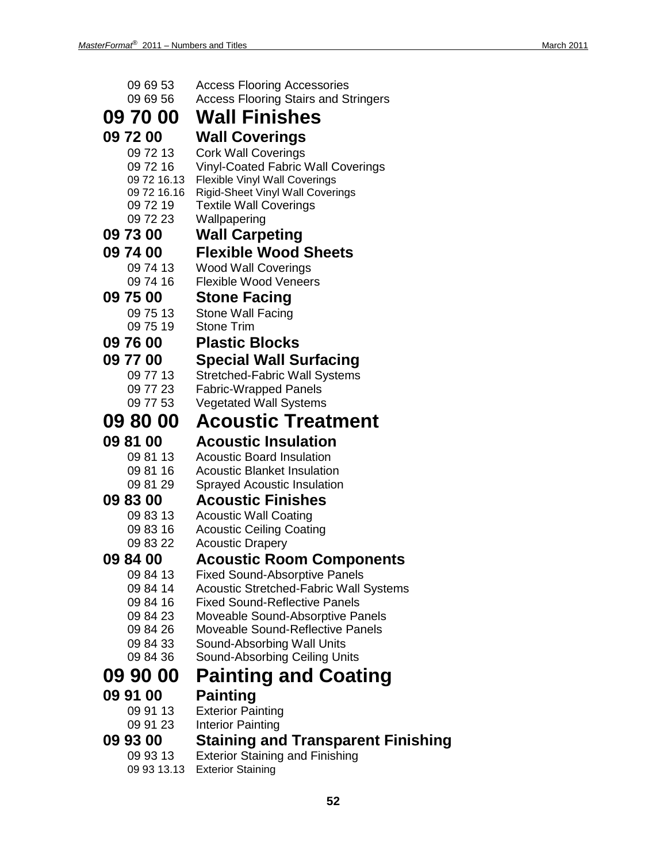| 09 69 53                | <b>Access Flooring Accessories</b>                                                |
|-------------------------|-----------------------------------------------------------------------------------|
| 09 69 56                | <b>Access Flooring Stairs and Stringers</b>                                       |
| 09 70 00                | <b>Wall Finishes</b>                                                              |
| 09 72 00                | Wall Coverings                                                                    |
| 09 72 13                | <b>Cork Wall Coverings</b>                                                        |
| 09 72 16<br>09 72 16.13 | <b>Vinyl-Coated Fabric Wall Coverings</b><br><b>Flexible Vinyl Wall Coverings</b> |
| 09 72 16.16             | <b>Rigid-Sheet Vinyl Wall Coverings</b>                                           |
| 09 72 19                | <b>Textile Wall Coverings</b>                                                     |
| 09 72 23                | Wallpapering                                                                      |
| 09 73 00                | <b>Wall Carpeting</b>                                                             |
| 09 74 00                | <b>Flexible Wood Sheets</b>                                                       |
| 09 74 13                | <b>Wood Wall Coverings</b>                                                        |
| 09 74 16                | <b>Flexible Wood Veneers</b>                                                      |
| 09 75 00                | <b>Stone Facing</b>                                                               |
| 09 75 13<br>09 75 19    | <b>Stone Wall Facing</b><br><b>Stone Trim</b>                                     |
| 09 76 00                | <b>Plastic Blocks</b>                                                             |
| 09 77 00                | <b>Special Wall Surfacing</b>                                                     |
| 09 77 13                | <b>Stretched-Fabric Wall Systems</b>                                              |
| 09 77 23                | <b>Fabric-Wrapped Panels</b>                                                      |
| 09 77 53                | <b>Vegetated Wall Systems</b>                                                     |
| 09 80 00                | <b>Acoustic Treatment</b>                                                         |
| 09 81 00                | <b>Acoustic Insulation</b>                                                        |
| 09 81 13                | <b>Acoustic Board Insulation</b>                                                  |
| 09 81 16                | <b>Acoustic Blanket Insulation</b>                                                |
| 09 81 29                | <b>Sprayed Acoustic Insulation</b>                                                |
| 09 83 00                | <b>Acoustic Finishes</b>                                                          |
| 09 83 13<br>09 83 16    | <b>Acoustic Wall Coating</b><br><b>Acoustic Ceiling Coating</b>                   |
| 09 83 22                | <b>Acoustic Drapery</b>                                                           |
| 098400                  | <b>Acoustic Room Components</b>                                                   |
| 09 84 13                | <b>Fixed Sound-Absorptive Panels</b>                                              |
| 09 84 14                | Acoustic Stretched-Fabric Wall Systems                                            |
| 09 84 16                | <b>Fixed Sound-Reflective Panels</b>                                              |
| 09 84 23<br>09 84 26    | Moveable Sound-Absorptive Panels<br>Moveable Sound-Reflective Panels              |
| 09 84 33                | Sound-Absorbing Wall Units                                                        |
| 09 84 36                | Sound-Absorbing Ceiling Units                                                     |
| 09 90 00                | <b>Painting and Coating</b>                                                       |
| 09 91 00                | <b>Painting</b>                                                                   |
| 09 91 13                | <b>Exterior Painting</b>                                                          |
| 09 91 23                | Interior Painting                                                                 |
| 09 93 00                | Staining and Transparent Finishing                                                |
| 09 93 13                | <b>Exterior Staining and Finishing</b>                                            |
| 09 93 13.13             | <b>Exterior Staining</b>                                                          |

**52**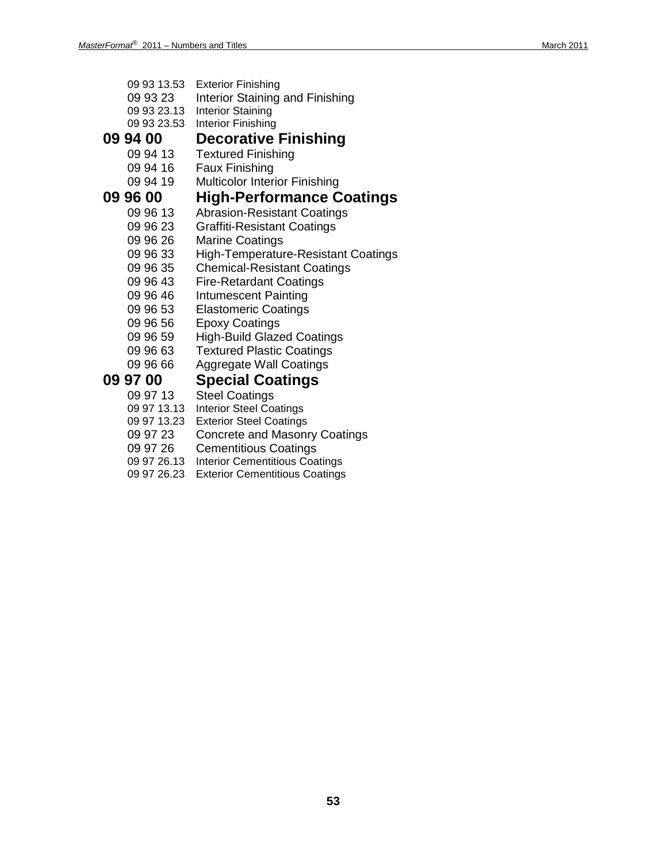- 09 93 13.53 Exterior Finishing
- 09 93 23 Interior Staining and Finishing
- 09 93 23.13 Interior Staining
- 09 93 23.53 Interior Finishing

# **09 94 00 Decorative Finishing**

- **Textured Finishing**
- 09 94 16 Faux Finishing
- 09 94 19 Multicolor Interior Finishing

# **09 96 00 High-Performance Coatings**

- Abrasion-Resistant Coatings
- 09 96 23 Graffiti-Resistant Coatings<br>09 96 26 Marine Coatings
- **Marine Coatings**
- 09 96 33 High-Temperature-Resistant Coatings
- 09 96 35 Chemical-Resistant Coatings<br>09 96 43 Fire-Retardant Coatings
- **Fire-Retardant Coatings**
- 09 96 46 Intumescent Painting
- 09 96 53 Elastomeric Coatings
- 09 96 56 Epoxy Coatings
- 09 96 59 High-Build Glazed Coatings
- 09 96 63 Textured Plastic Coatings
- 09 96 66 Aggregate Wall Coatings

- **09 97 00 Special Coatings Steel Coatings** 
	- 09 97 13.13 Interior Steel Coatings
	- 09 97 13.23 Exterior Steel Coatings
	- 09 97 23 Concrete and Masonry Coatings<br>09 97 26 Cementitious Coatings
	- **Cementitious Coatings**
	- 09 97 26.13 Interior Cementitious Coatings
	- 09 97 26.23 Exterior Cementitious Coatings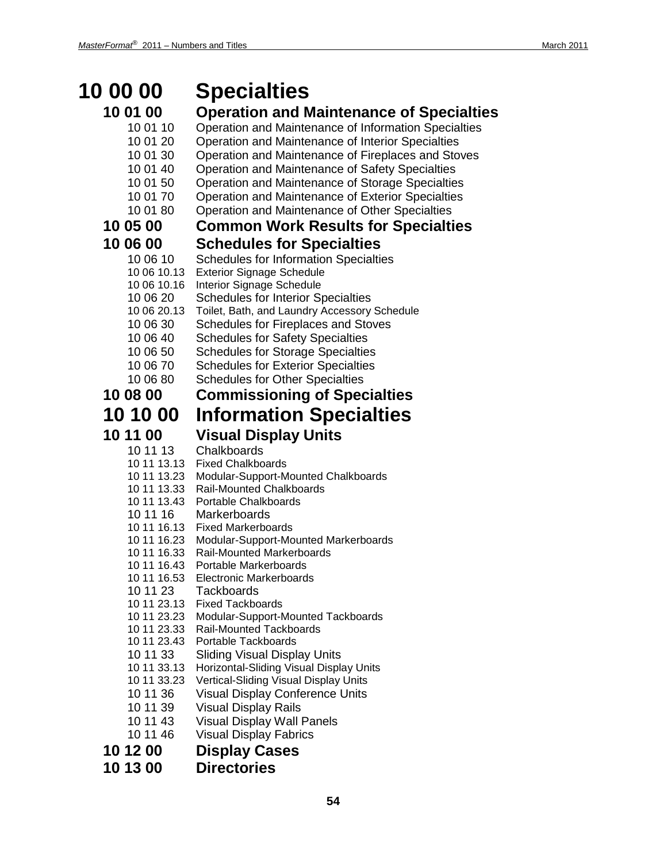### **10 00 00 Specialties 10 01 00 Operation and Maintenance of Specialties** 10 01 10 Operation and Maintenance of Information Specialties 10 01 20 Operation and Maintenance of Interior Specialties 10 01 30 Operation and Maintenance of Fireplaces and Stoves 10 01 40 Operation and Maintenance of Safety Specialties 10 01 50 Operation and Maintenance of Storage Specialties 10 01 70 Operation and Maintenance of Exterior Specialties 10 01 80 Operation and Maintenance of Other Specialties **10 05 00 Common Work Results for Specialties 10 06 00 Schedules for Specialties** 10 06 10 Schedules for Information Specialties 10 06 10.13 Exterior Signage Schedule 10 06 10.16 Interior Signage Schedule 10 06 20 Schedules for Interior Specialties 10 06 20.13 Toilet, Bath, and Laundry Accessory Schedule 10 06 30 Schedules for Fireplaces and Stoves 10 06 40 Schedules for Safety Specialties 10 06 50 Schedules for Storage Specialties 10 06 70 Schedules for Exterior Specialties 10 06 80 Schedules for Other Specialties **10 08 00 Commissioning of Specialties 10 10 00 Information Specialties 10 11 00 Visual Display Units** 10 11 13 Chalkboards 10 11 13.13 Fixed Chalkboards 10 11 13.23 Modular-Support-Mounted Chalkboards 10 11 13.33 Rail-Mounted Chalkboards 10 11 13.43 Portable Chalkboards 10 11 16 Markerboards 10 11 16.13 Fixed Markerboards 10 11 16.23 Modular-Support-Mounted Markerboards 10 11 16.33 Rail-Mounted Markerboards 10 11 16.43 Portable Markerboards 10 11 16.53 Electronic Markerboards 10 11 23 Tackboards 10 11 23.13 Fixed Tackboards 10 11 23.23 Modular-Support-Mounted Tackboards 10 11 23.33 Rail-Mounted Tackboards 10 11 23.43 Portable Tackboards 10 11 33 Sliding Visual Display Units 10 11 33.13 Horizontal-Sliding Visual Display Units 10 11 33.23 Vertical-Sliding Visual Display Units 10 11 36 Visual Display Conference Units 10 11 39 Visual Display Rails 10 11 43 Visual Display Wall Panels 10 11 46 Visual Display Fabrics **10 12 00 Display Cases 10 13 00 Directories**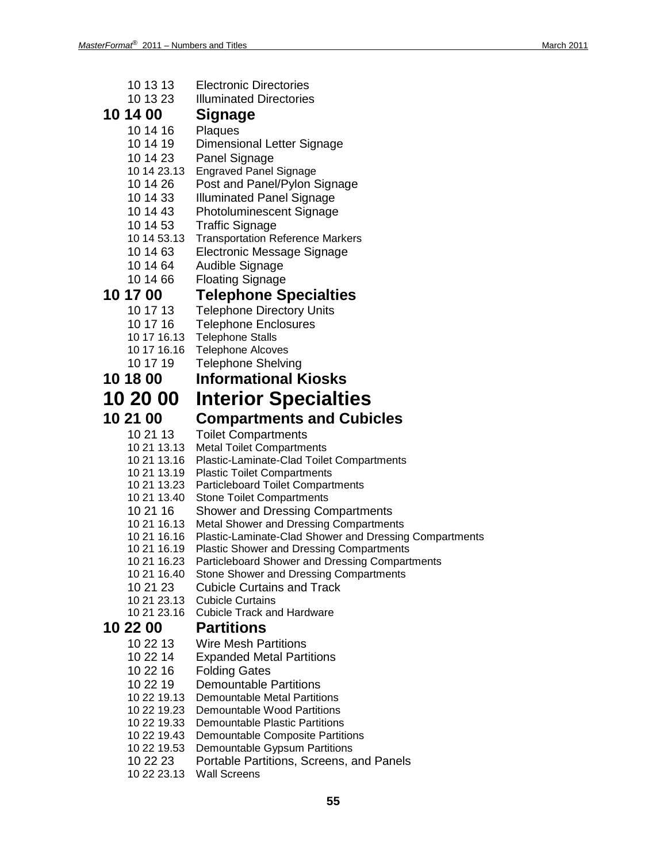| 10 13 13<br>10 13 23       | <b>Electronic Directories</b><br><b>Illuminated Directories</b>                                   |
|----------------------------|---------------------------------------------------------------------------------------------------|
| 10 14 00                   | <b>Signage</b>                                                                                    |
| 10 14 16                   | Plaques                                                                                           |
| 10 14 19                   | Dimensional Letter Signage                                                                        |
| 10 14 23                   | Panel Signage                                                                                     |
| 10 14 23.13                | <b>Engraved Panel Signage</b>                                                                     |
| 10 14 26                   | Post and Panel/Pylon Signage                                                                      |
| 10 14 33                   | <b>Illuminated Panel Signage</b>                                                                  |
| 10 14 43                   | <b>Photoluminescent Signage</b>                                                                   |
| 10 14 53                   | <b>Traffic Signage</b>                                                                            |
| 10 14 53.13<br>10 14 63    | <b>Transportation Reference Markers</b>                                                           |
| 10 14 64                   | Electronic Message Signage<br>Audible Signage                                                     |
| 10 14 66                   | <b>Floating Signage</b>                                                                           |
| 10 17 00                   | <b>Telephone Specialties</b>                                                                      |
| 10 17 13                   | <b>Telephone Directory Units</b>                                                                  |
| 10 17 16                   | <b>Telephone Enclosures</b>                                                                       |
| 10 17 16.13                | <b>Telephone Stalls</b>                                                                           |
| 10 17 16.16                | <b>Telephone Alcoves</b>                                                                          |
| 10 17 19                   | <b>Telephone Shelving</b>                                                                         |
| 10 18 00                   | <b>Informational Kiosks</b>                                                                       |
| 10 20 00                   | <b>Interior Specialties</b>                                                                       |
| 10 21 00                   | <b>Compartments and Cubicles</b>                                                                  |
| 10 21 13                   | <b>Toilet Compartments</b>                                                                        |
| 10 21 13.13                | <b>Metal Toilet Compartments</b>                                                                  |
| 10 21 13.16                | Plastic-Laminate-Clad Toilet Compartments                                                         |
| 10 21 13.19<br>10 21 13.23 | <b>Plastic Toilet Compartments</b><br><b>Particleboard Toilet Compartments</b>                    |
| 10 21 13.40                | <b>Stone Toilet Compartments</b>                                                                  |
| 10 21 16                   | <b>Shower and Dressing Compartments</b>                                                           |
| 10 21 16.13                | <b>Metal Shower and Dressing Compartments</b>                                                     |
| 10 21 16.16                | Plastic-Laminate-Clad Shower and Dressing Compartments                                            |
| 10 21 16.19<br>10 21 16 23 | <b>Plastic Shower and Dressing Compartments</b><br>Particleboard Shower and Dressing Compartments |
| 10 21 16.40                | <b>Stone Shower and Dressing Compartments</b>                                                     |
| 10 21 23                   | <b>Cubicle Curtains and Track</b>                                                                 |
| 10 21 23.13                | <b>Cubicle Curtains</b>                                                                           |
| 10 21 23.16                | <b>Cubicle Track and Hardware</b>                                                                 |
| 10 22 00                   | <b>Partitions</b>                                                                                 |
| 10 22 13                   | <b>Wire Mesh Partitions</b>                                                                       |
| 10 22 14                   | <b>Expanded Metal Partitions</b>                                                                  |
| 10 22 16<br>10 22 19       | <b>Folding Gates</b><br><b>Demountable Partitions</b>                                             |
| 10 22 19.13                | <b>Demountable Metal Partitions</b>                                                               |
| 10 22 19.23                | Demountable Wood Partitions                                                                       |
| 10 22 19.33                | <b>Demountable Plastic Partitions</b>                                                             |
| 10 22 19.43                | <b>Demountable Composite Partitions</b>                                                           |
| 10 22 19.53                | Demountable Gypsum Partitions                                                                     |
| 10 22 23<br>10 22 23.13    | Portable Partitions, Screens, and Panels<br><b>Wall Screens</b>                                   |
|                            |                                                                                                   |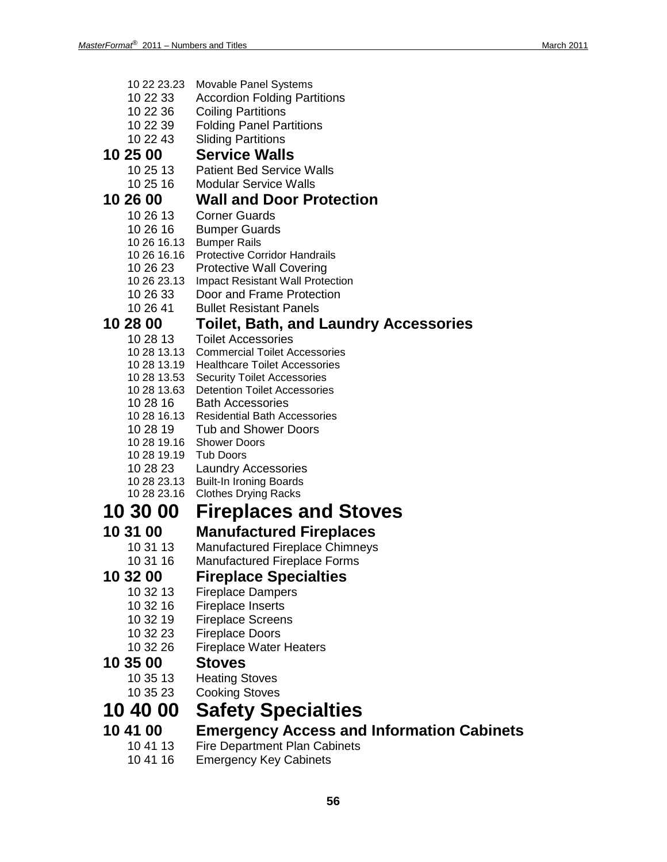|          | 10 22 23.23          | <b>Movable Panel Systems</b>                                           |  |  |
|----------|----------------------|------------------------------------------------------------------------|--|--|
|          | 10 22 33             | <b>Accordion Folding Partitions</b>                                    |  |  |
|          | 10 22 36             | <b>Coiling Partitions</b><br><b>Folding Panel Partitions</b>           |  |  |
|          | 10 22 39<br>10 22 43 | <b>Sliding Partitions</b>                                              |  |  |
| 10 25 00 |                      | <b>Service Walls</b>                                                   |  |  |
|          |                      |                                                                        |  |  |
|          | 10 25 13<br>10 25 16 | <b>Patient Bed Service Walls</b><br><b>Modular Service Walls</b>       |  |  |
| 10 26 00 |                      | <b>Wall and Door Protection</b>                                        |  |  |
|          | 10 26 13             | <b>Corner Guards</b>                                                   |  |  |
|          | 10 26 16             | <b>Bumper Guards</b>                                                   |  |  |
|          |                      | 10 26 16.13 Bumper Rails                                               |  |  |
|          | 10 26 16.16          | <b>Protective Corridor Handrails</b>                                   |  |  |
|          | 10 26 23             | <b>Protective Wall Covering</b>                                        |  |  |
|          | 10 26 23.13          | <b>Impact Resistant Wall Protection</b>                                |  |  |
|          | 10 26 33             | Door and Frame Protection                                              |  |  |
|          | 10 26 41             | <b>Bullet Resistant Panels</b>                                         |  |  |
| 10 28 00 |                      | <b>Toilet, Bath, and Laundry Accessories</b>                           |  |  |
|          | 10 28 13             | <b>Toilet Accessories</b><br>10 28 13.13 Commercial Toilet Accessories |  |  |
|          |                      | 10 28 13.19 Healthcare Toilet Accessories                              |  |  |
|          |                      | 10 28 13.53 Security Toilet Accessories                                |  |  |
|          | 10 28 13.63          | <b>Detention Toilet Accessories</b>                                    |  |  |
|          | 10 28 16             | <b>Bath Accessories</b>                                                |  |  |
|          | 10 28 16 13          | <b>Residential Bath Accessories</b>                                    |  |  |
|          | 10 28 19             | <b>Tub and Shower Doors</b><br>10 28 19.16 Shower Doors                |  |  |
|          | 10 28 19.19          | <b>Tub Doors</b>                                                       |  |  |
|          | 10 28 23             | <b>Laundry Accessories</b>                                             |  |  |
|          | 10 28 23.13          | <b>Built-In Ironing Boards</b>                                         |  |  |
|          | 10 28 23.16          | <b>Clothes Drying Racks</b>                                            |  |  |
|          | 10 30 00             | <b>Fireplaces and Stoves</b>                                           |  |  |
| 10 31 00 |                      | <b>Manufactured Fireplaces</b>                                         |  |  |
|          | 10 31 13             | <b>Manufactured Fireplace Chimneys</b>                                 |  |  |
|          | 10 31 16             | <b>Manufactured Fireplace Forms</b>                                    |  |  |
| 10 32 00 |                      | <b>Fireplace Specialties</b>                                           |  |  |
|          | 10 32 13             | <b>Fireplace Dampers</b>                                               |  |  |
|          | 10 32 16             | <b>Fireplace Inserts</b>                                               |  |  |
|          | 10 32 19<br>10 32 23 | <b>Fireplace Screens</b><br><b>Fireplace Doors</b>                     |  |  |
|          | 10 32 26             | <b>Fireplace Water Heaters</b>                                         |  |  |
| 10 35 00 |                      | <b>Stoves</b>                                                          |  |  |
|          | 10 35 13             | <b>Heating Stoves</b>                                                  |  |  |
|          | 10 35 23             | <b>Cooking Stoves</b>                                                  |  |  |
|          | 10 40 00             | <b>Safety Specialties</b>                                              |  |  |
| 10 41 00 |                      | <b>Emergency Access and Information Cabinets</b>                       |  |  |
|          | 10 41 13             | <b>Fire Department Plan Cabinets</b>                                   |  |  |

10 41 16 Emergency Key Cabinets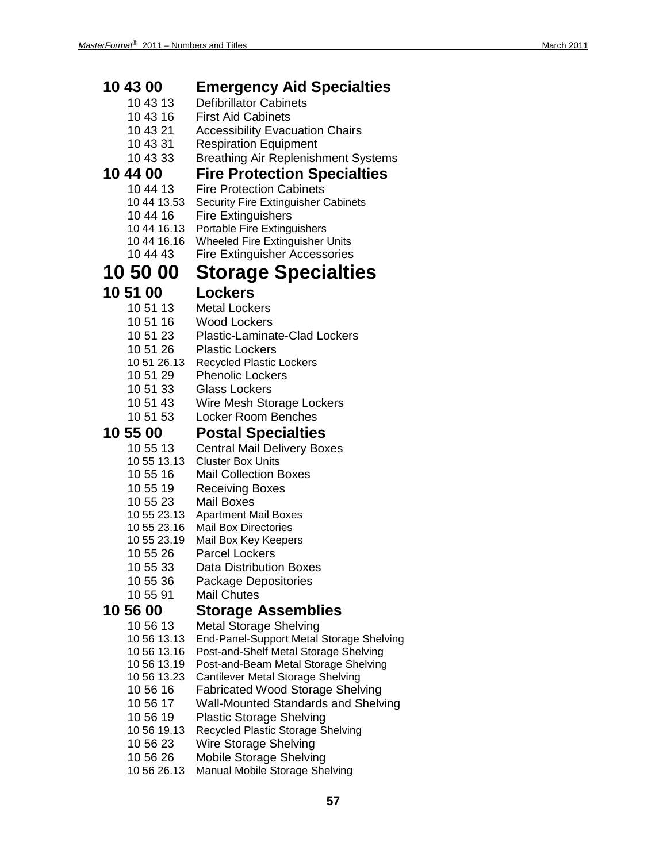| 10 43 00                   | <b>Emergency Aid Specialties</b>                                              |
|----------------------------|-------------------------------------------------------------------------------|
| 10 43 13                   | <b>Defibrillator Cabinets</b>                                                 |
| 10 43 16                   | <b>First Aid Cabinets</b>                                                     |
| 10 43 21                   | <b>Accessibility Evacuation Chairs</b>                                        |
| 10 43 31                   | <b>Respiration Equipment</b>                                                  |
| 10 43 33                   | <b>Breathing Air Replenishment Systems</b>                                    |
| 10 44 00                   | <b>Fire Protection Specialties</b>                                            |
| 10 44 13                   | <b>Fire Protection Cabinets</b>                                               |
| 10 44 13.53                | <b>Security Fire Extinguisher Cabinets</b>                                    |
| 10 44 16<br>10 44 16.13    | <b>Fire Extinguishers</b><br>Portable Fire Extinguishers                      |
| 10 44 16.16                | <b>Wheeled Fire Extinguisher Units</b>                                        |
| 10 44 43                   | <b>Fire Extinguisher Accessories</b>                                          |
| 10 50 00                   | <b>Storage Specialties</b>                                                    |
| 10 51 00                   | <b>Lockers</b>                                                                |
| 10 51 13                   | <b>Metal Lockers</b>                                                          |
| 10 51 16                   | <b>Wood Lockers</b>                                                           |
| 10 51 23                   | <b>Plastic-Laminate-Clad Lockers</b>                                          |
| 10 51 26                   | <b>Plastic Lockers</b>                                                        |
| 10 51 26.13                | <b>Recycled Plastic Lockers</b>                                               |
| 10 51 29                   | <b>Phenolic Lockers</b>                                                       |
| 10 51 33                   | <b>Glass Lockers</b>                                                          |
| 10 51 43                   | Wire Mesh Storage Lockers                                                     |
| 10 51 53                   | <b>Locker Room Benches</b>                                                    |
| 10 55 00                   | <b>Postal Specialties</b>                                                     |
| 10 55 13                   | <b>Central Mail Delivery Boxes</b>                                            |
| 10 55 13.13                | <b>Cluster Box Units</b>                                                      |
| 10 55 16                   | <b>Mail Collection Boxes</b>                                                  |
| 10 55 19                   | <b>Receiving Boxes</b>                                                        |
| 10 55 23<br>10 55 23.13    | <b>Mail Boxes</b><br><b>Apartment Mail Boxes</b>                              |
| 10 55 23.16                | Mail Box Directories                                                          |
| 10 55 23.19                | Mail Box Key Keepers                                                          |
| 10 55 26                   | <b>Parcel Lockers</b>                                                         |
| 10 55 33                   | Data Distribution Boxes                                                       |
| 10 55 36                   | Package Depositories                                                          |
| 10 55 91                   | <b>Mail Chutes</b>                                                            |
| 10 56 00                   | <b>Storage Assemblies</b>                                                     |
| 10 56 13                   | <b>Metal Storage Shelving</b>                                                 |
| 10 56 13.13                | End-Panel-Support Metal Storage Shelving                                      |
| 10 56 13.16<br>10 56 13.19 | Post-and-Shelf Metal Storage Shelving<br>Post-and-Beam Metal Storage Shelving |
| 10 56 13.23                | Cantilever Metal Storage Shelving                                             |
| 10 56 16                   | <b>Fabricated Wood Storage Shelving</b>                                       |
| 10 56 17                   | <b>Wall-Mounted Standards and Shelving</b>                                    |
| 10 56 19                   | <b>Plastic Storage Shelving</b>                                               |
| 10 56 19.13                | Recycled Plastic Storage Shelving                                             |
| 10 56 23                   | Wire Storage Shelving                                                         |
| 10 56 26                   | Mobile Storage Shelving                                                       |
| 10 56 26.13                | Manual Mobile Storage Shelving                                                |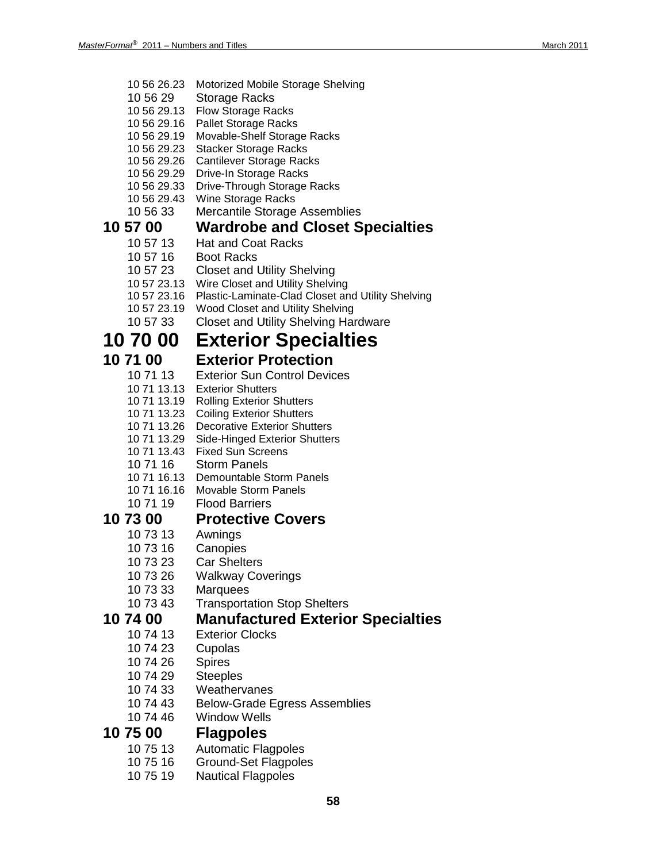- 10 56 26.23 Motorized Mobile Storage Shelving
- 10 56 29 Storage Racks
- 10 56 29.13 Flow Storage Racks
- 10 56 29.16 Pallet Storage Racks
- 10 56 29.19 Movable-Shelf Storage Racks
- 10 56 29.23 Stacker Storage Racks
- 10 56 29.26 Cantilever Storage Racks
- 10 56 29.29 Drive-In Storage Racks
- 10 56 29.33 Drive-Through Storage Racks
- 10 56 29.43 Wine Storage Racks<br>10 56 33 Mercantile Storage
- **Mercantile Storage Assemblies**

# **10 57 00 Wardrobe and Closet Specialties**

- Hat and Coat Racks
- 10 57 16 Boot Racks
- 10 57 23 Closet and Utility Shelving
- 10 57 23.13 Wire Closet and Utility Shelving
- 10 57 23.16 Plastic-Laminate-Clad Closet and Utility Shelving
- 10 57 23.19 Wood Closet and Utility Shelving
- 10 57 33 Closet and Utility Shelving Hardware

## **10 70 00 Exterior Specialties**

## **10 71 00 Exterior Protection**

- 10 71 13 Exterior Sun Control Devices
- 10 71 13.13 Exterior Shutters
- 10 71 13.19 Rolling Exterior Shutters
- 10 71 13.23 Coiling Exterior Shutters
- 10 71 13.26 Decorative Exterior Shutters
- 10 71 13.29 Side-Hinged Exterior Shutters
- 10 71 13.43 Fixed Sun Screens
- 10 71 16 Storm Panels
- 10 71 16.13 Demountable Storm Panels
- 10 71 16.16 Movable Storm Panels
- 10 71 19 Flood Barriers

## **10 73 00 Protective Covers**

- 10 73 13 Awnings
- 10 73 16 Canopies
- 10 73 23 Car Shelters
- 10 73 26 Walkway Coverings
- 10 73 33 Marquees
- 10 73 43 Transportation Stop Shelters

# **10 74 00 Manufactured Exterior Specialties**

- **Exterior Clocks**
- 10 74 23 Cupolas
- 10 74 26 Spires
- 10 74 29 Steeples
- 10 74 33 Weathervanes
- 10 74 43 Below-Grade Egress Assemblies
- 10 74 46 Window Wells

# **10 75 00 Flagpoles**

- **Automatic Flagpoles**
- 10 75 16 Ground-Set Flagpoles
- 10 75 19 Nautical Flagpoles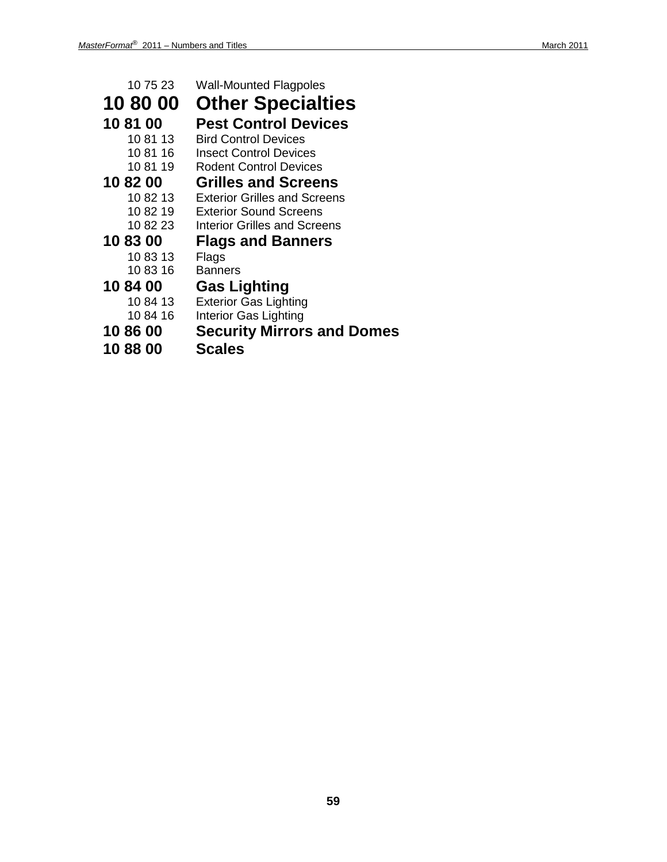| 10 75 23 | <b>Wall-Mounted Flagpoles</b>       |
|----------|-------------------------------------|
| 10 80 00 | <b>Other Specialties</b>            |
| 10 81 00 | <b>Pest Control Devices</b>         |
| 10 81 13 | <b>Bird Control Devices</b>         |
| 10 81 16 | <b>Insect Control Devices</b>       |
| 10 81 19 | <b>Rodent Control Devices</b>       |
| 10 82 00 | <b>Grilles and Screens</b>          |
| 10 82 13 | <b>Exterior Grilles and Screens</b> |
| 10 82 19 | <b>Exterior Sound Screens</b>       |
| 10 82 23 | <b>Interior Grilles and Screens</b> |
| 10 83 00 | <b>Flags and Banners</b>            |
| 10 83 13 | Flags                               |
| 10 83 16 | <b>Banners</b>                      |
| 10 84 00 | <b>Gas Lighting</b>                 |
| 10 84 13 | <b>Exterior Gas Lighting</b>        |
| 10 84 16 | Interior Gas Lighting               |
| 10 86 00 | <b>Security Mirrors and Domes</b>   |

**10 88 00 Scales**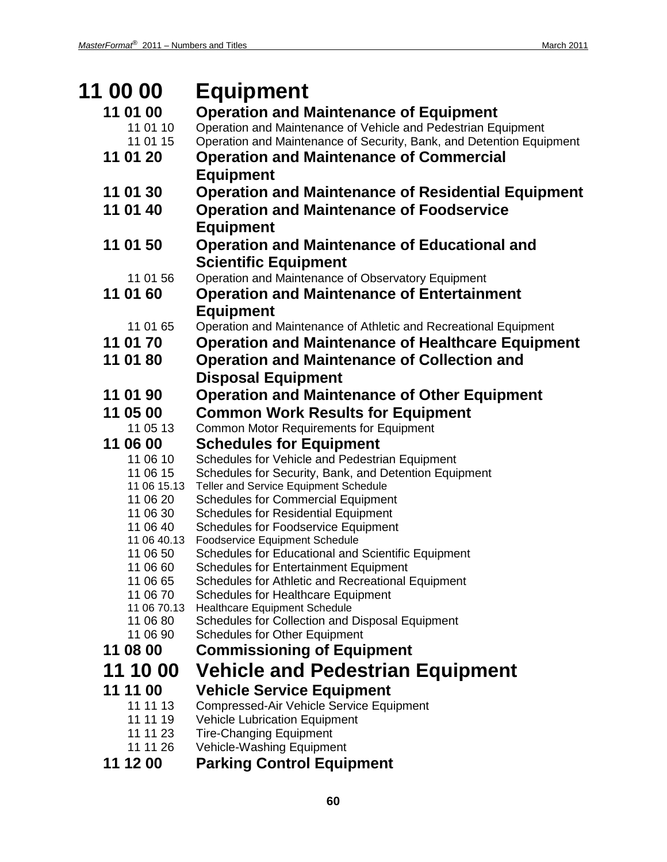| <b>11 00 00</b>         | <b>Equipment</b>                                                                               |
|-------------------------|------------------------------------------------------------------------------------------------|
| 11 01 00                | <b>Operation and Maintenance of Equipment</b>                                                  |
| 11 01 10                | Operation and Maintenance of Vehicle and Pedestrian Equipment                                  |
| 11 01 15                | Operation and Maintenance of Security, Bank, and Detention Equipment                           |
| 11 01 20                | <b>Operation and Maintenance of Commercial</b>                                                 |
|                         | <b>Equipment</b>                                                                               |
| 11 01 30                | <b>Operation and Maintenance of Residential Equipment</b>                                      |
| 11 01 40                | <b>Operation and Maintenance of Foodservice</b>                                                |
|                         | <b>Equipment</b>                                                                               |
| 11 01 50                | <b>Operation and Maintenance of Educational and</b>                                            |
|                         | <b>Scientific Equipment</b>                                                                    |
| 11 01 56                | Operation and Maintenance of Observatory Equipment                                             |
| 11 01 60                | <b>Operation and Maintenance of Entertainment</b>                                              |
|                         | <b>Equipment</b>                                                                               |
| 11 01 65                | Operation and Maintenance of Athletic and Recreational Equipment                               |
| 11 01 70                | <b>Operation and Maintenance of Healthcare Equipment</b>                                       |
| 11 01 80                | <b>Operation and Maintenance of Collection and</b>                                             |
|                         | <b>Disposal Equipment</b>                                                                      |
| 11 01 90                | <b>Operation and Maintenance of Other Equipment</b>                                            |
| 11 05 00                | <b>Common Work Results for Equipment</b>                                                       |
| 11 05 13                | <b>Common Motor Requirements for Equipment</b>                                                 |
| 11 06 00                | <b>Schedules for Equipment</b>                                                                 |
| 11 06 10<br>11 06 15    | Schedules for Vehicle and Pedestrian Equipment                                                 |
| 11 06 15.13             | Schedules for Security, Bank, and Detention Equipment<br>Teller and Service Equipment Schedule |
| 11 06 20                | <b>Schedules for Commercial Equipment</b>                                                      |
| 11 06 30                | <b>Schedules for Residential Equipment</b>                                                     |
| 11 06 40                | <b>Schedules for Foodservice Equipment</b>                                                     |
| 11 06 40.13<br>11 06 50 | <b>Foodservice Equipment Schedule</b><br>Schedules for Educational and Scientific Equipment    |
| 11 06 60                | <b>Schedules for Entertainment Equipment</b>                                                   |
| 11 06 65                | Schedules for Athletic and Recreational Equipment                                              |
| 11 06 70                | <b>Schedules for Healthcare Equipment</b>                                                      |
| 11 06 70.13<br>11 06 80 | <b>Healthcare Equipment Schedule</b><br>Schedules for Collection and Disposal Equipment        |
| 11 06 90                | <b>Schedules for Other Equipment</b>                                                           |
| 11 08 00                | <b>Commissioning of Equipment</b>                                                              |
| 11 10 00                | <b>Vehicle and Pedestrian Equipment</b>                                                        |
| 11 11 00                | <b>Vehicle Service Equipment</b>                                                               |
| 11 11 13                | Compressed-Air Vehicle Service Equipment                                                       |
| 11 11 19                | <b>Vehicle Lubrication Equipment</b>                                                           |
| 11 11 23                | <b>Tire-Changing Equipment</b>                                                                 |
| 11 11 26                | Vehicle-Washing Equipment                                                                      |
| 11 12 00                | <b>Parking Control Equipment</b>                                                               |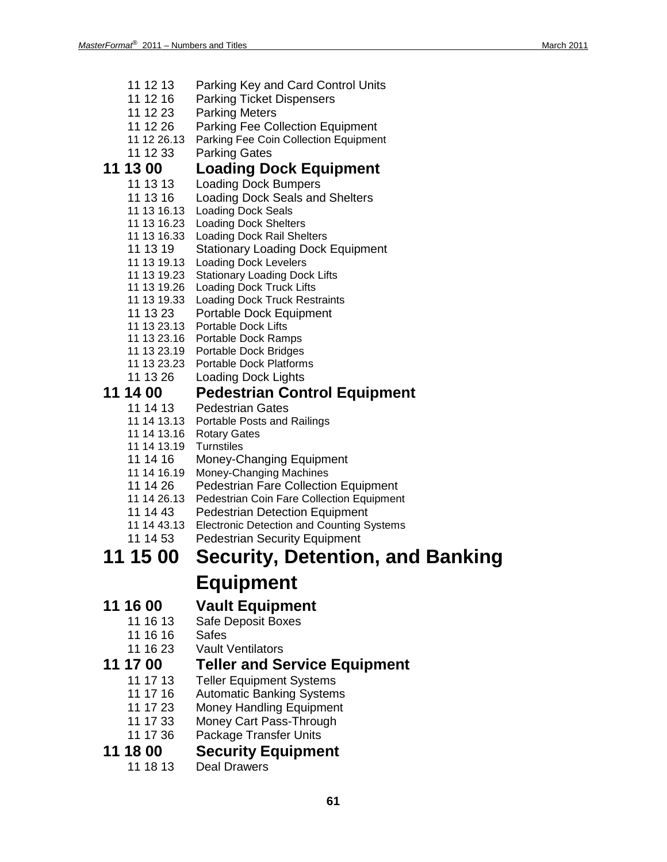- 11 12 13 Parking Key and Card Control Units
- 11 12 16 Parking Ticket Dispensers
- 11 12 23 Parking Meters
- 11 12 26 Parking Fee Collection Equipment
- 11 12 26.13 Parking Fee Coin Collection Equipment
- 11 12 33 Parking Gates

## **11 13 00 Loading Dock Equipment**

- 11 13 13 Loading Dock Bumpers
- 11 13 16 Loading Dock Seals and Shelters
- 11 13 16.13 Loading Dock Seals
- 11 13 16.23 Loading Dock Shelters
- 11 13 16.33 Loading Dock Rail Shelters
- 11 13 19 Stationary Loading Dock Equipment
- 11 13 19.13 Loading Dock Levelers
- 11 13 19.23 Stationary Loading Dock Lifts
- 11 13 19.26 Loading Dock Truck Lifts
- 11 13 19.33 Loading Dock Truck Restraints
- 11 13 23 Portable Dock Equipment
- 11 13 23.13 Portable Dock Lifts
- 11 13 23.16 Portable Dock Ramps
- 11 13 23.19 Portable Dock Bridges
- 11 13 23.23 Portable Dock Platforms
- 11 13 26 Loading Dock Lights

# **11 14 00 Pedestrian Control Equipment**

- Pedestrian Gates
- 11 14 13.13 Portable Posts and Railings
- 11 14 13.16 Rotary Gates
- 11 14 13.19 Turnstiles
- 11 14 16 Money-Changing Equipment
- 11 14 16.19 Money-Changing Machines
- 11 14 26 Pedestrian Fare Collection Equipment
- 11 14 26.13 Pedestrian Coin Fare Collection Equipment
- 11 14 43 Pedestrian Detection Equipment
- 11 14 43.13 Electronic Detection and Counting Systems
- 11 14 53 Pedestrian Security Equipment

# **11 15 00 Security, Detention, and Banking Equipment**

## **11 16 00 Vault Equipment**

- 11 16 13 Safe Deposit Boxes
- 11 16 16 Safes
- 11 16 23 Vault Ventilators

## **11 17 00 Teller and Service Equipment**

- 11 17 13 Teller Equipment Systems<br>11 17 16 Automatic Banking System
- **Automatic Banking Systems**
- 11 17 23 Money Handling Equipment
- 11 17 33 Money Cart Pass-Through
- 11 17 36 Package Transfer Units

# **11 18 00 Security Equipment**

Deal Drawers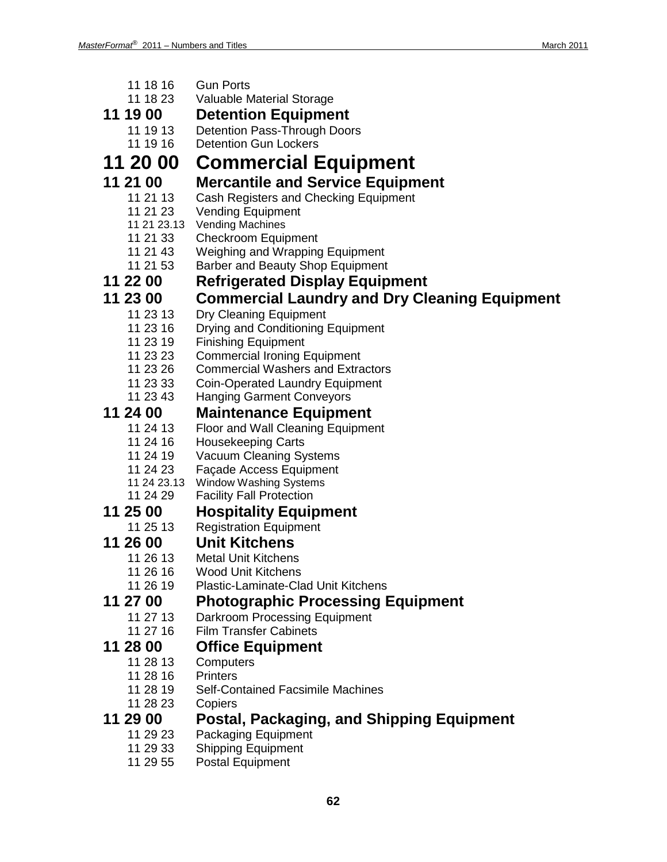| 11 18 16                | <b>Gun Ports</b>                                                           |  |  |  |
|-------------------------|----------------------------------------------------------------------------|--|--|--|
| 11 18 23                | Valuable Material Storage                                                  |  |  |  |
| 11 19 00                | <b>Detention Equipment</b>                                                 |  |  |  |
| 11 19 13                | <b>Detention Pass-Through Doors</b>                                        |  |  |  |
| 11 19 16                | <b>Detention Gun Lockers</b>                                               |  |  |  |
| 11 20 00                | <b>Commercial Equipment</b>                                                |  |  |  |
| 11 21 00                | <b>Mercantile and Service Equipment</b>                                    |  |  |  |
| 11 21 13                | Cash Registers and Checking Equipment                                      |  |  |  |
| 11 21 23                | <b>Vending Equipment</b>                                                   |  |  |  |
| 11 21 23.13             | <b>Vending Machines</b>                                                    |  |  |  |
| 11 21 33                | <b>Checkroom Equipment</b>                                                 |  |  |  |
| 11 21 43<br>11 21 53    | <b>Weighing and Wrapping Equipment</b><br>Barber and Beauty Shop Equipment |  |  |  |
| 11 22 00                |                                                                            |  |  |  |
|                         | <b>Refrigerated Display Equipment</b>                                      |  |  |  |
| 11 23 00                | <b>Commercial Laundry and Dry Cleaning Equipment</b>                       |  |  |  |
| 11 23 13                | Dry Cleaning Equipment                                                     |  |  |  |
| 11 23 16<br>11 23 19    | Drying and Conditioning Equipment<br><b>Finishing Equipment</b>            |  |  |  |
| 11 23 23                | <b>Commercial Ironing Equipment</b>                                        |  |  |  |
| 11 23 26                | <b>Commercial Washers and Extractors</b>                                   |  |  |  |
| 11 23 33                | <b>Coin-Operated Laundry Equipment</b>                                     |  |  |  |
| 11 23 43                | <b>Hanging Garment Conveyors</b>                                           |  |  |  |
| 11 24 00                | <b>Maintenance Equipment</b>                                               |  |  |  |
| 11 24 13                | <b>Floor and Wall Cleaning Equipment</b>                                   |  |  |  |
| 11 24 16                | <b>Housekeeping Carts</b>                                                  |  |  |  |
| 11 24 19                | <b>Vacuum Cleaning Systems</b>                                             |  |  |  |
| 11 24 23                | Façade Access Equipment                                                    |  |  |  |
| 11 24 23.13<br>11 24 29 | Window Washing Systems<br><b>Facility Fall Protection</b>                  |  |  |  |
| 11 25 00                |                                                                            |  |  |  |
| 11 25 13                | <b>Hospitality Equipment</b><br><b>Registration Equipment</b>              |  |  |  |
| 11 26 00                | <b>Unit Kitchens</b>                                                       |  |  |  |
| 11 26 13                | <b>Metal Unit Kitchens</b>                                                 |  |  |  |
| 11 26 16                | <b>Wood Unit Kitchens</b>                                                  |  |  |  |
| 11 26 19                | Plastic-Laminate-Clad Unit Kitchens                                        |  |  |  |
| 11 27 00                | <b>Photographic Processing Equipment</b>                                   |  |  |  |
| 11 27 13                | Darkroom Processing Equipment                                              |  |  |  |
| 11 27 16                | <b>Film Transfer Cabinets</b>                                              |  |  |  |
| 11 28 00                | <b>Office Equipment</b>                                                    |  |  |  |
| 11 28 13                | Computers                                                                  |  |  |  |
| 11 28 16                | <b>Printers</b>                                                            |  |  |  |
| 11 28 19                | <b>Self-Contained Facsimile Machines</b>                                   |  |  |  |
| 11 28 23                | Copiers                                                                    |  |  |  |
| 11 29 00                | Postal, Packaging, and Shipping Equipment                                  |  |  |  |
| 11 29 23                | <b>Packaging Equipment</b>                                                 |  |  |  |
| 11 29 33                | <b>Shipping Equipment</b>                                                  |  |  |  |
| 11 29 55                | <b>Postal Equipment</b>                                                    |  |  |  |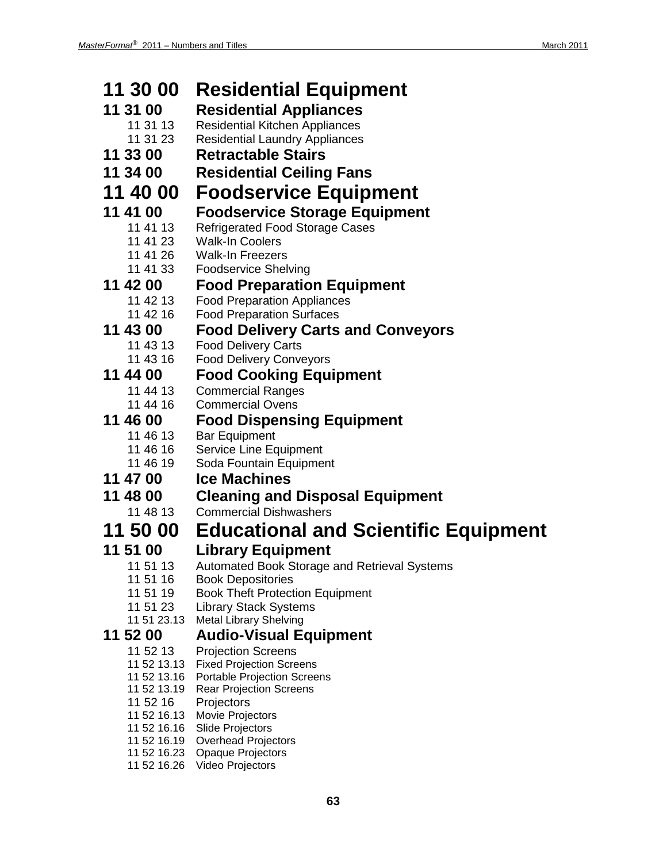| 11 30 00                   | <b>Residential Equipment</b>                                          |  |  |  |
|----------------------------|-----------------------------------------------------------------------|--|--|--|
| 11 31 00                   | <b>Residential Appliances</b>                                         |  |  |  |
| 11 31 13                   | <b>Residential Kitchen Appliances</b>                                 |  |  |  |
| 11 31 23                   | <b>Residential Laundry Appliances</b>                                 |  |  |  |
| 11 33 00                   | <b>Retractable Stairs</b>                                             |  |  |  |
| 11 34 00                   | <b>Residential Ceiling Fans</b>                                       |  |  |  |
| 11 40 00                   | <b>Foodservice Equipment</b>                                          |  |  |  |
| 11 41 00                   | <b>Foodservice Storage Equipment</b>                                  |  |  |  |
| 11 41 13                   | <b>Refrigerated Food Storage Cases</b>                                |  |  |  |
| 11 41 23                   | <b>Walk-In Coolers</b>                                                |  |  |  |
| 11 41 26<br>11 41 33       | <b>Walk-In Freezers</b>                                               |  |  |  |
| 11 42 00                   | <b>Foodservice Shelving</b><br><b>Food Preparation Equipment</b>      |  |  |  |
| 11 42 13                   | <b>Food Preparation Appliances</b>                                    |  |  |  |
| 11 42 16                   | <b>Food Preparation Surfaces</b>                                      |  |  |  |
| 11 43 00                   | <b>Food Delivery Carts and Conveyors</b>                              |  |  |  |
| 11 43 13                   | <b>Food Delivery Carts</b>                                            |  |  |  |
| 11 43 16                   | <b>Food Delivery Conveyors</b>                                        |  |  |  |
| 11 44 00                   | <b>Food Cooking Equipment</b>                                         |  |  |  |
| 11 44 13<br>11 44 16       | <b>Commercial Ranges</b>                                              |  |  |  |
| 11 46 00                   | <b>Commercial Ovens</b>                                               |  |  |  |
| 11 46 13                   | <b>Food Dispensing Equipment</b><br><b>Bar Equipment</b>              |  |  |  |
| 11 46 16                   | Service Line Equipment                                                |  |  |  |
| 11 46 19                   | Soda Fountain Equipment                                               |  |  |  |
| 11 47 00                   | <b>Ice Machines</b>                                                   |  |  |  |
| 11 48 00                   | <b>Cleaning and Disposal Equipment</b>                                |  |  |  |
| 11 48 13                   | <b>Commercial Dishwashers</b>                                         |  |  |  |
| 11 50 00                   | <b>Educational and Scientific Equipment</b>                           |  |  |  |
| 11 51 00                   | <b>Library Equipment</b>                                              |  |  |  |
| 11 51 13                   | Automated Book Storage and Retrieval Systems                          |  |  |  |
| 11 51 16<br>11 51 19       | <b>Book Depositories</b><br><b>Book Theft Protection Equipment</b>    |  |  |  |
| 11 51 23                   | <b>Library Stack Systems</b>                                          |  |  |  |
| 11 51 23.13                | <b>Metal Library Shelving</b>                                         |  |  |  |
| 11 52 00                   | <b>Audio-Visual Equipment</b>                                         |  |  |  |
| 11 52 13                   | <b>Projection Screens</b>                                             |  |  |  |
| 11 52 13.13<br>11 52 13.16 | <b>Fixed Projection Screens</b><br><b>Portable Projection Screens</b> |  |  |  |
| 11 52 13.19                | <b>Rear Projection Screens</b>                                        |  |  |  |
| 11 52 16                   | Projectors                                                            |  |  |  |
| 11 52 16.13<br>11 52 16.16 | Movie Projectors<br>Slide Projectors                                  |  |  |  |
| 11 52 16.19                | <b>Overhead Projectors</b>                                            |  |  |  |
|                            | 11 52 16.23 Opaque Projectors                                         |  |  |  |
| 11 52 16.26                | Video Projectors                                                      |  |  |  |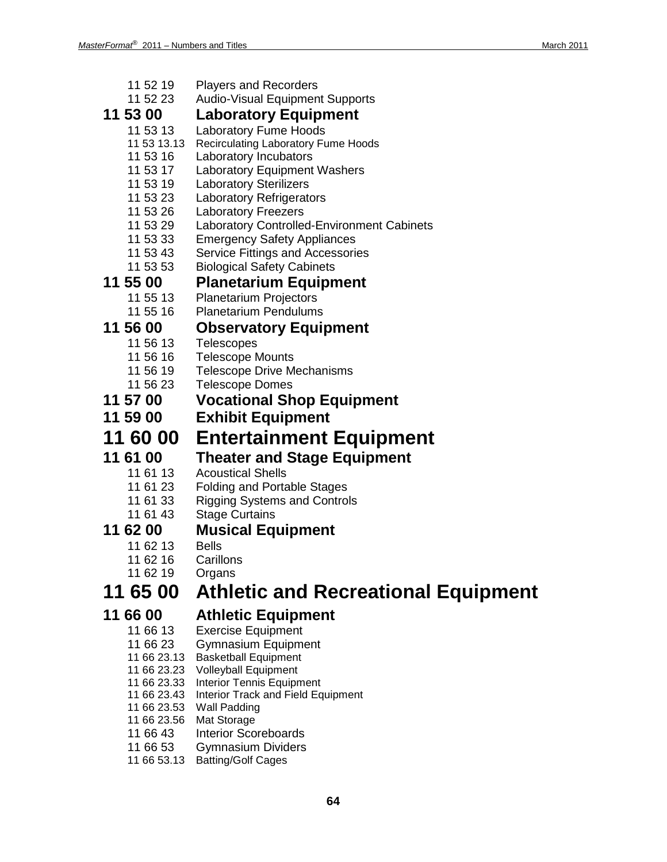- 11 52 19 Players and Recorders<br>11 52 23 Audio-Visual Equipmen
- Audio-Visual Equipment Supports

### **11 53 00 Laboratory Equipment**

- 11 53 13 Laboratory Fume Hoods
- 11 53 13.13 Recirculating Laboratory Fume Hoods
- 11 53 16 Laboratory Incubators
- 11 53 17 Laboratory Equipment Washers
- 11 53 19 Laboratory Sterilizers
- 11 53 23 Laboratory Refrigerators<br>11 53 26 Laboratory Freezers
- **Laboratory Freezers**
- 11 53 29 Laboratory Controlled-Environment Cabinets
- 11 53 33 Emergency Safety Appliances
- 11 53 43 Service Fittings and Accessories
- 11 53 53 Biological Safety Cabinets

### **11 55 00 Planetarium Equipment**

- 11 55 13 Planetarium Projectors
- 11 55 16 Planetarium Pendulums

# **11 56 00 Observatory Equipment**

- Telescopes
- 11 56 16 Telescope Mounts
- 11 56 19 Telescope Drive Mechanisms
- 11 56 23 Telescope Domes
- **11 57 00 Vocational Shop Equipment**
- **11 59 00 Exhibit Equipment**

## **11 60 00 Entertainment Equipment**

- **11 61 00 Theater and Stage Equipment**
	- **Acoustical Shells**
	- 11 61 23 Folding and Portable Stages
	- 11 61 33 Rigging Systems and Controls
	- 11 61 43 Stage Curtains
- 

# **11 62 00 Musical Equipment**

- 11 62 13
- 11 62 16 Carillons
- 11 62 19 Organs

## **11 65 00 Athletic and Recreational Equipment**

## **11 66 00 Athletic Equipment**

- 11 66 13 Exercise Equipment
- 11 66 23 Gymnasium Equipment
- 11 66 23.13 Basketball Equipment
- 11 66 23.23 Volleyball Equipment
- 11 66 23.33 Interior Tennis Equipment
- 11 66 23.43 Interior Track and Field Equipment
- 11 66 23.53 Wall Padding
- 11 66 23.56 Mat Storage
- 11 66 43 Interior Scoreboards
- 11 66 53 Gymnasium Dividers
- 11 66 53.13 Batting/Golf Cages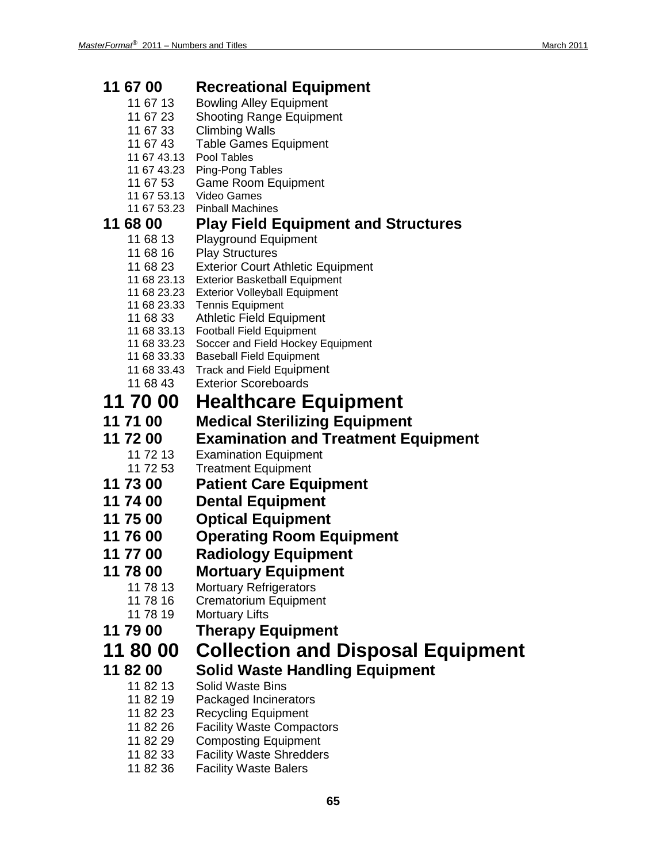| 11 67 00                   | <b>Recreational Equipment</b>                                                |  |  |
|----------------------------|------------------------------------------------------------------------------|--|--|
| 11 67 13                   | <b>Bowling Alley Equipment</b>                                               |  |  |
| 11 67 23                   | <b>Shooting Range Equipment</b>                                              |  |  |
| 11 67 33                   | <b>Climbing Walls</b>                                                        |  |  |
| 11 67 43                   | <b>Table Games Equipment</b>                                                 |  |  |
| 11 67 43.13<br>11 67 43.23 | Pool Tables                                                                  |  |  |
| 11 67 53                   | Ping-Pong Tables<br><b>Game Room Equipment</b>                               |  |  |
|                            | 11 67 53.13 Video Games                                                      |  |  |
| 11 67 53.23                | <b>Pinball Machines</b>                                                      |  |  |
| 11 68 00                   | <b>Play Field Equipment and Structures</b>                                   |  |  |
| 11 68 13                   | <b>Playground Equipment</b>                                                  |  |  |
| 11 68 16                   | <b>Play Structures</b>                                                       |  |  |
| 11 68 23                   | <b>Exterior Court Athletic Equipment</b>                                     |  |  |
| 11 68 23.13<br>11 68 23.23 | <b>Exterior Basketball Equipment</b><br><b>Exterior Volleyball Equipment</b> |  |  |
|                            | 11 68 23.33 Tennis Equipment                                                 |  |  |
| 11 68 33                   | <b>Athletic Field Equipment</b>                                              |  |  |
| 11 68 33.13                | <b>Football Field Equipment</b>                                              |  |  |
| 11 68 33.23                | Soccer and Field Hockey Equipment                                            |  |  |
| 11 68 33.33                | <b>Baseball Field Equipment</b>                                              |  |  |
| 11 68 33.43<br>11 68 43    | <b>Track and Field Equipment</b><br><b>Exterior Scoreboards</b>              |  |  |
|                            |                                                                              |  |  |
| 11 70 00                   | <b>Healthcare Equipment</b>                                                  |  |  |
| 11 71 00                   | <b>Medical Sterilizing Equipment</b>                                         |  |  |
| 11 72 00                   | <b>Examination and Treatment Equipment</b>                                   |  |  |
| 11 72 13                   | <b>Examination Equipment</b>                                                 |  |  |
| 11 72 53                   | <b>Treatment Equipment</b>                                                   |  |  |
| 11 73 00                   | <b>Patient Care Equipment</b>                                                |  |  |
| 11 74 00                   | <b>Dental Equipment</b>                                                      |  |  |
| 11 75 00                   | <b>Optical Equipment</b>                                                     |  |  |
| 11 76 00                   | <b>Operating Room Equipment</b>                                              |  |  |
| 11 77 00                   | <b>Radiology Equipment</b>                                                   |  |  |
| 11 78 00                   | <b>Mortuary Equipment</b>                                                    |  |  |
| 11 78 13                   | <b>Mortuary Refrigerators</b>                                                |  |  |
| 11 78 16                   | <b>Crematorium Equipment</b>                                                 |  |  |
| 11 78 19                   | <b>Mortuary Lifts</b>                                                        |  |  |
| 11 79 00                   | <b>Therapy Equipment</b>                                                     |  |  |
| 11 80 00                   | <b>Collection and Disposal Equipment</b>                                     |  |  |
| 11 82 00                   | <b>Solid Waste Handling Equipment</b>                                        |  |  |
| 11 82 13                   | <b>Solid Waste Bins</b>                                                      |  |  |
| 11 82 19                   | Packaged Incinerators                                                        |  |  |
| 11 82 23                   | <b>Recycling Equipment</b>                                                   |  |  |
| 11 82 26                   | <b>Facility Waste Compactors</b>                                             |  |  |
| 11 82 29                   | <b>Composting Equipment</b>                                                  |  |  |
| 11 82 33                   | <b>Facility Waste Shredders</b>                                              |  |  |
| 11 82 36                   | <b>Facility Waste Balers</b>                                                 |  |  |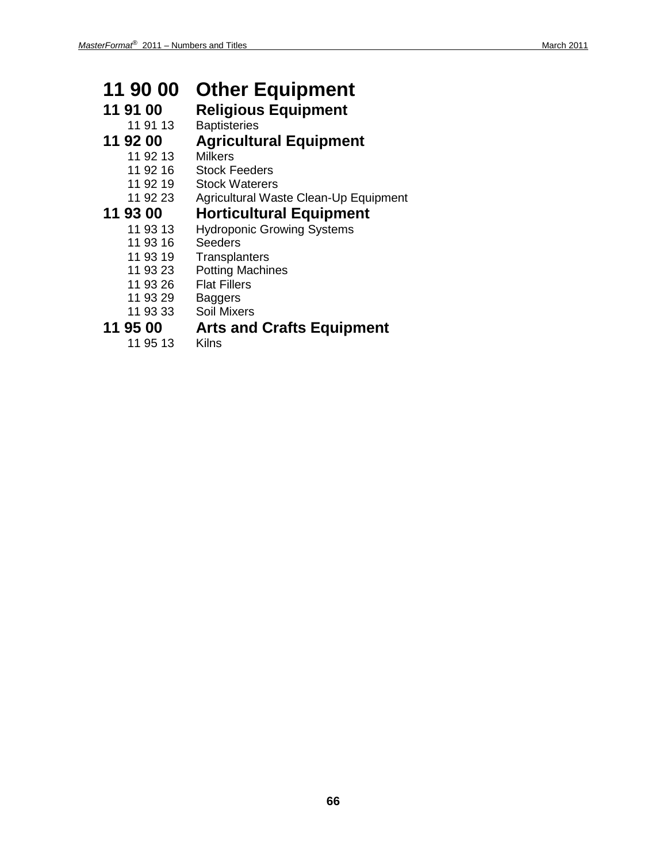# **11 90 00 Other Equipment**

# **11 91 00 Religious Equipment**

**Baptisteries** 

- **11 92 00 Agricultural Equipment**
	- 11 92 13
	- 11 92 16 Stock Feeders
	- 11 92 19 Stock Waterers
	- 11 92 23 Agricultural Waste Clean-Up Equipment

# **11 93 00 • Horticultural Equipment**<br>
11 93 13 • Hydroponic Growing Systems

- Hydroponic Growing Systems<br>Seeders
- 11 93 16
- 11 93 19 Transplanters<br>11 93 23 Potting Machir
- 11 93 23 Potting Machines<br>11 93 26 Flat Fillers
- Flat Fillers<br>Baggers
- 
- 11 93 29<br>11 93 33 Soil Mixers

# **11 95 00 Arts and Crafts Equipment**

11 95 13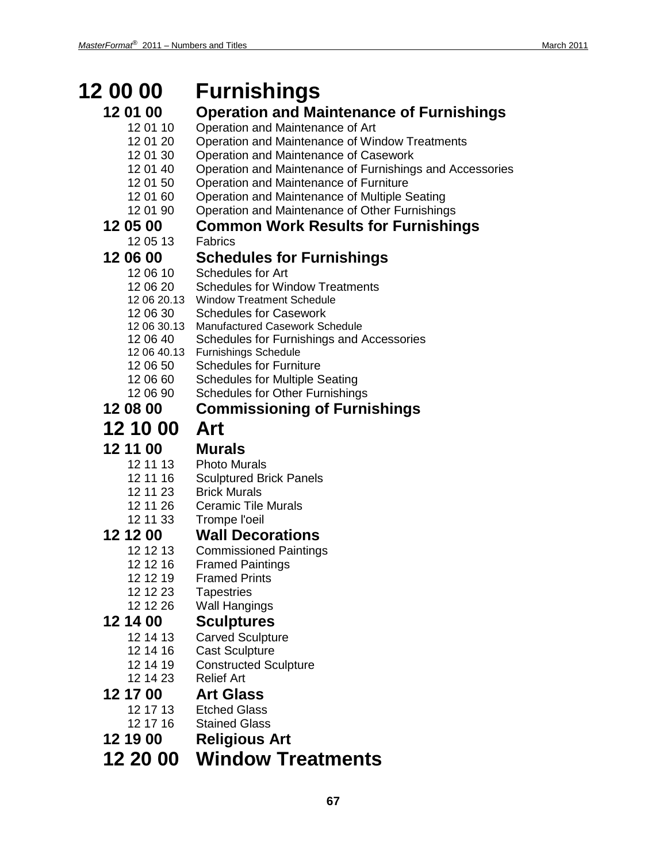### **12 00 00 Furnishings 12 01 00 Operation and Maintenance of Furnishings** 12 01 10 Operation and Maintenance of Art 12 01 20 Operation and Maintenance of Window Treatments 12 01 30 Operation and Maintenance of Casework 12 01 40 Operation and Maintenance of Furnishings and Accessories 12 01 50 Operation and Maintenance of Furniture 12 01 60 Operation and Maintenance of Multiple Seating 12 01 90 Operation and Maintenance of Other Furnishings **12 05 00 Common Work Results for Furnishings**  $120513$ **12 06 00 Schedules for Furnishings** 12 06 10 Schedules for Art<br>12 06 20 Schedules for Wir **Schedules for Window Treatments** 12 06 20.13 Window Treatment Schedule 12 06 30 Schedules for Casework 12 06 30.13 Manufactured Casework Schedule 12 06 40 Schedules for Furnishings and Accessories 12 06 40.13 Furnishings Schedule 12 06 50 Schedules for Furniture 12 06 60 Schedules for Multiple Seating 12 06 90 Schedules for Other Furnishings **12 08 00 Commissioning of Furnishings 12 10 00 Art 12 11 00 Murals** Photo Murals 12 11 16 Sculptured Brick Panels 12 11 23 Brick Murals 12 11 26 Ceramic Tile Murals 12 11 33 Trompe l'oeil **12 12 00 Wall Decorations Commissioned Paintings** 12 12 16 Framed Paintings 12 12 19 Framed Prints 12 12 23 Tapestries<br>12 12 26 Wall Hangi Wall Hangings **12 14 00 Sculptures** Carved Sculpture 12 14 16 Cast Sculpture 12 14 19 Constructed Sculpture 12 14 23 Relief Art **12 17 00 Art Glass** 12 17 13 Etched Glass 12 17 16 Stained Glass **12 19 00 Religious Art**

**12 20 00 Window Treatments**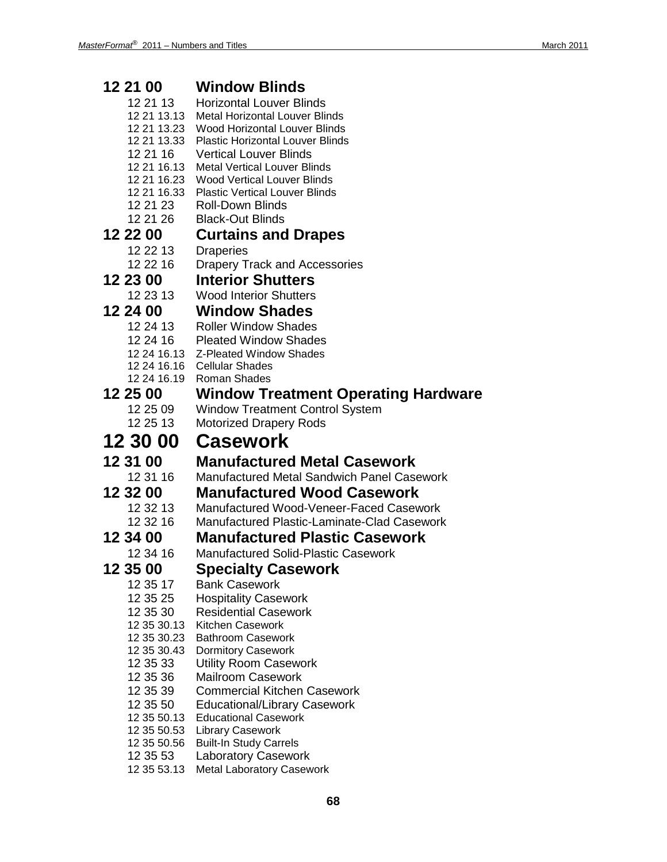| 12 21 00                   | <b>Window Blinds</b>                                     |  |  |
|----------------------------|----------------------------------------------------------|--|--|
| 12 21 13                   | <b>Horizontal Louver Blinds</b>                          |  |  |
| 12 21 13.13                | <b>Metal Horizontal Louver Blinds</b>                    |  |  |
| 12 21 13.23                | <b>Wood Horizontal Louver Blinds</b>                     |  |  |
| 12 21 13.33                | <b>Plastic Horizontal Louver Blinds</b>                  |  |  |
| 12 21 16                   | <b>Vertical Louver Blinds</b>                            |  |  |
| 12 21 16.13                | <b>Metal Vertical Louver Blinds</b>                      |  |  |
| 12 21 16.23                | <b>Wood Vertical Louver Blinds</b>                       |  |  |
| 12 21 16.33                | <b>Plastic Vertical Louver Blinds</b>                    |  |  |
| 12 21 23                   | <b>Roll-Down Blinds</b>                                  |  |  |
| 12 21 26                   | <b>Black-Out Blinds</b>                                  |  |  |
| 12 22 00                   | <b>Curtains and Drapes</b>                               |  |  |
| 12 22 13                   | <b>Draperies</b>                                         |  |  |
| 12 22 16                   | <b>Drapery Track and Accessories</b>                     |  |  |
| 12 23 00                   | <b>Interior Shutters</b>                                 |  |  |
| 12 23 13                   | <b>Wood Interior Shutters</b>                            |  |  |
| 12 24 00                   | <b>Window Shades</b>                                     |  |  |
| 12 24 13                   | <b>Roller Window Shades</b>                              |  |  |
| 12 24 16                   | <b>Pleated Window Shades</b>                             |  |  |
| 12 24 16.13                | Z-Pleated Window Shades                                  |  |  |
| 12 24 16.16                | <b>Cellular Shades</b>                                   |  |  |
| 12 24 16.19                | <b>Roman Shades</b>                                      |  |  |
| 12 25 00                   | <b>Window Treatment Operating Hardware</b>               |  |  |
| 12 25 09                   | <b>Window Treatment Control System</b>                   |  |  |
| 12 25 13                   | <b>Motorized Drapery Rods</b>                            |  |  |
|                            |                                                          |  |  |
| 12 30 00                   | Casework                                                 |  |  |
|                            |                                                          |  |  |
| 12 31 00                   | <b>Manufactured Metal Casework</b>                       |  |  |
| 12 31 16                   | Manufactured Metal Sandwich Panel Casework               |  |  |
| 12 32 00                   | <b>Manufactured Wood Casework</b>                        |  |  |
| 12 32 13                   | Manufactured Wood-Veneer-Faced Casework                  |  |  |
| 12 32 16                   | Manufactured Plastic-Laminate-Clad Casework              |  |  |
| 12 34 00                   | <b>Manufactured Plastic Casework</b>                     |  |  |
| 12 34 16                   | <b>Manufactured Solid-Plastic Casework</b>               |  |  |
| 12 35 00                   | <b>Specialty Casework</b>                                |  |  |
| 12 35 17                   | <b>Bank Casework</b>                                     |  |  |
| 12 35 25                   | <b>Hospitality Casework</b>                              |  |  |
| 12 35 30                   | <b>Residential Casework</b>                              |  |  |
| 12 35 30.13                | <b>Kitchen Casework</b>                                  |  |  |
| 12 35 30.23                | <b>Bathroom Casework</b>                                 |  |  |
| 12 35 30.43                | <b>Dormitory Casework</b>                                |  |  |
| 12 35 33                   | <b>Utility Room Casework</b>                             |  |  |
| 12 35 36                   | <b>Mailroom Casework</b>                                 |  |  |
| 12 35 39                   | <b>Commercial Kitchen Casework</b>                       |  |  |
| 12 35 50                   | <b>Educational/Library Casework</b>                      |  |  |
| 12 35 50.13<br>12 35 50.53 | <b>Educational Casework</b>                              |  |  |
| 12 35 50.56                | <b>Library Casework</b><br><b>Built-In Study Carrels</b> |  |  |
| 12 35 53                   | <b>Laboratory Casework</b>                               |  |  |
| 12 35 53.13                | Metal Laboratory Casework                                |  |  |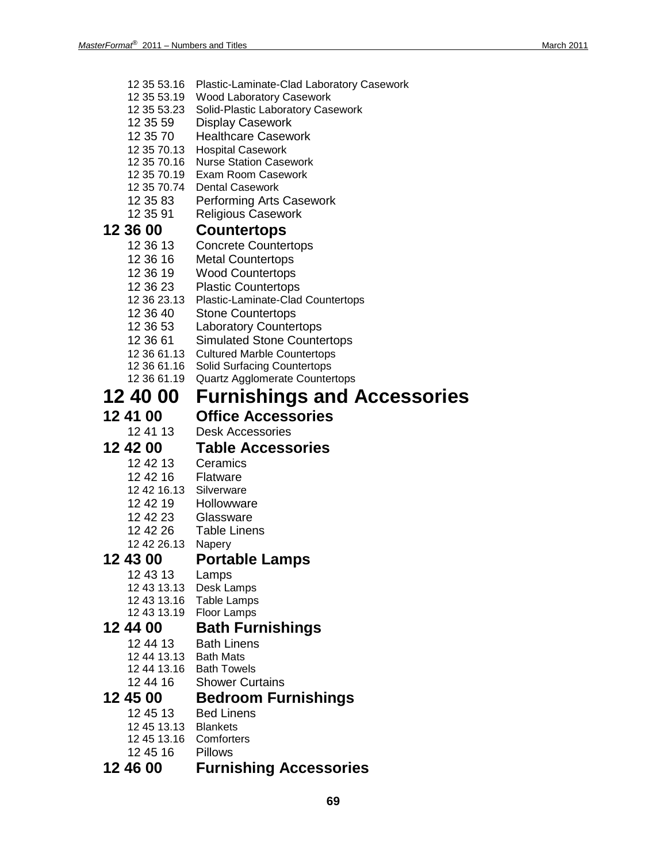- 12 35 53.16 Plastic-Laminate-Clad Laboratory Casework
- 12 35 53.19 Wood Laboratory Casework
- 12 35 53.23 Solid-Plastic Laboratory Casework
- 12 35 59 Display Casework
- 12 35 70 Healthcare Casework
- 12 35 70.13 Hospital Casework
- 12 35 70.16 Nurse Station Casework
- 12 35 70.19 Exam Room Casework
- 12 35 70.74 Dental Casework
- 12 35 83 Performing Arts Casework
- 12 35 91 Religious Casework

# **12 36 00 Countertops**

- Concrete Countertops
- 12 36 16 Metal Countertops
- 
- 12 36 19 Wood Countertops Plastic Countertops
- 12 36 23.13 Plastic-Laminate-Clad Countertops
- 12 36 40 Stone Countertops
- 12 36 53 Laboratory Countertops<br>12 36 61 Simulated Stone Counte
- Simulated Stone Countertops
- 12 36 61.13 Cultured Marble Countertops
- 12 36 61.16 Solid Surfacing Countertops
- 12 36 61.19 Quartz Agglomerate Countertops

## **12 40 00 Furnishings and Accessories**

**12 41 00 Office Accessories**

Desk Accessories

## **12 42 00 Table Accessories**

- 12 42 13 Ceramics
- **Flatware**
- 12 42 16.13 Silverware
- 12 42 19 Hollowware
- 12 42 23 Glassware
- 12 42 26 Table Linens
- 12 42 26.13 Napery

### **12 43 00 Portable Lamps**

- 12 43 13 Lamps
- 12 43 13.13 Desk Lamps
- 12 43 13.16 Table Lamps
- 12 43 13.19 Floor Lamps

### **12 44 00 Bath Furnishings**

- 12 44 13 Bath Linens
- 12 44 13.13 Bath Mats
- 12 44 13.16 Bath Towels
- 12 44 16 Shower Curtains

# **12 45 00 Bedroom Furnishings**

- **Bed Linens**
- 12 45 13.13 Blankets
- 12 45 13.16 Comforters
- 12 45 16 Pillows

### **12 46 00 Furnishing Accessories**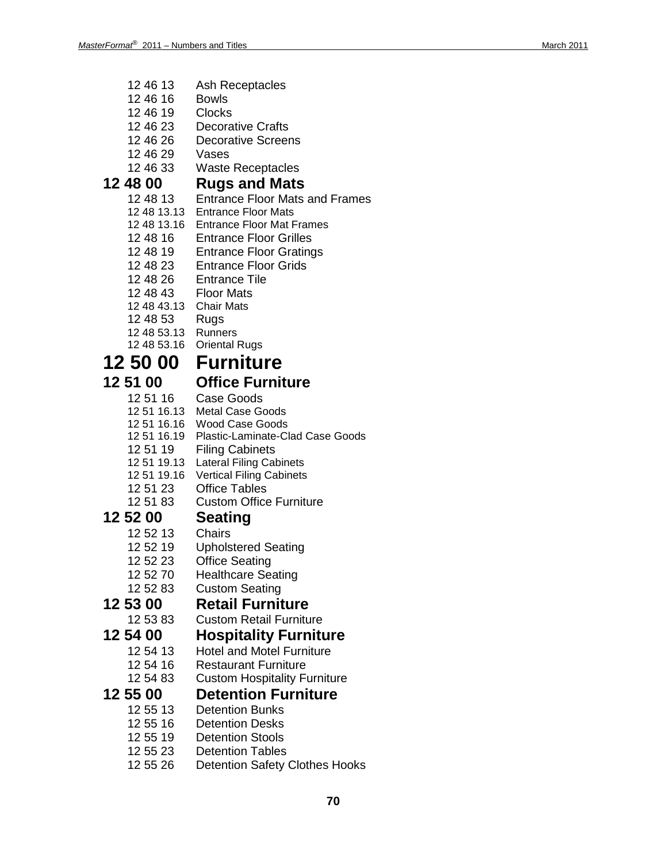- 12 46 13 Ash Receptacles
- 12 46 16 Bowls
- 12 46 19 Clocks
- 12 46 23 Decorative Crafts
- 12 46 26 Decorative Screens
- 12 46 29 Vases
- 12 46 33 Waste Receptacles

# **12 48 00 Rugs and Mats**

- **Entrance Floor Mats and Frames**
- 12 48 13.13 Entrance Floor Mats
- 12 48 13.16 Entrance Floor Mat Frames
- 12 48 16 Entrance Floor Grilles<br>12 48 19 Entrance Floor Grating
- 12 48 19 Entrance Floor Gratings<br>12 48 23 Entrance Floor Grids
- **Entrance Floor Grids**
- 12 48 26 Entrance Tile
- 12 48 43 Floor Mats
- 12 48 43.13 Chair Mats
- 12 48 53 Rugs
- 12 48 53.13 Runners
- 12 48 53.16 Oriental Rugs

## **12 50 00 Furniture**

# **12 51 00 Office Furniture**

- Case Goods
- 12 51 16.13 Metal Case Goods
- 12 51 16.16 Wood Case Goods
- 12 51 16.19 Plastic -Laminate -Clad Case Goods
- 12 51 19 Filing Cabinets
- 12 51 19.13 Lateral Filing Cabinets
- 12 51 19.16 Vertical Filing Cabinets
- 12 51 23 Office Tables
- 12 51 83 Custom Office Furniture

## **12 52 00 Seating**

- 
- 12 52 13 Chairs<br>12 52 19 Uphols Upholstered Seating
- 12 52 23 Office Seating
- 12 52 70 Healthcare Seating
- 12 52 83 Custom Seating

**12 53 00 Retail Furniture Custom Retail Furniture** 

## **12 54 00 Hospitality Furniture**

- 12 54 13 Hotel and Motel Furniture
- 
- 12 54 16 Restaurant Furniture<br>12 54 83 Custom Hospitality F **Custom Hospitality Furniture**

## **12 55 00 Detention Furniture**

- 12 55 13 Detention Bunks
- 12 55 16 Detention Desks<br>12 55 19 Detention Stools
- **Detention Stools**
- 12 55 23 Detention Tables
- 12 55 26 Detention Safety Clothes Hooks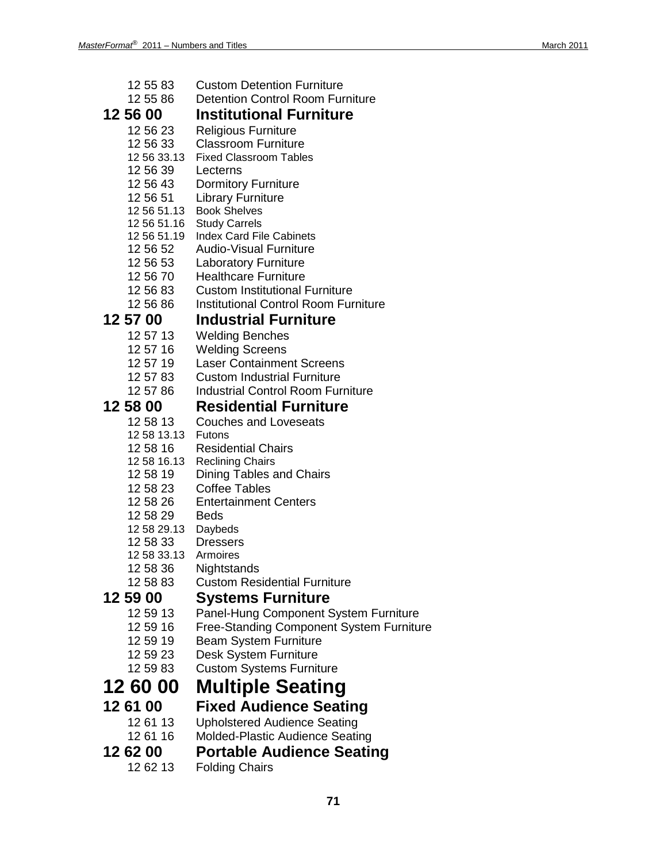|          | 12 55 83             | <b>Custom Detention Furniture</b>                    |
|----------|----------------------|------------------------------------------------------|
|          | 12 55 86             | <b>Detention Control Room Furniture</b>              |
| 12 56 00 |                      | <b>Institutional Furniture</b>                       |
|          | 12 56 23             | <b>Religious Furniture</b>                           |
|          | 12 56 33             | <b>Classroom Furniture</b>                           |
|          | 12 56 33.13          | <b>Fixed Classroom Tables</b>                        |
|          | 12 56 39             | Lecterns                                             |
| 12 56 51 | 12 56 43             | <b>Dormitory Furniture</b>                           |
|          | 12 56 51.13          | <b>Library Furniture</b><br><b>Book Shelves</b>      |
|          | 12 56 51.16          | <b>Study Carrels</b>                                 |
|          | 12 56 51.19          | <b>Index Card File Cabinets</b>                      |
|          | 12 56 52             | <b>Audio-Visual Furniture</b>                        |
|          | 12 56 53             | <b>Laboratory Furniture</b>                          |
|          | 12 56 70             | <b>Healthcare Furniture</b>                          |
|          | 12 56 83             | <b>Custom Institutional Furniture</b>                |
|          | 12 56 86             | <b>Institutional Control Room Furniture</b>          |
| 12 57 00 |                      | <b>Industrial Furniture</b>                          |
|          | 12 57 13             | <b>Welding Benches</b>                               |
|          | 12 57 16             | <b>Welding Screens</b>                               |
|          | 12 57 19             | <b>Laser Containment Screens</b>                     |
|          | 12 57 83             | <b>Custom Industrial Furniture</b>                   |
|          | 12 57 86             | <b>Industrial Control Room Furniture</b>             |
| 12 58 00 |                      | <b>Residential Furniture</b>                         |
|          | 12 58 13             | <b>Couches and Loveseats</b>                         |
|          | 12 58 13.13          | <b>Futons</b>                                        |
|          | 12 58 16             | <b>Residential Chairs</b>                            |
|          | 12 58 16.13          | <b>Reclining Chairs</b>                              |
|          | 12 58 19             | <b>Dining Tables and Chairs</b>                      |
|          | 12 58 23<br>12 58 26 | <b>Coffee Tables</b><br><b>Entertainment Centers</b> |
|          | 12 58 29             | <b>Beds</b>                                          |
|          | 12 58 29.13 Daybeds  |                                                      |
|          | 12 58 33             | <b>Dressers</b>                                      |
|          | 12 58 33.13          | Armoires                                             |
|          | 12 58 36             | Nightstands                                          |
|          | 12 58 83             | <b>Custom Residential Furniture</b>                  |
| 12 59 00 |                      | Systems Furniture                                    |
|          | 12 59 13             | Panel-Hung Component System Furniture                |
|          | 12 59 16             | <b>Free-Standing Component System Furniture</b>      |
|          | 12 59 19             | <b>Beam System Furniture</b>                         |
|          | 12 59 23             | <b>Desk System Furniture</b>                         |
|          | 12 59 83             | <b>Custom Systems Furniture</b>                      |
| 12 60 00 |                      | <b>Multiple Seating</b>                              |
| 12 61 00 |                      | <b>Fixed Audience Seating</b>                        |
|          | 12 61 13             | <b>Upholstered Audience Seating</b>                  |
|          | 12 61 16             | Molded-Plastic Audience Seating                      |
| 12 62 00 |                      | <b>Portable Audience Seating</b>                     |
|          |                      |                                                      |
|          | 12 62 13             | <b>Folding Chairs</b>                                |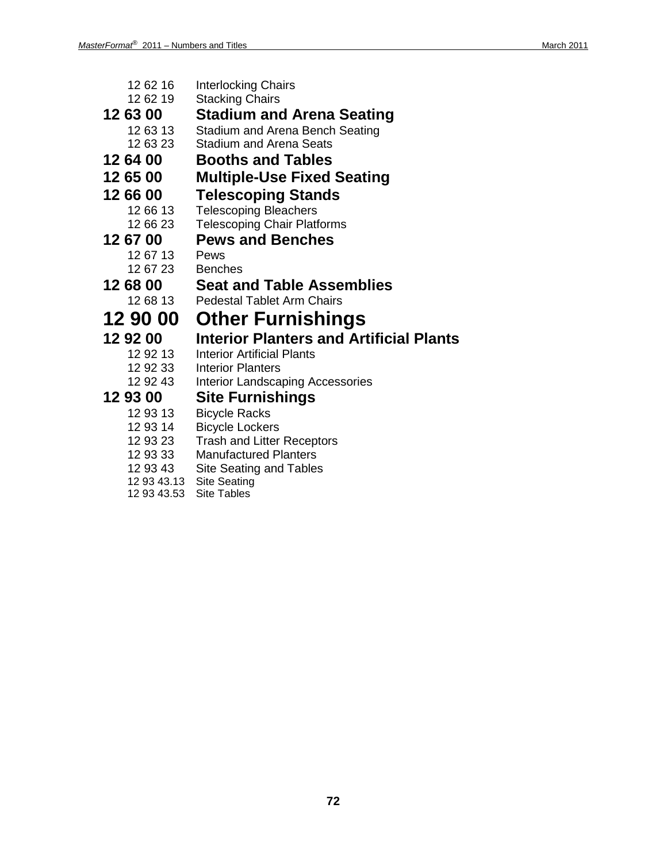| 12 62 16 | <b>Interlocking Chairs</b>                     |
|----------|------------------------------------------------|
| 12 62 19 | <b>Stacking Chairs</b>                         |
| 12 63 00 | <b>Stadium and Arena Seating</b>               |
| 12 63 13 | Stadium and Arena Bench Seating                |
| 12 63 23 | <b>Stadium and Arena Seats</b>                 |
| 12 64 00 | <b>Booths and Tables</b>                       |
| 12 65 00 | <b>Multiple-Use Fixed Seating</b>              |
| 12 66 00 | <b>Telescoping Stands</b>                      |
| 12 66 13 | <b>Telescoping Bleachers</b>                   |
| 12 66 23 | <b>Telescoping Chair Platforms</b>             |
| 12 67 00 | <b>Pews and Benches</b>                        |
| 12 67 13 | Pews                                           |
| 12 67 23 | <b>Benches</b>                                 |
| 12 68 00 | <b>Seat and Table Assemblies</b>               |
| 12 68 13 | <b>Pedestal Tablet Arm Chairs</b>              |
| 12 90 00 | <b>Other Furnishings</b>                       |
| 12 92 00 | <b>Interior Planters and Artificial Plants</b> |
| 12 92 13 | <b>Interior Artificial Plants</b>              |
| 12 92 33 | <b>Interior Planters</b>                       |
| 12 92 43 | <b>Interior Landscaping Accessories</b>        |
| 12 93 00 | Site Furnishings                               |
| 12 93 13 | <b>Bicycle Racks</b>                           |
| 12 93 14 | <b>Bicycle Lockers</b>                         |
| 12 93 23 | <b>Trash and Litter Receptors</b>              |
| 12 93 33 | <b>Manufactured Planters</b>                   |
| 12 93 43 | Site Seating and Tables                        |

- 12 93 43.13 Site Seating
- 12 93 43.53 Site Tables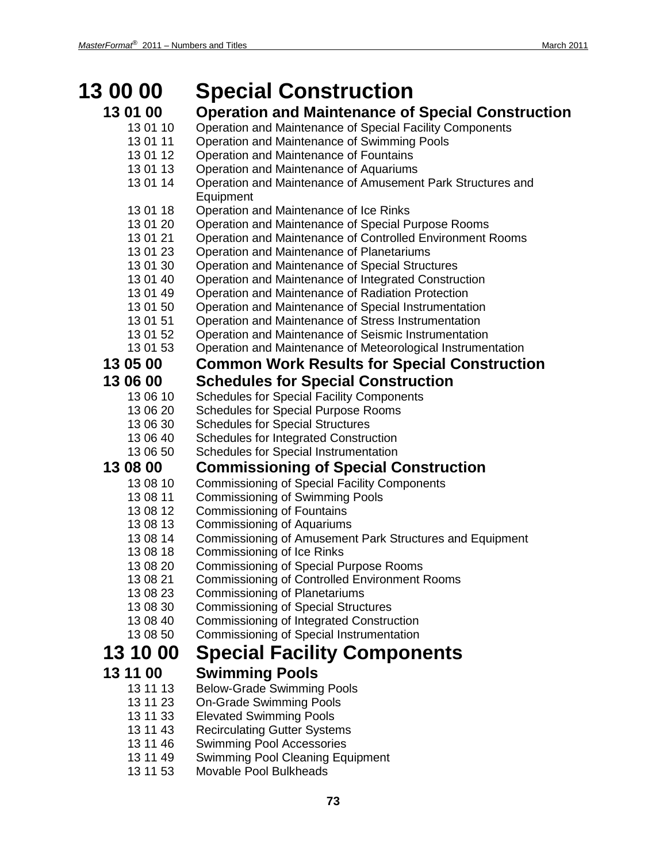### **13 00 00 Special Construction 13 01 00 Operation and Maintenance of Special Construction** 13 01 10 Operation and Maintenance of Special Facility Components 13 01 11 Operation and Maintenance of Swimming Pools 13 01 12 Operation and Maintenance of Fountains 13 01 13 Operation and Maintenance of Aquariums 13 01 14 Operation and Maintenance of Amusement Park Structures and Equipment 13 01 18 Operation and Maintenance of Ice Rinks 13 01 20 Operation and Maintenance of Special Purpose Rooms 13 01 21 Operation and Maintenance of Controlled Environment Rooms<br>13 01 23 Operation and Maintenance of Planetariums Operation and Maintenance of Planetariums 13 01 30 Operation and Maintenance of Special Structures 13 01 40 Operation and Maintenance of Integrated Construction 13 01 49 Operation and Maintenance of Radiation Protection 13 01 50 Operation and Maintenance of Special Instrumentation 13 01 51 Operation and Maintenance of Stress Instrumentation 13 01 52 Operation and Maintenance of Seismic Instrumentation<br>13 01 53 Operation and Maintenance of Meteorological Instrumer Operation and Maintenance of Meteorological Instrumentation **13 05 00 Common Work Results for Special Construction 13 06 00 Schedules for Special Construction** 13 06 10 Schedules for Special Facility Components 13 06 20 Schedules for Special Purpose Rooms 13 06 30 Schedules for Special Structures 13 06 40 Schedules for Integrated Construction 13 06 50 Schedules for Special Instrumentation **13 08 00 Commissioning of Special Construction** 13 08 10 Commissioning of Special Facility Components 13 08 11 Commissioning of Swimming Pools 13 08 12 Commissioning of Fountains 13 08 13 Commissioning of Aquariums 13 08 14 Commissioning of Amusement Park Structures and Equipment<br>13 08 18 Commissioning of Ice Rinks Commissioning of Ice Rinks 13 08 20 Commissioning of Special Purpose Rooms 13 08 21 Commissioning of Controlled Environment Rooms 13 08 23 Commissioning of Planetariums 13 08 30 Commissioning of Special Structures 13 08 40 Commissioning of Integrated Construction 13 08 50 Commissioning of Special Instrumentation **13 10 00 Special Facility Components 13 11 00 Swimming Pools** 13 11 13 Below-Grade Swimming Pools<br>13 11 23 On-Grade Swimming Pools **On-Grade Swimming Pools** 13 11 33 Elevated Swimming Pools 13 11 43 Recirculating Gutter Systems 13 11 46 Swimming Pool Accessories 13 11 49 Swimming Pool Cleaning Equipment 13 11 53 Movable Pool Bulkheads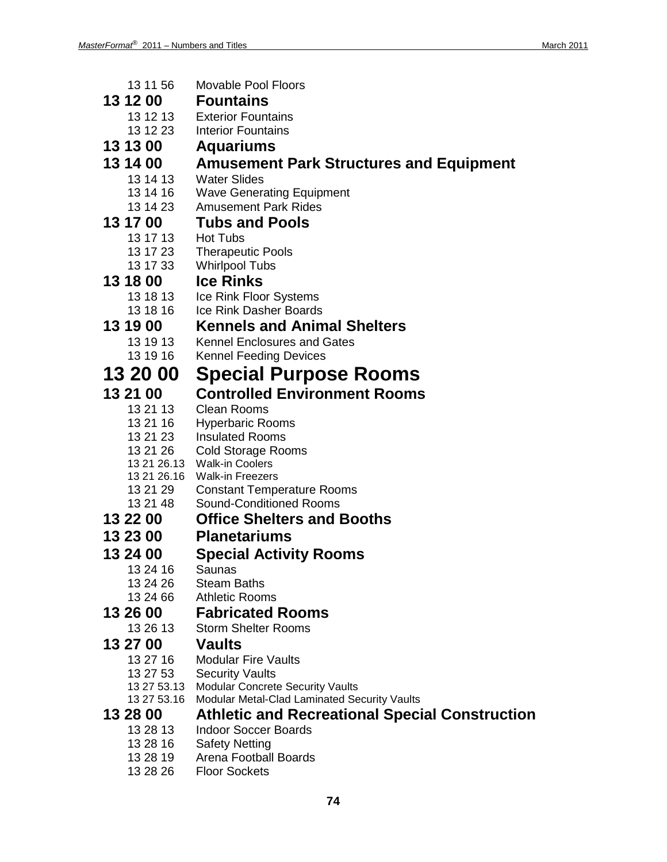| 13 11 56             | <b>Movable Pool Floors</b>                            |
|----------------------|-------------------------------------------------------|
| 13 12 00             | <b>Fountains</b>                                      |
| 13 12 13             | <b>Exterior Fountains</b>                             |
| 13 12 23             | <b>Interior Fountains</b>                             |
| 13 13 00             | <b>Aquariums</b>                                      |
| 13 14 00             | <b>Amusement Park Structures and Equipment</b>        |
| 13 14 13             | <b>Water Slides</b>                                   |
| 13 14 16             | <b>Wave Generating Equipment</b>                      |
| 13 14 23             | <b>Amusement Park Rides</b>                           |
| 13 17 00             | <b>Tubs and Pools</b>                                 |
| 13 17 13             | <b>Hot Tubs</b>                                       |
| 13 17 23             | <b>Therapeutic Pools</b>                              |
| 13 17 33             | <b>Whirlpool Tubs</b>                                 |
| 13 18 00             | <b>Ice Rinks</b>                                      |
| 13 18 13             | Ice Rink Floor Systems                                |
| 13 18 16             | Ice Rink Dasher Boards                                |
| 13 19 00             | <b>Kennels and Animal Shelters</b>                    |
| 13 19 13             | <b>Kennel Enclosures and Gates</b>                    |
| 13 19 16             | <b>Kennel Feeding Devices</b>                         |
| 13 20 00             | <b>Special Purpose Rooms</b>                          |
| 13 21 00             | <b>Controlled Environment Rooms</b>                   |
|                      |                                                       |
| 13 21 13<br>13 21 16 | <b>Clean Rooms</b><br><b>Hyperbaric Rooms</b>         |
| 13 21 23             | <b>Insulated Rooms</b>                                |
| 13 21 26             | <b>Cold Storage Rooms</b>                             |
|                      | 13 21 26.13 Walk-in Coolers                           |
| 13 21 26.16          | <b>Walk-in Freezers</b>                               |
| 13 21 29             | <b>Constant Temperature Rooms</b>                     |
| 13 21 48             | <b>Sound-Conditioned Rooms</b>                        |
| 13 22 00             | <b>Office Shelters and Booths</b>                     |
| 13 23 00             | <b>Planetariums</b>                                   |
| 13 24 00             | <b>Special Activity Rooms</b>                         |
| 13 24 16             | Saunas                                                |
| 13 24 26             | <b>Steam Baths</b>                                    |
| 13 24 66             | <b>Athletic Rooms</b>                                 |
| 13 26 00             | <b>Fabricated Rooms</b>                               |
| 13 26 13             | <b>Storm Shelter Rooms</b>                            |
| 13 27 00             | <b>Vaults</b>                                         |
| 13 27 16             | <b>Modular Fire Vaults</b>                            |
| 13 27 53             | <b>Security Vaults</b>                                |
| 13 27 53.13          | Modular Concrete Security Vaults                      |
| 13 27 53.16          | Modular Metal-Clad Laminated Security Vaults          |
| 13 28 00             | <b>Athletic and Recreational Special Construction</b> |
| 13 28 13             | <b>Indoor Soccer Boards</b>                           |
| 13 28 16             | <b>Safety Netting</b>                                 |
| 13 28 19<br>13 28 26 | Arena Football Boards<br><b>Floor Sockets</b>         |
|                      |                                                       |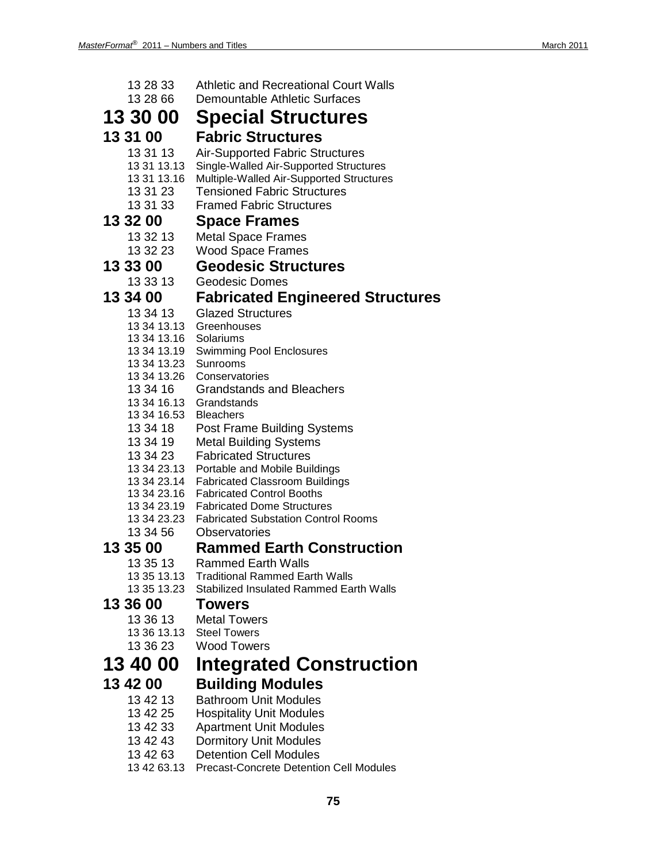| 13 28 33<br>13 28 66       | <b>Athletic and Recreational Court Walls</b><br><b>Demountable Athletic Surfaces</b> |
|----------------------------|--------------------------------------------------------------------------------------|
| 13 30 00                   | <b>Special Structures</b>                                                            |
| 13 31 00                   | <b>Fabric Structures</b>                                                             |
| 13 31 13                   | <b>Air-Supported Fabric Structures</b>                                               |
| 13 31 13.13                | Single-Walled Air-Supported Structures                                               |
| 13 31 13.16                | Multiple-Walled Air-Supported Structures                                             |
| 13 31 23                   | <b>Tensioned Fabric Structures</b>                                                   |
| 13 31 33                   | <b>Framed Fabric Structures</b>                                                      |
| 13 32 00                   | <b>Space Frames</b>                                                                  |
| 13 32 13                   | <b>Metal Space Frames</b>                                                            |
| 13 32 23                   | <b>Wood Space Frames</b>                                                             |
| 13 33 00                   | <b>Geodesic Structures</b>                                                           |
| 13 33 13                   | <b>Geodesic Domes</b>                                                                |
| 13 34 00                   | <b>Fabricated Engineered Structures</b>                                              |
| 13 34 13                   | <b>Glazed Structures</b>                                                             |
| 13 34 13.13<br>13 34 13.16 | Greenhouses<br>Solariums                                                             |
| 13 34 13.19                | <b>Swimming Pool Enclosures</b>                                                      |
| 13 34 13.23                | Sunrooms                                                                             |
| 13 34 13.26                | Conservatories                                                                       |
| 13 34 16                   | <b>Grandstands and Bleachers</b>                                                     |
| 13 34 16.13<br>13 34 16.53 | Grandstands<br><b>Bleachers</b>                                                      |
| 13 34 18                   | Post Frame Building Systems                                                          |
| 13 34 19                   | <b>Metal Building Systems</b>                                                        |
| 13 34 23                   | <b>Fabricated Structures</b>                                                         |
| 13 34 23.13                | Portable and Mobile Buildings                                                        |
|                            | 13 34 23.14 Fabricated Classroom Buildings                                           |
|                            | 13 34 23.16 Fabricated Control Booths<br>13 34 23.19 Fabricated Dome Structures      |
|                            | 13 34 23.23 Fabricated Substation Control Rooms                                      |
| 13 34 56                   | Observatories                                                                        |
| 13 35 00                   | <b>Rammed Earth Construction</b>                                                     |
| 13 35 13                   | <b>Rammed Earth Walls</b>                                                            |
| 13 35 13.13                | <b>Traditional Rammed Earth Walls</b>                                                |
| 13 35 13.23                | <b>Stabilized Insulated Rammed Earth Walls</b>                                       |
| 13 36 00                   | <b>Towers</b>                                                                        |
| 13 36 13                   | <b>Metal Towers</b>                                                                  |
| 13 36 13.13<br>13 36 23    | <b>Steel Towers</b><br><b>Wood Towers</b>                                            |
|                            |                                                                                      |
| 13 40 00                   | <b>Integrated Construction</b>                                                       |
| 13 42 00                   | <b>Building Modules</b>                                                              |
| 13 42 13                   | <b>Bathroom Unit Modules</b>                                                         |
| 13 42 25                   | <b>Hospitality Unit Modules</b>                                                      |
| 13 42 33                   | <b>Apartment Unit Modules</b>                                                        |
| 13 42 43<br>13 42 63       | <b>Dormitory Unit Modules</b><br><b>Detention Cell Modules</b>                       |
| 13 42 63.13                | Precast-Concrete Detention Cell Modules                                              |

**75**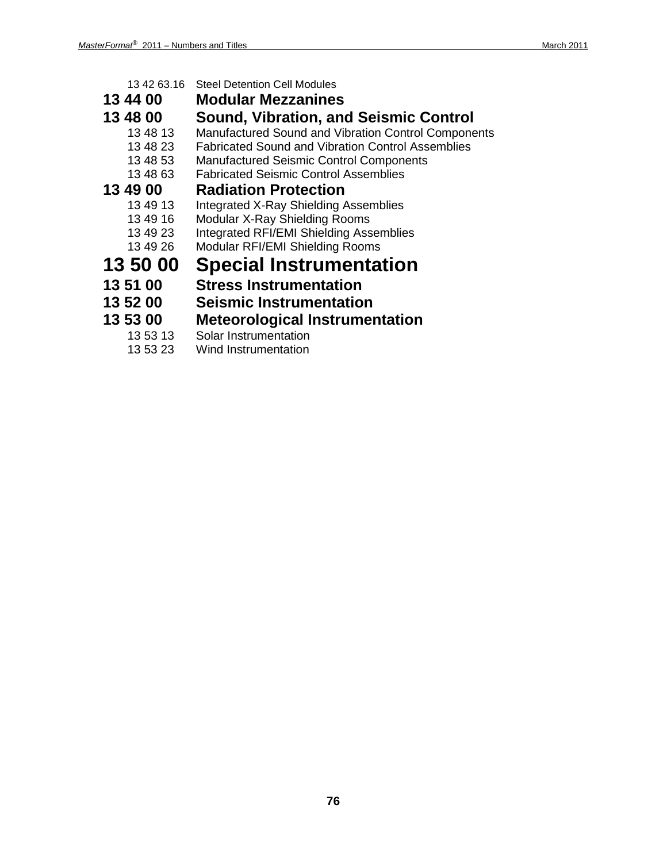| 13 42 63.16 | <b>Steel Detention Cell Modules</b>                      |
|-------------|----------------------------------------------------------|
| 13 44 00    | <b>Modular Mezzanines</b>                                |
| 13 48 00    | <b>Sound, Vibration, and Seismic Control</b>             |
| 13 48 13    | Manufactured Sound and Vibration Control Components      |
| 13 48 23    | <b>Fabricated Sound and Vibration Control Assemblies</b> |
| 13 48 53    | <b>Manufactured Seismic Control Components</b>           |
| 13 48 63    | <b>Fabricated Seismic Control Assemblies</b>             |
| 13 49 00    | <b>Radiation Protection</b>                              |
| 13 49 13    | <b>Integrated X-Ray Shielding Assemblies</b>             |
| 13 49 16    | Modular X-Ray Shielding Rooms                            |
| 13 49 23    | Integrated RFI/EMI Shielding Assemblies                  |
| 13 49 26    | Modular RFI/EMI Shielding Rooms                          |
| 13 50 00    | <b>Special Instrumentation</b>                           |
| 13 51 00    | <b>Stress Instrumentation</b>                            |
| 13 52 00    | <b>Seismic Instrumentation</b>                           |
| 13 53 00    | <b>Meteorological Instrumentation</b>                    |
| 13 53 13    | Solar Instrumentation                                    |

13 53 23 Wind Instrumentation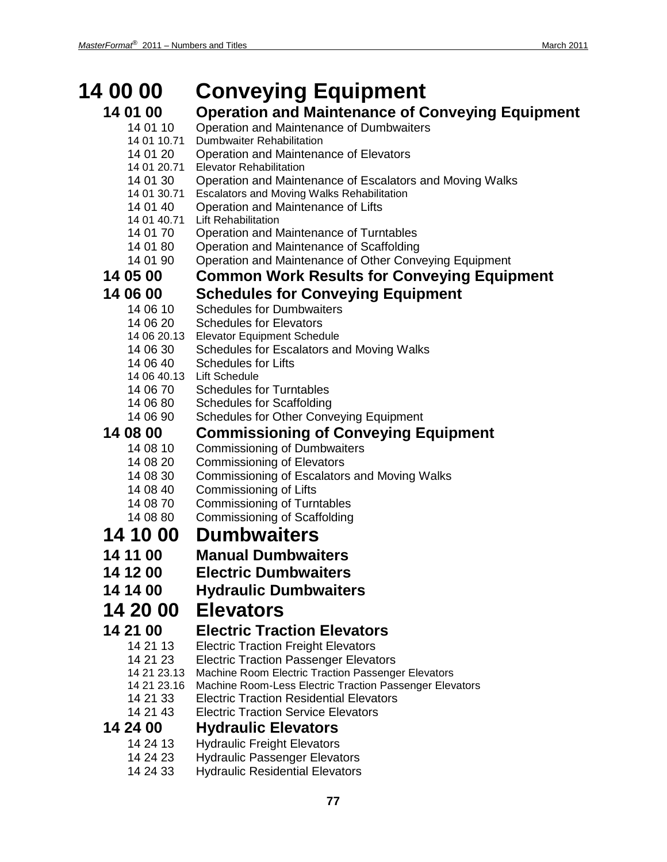| <b>14 00 00</b>         | <b>Conveying Equipment</b>                                                              |
|-------------------------|-----------------------------------------------------------------------------------------|
| 14 01 00                | <b>Operation and Maintenance of Conveying Equipment</b>                                 |
| 14 01 10                | Operation and Maintenance of Dumbwaiters                                                |
| 14 01 10.71             | <b>Dumbwaiter Rehabilitation</b>                                                        |
| 14 01 20                | Operation and Maintenance of Elevators                                                  |
| 14 01 20.71             | <b>Elevator Rehabilitation</b>                                                          |
| 14 01 30<br>14 01 30.71 | Operation and Maintenance of Escalators and Moving Walks                                |
| 14 01 40                | <b>Escalators and Moving Walks Rehabilitation</b><br>Operation and Maintenance of Lifts |
| 14 01 40.71             | <b>Lift Rehabilitation</b>                                                              |
| 14 01 70                | Operation and Maintenance of Turntables                                                 |
| 14 01 80                | Operation and Maintenance of Scaffolding                                                |
| 14 01 90                | Operation and Maintenance of Other Conveying Equipment                                  |
| 14 05 00                | <b>Common Work Results for Conveying Equipment</b>                                      |
| 14 06 00                | <b>Schedules for Conveying Equipment</b>                                                |
| 14 06 10                | <b>Schedules for Dumbwaiters</b>                                                        |
| 14 06 20                | <b>Schedules for Elevators</b>                                                          |
| 14 06 20.13             | <b>Elevator Equipment Schedule</b>                                                      |
| 14 06 30                | Schedules for Escalators and Moving Walks                                               |
| 14 06 40                | <b>Schedules for Lifts</b><br>14 06 40.13 Lift Schedule                                 |
| 14 06 70                | <b>Schedules for Turntables</b>                                                         |
| 14 06 80                | <b>Schedules for Scaffolding</b>                                                        |
| 14 06 90                | <b>Schedules for Other Conveying Equipment</b>                                          |
| 14 08 00                | <b>Commissioning of Conveying Equipment</b>                                             |
| 14 08 10                | <b>Commissioning of Dumbwaiters</b>                                                     |
| 14 08 20                | <b>Commissioning of Elevators</b>                                                       |
| 14 08 30                | <b>Commissioning of Escalators and Moving Walks</b>                                     |
| 14 08 40                | Commissioning of Lifts                                                                  |
| 14 08 70                | <b>Commissioning of Turntables</b>                                                      |
| 14 08 80                | <b>Commissioning of Scaffolding</b>                                                     |
| 14 10 00                | <b>Dumbwaiters</b>                                                                      |
| 14 11 00                | <b>Manual Dumbwaiters</b>                                                               |
| 14 12 00                | <b>Electric Dumbwaiters</b>                                                             |
| 14 14 00                | <b>Hydraulic Dumbwaiters</b>                                                            |
| 14 20 00                | <b>Elevators</b>                                                                        |
| 14 21 00                | <b>Electric Traction Elevators</b>                                                      |
| 14 21 13                | <b>Electric Traction Freight Elevators</b>                                              |
| 14 21 23                | <b>Electric Traction Passenger Elevators</b>                                            |
| 14 21 23.13             | Machine Room Electric Traction Passenger Elevators                                      |
| 14 21 23.16             | Machine Room-Less Electric Traction Passenger Elevators                                 |
| 14 21 33                | <b>Electric Traction Residential Elevators</b>                                          |
| 14 21 43<br>14 24 00    | <b>Electric Traction Service Elevators</b>                                              |
|                         | <b>Hydraulic Elevators</b>                                                              |
| 14 24 13                | <b>Hydraulic Freight Elevators</b>                                                      |
| 14 24 23                | <b>Hydraulic Passenger Elevators</b>                                                    |

14 24 33 Hydraulic Residential Elevators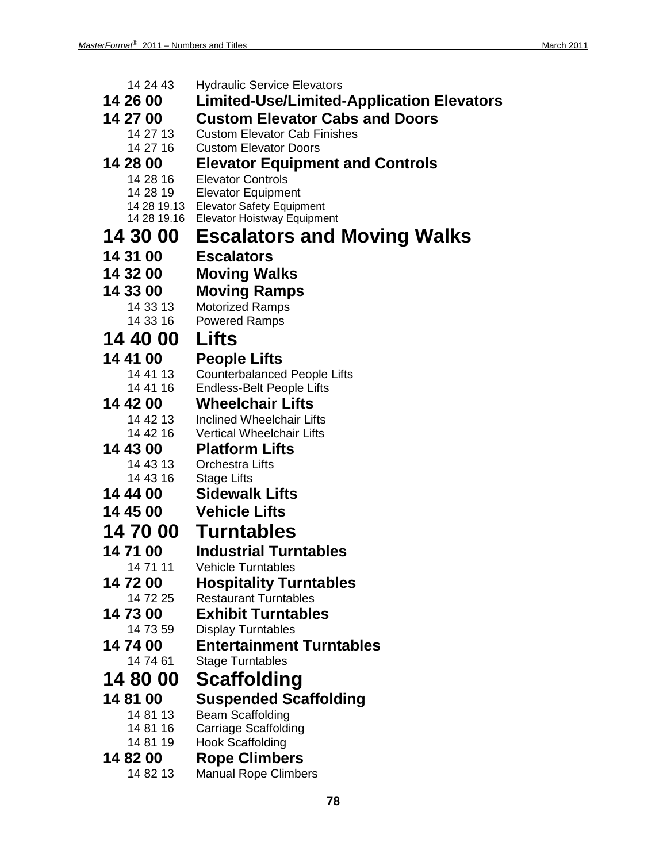| 14 24 43             | <b>Hydraulic Service Elevators</b>                                   |
|----------------------|----------------------------------------------------------------------|
| 14 26 00             | Limited-Use/Limited-Application Elevators                            |
| 14 27 00             | <b>Custom Elevator Cabs and Doors</b>                                |
| 14 27 13             | <b>Custom Elevator Cab Finishes</b>                                  |
| 14 27 16             | <b>Custom Elevator Doors</b>                                         |
| 14 28 00             | <b>Elevator Equipment and Controls</b>                               |
| 14 28 16<br>14 28 19 | <b>Elevator Controls</b><br><b>Elevator Equipment</b>                |
|                      | 14 28 19.13 Elevator Safety Equipment                                |
| 14 28 19.16          | <b>Elevator Hoistway Equipment</b>                                   |
| 14 30 00             | <b>Escalators and Moving Walks</b>                                   |
| 14 31 00             | <b>Escalators</b>                                                    |
| 14 32 00             | <b>Moving Walks</b>                                                  |
| 14 33 00             | <b>Moving Ramps</b>                                                  |
| 14 33 13             | <b>Motorized Ramps</b>                                               |
| 14 33 16             | <b>Powered Ramps</b>                                                 |
| 14 40 00             | Lifts                                                                |
| 14 41 00             | <b>People Lifts</b>                                                  |
| 14 41 13             | <b>Counterbalanced People Lifts</b>                                  |
| 14 41 16             | <b>Endless-Belt People Lifts</b>                                     |
| 14 42 00             | <b>Wheelchair Lifts</b>                                              |
| 14 42 13<br>14 42 16 | <b>Inclined Wheelchair Lifts</b><br><b>Vertical Wheelchair Lifts</b> |
| 14 43 00             | <b>Platform Lifts</b>                                                |
| 14 43 13             | <b>Orchestra Lifts</b>                                               |
| 14 43 16             | <b>Stage Lifts</b>                                                   |
| 14 44 00             | <b>Sidewalk Lifts</b>                                                |
| 14 45 00             | <b>Vehicle Lifts</b>                                                 |
|                      | 14 70 00 Turntables                                                  |
| 14 71 00             | <b>Industrial Turntables</b>                                         |
| 14 71 11             | <b>Vehicle Turntables</b>                                            |
| 14 72 00             | <b>Hospitality Turntables</b>                                        |
| 14 72 25             | <b>Restaurant Turntables</b>                                         |
| 14 73 00             | <b>Exhibit Turntables</b>                                            |
| 14 73 59             | <b>Display Turntables</b>                                            |
| 14 74 00<br>14 74 61 | <b>Entertainment Turntables</b><br><b>Stage Turntables</b>           |
|                      |                                                                      |
| 14 80 00             | Scaffolding                                                          |
| 14 81 00             | <b>Suspended Scaffolding</b>                                         |
| 14 81 13<br>14 81 16 | <b>Beam Scaffolding</b><br>Carriage Scaffolding                      |
| 14 81 19             | <b>Hook Scaffolding</b>                                              |
| 14 82 00             | <b>Rope Climbers</b>                                                 |
| 14 82 13             | <b>Manual Rope Climbers</b>                                          |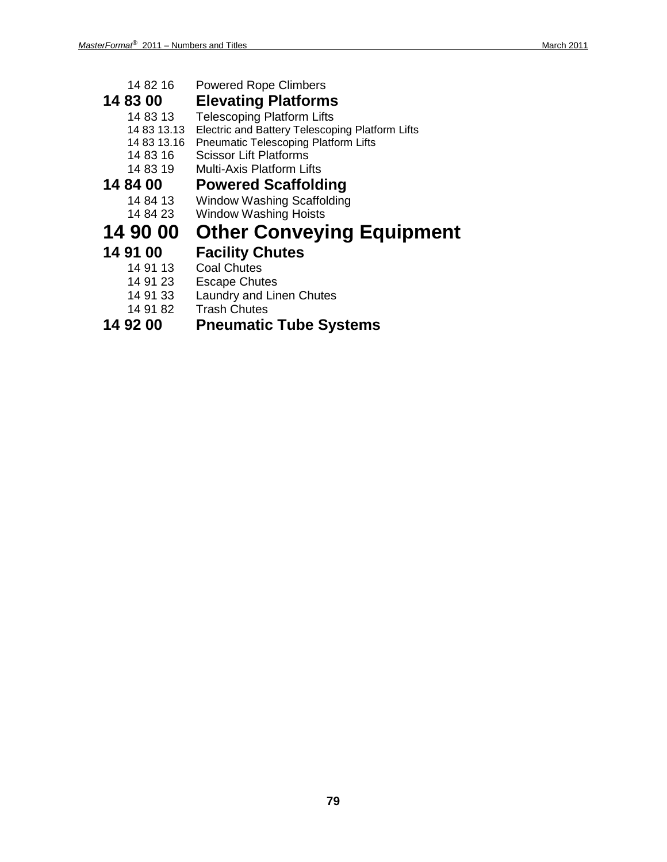| 14 82 16    | <b>Powered Rope Climbers</b>                    |
|-------------|-------------------------------------------------|
| 14 83 00    | <b>Elevating Platforms</b>                      |
| 14 83 13    | <b>Telescoping Platform Lifts</b>               |
| 14 83 13.13 | Electric and Battery Telescoping Platform Lifts |
| 14 83 13.16 | <b>Pneumatic Telescoping Platform Lifts</b>     |
| 14 83 16    | <b>Scissor Lift Platforms</b>                   |
| 14 83 19    | <b>Multi-Axis Platform Lifts</b>                |
| 14 84 00    | <b>Powered Scaffolding</b>                      |
| 14 84 13    | <b>Window Washing Scaffolding</b>               |
| 14 84 23    | <b>Window Washing Hoists</b>                    |
| 14 90 00    | <b>Other Conveying Equipment</b>                |
| 14 91 00    | <b>Facility Chutes</b>                          |
| 14 91 13    | <b>Coal Chutes</b>                              |
| 14 91 23    | <b>Escape Chutes</b>                            |
| .           |                                                 |

- 14 91 33 Laundry and Linen Chutes
- 

## 14 91 82 Trash Chutes<br>**14 92 00 Pneumatic 14 92 00 Pneumatic Tube Systems**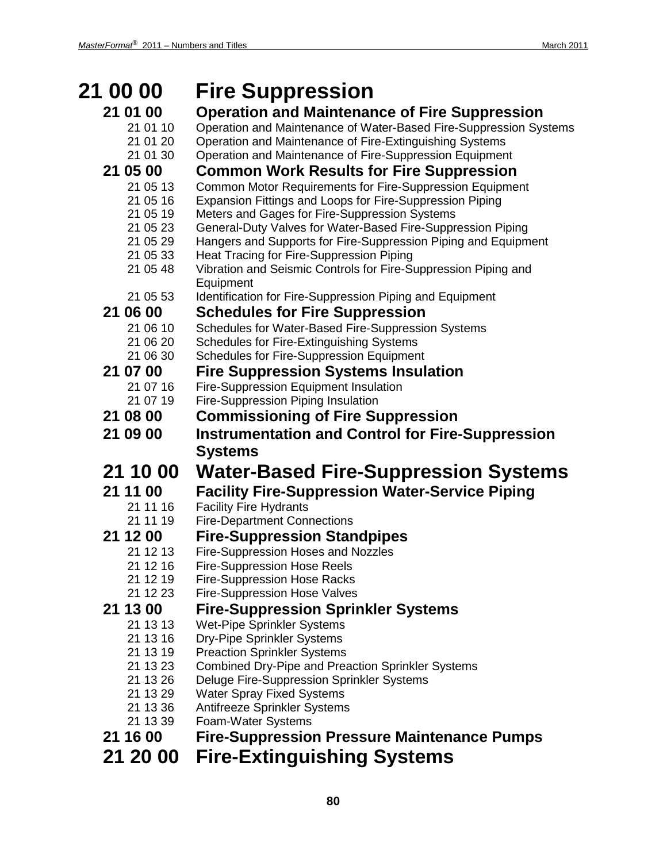| 21 00 00             | <b>Fire Suppression</b>                                                                                    |
|----------------------|------------------------------------------------------------------------------------------------------------|
| 21 01 00             | <b>Operation and Maintenance of Fire Suppression</b>                                                       |
| 21 01 10             | Operation and Maintenance of Water-Based Fire-Suppression Systems                                          |
| 21 01 20             | Operation and Maintenance of Fire-Extinguishing Systems                                                    |
| 21 01 30             | Operation and Maintenance of Fire-Suppression Equipment                                                    |
| 21 05 00             | <b>Common Work Results for Fire Suppression</b>                                                            |
| 21 05 13             | Common Motor Requirements for Fire-Suppression Equipment                                                   |
| 21 05 16             | Expansion Fittings and Loops for Fire-Suppression Piping                                                   |
| 21 05 19             | Meters and Gages for Fire-Suppression Systems                                                              |
| 21 05 23             | General-Duty Valves for Water-Based Fire-Suppression Piping                                                |
| 21 05 29<br>21 05 33 | Hangers and Supports for Fire-Suppression Piping and Equipment<br>Heat Tracing for Fire-Suppression Piping |
| 21 05 48             | Vibration and Seismic Controls for Fire-Suppression Piping and                                             |
|                      | Equipment                                                                                                  |
| 21 05 53             | Identification for Fire-Suppression Piping and Equipment                                                   |
| 21 06 00             | <b>Schedules for Fire Suppression</b>                                                                      |
| 21 06 10             | Schedules for Water-Based Fire-Suppression Systems                                                         |
| 21 06 20             | Schedules for Fire-Extinguishing Systems                                                                   |
| 21 06 30             | <b>Schedules for Fire-Suppression Equipment</b>                                                            |
| 21 07 00             | <b>Fire Suppression Systems Insulation</b>                                                                 |
| 21 07 16             | Fire-Suppression Equipment Insulation                                                                      |
| 21 07 19             | <b>Fire-Suppression Piping Insulation</b>                                                                  |
| 21 08 00             | <b>Commissioning of Fire Suppression</b>                                                                   |
| 21 09 00             | <b>Instrumentation and Control for Fire-Suppression</b>                                                    |
|                      | <b>Systems</b>                                                                                             |
| 21 10 00             | <b>Water-Based Fire-Suppression Systems</b>                                                                |
| 21 11 00             | <b>Facility Fire-Suppression Water-Service Piping</b>                                                      |
| 21 11 16             | <b>Facility Fire Hydrants</b>                                                                              |
| 21 11 19             | <b>Fire-Department Connections</b>                                                                         |
| 21 12 00             | <b>Fire-Suppression Standpipes</b>                                                                         |
| 21 12 13             | Fire-Suppression Hoses and Nozzles                                                                         |
| 21 12 16             | <b>Fire-Suppression Hose Reels</b>                                                                         |
| 21 12 19             | <b>Fire-Suppression Hose Racks</b>                                                                         |
| 21 12 23             | <b>Fire-Suppression Hose Valves</b>                                                                        |
| 21 13 00             | <b>Fire-Suppression Sprinkler Systems</b>                                                                  |
| 21 13 13<br>21 13 16 | <b>Wet-Pipe Sprinkler Systems</b><br><b>Dry-Pipe Sprinkler Systems</b>                                     |
| 21 13 19             | <b>Preaction Sprinkler Systems</b>                                                                         |
| 21 13 23             | <b>Combined Dry-Pipe and Preaction Sprinkler Systems</b>                                                   |
| 21 13 26             | Deluge Fire-Suppression Sprinkler Systems                                                                  |
| 21 13 29             | <b>Water Spray Fixed Systems</b>                                                                           |
| 21 13 36             | Antifreeze Sprinkler Systems                                                                               |
| 21 13 39             | Foam-Water Systems                                                                                         |
| 21 16 00             | <b>Fire-Suppression Pressure Maintenance Pumps</b>                                                         |
| 21 20 00             | <b>Fire-Extinguishing Systems</b>                                                                          |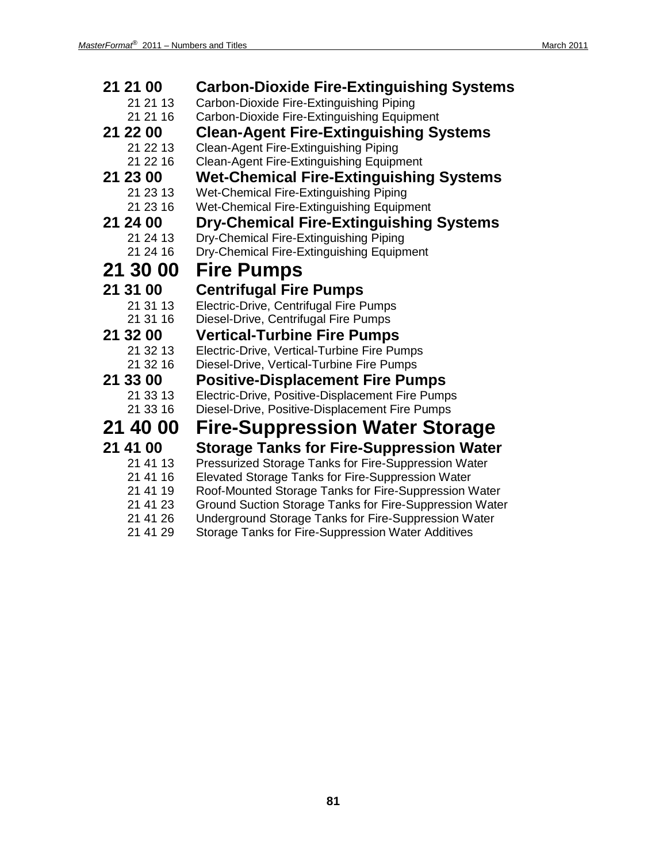| 21 21 00 | <b>Carbon-Dioxide Fire-Extinguishing Systems</b>        |
|----------|---------------------------------------------------------|
| 21 21 13 | Carbon-Dioxide Fire-Extinguishing Piping                |
| 21 21 16 | Carbon-Dioxide Fire-Extinguishing Equipment             |
| 21 22 00 | <b>Clean-Agent Fire-Extinguishing Systems</b>           |
| 21 22 13 | <b>Clean-Agent Fire-Extinguishing Piping</b>            |
| 21 22 16 | <b>Clean-Agent Fire-Extinguishing Equipment</b>         |
| 21 23 00 | <b>Wet-Chemical Fire-Extinguishing Systems</b>          |
| 21 23 13 | Wet-Chemical Fire-Extinguishing Piping                  |
| 21 23 16 | Wet-Chemical Fire-Extinguishing Equipment               |
| 21 24 00 | <b>Dry-Chemical Fire-Extinguishing Systems</b>          |
| 21 24 13 | Dry-Chemical Fire-Extinguishing Piping                  |
| 21 24 16 | Dry-Chemical Fire-Extinguishing Equipment               |
| 21 30 00 | <b>Fire Pumps</b>                                       |
| 21 31 00 | <b>Centrifugal Fire Pumps</b>                           |
| 21 31 13 | Electric-Drive, Centrifugal Fire Pumps                  |
| 21 31 16 | Diesel-Drive, Centrifugal Fire Pumps                    |
| 21 32 00 | <b>Vertical-Turbine Fire Pumps</b>                      |
| 21 32 13 | Electric-Drive, Vertical-Turbine Fire Pumps             |
| 21 32 16 | Diesel-Drive, Vertical-Turbine Fire Pumps               |
| 21 33 00 | <b>Positive-Displacement Fire Pumps</b>                 |
| 21 33 13 | Electric-Drive, Positive-Displacement Fire Pumps        |
| 21 33 16 | Diesel-Drive, Positive-Displacement Fire Pumps          |
| 21 40 00 | <b>Fire-Suppression Water Storage</b>                   |
| 21 41 00 | <b>Storage Tanks for Fire-Suppression Water</b>         |
| 21 41 13 | Pressurized Storage Tanks for Fire-Suppression Water    |
| 21 41 16 | Elevated Storage Tanks for Fire-Suppression Water       |
| 21 41 19 | Roof-Mounted Storage Tanks for Fire-Suppression Water   |
| 21 41 23 | Ground Suction Storage Tanks for Fire-Suppression Water |
| 21 41 26 | Underground Storage Tanks for Fire-Suppression Water    |

21 41 29 Storage Tanks for Fire-Suppression Water Additives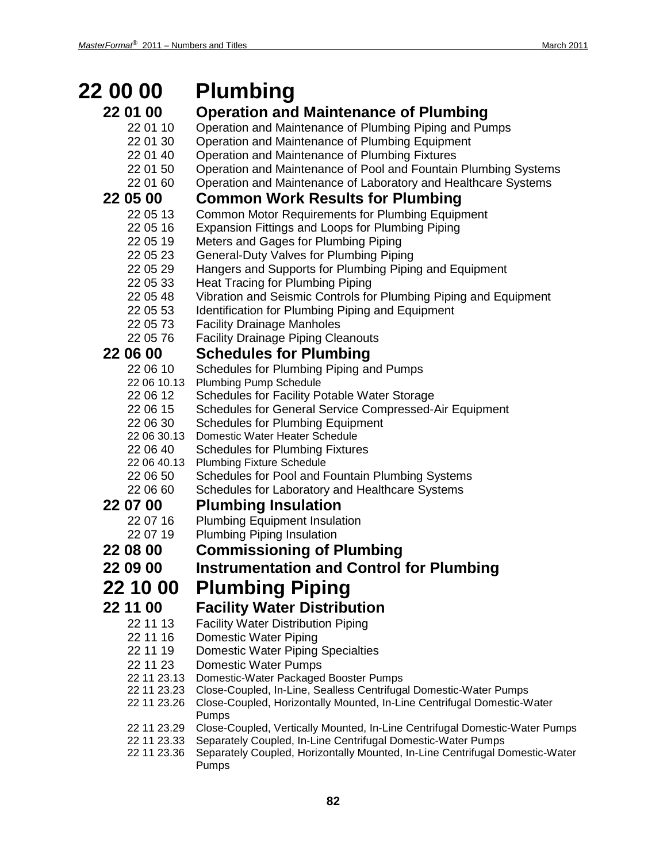| 22 00 00                | <b>Plumbing</b>                                                                       |
|-------------------------|---------------------------------------------------------------------------------------|
| 22 01 00                | <b>Operation and Maintenance of Plumbing</b>                                          |
| 22 01 10                | Operation and Maintenance of Plumbing Piping and Pumps                                |
| 22 01 30                | Operation and Maintenance of Plumbing Equipment                                       |
| 22 01 40                | Operation and Maintenance of Plumbing Fixtures                                        |
| 22 01 50                | Operation and Maintenance of Pool and Fountain Plumbing Systems                       |
| 22 01 60                | Operation and Maintenance of Laboratory and Healthcare Systems                        |
| 22 05 00                | <b>Common Work Results for Plumbing</b>                                               |
| 22 05 13                | <b>Common Motor Requirements for Plumbing Equipment</b>                               |
| 22 05 16                | Expansion Fittings and Loops for Plumbing Piping                                      |
| 22 05 19                | Meters and Gages for Plumbing Piping                                                  |
| 22 05 23                | General-Duty Valves for Plumbing Piping                                               |
| 22 05 29                | Hangers and Supports for Plumbing Piping and Equipment                                |
| 22 05 33                | Heat Tracing for Plumbing Piping                                                      |
| 22 05 48                | Vibration and Seismic Controls for Plumbing Piping and Equipment                      |
| 22 05 53                | Identification for Plumbing Piping and Equipment                                      |
| 22 05 73                | <b>Facility Drainage Manholes</b>                                                     |
| 22 05 76                | <b>Facility Drainage Piping Cleanouts</b>                                             |
| 22 06 00                | <b>Schedules for Plumbing</b>                                                         |
| 22 06 10                | Schedules for Plumbing Piping and Pumps                                               |
| 22 06 10.13<br>22 06 12 | <b>Plumbing Pump Schedule</b><br>Schedules for Facility Potable Water Storage         |
| 22 06 15                | Schedules for General Service Compressed-Air Equipment                                |
| 22 06 30                | <b>Schedules for Plumbing Equipment</b>                                               |
| 22 06 30.13             | Domestic Water Heater Schedule                                                        |
| 22 06 40                | <b>Schedules for Plumbing Fixtures</b>                                                |
| 22 06 40.13             | <b>Plumbing Fixture Schedule</b>                                                      |
| 22 06 50                | Schedules for Pool and Fountain Plumbing Systems                                      |
| 22 06 60                | Schedules for Laboratory and Healthcare Systems                                       |
| 22 07 00                | <b>Plumbing Insulation</b>                                                            |
| 22 07 16                | <b>Plumbing Equipment Insulation</b>                                                  |
| 22 07 19                | <b>Plumbing Piping Insulation</b>                                                     |
| 22 08 00                | <b>Commissioning of Plumbing</b>                                                      |
| 22 09 00                | <b>Instrumentation and Control for Plumbing</b>                                       |
| 22 10 00                | <b>Plumbing Piping</b>                                                                |
| 22 11 00                | <b>Facility Water Distribution</b>                                                    |
| 22 11 13                | <b>Facility Water Distribution Piping</b>                                             |
| 22 11 16                | <b>Domestic Water Piping</b>                                                          |
| 22 11 19                | <b>Domestic Water Piping Specialties</b>                                              |
| 22 11 23                | <b>Domestic Water Pumps</b>                                                           |
| 22 11 23.13             | Domestic-Water Packaged Booster Pumps                                                 |
| 22 11 23.23             | Close-Coupled, In-Line, Sealless Centrifugal Domestic-Water Pumps                     |
| 22 11 23.26             | Close-Coupled, Horizontally Mounted, In-Line Centrifugal Domestic-Water<br>Pumps      |
| 22 11 23.29             | Close-Coupled, Vertically Mounted, In-Line Centrifugal Domestic-Water Pumps           |
| 22 11 23.33             | Separately Coupled, In-Line Centrifugal Domestic-Water Pumps                          |
| 22 11 23.36             | Separately Coupled, Horizontally Mounted, In-Line Centrifugal Domestic-Water<br>Pumps |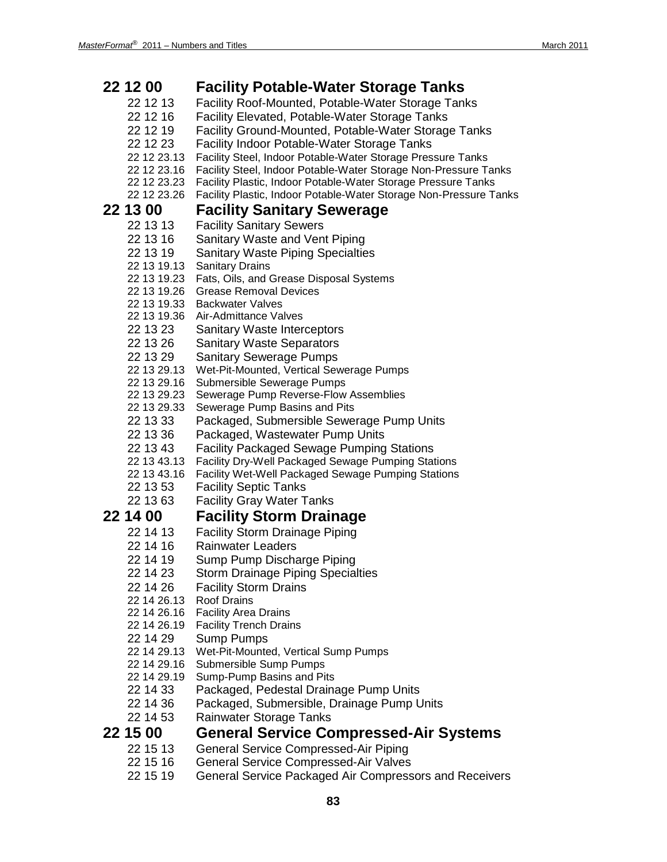| 22 12 00                   | <b>Facility Potable-Water Storage Tanks</b>                                                              |
|----------------------------|----------------------------------------------------------------------------------------------------------|
| 22 12 13                   | Facility Roof-Mounted, Potable-Water Storage Tanks                                                       |
| 22 12 16                   | Facility Elevated, Potable-Water Storage Tanks                                                           |
| 22 12 19                   | Facility Ground-Mounted, Potable-Water Storage Tanks                                                     |
| 22 12 23                   | Facility Indoor Potable-Water Storage Tanks                                                              |
| 22 12 23.13                | Facility Steel, Indoor Potable-Water Storage Pressure Tanks                                              |
| 22 12 23.16                | Facility Steel, Indoor Potable-Water Storage Non-Pressure Tanks                                          |
| 22 12 23.23                | Facility Plastic, Indoor Potable-Water Storage Pressure Tanks                                            |
| 22 12 23.26                | Facility Plastic, Indoor Potable-Water Storage Non-Pressure Tanks                                        |
| 22 13 00                   | <b>Facility Sanitary Sewerage</b>                                                                        |
| 22 13 13                   | <b>Facility Sanitary Sewers</b>                                                                          |
| 22 13 16                   | Sanitary Waste and Vent Piping                                                                           |
| 22 13 19                   | <b>Sanitary Waste Piping Specialties</b>                                                                 |
| 22 13 19.13                | <b>Sanitary Drains</b>                                                                                   |
| 22 13 19.23                | Fats, Oils, and Grease Disposal Systems                                                                  |
| 22 13 19.26                | <b>Grease Removal Devices</b>                                                                            |
| 22 13 19.33                | <b>Backwater Valves</b>                                                                                  |
| 22 13 19.36                | Air-Admittance Valves                                                                                    |
| 22 13 23                   | <b>Sanitary Waste Interceptors</b>                                                                       |
| 22 13 26                   | <b>Sanitary Waste Separators</b>                                                                         |
| 22 13 29                   | <b>Sanitary Sewerage Pumps</b>                                                                           |
| 22 13 29.13                | Wet-Pit-Mounted, Vertical Sewerage Pumps                                                                 |
| 22 13 29.16                | Submersible Sewerage Pumps                                                                               |
| 22 13 29.23                | Sewerage Pump Reverse-Flow Assemblies                                                                    |
| 22 13 29.33                | Sewerage Pump Basins and Pits                                                                            |
| 22 13 33                   | Packaged, Submersible Sewerage Pump Units                                                                |
| 22 13 36                   | Packaged, Wastewater Pump Units                                                                          |
| 22 13 43                   | <b>Facility Packaged Sewage Pumping Stations</b>                                                         |
| 22 13 43.13<br>22 13 43.16 | Facility Dry-Well Packaged Sewage Pumping Stations<br>Facility Wet-Well Packaged Sewage Pumping Stations |
| 22 13 53                   | <b>Facility Septic Tanks</b>                                                                             |
| 22 13 63                   | <b>Facility Gray Water Tanks</b>                                                                         |
|                            |                                                                                                          |
| 22 14 00                   | <b>Facility Storm Drainage</b>                                                                           |
| 22 14 13                   | <b>Facility Storm Drainage Piping</b>                                                                    |
| 22 14 16                   | <b>Rainwater Leaders</b>                                                                                 |
| 22 14 19                   | Sump Pump Discharge Piping                                                                               |
| 22 14 23                   | <b>Storm Drainage Piping Specialties</b>                                                                 |
| 22 14 26                   | <b>Facility Storm Drains</b>                                                                             |
| 22 14 26.13                | <b>Roof Drains</b>                                                                                       |
| 22 14 26.16<br>22 14 26.19 | <b>Facility Area Drains</b><br><b>Facility Trench Drains</b>                                             |
| 22 14 29                   | <b>Sump Pumps</b>                                                                                        |
| 22 14 29.13                | Wet-Pit-Mounted, Vertical Sump Pumps                                                                     |
| 22 14 29.16                | Submersible Sump Pumps                                                                                   |
| 22 14 29.19                | Sump-Pump Basins and Pits                                                                                |
| 22 14 33                   | Packaged, Pedestal Drainage Pump Units                                                                   |
| 22 14 36                   | Packaged, Submersible, Drainage Pump Units                                                               |
| 22 14 53                   | Rainwater Storage Tanks                                                                                  |
| 22 15 00                   | <b>General Service Compressed-Air Systems</b>                                                            |
|                            |                                                                                                          |
| 22 15 13                   | General Service Compressed-Air Piping                                                                    |
| 22 15 16                   | <b>General Service Compressed-Air Valves</b>                                                             |
| 22 15 19                   | General Service Packaged Air Compressors and Receivers                                                   |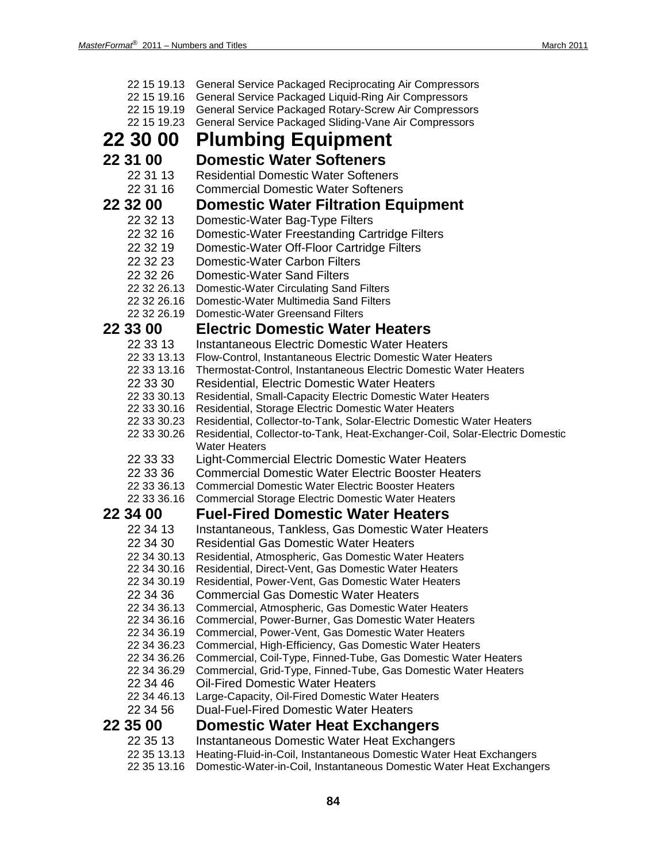| 22 15 19.13                | General Service Packaged Reciprocating Air Compressors                                               |
|----------------------------|------------------------------------------------------------------------------------------------------|
| 22 15 19.16                | General Service Packaged Liquid-Ring Air Compressors                                                 |
| 22 15 19.19                | General Service Packaged Rotary-Screw Air Compressors                                                |
| 22 15 19.23                | General Service Packaged Sliding-Vane Air Compressors                                                |
| 22 30 00                   | <b>Plumbing Equipment</b>                                                                            |
| 22 31 00                   | <b>Domestic Water Softeners</b>                                                                      |
| 22 31 13                   | <b>Residential Domestic Water Softeners</b>                                                          |
| 22 31 16                   | <b>Commercial Domestic Water Softeners</b>                                                           |
| 22 32 00                   | <b>Domestic Water Filtration Equipment</b>                                                           |
| 22 32 13                   | Domestic-Water Bag-Type Filters                                                                      |
| 22 32 16                   | Domestic-Water Freestanding Cartridge Filters                                                        |
|                            |                                                                                                      |
| 22 32 19                   | Domestic-Water Off-Floor Cartridge Filters                                                           |
| 22 32 23                   | Domestic-Water Carbon Filters                                                                        |
| 22 32 26                   | <b>Domestic-Water Sand Filters</b>                                                                   |
| 22 32 26.13                | Domestic-Water Circulating Sand Filters                                                              |
| 22 32 26.16<br>22 32 26.19 | Domestic-Water Multimedia Sand Filters<br><b>Domestic-Water Greensand Filters</b>                    |
|                            |                                                                                                      |
| 22 33 00                   | <b>Electric Domestic Water Heaters</b>                                                               |
| 22 33 13                   | <b>Instantaneous Electric Domestic Water Heaters</b>                                                 |
| 22 33 13.13                | Flow-Control, Instantaneous Electric Domestic Water Heaters                                          |
| 22 33 13.16                | Thermostat-Control, Instantaneous Electric Domestic Water Heaters                                    |
| 22 33 30                   | Residential, Electric Domestic Water Heaters                                                         |
| 22 33 30.13                | Residential, Small-Capacity Electric Domestic Water Heaters                                          |
| 22 33 30.16                | Residential, Storage Electric Domestic Water Heaters                                                 |
| 22 33 30.23                | Residential, Collector-to-Tank, Solar-Electric Domestic Water Heaters                                |
| 22 33 30.26                | Residential, Collector-to-Tank, Heat-Exchanger-Coil, Solar-Electric Domestic<br><b>Water Heaters</b> |
| 22 33 33                   | Light-Commercial Electric Domestic Water Heaters                                                     |
| 22 33 36                   | <b>Commercial Domestic Water Electric Booster Heaters</b>                                            |
| 22 33 36.13                | <b>Commercial Domestic Water Electric Booster Heaters</b>                                            |
| 22 33 36.16                | <b>Commercial Storage Electric Domestic Water Heaters</b>                                            |
| 22 34 00                   | <b>Fuel-Fired Domestic Water Heaters</b>                                                             |
| 22 34 13                   | Instantaneous, Tankless, Gas Domestic Water Heaters                                                  |
| 22 34 30                   | <b>Residential Gas Domestic Water Heaters</b>                                                        |
| 22 34 30.13                | Residential, Atmospheric, Gas Domestic Water Heaters                                                 |
| 22 34 30.16                | Residential, Direct-Vent, Gas Domestic Water Heaters                                                 |
| 22 34 30.19                | Residential, Power-Vent, Gas Domestic Water Heaters                                                  |
| 22 34 36                   | <b>Commercial Gas Domestic Water Heaters</b>                                                         |
| 22 34 36.13                | Commercial, Atmospheric, Gas Domestic Water Heaters                                                  |
| 22 34 36.16                | Commercial, Power-Burner, Gas Domestic Water Heaters                                                 |
| 22 34 36.19                | Commercial, Power-Vent, Gas Domestic Water Heaters                                                   |
| 22 34 36.23                | Commercial, High-Efficiency, Gas Domestic Water Heaters                                              |
| 22 34 36.26                | Commercial, Coil-Type, Finned-Tube, Gas Domestic Water Heaters                                       |
| 22 34 36.29                | Commercial, Grid-Type, Finned-Tube, Gas Domestic Water Heaters                                       |
| 22 34 46                   | <b>Oil-Fired Domestic Water Heaters</b>                                                              |
| 22 34 46.13                | Large-Capacity, Oil-Fired Domestic Water Heaters                                                     |
| 22 34 56                   | Dual-Fuel-Fired Domestic Water Heaters                                                               |
| 22 35 00                   | <b>Domestic Water Heat Exchangers</b>                                                                |
| 22 35 13                   | Instantaneous Domestic Water Heat Exchangers                                                         |
| 22 35 13.13                | Heating-Fluid-in-Coil, Instantaneous Domestic Water Heat Exchangers                                  |

22 35 13.16 Domestic-Water-in-Coil, Instantaneous Domestic Water Heat Exchangers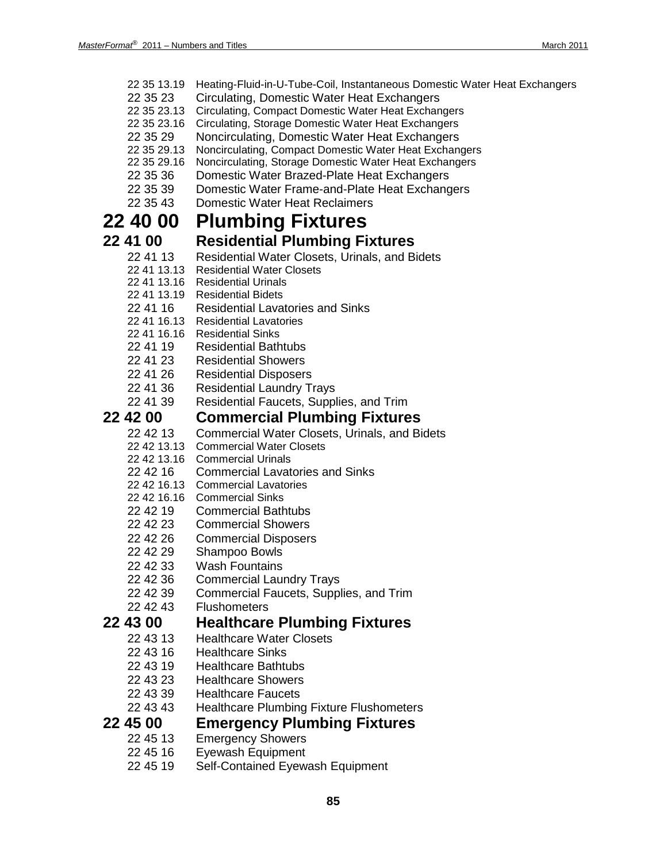- 22 35 13.19 Heating-Fluid-in-U-Tube-Coil, Instantaneous Domestic Water Heat Exchangers
- 22 35 23 Circulating, Domestic Water Heat Exchangers
- 22 35 23.13 Circulating, Compact Domestic Water Heat Exchangers
- 22 35 23.16 Circulating, Storage Domestic Water Heat Exchangers
- 22 35 29 Noncirculating, Domestic Water Heat Exchangers<br>22 35 29.13 Noncirculating, Compact Domestic Water Heat Exchan
- Noncirculating, Compact Domestic Water Heat Exchangers
- 22 35 29.16 Noncirculating, Storage Domestic Water Heat Exchangers
- 22 35 36 Domestic Water Brazed-Plate Heat Exchangers
- 22 35 39 Domestic Water Frame-and-Plate Heat Exchangers
- 22 35 43 Domestic Water Heat Reclaimers

## **22 40 00 Plumbing Fixtures**

## **22 41 00 Residential Plumbing Fixtures**

- 22 41 13 Residential Water Closets, Urinals, and Bidets
- 22 41 13.13 Residential Water Closets
- 22 41 13.16 Residential Urinals
- 22 41 13.19 Residential Bidets
- 22 41 16 Residential Lavatories and Sinks
- 22 41 16.13 Residential Lavatories
- 22 41 16.16 Residential Sinks
- 22 41 19 Residential Bathtubs
- 22 41 23 Residential Showers
- 22 41 26 Residential Disposers
- 
- 22 41 36 Residential Laundry Trays<br>22 41 39 Residential Faucets. Supp Residential Faucets, Supplies, and Trim

# **22 42 00 Commercial Plumbing Fixtures**

- Commercial Water Closets, Urinals, and Bidets
- 22 42 13.13 Commercial Water Closets
- 22 42 13.16 Commercial Urinals
- 22 42 16 Commercial Lavatories and Sinks
- 22 42 16.13 Commercial Lavatories
- 22 42 16.16 Commercial Sinks
- 22 42 19 Commercial Bathtubs
- 22 42 23 Commercial Showers
- 22 42 26 Commercial Disposers
- 22 42 29 Shampoo Bowls
- 22 42 33 Wash Fountains
- 22 42 36 Commercial Laundry Trays
- 22 42 39 Commercial Faucets, Supplies, and Trim
- 22 42 43 Flushometers

### **22 43 00 Healthcare Plumbing Fixtures**

- 22 43 13 Healthcare Water Closets
- 22 43 16 Healthcare Sinks
- 22 43 19 Healthcare Bathtubs
- 22 43 23 Healthcare Showers
- 22 43 39 Healthcare Faucets
- 22 43 43 Healthcare Plumbing Fixture Flushometers

# **22 45 00 Emergency Plumbing Fixtures**

- **Emergency Showers**
- 22 45 16 Eyewash Equipment
- 22 45 19 Self-Contained Eyewash Equipment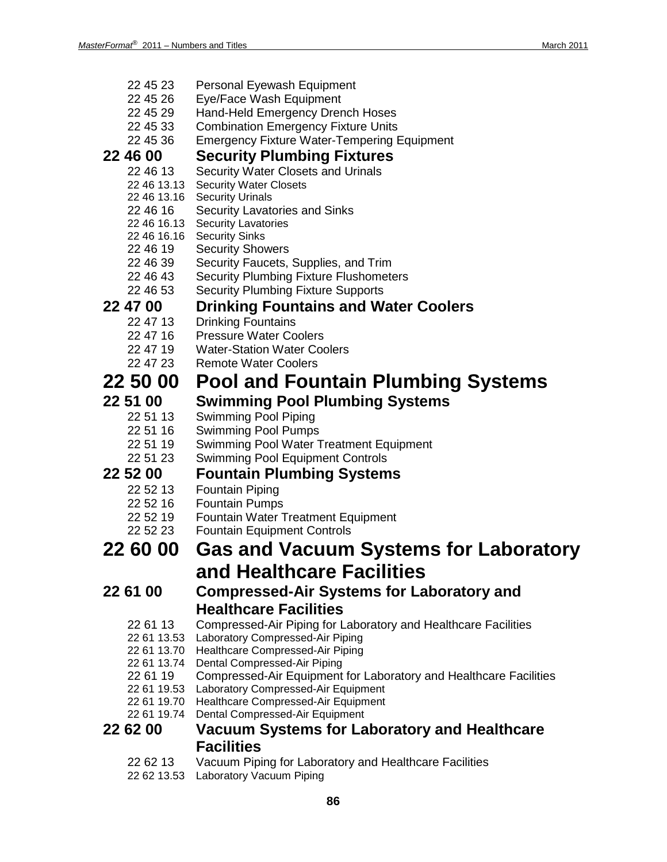- 22 45 23 Personal Eyewash Equipment
- 22 45 26 Eye/Face Wash Equipment
- 22 45 29 Hand-Held Emergency Drench Hoses
- 22 45 33 Combination Emergency Fixture Units
- 22 45 36 Emergency Fixture Water-Tempering Equipment

# **22 46 00 Security Plumbing Fixtures**

- Security Water Closets and Urinals
- 22 46 13.13 Security Water Closets
- 22 46 13.16 Security Urinals
- 22 46 16 Security Lavatories and Sinks
- 22 46 16.13 Security Lavatories
- 22 46 16.16 Security Sinks
- 22 46 19 Security Showers
- 22 46 39 Security Faucets, Supplies, and Trim
- 22 46 43 Security Plumbing Fixture Flushometers
- 22 46 53 Security Plumbing Fixture Supports

## **22 47 00 Drinking Fountains and Water Coolers**

- 22 47 13 Drinking Fountains
- 22 47 16 Pressure Water Coolers
- 22 47 19 Water-Station Water Coolers<br>22 47 23 Remote Water Coolers
	- **Remote Water Coolers**

## **22 50 00 Pool and Fountain Plumbing Systems**

## **22 51 00 Swimming Pool Plumbing Systems**

- 22 51 13 Swimming Pool Piping
- 22 51 16 Swimming Pool Pumps
- 22 51 19 Swimming Pool Water Treatment Equipment
- 22 51 23 Swimming Pool Equipment Controls

## **22 52 00 Fountain Plumbing Systems**

- 22 52 13 Fountain Piping
- 22 52 16 Fountain Pumps
- 22 52 19 Fountain Water Treatment Equipment
- 22 52 23 Fountain Equipment Controls

## **22 60 00 Gas and Vacuum Systems for Laboratory and Healthcare Facilities**

## **22 61 00 Compressed-Air Systems for Laboratory and Healthcare Facilities**

- 22 61 13 Compressed-Air Piping for Laboratory and Healthcare Facilities
- 22 61 13.53 Laboratory Compressed-Air Piping
- 22 61 13.70 Healthcare Compressed-Air Piping
- 22 61 13.74 Dental Compressed-Air Piping
- 22 61 19 Compressed-Air Equipment for Laboratory and Healthcare Facilities
- 22 61 19.53 Laboratory Compressed-Air Equipment
- 22 61 19.70 Healthcare Compressed-Air Equipment
- 22 61 19.74 Dental Compressed-Air Equipment

## **22 62 00 Vacuum Systems for Laboratory and Healthcare Facilities**

- 22 62 13 Vacuum Piping for Laboratory and Healthcare Facilities
- 22 62 13.53 Laboratory Vacuum Piping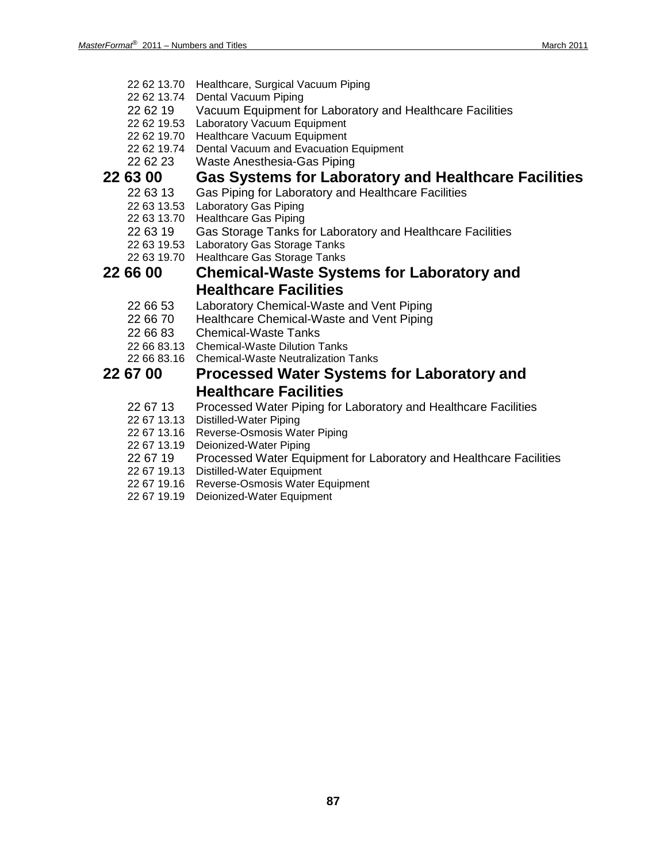- 22 62 13.70 Healthcare, Surgical Vacuum Piping
- 22 62 13.74 Dental Vacuum Piping
- 22 62 19 Vacuum Equipment for Laboratory and Healthcare Facilities
- 22 62 19.53 Laboratory Vacuum Equipment
- 22 62 19.70 Healthcare Vacuum Equipment
- 22 62 19.74 Dental Vacuum and Evacuation Equipment
- 22 62 23 Waste Anesthesia-Gas Piping

# **22 63 00 Gas Systems for Laboratory and Healthcare Facilities**

- Gas Piping for Laboratory and Healthcare Facilities
- 22 63 13.53 Laboratory Gas Piping
- 22 63 13.70 Healthcare Gas Piping
- 22 63 19 Gas Storage Tanks for Laboratory and Healthcare Facilities
- 22 63 19.53 Laboratory Gas Storage Tanks
- 22 63 19.70 Healthcare Gas Storage Tanks

## **22 66 00 Chemical-Waste Systems for Laboratory and Healthcare Facilities**

- 22 66 53 Laboratory Chemical-Waste and Vent Piping
- 22 66 70 Healthcare Chemical-Waste and Vent Piping
- 22 66 83 Chemical-Waste Tanks
- 22 66 83.13 Chemical-Waste Dilution Tanks
- 22 66 83.16 Chemical-Waste Neutralization Tanks

### **22 67 00 Processed Water Systems for Laboratory and Healthcare Facilities**

- 22 67 13 Processed Water Piping for Laboratory and Healthcare Facilities
- 22 67 13.13 Distilled-Water Piping
- 22 67 13.16 Reverse-Osmosis Water Piping
- 22 67 13.19 Deionized-Water Piping
- 22 67 19 Processed Water Equipment for Laboratory and Healthcare Facilities
- 22 67 19.13 Distilled-Water Equipment
- 22 67 19.16 Reverse-Osmosis Water Equipment
- 22 67 19.19 Deionized-Water Equipment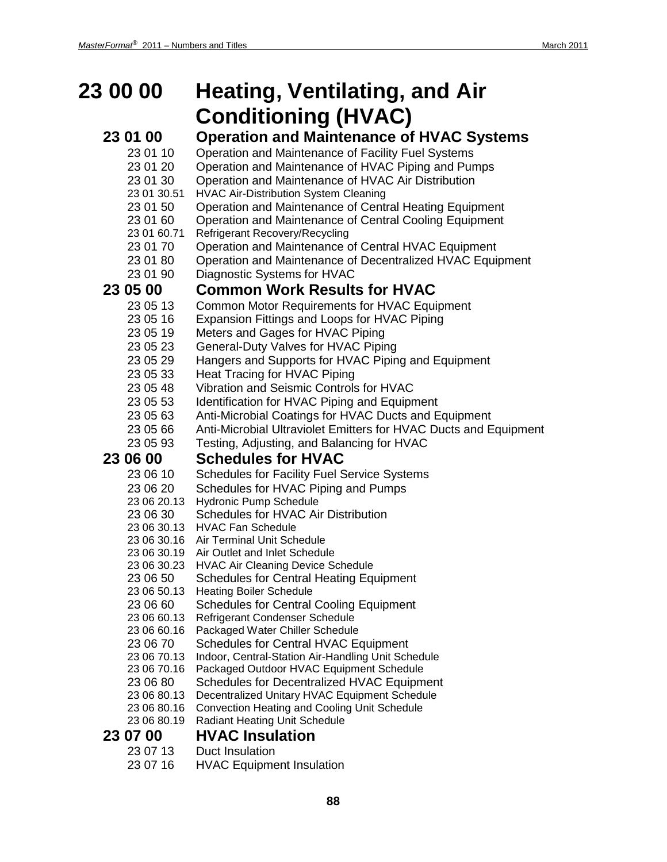# **23 00 00 Heating, Ventilating, and Air Conditioning (HVAC)**

## **23 01 00 Operation and Maintenance of HVAC Systems**

- 23 01 10 Operation and Maintenance of Facility Fuel Systems
- 23 01 20 Operation and Maintenance of HVAC Piping and Pumps
- 23 01 30 Operation and Maintenance of HVAC Air Distribution
- 23 01 30.51 HVAC Air-Distribution System Cleaning
- 23 01 50 Operation and Maintenance of Central Heating Equipment
- 23 01 60 Operation and Maintenance of Central Cooling Equipment
- 23 01 60.71 Refrigerant Recovery/Recycling
- 23 01 70 Operation and Maintenance of Central HVAC Equipment
- 23 01 80 Operation and Maintenance of Decentralized HVAC Equipment
- 23 01 90 Diagnostic Systems for HVAC

## **23 05 00 Common Work Results for HVAC**

- 23 05 13 Common Motor Requirements for HVAC Equipment
- 23 05 16 Expansion Fittings and Loops for HVAC Piping
- 23 05 19 Meters and Gages for HVAC Piping
- 23 05 23 General-Duty Valves for HVAC Piping
- 23 05 29 Hangers and Supports for HVAC Piping and Equipment
- 23 05 33 Heat Tracing for HVAC Piping
- 23 05 48 Vibration and Seismic Controls for HVAC
- 23 05 53 Identification for HVAC Piping and Equipment
- 23 05 63 Anti-Microbial Coatings for HVAC Ducts and Equipment
- 23 05 66 Anti-Microbial Ultraviolet Emitters for HVAC Ducts and Equipment
- 23 05 93 Testing, Adjusting, and Balancing for HVAC

# **23 06 00 Schedules for HVAC**

- Schedules for Facility Fuel Service Systems
- 23 06 20 Schedules for HVAC Piping and Pumps
- 23 06 20.13 Hydronic Pump Schedule
- 23 06 30 Schedules for HVAC Air Distribution
- 23 06 30.13 HVAC Fan Schedule
- 23 06 30.16 Air Terminal Unit Schedule
- 23 06 30.19 Air Outlet and Inlet Schedule
- 23 06 30.23 HVAC Air Cleaning Device Schedule
- 23 06 50 Schedules for Central Heating Equipment
- 23 06 50.13 Heating Boiler Schedule
- 23 06 60 Schedules for Central Cooling Equipment
- 23 06 60.13 Refrigerant Condenser Schedule
- 23 06 60.16 Packaged Water Chiller Schedule
- 23 06 70 Schedules for Central HVAC Equipment
- 23 06 70.13 Indoor, Central-Station Air-Handling Unit Schedule
- 23 06 70.16 Packaged Outdoor HVAC Equipment Schedule
- 23 06 80 Schedules for Decentralized HVAC Equipment
- 23 06 80.13 Decentralized Unitary HVAC Equipment Schedule
- 23 06 80.16 Convection Heating and Cooling Unit Schedule
- 23 06 80.19 Radiant Heating Unit Schedule

## **23 07 00 HVAC Insulation**

- 23 07 13 Duct Insulation
- 23 07 16 HVAC Equipment Insulation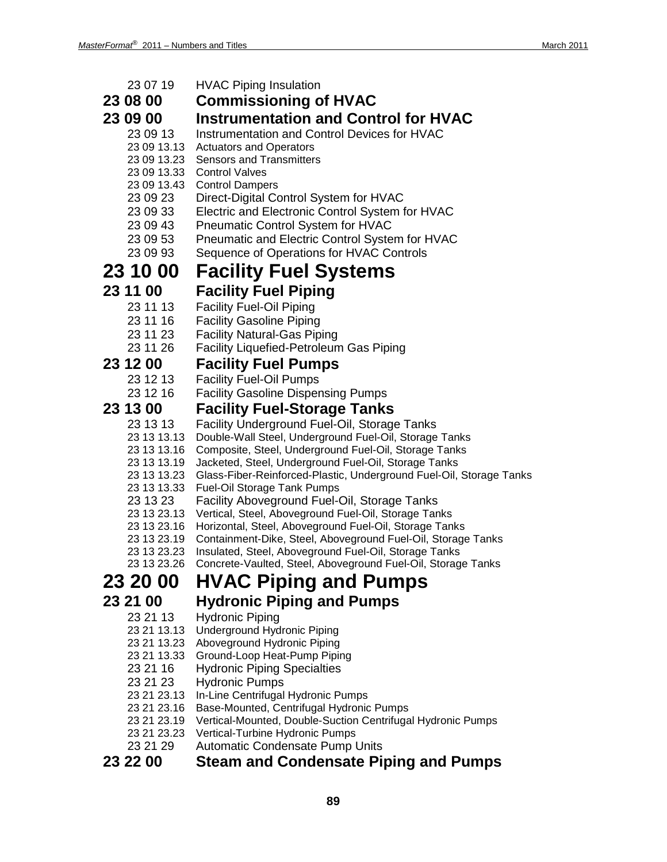| 23 07 19                | <b>HVAC Piping Insulation</b>                                                      |
|-------------------------|------------------------------------------------------------------------------------|
| 23 08 00                | <b>Commissioning of HVAC</b>                                                       |
| 23 09 00                | <b>Instrumentation and Control for HVAC</b>                                        |
| 23 09 13                | Instrumentation and Control Devices for HVAC                                       |
| 23 09 13.13             | <b>Actuators and Operators</b>                                                     |
| 23 09 13.23             | <b>Sensors and Transmitters</b>                                                    |
| 23 09 13.33             | <b>Control Valves</b>                                                              |
| 23 09 13.43             | <b>Control Dampers</b>                                                             |
| 23 09 23                | Direct-Digital Control System for HVAC                                             |
| 23 09 33                | Electric and Electronic Control System for HVAC                                    |
| 23 09 43                | Pneumatic Control System for HVAC                                                  |
| 23 09 53                | Pneumatic and Electric Control System for HVAC                                     |
| 23 09 93                | Sequence of Operations for HVAC Controls                                           |
| 23 10 00                | <b>Facility Fuel Systems</b>                                                       |
| 23 11 00                | <b>Facility Fuel Piping</b>                                                        |
| 23 11 13                | <b>Facility Fuel-Oil Piping</b>                                                    |
| 23 11 16                | <b>Facility Gasoline Piping</b>                                                    |
| 23 11 23                | <b>Facility Natural-Gas Piping</b>                                                 |
| 23 11 26                | <b>Facility Liquefied-Petroleum Gas Piping</b>                                     |
| 23 12 00                | <b>Facility Fuel Pumps</b>                                                         |
| 23 12 13                | <b>Facility Fuel-Oil Pumps</b>                                                     |
| 23 12 16                | <b>Facility Gasoline Dispensing Pumps</b>                                          |
| 23 13 00                | <b>Facility Fuel-Storage Tanks</b>                                                 |
| 23 13 13                | Facility Underground Fuel-Oil, Storage Tanks                                       |
| 23 13 13.13             | Double-Wall Steel, Underground Fuel-Oil, Storage Tanks                             |
| 23 13 13.16             | Composite, Steel, Underground Fuel-Oil, Storage Tanks                              |
| 23 13 13.19             | Jacketed, Steel, Underground Fuel-Oil, Storage Tanks                               |
| 23 13 13.23             | Glass-Fiber-Reinforced-Plastic, Underground Fuel-Oil, Storage Tanks                |
| 23 13 13.33<br>23 13 23 | <b>Fuel-Oil Storage Tank Pumps</b><br>Facility Aboveground Fuel-Oil, Storage Tanks |
| 23 13 23.13             | Vertical, Steel, Aboveground Fuel-Oil, Storage Tanks                               |
| 23 13 23.16             | Horizontal, Steel, Aboveground Fuel-Oil, Storage Tanks                             |
| 23 13 23.19             | Containment-Dike, Steel, Aboveground Fuel-Oil, Storage Tanks                       |
| 23 13 23.23             | Insulated, Steel, Aboveground Fuel-Oil, Storage Tanks                              |
| 23 13 23.26             | Concrete-Vaulted, Steel, Aboveground Fuel-Oil, Storage Tanks                       |
| 23 20 00                | <b>HVAC Piping and Pumps</b>                                                       |
| 23 21 00                | <b>Hydronic Piping and Pumps</b>                                                   |
| 23 21 13                | <b>Hydronic Piping</b>                                                             |
| 23 21 13.13             | <b>Underground Hydronic Piping</b>                                                 |
| 23 21 13.23             | Aboveground Hydronic Piping                                                        |
| 23 21 13.33<br>23 21 16 | Ground-Loop Heat-Pump Piping<br><b>Hydronic Piping Specialties</b>                 |
| 23 21 23                | <b>Hydronic Pumps</b>                                                              |
| 23 21 23.13             | In-Line Centrifugal Hydronic Pumps                                                 |
| 23 21 23.16             | Base-Mounted, Centrifugal Hydronic Pumps                                           |
| 23 21 23.19             | Vertical-Mounted, Double-Suction Centrifugal Hydronic Pumps                        |
| 23 21 23.23             | Vertical-Turbine Hydronic Pumps                                                    |
| 23 21 29                | Automatic Condensate Pump Units                                                    |
| 23 22 00                | <b>Steam and Condensate Piping and Pumps</b>                                       |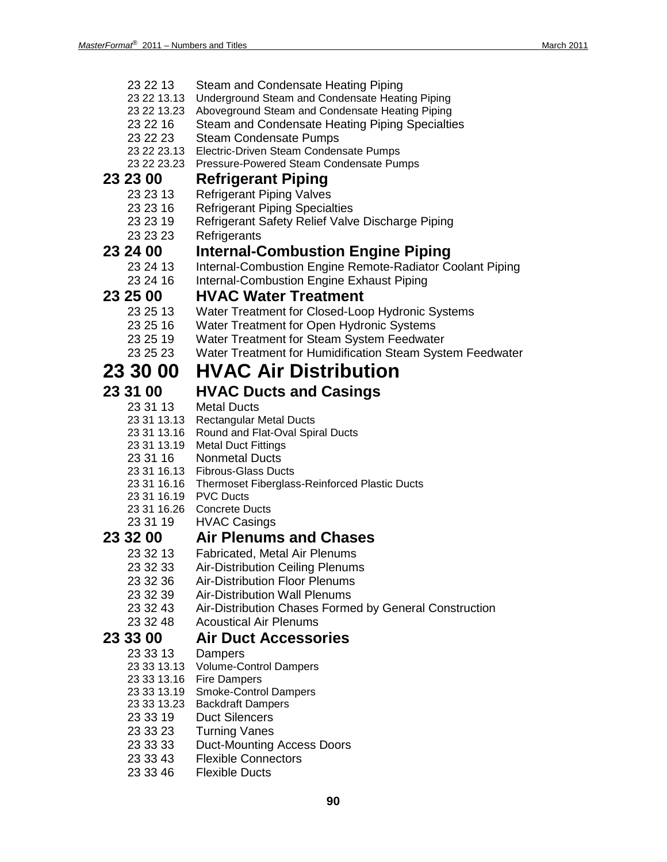- 23 22 13 Steam and Condensate Heating Piping
- 23 22 13.13 Underground Steam and Condensate Heating Piping
- 23 22 13.23 Aboveground Steam and Condensate Heating Piping
- 23 22 16 Steam and Condensate Heating Piping Specialties
- 23 22 23 Steam Condensate Pumps
- 23 22 23.13 Electric-Driven Steam Condensate Pumps
- 23 22 23.23 Pressure-Powered Steam Condensate Pumps

# **23 23 00 Refrigerant Piping**

- **Refrigerant Piping Valves**
- 23 23 16 Refrigerant Piping Specialties
- 23 23 19 Refrigerant Safety Relief Valve Discharge Piping
- 23 23 23 Refrigerants

# **23 24 00 Internal-Combustion Engine Piping**

- Internal-Combustion Engine Remote-Radiator Coolant Piping
- 23 24 16 Internal-Combustion Engine Exhaust Piping

# **23 25 00 HVAC Water Treatment**

- Water Treatment for Closed-Loop Hydronic Systems
- 23 25 16 Water Treatment for Open Hydronic Systems
- 23 25 19 Water Treatment for Steam System Feedwater
- 23 25 23 Water Treatment for Humidification Steam System Feedwater

## **23 30 00 HVAC Air Distribution**

## **23 31 00 HVAC Ducts and Casings**

- 23 31 13 Metal Ducts
- 23 31 13.13 Rectangular Metal Ducts
- 23 31 13.16 Round and Flat-Oval Spiral Ducts
- 23 31 13.19 Metal Duct Fittings
- 23 31 16 Nonmetal Ducts
- 23 31 16.13 Fibrous-Glass Ducts
- 23 31 16.16 Thermoset Fiberglass-Reinforced Plastic Ducts
- 23 31 16.19 PVC Ducts
- 23 31 16.26 Concrete Ducts
- 23 31 19 HVAC Casings

# **23 32 00 Air Plenums and Chases**

- **Fabricated, Metal Air Plenums**
- 23 32 33 Air-Distribution Ceiling Plenums
- 23 32 36 Air-Distribution Floor Plenums
- 
- 23 32 39 Air-Distribution Wall Plenums<br>23 32 43 Air-Distribution Chases Forme Air-Distribution Chases Formed by General Construction
- 23 32 48 Acoustical Air Plenums

## **23 33 00 Air Duct Accessories**

- 23 33 13 Dampers
- 23 33 13.13 Volume-Control Dampers
- 23 33 13.16 Fire Dampers
- 23 33 13.19 Smoke-Control Dampers
- 23 33 13.23 Backdraft Dampers
- 23 33 19 Duct Silencers
- 23 33 23 Turning Vanes
- 23 33 33 Duct-Mounting Access Doors
- 23 33 43 Flexible Connectors
- 23 33 46 Flexible Ducts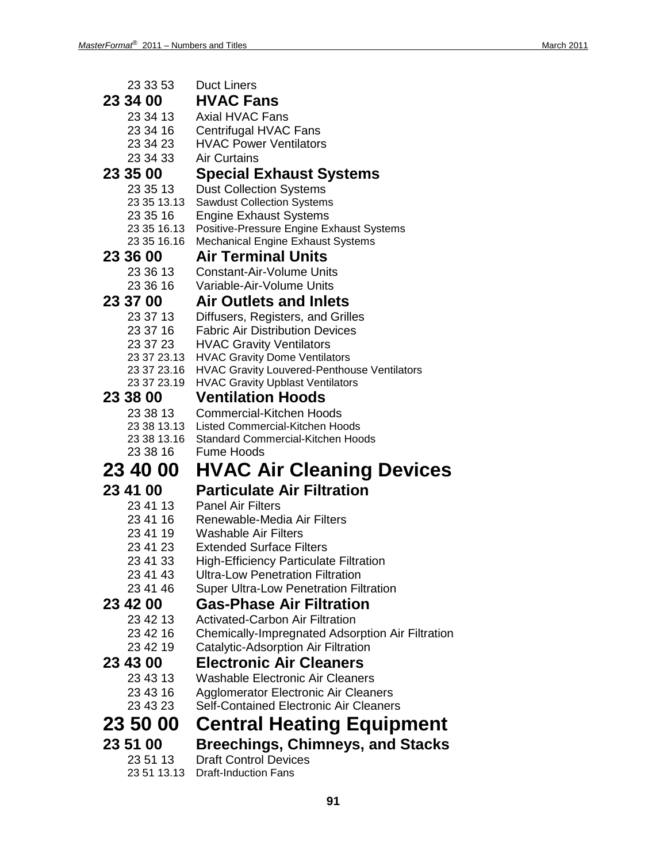| 23 33 53                | <b>Duct Liners</b>                                                                    |
|-------------------------|---------------------------------------------------------------------------------------|
| 23 34 00                | <b>HVAC Fans</b>                                                                      |
| 23 34 13                | <b>Axial HVAC Fans</b>                                                                |
| 23 34 16                | Centrifugal HVAC Fans                                                                 |
| 23 34 23                | <b>HVAC Power Ventilators</b>                                                         |
| 23 34 33                | <b>Air Curtains</b>                                                                   |
| 23 35 00                | <b>Special Exhaust Systems</b>                                                        |
| 23 35 13                | <b>Dust Collection Systems</b>                                                        |
| 23 35 13.13             | <b>Sawdust Collection Systems</b>                                                     |
| 23 35 16                | <b>Engine Exhaust Systems</b>                                                         |
| 23 35 16.13             | Positive-Pressure Engine Exhaust Systems                                              |
| 23 35 16.16             | <b>Mechanical Engine Exhaust Systems</b>                                              |
| 23 36 00                | <b>Air Terminal Units</b>                                                             |
| 23 36 13                | <b>Constant-Air-Volume Units</b>                                                      |
| 23 36 16                | Variable-Air-Volume Units                                                             |
| 23 37 00                | <b>Air Outlets and Inlets</b>                                                         |
| 23 37 13                | Diffusers, Registers, and Grilles                                                     |
| 23 37 16                | <b>Fabric Air Distribution Devices</b>                                                |
| 23 37 23                | <b>HVAC Gravity Ventilators</b>                                                       |
| 23 37 23.13             | <b>HVAC Gravity Dome Ventilators</b>                                                  |
| 23 37 23.16             | <b>HVAC Gravity Louvered-Penthouse Ventilators</b>                                    |
| 23 37 23.19             | <b>HVAC Gravity Upblast Ventilators</b>                                               |
| 23 38 00                | <b>Ventilation Hoods</b>                                                              |
| 23 38 13                | <b>Commercial-Kitchen Hoods</b>                                                       |
| 23 38 13.13             |                                                                                       |
|                         | Listed Commercial-Kitchen Hoods                                                       |
| 23 38 13.16             | Standard Commercial-Kitchen Hoods                                                     |
| 23 38 16                | <b>Fume Hoods</b>                                                                     |
| <b>23 40 00</b>         | <b>HVAC Air Cleaning Devices</b>                                                      |
|                         |                                                                                       |
| 23 41 00                | <b>Particulate Air Filtration</b>                                                     |
| 23 41 13<br>23 41 16    | <b>Panel Air Filters</b><br>Renewable-Media Air Filters                               |
| 23 41 19                | <b>Washable Air Filters</b>                                                           |
| 23 41 23                | <b>Extended Surface Filters</b>                                                       |
| 23 41 33                | <b>High-Efficiency Particulate Filtration</b>                                         |
| 23 41 43                | <b>Ultra-Low Penetration Filtration</b>                                               |
| 23 41 46                | <b>Super Ultra-Low Penetration Filtration</b>                                         |
| 23 42 00                | <b>Gas-Phase Air Filtration</b>                                                       |
| 23 42 13                | <b>Activated-Carbon Air Filtration</b>                                                |
| 23 42 16                | <b>Chemically-Impregnated Adsorption Air Filtration</b>                               |
| 23 42 19                | Catalytic-Adsorption Air Filtration                                                   |
| 23 43 00                | <b>Electronic Air Cleaners</b>                                                        |
| 23 43 13                | <b>Washable Electronic Air Cleaners</b>                                               |
| 23 43 16                |                                                                                       |
| 23 43 23                | Agglomerator Electronic Air Cleaners<br><b>Self-Contained Electronic Air Cleaners</b> |
|                         |                                                                                       |
| 23 50 00                | <b>Central Heating Equipment</b>                                                      |
| 23 51 00                | Breechings, Chimneys, and Stacks                                                      |
| 23 51 13<br>23 51 13.13 | <b>Draft Control Devices</b><br><b>Draft-Induction Fans</b>                           |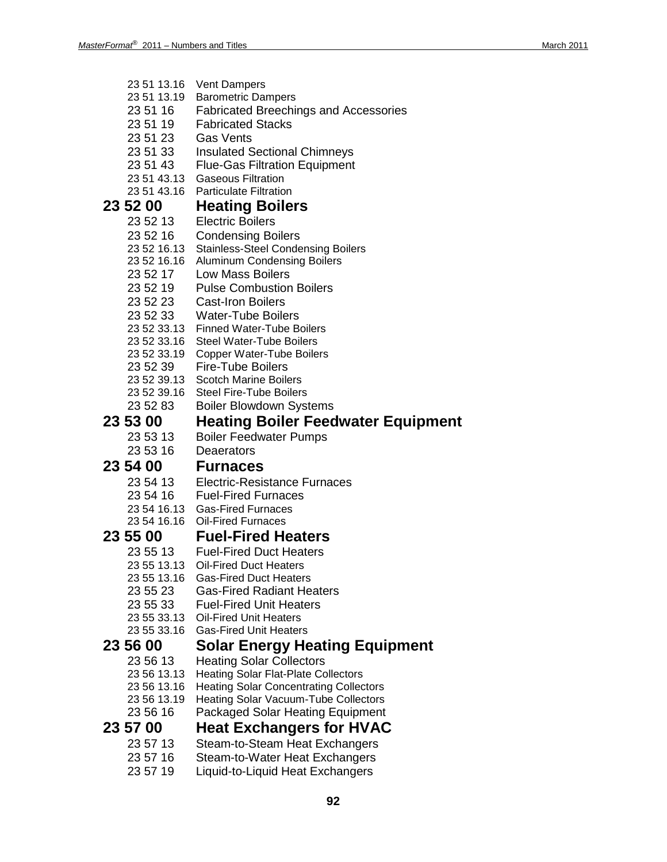| 23 51 13.16<br>23 51 13.19 | <b>Vent Dampers</b><br><b>Barometric Dampers</b> |
|----------------------------|--------------------------------------------------|
|                            | <b>Fabricated Breechings and Accessories</b>     |
| 23 51 16                   | <b>Fabricated Stacks</b>                         |
| 23 51 19                   |                                                  |
| 235123                     | <b>Gas Vents</b>                                 |
| 23 51 33                   | <b>Insulated Sectional Chimneys</b>              |
| 23 51 43                   | <b>Flue-Gas Filtration Equipment</b>             |
| 23 51 43.13                | <b>Gaseous Filtration</b>                        |
| 23 51 43.16                | <b>Particulate Filtration</b>                    |
| 23 52 00                   | <b>Heating Boilers</b>                           |
| 23 52 13                   | <b>Electric Boilers</b>                          |
| 23 52 16                   | <b>Condensing Boilers</b>                        |
| 23 52 16.13                | <b>Stainless-Steel Condensing Boilers</b>        |
| 23 52 16.16                | <b>Aluminum Condensing Boilers</b>               |
| 23 52 17                   | <b>Low Mass Boilers</b>                          |
| 23 52 19                   | <b>Pulse Combustion Boilers</b>                  |
| 23 52 23                   | <b>Cast-Iron Boilers</b>                         |
| 23 52 33                   | <b>Water-Tube Boilers</b>                        |
| 23 52 33.13                | <b>Finned Water-Tube Boilers</b>                 |
| 23 52 33.16                | <b>Steel Water-Tube Boilers</b>                  |
| 23 52 33.19                | <b>Copper Water-Tube Boilers</b>                 |
| 23 52 39                   | <b>Fire-Tube Boilers</b>                         |
| 23 52 39.13                | <b>Scotch Marine Boilers</b>                     |
| 23 52 39.16                | <b>Steel Fire-Tube Boilers</b>                   |
| 23 52 83                   | <b>Boiler Blowdown Systems</b>                   |
|                            |                                                  |
| 23 53 00                   |                                                  |
|                            | <b>Heating Boiler Feedwater Equipment</b>        |
| 23 53 13                   | <b>Boiler Feedwater Pumps</b>                    |
| 23 53 16                   | Deaerators                                       |
| 23 54 00                   | <b>Furnaces</b>                                  |
| 23 54 13                   | <b>Electric-Resistance Furnaces</b>              |
| 23 54 16                   | <b>Fuel-Fired Furnaces</b>                       |
|                            | 23 54 16.13 Gas-Fired Furnaces                   |
| 23 54 16.16                | <b>Oil-Fired Furnaces</b>                        |
| 23 55 00                   | <b>Fuel-Fired Heaters</b>                        |
| 23 55 13                   | <b>Fuel-Fired Duct Heaters</b>                   |
| 23 55 13.13                | Oil-Fired Duct Heaters                           |
| 23 55 13.16                | <b>Gas-Fired Duct Heaters</b>                    |
| 23 55 23                   | <b>Gas-Fired Radiant Heaters</b>                 |
| 23 55 33                   | <b>Fuel-Fired Unit Heaters</b>                   |
| 23 55 33.13                | <b>Oil-Fired Unit Heaters</b>                    |
| 23 55 33.16                | <b>Gas-Fired Unit Heaters</b>                    |
| 23 56 00                   | Solar Energy Heating Equipment                   |
| 23 56 13                   | <b>Heating Solar Collectors</b>                  |
| 23 56 13.13                | <b>Heating Solar Flat-Plate Collectors</b>       |
| 23 56 13.16                | <b>Heating Solar Concentrating Collectors</b>    |
| 23 56 13.19                | <b>Heating Solar Vacuum-Tube Collectors</b>      |
| 23 56 16                   | <b>Packaged Solar Heating Equipment</b>          |
| 23 57 00                   | <b>Heat Exchangers for HVAC</b>                  |

- 23 57 13 Steam-to-Steam Heat Exchangers
- 23 57 16 Steam-to-Water Heat Exchangers
- 23 57 19 Liquid-to-Liquid Heat Exchangers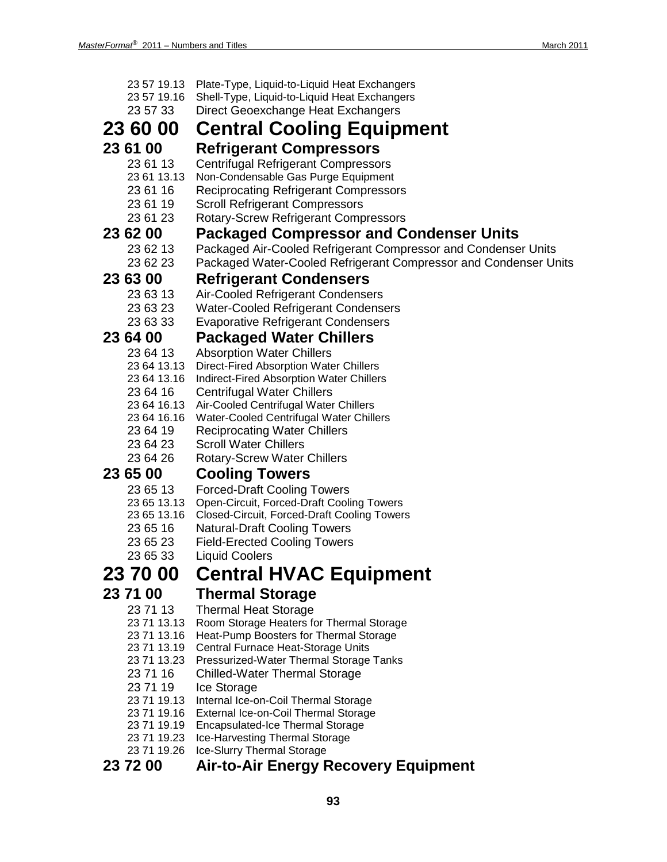| 23 57 19.13<br>23 57 19.16<br>23 57 33 | Plate-Type, Liquid-to-Liquid Heat Exchangers<br>Shell-Type, Liquid-to-Liquid Heat Exchangers<br>Direct Geoexchange Heat Exchangers |
|----------------------------------------|------------------------------------------------------------------------------------------------------------------------------------|
| 23 60 00                               | <b>Central Cooling Equipment</b>                                                                                                   |
| 23 61 00                               | <b>Refrigerant Compressors</b>                                                                                                     |
| 23 61 13                               | <b>Centrifugal Refrigerant Compressors</b>                                                                                         |
| 23 61 13.13                            | Non-Condensable Gas Purge Equipment                                                                                                |
| 23 61 16                               | <b>Reciprocating Refrigerant Compressors</b>                                                                                       |
| 23 61 19                               | <b>Scroll Refrigerant Compressors</b>                                                                                              |
| 23 61 23                               | <b>Rotary-Screw Refrigerant Compressors</b>                                                                                        |
| 23 62 00<br>23 62 13                   | <b>Packaged Compressor and Condenser Units</b>                                                                                     |
| 23 62 23                               | Packaged Air-Cooled Refrigerant Compressor and Condenser Units<br>Packaged Water-Cooled Refrigerant Compressor and Condenser Units |
| 23 63 00                               |                                                                                                                                    |
| 23 63 13                               | <b>Refrigerant Condensers</b>                                                                                                      |
| 23 63 23                               | Air-Cooled Refrigerant Condensers<br><b>Water-Cooled Refrigerant Condensers</b>                                                    |
| 23 63 33                               | <b>Evaporative Refrigerant Condensers</b>                                                                                          |
| 23 64 00                               | <b>Packaged Water Chillers</b>                                                                                                     |
| 23 64 13                               | <b>Absorption Water Chillers</b>                                                                                                   |
| 23 64 13.13                            | Direct-Fired Absorption Water Chillers                                                                                             |
| 23 64 13.16                            | Indirect-Fired Absorption Water Chillers                                                                                           |
| 23 64 16                               | <b>Centrifugal Water Chillers</b>                                                                                                  |
| 23 64 16.13                            | Air-Cooled Centrifugal Water Chillers                                                                                              |
| 23 64 16.16                            | Water-Cooled Centrifugal Water Chillers                                                                                            |
| 23 64 19<br>23 64 23                   | <b>Reciprocating Water Chillers</b><br><b>Scroll Water Chillers</b>                                                                |
| 23 64 26                               | <b>Rotary-Screw Water Chillers</b>                                                                                                 |
| 23 65 00                               | <b>Cooling Towers</b>                                                                                                              |
| 23 65 13                               | <b>Forced-Draft Cooling Towers</b>                                                                                                 |
| 23 65 13.13                            | Open-Circuit, Forced-Draft Cooling Towers                                                                                          |
| 23 65 13.16                            | <b>Closed-Circuit, Forced-Draft Cooling Towers</b>                                                                                 |
| 23 65 16                               | <b>Natural-Draft Cooling Towers</b>                                                                                                |
| 23 65 23                               | <b>Field-Erected Cooling Towers</b>                                                                                                |
| 23 65 33                               | <b>Liquid Coolers</b>                                                                                                              |
| 23 70 00                               | <b>Central HVAC Equipment</b>                                                                                                      |
| 23 71 00                               | <b>Thermal Storage</b>                                                                                                             |
| 23 71 13                               | <b>Thermal Heat Storage</b>                                                                                                        |
| 23 71 13.13                            | Room Storage Heaters for Thermal Storage                                                                                           |
| 23 71 13.16                            | Heat-Pump Boosters for Thermal Storage                                                                                             |
| 23 71 13.19                            | Central Furnace Heat-Storage Units                                                                                                 |
| 23 71 13.23<br>23 71 16                | Pressurized-Water Thermal Storage Tanks<br><b>Chilled-Water Thermal Storage</b>                                                    |
| 23 71 19                               | Ice Storage                                                                                                                        |
| 23 71 19.13                            | Internal Ice-on-Coil Thermal Storage                                                                                               |
| 23 71 19.16                            | External Ice-on-Coil Thermal Storage                                                                                               |
| 23 71 19.19                            | <b>Encapsulated-Ice Thermal Storage</b>                                                                                            |
| 23 71 19.23                            | Ice-Harvesting Thermal Storage                                                                                                     |
| 23 71 19.26                            | Ice-Slurry Thermal Storage                                                                                                         |
| 23 72 00                               | <b>Air-to-Air Energy Recovery Equipment</b>                                                                                        |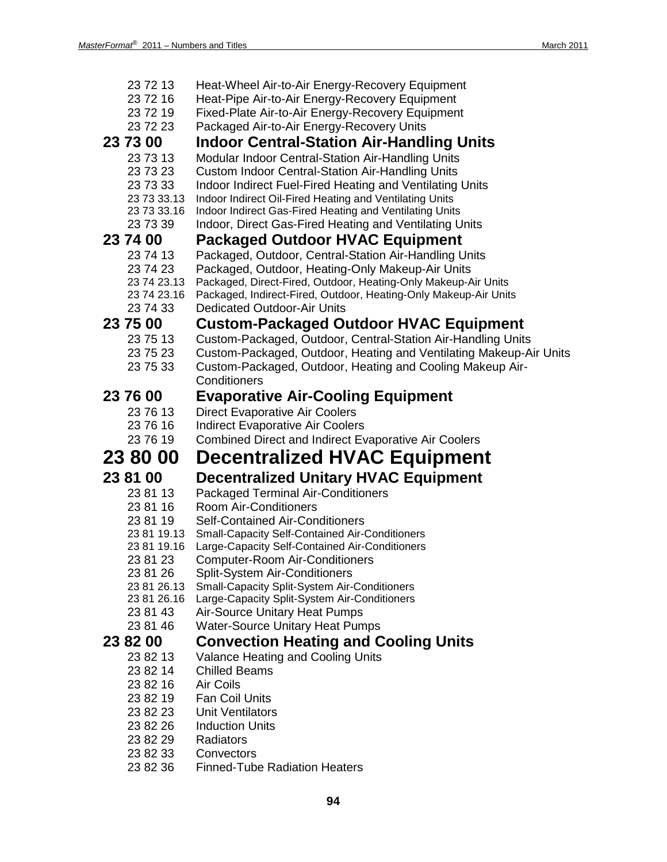| 23 72 13                   | Heat-Wheel Air-to-Air Energy-Recovery Equipment                                                                    |
|----------------------------|--------------------------------------------------------------------------------------------------------------------|
| 23 72 16                   | Heat-Pipe Air-to-Air Energy-Recovery Equipment                                                                     |
| 23 72 19                   | Fixed-Plate Air-to-Air Energy-Recovery Equipment                                                                   |
| 23 72 23                   | Packaged Air-to-Air Energy-Recovery Units                                                                          |
| 23 73 00                   | <b>Indoor Central-Station Air-Handling Units</b>                                                                   |
| 23 73 13                   | Modular Indoor Central-Station Air-Handling Units                                                                  |
| 23 73 23                   | <b>Custom Indoor Central-Station Air-Handling Units</b>                                                            |
| 23 73 33                   | Indoor Indirect Fuel-Fired Heating and Ventilating Units                                                           |
| 23 73 33.13                | Indoor Indirect Oil-Fired Heating and Ventilating Units                                                            |
| 23 73 33.16<br>23 73 39    | Indoor Indirect Gas-Fired Heating and Ventilating Units                                                            |
|                            | Indoor, Direct Gas-Fired Heating and Ventilating Units                                                             |
| 23 74 00                   | <b>Packaged Outdoor HVAC Equipment</b>                                                                             |
| 23 74 13                   | Packaged, Outdoor, Central-Station Air-Handling Units                                                              |
| 23 74 23<br>23 74 23.13    | Packaged, Outdoor, Heating-Only Makeup-Air Units<br>Packaged, Direct-Fired, Outdoor, Heating-Only Makeup-Air Units |
| 23 74 23.16                | Packaged, Indirect-Fired, Outdoor, Heating-Only Makeup-Air Units                                                   |
| 23 74 33                   | <b>Dedicated Outdoor-Air Units</b>                                                                                 |
| 23 75 00                   | <b>Custom-Packaged Outdoor HVAC Equipment</b>                                                                      |
| 23 75 13                   | Custom-Packaged, Outdoor, Central-Station Air-Handling Units                                                       |
| 23 75 23                   | Custom-Packaged, Outdoor, Heating and Ventilating Makeup-Air Units                                                 |
| 23 75 33                   | Custom-Packaged, Outdoor, Heating and Cooling Makeup Air-                                                          |
|                            | Conditioners                                                                                                       |
| 23 76 00                   | <b>Evaporative Air-Cooling Equipment</b>                                                                           |
| 23 76 13                   | <b>Direct Evaporative Air Coolers</b>                                                                              |
| 23 76 16                   | <b>Indirect Evaporative Air Coolers</b>                                                                            |
| 23 76 19                   |                                                                                                                    |
|                            |                                                                                                                    |
|                            | <b>Combined Direct and Indirect Evaporative Air Coolers</b>                                                        |
| 23 80 00                   | <b>Decentralized HVAC Equipment</b>                                                                                |
| 23 81 00                   | <b>Decentralized Unitary HVAC Equipment</b>                                                                        |
| 23 81 13                   | <b>Packaged Terminal Air-Conditioners</b>                                                                          |
| 23 81 16                   | <b>Room Air-Conditioners</b>                                                                                       |
| 23 81 19                   | <b>Self-Contained Air-Conditioners</b>                                                                             |
| 23 81 19.13                | <b>Small-Capacity Self-Contained Air-Conditioners</b>                                                              |
| 23 81 19.16                | Large-Capacity Self-Contained Air-Conditioners                                                                     |
| 23 81 23                   | <b>Computer-Room Air-Conditioners</b>                                                                              |
| 23 81 26                   | <b>Split-System Air-Conditioners</b>                                                                               |
| 23 81 26.13<br>23 81 26.16 | <b>Small-Capacity Split-System Air-Conditioners</b>                                                                |
| 23 81 43                   | Large-Capacity Split-System Air-Conditioners<br><b>Air-Source Unitary Heat Pumps</b>                               |
| 23 81 46                   | <b>Water-Source Unitary Heat Pumps</b>                                                                             |
| 23 82 00                   |                                                                                                                    |
| 23 82 13                   | <b>Convection Heating and Cooling Units</b>                                                                        |
| 23 82 14                   | Valance Heating and Cooling Units<br><b>Chilled Beams</b>                                                          |
| 23 82 16                   | Air Coils                                                                                                          |
| 23 82 19                   | <b>Fan Coil Units</b>                                                                                              |
| 23 82 23                   | <b>Unit Ventilators</b>                                                                                            |
| 23 82 26                   | <b>Induction Units</b>                                                                                             |
| 23 82 29                   | Radiators                                                                                                          |
| 23 82 33                   | Convectors                                                                                                         |
| 23 82 36                   | <b>Finned-Tube Radiation Heaters</b>                                                                               |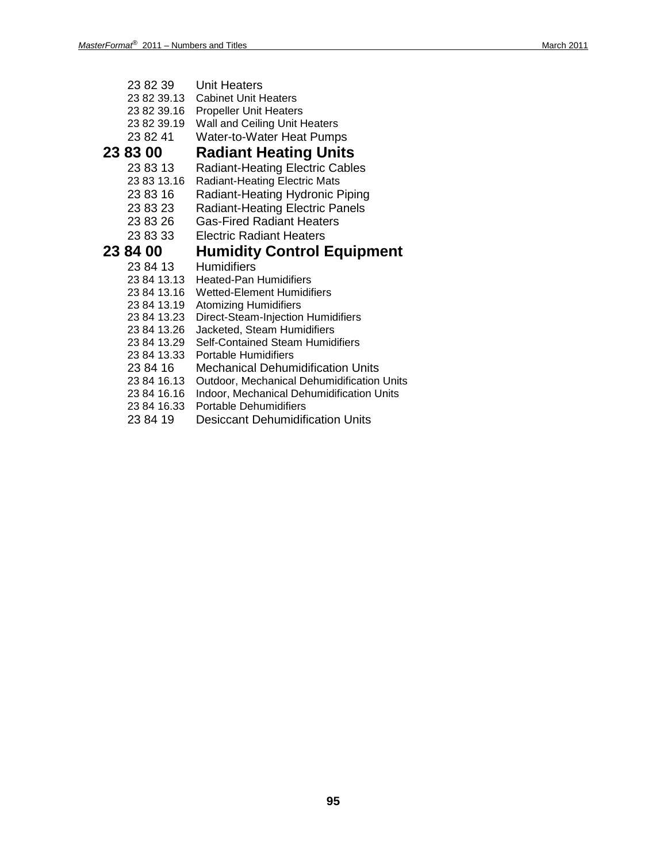- 23 82 39 Unit Heaters
- 23 82 39.13 Cabinet Unit Heaters
- 23 82 39.16 Propeller Unit Heaters
- 23 82 39.19 Wall and Ceiling Unit Heaters
- 23 82 41 Water-to-Water Heat Pumps

# **23 83 00 Radiant Heating Units**

- 23 83 13 Radiant-Heating Electric Cables<br>23 83 13.16 Radiant-Heating Electric Mats
- **Radiant-Heating Electric Mats**
- 23 83 16 Radiant-Heating Hydronic Piping
- 23 83 23 Radiant-Heating Electric Panels
- 23 83 26 Gas-Fired Radiant Heaters
- 23 83 33 Electric Radiant Heaters

# **23 84 00 Humidity Control Equipment**

- **Humidifiers**
- 23 84 13.13 Heated-Pan Humidifiers
- 23 84 13.16 Wetted-Element Humidifiers<br>23 84 13.19 Atomizing Humidifiers
- 
- 23 84 13.19 Atomizing Humidifiers<br>23 84 13.23 Direct-Steam-Injection Direct-Steam-Injection Humidifiers
- 23 84 13.26 Jacketed, Steam Humidifiers<br>23 84 13.29 Self-Contained Steam Humid
- Self-Contained Steam Humidifiers
- 23 84 13.33 Portable Humidifiers
- 23 84 16 Mechanical Dehumidification Units
- 23 84 16.13 Outdoor, Mechanical Dehumidification Units
- 23 84 16.16 Indoor, Mechanical Dehumidification Units
- 23 84 16.33 Portable Dehumidifiers
- 23 84 19 Desiccant Dehumidification Units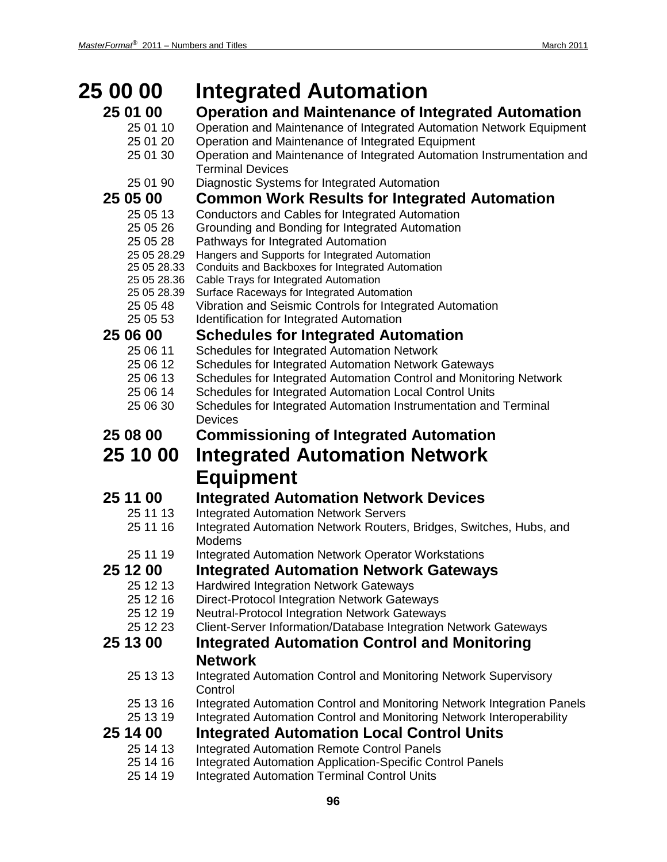| <b>25 00 00</b>         | <b>Integrated Automation</b>                                                                                           |
|-------------------------|------------------------------------------------------------------------------------------------------------------------|
| 25 01 00                | <b>Operation and Maintenance of Integrated Automation</b>                                                              |
| 25 01 10                | Operation and Maintenance of Integrated Automation Network Equipment                                                   |
| 25 01 20                | Operation and Maintenance of Integrated Equipment                                                                      |
| 25 01 30                | Operation and Maintenance of Integrated Automation Instrumentation and<br><b>Terminal Devices</b>                      |
| 25 01 90                | Diagnostic Systems for Integrated Automation                                                                           |
| 25 05 00                | <b>Common Work Results for Integrated Automation</b>                                                                   |
| 25 05 13                | Conductors and Cables for Integrated Automation                                                                        |
| 25 05 26                | Grounding and Bonding for Integrated Automation                                                                        |
| 25 05 28<br>25 05 28.29 | Pathways for Integrated Automation<br>Hangers and Supports for Integrated Automation                                   |
| 25 05 28.33             | Conduits and Backboxes for Integrated Automation                                                                       |
| 25 05 28.36             | Cable Trays for Integrated Automation                                                                                  |
| 25 05 28.39             | Surface Raceways for Integrated Automation                                                                             |
| 25 05 48                | Vibration and Seismic Controls for Integrated Automation                                                               |
| 25 05 53                | Identification for Integrated Automation                                                                               |
| 25 06 00                | <b>Schedules for Integrated Automation</b>                                                                             |
| 25 06 11<br>25 06 12    | Schedules for Integrated Automation Network<br><b>Schedules for Integrated Automation Network Gateways</b>             |
| 25 06 13                | Schedules for Integrated Automation Control and Monitoring Network                                                     |
| 25 06 14                | Schedules for Integrated Automation Local Control Units                                                                |
| 25 06 30                | Schedules for Integrated Automation Instrumentation and Terminal                                                       |
|                         | <b>Devices</b>                                                                                                         |
| 25 08 00                | <b>Commissioning of Integrated Automation</b>                                                                          |
| 25 10 00                | <b>Integrated Automation Network</b>                                                                                   |
|                         | <b>Equipment</b>                                                                                                       |
| 25 11 00                | <b>Integrated Automation Network Devices</b>                                                                           |
| 25 11 13                | <b>Integrated Automation Network Servers</b>                                                                           |
| 25 11 16                | Integrated Automation Network Routers, Bridges, Switches, Hubs, and<br><b>Modems</b>                                   |
| 25 11 19                | <b>Integrated Automation Network Operator Workstations</b>                                                             |
| 25 12 00                | <b>Integrated Automation Network Gateways</b>                                                                          |
| 25 12 13                | <b>Hardwired Integration Network Gateways</b>                                                                          |
| 25 12 16                | <b>Direct-Protocol Integration Network Gateways</b>                                                                    |
| 25 12 19                | <b>Neutral-Protocol Integration Network Gateways</b>                                                                   |
| 25 12 23                | Client-Server Information/Database Integration Network Gateways                                                        |
| 25 13 00                | <b>Integrated Automation Control and Monitoring</b>                                                                    |
|                         | <b>Network</b>                                                                                                         |
| 25 13 13                | Integrated Automation Control and Monitoring Network Supervisory<br>Control                                            |
| 25 13 16                | Integrated Automation Control and Monitoring Network Integration Panels                                                |
| 25 13 19                | Integrated Automation Control and Monitoring Network Interoperability                                                  |
| 25 14 00                | <b>Integrated Automation Local Control Units</b>                                                                       |
| 25 14 13<br>25 14 16    | <b>Integrated Automation Remote Control Panels</b><br><b>Integrated Automation Application-Specific Control Panels</b> |
| 25 14 19                | <b>Integrated Automation Terminal Control Units</b>                                                                    |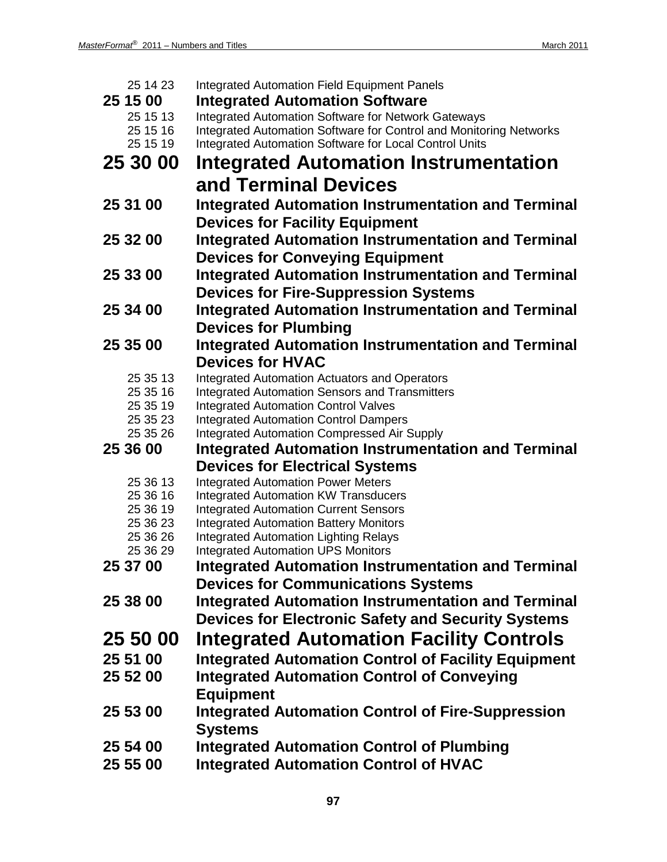| 25 14 23             | <b>Integrated Automation Field Equipment Panels</b>                                              |
|----------------------|--------------------------------------------------------------------------------------------------|
| 25 15 00             | <b>Integrated Automation Software</b>                                                            |
| 25 15 13             | <b>Integrated Automation Software for Network Gateways</b>                                       |
| 25 15 16             | Integrated Automation Software for Control and Monitoring Networks                               |
| 25 15 19             | Integrated Automation Software for Local Control Units                                           |
| 25 30 00             | Integrated Automation Instrumentation                                                            |
|                      | and Terminal Devices                                                                             |
| 25 31 00             | <b>Integrated Automation Instrumentation and Terminal</b>                                        |
|                      | <b>Devices for Facility Equipment</b>                                                            |
| 25 32 00             | <b>Integrated Automation Instrumentation and Terminal</b>                                        |
|                      | <b>Devices for Conveying Equipment</b>                                                           |
| 25 33 00             | <b>Integrated Automation Instrumentation and Terminal</b>                                        |
|                      | <b>Devices for Fire-Suppression Systems</b>                                                      |
| 25 34 00             | <b>Integrated Automation Instrumentation and Terminal</b>                                        |
|                      | <b>Devices for Plumbing</b>                                                                      |
| 25 35 00             | <b>Integrated Automation Instrumentation and Terminal</b>                                        |
|                      | <b>Devices for HVAC</b>                                                                          |
| 25 35 13             | <b>Integrated Automation Actuators and Operators</b>                                             |
| 25 35 16             | <b>Integrated Automation Sensors and Transmitters</b>                                            |
| 25 35 19             | <b>Integrated Automation Control Valves</b>                                                      |
| 25 35 23             | <b>Integrated Automation Control Dampers</b>                                                     |
| 25 35 26             | <b>Integrated Automation Compressed Air Supply</b>                                               |
| 25 36 00             | <b>Integrated Automation Instrumentation and Terminal</b>                                        |
|                      | <b>Devices for Electrical Systems</b>                                                            |
| 25 36 13             | <b>Integrated Automation Power Meters</b>                                                        |
| 25 36 16             | <b>Integrated Automation KW Transducers</b>                                                      |
| 25 36 19             | <b>Integrated Automation Current Sensors</b>                                                     |
|                      |                                                                                                  |
| 25 36 23             | <b>Integrated Automation Battery Monitors</b>                                                    |
| 25 36 26             | <b>Integrated Automation Lighting Relays</b>                                                     |
| 25 36 29             | <b>Integrated Automation UPS Monitors</b>                                                        |
| 25 37 00             | Integrated Automation Instrumentation and Terminal                                               |
|                      | <b>Devices for Communications Systems</b>                                                        |
| 25 38 00             | <b>Integrated Automation Instrumentation and Terminal</b>                                        |
|                      | <b>Devices for Electronic Safety and Security Systems</b>                                        |
| 25 50 00             | <b>Integrated Automation Facility Controls</b>                                                   |
| 25 51 00             | <b>Integrated Automation Control of Facility Equipment</b>                                       |
| 25 52 00             | <b>Integrated Automation Control of Conveying</b>                                                |
|                      | <b>Equipment</b>                                                                                 |
| 25 53 00             |                                                                                                  |
|                      | <b>Integrated Automation Control of Fire-Suppression</b>                                         |
|                      | <b>Systems</b>                                                                                   |
| 25 54 00<br>25 55 00 | <b>Integrated Automation Control of Plumbing</b><br><b>Integrated Automation Control of HVAC</b> |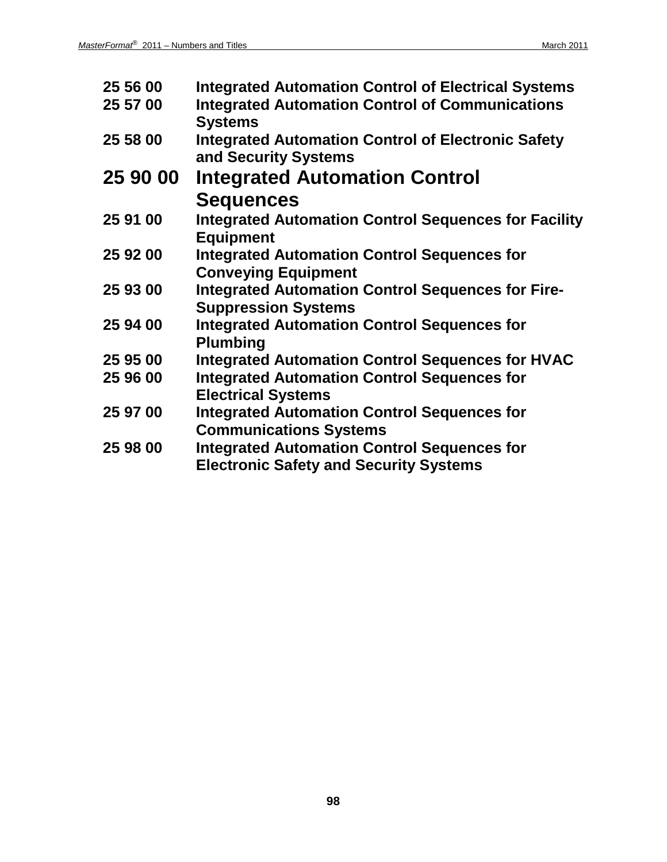| 25 56 00 | <b>Integrated Automation Control of Electrical Systems</b>  |
|----------|-------------------------------------------------------------|
| 25 57 00 | <b>Integrated Automation Control of Communications</b>      |
|          | <b>Systems</b>                                              |
| 25 58 00 | <b>Integrated Automation Control of Electronic Safety</b>   |
|          | and Security Systems                                        |
| 25 90 00 | <b>Integrated Automation Control</b>                        |
|          | <b>Sequences</b>                                            |
| 25 91 00 | <b>Integrated Automation Control Sequences for Facility</b> |
|          | <b>Equipment</b>                                            |
| 25 92 00 | <b>Integrated Automation Control Sequences for</b>          |
|          | <b>Conveying Equipment</b>                                  |
| 25 93 00 | <b>Integrated Automation Control Sequences for Fire-</b>    |
|          | <b>Suppression Systems</b>                                  |
| 25 94 00 | <b>Integrated Automation Control Sequences for</b>          |
|          | <b>Plumbing</b>                                             |
| 25 95 00 | <b>Integrated Automation Control Sequences for HVAC</b>     |
| 25 96 00 | <b>Integrated Automation Control Sequences for</b>          |
|          | <b>Electrical Systems</b>                                   |
| 25 97 00 | <b>Integrated Automation Control Sequences for</b>          |
|          | <b>Communications Systems</b>                               |
| 25 98 00 | <b>Integrated Automation Control Sequences for</b>          |
|          | <b>Electronic Safety and Security Systems</b>               |
|          |                                                             |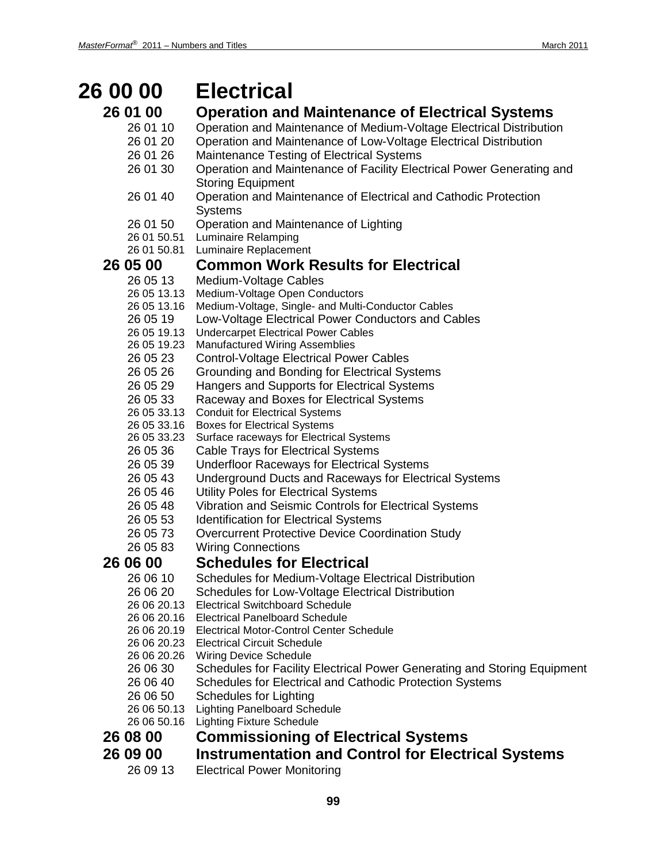# **26 00 00 Electrical**

- **26 01 00 Operation and Maintenance of Electrical Systems**
	- 26 01 10 Operation and Maintenance of Medium-Voltage Electrical Distribution
	- 26 01 20 Operation and Maintenance of Low-Voltage Electrical Distribution
	- 26 01 26 Maintenance Testing of Electrical Systems
	- 26 01 30 Operation and Maintenance of Facility Electrical Power Generating and Storing Equipment
	- 26 01 40 Operation and Maintenance of Electrical and Cathodic Protection Systems
	- 26 01 50 Operation and Maintenance of Lighting<br>26 01 50.51 Luminaire Relamping
	- **Luminaire Relamping**
	- 26 01 50.81 Luminaire Replacement

# **26 05 00 Common Work Results for Electrical**

- Medium-Voltage Cables
- 26 05 13.13 Medium-Voltage Open Conductors
- 26 05 13.16 Medium-Voltage, Single- and Multi-Conductor Cables
- 26 05 19 Low-Voltage Electrical Power Conductors and Cables
- 26 05 19.13 Undercarpet Electrical Power Cables
- 26 05 19.23 Manufactured Wiring Assemblies
- 26 05 23 Control-Voltage Electrical Power Cables
- 26 05 26 Grounding and Bonding for Electrical Systems
- 26 05 29 Hangers and Supports for Electrical Systems
- 26 05 33 Raceway and Boxes for Electrical Systems
- 26 05 33.13 Conduit for Electrical Systems
- 26 05 33.16 Boxes for Electrical Systems
- 26 05 33.23 Surface raceways for Electrical Systems
- 26 05 36 Cable Trays for Electrical Systems
- 26 05 39 Underfloor Raceways for Electrical Systems
- 26 05 43 Underground Ducts and Raceways for Electrical Systems
- 26 05 46 Utility Poles for Electrical Systems
- 26 05 48 Vibration and Seismic Controls for Electrical Systems
- 26 05 53 Identification for Electrical Systems
- 26 05 73 Overcurrent Protective Device Coordination Study
- 26 05 83 Wiring Connections

## **26 06 00 Schedules for Electrical**

- 26 06 10 Schedules for Medium-Voltage Electrical Distribution
- 26 06 20 Schedules for Low-Voltage Electrical Distribution
- 26 06 20.13 Electrical Switchboard Schedule
- 26 06 20.16 Electrical Panelboard Schedule
- 26 06 20.19 Electrical Motor-Control Center Schedule
- 26 06 20.23 Electrical Circuit Schedule
- 26 06 20.26 Wiring Device Schedule
- 26 06 30 Schedules for Facility Electrical Power Generating and Storing Equipment
- 26 06 40 Schedules for Electrical and Cathodic Protection Systems
- 26 06 50 Schedules for Lighting
- 26 06 50.13 Lighting Panelboard Schedule
- 26 06 50.16 Lighting Fixture Schedule
- **26 08 00 Commissioning of Electrical Systems**
- **26 09 00 Instrumentation and Control for Electrical Systems**
	- 26 09 13 Electrical Power Monitoring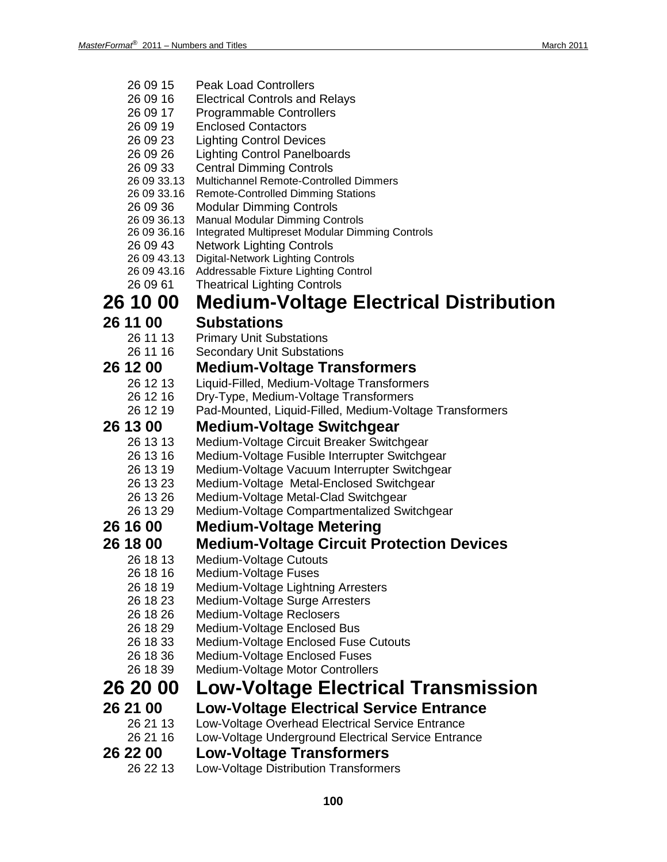26 09 15 Peak Load Controllers

| 26 09 16                   | <b>Electrical Controls and Relays</b>                                               |
|----------------------------|-------------------------------------------------------------------------------------|
| 26 09 17                   | <b>Programmable Controllers</b>                                                     |
| 26 09 19                   | <b>Enclosed Contactors</b>                                                          |
| 26 09 23                   | <b>Lighting Control Devices</b>                                                     |
| 26 09 26                   | <b>Lighting Control Panelboards</b>                                                 |
| 26 09 33                   | <b>Central Dimming Controls</b>                                                     |
| 26 09 33.13<br>26 09 33.16 | Multichannel Remote-Controlled Dimmers<br><b>Remote-Controlled Dimming Stations</b> |
| 26 09 36                   | <b>Modular Dimming Controls</b>                                                     |
| 26 09 36.13                | <b>Manual Modular Dimming Controls</b>                                              |
| 26 09 36.16                | Integrated Multipreset Modular Dimming Controls                                     |
| 26 09 43                   | <b>Network Lighting Controls</b>                                                    |
| 26 09 43.13                | Digital-Network Lighting Controls                                                   |
| 26 09 43.16                | Addressable Fixture Lighting Control                                                |
| 26 09 61                   | <b>Theatrical Lighting Controls</b>                                                 |
| 26 10 00                   | <b>Medium-Voltage Electrical Distribution</b>                                       |
| 26 11 00                   | <b>Substations</b>                                                                  |
| 26 11 13                   | <b>Primary Unit Substations</b>                                                     |
| 26 11 16                   | <b>Secondary Unit Substations</b>                                                   |
| 26 12 00                   | <b>Medium-Voltage Transformers</b>                                                  |
| 26 12 13                   | Liquid-Filled, Medium-Voltage Transformers                                          |
| 26 12 16                   | Dry-Type, Medium-Voltage Transformers                                               |
| 26 12 19                   | Pad-Mounted, Liquid-Filled, Medium-Voltage Transformers                             |
| 26 13 00                   | <b>Medium-Voltage Switchgear</b>                                                    |
| 26 13 13                   | Medium-Voltage Circuit Breaker Switchgear                                           |
| 26 13 16                   | Medium-Voltage Fusible Interrupter Switchgear                                       |
| 26 13 19                   | Medium-Voltage Vacuum Interrupter Switchgear                                        |
| 26 13 23                   | Medium-Voltage Metal-Enclosed Switchgear                                            |
| 26 13 26                   | Medium-Voltage Metal-Clad Switchgear                                                |
| 26 13 29                   | Medium-Voltage Compartmentalized Switchgear                                         |
| 26 16 00                   | <b>Medium-Voltage Metering</b>                                                      |
| 26 18 00                   | <b>Medium-Voltage Circuit Protection Devices</b>                                    |
| 26 18 13                   | Medium-Voltage Cutouts                                                              |
| 26 18 16                   | Medium-Voltage Fuses                                                                |
| 26 18 19                   | Medium-Voltage Lightning Arresters                                                  |
| 26 18 23                   | Medium-Voltage Surge Arresters                                                      |
| 26 18 26                   | Medium-Voltage Reclosers                                                            |
| 26 18 29                   | Medium-Voltage Enclosed Bus                                                         |
| 26 18 33                   | Medium-Voltage Enclosed Fuse Cutouts                                                |
| 26 18 36<br>26 18 39       | Medium-Voltage Enclosed Fuses                                                       |
|                            | Medium-Voltage Motor Controllers                                                    |
| 26 20 00                   | <b>Low-Voltage Electrical Transmission</b>                                          |
| 26 21 00                   | <b>Low-Voltage Electrical Service Entrance</b>                                      |
| 26 21 13                   | Low-Voltage Overhead Electrical Service Entrance                                    |
| 26 21 16                   | Low-Voltage Underground Electrical Service Entrance                                 |
| 26 22 00                   | <b>Low-Voltage Transformers</b>                                                     |
| 26 22 13                   | Low-Voltage Distribution Transformers                                               |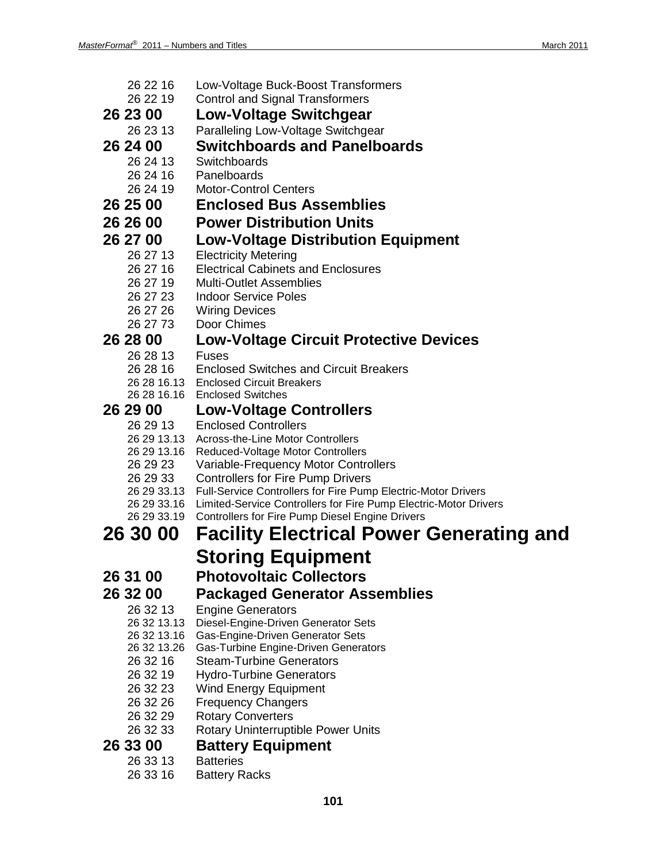| 26 22 16             | Low-Voltage Buck-Boost Transformers                                                |
|----------------------|------------------------------------------------------------------------------------|
| 26 22 19             | <b>Control and Signal Transformers</b>                                             |
| 26 23 00             | Low-Voltage Switchgear                                                             |
| 26 23 13             | Paralleling Low-Voltage Switchgear                                                 |
| 26 24 00             | <b>Switchboards and Panelboards</b>                                                |
| 26 24 13             | Switchboards                                                                       |
| 26 24 16             | Panelboards                                                                        |
| 26 24 19             | <b>Motor-Control Centers</b>                                                       |
| 26 25 00             | <b>Enclosed Bus Assemblies</b>                                                     |
| 26 26 00             | <b>Power Distribution Units</b>                                                    |
| 26 27 00             | <b>Low-Voltage Distribution Equipment</b>                                          |
| 26 27 13             | <b>Electricity Metering</b>                                                        |
| 26 27 16             | <b>Electrical Cabinets and Enclosures</b>                                          |
| 26 27 19             | <b>Multi-Outlet Assemblies</b>                                                     |
| 26 27 23             | <b>Indoor Service Poles</b>                                                        |
| 26 27 26             | <b>Wiring Devices</b>                                                              |
| 26 27 73             | Door Chimes                                                                        |
| 26 28 00             | <b>Low-Voltage Circuit Protective Devices</b>                                      |
| 26 28 13    Fuses    |                                                                                    |
| 26 28 16             | <b>Enclosed Switches and Circuit Breakers</b>                                      |
|                      | 26 28 16.13 Enclosed Circuit Breakers                                              |
|                      | 26 28 16.16 Enclosed Switches                                                      |
| 26 29 00             | <b>Low-Voltage Controllers</b>                                                     |
| 26 29 13             | <b>Enclosed Controllers</b>                                                        |
| 26 29 13.16          | 26 29 13.13 Across-the-Line Motor Controllers<br>Reduced-Voltage Motor Controllers |
| 26 29 23             | Variable-Frequency Motor Controllers                                               |
| 26 29 33             | <b>Controllers for Fire Pump Drivers</b>                                           |
|                      | 26 29 33.13  Full-Service Controllers for Fire Pump Electric-Motor Drivers         |
| 26 29 33.16          | Limited-Service Controllers for Fire Pump Electric-Motor Drivers                   |
| 26 29 33.19          | <b>Controllers for Fire Pump Diesel Engine Drivers</b>                             |
| 26 30 00             | <b>Facility Electrical Power Generating and</b>                                    |
|                      | Storing Equipment                                                                  |
| 26 31 00             | <b>Photovoltaic Collectors</b>                                                     |
| 26 32 00             | <b>Packaged Generator Assemblies</b>                                               |
| 26 32 13             | <b>Engine Generators</b>                                                           |
| 26 32 13.13          | Diesel-Engine-Driven Generator Sets                                                |
| 26 32 13.16          | Gas-Engine-Driven Generator Sets                                                   |
| 26 32 13.26          | Gas-Turbine Engine-Driven Generators                                               |
| 26 32 16             | <b>Steam-Turbine Generators</b>                                                    |
| 26 32 19             | <b>Hydro-Turbine Generators</b>                                                    |
|                      | <b>Wind Energy Equipment</b>                                                       |
| 26 32 23             |                                                                                    |
| 26 32 26             | <b>Frequency Changers</b>                                                          |
| 26 32 29             | <b>Rotary Converters</b>                                                           |
| 26 32 33             | <b>Rotary Uninterruptible Power Units</b>                                          |
| 26 33 00             | <b>Battery Equipment</b>                                                           |
| 26 33 13<br>26 33 16 | <b>Batteries</b><br><b>Battery Racks</b>                                           |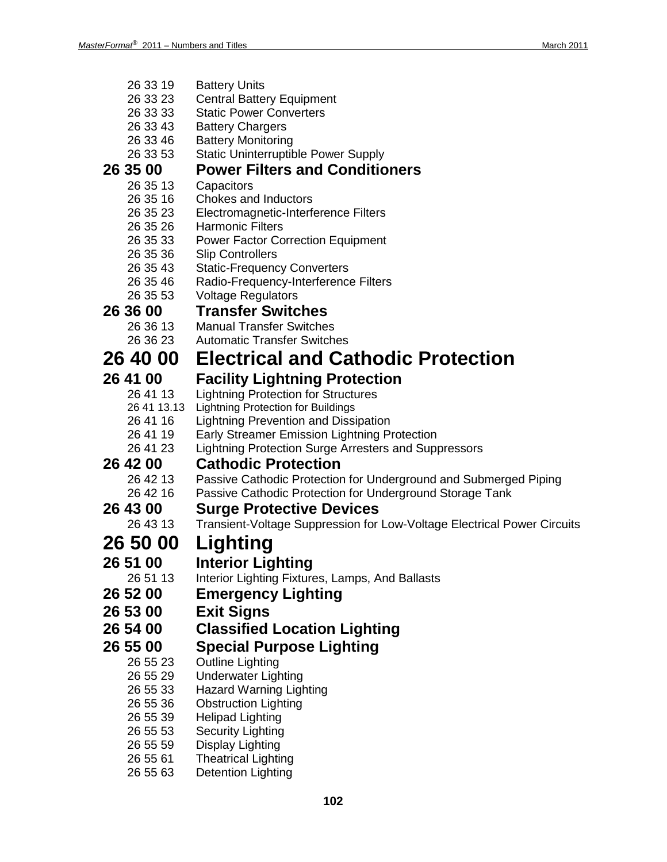26 33 19 Battery Units

| 26 33 23        | <b>Central Battery Equipment</b>                                        |
|-----------------|-------------------------------------------------------------------------|
| 26 33 33        | <b>Static Power Converters</b>                                          |
| 26 33 43        | <b>Battery Chargers</b>                                                 |
| 26 33 46        | <b>Battery Monitoring</b>                                               |
| 26 33 53        | <b>Static Uninterruptible Power Supply</b>                              |
| 26 35 00        | <b>Power Filters and Conditioners</b>                                   |
| 26 35 13        | Capacitors                                                              |
| 26 35 16        | <b>Chokes and Inductors</b>                                             |
| 26 35 23        | Electromagnetic-Interference Filters                                    |
| 26 35 26        | <b>Harmonic Filters</b>                                                 |
| 26 35 33        | <b>Power Factor Correction Equipment</b>                                |
| 26 35 36        | <b>Slip Controllers</b>                                                 |
| 26 35 43        | <b>Static-Frequency Converters</b>                                      |
| 26 35 46        | Radio-Frequency-Interference Filters                                    |
| 26 35 53        | <b>Voltage Regulators</b>                                               |
| 26 36 00        | <b>Transfer Switches</b>                                                |
| 26 36 13        | <b>Manual Transfer Switches</b>                                         |
| 26 36 23        | <b>Automatic Transfer Switches</b>                                      |
| <b>26 40 00</b> | <b>Electrical and Cathodic Protection</b>                               |
| 26 41 00        | <b>Facility Lightning Protection</b>                                    |
| 26 41 13        | <b>Lightning Protection for Structures</b>                              |
|                 | 26 41 13.13 Lightning Protection for Buildings                          |
| 26 41 16        | <b>Lightning Prevention and Dissipation</b>                             |
| 26 41 19        | Early Streamer Emission Lightning Protection                            |
| 26 41 23        | Lightning Protection Surge Arresters and Suppressors                    |
| <b>26 42 00</b> | <b>Cathodic Protection</b>                                              |
| 26 42 13        | Passive Cathodic Protection for Underground and Submerged Piping        |
| 26 42 16        | Passive Cathodic Protection for Underground Storage Tank                |
| 26 43 00        | <b>Surge Protective Devices</b>                                         |
| 26 43 13        | Transient-Voltage Suppression for Low-Voltage Electrical Power Circuits |
| <b>26 50 00</b> | Lighting                                                                |
| 26 51 00        | <b>Interior Lighting</b>                                                |
| 26 51 13        | Interior Lighting Fixtures, Lamps, And Ballasts                         |
| 26 52 00        | <b>Emergency Lighting</b>                                               |
| 26 53 00        | <b>Exit Signs</b>                                                       |
| 26 54 00        | <b>Classified Location Lighting</b>                                     |
| 26 55 00        | <b>Special Purpose Lighting</b>                                         |
| 26 55 23        | <b>Outline Lighting</b>                                                 |
| 26 55 29        | <b>Underwater Lighting</b>                                              |
| 26 55 33        | <b>Hazard Warning Lighting</b>                                          |
| 26 55 36        | <b>Obstruction Lighting</b>                                             |
| 26 55 39        | <b>Helipad Lighting</b>                                                 |
| 26 55 53        | <b>Security Lighting</b>                                                |
| 26 55 59        | <b>Display Lighting</b>                                                 |
| 26 55 61        | <b>Theatrical Lighting</b>                                              |
|                 |                                                                         |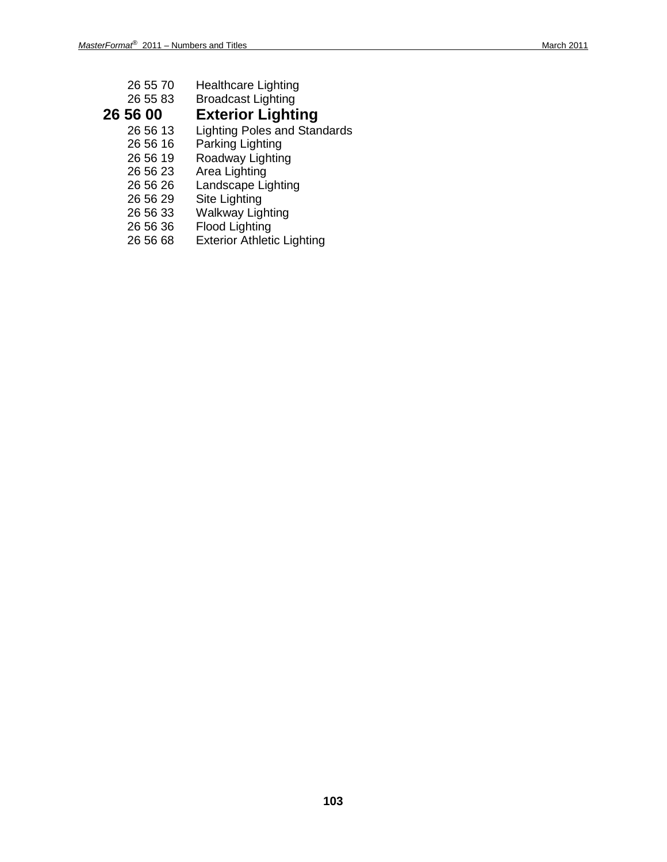| 26 55 70   | <b>Healthcare Lighting</b>          |
|------------|-------------------------------------|
| 26 55 83   | <b>Broadcast Lighting</b>           |
| 26 56 00   | <b>Exterior Lighting</b>            |
| 26 56 13   | <b>Lighting Poles and Standards</b> |
| 26 56 16   | Parking Lighting                    |
| 26 56 19   | Roadway Lighting                    |
| 26 56 23   | Area Lighting                       |
| 26 56 26   | Landscape Lighting                  |
| 26 56 29   | Site Lighting                       |
| 00. LO 00. | MATE Has a control that the con-    |

- 26 56 33 Walkway Lighting
- 26 56 36 Flood Lighting
- 26 56 68 Exterior Athletic Lighting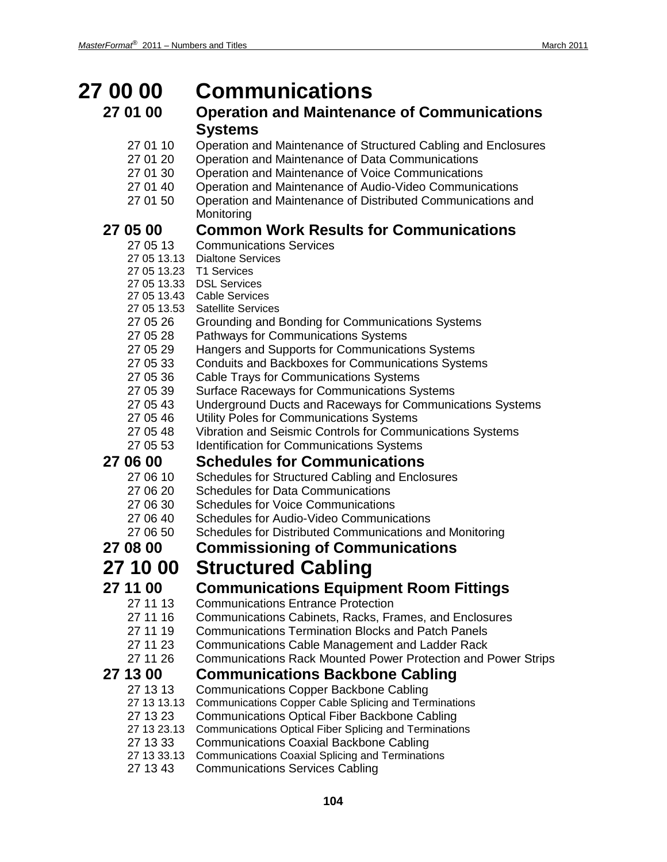### **27 00 00 Communications 27 01 00 Operation and Maintenance of Communications Systems** 27 01 10 Operation and Maintenance of Structured Cabling and Enclosures 27 01 20 Operation and Maintenance of Data Communications 27 01 30 Operation and Maintenance of Voice Communications 27 01 40 Operation and Maintenance of Audio-Video Communications 27 01 50 Operation and Maintenance of Distributed Communications and **Monitoring 27 05 00 Common Work Results for Communications Communications Services** 27 05 13.13 Dialtone Services 27 05 13.23 T1 Services 27 05 13.33 DSL Services 27 05 13.43 Cable Services 27 05 13.53 Satellite Services 27 05 26 Grounding and Bonding for Communications Systems 27 05 28 Pathways for Communications Systems 27 05 29 Hangers and Supports for Communications Systems 27 05 33 Conduits and Backboxes for Communications Systems 27 05 36 Cable Trays for Communications Systems 27 05 39 Surface Raceways for Communications Systems 27 05 43 Underground Ducts and Raceways for Communications Systems 27 05 46 Utility Poles for Communications Systems<br>27 05 48 Vibration and Seismic Controls for Commu Vibration and Seismic Controls for Communications Systems 27 05 53 Identification for Communications Systems **27 06 00 Schedules for Communications** 27 06 10 Schedules for Structured Cabling and Enclosures<br>27 06 20 Schedules for Data Communications Schedules for Data Communications 27 06 30 Schedules for Voice Communications 27 06 40 Schedules for Audio-Video Communications 27 06 50 Schedules for Distributed Communications and Monitoring **27 08 00 Commissioning of Communications 27 10 00 Structured Cabling 27 11 00 Communications Equipment Room Fittings** 27 11 13 Communications Entrance Protection 27 11 16 Communications Cabinets, Racks, Frames, and Enclosures 27 11 19 Communications Termination Blocks and Patch Panels 27 11 23 Communications Cable Management and Ladder Rack 27 11 26 Communications Rack Mounted Power Protection and Power Strips **27 13 00 Communications Backbone Cabling** Communications Copper Backbone Cabling 27 13 13.13 Communications Copper Cable Splicing and Terminations 27 13 23 Communications Optical Fiber Backbone Cabling 27 13 23.13 Communications Optical Fiber Splicing and Terminations 27 13 33 Communications Coaxial Backbone Cabling 27 13 33.13 Communications Coaxial Splicing and Terminations

27 13 43 Communications Services Cabling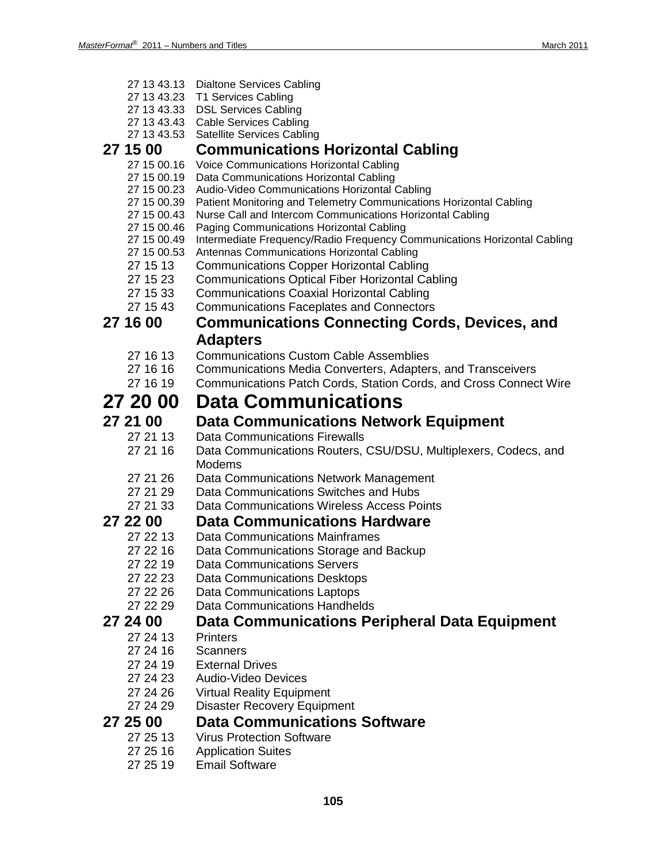|                            | 27 13 43.13 Dialtone Services Cabling                                                                                  |
|----------------------------|------------------------------------------------------------------------------------------------------------------------|
|                            | 27 13 43.23 T1 Services Cabling                                                                                        |
|                            | 27 13 43.33 DSL Services Cabling                                                                                       |
|                            | 27 13 43.43 Cable Services Cabling<br>27 13 43.53 Satellite Services Cabling                                           |
| 27 15 00                   | <b>Communications Horizontal Cabling</b>                                                                               |
| 27 15 00.16                | Voice Communications Horizontal Cabling                                                                                |
| 27 15 00.19                | Data Communications Horizontal Cabling                                                                                 |
| 27 15 00.23                | Audio-Video Communications Horizontal Cabling                                                                          |
| 27 15 00.39                | Patient Monitoring and Telemetry Communications Horizontal Cabling                                                     |
| 27 15 00.43                | Nurse Call and Intercom Communications Horizontal Cabling                                                              |
| 27 15 00.46                | Paging Communications Horizontal Cabling                                                                               |
| 27 15 00.49<br>27 15 00.53 | Intermediate Frequency/Radio Frequency Communications Horizontal Cabling<br>Antennas Communications Horizontal Cabling |
| 27 15 13                   | <b>Communications Copper Horizontal Cabling</b>                                                                        |
| 27 15 23                   | <b>Communications Optical Fiber Horizontal Cabling</b>                                                                 |
| 27 15 33                   | <b>Communications Coaxial Horizontal Cabling</b>                                                                       |
| 27 15 43                   | <b>Communications Faceplates and Connectors</b>                                                                        |
| 27 16 00                   | <b>Communications Connecting Cords, Devices, and</b>                                                                   |
|                            | <b>Adapters</b>                                                                                                        |
| 27 16 13                   | <b>Communications Custom Cable Assemblies</b>                                                                          |
| 27 16 16                   | Communications Media Converters, Adapters, and Transceivers                                                            |
| 27 16 19                   | Communications Patch Cords, Station Cords, and Cross Connect Wire                                                      |
| 27 20 00                   | <b>Data Communications</b>                                                                                             |
| 27 21 00                   | <b>Data Communications Network Equipment</b>                                                                           |
| 27 21 13                   | <b>Data Communications Firewalls</b>                                                                                   |
| 27 21 16                   | Data Communications Routers, CSU/DSU, Multiplexers, Codecs, and                                                        |
|                            | Modems                                                                                                                 |
| 27 21 26                   | Data Communications Network Management                                                                                 |
| 27 21 29                   | Data Communications Switches and Hubs                                                                                  |
| 27 21 33                   | Data Communications Wireless Access Points                                                                             |
| 27 22 00                   | <b>Data Communications Hardware</b>                                                                                    |
| 27 22 13                   | <b>Data Communications Mainframes</b>                                                                                  |
| 27 22 16                   | Data Communications Storage and Backup                                                                                 |
| 27 22 19                   | <b>Data Communications Servers</b>                                                                                     |
| 27 22 23                   | <b>Data Communications Desktops</b>                                                                                    |
| 27 22 26<br>27 22 29       | Data Communications Laptops<br><b>Data Communications Handhelds</b>                                                    |
|                            |                                                                                                                        |
| 27 24 00<br>27 24 13       | Data Communications Peripheral Data Equipment                                                                          |
| 27 24 16                   | <b>Printers</b><br>Scanners                                                                                            |
| 27 24 19                   | <b>External Drives</b>                                                                                                 |
| 27 24 23                   | Audio-Video Devices                                                                                                    |
| 27 24 26                   | <b>Virtual Reality Equipment</b>                                                                                       |
| 27 24 29                   | <b>Disaster Recovery Equipment</b>                                                                                     |
| 27 25 00                   | <b>Data Communications Software</b>                                                                                    |
| 27 25 13                   | <b>Virus Protection Software</b>                                                                                       |
| 27 25 16                   | <b>Application Suites</b>                                                                                              |
| 27 25 19                   | <b>Email Software</b>                                                                                                  |
|                            |                                                                                                                        |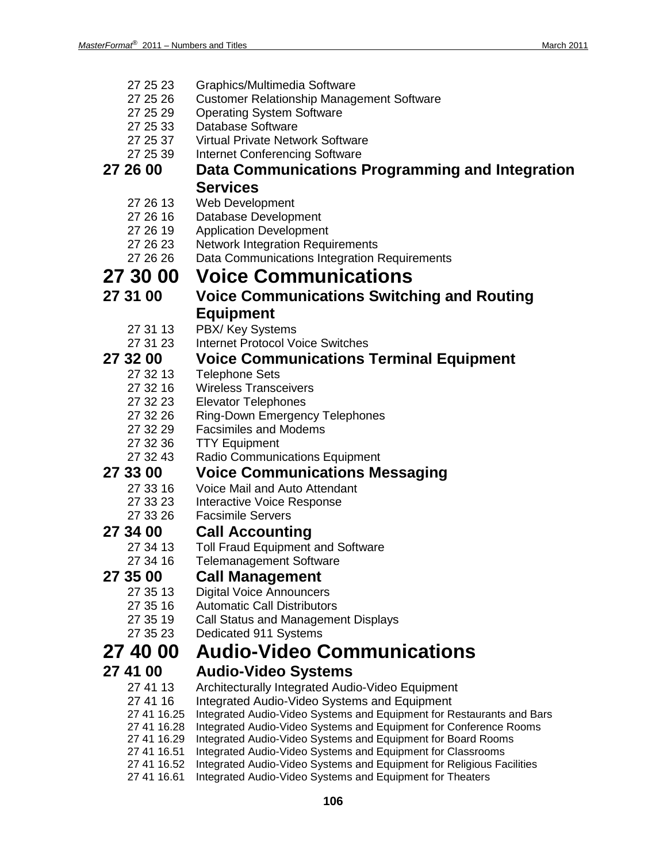- 27 25 23 Graphics/Multimedia Software
- 27 25 26 Customer Relationship Management Software
- 27 25 29 Operating System Software
- 27 25 33 Database Software
- 27 25 37 Virtual Private Network Software
- 27 25 39 Internet Conferencing Software

## **27 26 00 Data Communications Programming and Integration Services**

- 27 26 13 Web Development
- 27 26 16 Database Development
- 27 26 19 Application Development
- 27 26 23 Network Integration Requirements<br>27 26 26 Data Communications Integration I
	- Data Communications Integration Requirements

# **27 30 00 Voice Communications**

- **27 31 00 Voice Communications Switching and Routing Equipment**
	-
	- 27 31 13 PBX/ Key Systems<br>27 31 23 Internet Protocol Vo **Internet Protocol Voice Switches**

### **27 32 00 Voice Communications Terminal Equipment**

- 27 32 13 Telephone Sets
- 27 32 16 Wireless Transceivers<br>27 32 23 Elevator Telephones
- 27 32 23 Elevator Telephones<br>27 32 26 Ring-Down Emergen
- Ring-Down Emergency Telephones
- 27 32 29 Facsimiles and Modems
- 27 32 36 TTY Equipment
- 27 32 43 Radio Communications Equipment

# **27 33 00 Voice Communications Messaging**<br>27 33 16 Voice Mail and Auto Attendant

- Voice Mail and Auto Attendant
- 27 33 23 Interactive Voice Response
- 27 33 26 Facsimile Servers

# **27 34 00 Call Accounting**

- **Toll Fraud Equipment and Software**
- 27 34 16 Telemanagement Software

## **27 35 00 Call Management**

- 27 35 13 Digital Voice Announcers
- 27 35 16 Automatic Call Distributors<br>27 35 19 Call Status and Manageme
- Call Status and Management Displays
- 27 35 23 Dedicated 911 Systems

## **27 40 00 Audio-Video Communications**

- **27 41 00 Audio-Video Systems**
	- 27 41 13 Architecturally Integrated Audio-Video Equipment
	- 27 41 16 Integrated Audio-Video Systems and Equipment
	- 27 41 16.25 Integrated Audio-Video Systems and Equipment for Restaurants and Bars
	- 27 41 16.28 Integrated Audio-Video Systems and Equipment for Conference Rooms
	- 27 41 16.29 Integrated Audio-Video Systems and Equipment for Board Rooms
	- 27 41 16.51 Integrated Audio-Video Systems and Equipment for Classrooms
	- 27 41 16.52 Integrated Audio-Video Systems and Equipment for Religious Facilities
	- 27 41 16.61 Integrated Audio-Video Systems and Equipment for Theaters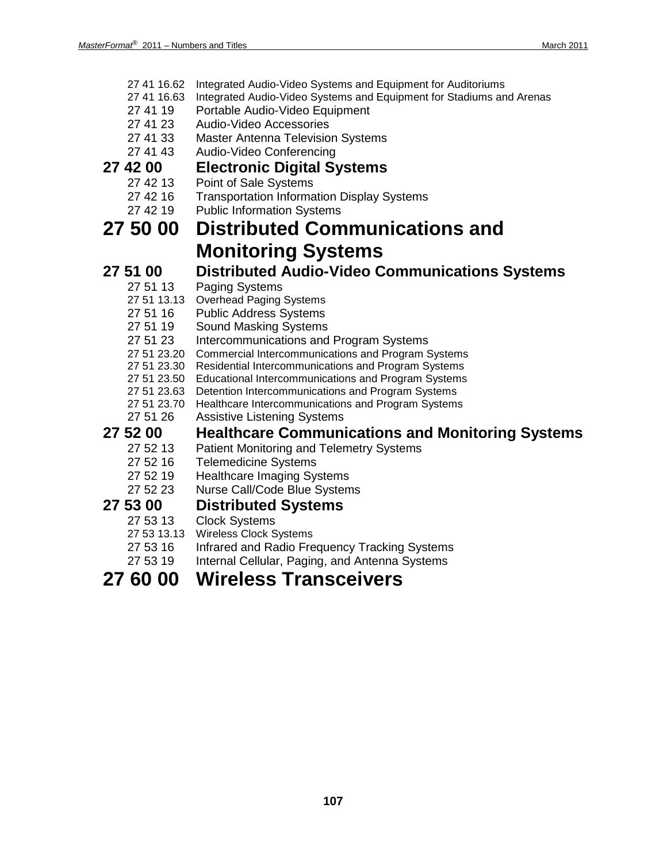- 27 41 16.62 Integrated Audio-Video Systems and Equipment for Auditoriums
- 27 41 16.63 Integrated Audio-Video Systems and Equipment for Stadiums and Arenas
- 27 41 19 Portable Audio-Video Equipment
- 27 41 23 Audio-Video Accessories
- 27 41 33 Master Antenna Television Systems
- 27 41 43 Audio-Video Conferencing

# **27 42 00 Electronic Digital Systems**

- Point of Sale Systems
- 27 42 16 Transportation Information Display Systems
- 27 42 19 Public Information Systems

## **27 50 00 Distributed Communications and Monitoring Systems**

**27 51 00 Distributed Audio-Video Communications Systems** Paging Systems

- 27 51 13.13 Overhead Paging Systems
- 27 51 16 Public Address Systems
- 
- 27 51 19 Sound Masking Systems<br>27 51 23 Intercommunications and Intercommunications and Program Systems
- 27 51 23.20 Commercial Intercommunications and Program Systems
- 27 51 23.30 Residential Intercommunications and Program Systems
- 27 51 23.50 Educational Intercommunications and Program Systems
- 27 51 23.63 Detention Intercommunications and Program Systems
- 27 51 23.70 Healthcare Intercommunications and Program Systems
- 27 51 26 Assistive Listening Systems

# **27 52 00 Healthcare Communications and Monitoring Systems**

- Patient Monitoring and Telemetry Systems
- 27 52 16 Telemedicine Systems
- 27 52 19 Healthcare Imaging Systems
- 27 52 23 Nurse Call/Code Blue Systems

# **27 53 00 Distributed Systems**

- **Clock Systems**
- 27 53 13.13 Wireless Clock Systems
- 27 53 16 Infrared and Radio Frequency Tracking Systems
- 27 53 19 Internal Cellular, Paging, and Antenna Systems

## **27 60 00 Wireless Transceivers**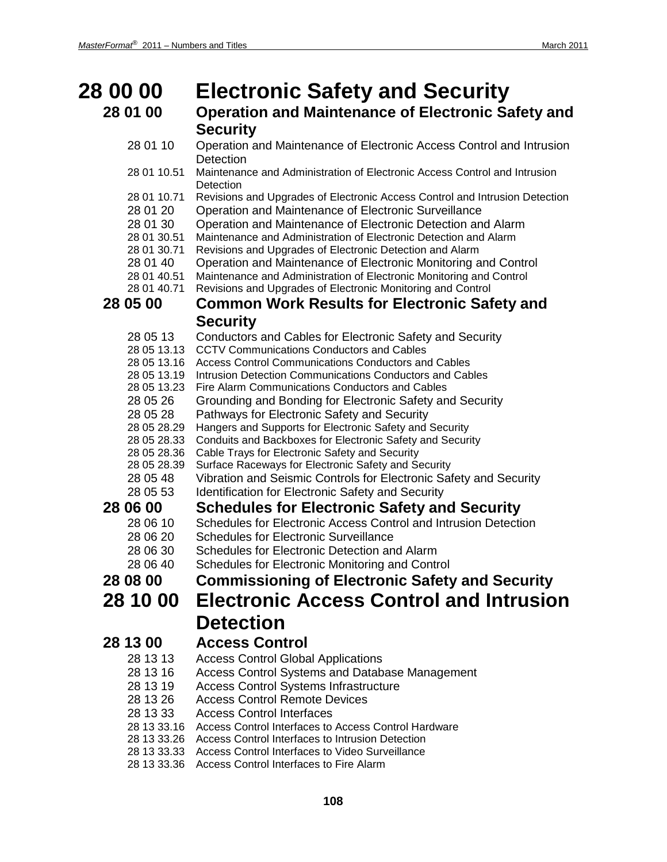| <b>28 00 00</b>                                                                                                                                                                                                                                          | <b>Electronic Safety and Security</b>                                                                                                                                                                                                                                                                                                                                                                                                                                                                                                                                                                                                                                                                                                                                                                                                                                                                                                                                                                                                                                                           |
|----------------------------------------------------------------------------------------------------------------------------------------------------------------------------------------------------------------------------------------------------------|-------------------------------------------------------------------------------------------------------------------------------------------------------------------------------------------------------------------------------------------------------------------------------------------------------------------------------------------------------------------------------------------------------------------------------------------------------------------------------------------------------------------------------------------------------------------------------------------------------------------------------------------------------------------------------------------------------------------------------------------------------------------------------------------------------------------------------------------------------------------------------------------------------------------------------------------------------------------------------------------------------------------------------------------------------------------------------------------------|
| 28 01 00                                                                                                                                                                                                                                                 | <b>Operation and Maintenance of Electronic Safety and</b>                                                                                                                                                                                                                                                                                                                                                                                                                                                                                                                                                                                                                                                                                                                                                                                                                                                                                                                                                                                                                                       |
|                                                                                                                                                                                                                                                          | <b>Security</b>                                                                                                                                                                                                                                                                                                                                                                                                                                                                                                                                                                                                                                                                                                                                                                                                                                                                                                                                                                                                                                                                                 |
| 28 01 10                                                                                                                                                                                                                                                 | Operation and Maintenance of Electronic Access Control and Intrusion<br>Detection                                                                                                                                                                                                                                                                                                                                                                                                                                                                                                                                                                                                                                                                                                                                                                                                                                                                                                                                                                                                               |
| 28 01 10.51                                                                                                                                                                                                                                              | Maintenance and Administration of Electronic Access Control and Intrusion<br>Detection                                                                                                                                                                                                                                                                                                                                                                                                                                                                                                                                                                                                                                                                                                                                                                                                                                                                                                                                                                                                          |
| 28 01 10.71<br>28 01 20<br>28 01 30<br>28 01 30.51<br>28 01 30.71                                                                                                                                                                                        | Revisions and Upgrades of Electronic Access Control and Intrusion Detection<br>Operation and Maintenance of Electronic Surveillance<br>Operation and Maintenance of Electronic Detection and Alarm<br>Maintenance and Administration of Electronic Detection and Alarm<br>Revisions and Upgrades of Electronic Detection and Alarm                                                                                                                                                                                                                                                                                                                                                                                                                                                                                                                                                                                                                                                                                                                                                              |
| 28 01 40<br>28 01 40.51<br>28 01 40.71                                                                                                                                                                                                                   | Operation and Maintenance of Electronic Monitoring and Control<br>Maintenance and Administration of Electronic Monitoring and Control<br>Revisions and Upgrades of Electronic Monitoring and Control                                                                                                                                                                                                                                                                                                                                                                                                                                                                                                                                                                                                                                                                                                                                                                                                                                                                                            |
| 28 05 00                                                                                                                                                                                                                                                 | <b>Common Work Results for Electronic Safety and</b>                                                                                                                                                                                                                                                                                                                                                                                                                                                                                                                                                                                                                                                                                                                                                                                                                                                                                                                                                                                                                                            |
|                                                                                                                                                                                                                                                          | <b>Security</b>                                                                                                                                                                                                                                                                                                                                                                                                                                                                                                                                                                                                                                                                                                                                                                                                                                                                                                                                                                                                                                                                                 |
| 28 05 13<br>28 05 13.13<br>28 05 13.16<br>28 05 13.19<br>28 05 13.23<br>28 05 26<br>28 05 28<br>28 05 28.29<br>28 05 28.33<br>28 05 28.36<br>28 05 28.39<br>28 05 48<br>28 05 53<br>28 06 00<br>28 06 10<br>28 06 20<br>28 06 30<br>28 06 40<br>28 08 00 | Conductors and Cables for Electronic Safety and Security<br><b>CCTV Communications Conductors and Cables</b><br>Access Control Communications Conductors and Cables<br>Intrusion Detection Communications Conductors and Cables<br>Fire Alarm Communications Conductors and Cables<br>Grounding and Bonding for Electronic Safety and Security<br>Pathways for Electronic Safety and Security<br>Hangers and Supports for Electronic Safety and Security<br>Conduits and Backboxes for Electronic Safety and Security<br>Cable Trays for Electronic Safety and Security<br>Surface Raceways for Electronic Safety and Security<br>Vibration and Seismic Controls for Electronic Safety and Security<br>Identification for Electronic Safety and Security<br><b>Schedules for Electronic Safety and Security</b><br>Schedules for Electronic Access Control and Intrusion Detection<br><b>Schedules for Electronic Surveillance</b><br>Schedules for Electronic Detection and Alarm<br>Schedules for Electronic Monitoring and Control<br><b>Commissioning of Electronic Safety and Security</b> |
| 28 10 00                                                                                                                                                                                                                                                 | <b>Electronic Access Control and Intrusion</b>                                                                                                                                                                                                                                                                                                                                                                                                                                                                                                                                                                                                                                                                                                                                                                                                                                                                                                                                                                                                                                                  |
|                                                                                                                                                                                                                                                          | <b>Detection</b>                                                                                                                                                                                                                                                                                                                                                                                                                                                                                                                                                                                                                                                                                                                                                                                                                                                                                                                                                                                                                                                                                |
|                                                                                                                                                                                                                                                          |                                                                                                                                                                                                                                                                                                                                                                                                                                                                                                                                                                                                                                                                                                                                                                                                                                                                                                                                                                                                                                                                                                 |
| 28 13 00<br>28 13 13<br>28 13 16<br>28 13 19<br>28 13 26<br>28 13 33<br>28 13 33.36                                                                                                                                                                      | <b>Access Control</b><br><b>Access Control Global Applications</b><br>Access Control Systems and Database Management<br><b>Access Control Systems Infrastructure</b><br><b>Access Control Remote Devices</b><br><b>Access Control Interfaces</b><br>28 13 33.16 Access Control Interfaces to Access Control Hardware<br>28 13 33.26 Access Control Interfaces to Intrusion Detection<br>28 13 33.33 Access Control Interfaces to Video Surveillance<br>Access Control Interfaces to Fire Alarm                                                                                                                                                                                                                                                                                                                                                                                                                                                                                                                                                                                                  |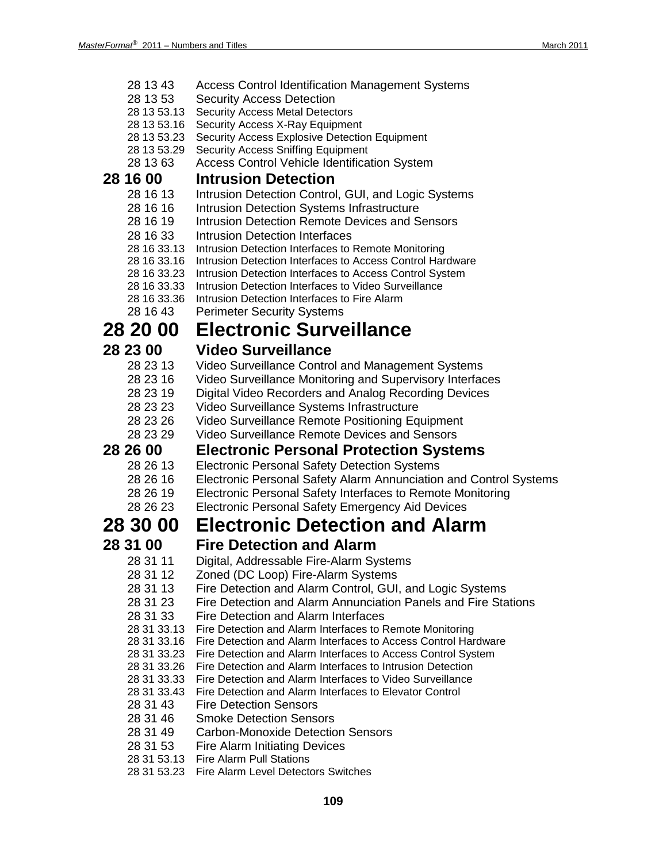| 28 13 43 | Access Control Identification Management Systems |
|----------|--------------------------------------------------|
| 001050   | Control Appenso Detection                        |

- 28 13 53 Security Access Detection
- 28 13 53.13 Security Access Metal Detectors
- 28 13 53.16 Security Access X-Ray Equipment
- 28 13 53.23 Security Access Explosive Detection Equipment
- 28 13 53.29 Security Access Sniffing Equipment
- 28 13 63 Access Control Vehicle Identification System

## **28 16 00 Intrusion Detection**

- Intrusion Detection Control, GUI, and Logic Systems
- 28 16 16 Intrusion Detection Systems Infrastructure
- 28 16 19 Intrusion Detection Remote Devices and Sensors
- 28 16 33 Intrusion Detection Interfaces<br>28 16 33.13 Intrusion Detection Interfaces to
- Intrusion Detection Interfaces to Remote Monitoring
- 28 16 33.16 Intrusion Detection Interfaces to Access Control Hardware
- 28 16 33.23 Intrusion Detection Interfaces to Access Control System
- 28 16 33.33 Intrusion Detection Interfaces to Video Surveillance
- 28 16 33.36 Intrusion Detection Interfaces to Fire Alarm
- 28 16 43 Perimeter Security Systems

## **28 20 00 Electronic Surveillance**

- **28 23 00 Video Surveillance** Video Surveillance Control and Management Systems
	- 28 23 16 Video Surveillance Monitoring and Supervisory Interfaces
	- 28 23 19 Digital Video Recorders and Analog Recording Devices
	- 28 23 23 Video Surveillance Systems Infrastructure
	- Video Surveillance Remote Positioning Equipment
	- 28 23 29 Video Surveillance Remote Devices and Sensors

### **28 26 00 Electronic Personal Protection Systems**

- 28 26 13 Electronic Personal Safety Detection Systems<br>28 26 16 Electronic Personal Safety Alarm Annunciation
- 28 26 16 Electronic Personal Safety Alarm Annunciation and Control Systems<br>28 26 19 Electronic Personal Safety Interfaces to Remote Monitoring
	- Electronic Personal Safety Interfaces to Remote Monitoring
- 28 26 23 Electronic Personal Safety Emergency Aid Devices

## **28 30 00 Electronic Detection and Alarm**

- **28 31 00 Fire Detection and Alarm**
	- 28 31 11 Digital, Addressable Fire-Alarm Systems
	- 28 31 12 Zoned (DC Loop) Fire-Alarm Systems
	- 28 31 13 Fire Detection and Alarm Control, GUI, and Logic Systems
	- 28 31 23 Fire Detection and Alarm Annunciation Panels and Fire Stations
	- 28 31 33 Fire Detection and Alarm Interfaces
	- 28 31 33.13 Fire Detection and Alarm Interfaces to Remote Monitoring
	- 28 31 33.16 Fire Detection and Alarm Interfaces to Access Control Hardware
	- 28 31 33.23 Fire Detection and Alarm Interfaces to Access Control System
	- 28 31 33.26 Fire Detection and Alarm Interfaces to Intrusion Detection
	- 28 31 33.33 Fire Detection and Alarm Interfaces to Video Surveillance
	- 28 31 33.43 Fire Detection and Alarm Interfaces to Elevator Control
	- 28 31 43 Fire Detection Sensors
	- 28 31 46 Smoke Detection Sensors
	- 28 31 49 Carbon-Monoxide Detection Sensors
	- 28 31 53 Fire Alarm Initiating Devices
	- 28 31 53.13 Fire Alarm Pull Stations
	- 28 31 53.23 Fire Alarm Level Detectors Switches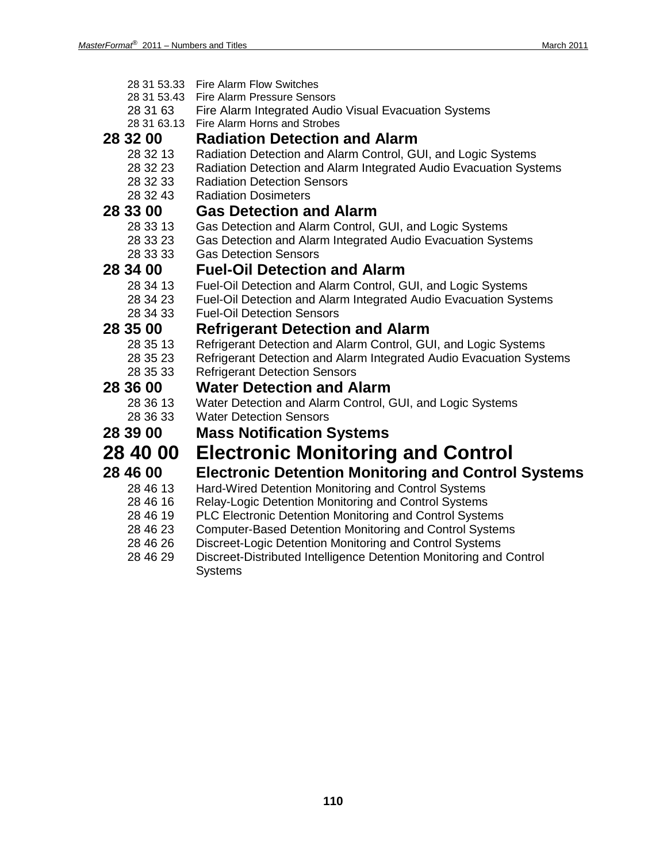28 31 53.33 Fire Alarm Flow Switches 28 31 53.43 Fire Alarm Pressure Sensors

| 28 31 63    | Fire Alarm Integrated Audio Visual Evacuation Systems                                                       |
|-------------|-------------------------------------------------------------------------------------------------------------|
| 28 31 63.13 | Fire Alarm Horns and Strobes                                                                                |
| 28 32 00    | <b>Radiation Detection and Alarm</b>                                                                        |
| 28 32 13    | Radiation Detection and Alarm Control, GUI, and Logic Systems                                               |
| 28 32 23    | Radiation Detection and Alarm Integrated Audio Evacuation Systems                                           |
| 28 32 33    | <b>Radiation Detection Sensors</b>                                                                          |
| 28 32 43    | <b>Radiation Dosimeters</b>                                                                                 |
| 28 33 00    | <b>Gas Detection and Alarm</b>                                                                              |
| 28 33 13    | Gas Detection and Alarm Control, GUI, and Logic Systems                                                     |
| 28 33 23    | Gas Detection and Alarm Integrated Audio Evacuation Systems                                                 |
| 28 33 33    | <b>Gas Detection Sensors</b>                                                                                |
| 28 34 00    | <b>Fuel-Oil Detection and Alarm</b>                                                                         |
| 28 34 13    | Fuel-Oil Detection and Alarm Control, GUI, and Logic Systems                                                |
| 28 34 23    | Fuel-Oil Detection and Alarm Integrated Audio Evacuation Systems                                            |
| 28 34 33    | <b>Fuel-Oil Detection Sensors</b>                                                                           |
| 28 35 00    | <b>Refrigerant Detection and Alarm</b>                                                                      |
| 28 35 13    | Refrigerant Detection and Alarm Control, GUI, and Logic Systems                                             |
| 28 35 23    | Refrigerant Detection and Alarm Integrated Audio Evacuation Systems                                         |
| 28 35 33    | <b>Refrigerant Detection Sensors</b>                                                                        |
| 28 36 00    | <b>Water Detection and Alarm</b>                                                                            |
| 28 36 13    | Water Detection and Alarm Control, GUI, and Logic Systems                                                   |
| 28 36 33    | <b>Water Detection Sensors</b>                                                                              |
| 28 39 00    | <b>Mass Notification Systems</b>                                                                            |
| 28 40 00    | <b>Electronic Monitoring and Control</b>                                                                    |
| 28 46 00    | <b>Electronic Detention Monitoring and Control Systems</b>                                                  |
| 28 46 13    |                                                                                                             |
| 28 46 16    | Hard-Wired Detention Monitoring and Control Systems<br>Relay-Logic Detention Monitoring and Control Systems |
| 28 46 19    | <b>PLC Electronic Detention Monitoring and Control Systems</b>                                              |
| 28 46 23    | <b>Computer-Based Detention Monitoring and Control Systems</b>                                              |
| 28 46 26    | Discreet-Logic Detention Monitoring and Control Systems                                                     |
|             |                                                                                                             |

28 46 29 Discreet-Distributed Intelligence Detention Monitoring and Control **Systems**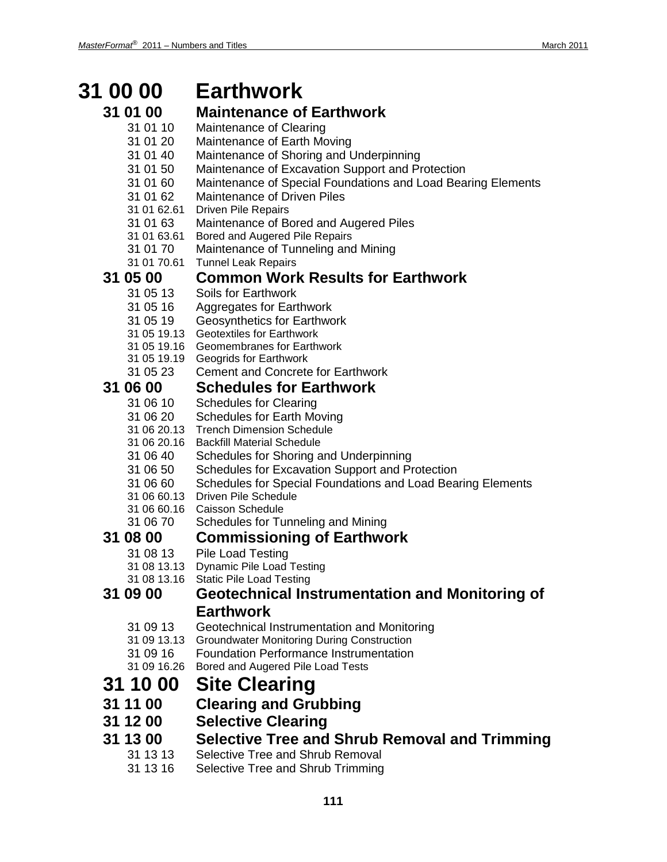## **31 00 00 Earthwork**

### **31 01 00 Maintenance of Earthwork**

- 31 01 10 Maintenance of Clearing
- 31 01 20 Maintenance of Earth Moving
- 31 01 40 Maintenance of Shoring and Underpinning
- 31 01 50 Maintenance of Excavation Support and Protection
- 31 01 60 Maintenance of Special Foundations and Load Bearing Elements
- 31 01 62 Maintenance of Driven Piles
- 31 01 62.61 Driven Pile Repairs
- 31 01 63 Maintenance of Bored and Augered Piles
- 31 01 63.61 Bored and Augered Pile Repairs
- 31 01 70 Maintenance of Tunneling and Mining
- 31 01 70.61 Tunnel Leak Repairs

# **31 05 00 Common Work Results for Earthwork**

- Soils for Earthwork
- 31 05 16 Aggregates for Earthwork
- 31 05 19 Geosynthetics for Earthwork
- 31 05 19.13 Geotextiles for Earthwork
- 31 05 19.16 Geomembranes for Earthwork
- 31 05 19.19 Geogrids for Earthwork
- 31 05 23 Cement and Concrete for Earthwork

# **31 06 00 Schedules for Earthwork**

- Schedules for Clearing
- 31 06 20 Schedules for Earth Moving
- 31 06 20.13 Trench Dimension Schedule
- 31 06 20.16 Backfill Material Schedule
- 31 06 40 Schedules for Shoring and Underpinning
- 31 06 50 Schedules for Excavation Support and Protection
- 31 06 60 Schedules for Special Foundations and Load Bearing Elements
- 31 06 60.13 Driven Pile Schedule
- 31 06 60.16 Caisson Schedule
- 31 06 70 Schedules for Tunneling and Mining

### **31 08 00 Commissioning of Earthwork**

- 31 08 13 Pile Load Testing
- 31 08 13.13 Dynamic Pile Load Testing
- 31 08 13.16 Static Pile Load Testing

### **31 09 00 Geotechnical Instrumentation and Monitoring of Earthwork**

- 31 09 13 Geotechnical Instrumentation and Monitoring
- 31 09 13.13 Groundwater Monitoring During Construction
- 31 09 16 Foundation Performance Instrumentation
- 31 09 16.26 Bored and Augered Pile Load Tests

## **31 10 00 Site Clearing**

- **31 11 00 Clearing and Grubbing**
- **31 12 00 Selective Clearing**
- **31 13 00 Selective Tree and Shrub Removal and Trimming**
	- Selective Tree and Shrub Removal
	- 31 13 16 Selective Tree and Shrub Trimming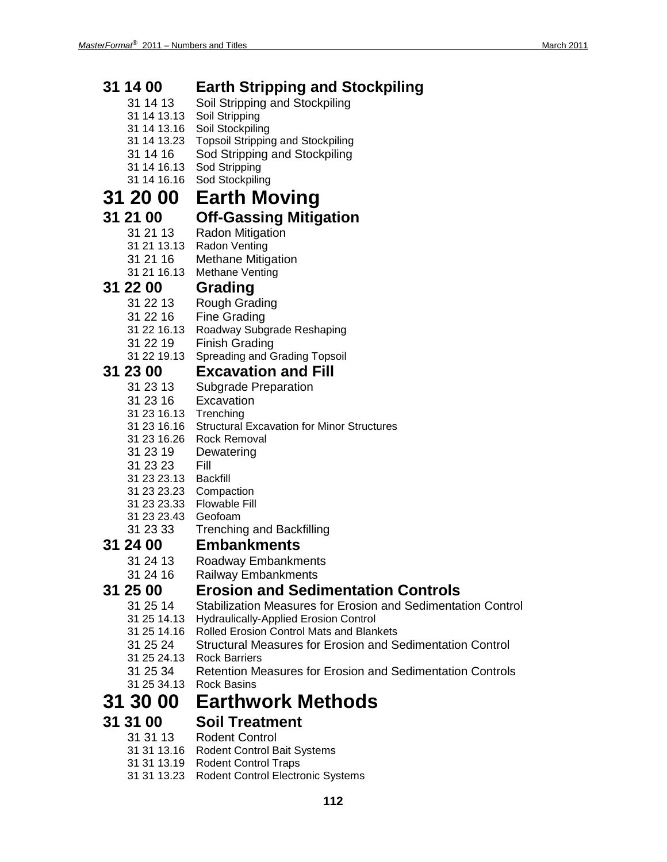| 31 14 00                | <b>Earth Stripping and Stockpiling</b>                           |
|-------------------------|------------------------------------------------------------------|
| 31 14 13                | Soil Stripping and Stockpiling                                   |
| 31 14 13.13             | Soil Stripping                                                   |
| 31 14 13 16             | Soil Stockpiling                                                 |
| 31 14 13.23             | <b>Topsoil Stripping and Stockpiling</b>                         |
| 31 14 16                | Sod Stripping and Stockpiling                                    |
| 31 14 16 13             | Sod Stripping                                                    |
| 31 14 16.16             | Sod Stockpiling                                                  |
| <b>31 20 00</b>         | <b>Earth Moving</b>                                              |
| 31 21 00                | <b>Off-Gassing Mitigation</b>                                    |
| 31 21 13                | <b>Radon Mitigation</b>                                          |
| 31 21 13.13             | <b>Radon Venting</b>                                             |
| 31 21 16                | <b>Methane Mitigation</b>                                        |
| 31 21 16.13             | Methane Venting                                                  |
| 31 22 00                | Grading                                                          |
| 31 22 13                | Rough Grading                                                    |
| 31 22 16                | <b>Fine Grading</b>                                              |
| 31 22 16.13             | Roadway Subgrade Reshaping                                       |
| 31 22 19                | <b>Finish Grading</b>                                            |
| 31 22 19.13             | Spreading and Grading Topsoil                                    |
| 31 23 00                | <b>Excavation and Fill</b>                                       |
| 31 23 13                | Subgrade Preparation                                             |
| 31 23 16                | Excavation                                                       |
| 31 23 16.13 Trenching   |                                                                  |
| 31 23 16.16             | <b>Structural Excavation for Minor Structures</b>                |
| 31 23 16.26             | <b>Rock Removal</b>                                              |
| 31 23 19                | Dewatering                                                       |
| 31 23 23<br>31 23 23.13 | Fill<br><b>Backfill</b>                                          |
| 31 23 23.23             | Compaction                                                       |
| 31 23 23.33             | <b>Flowable Fill</b>                                             |
| 31 23 23.43             | Geofoam                                                          |
| 31 23 33                | <b>Trenching and Backfilling</b>                                 |
| 31 24 00                | <b>Embankments</b>                                               |
| 31 24 13                | Roadway Embankments                                              |
| 31 24 16                | <b>Railway Embankments</b>                                       |
| 31 25 00                | <b>Erosion and Sedimentation Controls</b>                        |
| 31 25 14                | Stabilization Measures for Erosion and Sedimentation Control     |
| 31 25 14.13             | <b>Hydraulically-Applied Erosion Control</b>                     |
| 31 25 14.16             | <b>Rolled Erosion Control Mats and Blankets</b>                  |
| 31 25 24                | Structural Measures for Erosion and Sedimentation Control        |
| 31 25 24.13             | <b>Rock Barriers</b>                                             |
| 31 25 34                | <b>Retention Measures for Erosion and Sedimentation Controls</b> |
| 31 25 34.13             | <b>Rock Basins</b>                                               |
| 31 30 00                | <b>Earthwork Methods</b>                                         |
| 31 31 00                | <b>Soil Treatment</b>                                            |
| 31 31 13                | <b>Rodent Control</b>                                            |
| 31 31 13.16             | Rodent Control Bait Systems                                      |
|                         | <b>Rodent Control Traps</b>                                      |
|                         | Rodent Control Electronic Systems                                |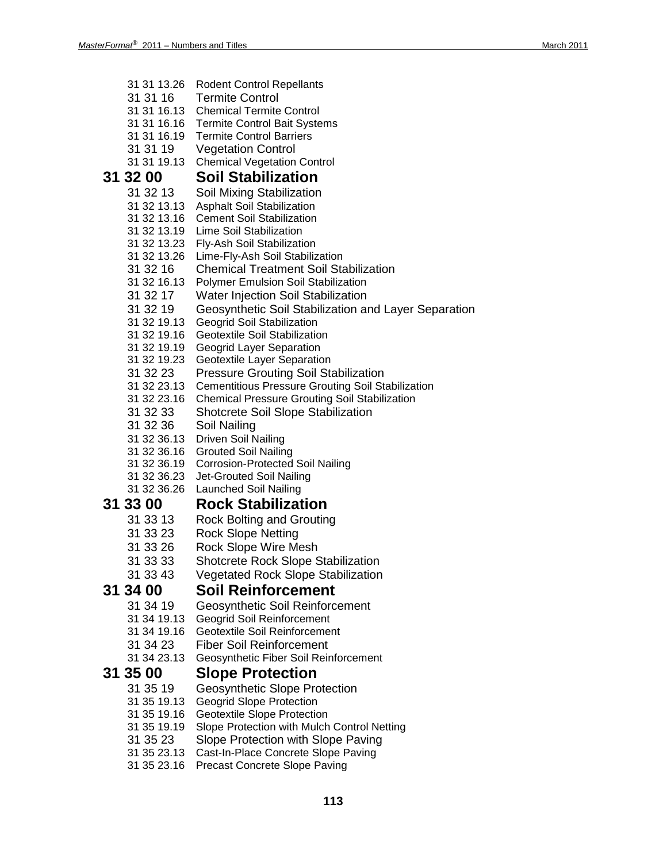- 31 31 13.26 Rodent Control Repellants 31 31 16 Termite Control 31 31 16.13 Chemical Termite Control 31 31 16.16 Termite Control Bait Systems 31 31 16.19 Termite Control Barriers 31 31 19 Vegetation Control 31 31 19.13 Chemical Vegetation Control **31 32 00 Soil Stabilization** Soil Mixing Stabilization 31 32 13.13 Asphalt Soil Stabilization 31 32 13.16 Cement Soil Stabilization 31 32 13.19 Lime Soil Stabilization 31 32 13.23 Fly-Ash Soil Stabilization 31 32 13.26 Lime-Fly-Ash Soil Stabilization 31 32 16 Chemical Treatment Soil Stabilization 31 32 16.13 Polymer Emulsion Soil Stabilization 31 32 17 Water Injection Soil Stabilization 31 32 19 Geosynthetic Soil Stabilization and Layer Separation 31 32 19.13 Geogrid Soil Stabilization 31 32 19.16 Geotextile Soil Stabilization 31 32 19.19 Geogrid Layer Separation 31 32 19.23 Geotextile Layer Separation 31 32 23 Pressure Grouting Soil Stabilization 31 32 23.13 Cementitious Pressure Grouting Soil Stabilization 31 32 23.16 Chemical Pressure Grouting Soil Stabilization 31 32 33 Shotcrete Soil Slope Stabilization 31 32 36 Soil Nailing 31 32 36.13 Driven Soil Nailing 31 32 36.16 Grouted Soil Nailing 31 32 36.19 Corrosion-Protected Soil Nailing Jet-Grouted Soil Nailing 31 32 36.26 Launched Soil Nailing **31 33 00 Rock Stabilization** 31 33 13 Rock Bolting and Grouting 31 33 23 Rock Slope Netting 31 33 26 Rock Slope Wire Mesh 31 33 33 Shotcrete Rock Slope Stabilization 31 33 43 Vegetated Rock Slope Stabilization **31 34 00 Soil Reinforcement** Geosynthetic Soil Reinforcement 31 34 19.13 Geogrid Soil Reinforcement 31 34 19.16 Geotextile Soil Reinforcement 31 34 23 Fiber Soil Reinforcement 31 34 23.13 Geosynthetic Fiber Soil Reinforcement **31 35 00 Slope Protection** 31 35 19 Geosynthetic Slope Protection 31 35 19.13 Geogrid Slope Protection 31 35 19.16 Geotextile Slope Protection 31 35 19.19 Slope Protection with Mulch Control Netting 31 35 23 Slope Protection with Slope Paving 31 35 23.13 Cast-In-Place Concrete Slope Paving
	- 31 35 23.16 Precast Concrete Slope Paving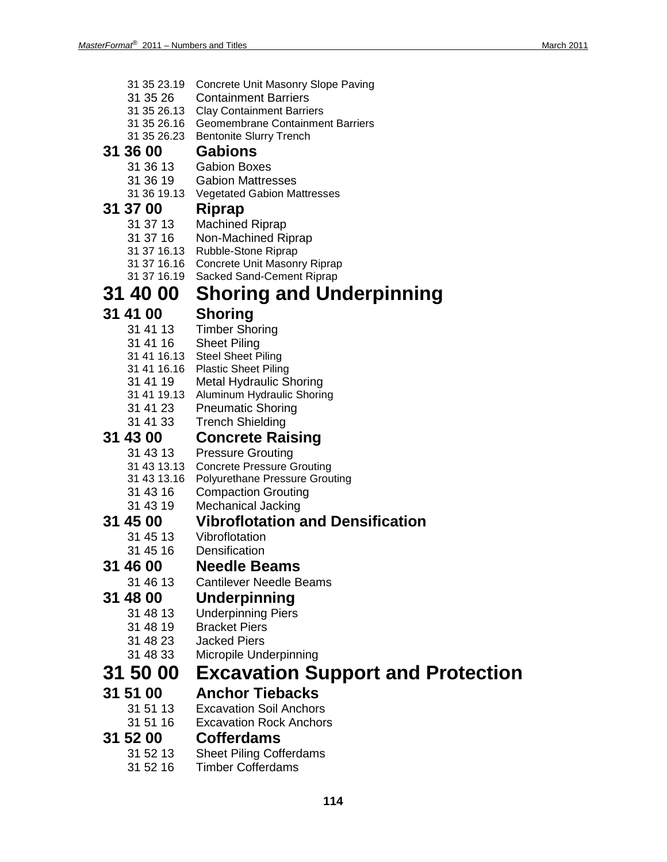| 31 35 23.19             | Concrete Unit Masonry Slope Paving                            |
|-------------------------|---------------------------------------------------------------|
| 31 35 26                | <b>Containment Barriers</b>                                   |
| 31 35 26.13             | <b>Clay Containment Barriers</b>                              |
| 31 35 26.23             | 31 35 26.16 Geomembrane Containment Barriers                  |
| 31 36 00                | <b>Bentonite Slurry Trench</b><br><b>Gabions</b>              |
|                         |                                                               |
| 31 36 13<br>31 36 19    | <b>Gabion Boxes</b><br><b>Gabion Mattresses</b>               |
| 31 36 19.13             | <b>Vegetated Gabion Mattresses</b>                            |
| 31 37 00                | Riprap                                                        |
| 31 37 13                | <b>Machined Riprap</b>                                        |
| 31 37 16                | Non-Machined Riprap                                           |
|                         | 31 37 16.13 Rubble-Stone Riprap                               |
|                         | 31 37 16.16 Concrete Unit Masonry Riprap                      |
| 31 37 16.19             | Sacked Sand-Cement Riprap                                     |
| 31 40 00                | <b>Shoring and Underpinning</b>                               |
| 31 41 00                | <b>Shoring</b>                                                |
| 31 41 13                | <b>Timber Shoring</b>                                         |
| 31 41 16                | <b>Sheet Piling</b>                                           |
|                         | 31 41 16.13 Steel Sheet Piling                                |
| 31 41 16.16<br>31 41 19 | <b>Plastic Sheet Piling</b><br><b>Metal Hydraulic Shoring</b> |
| 31 41 19.13             | Aluminum Hydraulic Shoring                                    |
| 31 41 23                | <b>Pneumatic Shoring</b>                                      |
| 31 41 33                | <b>Trench Shielding</b>                                       |
| 31 43 00                | <b>Concrete Raising</b>                                       |
| 31 43 13                | <b>Pressure Grouting</b>                                      |
| 31 43 13.13             | <b>Concrete Pressure Grouting</b>                             |
| 31 43 13.16             | <b>Polyurethane Pressure Grouting</b>                         |
| 31 43 16                | <b>Compaction Grouting</b>                                    |
| 31 43 19                | <b>Mechanical Jacking</b>                                     |
| 31 45 00                | <b>Vibroflotation and Densification</b>                       |
| 31 45 13                | Vibroflotation                                                |
| 31 45 16                | Densification                                                 |
| 31 46 00                | <b>Needle Beams</b>                                           |
| 31 46 13                | <b>Cantilever Needle Beams</b>                                |
| 31 48 00<br>31 48 13    | <b>Underpinning</b>                                           |
| 31 48 19                | <b>Underpinning Piers</b><br><b>Bracket Piers</b>             |
| 31 48 23                | <b>Jacked Piers</b>                                           |
| 31 48 33                | Micropile Underpinning                                        |
| 31 50 00                | <b>Excavation Support and Protection</b>                      |
| 31 51 00                | <b>Anchor Tiebacks</b>                                        |
| 31 51 13                | <b>Excavation Soil Anchors</b>                                |
| 31 51 16                | <b>Excavation Rock Anchors</b>                                |
| 31 52 00                | <b>Cofferdams</b>                                             |
| 31 52 13                | <b>Sheet Piling Cofferdams</b>                                |
|                         |                                                               |

31 52 16 Timber Cofferdams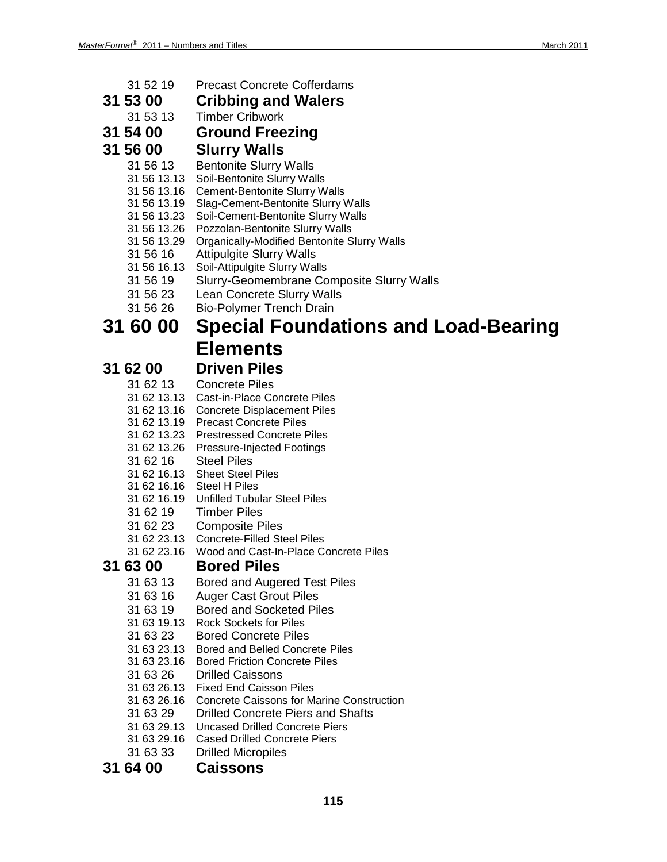- 31 52 19 Precast Concrete Cofferdams
- **31 53 00 Cribbing and Walers**
	- **Timber Cribwork**
- **31 54 00 Ground Freezing**
- **31 56 00 Slurry Walls**
	- 31 56 13 Bentonite Slurry Walls
	- 31 56 13.13 Soil-Bentonite Slurry Walls
	- 31 56 13.16 Cement-Bentonite Slurry Walls
	- 31 56 13.19 Slag-Cement-Bentonite Slurry Walls
	- 31 56 13.23 Soil-Cement-Bentonite Slurry Walls
	- 31 56 13.26 Pozzolan-Bentonite Slurry Walls
	- 31 56 13.29 Organically-Modified Bentonite Slurry Walls
	- 31 56 16 Attipulgite Slurry Walls
	- 31 56 16.13 Soil-Attipulgite Slurry Walls
	- 31 56 19 Slurry-Geomembrane Composite Slurry Walls
	- 31 56 23 Lean Concrete Slurry Walls
	- 31 56 26 Bio-Polymer Trench Drain

## **31 60 00 Special Foundations and Load-Bearing Elements**

# **31 62 00 Driven Piles**

- **Concrete Piles**
- 31 62 13.13 Cast-in-Place Concrete Piles
- 31 62 13.16 Concrete Displacement Piles
- 31 62 13.19 Precast Concrete Piles
- 31 62 13.23 Prestressed Concrete Piles
- 31 62 13.26 Pressure-Injected Footings
- 31 62 16 Steel Piles
- 31 62 16.13 Sheet Steel Piles
- 31 62 16.16 Steel H Piles
- 31 62 16.19 Unfilled Tubular Steel Piles
- 31 62 19 Timber Piles
- 31 62 23 Composite Piles
- 31 62 23.13 Concrete-Filled Steel Piles
- 31 62 23.16 Wood and Cast-In-Place Concrete Piles

# **31 63 00 Bored Piles**

- Bored and Augered Test Piles
- 31 63 16 Auger Cast Grout Piles
- 31 63 19 Bored and Socketed Piles
- 31 63 19.13 Rock Sockets for Piles
- 31 63 23 Bored Concrete Piles
- 31 63 23.13 Bored and Belled Concrete Piles
- 31 63 23.16 Bored Friction Concrete Piles
- 31 63 26 Drilled Caissons
- 31 63 26.13 Fixed End Caisson Piles
- 31 63 26.16 Concrete Caissons for Marine Construction
- 31 63 29 Drilled Concrete Piers and Shafts
- 31 63 29.13 Uncased Drilled Concrete Piers
- 31 63 29.16 Cased Drilled Concrete Piers
- 31 63 33 Drilled Micropiles

### **31 64 00 Caissons**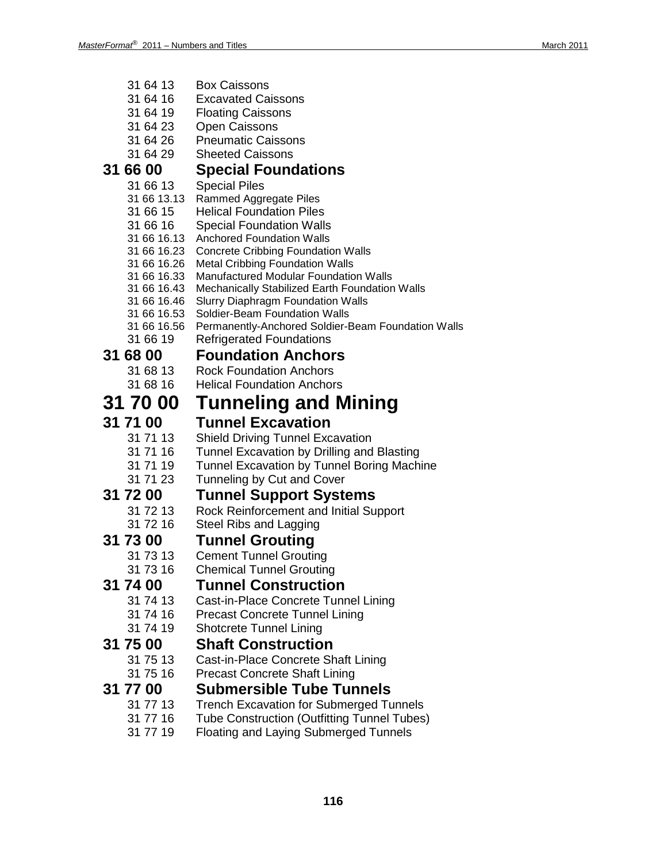| 31 64 13                   | <b>Box Caissons</b>                                                                             |
|----------------------------|-------------------------------------------------------------------------------------------------|
| 31 64 16                   | <b>Excavated Caissons</b>                                                                       |
| 31 64 19                   | <b>Floating Caissons</b>                                                                        |
| 31 64 23                   | <b>Open Caissons</b>                                                                            |
| 31 64 26                   | <b>Pneumatic Caissons</b>                                                                       |
| 31 64 29                   | <b>Sheeted Caissons</b>                                                                         |
| 31 66 00                   | <b>Special Foundations</b>                                                                      |
| 31 66 13                   | <b>Special Piles</b>                                                                            |
| 31 66 13.13                | Rammed Aggregate Piles                                                                          |
| 31 66 15                   | <b>Helical Foundation Piles</b>                                                                 |
| 31 66 16                   | <b>Special Foundation Walls</b>                                                                 |
| 31 66 16.13                | <b>Anchored Foundation Walls</b>                                                                |
| 31 66 16.23                | <b>Concrete Cribbing Foundation Walls</b>                                                       |
| 31 66 16.26                | <b>Metal Cribbing Foundation Walls</b>                                                          |
| 31 66 16.33                | <b>Manufactured Modular Foundation Walls</b>                                                    |
| 31 66 16.43                | Mechanically Stabilized Earth Foundation Walls                                                  |
| 31 66 16.46                | <b>Slurry Diaphragm Foundation Walls</b>                                                        |
| 31 66 16.53<br>31 66 16.56 | Soldier-Beam Foundation Walls                                                                   |
| 31 66 19                   | Permanently-Anchored Soldier-Beam Foundation Walls<br><b>Refrigerated Foundations</b>           |
|                            |                                                                                                 |
| 31 68 00                   | <b>Foundation Anchors</b>                                                                       |
| 31 68 13                   | <b>Rock Foundation Anchors</b>                                                                  |
| 31 68 16                   | <b>Helical Foundation Anchors</b>                                                               |
| <b>31 70 00</b>            | <b>Tunneling and Mining</b>                                                                     |
|                            |                                                                                                 |
| 31 71 00                   | <b>Tunnel Excavation</b>                                                                        |
| 31 71 13                   |                                                                                                 |
| 31 71 16                   | <b>Shield Driving Tunnel Excavation</b>                                                         |
| 31 71 19                   | Tunnel Excavation by Drilling and Blasting<br><b>Tunnel Excavation by Tunnel Boring Machine</b> |
| 31 71 23                   | Tunneling by Cut and Cover                                                                      |
|                            |                                                                                                 |
| 31 72 00                   | <b>Tunnel Support Systems</b>                                                                   |
| 31 72 13                   | Rock Reinforcement and Initial Support                                                          |
| 31 72 16                   | <b>Steel Ribs and Lagging</b>                                                                   |
| 31 73 00                   | <b>Tunnel Grouting</b>                                                                          |
| 31 73 13                   | <b>Cement Tunnel Grouting</b>                                                                   |
| 31 73 16<br>31 74 00       | <b>Chemical Tunnel Grouting</b><br><b>Tunnel Construction</b>                                   |
| 31 74 13                   |                                                                                                 |
| 31 74 16                   | Cast-in-Place Concrete Tunnel Lining<br><b>Precast Concrete Tunnel Lining</b>                   |
| 31 74 19                   |                                                                                                 |
|                            | <b>Shotcrete Tunnel Lining</b>                                                                  |
| 31 75 00                   | <b>Shaft Construction</b>                                                                       |
| 31 75 13                   | Cast-in-Place Concrete Shaft Lining                                                             |
| 31 75 16                   | <b>Precast Concrete Shaft Lining</b>                                                            |
| 31 77 00                   | <b>Submersible Tube Tunnels</b>                                                                 |
| 31 77 13                   | <b>Trench Excavation for Submerged Tunnels</b>                                                  |
| 31 77 16<br>31 77 19       | Tube Construction (Outfitting Tunnel Tubes)<br>Floating and Laying Submerged Tunnels            |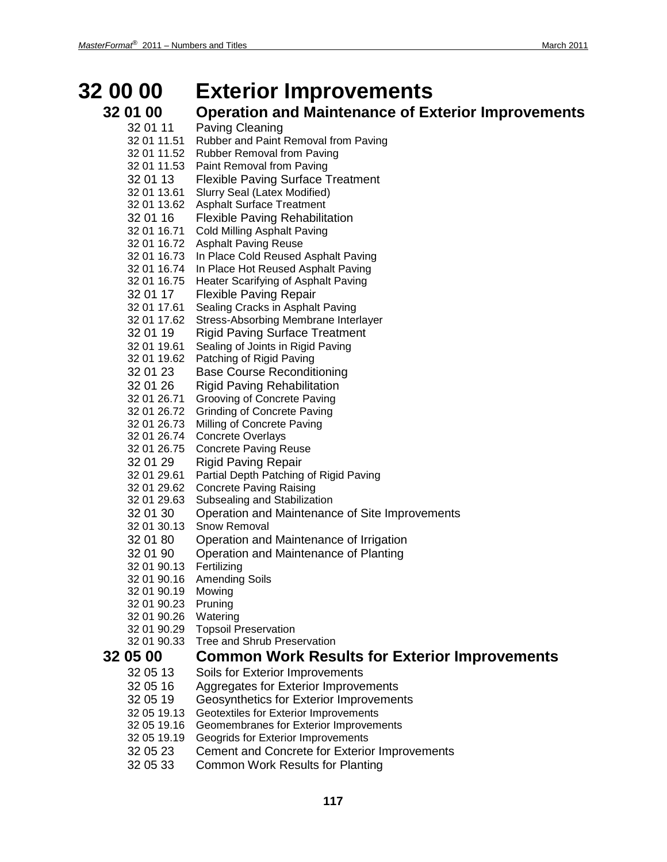## **32 00 00 Exterior Improvements**

# **32 01 00 •• Operation and Maintenance of Exterior Improvements**<br>32 01 11 • Paving Cleaning

- Paving Cleaning 32 01 11.51 Rubber and Paint Removal from Paving 32 01 11.52 Rubber Removal from Paving 32 01 11.53 Paint Removal from Paving 32 01 13 Flexible Paving Surface Treatment 32 01 13.61 Slurry Seal (Latex Modified) 32 01 13.62 Asphalt Surface Treatment 32 01 16 Flexible Paving Rehabilitation 32 01 16.71 Cold Milling Asphalt Paving 32 01 16.72 Asphalt Paving Reuse 32 01 16.73 In Place Cold Reused Asphalt Paving 32 01 16.74 In Place Hot Reused Asphalt Paving 32 01 16.75 Heater Scarifying of Asphalt Paving 32 01 17 Flexible Paving Repair 32 01 17.61 Sealing Cracks in Asphalt Paving 32 01 17.62 Stress-Absorbing Membrane Interlayer 32 01 19 Rigid Paving Surface Treatment 32 01 19.61 Sealing of Joints in Rigid Paving 32 01 19.62 Patching of Rigid Paving
- 32 01 23 Base Course Reconditioning
- 32 01 26 Rigid Paving Rehabilitation
- 32 01 26.71 Grooving of Concrete Paving
- 32 01 26.72 Grinding of Concrete Paving
- 32 01 26.73 Milling of Concrete Paving
- 32 01 26.74 Concrete Overlays
- 32 01 26.75 Concrete Paving Reuse
- 32 01 29 Rigid Paving Repair
- 32 01 29.61 Partial Depth Patching of Rigid Paving
- 32 01 29.62 Concrete Paving Raising
- 32 01 29.63 Subsealing and Stabilization
- 32 01 30 Operation and Maintenance of Site Improvements
- 32 01 30.13 Snow Removal
- 32 01 80 Operation and Maintenance of Irrigation
- 32 01 90 Operation and Maintenance of Planting
- 32 01 90.13 Fertilizing
- 32 01 90.16 Amending Soils
- 32 01 90.19 Mowing
- 32 01 90.23 Pruning
- 32 01 90.26 Watering
- 32 01 90.29 Topsoil Preservation
- 32 01 90.33 Tree and Shrub Preservation

### **32 05 00 Common Work Results for Exterior Improvements**

- 32 05 13 Soils for Exterior Improvements
- 32 05 16 Aggregates for Exterior Improvements<br>32 05 19 Geosynthetics for Exterior Improvemer
- Geosynthetics for Exterior Improvements
- 32 05 19.13 Geotextiles for Exterior Improvements
- 32 05 19.16 Geomembranes for Exterior Improvements
- 32 05 19.19 Geogrids for Exterior Improvements
- 32 05 23 Cement and Concrete for Exterior Improvements
- 32 05 33 Common Work Results for Planting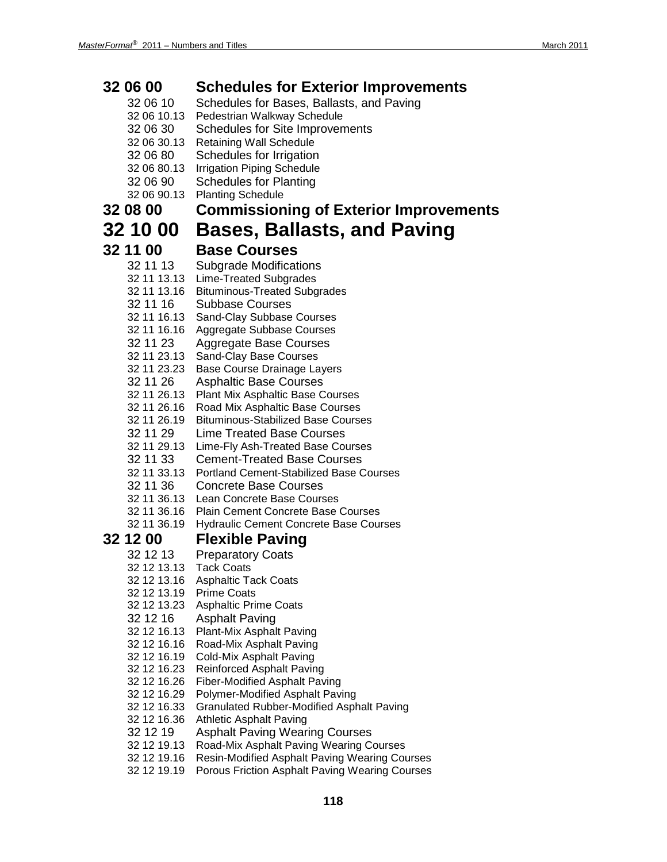| 32 06 00<br>32 06 10<br>32 06 10.13 | <b>Schedules for Exterior Improvements</b><br>Schedules for Bases, Ballasts, and Paving<br>Pedestrian Walkway Schedule |
|-------------------------------------|------------------------------------------------------------------------------------------------------------------------|
| 32 06 30                            | Schedules for Site Improvements                                                                                        |
| 32 06 30.13<br>32 06 80             | <b>Retaining Wall Schedule</b><br>Schedules for Irrigation                                                             |
| 32 06 80.13                         | <b>Irrigation Piping Schedule</b>                                                                                      |
| 32 06 90                            | <b>Schedules for Planting</b>                                                                                          |
| 32 06 90.13                         | <b>Planting Schedule</b>                                                                                               |
| 32 08 00                            | <b>Commissioning of Exterior Improvements</b>                                                                          |
| <b>32 10 00</b>                     | <b>Bases, Ballasts, and Paving</b>                                                                                     |
| 32 11 00                            | <b>Base Courses</b>                                                                                                    |
| 32 11 13                            | Subgrade Modifications                                                                                                 |
| 32 11 13.13                         | Lime-Treated Subgrades                                                                                                 |
| 32 11 13.16                         | <b>Bituminous-Treated Subgrades</b>                                                                                    |
| 32 11 16                            | <b>Subbase Courses</b>                                                                                                 |
| 32 11 16.13                         | Sand-Clay Subbase Courses                                                                                              |
| 32 11 16.16<br>32 11 23             | Aggregate Subbase Courses<br><b>Aggregate Base Courses</b>                                                             |
| 32 11 23.13                         | Sand-Clay Base Courses                                                                                                 |
| 32 11 23.23                         | <b>Base Course Drainage Layers</b>                                                                                     |
| 32 11 26                            | <b>Asphaltic Base Courses</b>                                                                                          |
| 32 11 26.13                         | <b>Plant Mix Asphaltic Base Courses</b>                                                                                |
| 32 11 26.16                         | Road Mix Asphaltic Base Courses                                                                                        |
| 32 11 26.19                         | <b>Bituminous-Stabilized Base Courses</b>                                                                              |
| 32 11 29                            | <b>Lime Treated Base Courses</b>                                                                                       |
| 32 11 29.13                         | Lime-Fly Ash-Treated Base Courses                                                                                      |
| 32 11 33                            | <b>Cement-Treated Base Courses</b>                                                                                     |
| 32 11 33.13<br>32 11 36             | <b>Portland Cement-Stabilized Base Courses</b>                                                                         |
|                                     | <b>Concrete Base Courses</b><br>32 11 36.13 Lean Concrete Base Courses                                                 |
|                                     | 32 11 36.16 Plain Cement Concrete Base Courses                                                                         |
| 32 11 36.19                         | <b>Hydraulic Cement Concrete Base Courses</b>                                                                          |
| 32 12 00                            | <b>Flexible Paving</b>                                                                                                 |
| 32 12 13                            | <b>Preparatory Coats</b>                                                                                               |
| 32 12 13.13                         | <b>Tack Coats</b>                                                                                                      |
| 32 12 13.16                         | <b>Asphaltic Tack Coats</b>                                                                                            |
| 32 12 13.19                         | <b>Prime Coats</b>                                                                                                     |
| 32 12 13.23<br>32 12 16             | <b>Asphaltic Prime Coats</b>                                                                                           |
| 32 12 16.13                         | <b>Asphalt Paving</b><br>Plant-Mix Asphalt Paving                                                                      |
| 32 12 16.16                         | Road-Mix Asphalt Paving                                                                                                |
| 32 12 16.19                         | Cold-Mix Asphalt Paving                                                                                                |
| 32 12 16.23                         | <b>Reinforced Asphalt Paving</b>                                                                                       |
| 32 12 16.26                         | <b>Fiber-Modified Asphalt Paving</b>                                                                                   |
| 32 12 16.29                         | Polymer-Modified Asphalt Paving                                                                                        |
| 32 12 16.33                         | <b>Granulated Rubber-Modified Asphalt Paving</b>                                                                       |
| 32 12 16.36<br>32 12 19             | <b>Athletic Asphalt Paving</b><br><b>Asphalt Paving Wearing Courses</b>                                                |
| 32 12 19.13                         | Road-Mix Asphalt Paving Wearing Courses                                                                                |
| 32 12 19.16                         | <b>Resin-Modified Asphalt Paving Wearing Courses</b>                                                                   |
| 32 12 19.19                         | Porous Friction Asphalt Paving Wearing Courses                                                                         |
|                                     |                                                                                                                        |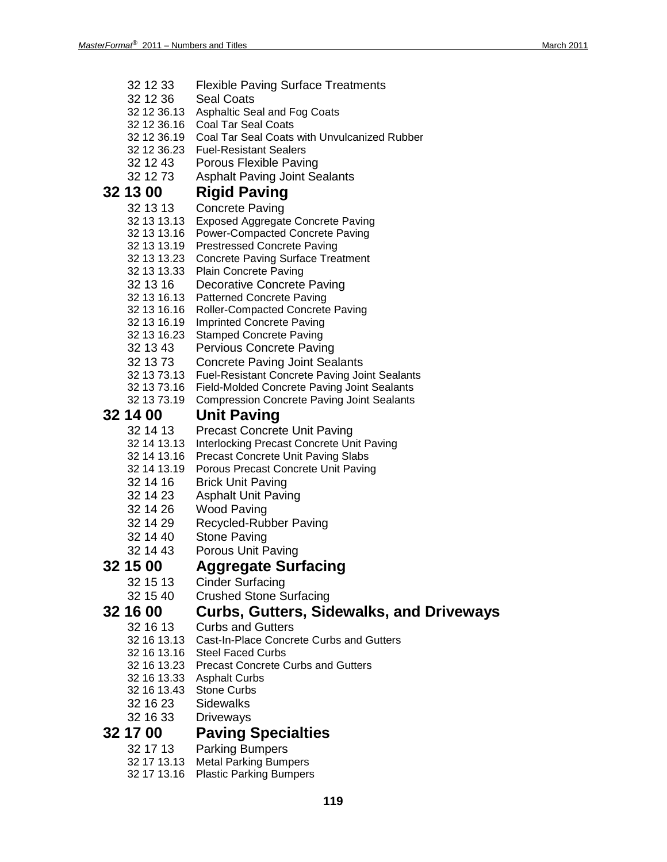- 32 12 33 Flexible Paving Surface Treatments
- 32 12 36 Seal Coats
- 32 12 36.13 Asphaltic Seal and Fog Coats
- 32 12 36.16 Coal Tar Seal Coats
- 32 12 36.19 Coal Tar Seal Coats with Unvulcanized Rubber
- 32 12 36.23 Fuel-Resistant Sealers
- 32 12 43 Porous Flexible Paving
- 32 12 73 Asphalt Paving Joint Sealants

### **32 13 00 Rigid Paving**

- 32 13 13 Concrete Paving
- 32 13 13.13 Exposed Aggregate Concrete Paving
- 32 13 13.16 Power-Compacted Concrete Paving
- 32 13 13.19 Prestressed Concrete Paving
- 32 13 13.23 Concrete Paving Surface Treatment
- 32 13 13.33 Plain Concrete Paving
- 32 13 16 Decorative Concrete Paving
- 32 13 16.13 Patterned Concrete Paving
- 32 13 16.16 Roller-Compacted Concrete Paving
- 32 13 16.19 Imprinted Concrete Paving
- 32 13 16.23 Stamped Concrete Paving
- 32 13 43 Pervious Concrete Paving
- 32 13 73 Concrete Paving Joint Sealants
- 32 13 73.13 Fuel-Resistant Concrete Paving Joint Sealants
- 32 13 73.16 Field-Molded Concrete Paving Joint Sealants
- 32 13 73.19 Compression Concrete Paving Joint Sealants

## **32 14 00 Unit Paving**

- Precast Concrete Unit Paving
- 32 14 13.13 Interlocking Precast Concrete Unit Paving
- 32 14 13.16 Precast Concrete Unit Paving Slabs
- 32 14 13.19 Porous Precast Concrete Unit Paving
- 32 14 16 Brick Unit Paving
- 32 14 23 Asphalt Unit Paving
- 32 14 26 Wood Paving
- 32 14 29 Recycled-Rubber Paving
- 32 14 40 Stone Paving
- 32 14 43 Porous Unit Paving

### **32 15 00 Aggregate Surfacing**

- 32 15 13 Cinder Surfacing
- 32 15 40 Crushed Stone Surfacing

### **32 16 00 Curbs, Gutters, Sidewalks, and Driveways**

- 32 16 13 Curbs and Gutters
- 32 16 13.13 Cast-In-Place Concrete Curbs and Gutters
- 32 16 13.16 Steel Faced Curbs
- 32 16 13.23 Precast Concrete Curbs and Gutters
- 32 16 13.33 Asphalt Curbs
- 32 16 13.43 Stone Curbs
- 32 16 23 Sidewalks
- 32 16 33 Driveways

### **32 17 00 Paving Specialties**

- 32 17 13 Parking Bumpers
- 32 17 13.13 Metal Parking Bumpers
- 32 17 13.16 Plastic Parking Bumpers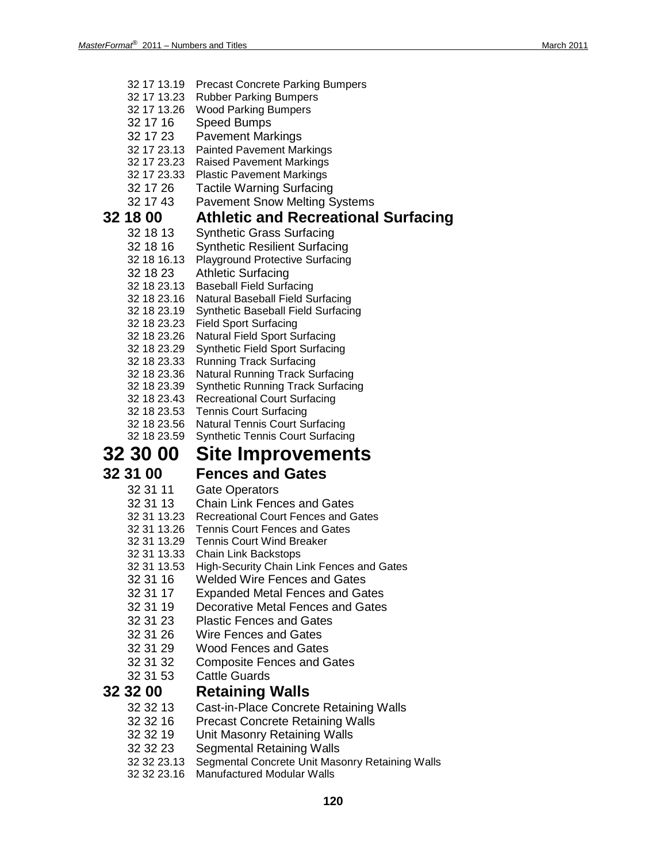- 32 17 13.19 Precast Concrete Parking Bumpers
- 32 17 13.23 Rubber Parking Bumpers
- 32 17 13.26 Wood Parking Bumpers
- 32 17 16 Speed Bumps
- 32 17 23 Pavement Markings
- 32 17 23.13 Painted Pavement Markings
- 32 17 23.23 Raised Pavement Markings
- 32 17 23.33 Plastic Pavement Markings
- 32 17 26 Tactile Warning Surfacing
- 32 17 43 Pavement Snow Melting Systems

### **32 18 00 Athletic and Recreational Surfacing**

- 32 18 13 Synthetic Grass Surfacing
- 32 18 16 Synthetic Resilient Surfacing
- 32 18 16.13 Playground Protective Surfacing
- 32 18 23 Athletic Surfacing
- 32 18 23.13 Baseball Field Surfacing
- 32 18 23.16 Natural Baseball Field Surfacing
- 32 18 23.19 Synthetic Baseball Field Surfacing
- 32 18 23.23 Field Sport Surfacing
- 32 18 23.26 Natural Field Sport Surfacing
- 32 18 23.29 Synthetic Field Sport Surfacing
- 32 18 23.33 Running Track Surfacing
- 32 18 23.36 Natural Running Track Surfacing
- 32 18 23.39 Synthetic Running Track Surfacing
- 32 18 23.43 Recreational Court Surfacing
- 32 18 23.53 Tennis Court Surfacing
- 32 18 23.56 Natural Tennis Court Surfacing
- 32 18 23.59 Synthetic Tennis Court Surfacing

## **32 30 00 Site Improvements**

## **32 31 00 Fences and Gates**<br>32 31 11 Gate Operators

- **Gate Operators**
- 32 31 13 Chain Link Fences and Gates
- 32 31 13.23 Recreational Court Fences and Gates
- 32 31 13.26 Tennis Court Fences and Gates
- 32 31 13.29 Tennis Court Wind Breaker
- 32 31 13.33 Chain Link Backstops
- 32 31 13.53 High-Security Chain Link Fences and Gates
- 32 31 16 Welded Wire Fences and Gates
- 32 31 17 Expanded Metal Fences and Gates
- 32 31 19 Decorative Metal Fences and Gates
- 32 31 23 Plastic Fences and Gates
- 32 31 26 Wire Fences and Gates
- 32 31 29 Wood Fences and Gates
- 32 31 32 Composite Fences and Gates<br>32 31 53 Cattle Guards
- **Cattle Guards**

### **32 32 00 Retaining Walls**

- 32 32 13 Cast-in-Place Concrete Retaining Walls
- 32 32 16 Precast Concrete Retaining Walls<br>32 32 19 Unit Masonry Retaining Walls
- **Unit Masonry Retaining Walls**
- 32 32 23 Segmental Retaining Walls
- 32 32 23.13 Segmental Concrete Unit Masonry Retaining Walls
- 32 32 23.16 Manufactured Modular Walls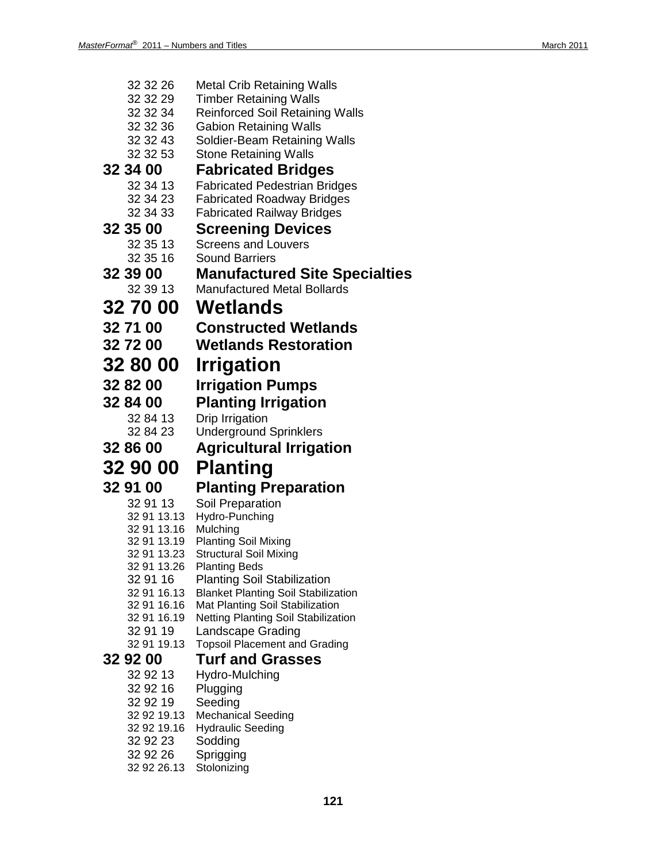| 32 32 26                   | <b>Metal Crib Retaining Walls</b>                                      |
|----------------------------|------------------------------------------------------------------------|
| 32 32 29                   | <b>Timber Retaining Walls</b>                                          |
| 32 32 34                   | <b>Reinforced Soil Retaining Walls</b>                                 |
| 32 32 36                   | <b>Gabion Retaining Walls</b>                                          |
| 32 32 43                   | Soldier-Beam Retaining Walls                                           |
| 32 32 53                   | <b>Stone Retaining Walls</b>                                           |
| 32 34 00                   | <b>Fabricated Bridges</b>                                              |
| 32 34 13<br>32 34 23       | <b>Fabricated Pedestrian Bridges</b>                                   |
| 32 34 33                   | <b>Fabricated Roadway Bridges</b><br><b>Fabricated Railway Bridges</b> |
| 32 35 00                   | <b>Screening Devices</b>                                               |
| 32 35 13                   | <b>Screens and Louvers</b>                                             |
| 32 35 16                   | <b>Sound Barriers</b>                                                  |
| 32 39 00                   | <b>Manufactured Site Specialties</b>                                   |
| 32 39 13                   | <b>Manufactured Metal Bollards</b>                                     |
| <b>32 70 00</b>            | Wetlands                                                               |
|                            |                                                                        |
| 32 71 00                   | <b>Constructed Wetlands</b>                                            |
| 32 72 00                   | <b>Wetlands Restoration</b>                                            |
| 32 80 00                   | Irrigation                                                             |
| 32 82 00                   | <b>Irrigation Pumps</b>                                                |
| 32 84 00                   | <b>Planting Irrigation</b>                                             |
| 32 84 13                   | Drip Irrigation                                                        |
| 32 84 23                   | <b>Underground Sprinklers</b>                                          |
| 32 86 00                   | <b>Agricultural Irrigation</b>                                         |
| 32 90 00                   | <b>Planting</b>                                                        |
| 32 91 00                   | <b>Planting Preparation</b>                                            |
| 32 91 13                   | Soil Preparation                                                       |
| 32 91 13.13                | Hydro-Punching                                                         |
| 32 91 13.16                | Mulching                                                               |
| 32 91 13.19<br>32 91 13.23 | <b>Planting Soil Mixing</b><br><b>Structural Soil Mixing</b>           |
| 32 91 13.26                | <b>Planting Beds</b>                                                   |
| 32 91 16                   | <b>Planting Soil Stabilization</b>                                     |
| 32 91 16.13                | <b>Blanket Planting Soil Stabilization</b>                             |
| 32 91 16.16<br>32 91 16.19 | Mat Planting Soil Stabilization<br>Netting Planting Soil Stabilization |
| 32 91 19                   | Landscape Grading                                                      |
| 32 91 19.13                | <b>Topsoil Placement and Grading</b>                                   |
| 32 92 00                   | <b>Turf and Grasses</b>                                                |
| 32 92 13                   | Hydro-Mulching                                                         |
| 32 92 16                   | Plugging                                                               |
| 32 92 19                   | Seeding                                                                |
| 32 92 19.13                | <b>Mechanical Seeding</b>                                              |
| 32 92 19.16<br>32 92 23    | <b>Hydraulic Seeding</b><br>Sodding                                    |
| 32 92 26                   | Sprigging                                                              |
| 32 92 26.13                | Stolonizing                                                            |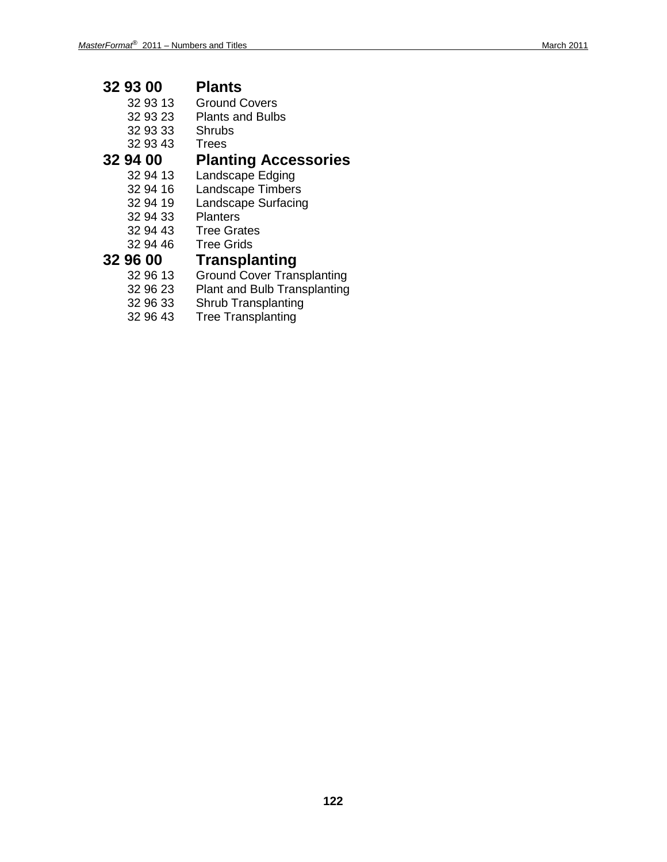# **32 93 00 Plants**

- 32 93 13 Ground Covers<br>32 93 23 Plants and Bulb
	- Plants and Bulbs
- 32 93 33 Shrubs
- 32 93 43 Trees

# **32 94 00 Planting Accessories**

- 32 94 13 Landscape Edging<br>32 94 16 Landscape Timbers
	- Landscape Timbers
- 32 94 19 Landscape Surfacing<br>32 94 33 Planters
- 32 94 33
	-
- 32 94 43 Tree Grates **Tree Grids**

- **32 96 00 Transplanting** 32 96 13 Ground Cover Transplanting<br>32 96 23 Plant and Bulb Transplanting
	- 32 96 23 Plant and Bulb Transplanting<br>32 96 33 Shrub Transplanting
	- Shrub Transplanting
	- 32 96 43 Tree Transplanting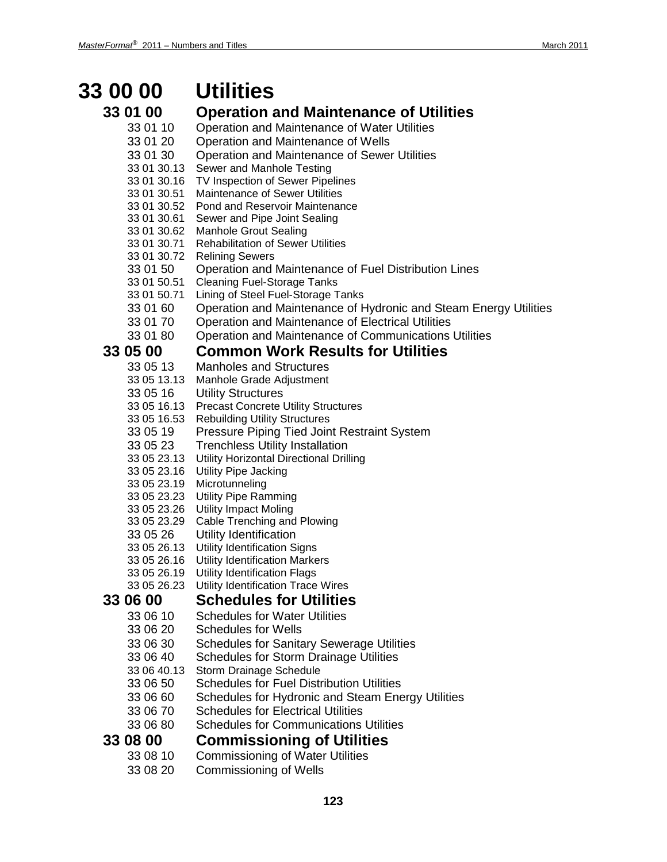# **33 00 00 Utilities**

- 
- **33 01 00 Operation and Maintenance of Utilities** 33 01 10 Operation and Maintenance of Water Utilities 33 01 20 Operation and Maintenance of Wells 33 01 30 Operation and Maintenance of Sewer Utilities<br>33 01 30.13 Sewer and Manhole Testing Sewer and Manhole Testing 33 01 30.16 TV Inspection of Sewer Pipelines 33 01 30.51 Maintenance of Sewer Utilities 33 01 30.52 Pond and Reservoir Maintenance 33 01 30.61 Sewer and Pipe Joint Sealing 33 01 30.62 Manhole Grout Sealing 33 01 30.71 Rehabilitation of Sewer Utilities 33 01 30.72 Relining Sewers 33 01 50 Operation and Maintenance of Fuel Distribution Lines 33 01 50.51 Cleaning Fuel-Storage Tanks 33 01 50.71 Lining of Steel Fuel-Storage Tanks 33 01 60 Operation and Maintenance of Hydronic and Steam Energy Utilities<br>33 01 70 Operation and Maintenance of Electrical Utilities Operation and Maintenance of Electrical Utilities 33 01 80 Operation and Maintenance of Communications Utilities **33 05 00 Common Work Results for Utilities** 33 05 13 Manholes and Structures 33 05 13.13 Manhole Grade Adjustment 33 05 16 Utility Structures 33 05 16.13 Precast Concrete Utility Structures 33 05 16.53 Rebuilding Utility Structures 33 05 19 Pressure Piping Tied Joint Restraint System 33 05 23 Trenchless Utility Installation 33 05 23.13 Utility Horizontal Directional Drilling 33 05 23.16 Utility Pipe Jacking 33 05 23.19 Microtunneling 33 05 23.23 Utility Pipe Ramming **Utility Impact Moling** 33 05 23.29 Cable Trenching and Plowing 33 05 26 Utility Identification 33 05 26.13 Utility Identification Signs 33 05 26.16 Utility Identification Markers 33 05 26.19 Utility Identification Flags 33 05 26.23 Utility Identification Trace Wires **33 06 00 Schedules for Utilities** 33 06 10 Schedules for Water Utilities 33 06 20 Schedules for Wells 33 06 30 Schedules for Sanitary Sewerage Utilities 33 06 40 Schedules for Storm Drainage Utilities
	- 33 06 40.13 Storm Drainage Schedule
	- 33 06 50 Schedules for Fuel Distribution Utilities
	- 33 06 60 Schedules for Hydronic and Steam Energy Utilities
	- 33 06 70 Schedules for Electrical Utilities<br>33 06 80 Schedules for Communications
	- Schedules for Communications Utilities

### **33 08 00 Commissioning of Utilities**

- 33 08 10 Commissioning of Water Utilities
- 33 08 20 Commissioning of Wells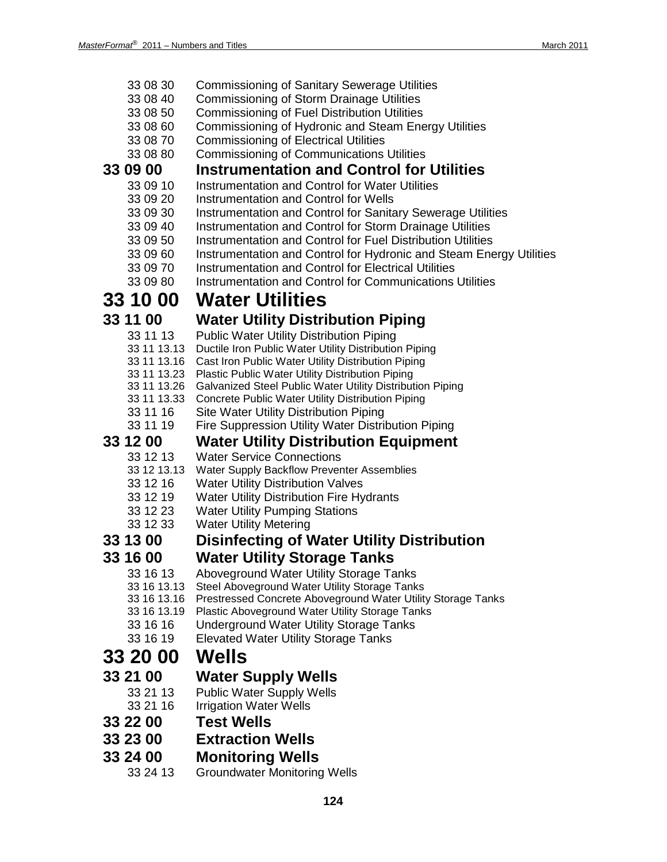| 33 08 30 |  |  |  | <b>Commissioning of Sanitary Sewerage Utilities</b> |
|----------|--|--|--|-----------------------------------------------------|
|          |  |  |  |                                                     |

- 33 08 40 Commissioning of Storm Drainage Utilities
- 33 08 50 Commissioning of Fuel Distribution Utilities
- 33 08 60 Commissioning of Hydronic and Steam Energy Utilities
- 33 08 70 Commissioning of Electrical Utilities
- 33 08 80 Commissioning of Communications Utilities

## **33 09 00 Instrumentation and Control for Utilities**

- Instrumentation and Control for Water Utilities
- 33 09 20 Instrumentation and Control for Wells
- 33 09 30 Instrumentation and Control for Sanitary Sewerage Utilities
- 33 09 40 Instrumentation and Control for Storm Drainage Utilities
- 33 09 50 Instrumentation and Control for Fuel Distribution Utilities
- 33 09 60 Instrumentation and Control for Hydronic and Steam Energy Utilities
- 33 09 70 Instrumentation and Control for Electrical Utilities<br>33 09 80 Instrumentation and Control for Communications
- Instrumentation and Control for Communications Utilities

# **33 10 00 Water Utilities**

## **33 11 00 Water Utility Distribution Piping**

- 33 11 13 Public Water Utility Distribution Piping
- 33 11 13.13 Ductile Iron Public Water Utility Distribution Piping
- 33 11 13.16 Cast Iron Public Water Utility Distribution Piping
- 33 11 13.23 Plastic Public Water Utility Distribution Piping
- 33 11 13.26 Galvanized Steel Public Water Utility Distribution Piping
- 33 11 13.33 Concrete Public Water Utility Distribution Piping
- 33 11 16 Site Water Utility Distribution Piping
- 33 11 19 Fire Suppression Utility Water Distribution Piping

# **33 12 00 Water Utility Distribution Equipment**

- 33 12 13 Water Service Connections<br>33 12 13 13 Water Supply Backflow Prever
- Water Supply Backflow Preventer Assemblies
- 33 12 16 Water Utility Distribution Valves
- 33 12 19 Water Utility Distribution Fire Hydrants
- 33 12 23 Water Utility Pumping Stations
- 33 12 33 Water Utility Metering

### **33 13 00 Disinfecting of Water Utility Distribution**

### **33 16 00 Water Utility Storage Tanks**

- 33 16 13 Aboveground Water Utility Storage Tanks<br>33 16 13.13 Steel Aboveground Water Utility Storage Tank
- 33 16 13.13 Steel Aboveground Water Utility Storage Tanks
	- Prestressed Concrete Aboveground Water Utility Storage Tanks
- 33 16 13.19 Plastic Aboveground Water Utility Storage Tanks
- 33 16 16 Underground Water Utility Storage Tanks
- 33 16 19 Elevated Water Utility Storage Tanks

## **33 20 00 Wells**

## **33 21 00 Water Supply Wells**

- 33 21 13 Public Water Supply Wells
- 33 21 16 Irrigation Water Wells
- **33 22 00 Test Wells**
- **33 23 00 Extraction Wells**
- **33 24 00 Monitoring Wells**
	- **Groundwater Monitoring Wells**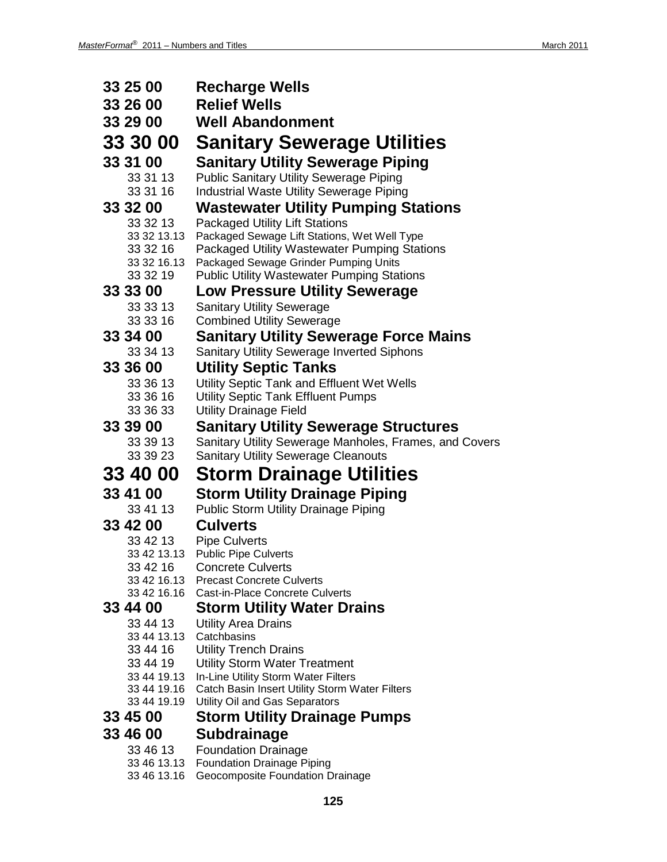| 33 25 00                   | <b>Recharge Wells</b>                                                                      |
|----------------------------|--------------------------------------------------------------------------------------------|
| 33 26 00                   | <b>Relief Wells</b>                                                                        |
| 33 29 00                   | <b>Well Abandonment</b>                                                                    |
| 33 30 00                   | <b>Sanitary Sewerage Utilities</b>                                                         |
| 33 31 00                   | <b>Sanitary Utility Sewerage Piping</b>                                                    |
| 33 31 13                   | <b>Public Sanitary Utility Sewerage Piping</b>                                             |
| 33 31 16                   | Industrial Waste Utility Sewerage Piping                                                   |
| 33 32 00                   | <b>Wastewater Utility Pumping Stations</b>                                                 |
| 33 32 13                   | <b>Packaged Utility Lift Stations</b>                                                      |
| 33 32 13.13                | Packaged Sewage Lift Stations, Wet Well Type                                               |
| 33 32 16                   | Packaged Utility Wastewater Pumping Stations                                               |
| 33 32 16.13<br>33 32 19    | Packaged Sewage Grinder Pumping Units<br><b>Public Utility Wastewater Pumping Stations</b> |
| 33 33 00                   | <b>Low Pressure Utility Sewerage</b>                                                       |
| 33 33 13                   | <b>Sanitary Utility Sewerage</b>                                                           |
| 33 33 16                   | <b>Combined Utility Sewerage</b>                                                           |
| 33 34 00                   | <b>Sanitary Utility Sewerage Force Mains</b>                                               |
| 33 34 13                   | <b>Sanitary Utility Sewerage Inverted Siphons</b>                                          |
| 33 36 00                   | <b>Utility Septic Tanks</b>                                                                |
| 33 36 13                   | Utility Septic Tank and Effluent Wet Wells                                                 |
| 33 36 16                   | <b>Utility Septic Tank Effluent Pumps</b>                                                  |
| 33 36 33                   | <b>Utility Drainage Field</b>                                                              |
| 33 39 00                   | Sanitary Utility Sewerage Structures                                                       |
|                            |                                                                                            |
| 33 39 13                   | Sanitary Utility Sewerage Manholes, Frames, and Covers                                     |
| 33 39 23                   | <b>Sanitary Utility Sewerage Cleanouts</b>                                                 |
| 33 40 00                   | <b>Storm Drainage Utilities</b>                                                            |
| 33 41 00                   | <b>Storm Utility Drainage Piping</b>                                                       |
| 33 41 13                   | <b>Public Storm Utility Drainage Piping</b>                                                |
| 33 42 00                   | <b>Culverts</b>                                                                            |
| 33 42 13                   | <b>Pipe Culverts</b>                                                                       |
| 33 42 13.13                | <b>Public Pipe Culverts</b>                                                                |
| 33 42 16<br>33 42 16.13    | <b>Concrete Culverts</b><br><b>Precast Concrete Culverts</b>                               |
| 33 42 16.16                | <b>Cast-in-Place Concrete Culverts</b>                                                     |
| 33 44 00                   | <b>Storm Utility Water Drains</b>                                                          |
| 33 44 13                   | <b>Utility Area Drains</b>                                                                 |
| 33 44 13.13                | Catchbasins                                                                                |
| 33 44 16                   | <b>Utility Trench Drains</b>                                                               |
| 33 44 19<br>33 44 19.13    | <b>Utility Storm Water Treatment</b><br>In-Line Utility Storm Water Filters                |
| 33 44 19.16                | Catch Basin Insert Utility Storm Water Filters                                             |
| 33 44 19.19                | Utility Oil and Gas Separators                                                             |
| 33 45 00                   | <b>Storm Utility Drainage Pumps</b>                                                        |
| 33 46 00                   | Subdrainage                                                                                |
| 33 46 13                   | <b>Foundation Drainage</b>                                                                 |
| 33 46 13.13<br>33 46 13.16 | <b>Foundation Drainage Piping</b><br>Geocomposite Foundation Drainage                      |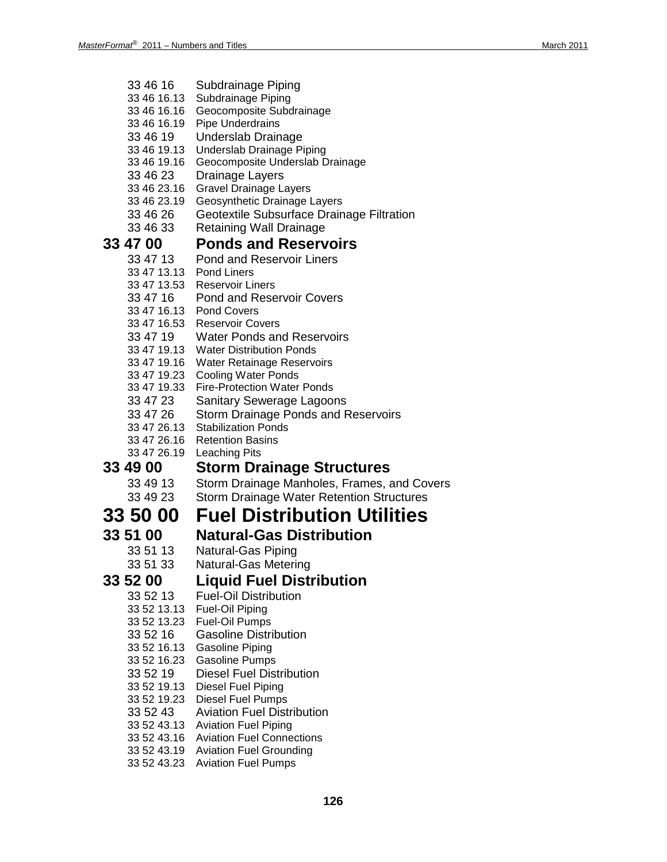| 33 46 16 | Subdrainage Piping |
|----------|--------------------|
|----------|--------------------|

- 33 46 16.13 Subdrainage Piping
- 33 46 16.16 Geocomposite Subdrainage
- 33 46 16.19 Pipe Underdrains
- Underslab Drainage
- 33 46 19.13 Underslab Drainage Piping
- 33 46 19.16 Geocomposite Underslab Drainage
- 33 46 23 Drainage Layers
- 33 46 23.16 Gravel Drainage Layers
- 33 46 23.19 Geosynthetic Drainage Layers
- 33 46 26 Geotextile Subsurface Drainage Filtration
- 33 46 33 Retaining Wall Drainage

### **33 47 00 Ponds and Reservoirs**

- 33 47 13 Pond and Reservoir Liners
- 33 47 13.13 Pond Liners
- 33 47 13.53 Reservoir Liners
- 33 47 16 Pond and Reservoir Covers
- 33 47 16.13 Pond Covers
- 33 47 16.53 Reservoir Covers
- 33 47 19 Water Ponds and Reservoirs
- 33 47 19.13 Water Distribution Ponds
- 33 47 19.16 Water Retainage Reservoirs
- 33 47 19.23 Cooling Water Ponds
- 33 47 19.33 Fire-Protection Water Ponds
- 33 47 23 Sanitary Sewerage Lagoons
- 33 47 26 Storm Drainage Ponds and Reservoirs
- 33 47 26.13 Stabilization Ponds
- 33 47 26.16 Retention Basins
- 33 47 26.19 Leaching Pits

### **33 49 00 Storm Drainage Structures**

- 33 49 13 Storm Drainage Manholes, Frames, and Covers
- 33 49 23 Storm Drainage Water Retention Structures

## **33 50 00 Fuel Distribution Utilities**

- 
- **33 51 00 Natural-Gas Distribution**
	- Natural-Gas Piping
	- 33 51 33 Natural-Gas Metering

### **33 52 00 Liquid Fuel Distribution**

- 33 52 13 Fuel-Oil Distribution
- 33 52 13.13 Fuel-Oil Piping
- 33 52 13.23 Fuel-Oil Pumps
- 33 52 16 Gasoline Distribution
- 33 52 16.13 Gasoline Piping
- 33 52 16.23 Gasoline Pumps
- 33 52 19 Diesel Fuel Distribution
- 33 52 19.13 Diesel Fuel Piping
- 33 52 19.23 Diesel Fuel Pumps
- 33 52 43 Aviation Fuel Distribution
- 33 52 43.13 Aviation Fuel Piping
- 33 52 43.16 Aviation Fuel Connections
- 33 52 43.19 Aviation Fuel Grounding 33 52 43.23 Aviation Fuel Pumps
	-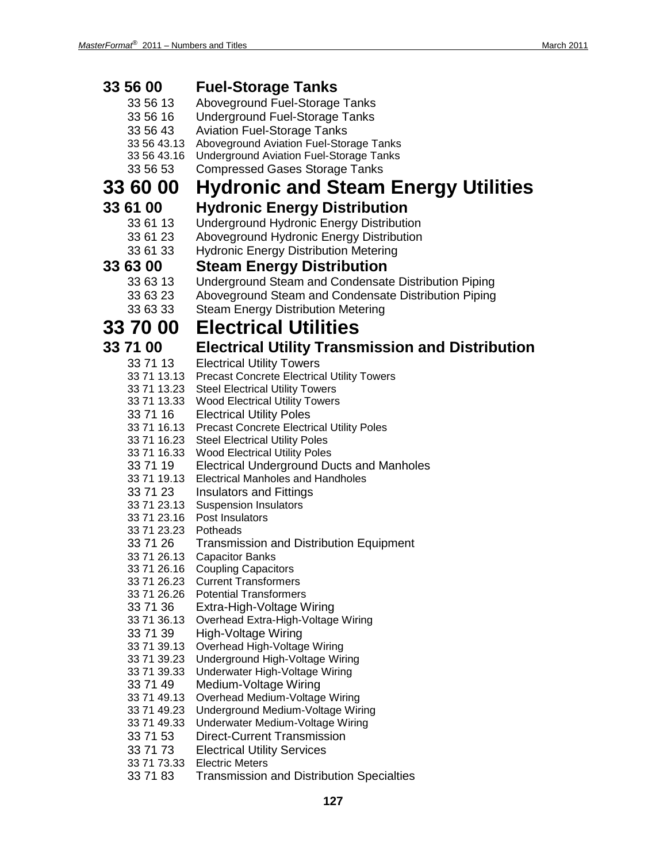| 33 56 00                   | <b>Fuel-Storage Tanks</b>                                                                             |
|----------------------------|-------------------------------------------------------------------------------------------------------|
| 33 56 13                   | Aboveground Fuel-Storage Tanks                                                                        |
| 33 56 16                   | <b>Underground Fuel-Storage Tanks</b>                                                                 |
| 33 56 43                   | <b>Aviation Fuel-Storage Tanks</b>                                                                    |
| 33 56 43.13                | Aboveground Aviation Fuel-Storage Tanks                                                               |
| 33 56 43.16                | <b>Underground Aviation Fuel-Storage Tanks</b>                                                        |
| 33 56 53                   | <b>Compressed Gases Storage Tanks</b>                                                                 |
| <b>33 60 00</b>            | <b>Hydronic and Steam Energy Utilities</b>                                                            |
| 33 61 00                   | <b>Hydronic Energy Distribution</b>                                                                   |
| 33 61 13                   | <b>Underground Hydronic Energy Distribution</b>                                                       |
| 33 61 23                   | Aboveground Hydronic Energy Distribution                                                              |
| 33 61 33                   | <b>Hydronic Energy Distribution Metering</b>                                                          |
| 33 63 00                   | <b>Steam Energy Distribution</b>                                                                      |
| 33 63 13                   | Underground Steam and Condensate Distribution Piping                                                  |
| 33 63 23                   | Aboveground Steam and Condensate Distribution Piping                                                  |
| 33 63 33                   | <b>Steam Energy Distribution Metering</b>                                                             |
| <b>33 70 00</b>            | <b>Electrical Utilities</b>                                                                           |
|                            |                                                                                                       |
| 33 71 00                   | <b>Electrical Utility Transmission and Distribution</b>                                               |
| 33 71 13                   | <b>Electrical Utility Towers</b>                                                                      |
|                            | 33 71 13.13 Precast Concrete Electrical Utility Towers<br>33 71 13.23 Steel Electrical Utility Towers |
|                            | 33 71 13.33 Wood Electrical Utility Towers                                                            |
| 33 71 16                   | <b>Electrical Utility Poles</b>                                                                       |
|                            | 33 71 16.13 Precast Concrete Electrical Utility Poles                                                 |
|                            | 33 71 16.23 Steel Electrical Utility Poles                                                            |
|                            | 33 71 16.33 Wood Electrical Utility Poles                                                             |
| 33 71 19                   | <b>Electrical Underground Ducts and Manholes</b>                                                      |
| 33 71 19.13                | <b>Electrical Manholes and Handholes</b>                                                              |
| 33 71 23                   | <b>Insulators and Fittings</b>                                                                        |
|                            | 33 71 23.13 Suspension Insulators                                                                     |
|                            | 33 71 23.16 Post Insulators<br>33 71 23.23 Potheads                                                   |
| 33 71 26                   | <b>Transmission and Distribution Equipment</b>                                                        |
| 33 71 26.13                | <b>Capacitor Banks</b>                                                                                |
| 33 71 26.16                | Coupling Capacitors                                                                                   |
| 33 71 26.23                | <b>Current Transformers</b>                                                                           |
| 33 71 26.26                | <b>Potential Transformers</b>                                                                         |
| 33 71 36                   | Extra-High-Voltage Wiring                                                                             |
| 33 71 36.13                | Overhead Extra-High-Voltage Wiring                                                                    |
| 33 71 39                   | High-Voltage Wiring                                                                                   |
| 33 71 39.13                | Overhead High-Voltage Wiring                                                                          |
| 33 71 39.23<br>33 71 39.33 | Underground High-Voltage Wiring<br>Underwater High-Voltage Wiring                                     |
| 33 71 49                   | Medium-Voltage Wiring                                                                                 |
| 33 71 49.13                | Overhead Medium-Voltage Wiring                                                                        |
| 33 71 49.23                | Underground Medium-Voltage Wiring                                                                     |
| 33 71 49.33                | Underwater Medium-Voltage Wiring                                                                      |
| 33 71 53                   | <b>Direct-Current Transmission</b>                                                                    |
| 33 71 73                   | <b>Electrical Utility Services</b>                                                                    |
| 33 71 73.33                | <b>Electric Meters</b>                                                                                |
| 33 71 83                   | <b>Transmission and Distribution Specialties</b>                                                      |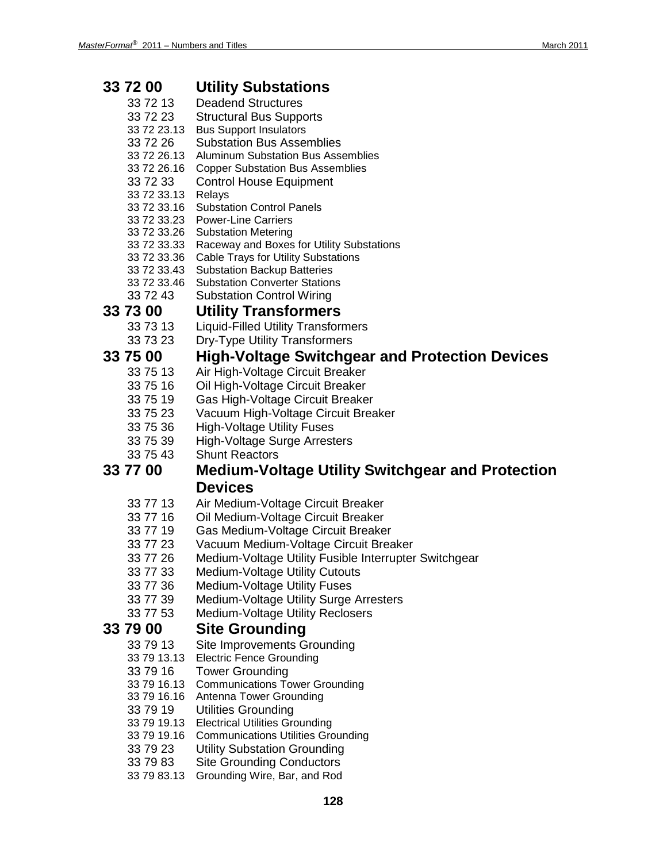| 33 72 00                | <b>Utility Substations</b>                                                                     |
|-------------------------|------------------------------------------------------------------------------------------------|
| 33 72 13                | <b>Deadend Structures</b>                                                                      |
| 33 72 23                | <b>Structural Bus Supports</b>                                                                 |
| 33 72 23.13             | <b>Bus Support Insulators</b>                                                                  |
| 33 72 26                | <b>Substation Bus Assemblies</b>                                                               |
| 33 72 26.13             | <b>Aluminum Substation Bus Assemblies</b>                                                      |
| 33 72 26.16             | <b>Copper Substation Bus Assemblies</b>                                                        |
| 33 72 33                | <b>Control House Equipment</b>                                                                 |
| 33 72 33.13             | Relays                                                                                         |
| 33 72 33.16             | <b>Substation Control Panels</b>                                                               |
| 33 72 33.26             | 33 72 33.23 Power-Line Carriers<br><b>Substation Metering</b>                                  |
| 33 72 33.33             | Raceway and Boxes for Utility Substations                                                      |
| 33 72 33.36             | <b>Cable Trays for Utility Substations</b>                                                     |
| 33 72 33.43             | <b>Substation Backup Batteries</b>                                                             |
| 33 72 33.46             | <b>Substation Converter Stations</b>                                                           |
| 33 72 43                | <b>Substation Control Wiring</b>                                                               |
| 33 73 00                | <b>Utility Transformers</b>                                                                    |
| 33 73 13                | <b>Liquid-Filled Utility Transformers</b>                                                      |
| 33 73 23                | <b>Dry-Type Utility Transformers</b>                                                           |
| 33 75 00                | High-Voltage Switchgear and Protection Devices                                                 |
| 33 75 13                | Air High-Voltage Circuit Breaker                                                               |
| 33 75 16                | Oil High-Voltage Circuit Breaker                                                               |
| 33 75 19                | Gas High-Voltage Circuit Breaker                                                               |
| 33 75 23                | Vacuum High-Voltage Circuit Breaker                                                            |
| 33 75 36                | <b>High-Voltage Utility Fuses</b>                                                              |
| 33 75 39                | <b>High-Voltage Surge Arresters</b>                                                            |
| 33 75 43                | <b>Shunt Reactors</b>                                                                          |
|                         |                                                                                                |
| 33 77 00                | <b>Medium-Voltage Utility Switchgear and Protection</b>                                        |
|                         | <b>Devices</b>                                                                                 |
|                         |                                                                                                |
| 33 77 13                | Air Medium-Voltage Circuit Breaker                                                             |
| 33 77 16                | Oil Medium-Voltage Circuit Breaker                                                             |
| 33 77 19<br>33 77 23    | Gas Medium-Voltage Circuit Breaker                                                             |
| 33 77 26                | Vacuum Medium-Voltage Circuit Breaker<br>Medium-Voltage Utility Fusible Interrupter Switchgear |
| 33 77 33                | Medium-Voltage Utility Cutouts                                                                 |
| 33 77 36                | <b>Medium-Voltage Utility Fuses</b>                                                            |
| 33 77 39                | Medium-Voltage Utility Surge Arresters                                                         |
| 33 77 53                | Medium-Voltage Utility Reclosers                                                               |
| 33 79 00                | <b>Site Grounding</b>                                                                          |
| 33 79 13                | Site Improvements Grounding                                                                    |
| 33 79 13.13             | <b>Electric Fence Grounding</b>                                                                |
| 33 79 16                | <b>Tower Grounding</b>                                                                         |
| 33 79 16.13             | <b>Communications Tower Grounding</b>                                                          |
| 33 79 16.16             | Antenna Tower Grounding                                                                        |
| 33 79 19                | <b>Utilities Grounding</b>                                                                     |
| 33 79 19.13             | <b>Electrical Utilities Grounding</b>                                                          |
| 33 79 19.16             | <b>Communications Utilities Grounding</b>                                                      |
| 33 79 23                | <b>Utility Substation Grounding</b>                                                            |
| 33 79 83<br>33 79 83.13 | <b>Site Grounding Conductors</b><br>Grounding Wire, Bar, and Rod                               |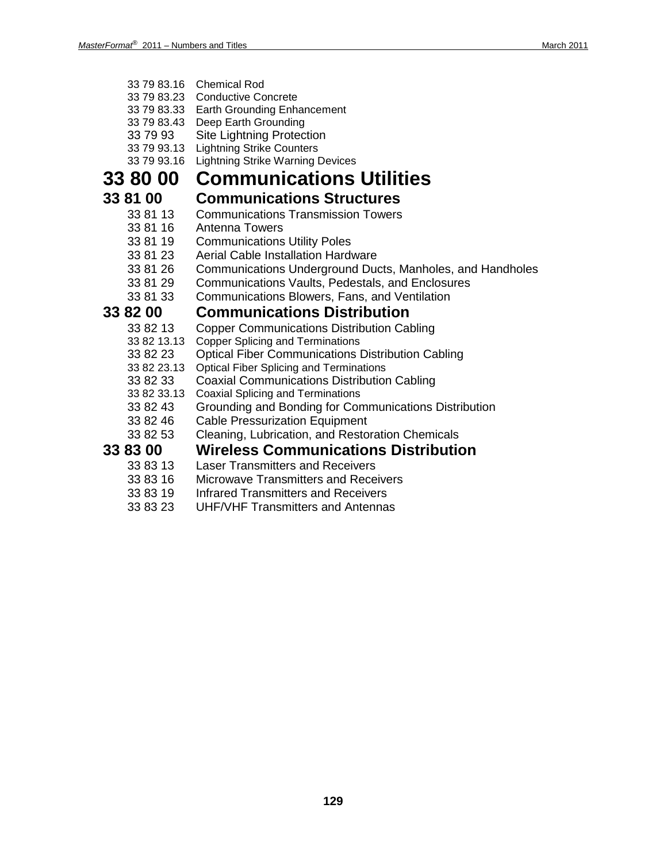- 33 79 83.16 Chemical Rod
- 33 79 83.23 Conductive Concrete
- 33 79 83.33 Earth Grounding Enhancement
- 33 79 83.43 Deep Earth Grounding
- 33 79 93 Site Lightning Protection
- 33 79 93.13 Lightning Strike Counters
- 33 79 93.16 Lightning Strike Warning Devices

## **33 80 00 Communications Utilities**

### **33 81 00 Communications Structures**

- 33 81 13 Communications Transmission Towers<br>33 81 16 Antenna Towers
	- Antenna Towers
- 33 81 19 Communications Utility Poles
- 33 81 23 Aerial Cable Installation Hardware
- 33 81 26 Communications Underground Ducts, Manholes, and Handholes
- 33 81 29 Communications Vaults, Pedestals, and Enclosures
- 33 81 33 Communications Blowers, Fans, and Ventilation

### **33 82 00 Communications Distribution**

- 33 82 13 Copper Communications Distribution Cabling<br>33 82 13.13 Copper Splicing and Terminations
- **Copper Splicing and Terminations**
- 33 82 23 Optical Fiber Communications Distribution Cabling
- 33 82 23.13 Optical Fiber Splicing and Terminations
- 33 82 33 Coaxial Communications Distribution Cabling
- 33 82 33.13 Coaxial Splicing and Terminations<br>33 82 43 Grounding and Bonding for Cor
- 33 82 43 Grounding and Bonding for Communications Distribution<br>33 82 46 Cable Pressurization Equipment
- **Cable Pressurization Equipment**
- 33 82 53 Cleaning, Lubrication, and Restoration Chemicals

### **33 83 00 Wireless Communications Distribution**

- 33 83 13 Laser Transmitters and Receivers<br>33 83 16 Microwave Transmitters and Rece
- 33 83 16 Microwave Transmitters and Receivers<br>33 83 19 Infrared Transmitters and Receivers
- Infrared Transmitters and Receivers
- 33 83 23 UHF/VHF Transmitters and Antennas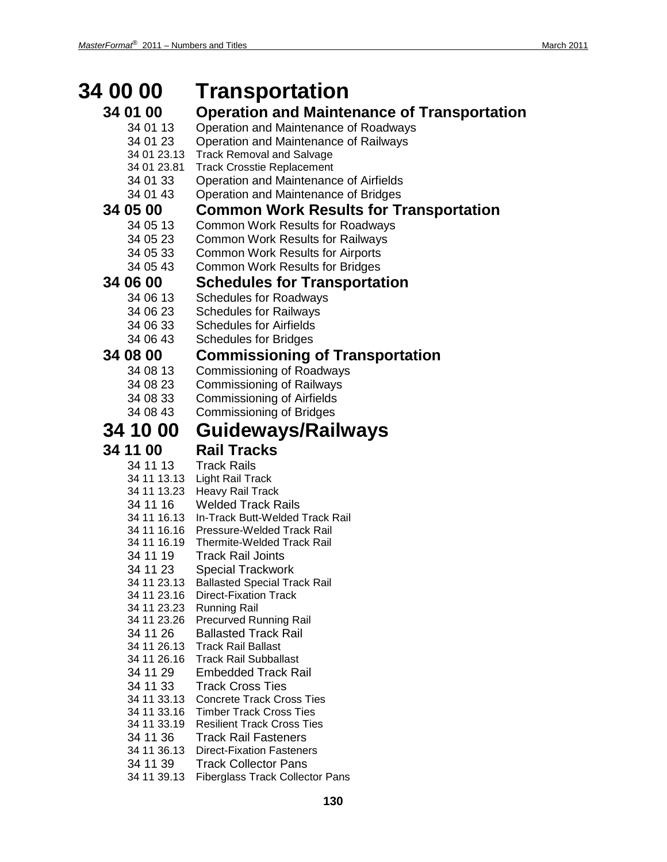### **34 00 00 Transportation 34 01 00 Operation and Maintenance of Transportation** 34 01 13 Operation and Maintenance of Roadways 34 01 23 Operation and Maintenance of Railways 34 01 23.13 Track Removal and Salvage **Track Crosstie Replacement** 34 01 33 Operation and Maintenance of Airfields 34 01 43 Operation and Maintenance of Bridges **34 05 00 Common Work Results for Transportation** 34 05 13 Common Work Results for Roadways 34 05 23 Common Work Results for Railways 34 05 33 Common Work Results for Airports 34 05 43 Common Work Results for Bridges **34 06 00 Schedules for Transportation** 34 06 13 Schedules for Roadways 34 06 23 Schedules for Railways 34 06 33 Schedules for Airfields 34 06 43 Schedules for Bridges **34 08 00 Commissioning of Transportation** Commissioning of Roadways 34 08 23 Commissioning of Railways 34 08 33 Commissioning of Airfields 34 08 43 Commissioning of Bridges **34 10 00 Guideways/Railways 34 11 00 Rail Tracks** 34 11 13 Track Rails 34 11 13.13 Light Rail Track 34 11 13.23 Heavy Rail Track 34 11 16 Welded Track Rails 34 11 16.13 In-Track Butt-Welded Track Rail 34 11 16.16 Pressure-Welded Track Rail 34 11 16.19 Thermite-Welded Track Rail 34 11 19 Track Rail Joints 34 11 23 Special Trackwork 34 11 23.13 Ballasted Special Track Rail 34 11 23.16 Direct-Fixation Track 34 11 23.23 Running Rail 34 11 23.26 Precurved Running Rail 34 11 26 Ballasted Track Rail 34 11 26.13 Track Rail Ballast 34 11 26.16 Track Rail Subballast 34 11 29 Embedded Track Rail 34 11 33 Track Cross Ties 34 11 33.13 Concrete Track Cross Ties 34 11 33.16 Timber Track Cross Ties 34 11 33.19 Resilient Track Cross Ties 34 11 36 Track Rail Fasteners 34 11 36.13 Direct-Fixation Fasteners 34 11 39 Track Collector Pans

34 11 39.13 Fiberglass Track Collector Pans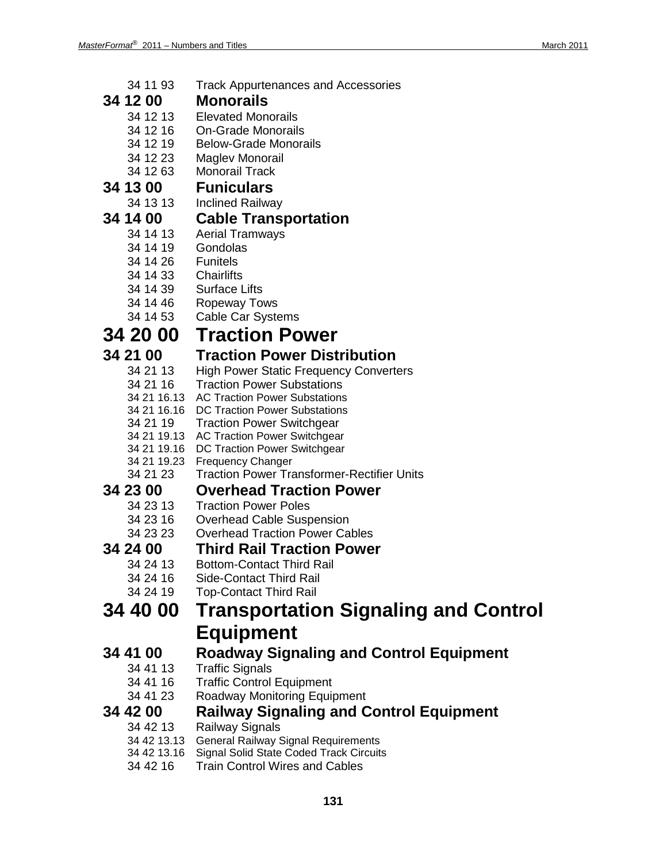- 34 11 93 Track Appurtenances and Accessories
- **34 12 00 Monorails**
	- **Elevated Monorails**
	- 34 12 16 On-Grade Monorails
	- 34 12 19 Below-Grade Monorails
	- 34 12 23 Maglev Monorail
	- **Monorail Track**

## **34 13 00 Funiculars**

**Inclined Railway** 

## **34 14 00 Cable Transportation**

- Aerial Tramways
- 34 14 19 Gondolas
- 34 14 26 Funitels
- 34 14 33 Chairlifts
- 34 14 39 Surface Lifts
- 34 14 46 Ropeway Tows
- 34 14 53 Cable Car Systems

# **34 20 00 Traction Power**

# **34 21 00 Traction Power Distribution**

- **High Power Static Frequency Converters**
- 34 21 16 Traction Power Substations
- 34 21 16.13 AC Traction Power Substations
- 34 21 16.16 DC Traction Power Substations
- 34 21 19 Traction Power Switchgear
- 34 21 19.13 AC Traction Power Switchgear
- 34 21 19.16 DC Traction Power Switchgear
- 34 21 19.23 Frequency Changer
- 34 21 23 Traction Power Transformer-Rectifier Units

## **34 23 00 Overhead Traction Power**

- **Traction Power Poles**
- 34 23 16 Overhead Cable Suspension<br>34 23 23 Overhead Traction Power Ca
- **Overhead Traction Power Cables**

# **34 24 00 Third Rail Traction Power**

- Bottom-Contact Third Rail
- 34 24 16 Side-Contact Third Rail
- 34 24 19 Top-Contact Third Rail

## **34 40 00 Transportation Signaling and Control Equipment**

# **34 41 00 Roadway Signaling and Control Equipment**

- **Traffic Signals**
- 34 41 16 Traffic Control Equipment
- 34 41 23 Roadway Monitoring Equipment

# **34 42 00 Railway Signaling and Control Equipment**

- **Railway Signals**
- 34 42 13.13 General Railway Signal Requirements
- 34 42 13.16 Signal Solid State Coded Track Circuits
- 34 42 16 Train Control Wires and Cables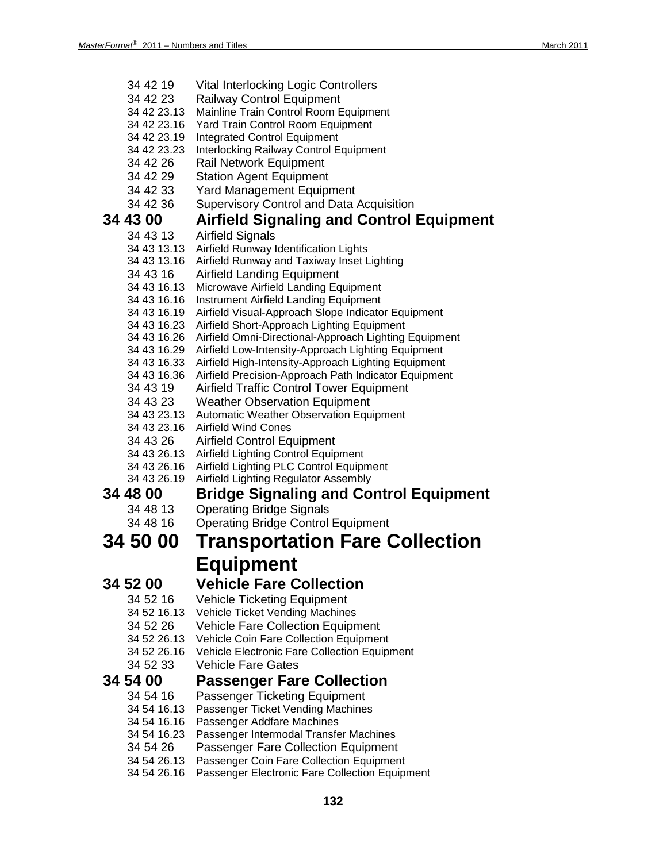| 34 42 19                   | <b>Vital Interlocking Logic Controllers</b>                                                               |
|----------------------------|-----------------------------------------------------------------------------------------------------------|
| 34 42 23                   | Railway Control Equipment                                                                                 |
| 34 42 23.13                | Mainline Train Control Room Equipment                                                                     |
| 34 42 23.16                | Yard Train Control Room Equipment                                                                         |
| 34 42 23.19                | <b>Integrated Control Equipment</b>                                                                       |
| 34 42 23.23                | Interlocking Railway Control Equipment                                                                    |
| 34 42 26                   | Rail Network Equipment                                                                                    |
| 34 42 29                   | <b>Station Agent Equipment</b>                                                                            |
| 34 42 33                   | <b>Yard Management Equipment</b>                                                                          |
| 34 42 36                   | <b>Supervisory Control and Data Acquisition</b>                                                           |
| 34 43 00                   | <b>Airfield Signaling and Control Equipment</b>                                                           |
| 34 43 13                   | <b>Airfield Signals</b>                                                                                   |
| 34 43 13.13                | Airfield Runway Identification Lights                                                                     |
| 34 43 13.16                | Airfield Runway and Taxiway Inset Lighting                                                                |
| 34 43 16                   | <b>Airfield Landing Equipment</b>                                                                         |
| 34 43 16.13                | Microwave Airfield Landing Equipment                                                                      |
| 34 43 16.16                | Instrument Airfield Landing Equipment                                                                     |
| 34 43 16.19                | Airfield Visual-Approach Slope Indicator Equipment                                                        |
| 34 43 16.23                | Airfield Short-Approach Lighting Equipment                                                                |
| 34 43 16.26                | Airfield Omni-Directional-Approach Lighting Equipment                                                     |
| 34 43 16.29<br>34 43 16.33 | Airfield Low-Intensity-Approach Lighting Equipment<br>Airfield High-Intensity-Approach Lighting Equipment |
| 34 43 16.36                | Airfield Precision-Approach Path Indicator Equipment                                                      |
| 34 43 19                   | <b>Airfield Traffic Control Tower Equipment</b>                                                           |
| 34 43 23                   | <b>Weather Observation Equipment</b>                                                                      |
| 34 43 23.13                | Automatic Weather Observation Equipment                                                                   |
| 34 43 23.16                | Airfield Wind Cones                                                                                       |
| 34 43 26                   | <b>Airfield Control Equipment</b>                                                                         |
| 34 43 26.13                | Airfield Lighting Control Equipment                                                                       |
| 34 43 26.16                | Airfield Lighting PLC Control Equipment                                                                   |
| 34 43 26.19                | Airfield Lighting Regulator Assembly                                                                      |
| 34 48 00                   | <b>Bridge Signaling and Control Equipment</b>                                                             |
| 34 48 13                   | <b>Operating Bridge Signals</b>                                                                           |
| 34 48 16                   | <b>Operating Bridge Control Equipment</b>                                                                 |
|                            |                                                                                                           |
| 34 50 00                   | <b>Transportation Fare Collection</b>                                                                     |
|                            | <b>Equipment</b>                                                                                          |
| 34 52 00                   | <b>Vehicle Fare Collection</b>                                                                            |
| 34 52 16                   | <b>Vehicle Ticketing Equipment</b>                                                                        |
| 34 52 16.13                | Vehicle Ticket Vending Machines                                                                           |
| 34 52 26                   | <b>Vehicle Fare Collection Equipment</b>                                                                  |
| 34 52 26.13                | Vehicle Coin Fare Collection Equipment                                                                    |
| 34 52 26.16                | Vehicle Electronic Fare Collection Equipment                                                              |
| 34 52 33                   | <b>Vehicle Fare Gates</b>                                                                                 |
| 34 54 00                   | <b>Passenger Fare Collection</b>                                                                          |
| 34 54 16                   | Passenger Ticketing Equipment                                                                             |
| 34 54 16.13                | Passenger Ticket Vending Machines                                                                         |
| 34 54 16.16                | Passenger Addfare Machines                                                                                |
| 34 54 16.23                | Passenger Intermodal Transfer Machines                                                                    |
| 34 54 26                   | <b>Passenger Fare Collection Equipment</b>                                                                |
| 34 54 26.13                | Passenger Coin Fare Collection Equipment                                                                  |
| 34 54 26.16                | Passenger Electronic Fare Collection Equipment                                                            |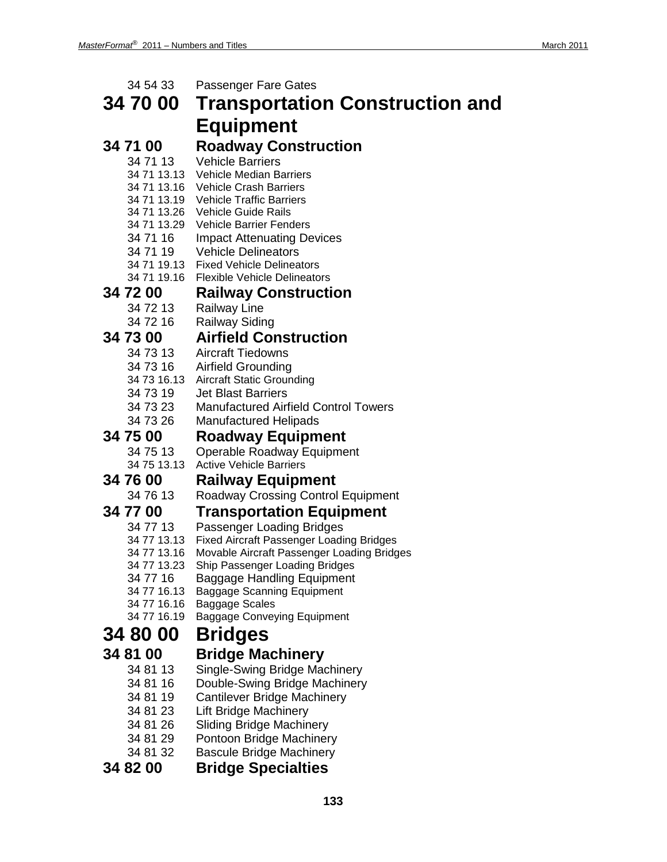| 34 54 33                   | <b>Passenger Fare Gates</b>                                                                   |
|----------------------------|-----------------------------------------------------------------------------------------------|
| 34 70 00                   | <b>Transportation Construction and</b>                                                        |
|                            | <b>Equipment</b>                                                                              |
| 34 71 00                   | <b>Roadway Construction</b>                                                                   |
| 34 71 13                   | <b>Vehicle Barriers</b>                                                                       |
| 34 71 13.13                | <b>Vehicle Median Barriers</b>                                                                |
| 34 71 13.16                | <b>Vehicle Crash Barriers</b>                                                                 |
| 34 71 13.19                | <b>Vehicle Traffic Barriers</b>                                                               |
| 34 71 13.26<br>34 71 13.29 | Vehicle Guide Rails<br><b>Vehicle Barrier Fenders</b>                                         |
| 34 71 16                   | <b>Impact Attenuating Devices</b>                                                             |
| 34 71 19                   | <b>Vehicle Delineators</b>                                                                    |
| 34 71 19.13                | <b>Fixed Vehicle Delineators</b>                                                              |
| 34 71 19.16                | <b>Flexible Vehicle Delineators</b>                                                           |
| 34 72 00                   | <b>Railway Construction</b>                                                                   |
| 34 72 13                   | <b>Railway Line</b>                                                                           |
| 34 72 16                   | <b>Railway Siding</b>                                                                         |
| 34 73 00                   | <b>Airfield Construction</b>                                                                  |
| 34 73 13                   | <b>Aircraft Tiedowns</b>                                                                      |
| 34 73 16                   | <b>Airfield Grounding</b>                                                                     |
| 34 73 16.13                | <b>Aircraft Static Grounding</b>                                                              |
| 34 73 19                   | <b>Jet Blast Barriers</b>                                                                     |
| 34 73 23<br>34 73 26       | <b>Manufactured Airfield Control Towers</b>                                                   |
|                            | <b>Manufactured Helipads</b>                                                                  |
|                            |                                                                                               |
| 34 75 00                   | <b>Roadway Equipment</b>                                                                      |
| 34 75 13                   | Operable Roadway Equipment                                                                    |
| 34 75 13.13                | <b>Active Vehicle Barriers</b>                                                                |
| 34 76 00                   | <b>Railway Equipment</b>                                                                      |
| 34 76 13                   | Roadway Crossing Control Equipment                                                            |
| 34 77 00                   | <b>Transportation Equipment</b>                                                               |
| 34 77 13                   | Passenger Loading Bridges                                                                     |
| 34 77 13.13<br>34 77 13.16 | <b>Fixed Aircraft Passenger Loading Bridges</b><br>Movable Aircraft Passenger Loading Bridges |
| 34 77 13.23                | Ship Passenger Loading Bridges                                                                |
| 34 77 16                   | <b>Baggage Handling Equipment</b>                                                             |
| 34 77 16.13                | <b>Baggage Scanning Equipment</b>                                                             |
| 34 77 16.16                | Baggage Scales                                                                                |
| 34 77 16.19                | <b>Baggage Conveying Equipment</b>                                                            |
| 34 80 00                   | <b>Bridges</b>                                                                                |
| 34 81 00                   | <b>Bridge Machinery</b>                                                                       |
| 34 81 13                   | Single-Swing Bridge Machinery                                                                 |
| 34 81 16                   | Double-Swing Bridge Machinery                                                                 |
| 34 81 19                   | <b>Cantilever Bridge Machinery</b>                                                            |
| 34 81 23                   | <b>Lift Bridge Machinery</b>                                                                  |
| 34 81 26                   | <b>Sliding Bridge Machinery</b>                                                               |
| 34 81 29                   | Pontoon Bridge Machinery                                                                      |
| 34 81 32<br>34 82 00       | <b>Bascule Bridge Machinery</b><br><b>Bridge Specialties</b>                                  |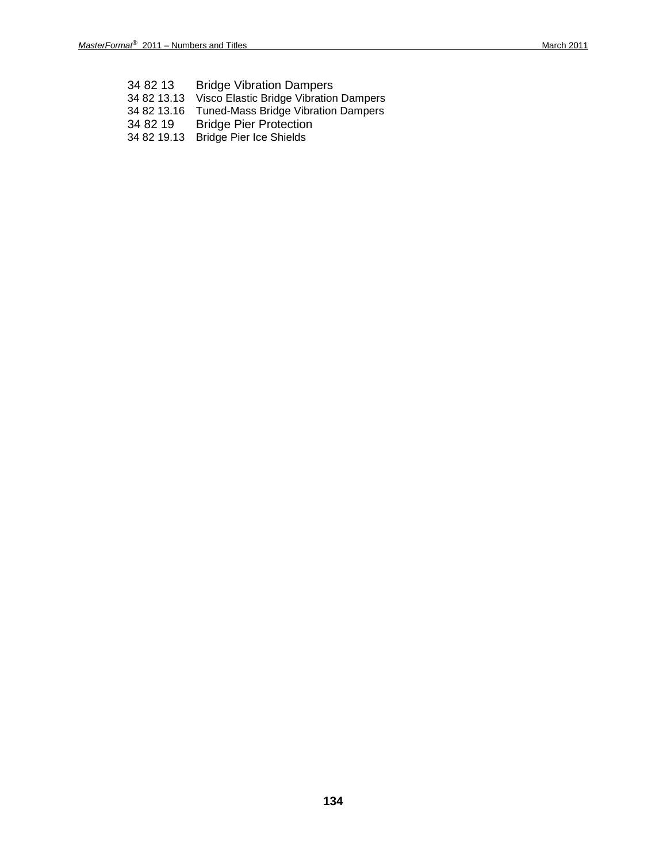34 82 13 Bridge Vibration Dampers 34 82 13.13 Visco Elastic Bridge Vibration Dampers 34 82 13.16 Tuned-Mass Bridge Vibration Dampers 34 82 19 Bridge Pier Protection 34 82 19.13 Bridge Pier Ice Shields

**134**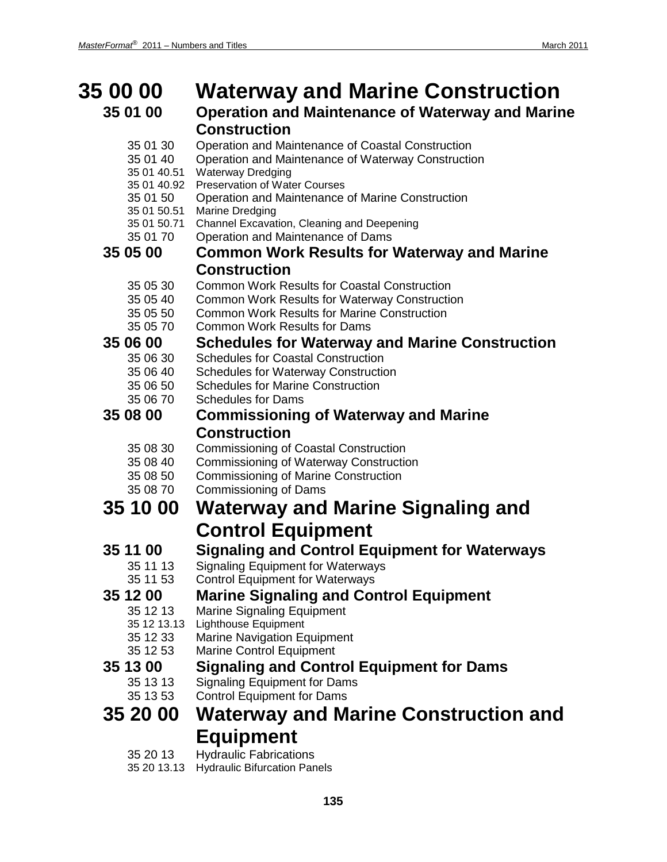| <b>35 00 00</b>                                                                                          | <b>Waterway and Marine Construction</b>                                                                                                                                                                                                                                                                                                                             |
|----------------------------------------------------------------------------------------------------------|---------------------------------------------------------------------------------------------------------------------------------------------------------------------------------------------------------------------------------------------------------------------------------------------------------------------------------------------------------------------|
|                                                                                                          | <b>Operation and Maintenance of Waterway and Marine</b>                                                                                                                                                                                                                                                                                                             |
| 35 01 30<br>35 01 40<br>35 01 40.51<br>35 01 40.92<br>35 01 50<br>35 01 50.51<br>35 01 50.71<br>35 01 70 | <b>Construction</b><br>Operation and Maintenance of Coastal Construction<br>Operation and Maintenance of Waterway Construction<br><b>Waterway Dredging</b><br><b>Preservation of Water Courses</b><br>Operation and Maintenance of Marine Construction<br><b>Marine Dredging</b><br>Channel Excavation, Cleaning and Deepening<br>Operation and Maintenance of Dams |
|                                                                                                          | <b>Common Work Results for Waterway and Marine</b>                                                                                                                                                                                                                                                                                                                  |
| 35 05 30<br>35 05 40<br>35 05 50<br>35 05 70                                                             | <b>Construction</b><br><b>Common Work Results for Coastal Construction</b><br><b>Common Work Results for Waterway Construction</b><br><b>Common Work Results for Marine Construction</b><br><b>Common Work Results for Dams</b>                                                                                                                                     |
| 35 06 00                                                                                                 | <b>Schedules for Waterway and Marine Construction</b>                                                                                                                                                                                                                                                                                                               |
| 35 06 40<br>35 06 50<br>35 06 70                                                                         | <b>Schedules for Coastal Construction</b><br><b>Schedules for Waterway Construction</b><br><b>Schedules for Marine Construction</b><br><b>Schedules for Dams</b>                                                                                                                                                                                                    |
| 35 08 00                                                                                                 | <b>Commissioning of Waterway and Marine</b>                                                                                                                                                                                                                                                                                                                         |
|                                                                                                          | <b>Construction</b>                                                                                                                                                                                                                                                                                                                                                 |
| 35 08 30<br>35 08 40<br>35 08 50<br>35 08 70                                                             | <b>Commissioning of Coastal Construction</b><br><b>Commissioning of Waterway Construction</b><br><b>Commissioning of Marine Construction</b><br><b>Commissioning of Dams</b>                                                                                                                                                                                        |
| 35 10 00                                                                                                 | Waterway and Marine Signaling and                                                                                                                                                                                                                                                                                                                                   |
|                                                                                                          | <b>Control Equipment</b>                                                                                                                                                                                                                                                                                                                                            |
| 35 11 00<br>35 11 13<br>35 11 53                                                                         | <b>Signaling and Control Equipment for Waterways</b><br>Signaling Equipment for Waterways<br><b>Control Equipment for Waterways</b>                                                                                                                                                                                                                                 |
| 35 12 00<br>35 12 13<br>35 12 13.13<br>35 12 33<br>35 12 53                                              | <b>Marine Signaling and Control Equipment</b><br><b>Marine Signaling Equipment</b><br><b>Lighthouse Equipment</b><br><b>Marine Navigation Equipment</b><br><b>Marine Control Equipment</b>                                                                                                                                                                          |
| 35 13 00<br>35 13 13                                                                                     | <b>Signaling and Control Equipment for Dams</b><br><b>Signaling Equipment for Dams</b><br><b>Control Equipment for Dams</b>                                                                                                                                                                                                                                         |
|                                                                                                          | <b>Waterway and Marine Construction and</b>                                                                                                                                                                                                                                                                                                                         |
|                                                                                                          |                                                                                                                                                                                                                                                                                                                                                                     |
| 35 20 13                                                                                                 | <b>Equipment</b><br>Hydraulic Eabrications                                                                                                                                                                                                                                                                                                                          |
|                                                                                                          | 35 01 00<br>35 05 00<br>35 06 30<br>35 13 53<br>35 20 00                                                                                                                                                                                                                                                                                                            |

- 35 20 13 Hydraulic Fabrications
- 35 20 13.13 Hydraulic Bifurcation Panels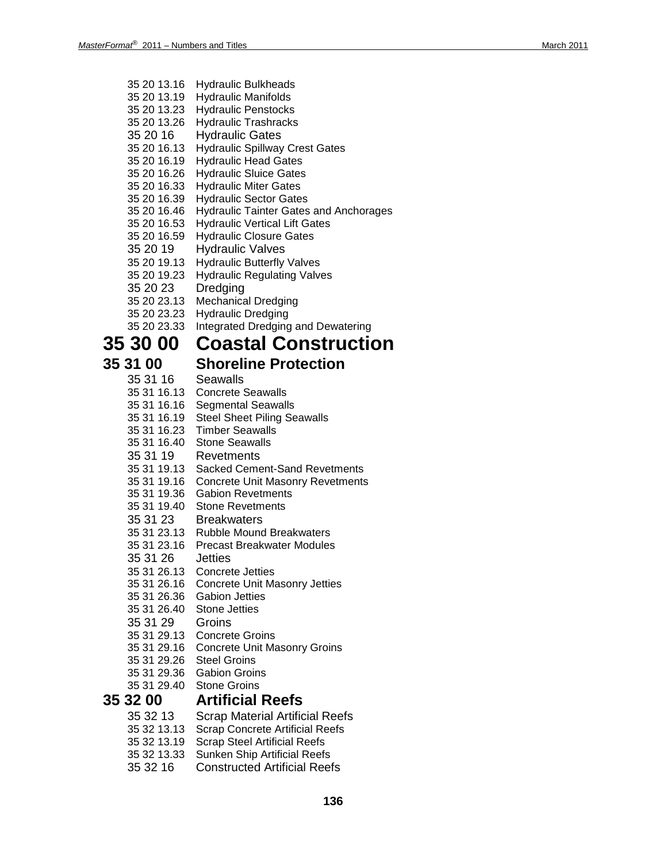- 35 20 13.16 Hydraulic Bulkheads
- 35 20 13.19 Hydraulic Manifolds
- 35 20 13.23 Hydraulic Penstocks
- 35 20 13.26 Hydraulic Trashracks
- 35 20 16 Hydraulic Gates
- 35 20 16.13 Hydraulic Spillway Crest Gates
- 35 20 16.19 Hydraulic Head Gates
- 35 20 16.26 Hydraulic Sluice Gates
- 35 20 16.33 Hydraulic Miter Gates
- 35 20 16.39 Hydraulic Sector Gates
- 35 20 16.46 Hydraulic Tainter Gates and Anchorages
- 35 20 16.53 Hydraulic Vertical Lift Gates
- 35 20 16.59 Hydraulic Closure Gates
- 35 20 19 Hydraulic Valves
- 35 20 19.13 Hydraulic Butterfly Valves
- 35 20 19.23 Hydraulic Regulating Valves
- 35 20 23 Dredging
- 35 20 23.13 Mechanical Dredging
- 35 20 23.23 Hydraulic Dredging
- 35 20 23.33 Integrated Dredging and Dewatering

## **35 30 00 Coastal Construction**

### **35 31 00 Shoreline Protection**

### 35 31 16 Seawalls

- 35 31 16.13 Concrete Seawalls
- 35 31 16.16 Segmental Seawalls
- 35 31 16.19 Steel Sheet Piling Seawalls
- 35 31 16.23 Timber Seawalls
- 35 31 16.40 Stone Seawalls
- 35 31 19 Revetments
- 35 31 19.13 Sacked Cement -Sand Revetments
- 35 31 19.16 Concrete Unit Masonry Revetments
- 35 31 19.36 Gabion Revetments
- 35 31 19.40 Stone Revetments
- 35 31 23 Breakwaters
- 35 31 23.13 Rubble Mound Breakwaters
- 35 31 23.16 Precast Breakwater Modules
- 35 31 26 Jetties
- 35 31 26.13 Concrete Jetties
- 35 31 26.16 Concrete Unit Masonry Jetties
- 35 31 26.36 Gabion Jetties
- 35 31 26.40 Stone Jetties
- 35 31 29 Groins
- 35 31 29.13 Concrete Groins
- 35 31 29.16 Concrete Unit Masonry Groins
- 35 31 29.26 Steel Groins
- 35 31 29.36 Gabion Groins
- 35 31 29.40 Stone Groins

### **35 32 00 Artificial Reefs**

- 35 32 13 Scrap Material Artificial Reefs
- 35 32 13.13 Scrap Concrete Artificial Reefs
- **Scrap Steel Artificial Reefs**
- 35 32 13.33 Sunken Ship Artificial Reefs
- 35 32 16 Constructed Artificial Reefs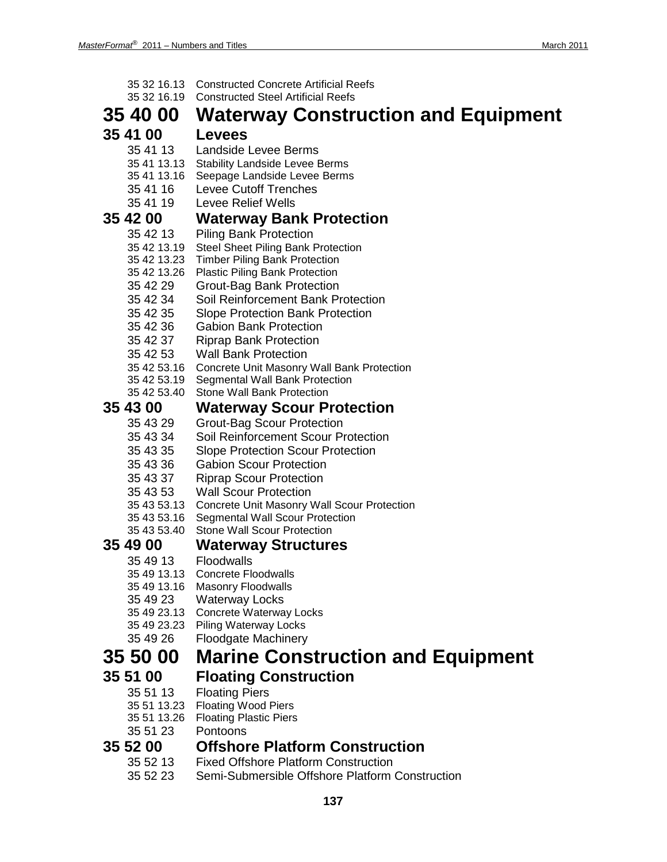| 35 32 16.13 | <b>Constructed Concrete Artificial Reefs</b>       |
|-------------|----------------------------------------------------|
| 35 32 16.19 | <b>Constructed Steel Artificial Reefs</b>          |
| 35 40 00    | <b>Waterway Construction and Equipment</b>         |
| 35 41 00    | <b>Levees</b>                                      |
| 35 41 13    | Landside Levee Berms                               |
| 35 41 13.13 | <b>Stability Landside Levee Berms</b>              |
| 35 41 13.16 | Seepage Landside Levee Berms                       |
| 35 41 16    | <b>Levee Cutoff Trenches</b>                       |
| 35 41 19    | Levee Relief Wells                                 |
| 35 42 00    | <b>Waterway Bank Protection</b>                    |
| 35 42 13    | <b>Piling Bank Protection</b>                      |
| 35 42 13.19 | <b>Steel Sheet Piling Bank Protection</b>          |
| 35 42 13.23 | <b>Timber Piling Bank Protection</b>               |
| 35 42 13.26 | <b>Plastic Piling Bank Protection</b>              |
| 35 42 29    | Grout-Bag Bank Protection                          |
| 35 42 34    | Soil Reinforcement Bank Protection                 |
| 35 42 35    | <b>Slope Protection Bank Protection</b>            |
| 35 42 36    | <b>Gabion Bank Protection</b>                      |
| 35 42 37    | <b>Riprap Bank Protection</b>                      |
| 35 42 53    | <b>Wall Bank Protection</b>                        |
| 35 42 53.16 | Concrete Unit Masonry Wall Bank Protection         |
| 35 42 53.19 | Segmental Wall Bank Protection                     |
| 35 42 53.40 | Stone Wall Bank Protection                         |
| 35 43 00    | <b>Waterway Scour Protection</b>                   |
| 35 43 29    | <b>Grout-Bag Scour Protection</b>                  |
| 35 43 34    | Soil Reinforcement Scour Protection                |
| 35 43 35    | <b>Slope Protection Scour Protection</b>           |
| 35 43 36    | <b>Gabion Scour Protection</b>                     |
| 35 43 37    | <b>Riprap Scour Protection</b>                     |
| 35 43 53    | <b>Wall Scour Protection</b>                       |
| 35 43 53.13 | <b>Concrete Unit Masonry Wall Scour Protection</b> |
| 35 43 53.16 | <b>Segmental Wall Scour Protection</b>             |
| 35 43 53.40 | <b>Stone Wall Scour Protection</b>                 |
| 35 49 00    | <b>Waterway Structures</b>                         |
| 35 49 13    | Floodwalls                                         |
| 35 49 13.13 | <b>Concrete Floodwalls</b>                         |
| 35 49 13.16 | <b>Masonry Floodwalls</b>                          |
| 35 49 23    | <b>Waterway Locks</b>                              |
| 35 49 23.13 | Concrete Waterway Locks                            |
| 35 49 23.23 | <b>Piling Waterway Locks</b>                       |
| 35 49 26    | Floodgate Machinery                                |
| 35 50 00    | <b>Marine Construction and Equipment</b>           |
| 35 51 00    | <b>Floating Construction</b>                       |
| 35 51 13    | <b>Floating Piers</b>                              |
| 35 51 13.23 | <b>Floating Wood Piers</b>                         |
| 35 51 13.26 | <b>Floating Plastic Piers</b>                      |
| 35 51 23    | Pontoons                                           |
| 35 52 00    | <b>Offshore Platform Construction</b>              |
| 35 52 13    | <b>Fixed Offshore Platform Construction</b>        |
| 35 52 23    | Semi-Submersible Offshore Platform Construction    |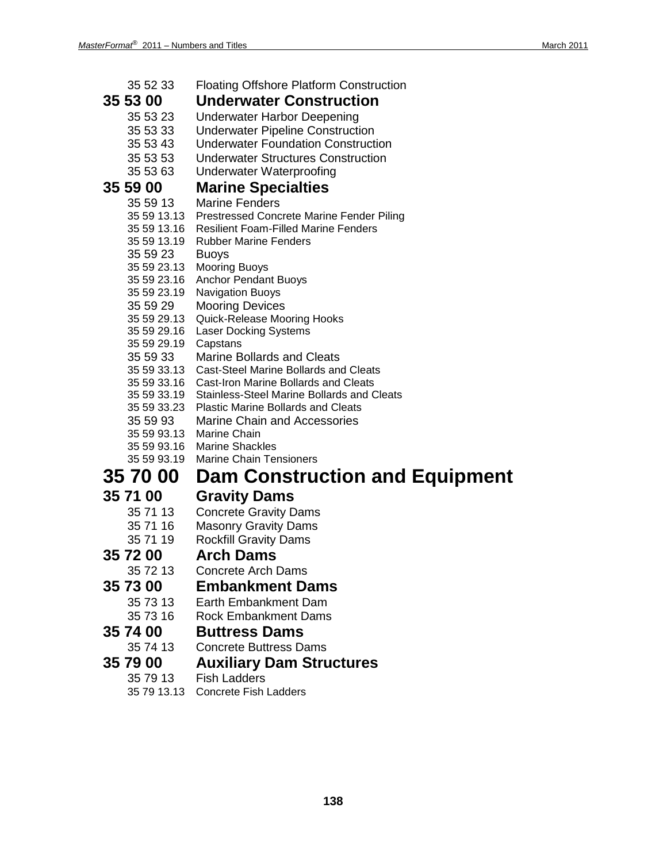| 35 52 33<br><b>Floating Offshore Platform Construction</b>  |
|-------------------------------------------------------------|
| <b>Underwater Construction</b>                              |
| 35 53 23<br><b>Underwater Harbor Deepening</b>              |
| 35 53 33<br><b>Underwater Pipeline Construction</b>         |
| 35 53 43<br><b>Underwater Foundation Construction</b>       |
| 35 53 53<br><b>Underwater Structures Construction</b>       |
| 35 53 63<br><b>Underwater Waterproofing</b>                 |
| <b>Marine Specialties</b>                                   |
| <b>Marine Fenders</b><br>35 59 13                           |
| 35 59 13.13<br>Prestressed Concrete Marine Fender Piling    |
| 35 59 13.16<br><b>Resilient Foam-Filled Marine Fenders</b>  |
| 35 59 13.19<br><b>Rubber Marine Fenders</b>                 |
| 35 59 23<br><b>Buoys</b>                                    |
| 35 59 23.13<br><b>Mooring Buoys</b>                         |
| 35 59 23.16<br><b>Anchor Pendant Buoys</b>                  |
| 35 59 23.19<br><b>Navigation Buoys</b>                      |
| 35 59 29<br><b>Mooring Devices</b>                          |
| 35 59 29.13<br>Quick-Release Mooring Hooks                  |
| 35 59 29.16<br><b>Laser Docking Systems</b>                 |
| 35 59 29.19<br>Capstans                                     |
| 35 59 33<br><b>Marine Bollards and Cleats</b>               |
| 35 59 33.13<br><b>Cast-Steel Marine Bollards and Cleats</b> |
| 35 59 33.16<br><b>Cast-Iron Marine Bollards and Cleats</b>  |
| 35 59 33.19<br>Stainless-Steel Marine Bollards and Cleats   |
| 35 59 33.23<br><b>Plastic Marine Bollards and Cleats</b>    |
| 35 59 93<br><b>Marine Chain and Accessories</b>             |
| 35 59 93.13 Marine Chain                                    |
| 35 59 93.16<br><b>Marine Shackles</b>                       |
| <b>Marine Chain Tensioners</b><br>35 59 93.19               |
| <b>Dam Construction and Equipment</b><br><b>35 70 00</b>    |
| <b>Gravity Dams</b>                                         |
| <b>Concrete Gravity Dams</b><br>35 71 13                    |
| 35 71 16<br><b>Masonry Gravity Dams</b>                     |
| 35 71 19<br><b>Rockfill Gravity Dams</b>                    |
| <b>Arch Dams</b>                                            |
|                                                             |
| 35 72 13<br><b>Concrete Arch Dams</b>                       |
| <b>Embankment Dams</b>                                      |
|                                                             |

- 35 73 13 Earth Embankment Dam<br>35 73 16 Rock Embankment Dams
- 35 73 16 Rock Embankment Dams<br>**35 74 00 Buttress Dams**

# **35 74 00 Buttress Dams**

- Concrete Buttress Dams
- **35 79 00 Auxiliary Dam Structures**
	- 35 79 13 Fish Ladders
	- 35 79 13.13 Concrete Fish Ladders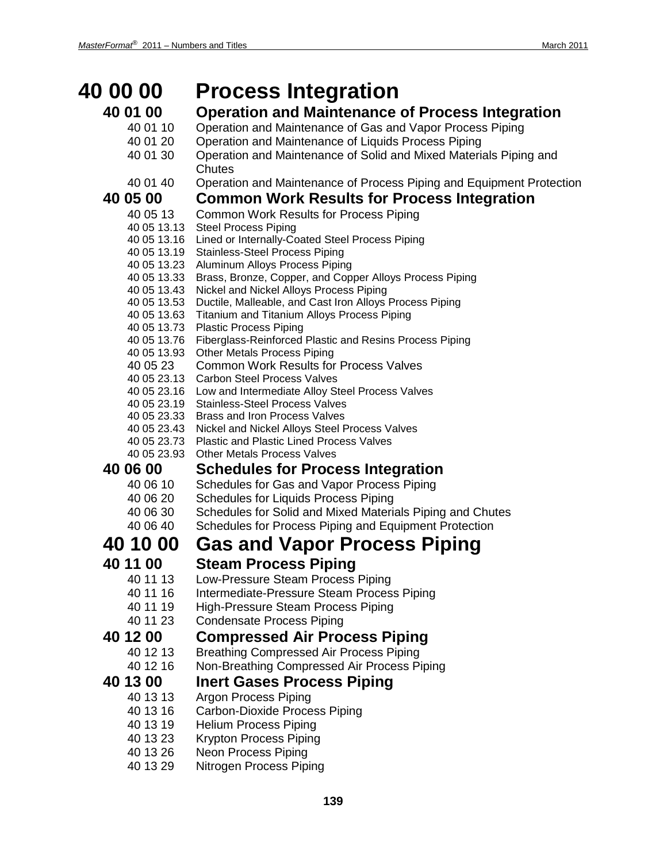| <b>40 00 00</b>            | <b>Process Integration</b>                                                                                    |
|----------------------------|---------------------------------------------------------------------------------------------------------------|
| 40 01 00                   | <b>Operation and Maintenance of Process Integration</b>                                                       |
| 40 01 10                   | Operation and Maintenance of Gas and Vapor Process Piping                                                     |
| 40 01 20                   | Operation and Maintenance of Liquids Process Piping                                                           |
| 40 01 30                   | Operation and Maintenance of Solid and Mixed Materials Piping and                                             |
|                            | Chutes                                                                                                        |
| 40 01 40                   | Operation and Maintenance of Process Piping and Equipment Protection                                          |
| 40 05 00                   | <b>Common Work Results for Process Integration</b>                                                            |
| 40 05 13<br>40 05 13.13    | <b>Common Work Results for Process Piping</b><br><b>Steel Process Piping</b>                                  |
| 40 05 13.16                | Lined or Internally-Coated Steel Process Piping                                                               |
| 40 05 13.19                | <b>Stainless-Steel Process Piping</b>                                                                         |
| 40 05 13.23                | Aluminum Alloys Process Piping                                                                                |
| 40 05 13.33                | Brass, Bronze, Copper, and Copper Alloys Process Piping                                                       |
| 40 05 13.43                | Nickel and Nickel Alloys Process Piping                                                                       |
| 40 05 13.53<br>40 05 13.63 | Ductile, Malleable, and Cast Iron Alloys Process Piping<br><b>Titanium and Titanium Alloys Process Piping</b> |
| 40 05 13.73                | <b>Plastic Process Piping</b>                                                                                 |
| 40 05 13.76                | Fiberglass-Reinforced Plastic and Resins Process Piping                                                       |
| 40 05 13.93                | <b>Other Metals Process Piping</b>                                                                            |
| 40 05 23                   | <b>Common Work Results for Process Valves</b>                                                                 |
| 40 05 23.13                | <b>Carbon Steel Process Valves</b>                                                                            |
| 40 05 23.19                | 40 05 23.16 Low and Intermediate Alloy Steel Process Valves<br><b>Stainless-Steel Process Valves</b>          |
| 40 05 23.33                | <b>Brass and Iron Process Valves</b>                                                                          |
|                            | 40 05 23.43 Nickel and Nickel Alloys Steel Process Valves                                                     |
| 40 05 23.73                | <b>Plastic and Plastic Lined Process Valves</b>                                                               |
| 40 05 23.93                | <b>Other Metals Process Valves</b>                                                                            |
| 40 06 00                   | <b>Schedules for Process Integration</b>                                                                      |
| 40 06 10                   | Schedules for Gas and Vapor Process Piping                                                                    |
| 40 06 20                   | <b>Schedules for Liquids Process Piping</b>                                                                   |
| 40 06 30<br>40 06 40       | Schedules for Solid and Mixed Materials Piping and Chutes                                                     |
|                            | Schedules for Process Piping and Equipment Protection                                                         |
| 40 10 00                   | <b>Gas and Vapor Process Piping</b>                                                                           |
| 40 11 00                   | <b>Steam Process Piping</b>                                                                                   |
| 40 11 13                   | Low-Pressure Steam Process Piping                                                                             |
| 40 11 16                   | Intermediate-Pressure Steam Process Piping                                                                    |
| 40 11 19                   | <b>High-Pressure Steam Process Piping</b>                                                                     |
| 40 11 23                   | <b>Condensate Process Piping</b>                                                                              |
| 40 12 00                   | <b>Compressed Air Process Piping</b>                                                                          |
| 40 12 13                   | <b>Breathing Compressed Air Process Piping</b>                                                                |
| 40 12 16                   | Non-Breathing Compressed Air Process Piping                                                                   |
| 40 13 00                   | <b>Inert Gases Process Piping</b>                                                                             |
| 40 13 13                   | <b>Argon Process Piping</b>                                                                                   |
| 40 13 16                   | Carbon-Dioxide Process Piping                                                                                 |
| 40 13 19<br>40 13 23       | <b>Helium Process Piping</b><br>Krypton Process Piping                                                        |
| 40 13 26                   | <b>Neon Process Piping</b>                                                                                    |
| 40 13 29                   | Nitrogen Process Piping                                                                                       |
|                            |                                                                                                               |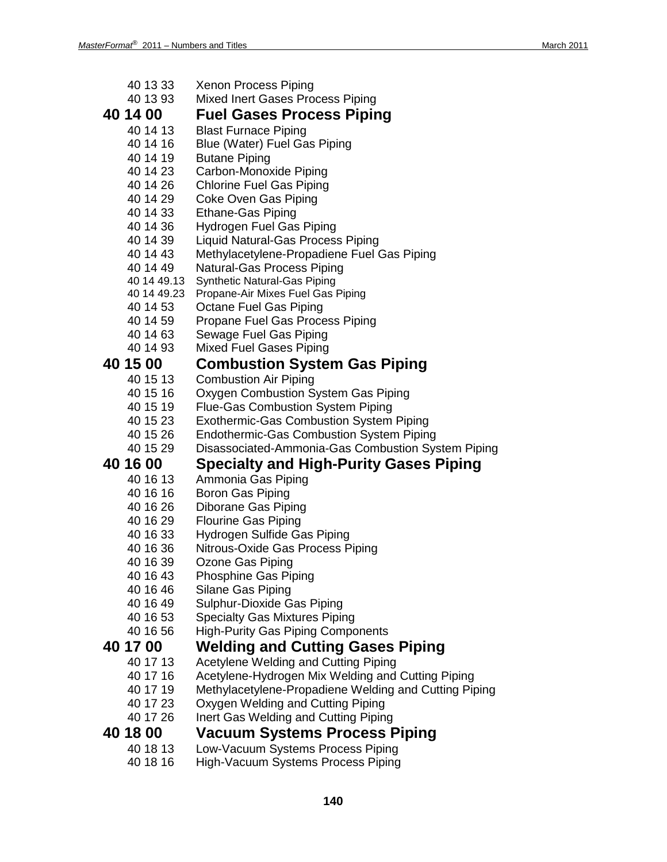| 40 13 33    | Xenon Process Piping                                  |
|-------------|-------------------------------------------------------|
| 40 13 93    | <b>Mixed Inert Gases Process Piping</b>               |
| 40 14 00    | <b>Fuel Gases Process Piping</b>                      |
| 40 14 13    | <b>Blast Furnace Piping</b>                           |
| 40 14 16    | Blue (Water) Fuel Gas Piping                          |
| 40 14 19    | <b>Butane Piping</b>                                  |
| 40 14 23    | Carbon-Monoxide Piping                                |
| 40 14 26    | <b>Chlorine Fuel Gas Piping</b>                       |
| 40 14 29    | Coke Oven Gas Piping                                  |
| 40 14 33    | <b>Ethane-Gas Piping</b>                              |
| 40 14 36    | Hydrogen Fuel Gas Piping                              |
| 40 14 39    | Liquid Natural-Gas Process Piping                     |
| 40 14 43    | Methylacetylene-Propadiene Fuel Gas Piping            |
| 40 14 49    | Natural-Gas Process Piping                            |
| 40 14 49.13 | Synthetic Natural-Gas Piping                          |
| 40 14 49.23 | Propane-Air Mixes Fuel Gas Piping                     |
| 40 14 53    | Octane Fuel Gas Piping                                |
| 40 14 59    | Propane Fuel Gas Process Piping                       |
| 40 14 63    | Sewage Fuel Gas Piping                                |
| 40 14 93    | <b>Mixed Fuel Gases Piping</b>                        |
| 40 15 00    | <b>Combustion System Gas Piping</b>                   |
| 40 15 13    | <b>Combustion Air Piping</b>                          |
| 40 15 16    | Oxygen Combustion System Gas Piping                   |
| 40 15 19    | <b>Flue-Gas Combustion System Piping</b>              |
| 40 15 23    | <b>Exothermic-Gas Combustion System Piping</b>        |
| 40 15 26    | <b>Endothermic-Gas Combustion System Piping</b>       |
| 40 15 29    | Disassociated-Ammonia-Gas Combustion System Piping    |
| 40 16 00    | <b>Specialty and High-Purity Gases Piping</b>         |
| 40 16 13    | Ammonia Gas Piping                                    |
| 40 16 16    | Boron Gas Piping                                      |
| 40 16 26    | Diborane Gas Piping                                   |
| 40 16 29    | <b>Flourine Gas Piping</b>                            |
| 40 16 33    | Hydrogen Sulfide Gas Piping                           |
| 40 16 36    | Nitrous-Oxide Gas Process Piping                      |
| 40 16 39    | Ozone Gas Piping                                      |
| 40 16 43    | Phosphine Gas Piping                                  |
| 40 16 46    | Silane Gas Piping                                     |
| 40 16 49    | Sulphur-Dioxide Gas Piping                            |
| 40 16 53    | <b>Specialty Gas Mixtures Piping</b>                  |
| 40 16 56    | <b>High-Purity Gas Piping Components</b>              |
| 40 17 00    | <b>Welding and Cutting Gases Piping</b>               |
| 40 17 13    | Acetylene Welding and Cutting Piping                  |
| 40 17 16    | Acetylene-Hydrogen Mix Welding and Cutting Piping     |
| 40 17 19    | Methylacetylene-Propadiene Welding and Cutting Piping |
| 40 17 23    | Oxygen Welding and Cutting Piping                     |
| 40 17 26    | Inert Gas Welding and Cutting Piping                  |
| 40 18 00    | <b>Vacuum Systems Process Piping</b>                  |
| 40 18 13    | Low-Vacuum Systems Process Piping                     |
|             |                                                       |

40 18 16 High-Vacuum Systems Process Piping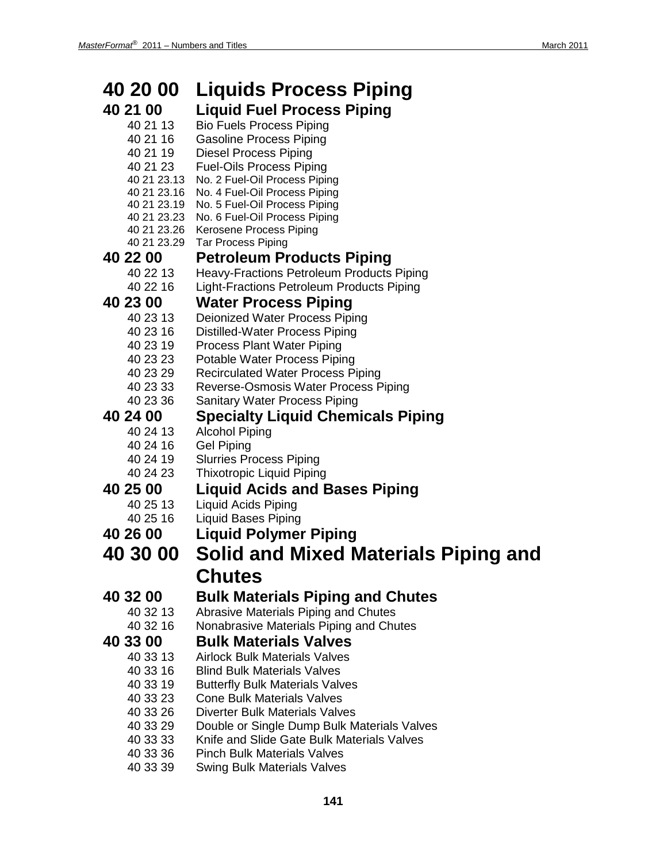| 40 20 00             | <b>Liquids Process Piping</b>                                                             |
|----------------------|-------------------------------------------------------------------------------------------|
| 40 21 00             | <b>Liquid Fuel Process Piping</b>                                                         |
| 40 21 13             | <b>Bio Fuels Process Piping</b>                                                           |
| 40 21 16             | <b>Gasoline Process Piping</b>                                                            |
| 40 21 19             | <b>Diesel Process Piping</b>                                                              |
| 40 21 23             | <b>Fuel-Oils Process Piping</b>                                                           |
| 40 21 23.13          | No. 2 Fuel-Oil Process Piping                                                             |
| 40 21 23.16          | No. 4 Fuel-Oil Process Piping                                                             |
| 40 21 23.19          | No. 5 Fuel-Oil Process Piping<br>40 21 23.23 No. 6 Fuel-Oil Process Piping                |
|                      | 40 21 23.26 Kerosene Process Piping                                                       |
| 40 21 23.29          | <b>Tar Process Piping</b>                                                                 |
| 40 22 00             | <b>Petroleum Products Piping</b>                                                          |
| 40 22 13             | <b>Heavy-Fractions Petroleum Products Piping</b>                                          |
| 40 22 16             | Light-Fractions Petroleum Products Piping                                                 |
| 40 23 00             | <b>Water Process Piping</b>                                                               |
| 40 23 13             | Deionized Water Process Piping                                                            |
| 40 23 16             | <b>Distilled-Water Process Piping</b>                                                     |
| 40 23 19             | <b>Process Plant Water Piping</b>                                                         |
| 40 23 23             | Potable Water Process Piping                                                              |
| 40 23 29             | <b>Recirculated Water Process Piping</b>                                                  |
| 40 23 33             | Reverse-Osmosis Water Process Piping                                                      |
| 40 23 36             | <b>Sanitary Water Process Piping</b>                                                      |
| 40 24 00             | <b>Specialty Liquid Chemicals Piping</b>                                                  |
| 40 24 13             | <b>Alcohol Piping</b>                                                                     |
| 40 24 16             | <b>Gel Piping</b>                                                                         |
| 40 24 19<br>40 24 23 | <b>Slurries Process Piping</b>                                                            |
|                      | <b>Thixotropic Liquid Piping</b>                                                          |
| 40 25 00             | <b>Liquid Acids and Bases Piping</b>                                                      |
| 40 25 13<br>40 25 16 | <b>Liquid Acids Piping</b><br><b>Liquid Bases Piping</b>                                  |
| 40 26 00             |                                                                                           |
|                      | <b>Liquid Polymer Piping</b>                                                              |
| <b>40 30 00</b>      | <b>Solid and Mixed Materials Piping and</b>                                               |
|                      | <b>Chutes</b>                                                                             |
| 40 32 00             | <b>Bulk Materials Piping and Chutes</b>                                                   |
| 40 32 13             | Abrasive Materials Piping and Chutes                                                      |
| 40 32 16             | Nonabrasive Materials Piping and Chutes                                                   |
| 40 33 00             | <b>Bulk Materials Valves</b>                                                              |
| 40 33 13             | <b>Airlock Bulk Materials Valves</b>                                                      |
| 40 33 16             | <b>Blind Bulk Materials Valves</b>                                                        |
| 40 33 19             | <b>Butterfly Bulk Materials Valves</b>                                                    |
| 40 33 23             | <b>Cone Bulk Materials Valves</b>                                                         |
| 40 33 26             | <b>Diverter Bulk Materials Valves</b>                                                     |
| 40 33 29<br>40 33 33 | Double or Single Dump Bulk Materials Valves<br>Knife and Slide Gate Bulk Materials Valves |
| 40 33 36             | <b>Pinch Bulk Materials Valves</b>                                                        |
| 40 33 39             | <b>Swing Bulk Materials Valves</b>                                                        |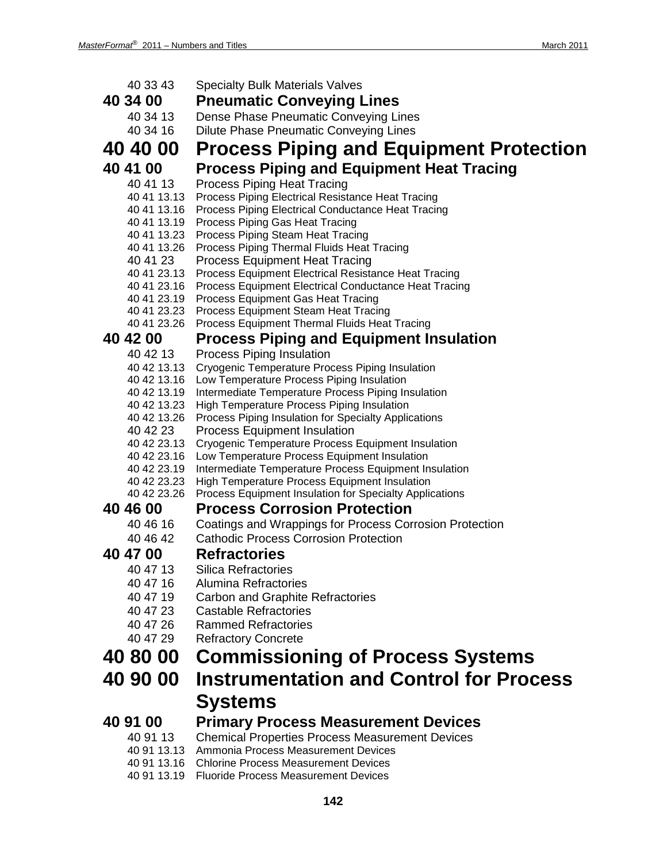| 40 33 43<br><b>Specialty Bulk Materials Valves</b><br>40 34 00<br><b>Pneumatic Conveying Lines</b><br>Dense Phase Pneumatic Conveying Lines<br>40 34 13<br>40 34 16<br><b>Dilute Phase Pneumatic Conveying Lines</b><br>40 40 00<br><b>Process Piping and Equipment Protection</b><br><b>Process Piping and Equipment Heat Tracing</b><br>40 41 00<br>40 41 13<br><b>Process Piping Heat Tracing</b><br>40 41 13.13<br>Process Piping Electrical Resistance Heat Tracing<br>40 41 13.16<br>Process Piping Electrical Conductance Heat Tracing<br>40 41 13.19<br>Process Piping Gas Heat Tracing<br>40 41 13.23<br>Process Piping Steam Heat Tracing<br>40 41 13.26<br>Process Piping Thermal Fluids Heat Tracing<br>40 41 23<br><b>Process Equipment Heat Tracing</b><br>40 41 23.13<br>Process Equipment Electrical Resistance Heat Tracing<br>40 41 23.16<br>Process Equipment Electrical Conductance Heat Tracing<br>40 41 23.19<br>Process Equipment Gas Heat Tracing<br>40 41 23.23<br>Process Equipment Steam Heat Tracing<br>40 41 23.26<br>Process Equipment Thermal Fluids Heat Tracing<br>40 42 00<br><b>Process Piping and Equipment Insulation</b><br>40 42 13<br>Process Piping Insulation<br><b>Cryogenic Temperature Process Piping Insulation</b><br>40 42 13.13 |  |
|----------------------------------------------------------------------------------------------------------------------------------------------------------------------------------------------------------------------------------------------------------------------------------------------------------------------------------------------------------------------------------------------------------------------------------------------------------------------------------------------------------------------------------------------------------------------------------------------------------------------------------------------------------------------------------------------------------------------------------------------------------------------------------------------------------------------------------------------------------------------------------------------------------------------------------------------------------------------------------------------------------------------------------------------------------------------------------------------------------------------------------------------------------------------------------------------------------------------------------------------------------------------------------|--|
|                                                                                                                                                                                                                                                                                                                                                                                                                                                                                                                                                                                                                                                                                                                                                                                                                                                                                                                                                                                                                                                                                                                                                                                                                                                                                  |  |
|                                                                                                                                                                                                                                                                                                                                                                                                                                                                                                                                                                                                                                                                                                                                                                                                                                                                                                                                                                                                                                                                                                                                                                                                                                                                                  |  |
|                                                                                                                                                                                                                                                                                                                                                                                                                                                                                                                                                                                                                                                                                                                                                                                                                                                                                                                                                                                                                                                                                                                                                                                                                                                                                  |  |
|                                                                                                                                                                                                                                                                                                                                                                                                                                                                                                                                                                                                                                                                                                                                                                                                                                                                                                                                                                                                                                                                                                                                                                                                                                                                                  |  |
|                                                                                                                                                                                                                                                                                                                                                                                                                                                                                                                                                                                                                                                                                                                                                                                                                                                                                                                                                                                                                                                                                                                                                                                                                                                                                  |  |
|                                                                                                                                                                                                                                                                                                                                                                                                                                                                                                                                                                                                                                                                                                                                                                                                                                                                                                                                                                                                                                                                                                                                                                                                                                                                                  |  |
|                                                                                                                                                                                                                                                                                                                                                                                                                                                                                                                                                                                                                                                                                                                                                                                                                                                                                                                                                                                                                                                                                                                                                                                                                                                                                  |  |
|                                                                                                                                                                                                                                                                                                                                                                                                                                                                                                                                                                                                                                                                                                                                                                                                                                                                                                                                                                                                                                                                                                                                                                                                                                                                                  |  |
|                                                                                                                                                                                                                                                                                                                                                                                                                                                                                                                                                                                                                                                                                                                                                                                                                                                                                                                                                                                                                                                                                                                                                                                                                                                                                  |  |
|                                                                                                                                                                                                                                                                                                                                                                                                                                                                                                                                                                                                                                                                                                                                                                                                                                                                                                                                                                                                                                                                                                                                                                                                                                                                                  |  |
|                                                                                                                                                                                                                                                                                                                                                                                                                                                                                                                                                                                                                                                                                                                                                                                                                                                                                                                                                                                                                                                                                                                                                                                                                                                                                  |  |
|                                                                                                                                                                                                                                                                                                                                                                                                                                                                                                                                                                                                                                                                                                                                                                                                                                                                                                                                                                                                                                                                                                                                                                                                                                                                                  |  |
|                                                                                                                                                                                                                                                                                                                                                                                                                                                                                                                                                                                                                                                                                                                                                                                                                                                                                                                                                                                                                                                                                                                                                                                                                                                                                  |  |
|                                                                                                                                                                                                                                                                                                                                                                                                                                                                                                                                                                                                                                                                                                                                                                                                                                                                                                                                                                                                                                                                                                                                                                                                                                                                                  |  |
|                                                                                                                                                                                                                                                                                                                                                                                                                                                                                                                                                                                                                                                                                                                                                                                                                                                                                                                                                                                                                                                                                                                                                                                                                                                                                  |  |
|                                                                                                                                                                                                                                                                                                                                                                                                                                                                                                                                                                                                                                                                                                                                                                                                                                                                                                                                                                                                                                                                                                                                                                                                                                                                                  |  |
|                                                                                                                                                                                                                                                                                                                                                                                                                                                                                                                                                                                                                                                                                                                                                                                                                                                                                                                                                                                                                                                                                                                                                                                                                                                                                  |  |
|                                                                                                                                                                                                                                                                                                                                                                                                                                                                                                                                                                                                                                                                                                                                                                                                                                                                                                                                                                                                                                                                                                                                                                                                                                                                                  |  |
|                                                                                                                                                                                                                                                                                                                                                                                                                                                                                                                                                                                                                                                                                                                                                                                                                                                                                                                                                                                                                                                                                                                                                                                                                                                                                  |  |
|                                                                                                                                                                                                                                                                                                                                                                                                                                                                                                                                                                                                                                                                                                                                                                                                                                                                                                                                                                                                                                                                                                                                                                                                                                                                                  |  |
|                                                                                                                                                                                                                                                                                                                                                                                                                                                                                                                                                                                                                                                                                                                                                                                                                                                                                                                                                                                                                                                                                                                                                                                                                                                                                  |  |
| 40 42 13.16<br>Low Temperature Process Piping Insulation                                                                                                                                                                                                                                                                                                                                                                                                                                                                                                                                                                                                                                                                                                                                                                                                                                                                                                                                                                                                                                                                                                                                                                                                                         |  |
| 40 42 13.19<br>Intermediate Temperature Process Piping Insulation                                                                                                                                                                                                                                                                                                                                                                                                                                                                                                                                                                                                                                                                                                                                                                                                                                                                                                                                                                                                                                                                                                                                                                                                                |  |
| 40 42 13.23<br>High Temperature Process Piping Insulation<br>40 42 13.26                                                                                                                                                                                                                                                                                                                                                                                                                                                                                                                                                                                                                                                                                                                                                                                                                                                                                                                                                                                                                                                                                                                                                                                                         |  |
| Process Piping Insulation for Specialty Applications<br>40 42 23<br><b>Process Equipment Insulation</b>                                                                                                                                                                                                                                                                                                                                                                                                                                                                                                                                                                                                                                                                                                                                                                                                                                                                                                                                                                                                                                                                                                                                                                          |  |
| 40 42 23.13<br>Cryogenic Temperature Process Equipment Insulation                                                                                                                                                                                                                                                                                                                                                                                                                                                                                                                                                                                                                                                                                                                                                                                                                                                                                                                                                                                                                                                                                                                                                                                                                |  |
| 40 42 23.16<br>Low Temperature Process Equipment Insulation                                                                                                                                                                                                                                                                                                                                                                                                                                                                                                                                                                                                                                                                                                                                                                                                                                                                                                                                                                                                                                                                                                                                                                                                                      |  |
| 40 42 23.19<br>Intermediate Temperature Process Equipment Insulation                                                                                                                                                                                                                                                                                                                                                                                                                                                                                                                                                                                                                                                                                                                                                                                                                                                                                                                                                                                                                                                                                                                                                                                                             |  |
| High Temperature Process Equipment Insulation<br>40 42 23.23                                                                                                                                                                                                                                                                                                                                                                                                                                                                                                                                                                                                                                                                                                                                                                                                                                                                                                                                                                                                                                                                                                                                                                                                                     |  |
| 40 42 23.26<br>Process Equipment Insulation for Specialty Applications                                                                                                                                                                                                                                                                                                                                                                                                                                                                                                                                                                                                                                                                                                                                                                                                                                                                                                                                                                                                                                                                                                                                                                                                           |  |
| <b>Process Corrosion Protection</b><br>40 46 00                                                                                                                                                                                                                                                                                                                                                                                                                                                                                                                                                                                                                                                                                                                                                                                                                                                                                                                                                                                                                                                                                                                                                                                                                                  |  |
| 40 46 16<br>Coatings and Wrappings for Process Corrosion Protection                                                                                                                                                                                                                                                                                                                                                                                                                                                                                                                                                                                                                                                                                                                                                                                                                                                                                                                                                                                                                                                                                                                                                                                                              |  |
| 40 46 42<br><b>Cathodic Process Corrosion Protection</b>                                                                                                                                                                                                                                                                                                                                                                                                                                                                                                                                                                                                                                                                                                                                                                                                                                                                                                                                                                                                                                                                                                                                                                                                                         |  |
| 40 47 00<br><b>Refractories</b>                                                                                                                                                                                                                                                                                                                                                                                                                                                                                                                                                                                                                                                                                                                                                                                                                                                                                                                                                                                                                                                                                                                                                                                                                                                  |  |
| 40 47 13<br><b>Silica Refractories</b>                                                                                                                                                                                                                                                                                                                                                                                                                                                                                                                                                                                                                                                                                                                                                                                                                                                                                                                                                                                                                                                                                                                                                                                                                                           |  |
| 40 47 16<br>Alumina Refractories                                                                                                                                                                                                                                                                                                                                                                                                                                                                                                                                                                                                                                                                                                                                                                                                                                                                                                                                                                                                                                                                                                                                                                                                                                                 |  |
| 40 47 19<br><b>Carbon and Graphite Refractories</b>                                                                                                                                                                                                                                                                                                                                                                                                                                                                                                                                                                                                                                                                                                                                                                                                                                                                                                                                                                                                                                                                                                                                                                                                                              |  |
| 40 47 23<br><b>Castable Refractories</b>                                                                                                                                                                                                                                                                                                                                                                                                                                                                                                                                                                                                                                                                                                                                                                                                                                                                                                                                                                                                                                                                                                                                                                                                                                         |  |
| 40 47 26<br><b>Rammed Refractories</b>                                                                                                                                                                                                                                                                                                                                                                                                                                                                                                                                                                                                                                                                                                                                                                                                                                                                                                                                                                                                                                                                                                                                                                                                                                           |  |
| 40 47 29<br><b>Refractory Concrete</b>                                                                                                                                                                                                                                                                                                                                                                                                                                                                                                                                                                                                                                                                                                                                                                                                                                                                                                                                                                                                                                                                                                                                                                                                                                           |  |
| 40 80 00<br><b>Commissioning of Process Systems</b>                                                                                                                                                                                                                                                                                                                                                                                                                                                                                                                                                                                                                                                                                                                                                                                                                                                                                                                                                                                                                                                                                                                                                                                                                              |  |
| <b>Instrumentation and Control for Process</b><br>40 90 00                                                                                                                                                                                                                                                                                                                                                                                                                                                                                                                                                                                                                                                                                                                                                                                                                                                                                                                                                                                                                                                                                                                                                                                                                       |  |
|                                                                                                                                                                                                                                                                                                                                                                                                                                                                                                                                                                                                                                                                                                                                                                                                                                                                                                                                                                                                                                                                                                                                                                                                                                                                                  |  |
| <b>Systems</b>                                                                                                                                                                                                                                                                                                                                                                                                                                                                                                                                                                                                                                                                                                                                                                                                                                                                                                                                                                                                                                                                                                                                                                                                                                                                   |  |
| 40 91 00<br><b>Primary Process Measurement Devices</b>                                                                                                                                                                                                                                                                                                                                                                                                                                                                                                                                                                                                                                                                                                                                                                                                                                                                                                                                                                                                                                                                                                                                                                                                                           |  |
| <b>Chemical Properties Process Measurement Devices</b><br>40 91 13                                                                                                                                                                                                                                                                                                                                                                                                                                                                                                                                                                                                                                                                                                                                                                                                                                                                                                                                                                                                                                                                                                                                                                                                               |  |
| 40 91 13.13 Ammonia Process Measurement Devices                                                                                                                                                                                                                                                                                                                                                                                                                                                                                                                                                                                                                                                                                                                                                                                                                                                                                                                                                                                                                                                                                                                                                                                                                                  |  |
| 40 91 13.16 Chlorine Process Measurement Devices                                                                                                                                                                                                                                                                                                                                                                                                                                                                                                                                                                                                                                                                                                                                                                                                                                                                                                                                                                                                                                                                                                                                                                                                                                 |  |

40 91 13.19 Fluoride Process Measurement Devices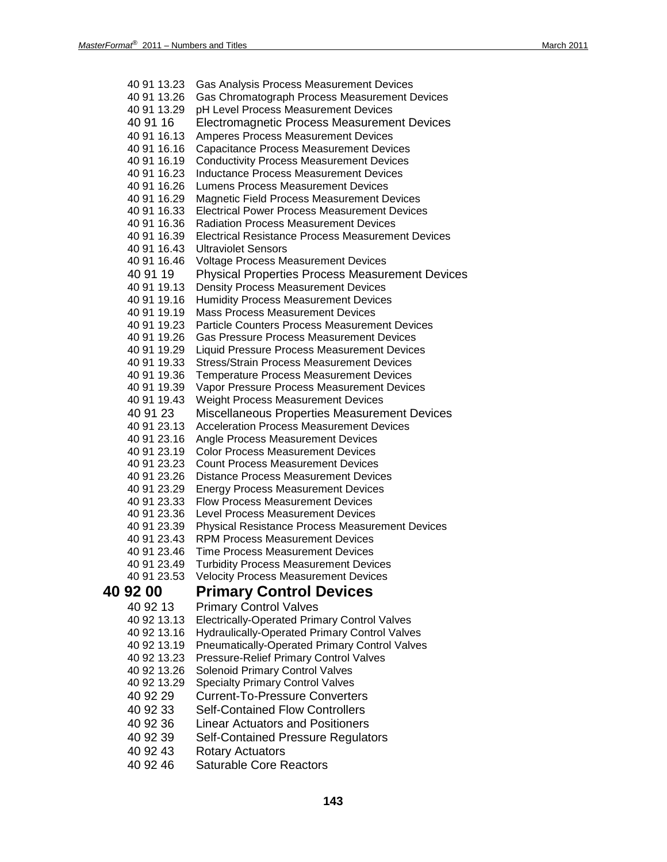| 40 91 13.23                | Gas Analysis Process Measurement Devices                                                                     |
|----------------------------|--------------------------------------------------------------------------------------------------------------|
| 40 91 13.26                | Gas Chromatograph Process Measurement Devices                                                                |
| 40 91 13.29                | pH Level Process Measurement Devices                                                                         |
| 40 91 16                   | Electromagnetic Process Measurement Devices                                                                  |
| 40 91 16.13                | <b>Amperes Process Measurement Devices</b>                                                                   |
| 40 91 16.16                | <b>Capacitance Process Measurement Devices</b>                                                               |
| 40 91 16.19                | <b>Conductivity Process Measurement Devices</b>                                                              |
| 40 91 16.23                | <b>Inductance Process Measurement Devices</b>                                                                |
| 40 91 16.26                | Lumens Process Measurement Devices                                                                           |
| 40 91 16.29                | Magnetic Field Process Measurement Devices                                                                   |
| 40 91 16.33                | <b>Electrical Power Process Measurement Devices</b>                                                          |
| 40 91 16.36                | <b>Radiation Process Measurement Devices</b>                                                                 |
| 40 91 16.39                | <b>Electrical Resistance Process Measurement Devices</b>                                                     |
| 40 91 16.43                | <b>Ultraviolet Sensors</b>                                                                                   |
| 40 91 16.46                | Voltage Process Measurement Devices                                                                          |
| 40 91 19                   | <b>Physical Properties Process Measurement Devices</b>                                                       |
| 40 91 19.13                | <b>Density Process Measurement Devices</b>                                                                   |
| 40 91 19.16                | <b>Humidity Process Measurement Devices</b>                                                                  |
| 40 91 19.19                | <b>Mass Process Measurement Devices</b>                                                                      |
| 40 91 19.23                | <b>Particle Counters Process Measurement Devices</b>                                                         |
| 40 91 19.26                | <b>Gas Pressure Process Measurement Devices</b>                                                              |
| 40 91 19.29                | Liquid Pressure Process Measurement Devices                                                                  |
| 40 91 19.33                | <b>Stress/Strain Process Measurement Devices</b>                                                             |
| 40 91 19.36                | <b>Temperature Process Measurement Devices</b>                                                               |
| 40 91 19.39                | Vapor Pressure Process Measurement Devices                                                                   |
| 40 91 19.43                | Weight Process Measurement Devices                                                                           |
| 40 91 23                   | Miscellaneous Properties Measurement Devices                                                                 |
| 40 91 23.13                | <b>Acceleration Process Measurement Devices</b>                                                              |
| 40 91 23.16                | Angle Process Measurement Devices                                                                            |
| 40 91 23.19                | <b>Color Process Measurement Devices</b>                                                                     |
| 40 91 23.23                | <b>Count Process Measurement Devices</b>                                                                     |
| 40 91 23.26                | <b>Distance Process Measurement Devices</b>                                                                  |
| 40 91 23.29<br>40 91 23.33 | <b>Energy Process Measurement Devices</b>                                                                    |
|                            | <b>Flow Process Measurement Devices</b>                                                                      |
| 40 91 23.36                | <b>Level Process Measurement Devices</b>                                                                     |
| 40 91 23.39<br>40 91 23.43 | <b>Physical Resistance Process Measurement Devices</b><br><b>RPM Process Measurement Devices</b>             |
| 40 91 23.46                | <b>Time Process Measurement Devices</b>                                                                      |
| 40 91 23.49                | Turbidity Process Measurement Devices                                                                        |
| 40 91 23.53                | <b>Velocity Process Measurement Devices</b>                                                                  |
| 40 92 00                   | <b>Primary Control Devices</b>                                                                               |
|                            |                                                                                                              |
| 40 92 13                   | <b>Primary Control Valves</b>                                                                                |
| 40 92 13.13                | <b>Electrically-Operated Primary Control Valves</b>                                                          |
| 40 92 13.16<br>40 92 13.19 | <b>Hydraulically-Operated Primary Control Valves</b><br><b>Pneumatically-Operated Primary Control Valves</b> |
| 40 92 13.23                | <b>Pressure-Relief Primary Control Valves</b>                                                                |
| 40 92 13.26                | <b>Solenoid Primary Control Valves</b>                                                                       |
| 40 92 13.29                | <b>Specialty Primary Control Valves</b>                                                                      |
| 40 92 29                   | <b>Current-To-Pressure Converters</b>                                                                        |
|                            |                                                                                                              |
| 40 92 33                   | <b>Self-Contained Flow Controllers</b>                                                                       |
| 40 92 36                   | <b>Linear Actuators and Positioners</b>                                                                      |
| 40 92 39                   | <b>Self-Contained Pressure Regulators</b>                                                                    |
| 40 92 43                   | <b>Rotary Actuators</b>                                                                                      |
| 40 92 46                   | <b>Saturable Core Reactors</b>                                                                               |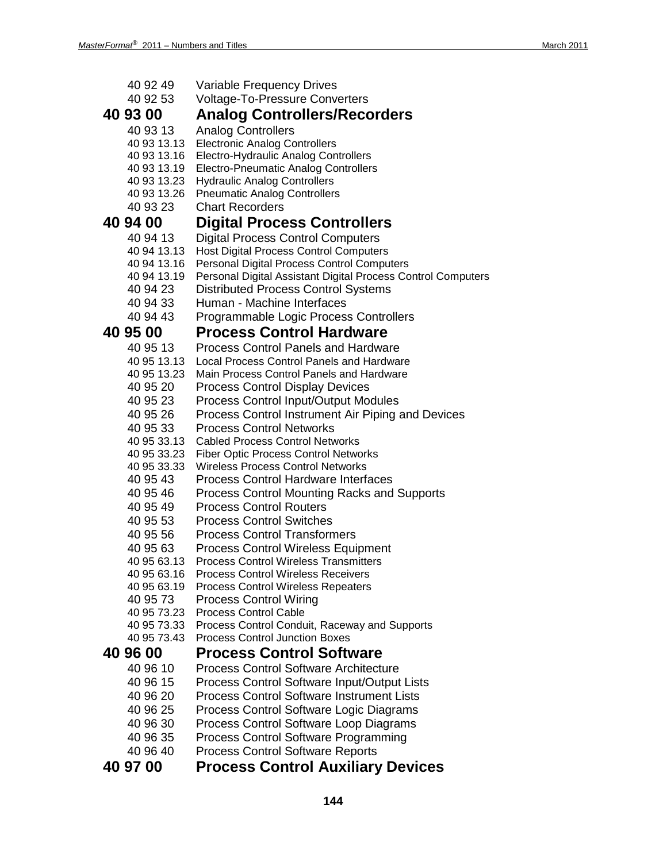| 40 92 49                   | Variable Frequency Drives                                                             |
|----------------------------|---------------------------------------------------------------------------------------|
| 40 92 53                   | <b>Voltage-To-Pressure Converters</b>                                                 |
| 40 93 00                   | <b>Analog Controllers/Recorders</b>                                                   |
| 40 93 13                   | <b>Analog Controllers</b>                                                             |
| 40 93 13.13<br>40 93 13.16 | <b>Electronic Analog Controllers</b><br>Electro-Hydraulic Analog Controllers          |
| 40 93 13.19                | <b>Electro-Pneumatic Analog Controllers</b>                                           |
| 40 93 13.23                | <b>Hydraulic Analog Controllers</b>                                                   |
| 40 93 13.26                | <b>Pneumatic Analog Controllers</b>                                                   |
| 40 93 23                   | <b>Chart Recorders</b>                                                                |
| 40 94 00                   | <b>Digital Process Controllers</b>                                                    |
| 40 94 13                   | <b>Digital Process Control Computers</b>                                              |
| 40 94 13.13                | <b>Host Digital Process Control Computers</b>                                         |
| 40 94 13.16                | <b>Personal Digital Process Control Computers</b>                                     |
| 40 94 13.19                | Personal Digital Assistant Digital Process Control Computers                          |
| 40 94 23                   | <b>Distributed Process Control Systems</b>                                            |
| 40 94 33                   | Human - Machine Interfaces                                                            |
| 40 94 43                   | Programmable Logic Process Controllers                                                |
| 40 95 00                   | <b>Process Control Hardware</b>                                                       |
| 40 95 13                   | <b>Process Control Panels and Hardware</b>                                            |
| 40 95 13.13                | Local Process Control Panels and Hardware                                             |
| 40 95 13.23                | Main Process Control Panels and Hardware                                              |
| 40 95 20                   | <b>Process Control Display Devices</b>                                                |
| 40 95 23                   | <b>Process Control Input/Output Modules</b>                                           |
| 40 95 26                   | Process Control Instrument Air Piping and Devices                                     |
| 40 95 33                   | <b>Process Control Networks</b>                                                       |
| 40 95 33.13<br>40 95 33.23 | <b>Cabled Process Control Networks</b><br><b>Fiber Optic Process Control Networks</b> |
| 40 95 33.33                | <b>Wireless Process Control Networks</b>                                              |
| 40 95 43                   | <b>Process Control Hardware Interfaces</b>                                            |
| 40 95 46                   | <b>Process Control Mounting Racks and Supports</b>                                    |
| 40 95 49                   | <b>Process Control Routers</b>                                                        |
| 40 95 53                   | <b>Process Control Switches</b>                                                       |
| 40 95 56                   | <b>Process Control Transformers</b>                                                   |
| 40 95 63                   | <b>Process Control Wireless Equipment</b>                                             |
| 40 95 63.13                | <b>Process Control Wireless Transmitters</b>                                          |
| 40 95 63.16                | <b>Process Control Wireless Receivers</b>                                             |
| 40 95 63.19                | <b>Process Control Wireless Repeaters</b>                                             |
| 40 95 73<br>40 95 73.23    | <b>Process Control Wiring</b><br><b>Process Control Cable</b>                         |
| 40 95 73.33                | Process Control Conduit, Raceway and Supports                                         |
| 40 95 73.43                | <b>Process Control Junction Boxes</b>                                                 |
| 40 96 00                   | <b>Process Control Software</b>                                                       |
| 40 96 10                   | <b>Process Control Software Architecture</b>                                          |
| 40 96 15                   | Process Control Software Input/Output Lists                                           |
| 40 96 20                   | <b>Process Control Software Instrument Lists</b>                                      |
| 40 96 25                   | Process Control Software Logic Diagrams                                               |
| 40 96 30                   | Process Control Software Loop Diagrams                                                |
| 40 96 35                   | <b>Process Control Software Programming</b>                                           |
| 40 96 40                   | <b>Process Control Software Reports</b>                                               |
| 40 97 00                   | <b>Process Control Auxiliary Devices</b>                                              |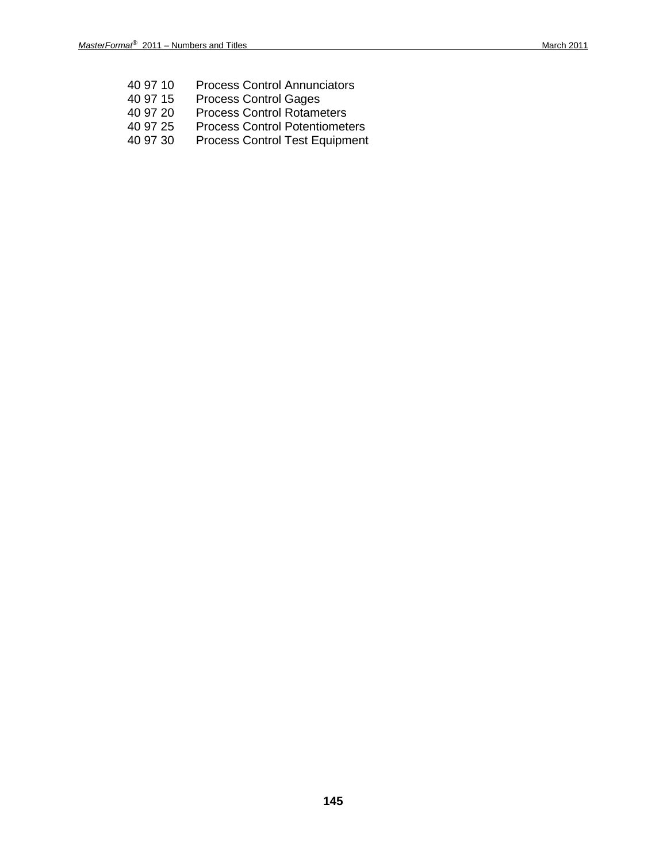- 40 97 10 Process Control Annunciators<br>40 97 15 Process Control Gages
- Process Control Gages
- 40 97 20 Process Control Rotameters<br>40 97 25 Process Control Potentiometers
- 40 97 25 Process Control Potentiometers<br>40 97 30 Process Control Test Equipment
- Process Control Test Equipment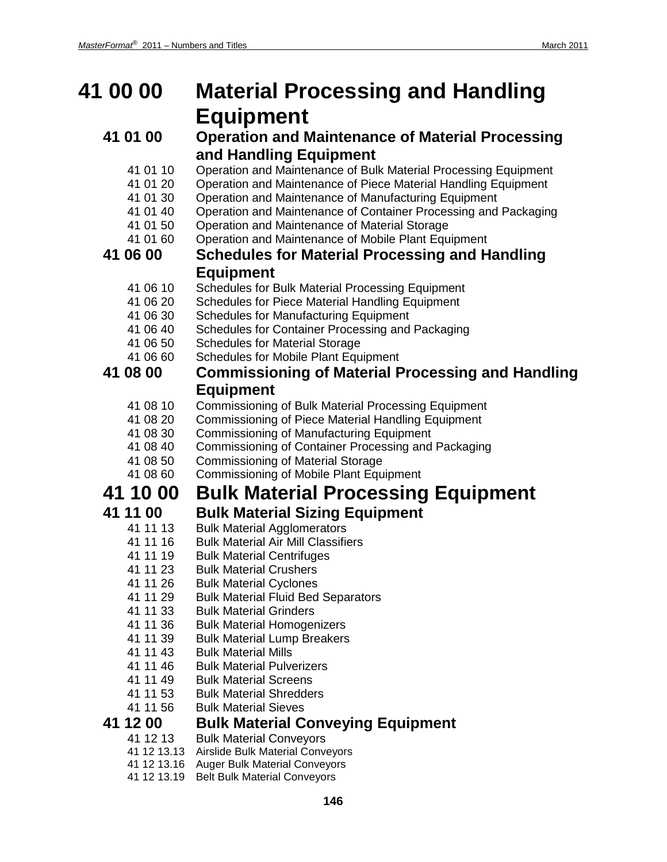## **41 00 00 Material Processing and Handling Equipment**

### **41 01 00 Operation and Maintenance of Material Processing and Handling Equipment**

- 41 01 10 Operation and Maintenance of Bulk Material Processing Equipment
- 41 01 20 Operation and Maintenance of Piece Material Handling Equipment
- 41 01 30 Operation and Maintenance of Manufacturing Equipment<br>41 01 40 Operation and Maintenance of Container Processing and
- 41 01 40 Operation and Maintenance of Container Processing and Packaging
- 41 01 50 Operation and Maintenance of Material Storage
- 41 01 60 Operation and Maintenance of Mobile Plant Equipment

### **41 06 00 Schedules for Material Processing and Handling Equipment**

- 41 06 10 Schedules for Bulk Material Processing Equipment
- 41 06 20 Schedules for Piece Material Handling Equipment
- 41 06 30 Schedules for Manufacturing Equipment
- 41 06 40 Schedules for Container Processing and Packaging<br>41 06 50 Schedules for Material Storage
- Schedules for Material Storage
- 41 06 60 Schedules for Mobile Plant Equipment

### **41 08 00 Commissioning of Material Processing and Handling Equipment**

- 41 08 10 Commissioning of Bulk Material Processing Equipment
- 41 08 20 Commissioning of Piece Material Handling Equipment
- 41 08 30 Commissioning of Manufacturing Equipment
- 41 08 40 Commissioning of Container Processing and Packaging
- 41 08 50 Commissioning of Material Storage<br>41 08 60 Commissioning of Mobile Plant Equ
- Commissioning of Mobile Plant Equipment

## **41 10 00 Bulk Material Processing Equipment**

# **41 11 00 Bulk Material Sizing Equipment**

- **Bulk Material Agglomerators**
- 41 11 16 Bulk Material Air Mill Classifiers
- 41 11 19 Bulk Material Centrifuges
- 41 11 23 Bulk Material Crushers
- 41 11 26 Bulk Material Cyclones
- 41 11 29 Bulk Material Fluid Bed Separators
- 41 11 33 Bulk Material Grinders<br>41 11 36 Bulk Material Homoger
- **Bulk Material Homogenizers**
- 41 11 39 Bulk Material Lump Breakers
- 41 11 43 Bulk Material Mills
- 41 11 46 Bulk Material Pulverizers<br>41 11 49 Bulk Material Screens
- **Bulk Material Screens**
- 41 11 53 Bulk Material Shredders
- 41 11 56 Bulk Material Sieves

## **41 12 00 Bulk Material Conveying Equipment**

- 41 12 13 Bulk Material Conveyors
- 41 12 13.13 Airslide Bulk Material Conveyors
- 41 12 13.16 Auger Bulk Material Conveyors
- 41 12 13.19 Belt Bulk Material Conveyors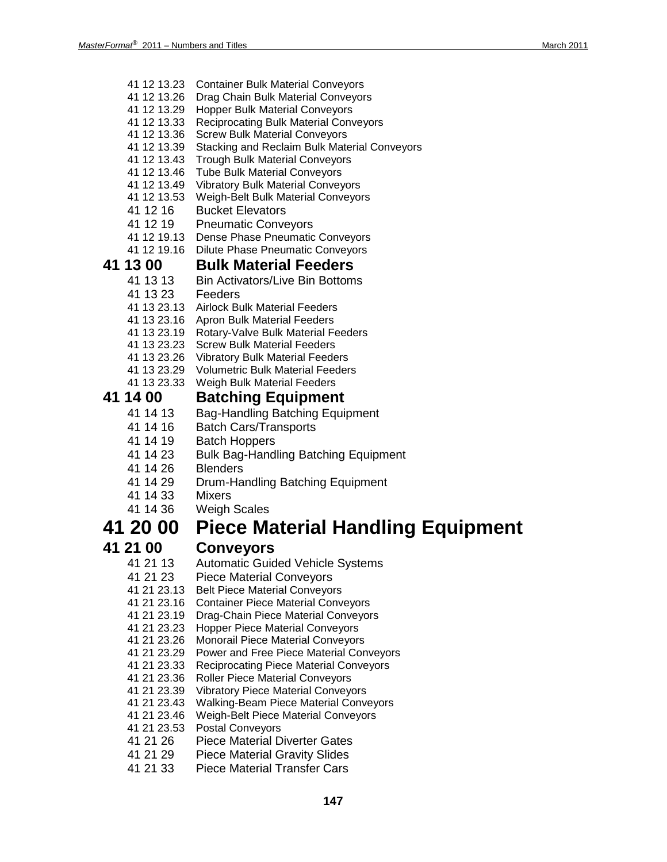- 41 12 13.23 Container Bulk Material Conveyors
- 41 12 13.26 Drag Chain Bulk Material Conveyors
- 41 12 13.29 Hopper Bulk Material Conveyors
- 41 12 13.33 Reciprocating Bulk Material Conveyors
- 41 12 13.36 Screw Bulk Material Conveyors
- 41 12 13.39 Stacking and Reclaim Bulk Material Conveyors
- 41 12 13.43 Trough Bulk Material Conveyors
- 41 12 13.46 Tube Bulk Material Conveyors
- 41 12 13.49 Vibratory Bulk Material Conveyors
- 41 12 13.53 Weigh-Belt Bulk Material Conveyors
- 41 12 16 Bucket Elevators
- 41 12 19 Pneumatic Conveyors
- 41 12 19.13 Dense Phase Pneumatic Conveyors
- 41 12 19.16 Dilute Phase Pneumatic Conveyors

# **41 13 00 Bulk Material Feeders**

- **Bin Activators/Live Bin Bottoms**
- 41 13 23 Feeders
- 41 13 23.13 Airlock Bulk Material Feeders
- 41 13 23.16 Apron Bulk Material Feeders
- 41 13 23.19 Rotary-Valve Bulk Material Feeders
- 41 13 23.23 Screw Bulk Material Feeders
- 41 13 23.26 Vibratory Bulk Material Feeders
- 41 13 23.29 Volumetric Bulk Material Feeders
- 41 13 23.33 Weigh Bulk Material Feeders

# **41 14 00 Batching Equipment**

- Bag-Handling Batching Equipment
- 41 14 16 Batch Cars/Transports
- 41 14 19 Batch Hoppers
- 41 14 23 Bulk Bag-Handling Batching Equipment
- 41 14 26 Blenders
- 41 14 29 Drum-Handling Batching Equipment
- 41 14 33 Mixers
	- **Weigh Scales**

### **41 20 00 Piece Material Handling Equipment**

- **41 21 00 Conveyors** Automatic Guided Vehicle Systems
	- 41 21 23 Piece Material Conveyors
	- 41 21 23.13 Belt Piece Material Conveyors
	- 41 21 23.16 Container Piece Material Conveyors
	- 41 21 23.19 Drag-Chain Piece Material Conveyors
	- 41 21 23.23 Hopper Piece Material Conveyors
	- 41 21 23.26 Monorail Piece Material Conveyors
	- 41 21 23.29 Power and Free Piece Material Conveyors
	- 41 21 23.33 Reciprocating Piece Material Conveyors
	- 41 21 23.36 Roller Piece Material Conveyors
	- 41 21 23.39 Vibratory Piece Material Conveyors
	- 41 21 23.43 Walking-Beam Piece Material Conveyors
	- 41 21 23.46 Weigh-Belt Piece Material Conveyors
	- 41 21 23.53 Postal Conveyors
	- 41 21 26 Piece Material Diverter Gates
	- 41 21 29 Piece Material Gravity Slides
	- 41 21 33 Piece Material Transfer Cars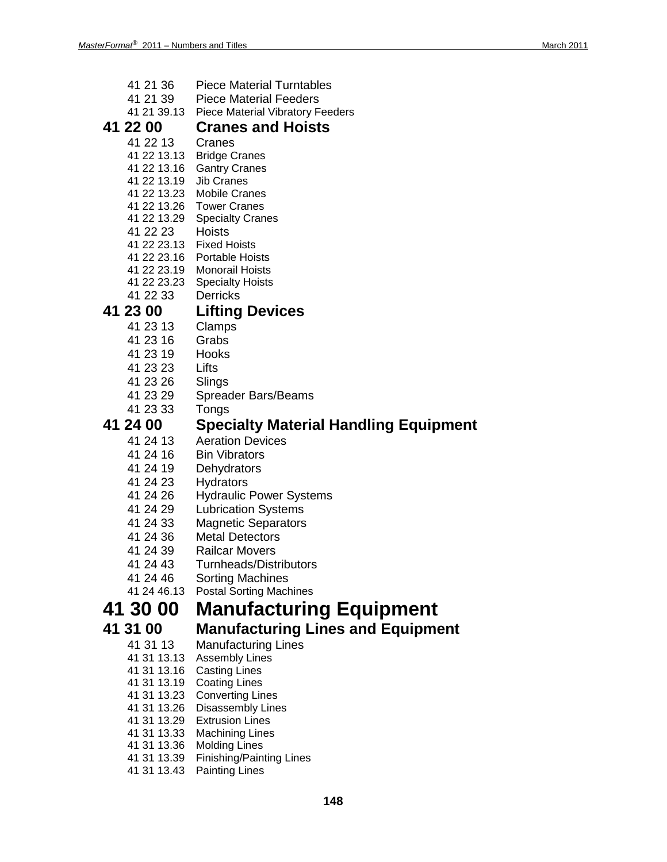| 41 21 36<br>41 21 39       | <b>Piece Material Turntables</b><br><b>Piece Material Feeders</b> |
|----------------------------|-------------------------------------------------------------------|
|                            | 41 21 39.13 Piece Material Vibratory Feeders                      |
| 41 22 00                   | <b>Cranes and Hoists</b>                                          |
| 41 22 13                   | Cranes                                                            |
|                            | 41 22 13.13 Bridge Cranes                                         |
|                            | 41 22 13.16 Gantry Cranes                                         |
| 41 22 13.19 Jib Cranes     |                                                                   |
|                            | 41 22 13.23 Mobile Cranes                                         |
|                            | 41 22 13.26  Tower Cranes                                         |
|                            | 41 22 13.29 Specialty Cranes                                      |
| 41 22 23                   | Hoists                                                            |
|                            | 41 22 23.13 Fixed Hoists<br>41 22 23.16 Portable Hoists           |
|                            | 41 22 23.19 Monorail Hoists                                       |
|                            | 41 22 23.23 Specialty Hoists                                      |
| 41 22 33                   | <b>Derricks</b>                                                   |
| 41 23 00                   | <b>Lifting Devices</b>                                            |
| 41 23 13                   | Clamps                                                            |
| 41 23 16                   | Grabs                                                             |
| 41 23 19                   | Hooks                                                             |
| 41 23 23                   | Lifts                                                             |
| 41 23 26                   | Slings                                                            |
| 41 23 29                   | <b>Spreader Bars/Beams</b>                                        |
| 41 23 33                   | Tongs                                                             |
| 41 24 00                   | <b>Specialty Material Handling Equipment</b>                      |
| 41 24 13                   | <b>Aeration Devices</b>                                           |
| 41 24 16                   | <b>Bin Vibrators</b>                                              |
| 41 24 19                   | Dehydrators                                                       |
| 41 24 23                   | <b>Hydrators</b>                                                  |
| 41 24 26                   | <b>Hydraulic Power Systems</b>                                    |
| 41 24 29                   | <b>Lubrication Systems</b>                                        |
| 41 24 33                   | <b>Magnetic Separators</b>                                        |
| 41 24 36                   | <b>Metal Detectors</b>                                            |
| 41 24 39<br>41 24 43       | <b>Railcar Movers</b><br><b>Turnheads/Distributors</b>            |
| 41 24 46                   | <b>Sorting Machines</b>                                           |
| 41 24 46.13                | <b>Postal Sorting Machines</b>                                    |
| 41 30 00                   | <b>Manufacturing Equipment</b>                                    |
| 41 31 00                   |                                                                   |
|                            | <b>Manufacturing Lines and Equipment</b>                          |
| 41 31 13<br>41 31 13.13    | <b>Manufacturing Lines</b><br><b>Assembly Lines</b>               |
| 41 31 13.16                | <b>Casting Lines</b>                                              |
| 41 31 13.19                | <b>Coating Lines</b>                                              |
| 41 31 13.23                | <b>Converting Lines</b>                                           |
| 41 31 13.26                | Disassembly Lines                                                 |
| 41 31 13.29                | <b>Extrusion Lines</b>                                            |
| 41 31 13.33                | <b>Machining Lines</b>                                            |
| 41 31 13.36<br>41 31 13.39 | <b>Molding Lines</b><br><b>Finishing/Painting Lines</b>           |
| 41 31 13.43                | <b>Painting Lines</b>                                             |
|                            |                                                                   |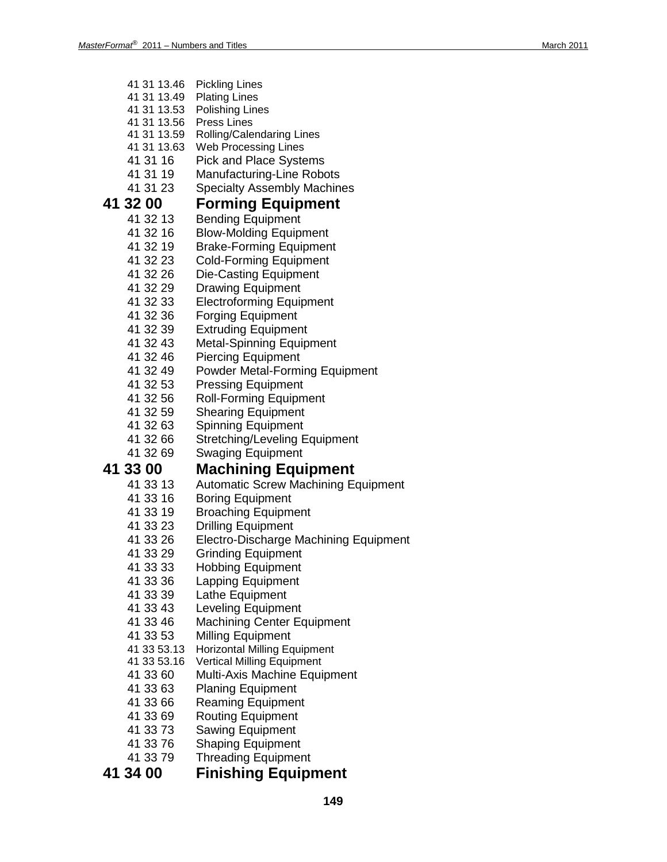| 41 31 13.46<br>41 31 13.49<br>41 31 13.53<br>41 31 13.56<br>41 31 13.59<br>41 31 13.63<br>41 31 16<br>41 31 19<br>41 31 23 | <b>Pickling Lines</b><br><b>Plating Lines</b><br><b>Polishing Lines</b><br><b>Press Lines</b><br>Rolling/Calendaring Lines<br><b>Web Processing Lines</b><br><b>Pick and Place Systems</b><br><b>Manufacturing-Line Robots</b><br><b>Specialty Assembly Machines</b> |
|----------------------------------------------------------------------------------------------------------------------------|----------------------------------------------------------------------------------------------------------------------------------------------------------------------------------------------------------------------------------------------------------------------|
| 41 32 00                                                                                                                   | <b>Forming Equipment</b>                                                                                                                                                                                                                                             |
| 41 32 13                                                                                                                   | <b>Bending Equipment</b>                                                                                                                                                                                                                                             |
| 41 32 16                                                                                                                   | <b>Blow-Molding Equipment</b>                                                                                                                                                                                                                                        |
| 41 32 19                                                                                                                   | <b>Brake-Forming Equipment</b>                                                                                                                                                                                                                                       |
| 41 32 23                                                                                                                   | <b>Cold-Forming Equipment</b>                                                                                                                                                                                                                                        |
| 41 32 26<br>41 32 29                                                                                                       | <b>Die-Casting Equipment</b>                                                                                                                                                                                                                                         |
| 41 32 33                                                                                                                   | <b>Drawing Equipment</b><br><b>Electroforming Equipment</b>                                                                                                                                                                                                          |
| 41 32 36                                                                                                                   | <b>Forging Equipment</b>                                                                                                                                                                                                                                             |
| 41 32 39                                                                                                                   | <b>Extruding Equipment</b>                                                                                                                                                                                                                                           |
| 41 32 43                                                                                                                   | <b>Metal-Spinning Equipment</b>                                                                                                                                                                                                                                      |
| 41 32 46                                                                                                                   | <b>Piercing Equipment</b>                                                                                                                                                                                                                                            |
| 41 32 49                                                                                                                   | <b>Powder Metal-Forming Equipment</b>                                                                                                                                                                                                                                |
| 41 32 53                                                                                                                   | <b>Pressing Equipment</b>                                                                                                                                                                                                                                            |
| 41 32 56                                                                                                                   | <b>Roll-Forming Equipment</b>                                                                                                                                                                                                                                        |
| 41 32 59                                                                                                                   | <b>Shearing Equipment</b>                                                                                                                                                                                                                                            |
| 41 32 63                                                                                                                   | <b>Spinning Equipment</b>                                                                                                                                                                                                                                            |
| 41 32 66                                                                                                                   | <b>Stretching/Leveling Equipment</b>                                                                                                                                                                                                                                 |
| 41 32 69                                                                                                                   | <b>Swaging Equipment</b>                                                                                                                                                                                                                                             |
| 41 33 00                                                                                                                   | <b>Machining Equipment</b>                                                                                                                                                                                                                                           |
| 41 33 13                                                                                                                   | <b>Automatic Screw Machining Equipment</b>                                                                                                                                                                                                                           |
| 41 33 16                                                                                                                   | <b>Boring Equipment</b>                                                                                                                                                                                                                                              |
| 41 33 19                                                                                                                   | <b>Broaching Equipment</b>                                                                                                                                                                                                                                           |
|                                                                                                                            |                                                                                                                                                                                                                                                                      |
| 41 33 23                                                                                                                   | <b>Drilling Equipment</b>                                                                                                                                                                                                                                            |
| 41 33 26                                                                                                                   | Electro-Discharge Machining Equipment                                                                                                                                                                                                                                |
| 41 33 29                                                                                                                   | <b>Grinding Equipment</b>                                                                                                                                                                                                                                            |
| 41 33 33                                                                                                                   | <b>Hobbing Equipment</b>                                                                                                                                                                                                                                             |
| 41 33 36                                                                                                                   | <b>Lapping Equipment</b>                                                                                                                                                                                                                                             |
| 41 33 39                                                                                                                   | Lathe Equipment                                                                                                                                                                                                                                                      |
| 41 33 43                                                                                                                   | <b>Leveling Equipment</b>                                                                                                                                                                                                                                            |
| 41 33 46                                                                                                                   | <b>Machining Center Equipment</b>                                                                                                                                                                                                                                    |
| 41 33 53<br>41 33 53.13                                                                                                    | <b>Milling Equipment</b><br><b>Horizontal Milling Equipment</b>                                                                                                                                                                                                      |
| 41 33 53.16                                                                                                                | Vertical Milling Equipment                                                                                                                                                                                                                                           |
| 41 33 60                                                                                                                   | <b>Multi-Axis Machine Equipment</b>                                                                                                                                                                                                                                  |
| 41 33 63                                                                                                                   | <b>Planing Equipment</b>                                                                                                                                                                                                                                             |
| 41 33 66                                                                                                                   | <b>Reaming Equipment</b>                                                                                                                                                                                                                                             |
| 41 33 69                                                                                                                   | <b>Routing Equipment</b>                                                                                                                                                                                                                                             |
| 41 33 73                                                                                                                   | <b>Sawing Equipment</b>                                                                                                                                                                                                                                              |
| 41 33 76                                                                                                                   | <b>Shaping Equipment</b>                                                                                                                                                                                                                                             |
| 41 33 79<br>41 34 00                                                                                                       | <b>Threading Equipment</b><br><b>Finishing Equipment</b>                                                                                                                                                                                                             |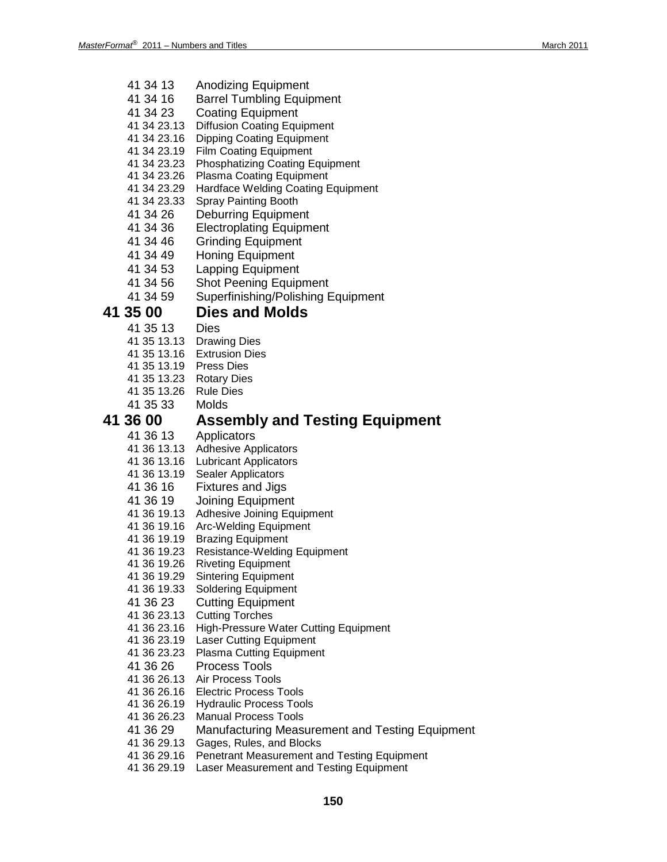| 41 34 13<br>41 34 16<br>41 34 23<br>41 34 23.13<br>41 34 23.16<br>41 34 23.19<br>41 34 23.23<br>41 34 23.26<br>41 34 23.29<br>41 34 23.33<br>41 34 26<br>41 34 36 | <b>Anodizing Equipment</b><br><b>Barrel Tumbling Equipment</b><br><b>Coating Equipment</b><br><b>Diffusion Coating Equipment</b><br><b>Dipping Coating Equipment</b><br><b>Film Coating Equipment</b><br><b>Phosphatizing Coating Equipment</b><br><b>Plasma Coating Equipment</b><br>Hardface Welding Coating Equipment<br>Spray Painting Booth<br><b>Deburring Equipment</b><br><b>Electroplating Equipment</b> |
|-------------------------------------------------------------------------------------------------------------------------------------------------------------------|-------------------------------------------------------------------------------------------------------------------------------------------------------------------------------------------------------------------------------------------------------------------------------------------------------------------------------------------------------------------------------------------------------------------|
| 41 34 46                                                                                                                                                          | <b>Grinding Equipment</b>                                                                                                                                                                                                                                                                                                                                                                                         |
| 41 34 49                                                                                                                                                          | <b>Honing Equipment</b>                                                                                                                                                                                                                                                                                                                                                                                           |
| 41 34 53                                                                                                                                                          | <b>Lapping Equipment</b>                                                                                                                                                                                                                                                                                                                                                                                          |
| 41 34 56                                                                                                                                                          | <b>Shot Peening Equipment</b>                                                                                                                                                                                                                                                                                                                                                                                     |
| 41 34 59                                                                                                                                                          | Superfinishing/Polishing Equipment                                                                                                                                                                                                                                                                                                                                                                                |
| 41 35 00                                                                                                                                                          | <b>Dies and Molds</b>                                                                                                                                                                                                                                                                                                                                                                                             |
| 41 35 13                                                                                                                                                          | Dies<br>41 35 13.13 Drawing Dies                                                                                                                                                                                                                                                                                                                                                                                  |
|                                                                                                                                                                   | 41 35 13.16 Extrusion Dies                                                                                                                                                                                                                                                                                                                                                                                        |
| 41 35 13.19 Press Dies                                                                                                                                            |                                                                                                                                                                                                                                                                                                                                                                                                                   |
| 41 35 13.23 Rotary Dies                                                                                                                                           |                                                                                                                                                                                                                                                                                                                                                                                                                   |
| 41 35 13.26                                                                                                                                                       | <b>Rule Dies</b>                                                                                                                                                                                                                                                                                                                                                                                                  |
| 41 35 33                                                                                                                                                          | Molds                                                                                                                                                                                                                                                                                                                                                                                                             |
| <b>41 36 00</b>                                                                                                                                                   | <b>Assembly and Testing Equipment</b>                                                                                                                                                                                                                                                                                                                                                                             |
| 41 36 13<br>41 36 13.13<br>41 36 13.16<br>41 36 13.19<br>41 36 16<br>41 36 19<br>41 36 19.13<br>41 36 19.16<br>41 36 19.19                                        | Applicators<br><b>Adhesive Applicators</b><br><b>Lubricant Applicators</b><br>Sealer Applicators<br><b>Fixtures and Jigs</b><br><b>Joining Equipment</b><br>Adhesive Joining Equipment<br><b>Arc-Welding Equipment</b><br><b>Brazing Equipment</b>                                                                                                                                                                |
| 41 36 19.23                                                                                                                                                       | <b>Resistance-Welding Equipment</b><br>41 36 19.26 Riveting Equipment                                                                                                                                                                                                                                                                                                                                             |
| 41 36 19.29                                                                                                                                                       | <b>Sintering Equipment</b>                                                                                                                                                                                                                                                                                                                                                                                        |
| 41 36 19.33                                                                                                                                                       | Soldering Equipment                                                                                                                                                                                                                                                                                                                                                                                               |
| 41 36 23                                                                                                                                                          | <b>Cutting Equipment</b>                                                                                                                                                                                                                                                                                                                                                                                          |
| 41 36 23.13                                                                                                                                                       | <b>Cutting Torches</b>                                                                                                                                                                                                                                                                                                                                                                                            |
| 41 36 23.16<br>41 36 23.19                                                                                                                                        | High-Pressure Water Cutting Equipment<br><b>Laser Cutting Equipment</b>                                                                                                                                                                                                                                                                                                                                           |
| 41 36 23.23                                                                                                                                                       | <b>Plasma Cutting Equipment</b>                                                                                                                                                                                                                                                                                                                                                                                   |
| 41 36 26                                                                                                                                                          | <b>Process Tools</b>                                                                                                                                                                                                                                                                                                                                                                                              |
| 41 36 26.13                                                                                                                                                       | Air Process Tools                                                                                                                                                                                                                                                                                                                                                                                                 |
| 41 36 26.16                                                                                                                                                       | <b>Electric Process Tools</b>                                                                                                                                                                                                                                                                                                                                                                                     |
| 41 36 26.19                                                                                                                                                       | <b>Hydraulic Process Tools</b>                                                                                                                                                                                                                                                                                                                                                                                    |
| 41 36 26.23                                                                                                                                                       | <b>Manual Process Tools</b>                                                                                                                                                                                                                                                                                                                                                                                       |
| 41 36 29<br>41 36 29.13                                                                                                                                           | <b>Manufacturing Measurement and Testing Equipment</b><br>Gages, Rules, and Blocks                                                                                                                                                                                                                                                                                                                                |
| 41 36 29.16                                                                                                                                                       | Penetrant Measurement and Testing Equipment                                                                                                                                                                                                                                                                                                                                                                       |
| 41 36 29.19                                                                                                                                                       | Laser Measurement and Testing Equipment                                                                                                                                                                                                                                                                                                                                                                           |
|                                                                                                                                                                   |                                                                                                                                                                                                                                                                                                                                                                                                                   |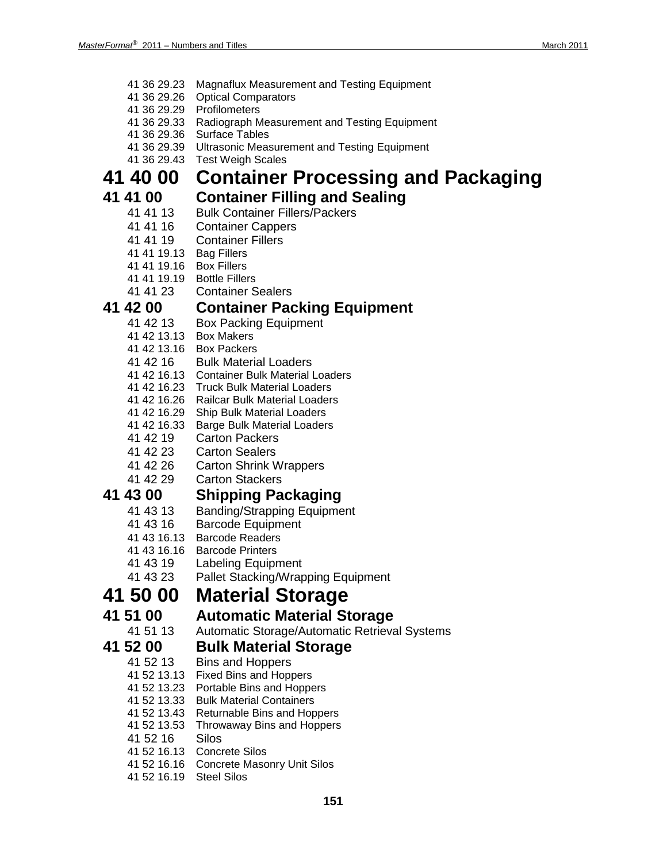- 41 36 29.23 Magnaflux Measurement and Testing Equipment
- 41 36 29.26 Optical Comparators
- 41 36 29.29 Profilometers
- 41 36 29.33 Radiograph Measurement and Testing Equipment
- 41 36 29.36 Surface Tables
- 41 36 29.39 Ultrasonic Measurement and Testing Equipment
- 41 36 29.43 Test Weigh Scales

### **41 40 00 Container Processing and Packaging**

### **41 41 00 Container Filling and Sealing**

- 41 41 13 Bulk Container Fillers/Packers
- 41 41 16 Container Cappers
- 41 41 19 Container Fillers
- 41 41 19.13 Bag Fillers
- 41 41 19.16 Box Fillers
- 41 41 19.19 Bottle Fillers
- 41 41 23 Container Sealers

# **41 42 00 Container Packing Equipment**

- Box Packing Equipment
- 41 42 13.13 Box Makers
- 41 42 13.16 Box Packers
- 41 42 16 Bulk Material Loaders
- 41 42 16.13 Container Bulk Material Loaders
- 41 42 16.23 Truck Bulk Material Loaders
- 41 42 16.26 Railcar Bulk Material Loaders
- 41 42 16.29 Ship Bulk Material Loaders
- 41 42 16.33 Barge Bulk Material Loaders
- 41 42 19 Carton Packers
- 41 42 23 Carton Sealers
- 41 42 26 Carton Shrink Wrappers<br>41 42 29 Carton Stackers
- **Carton Stackers**

### **41 43 00 Shipping Packaging**

- 41 43 13 Banding/Strapping Equipment
- 41 43 16 Barcode Equipment
- 41 43 16.13 Barcode Readers
- 41 43 16.16 Barcode Printers
- 41 43 19 Labeling Equipment
- 41 43 23 Pallet Stacking/Wrapping Equipment

## **41 50 00 Material Storage**

# **41 51 00 Automatic Material Storage**

Automatic Storage/Automatic Retrieval Systems

### **41 52 00 Bulk Material Storage**

- 41 52 13 Bins and Hoppers
- 41 52 13.13 Fixed Bins and Hoppers
- 41 52 13.23 Portable Bins and Hoppers
- 41 52 13.33 Bulk Material Containers
- 41 52 13.43 Returnable Bins and Hoppers
- 41 52 13.53 Throwaway Bins and Hoppers
- 41 52 16 Silos
- 41 52 16.13 Concrete Silos
- 41 52 16.16 Concrete Masonry Unit Silos
- 41 52 16.19 Steel Silos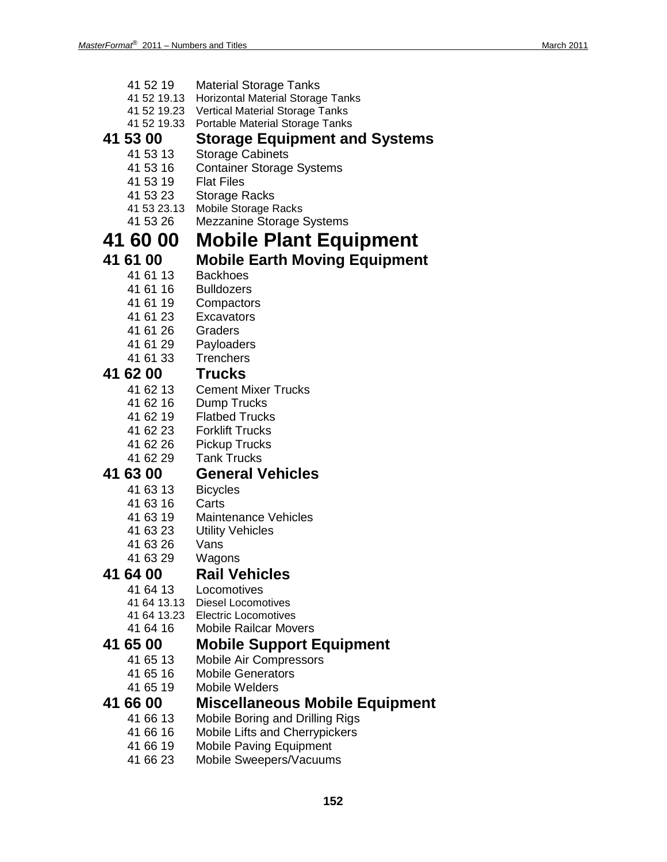| 41 52 19    | <b>Material Storage Tanks</b>            |
|-------------|------------------------------------------|
| 41 52 19.13 | <b>Horizontal Material Storage Tanks</b> |
| 41 52 19.23 | <b>Vertical Material Storage Tanks</b>   |
| 41 52 19.33 | Portable Material Storage Tanks          |
| 41 53 00    | <b>Storage Equipment and Systems</b>     |
| 41 53 13    |                                          |
|             | <b>Storage Cabinets</b>                  |
| 41 53 16    | <b>Container Storage Systems</b>         |
| 41 53 19    | <b>Flat Files</b>                        |
| 41 53 23    | Storage Racks                            |
| 41 53 23.13 | <b>Mobile Storage Racks</b>              |
| 41 53 26    | <b>Mezzanine Storage Systems</b>         |
| 41 60 00    | <b>Mobile Plant Equipment</b>            |
|             |                                          |
| 41 61 00    | <b>Mobile Earth Moving Equipment</b>     |
| 41 61 13    | Backhoes                                 |
| 41 61 16    | <b>Bulldozers</b>                        |
| 41 61 19    | Compactors                               |
| 41 61 23    | Excavators                               |
| 41 61 26    | Graders                                  |
| 41 61 29    | Payloaders                               |
| 41 61 33    | <b>Trenchers</b>                         |
|             |                                          |
| 41 62 00    | <b>Trucks</b>                            |
| 41 62 13    | <b>Cement Mixer Trucks</b>               |
| 41 62 16    | Dump Trucks                              |
| 41 62 19    | <b>Flatbed Trucks</b>                    |
| 41 62 23    | <b>Forklift Trucks</b>                   |
| 41 62 26    | <b>Pickup Trucks</b>                     |
| 41 62 29    | <b>Tank Trucks</b>                       |
| 41 63 00    | <b>General Vehicles</b>                  |
|             |                                          |
| 41 63 13    | <b>Bicycles</b>                          |
| 41 63 16    | Carts                                    |
| 41 63 19    | <b>Maintenance Vehicles</b>              |
| 41 63 23    | <b>Utility Vehicles</b>                  |
| 41 63 26    | Vans                                     |
| 41 63 29    | Wagons                                   |
| 41 64 00    | <b>Rail Vehicles</b>                     |
| 41 64 13    | Locomotives                              |
| 41 64 13.13 | <b>Diesel Locomotives</b>                |
| 41 64 13.23 | <b>Electric Locomotives</b>              |
| 41 64 16    | <b>Mobile Railcar Movers</b>             |
|             |                                          |
| 41 65 00    | <b>Mobile Support Equipment</b>          |
| 41 65 13    | <b>Mobile Air Compressors</b>            |
| 41 65 16    | <b>Mobile Generators</b>                 |
| 41 65 19    | <b>Mobile Welders</b>                    |
| 41 66 00    | <b>Miscellaneous Mobile Equipment</b>    |
| 41 66 13    | Mobile Boring and Drilling Rigs          |
| 41 66 16    | Mobile Lifts and Cherrypickers           |
| 41 66 19    |                                          |
|             | <b>Mobile Paving Equipment</b>           |

41 66 23 Mobile Sweepers/Vacuums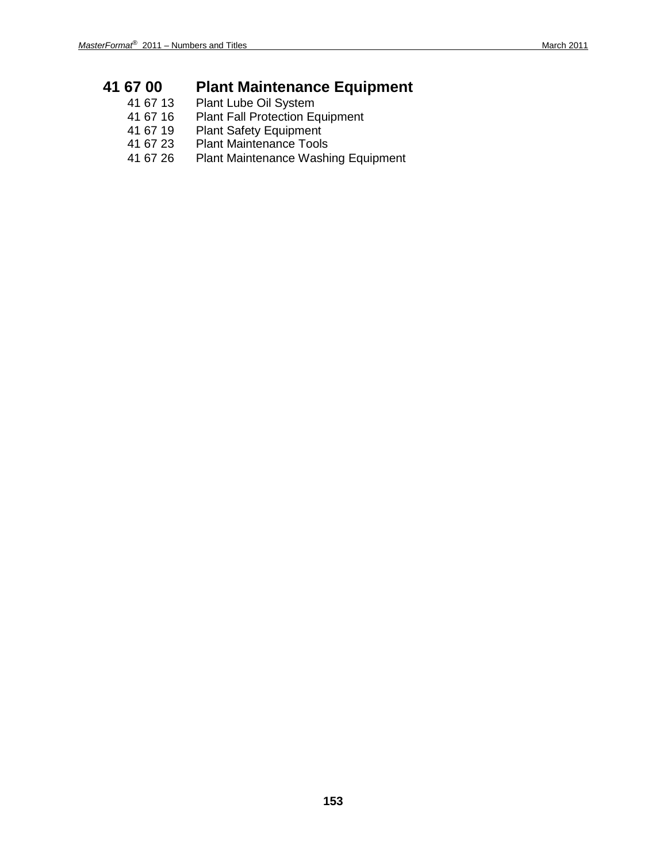# **41 67 00 Plant Maintenance Equipment**<br>41 67 13 Plant Lube Oil System

- 41 67 13 Plant Lube Oil System
- 41 67 16 Plant Fall Protection Equipment
- 41 67 19 Plant Safety Equipment<br>41 67 23 Plant Maintenance Tools
- 41 67 23 Plant Maintenance Tools
- Plant Maintenance Washing Equipment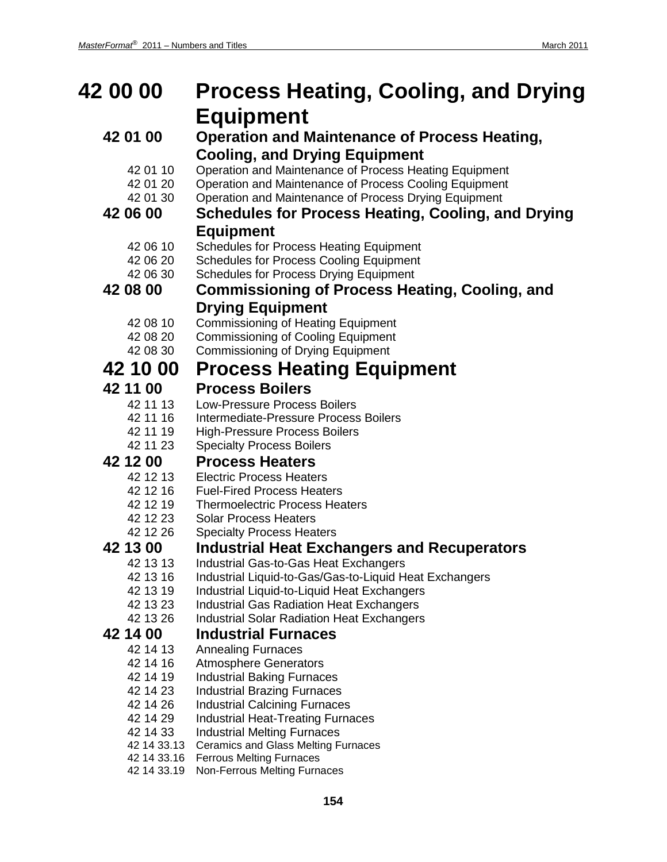### **42 00 00 Process Heating, Cooling, and Drying Equipment 42 01 00 Operation and Maintenance of Process Heating, Cooling, and Drying Equipment** 42 01 10 Operation and Maintenance of Process Heating Equipment 42 01 20 Operation and Maintenance of Process Cooling Equipment 42 01 30 Operation and Maintenance of Process Drying Equipment **42 06 00 Schedules for Process Heating, Cooling, and Drying Equipment** 42 06 10 Schedules for Process Heating Equipment 42 06 20 Schedules for Process Cooling Equipment 42 06 30 Schedules for Process Drying Equipment **42 08 00 Commissioning of Process Heating, Cooling, and Drying Equipment** 42 08 10 Commissioning of Heating Equipment 42 08 20 Commissioning of Cooling Equipment 42 08 30 Commissioning of Drying Equipment **42 10 00 Process Heating Equipment 42 11 00 Process Boilers** 42 11 13 Low-Pressure Process Boilers 42 11 16 Intermediate-Pressure Process Boilers<br>42 11 19 High-Pressure Process Boilers **High-Pressure Process Boilers** 42 11 23 Specialty Process Boilers **42 12 00 Process Heaters** 42 12 13 Electric Process Heaters<br>42 12 16 Fuel-Fired Process Heate **Fuel-Fired Process Heaters** 42 12 19 Thermoelectric Process Heaters 42 12 23 Solar Process Heaters 42 12 26 Specialty Process Heaters **42 13 00 Industrial Heat Exchangers and Recuperators** Industrial Gas-to-Gas Heat Exchangers 42 13 16 Industrial Liquid-to-Gas/Gas-to-Liquid Heat Exchangers 42 13 19 Industrial Liquid-to-Liquid Heat Exchangers 42 13 23 Industrial Gas Radiation Heat Exchangers 42 13 26 Industrial Solar Radiation Heat Exchangers **42 14 00 Industrial Furnaces** 42 14 13 Annealing Furnaces 42 14 16 Atmosphere Generators 42 14 19 Industrial Baking Furnaces 42 14 23 Industrial Brazing Furnaces 42 14 26 Industrial Calcining Furnaces<br>42 14 29 Industrial Heat-Treating Furna Industrial Heat-Treating Furnaces 42 14 33 Industrial Melting Furnaces 42 14 33.13 Ceramics and Glass Melting Furnaces 42 14 33.16 Ferrous Melting Furnaces 42 14 33.19 Non-Ferrous Melting Furnaces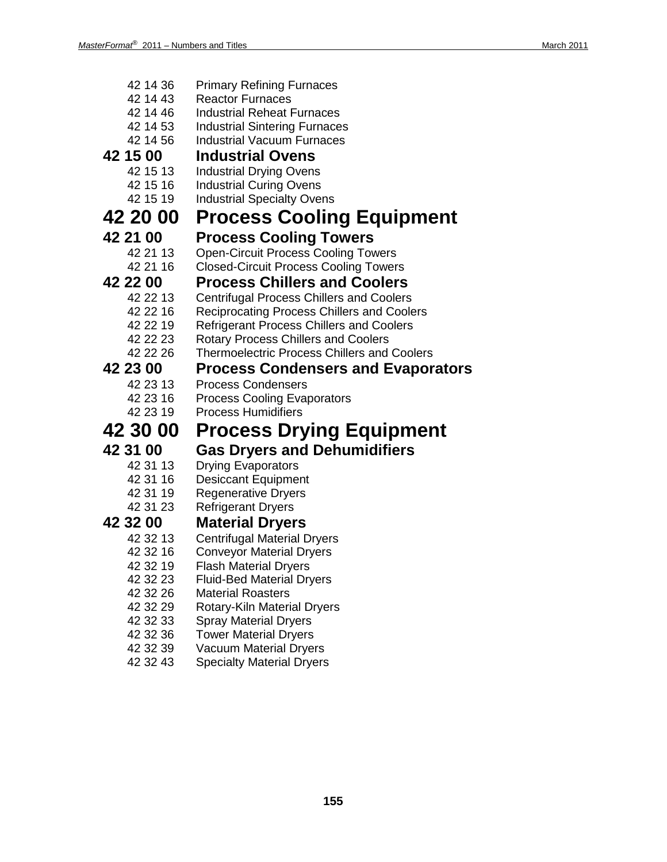| 42 14 36             | <b>Primary Refining Furnaces</b>                             |
|----------------------|--------------------------------------------------------------|
| 42 14 43             | <b>Reactor Furnaces</b>                                      |
| 42 14 46             | <b>Industrial Reheat Furnaces</b>                            |
| 42 14 53             | <b>Industrial Sintering Furnaces</b>                         |
| 42 14 56             | <b>Industrial Vacuum Furnaces</b>                            |
| 42 15 00             | <b>Industrial Ovens</b>                                      |
| 42 15 13             | <b>Industrial Drying Ovens</b>                               |
| 42 15 16             | <b>Industrial Curing Ovens</b>                               |
| 42 15 19             | <b>Industrial Specialty Ovens</b>                            |
| 42 20 00             | <b>Process Cooling Equipment</b>                             |
| 42 21 00             | <b>Process Cooling Towers</b>                                |
| 42 21 13             | <b>Open-Circuit Process Cooling Towers</b>                   |
| 42 21 16             | <b>Closed-Circuit Process Cooling Towers</b>                 |
| 42 22 00             | <b>Process Chillers and Coolers</b>                          |
| 42 22 13             | <b>Centrifugal Process Chillers and Coolers</b>              |
| 42 22 16             | Reciprocating Process Chillers and Coolers                   |
| 42 22 19             | <b>Refrigerant Process Chillers and Coolers</b>              |
| 42 22 23             | <b>Rotary Process Chillers and Coolers</b>                   |
| 42 22 26             | <b>Thermoelectric Process Chillers and Coolers</b>           |
|                      |                                                              |
| 42 23 00             | <b>Process Condensers and Evaporators</b>                    |
| 42 23 13             | <b>Process Condensers</b>                                    |
| 42 23 16             | <b>Process Cooling Evaporators</b>                           |
| 42 23 19             | <b>Process Humidifiers</b>                                   |
| 42 30 00             | <b>Process Drying Equipment</b>                              |
| 42 31 00             | <b>Gas Dryers and Dehumidifiers</b>                          |
| 42 31 13             | <b>Drying Evaporators</b>                                    |
| 42 31 16             | <b>Desiccant Equipment</b>                                   |
| 42 31 19             | <b>Regenerative Dryers</b>                                   |
| 42 31 23             | <b>Refrigerant Dryers</b>                                    |
| 42 32 00             | <b>Material Dryers</b>                                       |
| 42 32 13             | <b>Centrifugal Material Dryers</b>                           |
| 42 32 16             | <b>Conveyor Material Dryers</b>                              |
| 42 32 19             | <b>Flash Material Dryers</b>                                 |
| 42 32 23             | <b>Fluid-Bed Material Dryers</b>                             |
| 42 32 26             | <b>Material Roasters</b>                                     |
| 42 32 29             | Rotary-Kiln Material Dryers                                  |
| 42 32 33<br>42 32 36 | <b>Spray Material Dryers</b><br><b>Tower Material Dryers</b> |

- 42 32 39 Vacuum Material Dryers
- 42 32 43 Specialty Material Dryers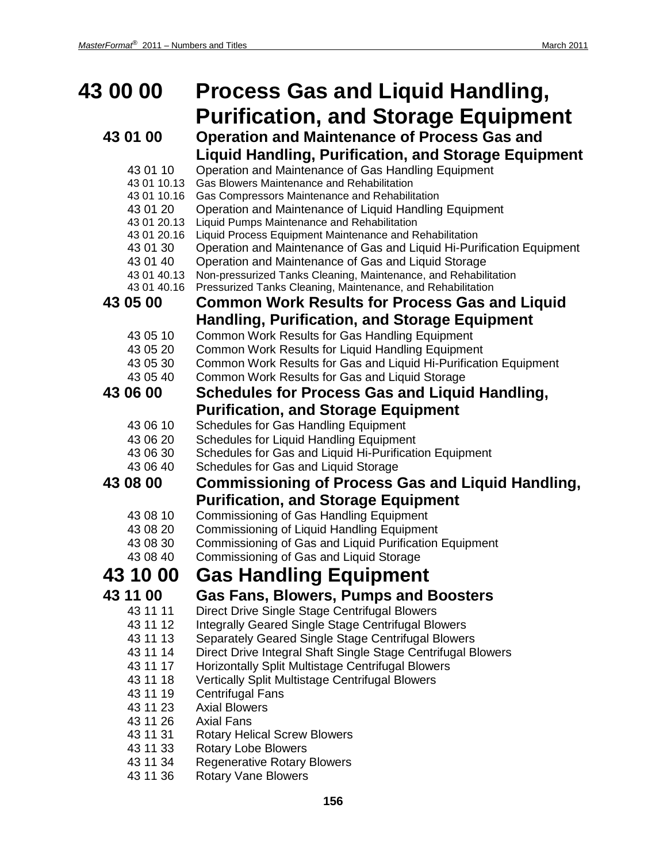## **43 00 00 Process Gas and Liquid Handling, Purification, and Storage Equipment**

| 43 01 00                   | <b>Operation and Maintenance of Process Gas and</b>                                                    |
|----------------------------|--------------------------------------------------------------------------------------------------------|
|                            | <b>Liquid Handling, Purification, and Storage Equipment</b>                                            |
| 43 01 10                   | Operation and Maintenance of Gas Handling Equipment                                                    |
| 43 01 10.13                | <b>Gas Blowers Maintenance and Rehabilitation</b>                                                      |
| 43 01 10.16                | Gas Compressors Maintenance and Rehabilitation                                                         |
| 43 01 20                   | Operation and Maintenance of Liquid Handling Equipment                                                 |
| 43 01 20.13<br>43 01 20.16 | Liquid Pumps Maintenance and Rehabilitation<br>Liquid Process Equipment Maintenance and Rehabilitation |
| 43 01 30                   | Operation and Maintenance of Gas and Liquid Hi-Purification Equipment                                  |
| 43 01 40                   | Operation and Maintenance of Gas and Liquid Storage                                                    |
| 43 01 40.13                | Non-pressurized Tanks Cleaning, Maintenance, and Rehabilitation                                        |
| 43 01 40.16                | Pressurized Tanks Cleaning, Maintenance, and Rehabilitation                                            |
| 43 05 00                   | <b>Common Work Results for Process Gas and Liquid</b>                                                  |
|                            | Handling, Purification, and Storage Equipment                                                          |
| 43 05 10                   | Common Work Results for Gas Handling Equipment                                                         |
| 43 05 20                   | Common Work Results for Liquid Handling Equipment                                                      |
| 43 05 30                   | Common Work Results for Gas and Liquid Hi-Purification Equipment                                       |
| 43 05 40                   | Common Work Results for Gas and Liquid Storage                                                         |
| 43 06 00                   | <b>Schedules for Process Gas and Liquid Handling,</b>                                                  |
|                            | <b>Purification, and Storage Equipment</b>                                                             |
| 43 06 10                   | Schedules for Gas Handling Equipment                                                                   |
| 43 06 20                   | Schedules for Liquid Handling Equipment                                                                |
| 43 06 30                   | Schedules for Gas and Liquid Hi-Purification Equipment                                                 |
| 43 06 40                   | Schedules for Gas and Liquid Storage                                                                   |
| 43 08 00                   | <b>Commissioning of Process Gas and Liquid Handling,</b>                                               |
|                            | <b>Purification, and Storage Equipment</b>                                                             |
| 43 08 10                   | Commissioning of Gas Handling Equipment                                                                |
| 43 08 20                   | <b>Commissioning of Liquid Handling Equipment</b>                                                      |
| 43 08 30                   | Commissioning of Gas and Liquid Purification Equipment                                                 |
| 43 08 40                   | Commissioning of Gas and Liquid Storage                                                                |
| 43 10 00                   | <b>Gas Handling Equipment</b>                                                                          |
| 43 11 00                   | <b>Gas Fans, Blowers, Pumps and Boosters</b>                                                           |
| 43 11 11                   | Direct Drive Single Stage Centrifugal Blowers                                                          |
| 43 11 12                   | <b>Integrally Geared Single Stage Centrifugal Blowers</b>                                              |
| 43 11 13                   | Separately Geared Single Stage Centrifugal Blowers                                                     |
| 43 11 14                   | Direct Drive Integral Shaft Single Stage Centrifugal Blowers                                           |
| 43 11 17                   | Horizontally Split Multistage Centrifugal Blowers                                                      |
| 43 11 18                   | Vertically Split Multistage Centrifugal Blowers                                                        |
| 43 11 19                   | <b>Centrifugal Fans</b>                                                                                |
| 43 11 23                   | <b>Axial Blowers</b>                                                                                   |

- 43 11 26 Axial Fans
- 43 11 31 Rotary Helical Screw Blowers
- 43 11 33 Rotary Lobe Blowers
- 43 11 34 Regenerative Rotary Blowers
- 43 11 36 Rotary Vane Blowers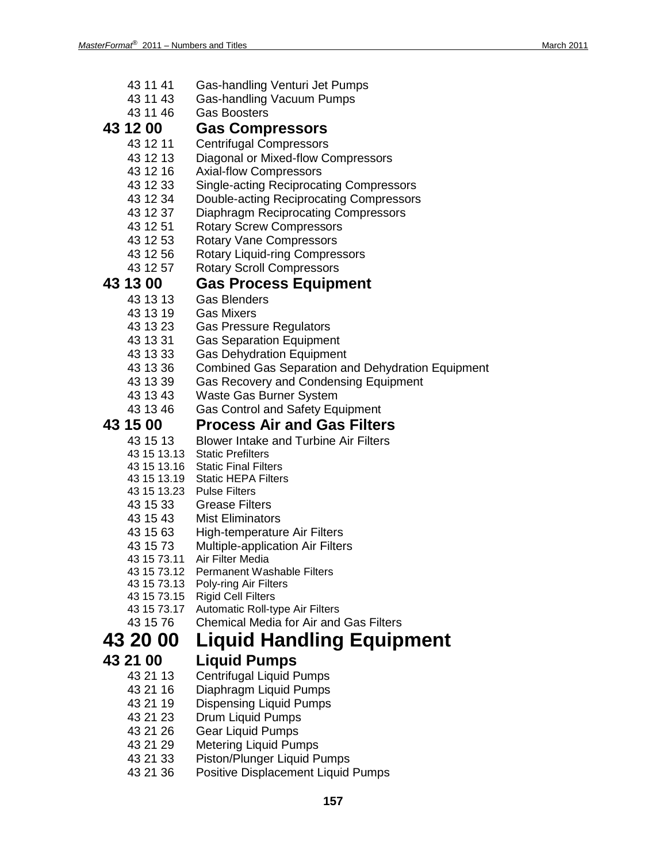- 43 11 41 Gas-handling Venturi Jet Pumps
- Gas-handling Vacuum Pumps
- 43 11 46 Gas Boosters

### **43 12 00 Gas Compressors**

- 43 12 11 Centrifugal Compressors
- 43 12 13 Diagonal or Mixed-flow Compressors<br>43 12 16 Axial-flow Compressors
- Axial-flow Compressors
- 43 12 33 Single-acting Reciprocating Compressors
- 43 12 34 Double-acting Reciprocating Compressors
- 43 12 37 Diaphragm Reciprocating Compressors
- 43 12 51 Rotary Screw Compressors
- 
- 43 12 53 Rotary Vane Compressors<br>43 12 56 Rotary Liquid-ring Compres Rotary Liquid-ring Compressors
- 43 12 57 Rotary Scroll Compressors

### **43 13 00 Gas Process Equipment**

- - 43 13 13 Gas Blenders
	- 43 13 19 Gas Mixers
	- 43 13 23 Gas Pressure Regulators<br>43 13 31 Gas Separation Equipmer
	- **Gas Separation Equipment**
	- 43 13 33 Gas Dehydration Equipment
	- 43 13 36 Combined Gas Separation and Dehydration Equipment
	- 43 13 39 Gas Recovery and Condensing Equipment
	- 43 13 43 Waste Gas Burner System
	- 43 13 46 Gas Control and Safety Equipment

# **43 15 00 Process Air and Gas Filters**

- 43 15 13 Blower Intake and Turbine Air Filters
- 43 15 13.13 Static Prefilters
- 43 15 13.16 Static Final Filters
- 43 15 13.19 Static HEPA Filters
- 43 15 13.23 Pulse Filters
- 43 15 33 Grease Filters
- 43 15 43 Mist Eliminators
- 43 15 63 High-temperature Air Filters
- 43 15 73 Multiple-application Air Filters
- 43 15 73.11 Air Filter Media
- 43 15 73.12 Permanent Washable Filters
- 43 15 73.13 Poly-ring Air Filters
- 43 15 73.15 Rigid Cell Filters
- 43 15 73.17 Automatic Roll-type Air Filters
- 43 15 76 Chemical Media for Air and Gas Filters

## **43 20 00 Liquid Handling Equipment**

## **43 21 00 Liquid Pumps**

- **Centrifugal Liquid Pumps**
- 43 21 16 Diaphragm Liquid Pumps
- 43 21 19 Dispensing Liquid Pumps
- 43 21 23 Drum Liquid Pumps
- 43 21 26 Gear Liquid Pumps
- 43 21 29 Metering Liquid Pumps
- 43 21 33 Piston/Plunger Liquid Pumps
- 43 21 36 Positive Displacement Liquid Pumps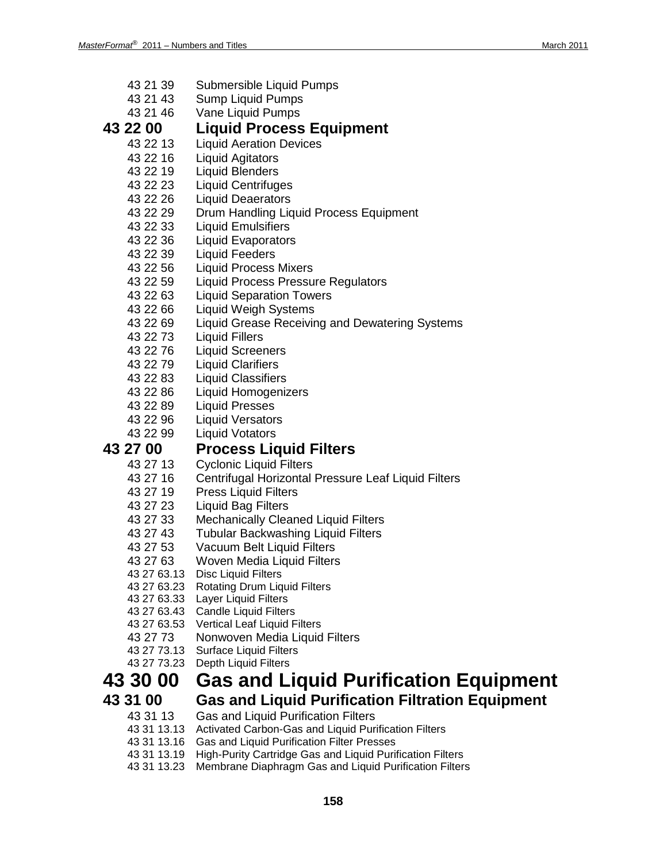- 43 21 39 Submersible Liquid Pumps
- 43 21 43 Sump Liquid Pumps
- 43 21 46 Vane Liquid Pumps

- **43 22 00 Liquid Process Equipment Liquid Aeration Devices** 
	-
	- 43 22 16 Liquid Agitators<br>43 22 19 Liquid Blenders **Liquid Blenders**
	-
	- 43 22 23 Liquid Centrifuges
	- 43 22 26 Liquid Deaerators
	- 43 22 29 Drum Handling Liquid Process Equipment
	- 43 22 33 Liquid Emulsifiers
	- 43 22 36 Liquid Evaporators
	- 43 22 39 Liquid Feeders
	- 43 22 56 Liquid Process Mixers
	- Liquid Process Pressure Regulators
	- 43 22 63 Liquid Separation Towers
	- 43 22 66 Liquid Weigh Systems
	- 43 22 69 Liquid Grease Receiving and Dewatering Systems
	- 43 22 73 Liquid Fillers
	- 43 22 76 Liquid Screeners
	-
	- 43 22 79 Liquid Clarifiers **Liquid Classifiers**
	- 43 22 86 Liquid Homogenizers
	- 43 22 89 Liquid Presses
	- 43 22 96 Liquid Versators
	- 43 22 99 Liquid Votators

# **43 27 00 Process Liquid Filters**

- **Cyclonic Liquid Filters**
- 43 27 16 Centrifugal Horizontal Pressure Leaf Liquid Filters
- 43 27 19 Press Liquid Filters
- 43 27 23 Liquid Bag Filters
- 43 27 33 Mechanically Cleaned Liquid Filters
- 43 27 43 Tubular Backwashing Liquid Filters
- 43 27 53 Vacuum Belt Liquid Filters
- 43 27 63 Woven Media Liquid Filters
- 43 27 63.13 Disc Liquid Filters
- 43 27 63.23 Rotating Drum Liquid Filters
- 43 27 63.33 Layer Liquid Filters
- 43 27 63.43 Candle Liquid Filters
- 43 27 63.53 Vertical Leaf Liquid Filters
- 43 27 73 Nonwoven Media Liquid Filters
- 43 27 73.13 Surface Liquid Filters
- 43 27 73.23 Depth Liquid Filters

### **43 30 00 Gas and Liquid Purification Equipment**

- 
- **43 31 00 Gas and Liquid Purification Filtration Equipment**
	- 43 31 13 Gas and Liquid Purification Filters
	- 43 31 13.13 Activated Carbon-Gas and Liquid Purification Filters
	- 43 31 13.16 Gas and Liquid Purification Filter Presses
	- 43 31 13.19 High-Purity Cartridge Gas and Liquid Purification Filters
	- 43 31 13.23 Membrane Diaphragm Gas and Liquid Purification Filters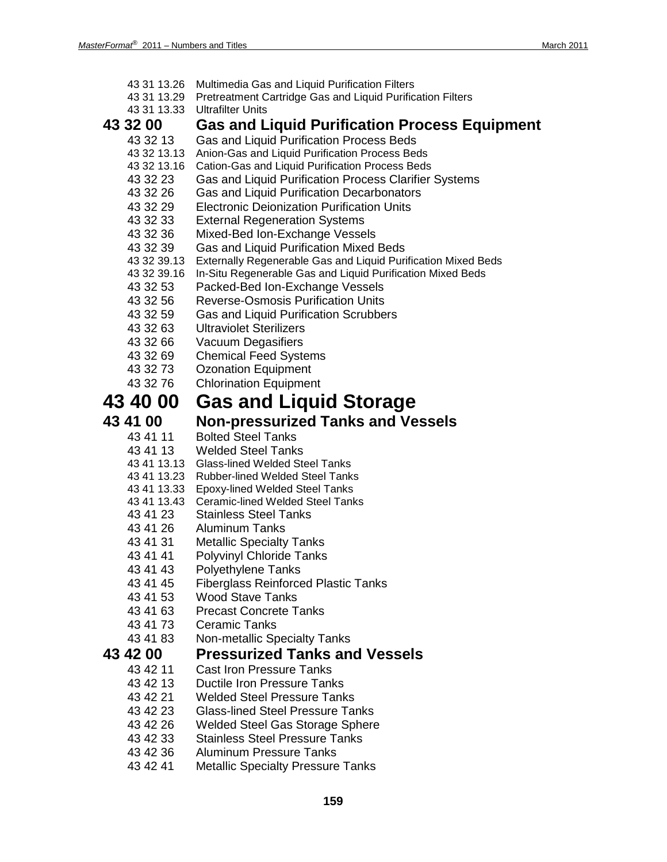| 43 31 13.26<br>43 31 13.29<br>43 31 13.33                                                                                                                                                                            | Multimedia Gas and Liquid Purification Filters<br>Pretreatment Cartridge Gas and Liquid Purification Filters<br><b>Ultrafilter Units</b>                                                                                                                                                                                                                                                                                                                                                                                                                                                                                                                                                                                                                                            |
|----------------------------------------------------------------------------------------------------------------------------------------------------------------------------------------------------------------------|-------------------------------------------------------------------------------------------------------------------------------------------------------------------------------------------------------------------------------------------------------------------------------------------------------------------------------------------------------------------------------------------------------------------------------------------------------------------------------------------------------------------------------------------------------------------------------------------------------------------------------------------------------------------------------------------------------------------------------------------------------------------------------------|
| <b>43 32 00</b>                                                                                                                                                                                                      | <b>Gas and Liquid Purification Process Equipment</b>                                                                                                                                                                                                                                                                                                                                                                                                                                                                                                                                                                                                                                                                                                                                |
| 43 32 13<br>43 32 13.13<br>43 32 13.16<br>43 32 23<br>43 32 26<br>43 32 29<br>43 32 33<br>43 32 36<br>43 32 39<br>43 32 39.13<br>43 32 39.16<br>43 32 53<br>43 32 56<br>43 32 59<br>43 32 63<br>43 32 66<br>43 32 69 | Gas and Liquid Purification Process Beds<br>Anion-Gas and Liquid Purification Process Beds<br>Cation-Gas and Liquid Purification Process Beds<br>Gas and Liquid Purification Process Clarifier Systems<br>Gas and Liquid Purification Decarbonators<br><b>Electronic Deionization Purification Units</b><br><b>External Regeneration Systems</b><br>Mixed-Bed Ion-Exchange Vessels<br>Gas and Liquid Purification Mixed Beds<br>Externally Regenerable Gas and Liquid Purification Mixed Beds<br>In-Situ Regenerable Gas and Liquid Purification Mixed Beds<br>Packed-Bed Ion-Exchange Vessels<br><b>Reverse-Osmosis Purification Units</b><br><b>Gas and Liquid Purification Scrubbers</b><br><b>Ultraviolet Sterilizers</b><br>Vacuum Degasifiers<br><b>Chemical Feed Systems</b> |
| 43 32 73<br>43 32 76                                                                                                                                                                                                 | <b>Ozonation Equipment</b><br><b>Chlorination Equipment</b>                                                                                                                                                                                                                                                                                                                                                                                                                                                                                                                                                                                                                                                                                                                         |
| <b>43 40 00</b>                                                                                                                                                                                                      | <b>Gas and Liquid Storage</b>                                                                                                                                                                                                                                                                                                                                                                                                                                                                                                                                                                                                                                                                                                                                                       |
| 43 41 00                                                                                                                                                                                                             | <b>Non-pressurized Tanks and Vessels</b>                                                                                                                                                                                                                                                                                                                                                                                                                                                                                                                                                                                                                                                                                                                                            |
| 43 41 11<br>43 41 13<br>43 41 13.13<br>43 41 13.23<br>43 41 13.33<br>43 41 13.43<br>43 41 23<br>43 41 26<br>43 41 31<br>43 41 41<br>43 41 43<br>43 41 45<br>43 41 53<br>43 41 63<br>43 41 73<br>43 41 83             | <b>Bolted Steel Tanks</b><br><b>Welded Steel Tanks</b><br><b>Glass-lined Welded Steel Tanks</b><br><b>Rubber-lined Welded Steel Tanks</b><br><b>Epoxy-lined Welded Steel Tanks</b><br><b>Ceramic-lined Welded Steel Tanks</b><br><b>Stainless Steel Tanks</b><br><b>Aluminum Tanks</b><br><b>Metallic Specialty Tanks</b><br><b>Polyvinyl Chloride Tanks</b><br><b>Polyethylene Tanks</b><br><b>Fiberglass Reinforced Plastic Tanks</b><br><b>Wood Stave Tanks</b><br><b>Precast Concrete Tanks</b><br><b>Ceramic Tanks</b><br>Non-metallic Specialty Tanks                                                                                                                                                                                                                         |
| 43 42 00                                                                                                                                                                                                             | <b>Pressurized Tanks and Vessels</b>                                                                                                                                                                                                                                                                                                                                                                                                                                                                                                                                                                                                                                                                                                                                                |
| 43 42 11<br>43 42 13<br>43 42 21<br>43 42 23<br>43 42 26<br>43 42 33<br>43 42 36<br>43 42 41                                                                                                                         | <b>Cast Iron Pressure Tanks</b><br><b>Ductile Iron Pressure Tanks</b><br><b>Welded Steel Pressure Tanks</b><br><b>Glass-lined Steel Pressure Tanks</b><br>Welded Steel Gas Storage Sphere<br><b>Stainless Steel Pressure Tanks</b><br><b>Aluminum Pressure Tanks</b><br><b>Metallic Specialty Pressure Tanks</b>                                                                                                                                                                                                                                                                                                                                                                                                                                                                    |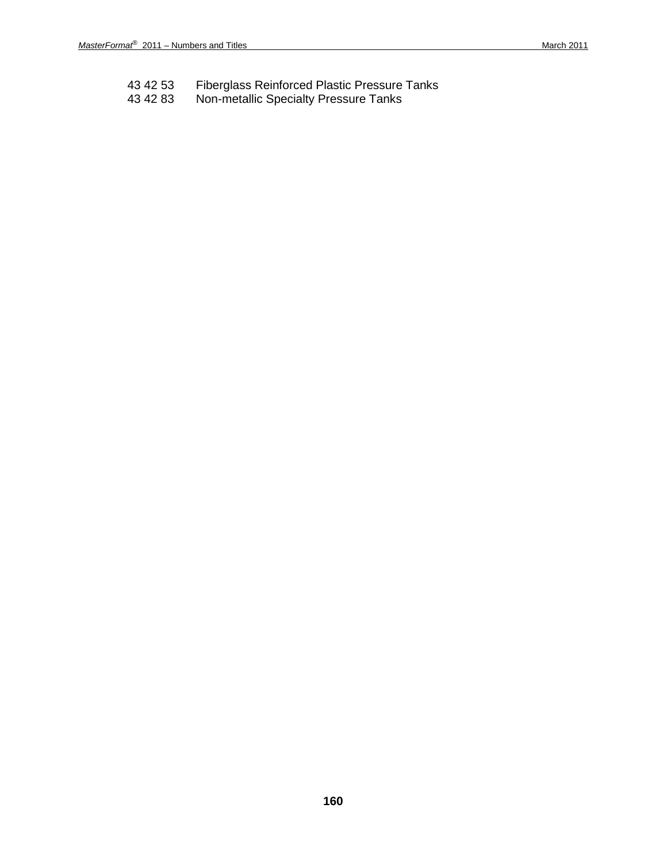- 43 42 53 Fiberglass Reinforced Plastic Pressure Tanks
- 43 42 83 Non-metallic Specialty Pressure Tanks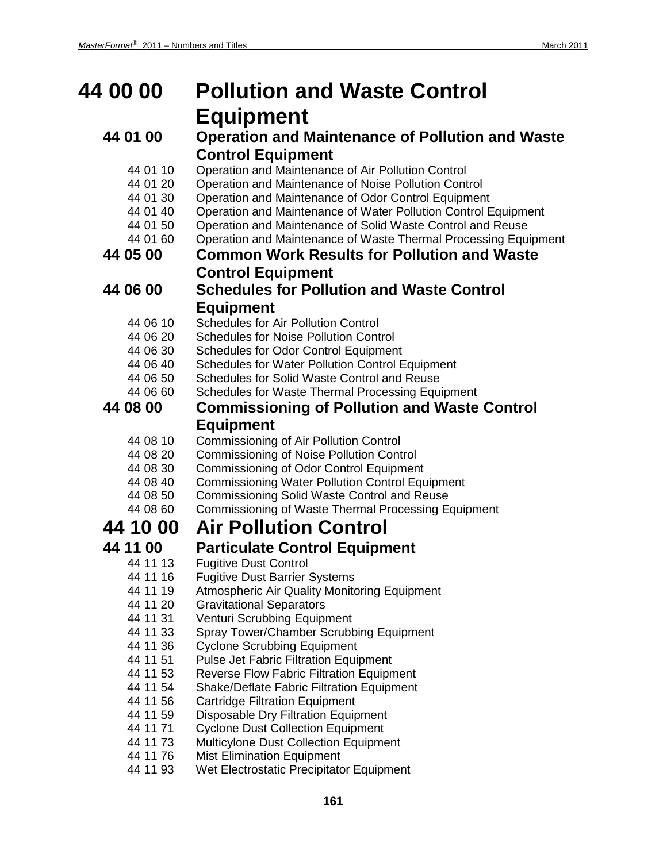## **44 00 00 Pollution and Waste Control Equipment**

### **44 01 00 Operation and Maintenance of Pollution and Waste Control Equipment**

- 44 01 10 Operation and Maintenance of Air Pollution Control
- 44 01 20 Operation and Maintenance of Noise Pollution Control
- 44 01 30 Operation and Maintenance of Odor Control Equipment<br>44 01 40 Operation and Maintenance of Water Pollution Control E
- Operation and Maintenance of Water Pollution Control Equipment
- 44 01 50 Operation and Maintenance of Solid Waste Control and Reuse
- 44 01 60 Operation and Maintenance of Waste Thermal Processing Equipment

### **44 05 00 Common Work Results for Pollution and Waste Control Equipment**

- **44 06 00 Schedules for Pollution and Waste Control Equipment**
	- 44 06 10 Schedules for Air Pollution Control
	- 44 06 20 Schedules for Noise Pollution Control
	- 44 06 30 Schedules for Odor Control Equipment
	-
	- 44 06 40 Schedules for Water Pollution Control Equipment<br>44 06 50 Schedules for Solid Waste Control and Reuse Schedules for Solid Waste Control and Reuse
	- 44 06 60 Schedules for Waste Thermal Processing Equipment

### **44 08 00 Commissioning of Pollution and Waste Control Equipment**

- 44 08 10 Commissioning of Air Pollution Control
- 44 08 20 Commissioning of Noise Pollution Control
- 44 08 30 Commissioning of Odor Control Equipment
- 44 08 40 Commissioning Water Pollution Control Equipment
- 44 08 50 Commissioning Solid Waste Control and Reuse<br>44 08 60 Commissioning of Waste Thermal Processing Fo
	- Commissioning of Waste Thermal Processing Equipment

## **44 10 00 Air Pollution Control**

- **44 11 00 Particulate Control Equipment Fugitive Dust Control** 
	- 44 11 16 Fugitive Dust Barrier Systems
	- 44 11 19 Atmospheric Air Quality Monitoring Equipment
	- 44 11 20 Gravitational Separators
	- 44 11 31 Venturi Scrubbing Equipment
	- 44 11 33 Spray Tower/Chamber Scrubbing Equipment<br>44 11 36 Cyclone Scrubbing Equipment
	- 44 11 36 Cyclone Scrubbing Equipment<br>44 11 51 Pulse Jet Fabric Filtration Equir
	- Pulse Jet Fabric Filtration Equipment
	- 44 11 53 Reverse Flow Fabric Filtration Equipment
	- 44 11 54 Shake/Deflate Fabric Filtration Equipment
	- 44 11 56 Cartridge Filtration Equipment
	- 44 11 59 Disposable Dry Filtration Equipment
	- 44 11 71 Cyclone Dust Collection Equipment
	- 44 11 73 Multicylone Dust Collection Equipment
	- 44 11 76 Mist Elimination Equipment
	- 44 11 93 Wet Electrostatic Precipitator Equipment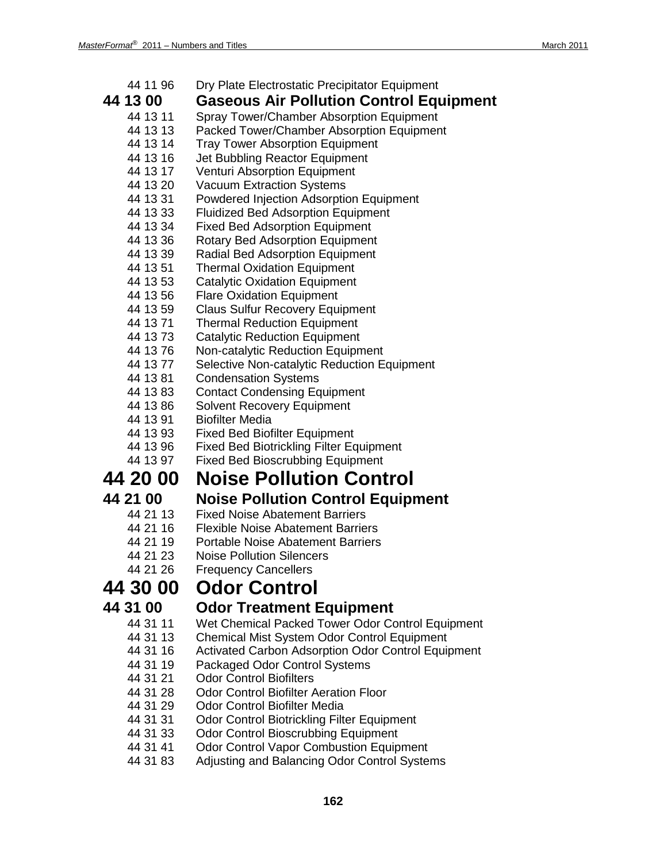- 44 11 96 Dry Plate Electrostatic Precipitator Equipment
- **44 13 00 Gaseous Air Pollution Control Equipment**
	- Spray Tower/Chamber Absorption Equipment
	- 44 13 13 Packed Tower/Chamber Absorption Equipment
	- 44 13 14 Tray Tower Absorption Equipment
	- 44 13 16 Jet Bubbling Reactor Equipment<br>44 13 17 Venturi Absorption Equipment
	- Venturi Absorption Equipment
	- 44 13 20 Vacuum Extraction Systems
	- 44 13 31 Powdered Injection Adsorption Equipment
	- 44 13 33 Fluidized Bed Adsorption Equipment
	- 44 13 34 Fixed Bed Adsorption Equipment
	- 44 13 36 Rotary Bed Adsorption Equipment
	- 44 13 39 Radial Bed Adsorption Equipment
	- 44 13 51 Thermal Oxidation Equipment
	- 44 13 53 Catalytic Oxidation Equipment
	- 44 13 56 Flare Oxidation Equipment
	- 44 13 59 Claus Sulfur Recovery Equipment
	- 44 13 71 Thermal Reduction Equipment
	- 44 13 73 Catalytic Reduction Equipment<br>44 13 76 Non-catalytic Reduction Equipm
	- Non-catalytic Reduction Equipment
	- 44 13 77 Selective Non-catalytic Reduction Equipment
	- **Condensation Systems**
	- 44 13 83 Contact Condensing Equipment
	- 44 13 86 Solvent Recovery Equipment
	- 44 13 91 Biofilter Media
	- 44 13 93 Fixed Bed Biofilter Equipment
	- 44 13 96 Fixed Bed Biotrickling Filter Equipment
	- 44 13 97 Fixed Bed Bioscrubbing Equipment

## **44 20 00 Noise Pollution Control**

### **44 21 00 Noise Pollution Control Equipment**

- 44 21 13 Fixed Noise Abatement Barriers<br>44 21 16 Flexible Noise Abatement Barrie
- **Flexible Noise Abatement Barriers**
- 44 21 19 Portable Noise Abatement Barriers
- 44 21 23 Noise Pollution Silencers
- 44 21 26 Frequency Cancellers

## **44 30 00 Odor Control**

- **44 31 00 Odor Treatment Equipment** Wet Chemical Packed Tower Odor Control Equipment
	- 44 31 13 Chemical Mist System Odor Control Equipment
	- 44 31 16 Activated Carbon Adsorption Odor Control Equipment
	- 44 31 19 Packaged Odor Control Systems
	- 44 31 21 Odor Control Biofilters
	- 44 31 28 Odor Control Biofilter Aeration Floor
	- 44 31 29 Odor Control Biofilter Media
	- 44 31 31 Odor Control Biotrickling Filter Equipment
	- 44 31 33 Odor Control Bioscrubbing Equipment
	- 44 31 41 Odor Control Vapor Combustion Equipment
	- 44 31 83 Adjusting and Balancing Odor Control Systems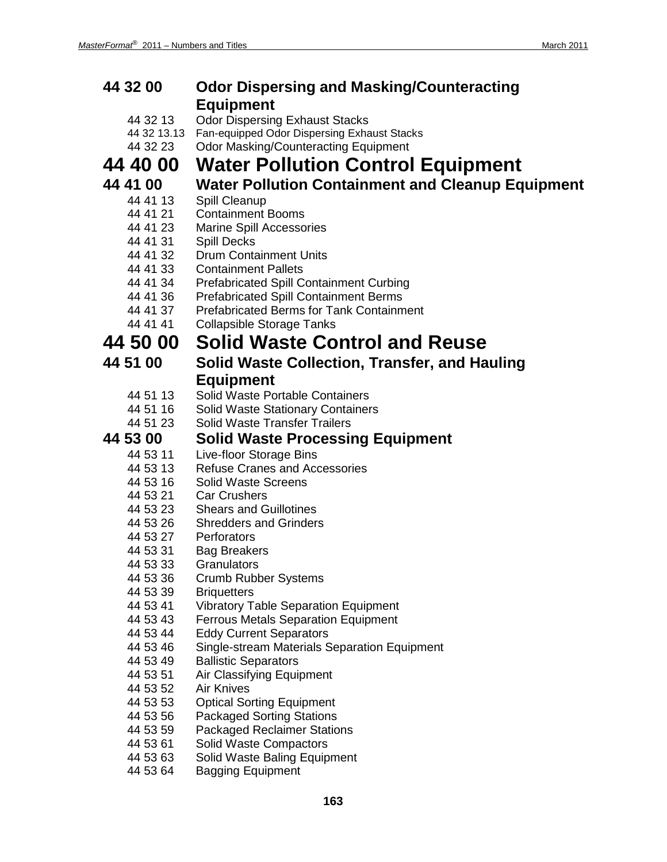| 44 32 00             | <b>Odor Dispersing and Masking/Counteracting</b><br><b>Equipment</b> |
|----------------------|----------------------------------------------------------------------|
| 44 32 13             | <b>Odor Dispersing Exhaust Stacks</b>                                |
| 44 32 13.13          | Fan-equipped Odor Dispersing Exhaust Stacks                          |
| 44 32 23             | <b>Odor Masking/Counteracting Equipment</b>                          |
| <b>44 40 00</b>      | <b>Water Pollution Control Equipment</b>                             |
|                      |                                                                      |
| 44 41 00             | <b>Water Pollution Containment and Cleanup Equipment</b>             |
| 44 41 13             | Spill Cleanup                                                        |
| 44 41 21             | <b>Containment Booms</b>                                             |
| 44 41 23             | <b>Marine Spill Accessories</b>                                      |
| 44 41 31             | <b>Spill Decks</b>                                                   |
| 44 41 32             | <b>Drum Containment Units</b><br><b>Containment Pallets</b>          |
| 44 41 33<br>44 41 34 | <b>Prefabricated Spill Containment Curbing</b>                       |
| 44 41 36             | <b>Prefabricated Spill Containment Berms</b>                         |
| 44 41 37             | <b>Prefabricated Berms for Tank Containment</b>                      |
| 44 41 41             | <b>Collapsible Storage Tanks</b>                                     |
| 44 50 00             | <b>Solid Waste Control and Reuse</b>                                 |
|                      |                                                                      |
| 44 51 00             | Solid Waste Collection, Transfer, and Hauling                        |
|                      | <b>Equipment</b>                                                     |
| 44 51 13             | Solid Waste Portable Containers                                      |
| 44 51 16             | <b>Solid Waste Stationary Containers</b>                             |
| 44 51 23             | <b>Solid Waste Transfer Trailers</b>                                 |
| 44 53 00             | <b>Solid Waste Processing Equipment</b>                              |
| 44 53 11             | Live-floor Storage Bins                                              |
| 44 53 13             | <b>Refuse Cranes and Accessories</b>                                 |
| 44 53 16             | <b>Solid Waste Screens</b>                                           |
| 44 53 21             | <b>Car Crushers</b>                                                  |
| 44 53 23             | <b>Shears and Guillotines</b>                                        |
| 44 53 26<br>44 53 27 | <b>Shredders and Grinders</b><br>Perforators                         |
| 44 53 31             | <b>Bag Breakers</b>                                                  |
| 44 53 33             | Granulators                                                          |
| 44 53 36             | <b>Crumb Rubber Systems</b>                                          |
| 44 53 39             | <b>Briquetters</b>                                                   |
| 44 53 41             | <b>Vibratory Table Separation Equipment</b>                          |
| 44 53 43             | <b>Ferrous Metals Separation Equipment</b>                           |
| 44 53 44             | <b>Eddy Current Separators</b>                                       |
| 44 53 46             | Single-stream Materials Separation Equipment                         |
| 44 53 49             | <b>Ballistic Separators</b>                                          |
| 44 53 51             | Air Classifying Equipment                                            |
| 44 53 52             | <b>Air Knives</b>                                                    |
| 44 53 53             | <b>Optical Sorting Equipment</b>                                     |
| 44 53 56             | <b>Packaged Sorting Stations</b>                                     |
| 44 53 59             | <b>Packaged Reclaimer Stations</b>                                   |
| 44 53 61             | Solid Waste Compactors                                               |
| 44 53 63             | Solid Waste Baling Equipment                                         |
| 44 53 64             | <b>Bagging Equipment</b>                                             |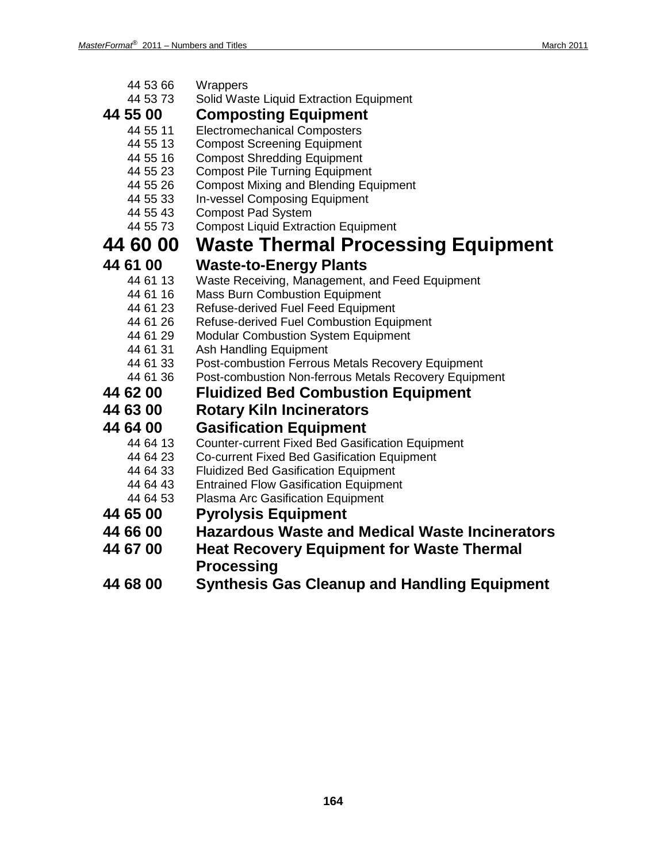| 44 53 66 | Wrappers                                              |
|----------|-------------------------------------------------------|
| 44 53 73 | Solid Waste Liquid Extraction Equipment               |
| 44 55 00 | <b>Composting Equipment</b>                           |
| 44 55 11 | <b>Electromechanical Composters</b>                   |
| 44 55 13 | <b>Compost Screening Equipment</b>                    |
| 44 55 16 | <b>Compost Shredding Equipment</b>                    |
| 44 55 23 | <b>Compost Pile Turning Equipment</b>                 |
| 44 55 26 | <b>Compost Mixing and Blending Equipment</b>          |
| 44 55 33 | <b>In-vessel Composing Equipment</b>                  |
| 44 55 43 | <b>Compost Pad System</b>                             |
| 44 55 73 | <b>Compost Liquid Extraction Equipment</b>            |
| 44 60 00 | <b>Waste Thermal Processing Equipment</b>             |
| 44 61 00 | <b>Waste-to-Energy Plants</b>                         |
| 44 61 13 | Waste Receiving, Management, and Feed Equipment       |
| 44 61 16 | <b>Mass Burn Combustion Equipment</b>                 |
| 44 61 23 | Refuse-derived Fuel Feed Equipment                    |
| 44 61 26 | Refuse-derived Fuel Combustion Equipment              |
| 44 61 29 | <b>Modular Combustion System Equipment</b>            |
| 44 61 31 | Ash Handling Equipment                                |
| 44 61 33 | Post-combustion Ferrous Metals Recovery Equipment     |
| 44 61 36 | Post-combustion Non-ferrous Metals Recovery Equipment |
| 44 62 00 | <b>Fluidized Bed Combustion Equipment</b>             |
| 44 63 00 | <b>Rotary Kiln Incinerators</b>                       |
| 44 64 00 | <b>Gasification Equipment</b>                         |
| 44 64 13 | Counter-current Fixed Bed Gasification Equipment      |
| 44 64 23 | Co-current Fixed Bed Gasification Equipment           |
| 44 64 33 | <b>Fluidized Bed Gasification Equipment</b>           |
| 44 64 43 | <b>Entrained Flow Gasification Equipment</b>          |
| 44 64 53 | Plasma Arc Gasification Equipment                     |
| 44 65 00 | <b>Pyrolysis Equipment</b>                            |
| 44 66 00 | <b>Hazardous Waste and Medical Waste Incinerators</b> |
| 44 67 00 | <b>Heat Recovery Equipment for Waste Thermal</b>      |
|          | <b>Processing</b>                                     |
| 44 68 00 | <b>Synthesis Gas Cleanup and Handling Equipment</b>   |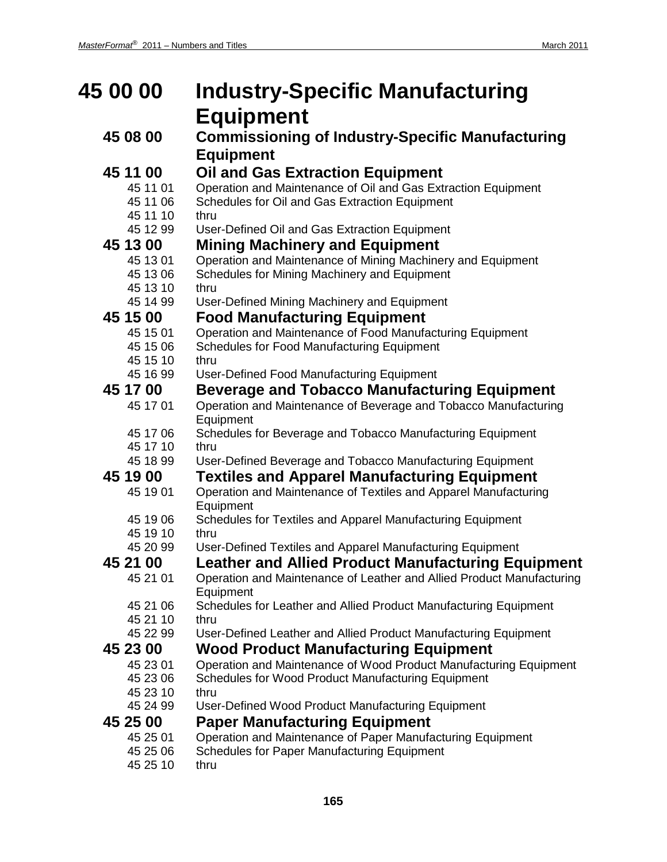| 45 00 00             | <b>Industry-Specific Manufacturing</b>                                                                                  |  |
|----------------------|-------------------------------------------------------------------------------------------------------------------------|--|
|                      | <b>Equipment</b>                                                                                                        |  |
| 45 08 00             | <b>Commissioning of Industry-Specific Manufacturing</b>                                                                 |  |
|                      | <b>Equipment</b>                                                                                                        |  |
| 45 11 00             | <b>Oil and Gas Extraction Equipment</b>                                                                                 |  |
| 45 11 01             | Operation and Maintenance of Oil and Gas Extraction Equipment                                                           |  |
| 45 11 06             | Schedules for Oil and Gas Extraction Equipment                                                                          |  |
| 45 11 10             | thru                                                                                                                    |  |
| 45 12 99             | User-Defined Oil and Gas Extraction Equipment                                                                           |  |
| 45 13 00             | <b>Mining Machinery and Equipment</b>                                                                                   |  |
| 45 13 01             | Operation and Maintenance of Mining Machinery and Equipment                                                             |  |
| 45 13 06             | Schedules for Mining Machinery and Equipment                                                                            |  |
| 45 13 10<br>45 14 99 | thru<br>User-Defined Mining Machinery and Equipment                                                                     |  |
| 45 15 00             | <b>Food Manufacturing Equipment</b>                                                                                     |  |
| 45 15 01             | Operation and Maintenance of Food Manufacturing Equipment                                                               |  |
| 45 15 06             | Schedules for Food Manufacturing Equipment                                                                              |  |
| 45 15 10             | thru                                                                                                                    |  |
| 45 16 99             | User-Defined Food Manufacturing Equipment                                                                               |  |
| 45 17 00             | <b>Beverage and Tobacco Manufacturing Equipment</b>                                                                     |  |
| 45 17 01             | Operation and Maintenance of Beverage and Tobacco Manufacturing<br>Equipment                                            |  |
| 45 17 06             | Schedules for Beverage and Tobacco Manufacturing Equipment                                                              |  |
| 45 17 10             | thru                                                                                                                    |  |
| 45 18 99             | User-Defined Beverage and Tobacco Manufacturing Equipment                                                               |  |
| 45 19 00             | <b>Textiles and Apparel Manufacturing Equipment</b>                                                                     |  |
| 45 19 01             | Operation and Maintenance of Textiles and Apparel Manufacturing<br>Equipment                                            |  |
| 45 19 06             | Schedules for Textiles and Apparel Manufacturing Equipment                                                              |  |
| 45 19 10             | thru                                                                                                                    |  |
| 45 20 99             | User-Defined Textiles and Apparel Manufacturing Equipment                                                               |  |
| 45 21 00             | <b>Leather and Allied Product Manufacturing Equipment</b>                                                               |  |
| 45 21 01             | Operation and Maintenance of Leather and Allied Product Manufacturing<br>Equipment                                      |  |
| 45 21 06             | Schedules for Leather and Allied Product Manufacturing Equipment                                                        |  |
| 45 21 10<br>45 22 99 | thru<br>User-Defined Leather and Allied Product Manufacturing Equipment                                                 |  |
|                      |                                                                                                                         |  |
| 45 23 00             | <b>Wood Product Manufacturing Equipment</b>                                                                             |  |
| 45 23 01<br>45 23 06 | Operation and Maintenance of Wood Product Manufacturing Equipment<br>Schedules for Wood Product Manufacturing Equipment |  |
| 45 23 10             | thru                                                                                                                    |  |
| 45 24 99             | User-Defined Wood Product Manufacturing Equipment                                                                       |  |
| 45 25 00             | <b>Paper Manufacturing Equipment</b>                                                                                    |  |
| 45 25 01             | Operation and Maintenance of Paper Manufacturing Equipment                                                              |  |
| 45 25 06             | Schedules for Paper Manufacturing Equipment                                                                             |  |
| 45 25 10             | thru                                                                                                                    |  |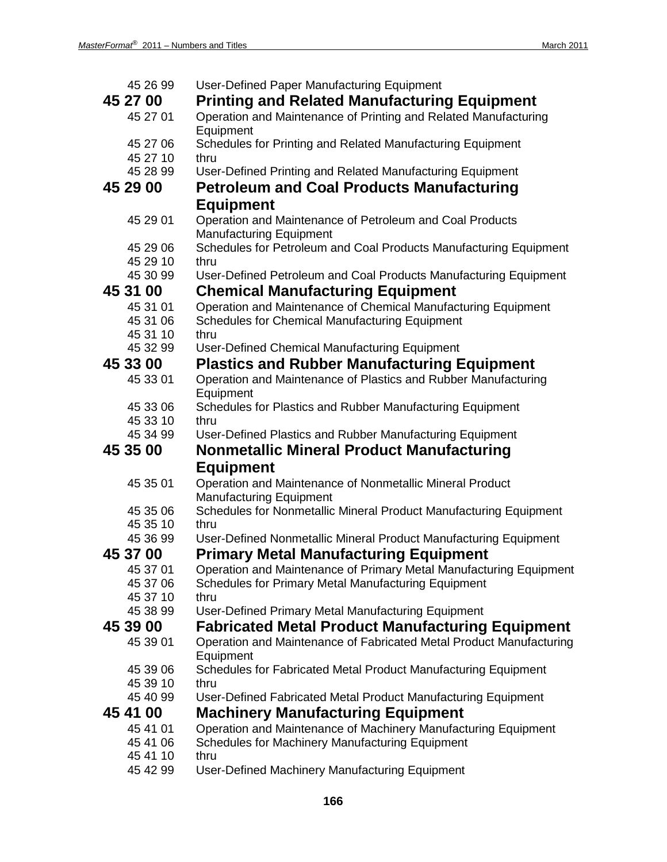| 45 26 99             | User-Defined Paper Manufacturing Equipment                                                          |
|----------------------|-----------------------------------------------------------------------------------------------------|
| 45 27 00             | <b>Printing and Related Manufacturing Equipment</b>                                                 |
| 45 27 01             | Operation and Maintenance of Printing and Related Manufacturing<br>Equipment                        |
| 45 27 06             | Schedules for Printing and Related Manufacturing Equipment                                          |
| 45 27 10             | thru                                                                                                |
| 45 28 99             | User-Defined Printing and Related Manufacturing Equipment                                           |
| 45 29 00             | <b>Petroleum and Coal Products Manufacturing</b>                                                    |
|                      | <b>Equipment</b>                                                                                    |
| 45 29 01             | Operation and Maintenance of Petroleum and Coal Products                                            |
|                      | <b>Manufacturing Equipment</b>                                                                      |
| 45 29 06             | Schedules for Petroleum and Coal Products Manufacturing Equipment                                   |
| 45 29 10             | thru                                                                                                |
| 45 30 99             | User-Defined Petroleum and Coal Products Manufacturing Equipment                                    |
| 45 31 00             | <b>Chemical Manufacturing Equipment</b>                                                             |
| 45 31 01             | Operation and Maintenance of Chemical Manufacturing Equipment                                       |
| 45 31 06             | Schedules for Chemical Manufacturing Equipment                                                      |
| 45 31 10             | thru                                                                                                |
| 45 32 99             | User-Defined Chemical Manufacturing Equipment                                                       |
| 45 33 00             | <b>Plastics and Rubber Manufacturing Equipment</b>                                                  |
| 45 33 01             | Operation and Maintenance of Plastics and Rubber Manufacturing<br>Equipment                         |
| 45 33 06             | Schedules for Plastics and Rubber Manufacturing Equipment                                           |
| 45 33 10             | thru                                                                                                |
| 45 34 99             | User-Defined Plastics and Rubber Manufacturing Equipment                                            |
| 45 35 00             | <b>Nonmetallic Mineral Product Manufacturing</b>                                                    |
|                      |                                                                                                     |
|                      |                                                                                                     |
|                      | <b>Equipment</b>                                                                                    |
| 45 35 01             | Operation and Maintenance of Nonmetallic Mineral Product                                            |
| 45 35 06             | <b>Manufacturing Equipment</b><br>Schedules for Nonmetallic Mineral Product Manufacturing Equipment |
| 45 35 10             | thru                                                                                                |
| 45 36 99             | User-Defined Nonmetallic Mineral Product Manufacturing Equipment                                    |
| 45 37 00             | <b>Primary Metal Manufacturing Equipment</b>                                                        |
| 45 37 01             | Operation and Maintenance of Primary Metal Manufacturing Equipment                                  |
| 45 37 06             | Schedules for Primary Metal Manufacturing Equipment                                                 |
| 45 37 10             | thru                                                                                                |
| 45 38 99             | User-Defined Primary Metal Manufacturing Equipment                                                  |
| 45 39 00             | <b>Fabricated Metal Product Manufacturing Equipment</b>                                             |
| 45 39 01             | Operation and Maintenance of Fabricated Metal Product Manufacturing<br>Equipment                    |
| 45 39 06             | Schedules for Fabricated Metal Product Manufacturing Equipment                                      |
| 45 39 10             | thru                                                                                                |
| 45 40 99             | User-Defined Fabricated Metal Product Manufacturing Equipment                                       |
| 45 41 00             | <b>Machinery Manufacturing Equipment</b>                                                            |
| 45 41 01             | Operation and Maintenance of Machinery Manufacturing Equipment                                      |
| 45 41 06             | Schedules for Machinery Manufacturing Equipment                                                     |
| 45 41 10<br>45 42 99 | thru<br>User-Defined Machinery Manufacturing Equipment                                              |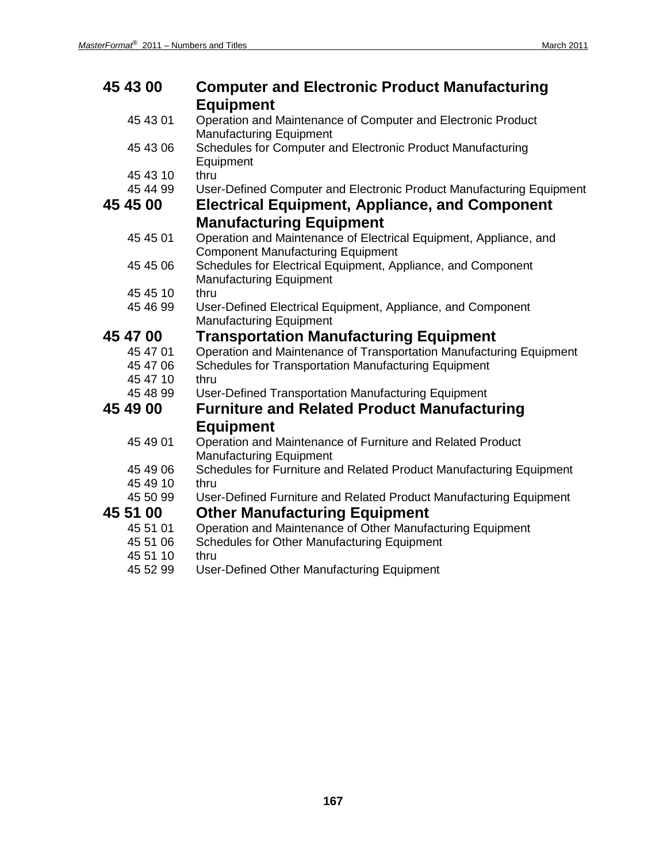| 45 43 00 | <b>Computer and Electronic Product Manufacturing</b><br><b>Equipment</b>                                      |
|----------|---------------------------------------------------------------------------------------------------------------|
| 45 43 01 | Operation and Maintenance of Computer and Electronic Product                                                  |
|          | <b>Manufacturing Equipment</b>                                                                                |
| 45 43 06 | Schedules for Computer and Electronic Product Manufacturing<br>Equipment                                      |
| 45 43 10 | thru                                                                                                          |
| 45 44 99 | User-Defined Computer and Electronic Product Manufacturing Equipment                                          |
| 45 45 00 | <b>Electrical Equipment, Appliance, and Component</b>                                                         |
|          | <b>Manufacturing Equipment</b>                                                                                |
| 45 45 01 | Operation and Maintenance of Electrical Equipment, Appliance, and<br><b>Component Manufacturing Equipment</b> |
| 45 45 06 | Schedules for Electrical Equipment, Appliance, and Component<br><b>Manufacturing Equipment</b>                |
| 45 45 10 | thru                                                                                                          |
| 45 46 99 | User-Defined Electrical Equipment, Appliance, and Component<br><b>Manufacturing Equipment</b>                 |
| 45 47 00 | <b>Transportation Manufacturing Equipment</b>                                                                 |
| 45 47 01 | Operation and Maintenance of Transportation Manufacturing Equipment                                           |
| 45 47 06 | Schedules for Transportation Manufacturing Equipment                                                          |
| 45 47 10 | thru                                                                                                          |
| 45 48 99 | User-Defined Transportation Manufacturing Equipment                                                           |
| 45 49 00 | <b>Furniture and Related Product Manufacturing</b>                                                            |
|          | <b>Equipment</b>                                                                                              |
| 45 49 01 | Operation and Maintenance of Furniture and Related Product<br><b>Manufacturing Equipment</b>                  |
| 45 49 06 | Schedules for Furniture and Related Product Manufacturing Equipment                                           |
| 45 49 10 | thru                                                                                                          |
| 45 50 99 | User-Defined Furniture and Related Product Manufacturing Equipment                                            |
| 45 51 00 | <b>Other Manufacturing Equipment</b>                                                                          |
| 45 51 01 | Operation and Maintenance of Other Manufacturing Equipment                                                    |
| 45 51 06 | Schedules for Other Manufacturing Equipment                                                                   |
| 45 51 10 | thru                                                                                                          |
| 45 52 99 | User-Defined Other Manufacturing Equipment                                                                    |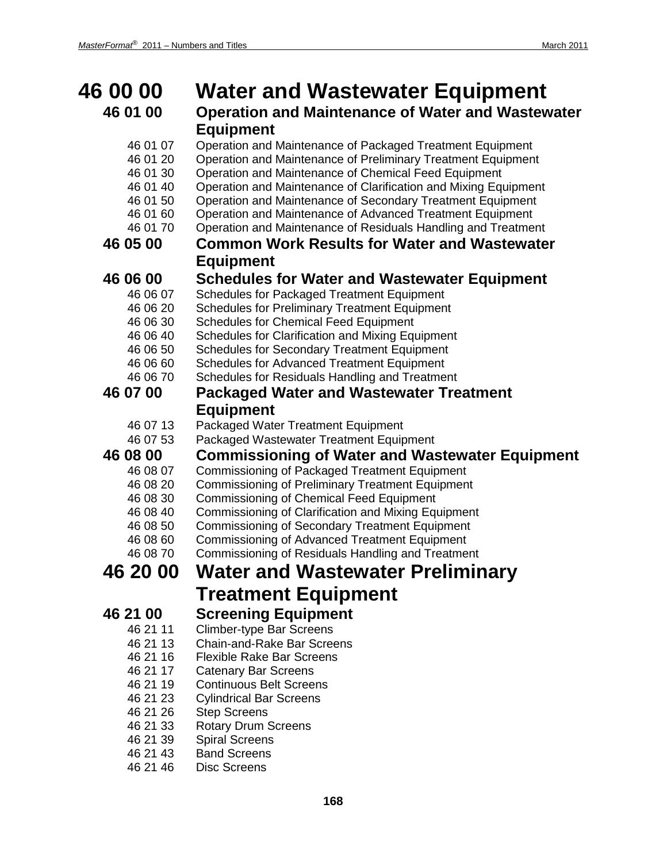| 46 00 00             | <b>Water and Wastewater Equipment</b>                                                                                     |
|----------------------|---------------------------------------------------------------------------------------------------------------------------|
| 46 01 00             | <b>Operation and Maintenance of Water and Wastewater</b>                                                                  |
|                      | <b>Equipment</b>                                                                                                          |
| 46 01 07<br>46 01 20 | Operation and Maintenance of Packaged Treatment Equipment<br>Operation and Maintenance of Preliminary Treatment Equipment |
| 46 01 30             | Operation and Maintenance of Chemical Feed Equipment                                                                      |
| 46 01 40             | Operation and Maintenance of Clarification and Mixing Equipment                                                           |
| 46 01 50             | Operation and Maintenance of Secondary Treatment Equipment                                                                |
| 46 01 60<br>46 01 70 | Operation and Maintenance of Advanced Treatment Equipment                                                                 |
| 46 05 00             | Operation and Maintenance of Residuals Handling and Treatment<br><b>Common Work Results for Water and Wastewater</b>      |
|                      |                                                                                                                           |
|                      | <b>Equipment</b>                                                                                                          |
| 46 06 00<br>46 06 07 | <b>Schedules for Water and Wastewater Equipment</b><br>Schedules for Packaged Treatment Equipment                         |
| 46 06 20             | <b>Schedules for Preliminary Treatment Equipment</b>                                                                      |
| 46 06 30             | <b>Schedules for Chemical Feed Equipment</b>                                                                              |
| 46 06 40             | Schedules for Clarification and Mixing Equipment                                                                          |
| 46 06 50             | <b>Schedules for Secondary Treatment Equipment</b>                                                                        |
| 46 06 60             | <b>Schedules for Advanced Treatment Equipment</b>                                                                         |
| 46 06 70             | Schedules for Residuals Handling and Treatment                                                                            |
| 46 07 00             | <b>Packaged Water and Wastewater Treatment</b>                                                                            |
|                      | <b>Equipment</b>                                                                                                          |
| 46 07 13             | Packaged Water Treatment Equipment                                                                                        |
| 46 07 53             | Packaged Wastewater Treatment Equipment                                                                                   |
| 46 08 00             | <b>Commissioning of Water and Wastewater Equipment</b>                                                                    |
| 46 08 07<br>46 08 20 | <b>Commissioning of Packaged Treatment Equipment</b><br><b>Commissioning of Preliminary Treatment Equipment</b>           |
| 46 08 30             | <b>Commissioning of Chemical Feed Equipment</b>                                                                           |
| 46 08 40             | Commissioning of Clarification and Mixing Equipment                                                                       |
| 46 08 50             | <b>Commissioning of Secondary Treatment Equipment</b>                                                                     |
| 46 08 60             | <b>Commissioning of Advanced Treatment Equipment</b>                                                                      |
| 46 08 70             | Commissioning of Residuals Handling and Treatment                                                                         |
| 46 20 00             | <b>Water and Wastewater Preliminary</b>                                                                                   |
|                      | <b>Treatment Equipment</b>                                                                                                |
| 46 21 00             | <b>Screening Equipment</b>                                                                                                |
| 46 21 11             | <b>Climber-type Bar Screens</b>                                                                                           |
| 46 21 13             | <b>Chain-and-Rake Bar Screens</b>                                                                                         |
| 46 21 16             | <b>Flexible Rake Bar Screens</b>                                                                                          |
| 46 21 17<br>46 21 19 | <b>Catenary Bar Screens</b><br><b>Continuous Belt Screens</b>                                                             |
| 46 21 23             | <b>Cylindrical Bar Screens</b>                                                                                            |
| 46 21 26             | <b>Step Screens</b>                                                                                                       |
| 46 21 33             | <b>Rotary Drum Screens</b>                                                                                                |
| 46 21 39             | <b>Spiral Screens</b>                                                                                                     |
| 46 21 43             | <b>Band Screens</b>                                                                                                       |
| 46 21 46             | <b>Disc Screens</b>                                                                                                       |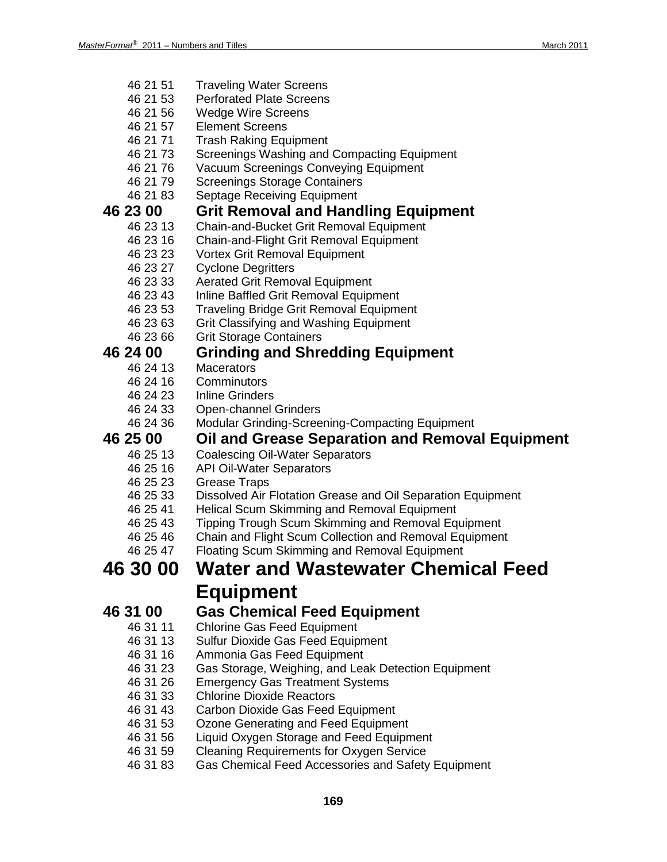- 46 21 51 Traveling Water Screens
- 46 21 53 Perforated Plate Screens
- 46 21 56 Wedge Wire Screens
- 46 21 57 Element Screens
- 46 21 71 Trash Raking Equipment
- 46 21 73 Screenings Washing and Compacting Equipment
- 46 21 76 Vacuum Screenings Conveying Equipment
- 46 21 79 Screenings Storage Containers
- 46 21 83 Septage Receiving Equipment

# **46 23 00 Grit Removal and Handling Equipment**

- 46 23 13 Chain-and-Bucket Grit Removal Equipment
- 46 23 16 Chain-and-Flight Grit Removal Equipment
- 46 23 23 Vortex Grit Removal Equipment
- 46 23 27 Cyclone Degritters<br>46 23 33 Aerated Grit Remo
- Aerated Grit Removal Equipment
- 46 23 43 Inline Baffled Grit Removal Equipment
- 46 23 53 Traveling Bridge Grit Removal Equipment
- 46 23 63 Grit Classifying and Washing Equipment
- 46 23 66 Grit Storage Containers

## **46 24 00 Grinding and Shredding Equipment**

- Macerators
- 46 24 16 Comminutors
- 46 24 23 Inline Grinders
- 46 24 33 Open-channel Grinders
- 46 24 36 Modular Grinding-Screening-Compacting Equipment

# **46 25 00 Oil and Grease Separation and Removal Equipment**

- Coalescing Oil-Water Separators
- 46 25 16 API Oil-Water Separators
- 46 25 23 Grease Traps
- 46 25 33 Dissolved Air Flotation Grease and Oil Separation Equipment<br>46 25 41 Helical Scum Skimming and Removal Equipment
- Helical Scum Skimming and Removal Equipment
- 46 25 43 Tipping Trough Scum Skimming and Removal Equipment
- 46 25 46 Chain and Flight Scum Collection and Removal Equipment
- 46 25 47 Floating Scum Skimming and Removal Equipment

### **46 30 00 Water and Wastewater Chemical Feed Equipment**

### **46 31 00 Gas Chemical Feed Equipment**

- 46 31 11 Chlorine Gas Feed Equipment
- 46 31 13 Sulfur Dioxide Gas Feed Equipment
- 46 31 16 Ammonia Gas Feed Equipment
- 46 31 23 Gas Storage, Weighing, and Leak Detection Equipment
- 46 31 26 Emergency Gas Treatment Systems
- 46 31 33 Chlorine Dioxide Reactors
- 46 31 43 Carbon Dioxide Gas Feed Equipment
- 46 31 53 Ozone Generating and Feed Equipment
- Liquid Oxygen Storage and Feed Equipment
- 46 31 59 Cleaning Requirements for Oxygen Service
- 46 31 83 Gas Chemical Feed Accessories and Safety Equipment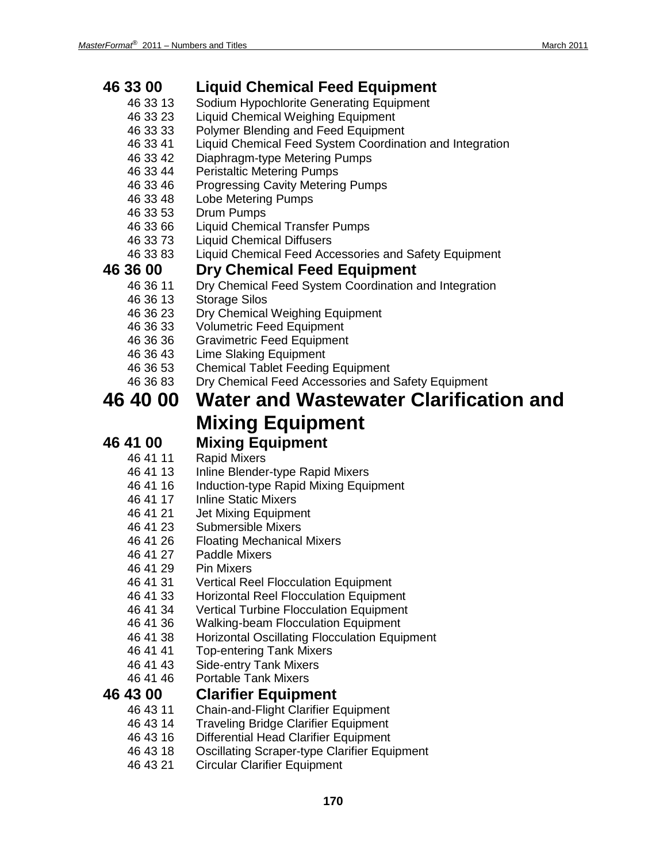# **46 33 00 Liquid Chemical Feed Equipment**

- Sodium Hypochlorite Generating Equipment
- 46 33 23 Liquid Chemical Weighing Equipment
- 46 33 33 Polymer Blending and Feed Equipment
- 46 33 41 Liquid Chemical Feed System Coordination and Integration
- 46 33 42 Diaphragm-type Metering Pumps
- 46 33 44 Peristaltic Metering Pumps
- 46 33 46 Progressing Cavity Metering Pumps
- 46 33 48 Lobe Metering Pumps
- 46 33 53 Drum Pumps
- 46 33 66 Liquid Chemical Transfer Pumps
- 46 33 73 Liquid Chemical Diffusers
- 46 33 83 Liquid Chemical Feed Accessories and Safety Equipment

### **46 36 00 Dry Chemical Feed Equipment**

- 46 36 11 Dry Chemical Feed System Coordination and Integration
- 46 36 13 Storage Silos
- 46 36 23 Dry Chemical Weighing Equipment<br>46 36 33 Volumetric Feed Equipment
- 46 36 33 Volumetric Feed Equipment<br>46 36 36 Gravimetric Feed Equipment
- **Gravimetric Feed Equipment**
- 46 36 43 Lime Slaking Equipment
- 46 36 53 Chemical Tablet Feeding Equipment
- 46 36 83 Dry Chemical Feed Accessories and Safety Equipment

## **46 40 00 Water and Wastewater Clarification and Mixing Equipment**

### **46 41 00 Mixing Equipment**

- 
- 46 41 11 Rapid Mixers Inline Blender-type Rapid Mixers
- 46 41 16 Induction-type Rapid Mixing Equipment
- 46 41 17 Inline Static Mixers
- 46 41 21 Jet Mixing Equipment
- 46 41 23 Submersible Mixers
- 46 41 26 Floating Mechanical Mixers
- 46 41 27 Paddle Mixers
- 46 41 29 Pin Mixers
- Vertical Reel Flocculation Equipment
- 46 41 33 Horizontal Reel Flocculation Equipment
- 46 41 34 Vertical Turbine Flocculation Equipment
- 46 41 36 Walking-beam Flocculation Equipment
- 46 41 38 Horizontal Oscillating Flocculation Equipment
- 
- 46 41 41 Top-entering Tank Mixers<br>46 41 43 Side-entry Tank Mixers Side-entry Tank Mixers
- 46 41 46 Portable Tank Mixers

### **46 43 00 Clarifier Equipment**

- 46 43 11 Chain-and-Flight Clarifier Equipment
- 
- 46 43 14 Traveling Bridge Clarifier Equipment<br>46 43 16 Differential Head Clarifier Equipment Differential Head Clarifier Equipment
- 46 43 18 Oscillating Scraper-type Clarifier Equipment
- 46 43 21 Circular Clarifier Equipment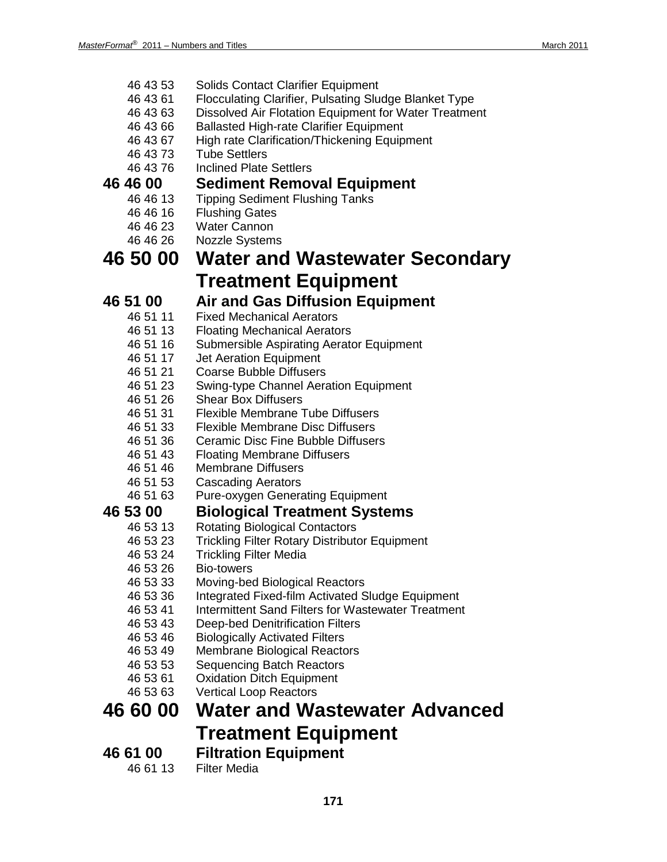- 46 43 53 Solids Contact Clarifier Equipment
- 46 43 61 Flocculating Clarifier, Pulsating Sludge Blanket Type
- 46 43 63 Dissolved Air Flotation Equipment for Water Treatment
- 46 43 66 Ballasted High-rate Clarifier Equipment
- 46 43 67 High rate Clarification/Thickening Equipment
- 46 43 73 Tube Settlers
- 46 43 76 Inclined Plate Settlers

# **46 46 00 Sediment Removal Equipment**

- 46 46 13 Tipping Sediment Flushing Tanks
- 46 46 16 Flushing Gates
- 46 46 23 Water Cannon
- 46 46 26 Nozzle Systems

## **46 50 00 Water and Wastewater Secondary Treatment Equipment**

## **46 51 00 Air and Gas Diffusion Equipment**

- **Fixed Mechanical Aerators**
- 46 51 13 Floating Mechanical Aerators
- 46 51 16 Submersible Aspirating Aerator Equipment
- 46 51 17 Jet Aeration Equipment
- 46 51 21 Coarse Bubble Diffusers
- 46 51 23 Swing-type Channel Aeration Equipment
- 46 51 26 Shear Box Diffusers
- 46 51 31 Flexible Membrane Tube Diffusers
- 46 51 33 Flexible Membrane Disc Diffusers
- 46 51 36 Ceramic Disc Fine Bubble Diffusers
- 46 51 43 Floating Membrane Diffusers
- 46 51 46 Membrane Diffusers
- 46 51 53 Cascading Aerators
- 46 51 63 Pure-oxygen Generating Equipment

- **46 53 00 Biological Treatment Systems** Rotating Biological Contactors
	- 46 53 23 Trickling Filter Rotary Distributor Equipment
	-
	- 46 53 24 Trickling Filter Media Bio-towers
	- 46 53 33 Moving-bed Biological Reactors
	- 46 53 36 Integrated Fixed-film Activated Sludge Equipment
	- 46 53 41 Intermittent Sand Filters for Wastewater Treatment
	- 46 53 43 Deep-bed Denitrification Filters
	- 46 53 46 Biologically Activated Filters
	- 46 53 49 Membrane Biological Reactors<br>46 53 53 Sequencing Batch Reactors
	- **Sequencing Batch Reactors**
	- 46 53 61 Oxidation Ditch Equipment
	- 46 53 63 Vertical Loop Reactors

## **46 60 00 Water and Wastewater Advanced Treatment Equipment**

**46 61 00 Filtration Equipment Filter Media**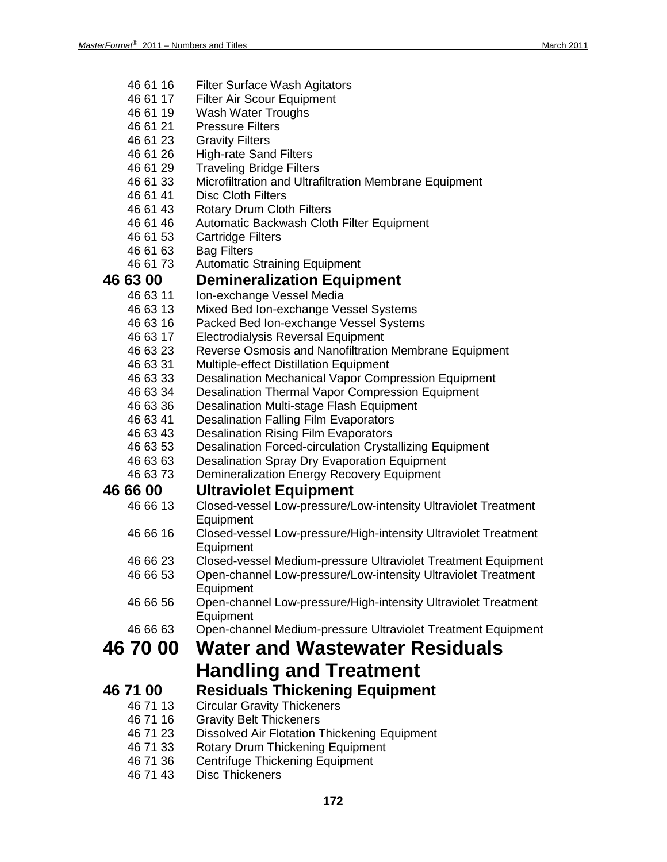- 46 61 16 Filter Surface Wash Agitators
- 46 61 17 Filter Air Scour Equipment
- 46 61 19 Wash Water Troughs
- 46 61 21 Pressure Filters
- 46 61 23 Gravity Filters
- 46 61 26 High-rate Sand Filters
- 46 61 29 Traveling Bridge Filters
- 46 61 33 Microfiltration and Ultrafiltration Membrane Equipment
- 46 61 41 Disc Cloth Filters<br>46 61 43 Rotary Drum Clot
- 46 61 43 Rotary Drum Cloth Filters<br>46 61 46 Automatic Backwash Clot
- Automatic Backwash Cloth Filter Equipment
- 46 61 53 Cartridge Filters
- 46 61 63 Bag Filters
- 46 61 73 Automatic Straining Equipment

## **46 63 00 Demineralization Equipment**

- Ion-exchange Vessel Media
- 46 63 13 Mixed Bed Ion-exchange Vessel Systems
- 46 63 16 Packed Bed Ion-exchange Vessel Systems
- 46 63 17 Electrodialysis Reversal Equipment
- 46 63 23 Reverse Osmosis and Nanofiltration Membrane Equipment
- 46 63 31 Multiple-effect Distillation Equipment
- Desalination Mechanical Vapor Compression Equipment
- 46 63 34 Desalination Thermal Vapor Compression Equipment
- 46 63 36 Desalination Multi-stage Flash Equipment
- 46 63 41 Desalination Falling Film Evaporators
- 46 63 43 Desalination Rising Film Evaporators
- 46 63 53 Desalination Forced-circulation Crystallizing Equipment
- 46 63 63 Desalination Spray Dry Evaporation Equipment<br>46 63 73 Demineralization Energy Recovery Equipment
- Demineralization Energy Recovery Equipment

## **46 66 00 Ultraviolet Equipment**

- 46 66 13 Closed-vessel Low-pressure/Low-intensity Ultraviolet Treatment **Equipment**
- 46 66 16 Closed-vessel Low-pressure/High-intensity Ultraviolet Treatment **Equipment**
- 46 66 23 Closed-vessel Medium-pressure Ultraviolet Treatment Equipment
- 46 66 53 Open-channel Low-pressure/Low-intensity Ultraviolet Treatment **Equipment**
- 46 66 56 Open-channel Low-pressure/High-intensity Ultraviolet Treatment Equipment
- 46 66 63 Open-channel Medium-pressure Ultraviolet Treatment Equipment

## **46 70 00 Water and Wastewater Residuals Handling and Treatment**

- **46 71 00 Residuals Thickening Equipment**<br>46 71 13 Circular Gravity Thickeners **Circular Gravity Thickeners** 
	- 46 71 16 Gravity Belt Thickeners
	- 46 71 23 Dissolved Air Flotation Thickening Equipment
	- 46 71 33 Rotary Drum Thickening Equipment
	- 46 71 36 Centrifuge Thickening Equipment<br>46 71 43 Disc Thickeners
	- Disc Thickeners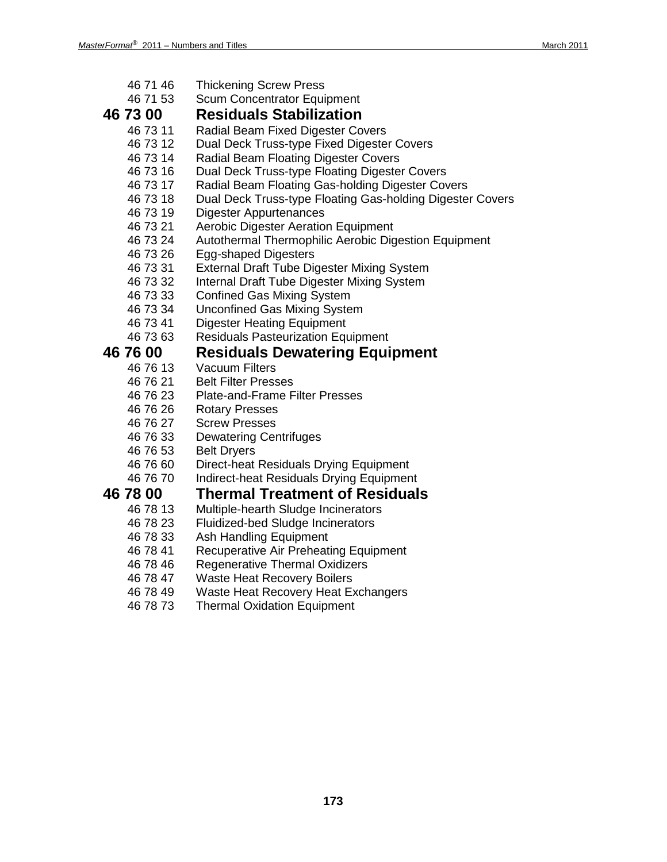- 46 71 46 Thickening Screw Press<br>46 71 53 Scum Concentrator Fqui
- **Scum Concentrator Equipment**
- **46 73 00 Residuals Stabilization**
	- Radial Beam Fixed Digester Covers
	- 46 73 12 Dual Deck Truss-type Fixed Digester Covers
	- 46 73 14 Radial Beam Floating Digester Covers<br>46 73 16 Dual Deck Truss-type Floating Digeste
	- Dual Deck Truss-type Floating Digester Covers
	- 46 73 17 Radial Beam Floating Gas-holding Digester Covers
	- 46 73 18 Dual Deck Truss-type Floating Gas-holding Digester Covers
	- 46 73 19 Digester Appurtenances
	- 46 73 21 Aerobic Digester Aeration Equipment<br>46 73 24 Autothermal Thermophilic Aerobic Dig
	- Autothermal Thermophilic Aerobic Digestion Equipment
	- 46 73 26 Egg-shaped Digesters
	- 46 73 31 External Draft Tube Digester Mixing System
	- 46 73 32 Internal Draft Tube Digester Mixing System
	- 46 73 33 Confined Gas Mixing System
	- 46 73 34 Unconfined Gas Mixing System
	- 46 73 41 Digester Heating Equipment
	- 46 73 63 Residuals Pasteurization Equipment

# **46 76 00 Residuals Dewatering Equipment**

- Vacuum Filters
- 
- 46 76 21 Belt Filter Presses<br>46 76 23 Plate-and-Frame F 46 76 23 Plate-and-Frame Filter Presses
- 46 76 26 Rotary Presses
- 
- 46 76 27 Screw Presses<br>46 76 33 Dewatering Cer **Dewatering Centrifuges**
- 46 76 53 Belt Dryers
- 46 76 60 Direct-heat Residuals Drying Equipment
- 46 76 70 Indirect-heat Residuals Drying Equipment

# **46 78 00 Thermal Treatment of Residuals**

- Multiple-hearth Sludge Incinerators
- 46 78 23 Fluidized-bed Sludge Incinerators
- 
- 46 78 33 Ash Handling Equipment<br>46 78 41 Recuperative Air Preheat Recuperative Air Preheating Equipment
- 46 78 46 Regenerative Thermal Oxidizers<br>46 78 47 Waste Heat Recovery Boilers
- **Waste Heat Recovery Boilers**
- 46 78 49 Waste Heat Recovery Heat Exchangers<br>46 78 73 Thermal Oxidation Equipment
- **Thermal Oxidation Equipment**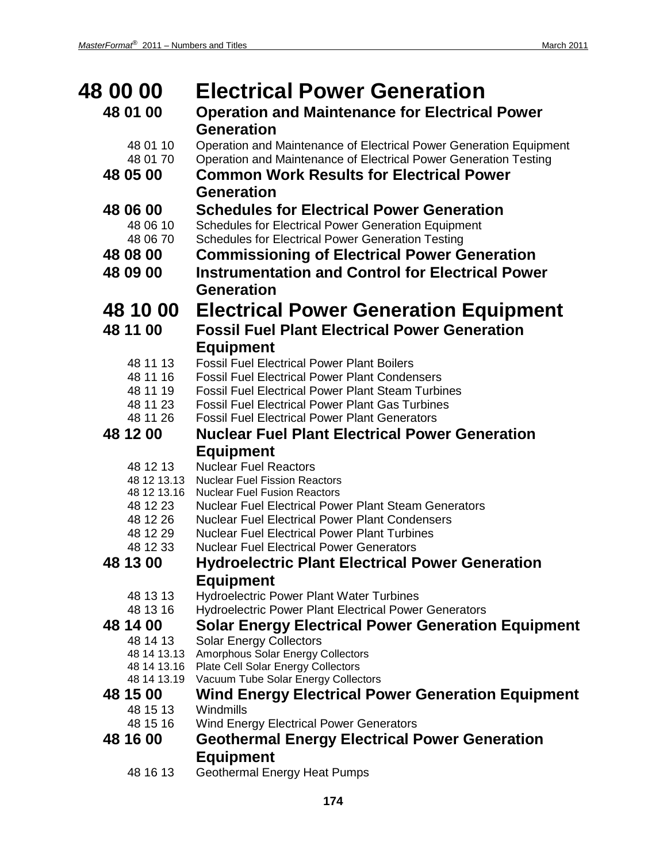| <b>48 00 00</b>      | <b>Electrical Power Generation</b>                                                                            |
|----------------------|---------------------------------------------------------------------------------------------------------------|
| 48 01 00             | <b>Operation and Maintenance for Electrical Power</b>                                                         |
|                      | <b>Generation</b>                                                                                             |
| 48 01 10             | Operation and Maintenance of Electrical Power Generation Equipment                                            |
| 48 01 70             | Operation and Maintenance of Electrical Power Generation Testing                                              |
| 48 05 00             | <b>Common Work Results for Electrical Power</b>                                                               |
|                      | <b>Generation</b>                                                                                             |
| 48 06 00             | <b>Schedules for Electrical Power Generation</b>                                                              |
| 48 06 10             | <b>Schedules for Electrical Power Generation Equipment</b>                                                    |
| 48 06 70             | <b>Schedules for Electrical Power Generation Testing</b>                                                      |
| 48 08 00             | <b>Commissioning of Electrical Power Generation</b>                                                           |
| 48 09 00             | <b>Instrumentation and Control for Electrical Power</b>                                                       |
|                      | <b>Generation</b>                                                                                             |
| 48 10 00             | <b>Electrical Power Generation Equipment</b>                                                                  |
| 48 11 00             | <b>Fossil Fuel Plant Electrical Power Generation</b>                                                          |
|                      | <b>Equipment</b>                                                                                              |
| 48 11 13             | <b>Fossil Fuel Electrical Power Plant Boilers</b>                                                             |
| 48 11 16             | <b>Fossil Fuel Electrical Power Plant Condensers</b>                                                          |
| 48 11 19             | <b>Fossil Fuel Electrical Power Plant Steam Turbines</b>                                                      |
| 48 11 23             | <b>Fossil Fuel Electrical Power Plant Gas Turbines</b>                                                        |
| 48 11 26<br>48 12 00 | <b>Fossil Fuel Electrical Power Plant Generators</b><br><b>Nuclear Fuel Plant Electrical Power Generation</b> |
|                      |                                                                                                               |
| 48 12 13             | <b>Equipment</b><br><b>Nuclear Fuel Reactors</b>                                                              |
| 48 12 13.13          | <b>Nuclear Fuel Fission Reactors</b>                                                                          |
| 48 12 13.16          | <b>Nuclear Fuel Fusion Reactors</b>                                                                           |
| 48 12 23             | <b>Nuclear Fuel Electrical Power Plant Steam Generators</b>                                                   |
| 48 12 26             | <b>Nuclear Fuel Electrical Power Plant Condensers</b>                                                         |
| 48 12 29<br>48 12 33 | <b>Nuclear Fuel Electrical Power Plant Turbines</b><br><b>Nuclear Fuel Electrical Power Generators</b>        |
| 48 13 00             | <b>Hydroelectric Plant Electrical Power Generation</b>                                                        |
|                      | <b>Equipment</b>                                                                                              |
| 48 13 13             | Hydroelectric Power Plant Water Turbines                                                                      |
| 48 13 16             | <b>Hydroelectric Power Plant Electrical Power Generators</b>                                                  |
| 48 14 00             | <b>Solar Energy Electrical Power Generation Equipment</b>                                                     |
| 48 14 13             | <b>Solar Energy Collectors</b>                                                                                |
|                      | 48 14 13.13 Amorphous Solar Energy Collectors                                                                 |
| 48 14 13.19          | 48 14 13.16 Plate Cell Solar Energy Collectors<br>Vacuum Tube Solar Energy Collectors                         |
| 48 15 00             | <b>Wind Energy Electrical Power Generation Equipment</b>                                                      |
| 48 15 13             | Windmills                                                                                                     |
| 48 15 16             | <b>Wind Energy Electrical Power Generators</b>                                                                |
| 48 16 00             | <b>Geothermal Energy Electrical Power Generation</b>                                                          |
|                      | <b>Equipment</b>                                                                                              |
| 48 16 13             | <b>Geothermal Energy Heat Pumps</b>                                                                           |

**174**